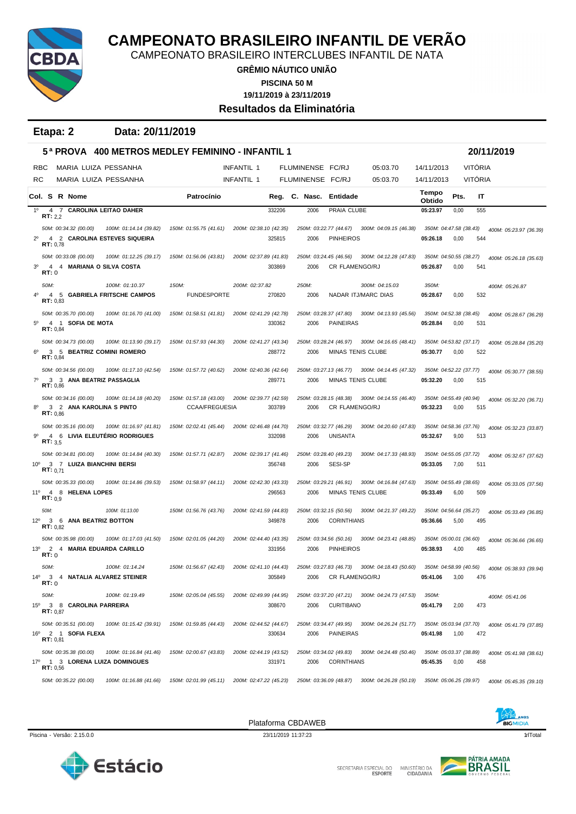

CAMPEONATO BRASILEIRO INTERCLUBES INFANTIL DE NATA

**GRÊMIO NÁUTICO UNIÃO**

**PISCINA 50 M**

**19/11/2019 à 23/11/2019**

**Resultados da Eliminatória**

| Etapa: 2 | Data: 20/11/2019 |
|----------|------------------|
|----------|------------------|

|                 |                 |                   |                                                    | 5ª PROVA   400 METROS MEDLEY FEMININO - INFANTIL 1       |                                                 |                   |                                  |                  |                                                    |                                               |                   |                                |                | 20/11/2019             |
|-----------------|-----------------|-------------------|----------------------------------------------------|----------------------------------------------------------|-------------------------------------------------|-------------------|----------------------------------|------------------|----------------------------------------------------|-----------------------------------------------|-------------------|--------------------------------|----------------|------------------------|
|                 | <b>RBC</b>      |                   |                                                    | MARIA LUIZA PESSANHA                                     |                                                 | INFANTIL 1        |                                  | FLUMINENSE FC/RJ |                                                    | 05:03.70                                      | 14/11/2013        |                                | <b>VITÓRIA</b> |                        |
| RC              |                 |                   |                                                    | MARIA LUIZA PESSANHA                                     |                                                 | <b>INFANTIL 1</b> |                                  | FLUMINENSE FC/RJ |                                                    | 05:03.70                                      | 14/11/2013        |                                | <b>VITÓRIA</b> |                        |
|                 |                 |                   | Col. S R Nome                                      |                                                          | Patrocínio                                      |                   |                                  | Reg. C. Nasc.    | Entidade                                           |                                               | Tempo<br>Obtido   | Pts.                           | IT             |                        |
| 1 <sup>0</sup>  |                 | RT: 2,2           |                                                    | 4 7 CAROLINA LEITAO DAHER                                |                                                 |                   | 332206                           | 2006             | PRAIA CLUBE                                        |                                               | 05:23.97          | 0,00                           | 555            |                        |
| $2^{\circ}$     |                 | RT: 0,78          | 50M: 00:34.32 (00.00)                              | 100M: 01:14.14 (39.82)<br>4 2 CAROLINA ESTEVES SIQUEIRA  | 150M: 01:55.75 (41.61)                          |                   | 200M: 02:38.10 (42.35)<br>325815 | 2006             | 250M: 03:22.77 (44.67)<br><b>PINHEIROS</b>         | 300M: 04:09.15 (46.38)                        | 05:26.18          | 350M: 04:47.58 (38.43)<br>0,00 | 544            | 400M: 05:23.97 (36.39) |
| 3 <sup>0</sup>  | RT:0            | 4                 | 50M: 00:33.08 (00.00)                              | 100M: 01:12.25 (39.17)<br>4 MARIANA O SILVA COSTA        | 150M: 01:56.06 (43.81)                          |                   | 200M: 02:37.89 (41.83)<br>303869 | 2006             | 250M: 03:24.45 (46.56)<br><b>CR FLAMENGO/RJ</b>    | 300M: 04:12.28 (47.83)                        | 05:26.87          | 350M: 04:50.55 (38.27)<br>0,00 | 541            | 400M: 05:26.18 (35.63) |
|                 | 50M:            |                   |                                                    | 100M: 01:10.37                                           | 150M:                                           | 200M: 02:37.82    |                                  | 250M:            |                                                    | 300M: 04:15.03                                | 350M:             |                                |                | 400M: 05:26.87         |
|                 |                 | RT: 0,83          |                                                    | 4 5 GABRIELA FRITSCHE CAMPOS                             | <b>FUNDESPORTE</b>                              |                   | 270820                           | 2006             |                                                    | NADAR ITJ/MARC DIAS                           | 05:28.67          | 0,00                           | 532            |                        |
| $5^{\circ}$     |                 | RT: 0.84          | 50M: 00:35.70 (00.00)<br>4 1 SOFIA DE MOTA         | 100M: 01:16.70 (41.00)                                   | 150M: 01:58.51 (41.81)                          |                   | 200M: 02:41.29 (42.78)<br>330362 | 2006             | 250M: 03:28.37 (47.80)<br><b>PAINEIRAS</b>         | 300M: 04:13.93 (45.56)                        | 05:28.84          | 350M: 04:52.38 (38.45)<br>0,00 | 531            | 400M: 05:28.67 (36.29) |
|                 |                 | RT: 0,84          | 50M: 00:34.73 (00.00)                              | 100M: 01:13.90 (39.17)<br>3 5 BEATRIZ COMINI ROMERO      | 150M: 01:57.93 (44.30)                          |                   | 200M: 02:41.27 (43.34)<br>288772 | 2006             | 250M: 03:28.24 (46.97)<br><b>MINAS TENIS CLUBE</b> | 300M: 04:16.65 (48.41)                        | 05:30.77          | 350M: 04:53.82 (37.17)<br>0,00 | 522            | 400M: 05:28.84 (35.20) |
| $7^\circ$       |                 | RT: 0.86          | 50M: 00:34.56 (00.00)                              | 100M: 01:17.10 (42.54)<br>3 3 ANA BEATRIZ PASSAGLIA      | 150M: 01:57.72 (40.62)                          |                   | 200M: 02:40.36 (42.64)<br>289771 | 2006             | MINAS TENIS CLUBE                                  | 250M: 03:27.13 (46.77) 300M: 04:14.45 (47.32) | 05:32.20          | 350M: 04:52.22 (37.77)<br>0,00 | 515            | 400M: 05:30.77 (38.55) |
|                 |                 | RT: 0.86          | 50M: 00:34.16 (00.00)<br>3 2 ANA KAROLINA S PINTO  | 100M: 01:14.18 (40.20)                                   | 150M: 01:57.18 (43.00)<br><b>CCAA/FREGUESIA</b> |                   | 200M: 02:39.77 (42.59)<br>303789 | 2006             | 250M: 03:28.15 (48.38)<br><b>CR FLAMENGO/RJ</b>    | 300M: 04:14.55 (46.40)                        | 05:32.23          | 350M: 04:55.49 (40.94)<br>0,00 | 515            | 400M: 05:32.20 (36.71) |
| 90              |                 | RT: 3.5           | 50M: 00:35.16 (00.00)                              | 100M: 01:16.97 (41.81)<br>4 6 LIVIA ELEUTÉRIO RODRIGUES  | 150M: 02:02.41 (45.44)                          |                   | 200M: 02:46.48 (44.70)<br>332098 | 2006             | 250M: 03:32.77 (46.29)<br><b>UNISANTA</b>          | 300M: 04:20.60 (47.83)                        | 05:32.67          | 350M: 04:58.36 (37.76)<br>9,00 | 513            | 400M: 05:32.23 (33.87) |
| $10^{\circ}$    |                 | <b>RT:</b> $0,71$ | 50M: 00:34.81 (00.00)<br>3 7 LUIZA BIANCHINI BERSI | 100M: 01:14.84 (40.30)                                   | 150M: 01:57.71 (42.87)                          |                   | 200M: 02:39.17 (41.46)<br>356748 | 2006             | 250M: 03:28.40 (49.23)<br>SESI-SP                  | 300M: 04:17.33 (48.93)                        | 05:33.05          | 350M: 04:55.05 (37.72)<br>7,00 | 511            | 400M: 05:32.67 (37.62) |
| 11°             |                 | RT: 0.9           | 50M: 00:35.33 (00.00)<br>4 8 HELENA LOPES          | 100M: 01:14.86 (39.53)                                   | 150M: 01:58.97 (44.11)                          |                   | 200M: 02:42.30 (43.33)<br>296563 | 2006             | 250M: 03:29.21 (46.91)<br>MINAS TENIS CLUBE        | 300M: 04:16.84 (47.63)                        | 05:33.49          | 350M: 04:55.49 (38.65)<br>6,00 | 509            | 400M: 05:33.05 (37.56) |
|                 | 50M:            | RT: 0.82          | 12º 3 6 ANA BEATRIZ BOTTON                         | 100M: 01:13.00                                           | 150M: 01:56.76 (43.76)                          |                   | 200M: 02:41.59 (44.83)<br>349878 | 2006             | 250M: 03:32.15 (50.56)<br><b>CORINTHIANS</b>       | 300M: 04:21.37 (49.22)                        | 05:36.66          | 350M: 04:56.64 (35.27)<br>5,00 | 495            | 400M: 05:33.49 (36.85) |
| 13 <sup>o</sup> | RT:0            |                   | 50M: 00:35.98 (00.00)                              | 100M: 01:17.03 (41.50)<br>2 4 MARIA EDUARDA CARILLO      | 150M: 02:01.05 (44.20)                          |                   | 200M: 02:44.40 (43.35)<br>331956 | 2006             | 250M: 03:34.56 (50.16)<br><b>PINHEIROS</b>         | 300M: 04:23.41 (48.85)                        | 05:38.93          | 350M: 05:00.01 (36.60)<br>4,00 | 485            | 400M: 05:36.66 (36.65) |
| $14^{\circ}$    | 50M:<br>RT: 0   |                   |                                                    | 100M: 01:14.24<br>3 4 NATALIA ALVAREZ STEINER            | 150M: 01:56.67 (42.43)                          |                   | 200M: 02:41.10 (44.43)<br>305849 | 2006             | 250M: 03:27.83 (46.73)<br>CR FLAMENGO/RJ           | 300M: 04:18.43 (50.60)                        | 05:41.06          | 350M: 04:58.99 (40.56)<br>3,00 | 476            | 400M: 05:38.93 (39.94) |
| $15^{\circ}$    | 50M:            | RT: 0.87          | 3 8 CAROLINA PARREIRA                              | 100M: 01:19.49                                           | 150M: 02:05.04 (45.55)                          |                   | 200M: 02:49.99 (44.95)<br>308670 | 2006             | <b>CURITIBANO</b>                                  | 250M: 03:37.20 (47.21) 300M: 04:24.73 (47.53) | 350M:<br>05:41.79 | 2,00                           | 473            | 400M: 05:41.06         |
|                 | <b>RT: 0,81</b> |                   | 50M: 00:35.51 (00.00)<br>16º 2 1 SOFIA FLEXA       | 100M: 01:15.42 (39.91)                                   | 150M: 01:59.85 (44.43)                          |                   | 200M: 02:44.52 (44.67)<br>330634 | 2006             | <b>PAINEIRAS</b>                                   | 250M: 03:34.47 (49.95) 300M: 04:26.24 (51.77) | 05:41.98          | 350M: 05:03.94 (37.70)<br>1,00 | 472            | 400M: 05:41.79 (37.85) |
|                 |                 | RT: 0,56          | 50M: 00:35.38 (00.00)                              | 100M: 01:16.84 (41.46)<br>17º 1 3 LORENA LUIZA DOMINGUES | 150M: 02:00.67 (43.83)                          |                   | 200M: 02:44.19 (43.52)<br>331971 | 2006             | 250M: 03:34.02 (49.83)<br><b>CORINTHIANS</b>       | 300M: 04:24.48 (50.46)                        | 05:45.35          | 350M: 05:03.37 (38.89)<br>0,00 | 458            | 400M: 05:41.98 (38.61) |
|                 |                 |                   | 50M: 00:35.22 (00.00)                              | 100M: 01:16.88 (41.66)                                   | 150M: 02:01.99 (45.11)                          |                   | 200M: 02:47.22 (45.23)           |                  | 250M: 03:36.09 (48.87)                             | 300M: 04:26.28 (50.19)                        |                   | 350M: 05:06.25 (39.97)         |                | 400M: 05:45.35 (39.10) |



Piscina - Versão: 2.15.0.0 11/10tal 23/11/2019 11:37:23 12/11/2019 11:37:23 12/11/2019 11:37:23 11/10tal 11/10tal 11/10tal 11/10tal 11/10tal 11/10tal 11/10tal 11/10tal 11/10tal 11/10tal 11/10tal 11/10tal 11/10tal 11/10tal





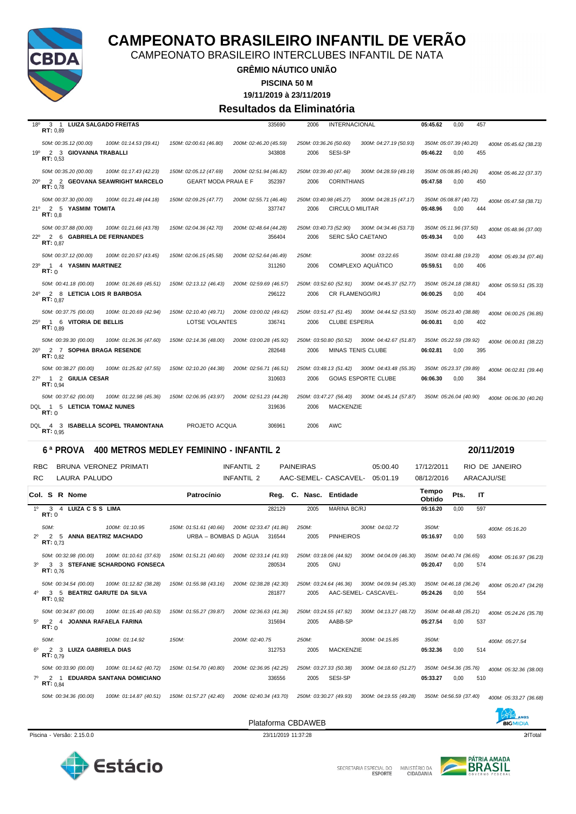

CAMPEONATO BRASILEIRO INTERCLUBES INFANTIL DE NATA

**GRÊMIO NÁUTICO UNIÃO**

**PISCINA 50 M**

**19/11/2019 à 23/11/2019**

#### **Resultados da Eliminatória**

| 3 1 LUIZA SALGADO FREITAS<br>$18^{\circ}$         |                             | 335690                 | 2006  | <b>INTERNACIONAL</b>   |                                               | 05:45.62 | 0.00<br>457            |                        |
|---------------------------------------------------|-----------------------------|------------------------|-------|------------------------|-----------------------------------------------|----------|------------------------|------------------------|
| RT: 0.89                                          |                             |                        |       |                        |                                               |          |                        |                        |
| 50M: 00:35.12 (00.00)<br>100M: 01:14.53 (39.41)   | 150M: 02:00.61 (46.80)      | 200M: 02:46.20 (45.59) |       | 250M: 03:36.26 (50.60) | 300M: 04:27.19 (50.93)                        |          | 350M: 05:07.39 (40.20) | 400M: 05:45.62 (38.23) |
| 19º 2 3 GIOVANNA TRABALLI<br>RT: 0.53             |                             | 343808                 | 2006  | SESI-SP                |                                               | 05:46.22 | 0,00<br>455            |                        |
| 50M: 00:35.20 (00.00)<br>100M: 01:17.43 (42.23)   | 150M: 02:05.12 (47.69)      | 200M: 02:51.94 (46.82) |       | 250M: 03:39.40 (47.46) | 300M: 04:28.59 (49.19)                        |          | 350M: 05:08.85 (40.26) | 400M: 05:46.22 (37.37) |
| 20° 2 2 GEOVANA SEAWRIGHT MARCELO<br>RT: 0.78     | <b>GEART MODA PRAIA E F</b> | 352397                 | 2006  | <b>CORINTHIANS</b>     |                                               | 05:47.58 | 0.00<br>450            |                        |
| 50M: 00:37.30 (00.00)<br>100M: 01:21.48 (44.18)   | 150M: 02:09.25 (47.77)      | 200M: 02:55.71 (46.46) |       | 250M: 03:40.98 (45.27) | 300M: 04:28.15 (47.17)                        |          | 350M: 05:08.87 (40.72) | 400M: 05:47.58 (38.71) |
| 21º 2 5 YASMIM TOMITA<br>RT: 0.8                  |                             | 337747                 | 2006  | <b>CIRCULO MILITAR</b> |                                               | 05:48.96 | 0,00<br>444            |                        |
| 50M: 00:37.88 (00.00)<br>100M: 01:21.66 (43.78)   | 150M: 02:04.36 (42.70)      | 200M: 02:48.64 (44.28) |       | 250M: 03:40.73 (52.90) | 300M: 04:34.46 (53.73)                        |          | 350M: 05:11.96 (37.50) | 400M: 05:48.96 (37.00) |
| 22º 2 6 GABRIELA DE FERNANDES<br>RT: 0.87         |                             | 356404                 | 2006  |                        | SERC SÃO CAETANO                              | 05:49.34 | 0,00<br>443            |                        |
| 50M: 00:37.12 (00.00)<br>100M: 01:20.57 (43.45)   | 150M: 02:06.15 (45.58)      | 200M: 02:52.64 (46.49) | 250M: |                        | 300M: 03:22.65                                |          | 350M: 03:41.88 (19.23) | 400M: 05:49.34 (07.46) |
| 23º 1 4 YASMIN MARTINEZ<br>RT: 0                  |                             | 311260                 | 2006  |                        | COMPLEXO AQUÁTICO                             | 05:59.51 | 0.00<br>406            |                        |
| 50M: 00:41.18 (00.00)<br>100M: 01:26.69 (45.51)   | 150M: 02:13.12 (46.43)      | 200M: 02:59.69 (46.57) |       |                        | 250M: 03:52.60 (52.91) 300M: 04:45.37 (52.77) |          | 350M: 05:24.18 (38.81) | 400M: 05:59.51 (35.33) |
| 24º 2 8 LETICIA LOIS R BARBOSA<br>RT: 0.87        |                             | 296122                 | 2006  | <b>CR FLAMENGO/RJ</b>  |                                               | 06:00.25 | 0,00<br>404            |                        |
| 50M: 00:37.75 (00.00)<br>100M: 01:20.69 (42.94)   | 150M: 02:10.40 (49.71)      | 200M: 03:00.02 (49.62) |       | 250M: 03:51.47 (51.45) | 300M: 04:44.52 (53.50)                        |          | 350M: 05:23.40 (38.88) | 400M: 06:00.25 (36.85) |
| 25 <sup>0</sup> 1 6 VITORIA DE BELLIS<br>RT: 0.89 | LOTSE VOLANTES              | 336741                 | 2006  | <b>CLUBE ESPERIA</b>   |                                               | 06:00.81 | 0,00<br>402            |                        |
| 50M: 00:39.30 (00.00)<br>100M: 01:26.36 (47.60)   | 150M: 02:14.36 (48.00)      | 200M: 03:00.28 (45.92) |       | 250M: 03:50.80 (50.52) | 300M: 04:42.67 (51.87)                        |          | 350M: 05:22.59 (39.92) | 400M: 06:00.81 (38.22) |
| 26º 2 7 SOPHIA BRAGA RESENDE<br>RT: 0.82          |                             | 282648                 | 2006  |                        | MINAS TENIS CLUBE                             | 06:02.81 | 0,00<br>395            |                        |
| 50M: 00:38.27 (00.00)<br>100M: 01:25.82 (47.55)   | 150M: 02:10.20 (44.38)      | 200M: 02:56.71 (46.51) |       |                        | 250M: 03:48.13 (51.42) 300M: 04:43.48 (55.35) |          | 350M: 05:23.37 (39.89) | 400M: 06:02.81 (39.44) |
| 27º 1 2 GIULIA CESAR<br><b>RT:</b> $0.94$         |                             | 310603                 | 2006  |                        | <b>GOIAS ESPORTE CLUBE</b>                    | 06:06.30 | 0,00<br>384            |                        |
| 50M: 00:37.62 (00.00)<br>100M: 01:22.98 (45.36)   | 150M: 02:06.95 (43.97)      | 200M: 02:51.23 (44.28) |       | 250M: 03:47.27 (56.40) | 300M: 04:45.14 (57.87)                        |          | 350M: 05:26.04 (40.90) | 400M: 06:06.30 (40.26) |
| DQL 1 5 LETICIA TOMAZ NUNES<br>RT: 0              |                             | 319636                 | 2006  | <b>MACKENZIE</b>       |                                               |          |                        |                        |
| DQL 4 3 ISABELLA SCOPEL TRAMONTANA<br>RT: 0.95    | PROJETO ACQUA               | 306961                 | 2006  | AWC                    |                                               |          |                        |                        |

#### **6 ª PROVA 400 METROS MEDLEY FEMININO - INFANTIL 2 20/11/2019**

RBC BRUNA VERONEZ PRIMATI **INFANTIL 2** PAINEIRAS 05:00.40 17/12/2011 RIO DE JANEIRO RC LAURA PALUDO **INFANTIL 2** AAC-SEMEL- CASCAVEL- 05:01.19 08/12/2016 ARACAJU/SE **Col. <sup>S</sup> R Nome Patrocínio Nasc. Entidade Tempo Obtido Reg. C. Pts. IT** 1º 3 4 **LUIZA C S S LIMA** 282129 2005 MARINA BC/RJ **05:16.20** 0,00 597 **RT:** 0 *50M: 100M: 01:10.95 150M: 01:51.61 (40.66) 200M: 02:33.47 (41.86) 250M: 300M: 04:02.72 350M: 400M: 05:16.20* 2º 2 5 **ANNA BEATRIZ MACHADO** URBA – BOMBAS D AGUA 316544 2005 PINHEIROS **05:16.97** 0,00 593 **RT:** 0,73 50M: 00:32.98 (00.00) 100M: 01:10.61 (37.63) 150M: 01:51.21 (40.60) 200M: 02:33.14 (41.93) 250M: 03:18.06 (44.92) 300M: 04:04.09 (46.30) 350M: 04:40.74 (36.65) 400M: 05:16.97 (36.23)<br>3 STEFANIE SCHARDONG FONSECA 280534 200 3º 3 3 **STEFANIE SCHARDONG FONSECA** 280534 2005 GNU **05:20.47** 0,00 574 **RT:** 0,76 100M: 00.34.54 (00.00) 100M: 01:12.82 (38.28) 150M: 01:55.98 (43.16) 200M: 02:38.28 (42.30) 250M: 03:24.64 (46.36) 300M: 04:09.94 (45.30) 350M: 04:46.18 (36.24) 400M: 05:20.47 (34.29) 4º 3 5 **BEATRIZ GARUTE DA SILVA** 281877 2005 AAC-SEMEL- CASCAVEL- **05:24.26** 0,00 554 **RT:** 0,92 50M: 00:34.87 (00.00) 100M: 01:15.40 (40.53) 150M: 01:55.27 (39.87) 200M: 02:36.63 (41.36) 250M: 03:24.55 (47.92) 300M: 04:13.27 (48.72) 350M: 04:48.48 (35.21) 400M: 05:24.26 (35.78) 5º 2 4 **JOANNA RAFAELA FARINA** 315694 2005 AABB-SP **05:27.54** 0,00 537 **RT:** 0 *50M: 100M: 01:14.92 150M: 200M: 02:40.75 250M: 300M: 04:15.85 350M: 400M: 05:27.54* 6º 2 3 **LUIZA GABRIELA DIAS** 312753 2005 MACKENZIE **05:32.36** 0,00 514 **RT:** 0,79 50M: 00:33.90 (00.00) 100M: 01:14.62 (40.72) 150M: 01:54.70 (40.80) 200M: 02:36.95 (42.25) 250M: 03:27.33 (50.38) 300M: 04:18.60 (51.27) 350M: 04:54.36 (35.76) 400M: 05:32.36 (38.00) 7º 2 1 **EDUARDA SANTANA DOMICIANO** 336556 2005 SESI-SP **05:33.27** 0,00 510 **RT:** 0,84 50M: 00:34.36 (00.00) 100M: 01:14.87 (40.51) 150M: 01:57.27 (42.40) 200M: 02:40.34 (43.70) 250M: 03:30.27 (49.93) 300M: 04:19.55 (49.28) 350M: 04:56.59 (37.40) 400M: 05:33.27 (36.68)

Piscina - Versão: 2.15.0.0 21Total 23/11/2019 11:37:28 23/11/2019 11:37:28 23/11/2019 11:37:28 23/17 23/17 23/17 23/17 23/17 23/17 23/17 23/17 23/17 23/17 23/17 23/17 23/17 23/17 23/17 23/17 23/17 23/17 23/17 23/17 23/17 2





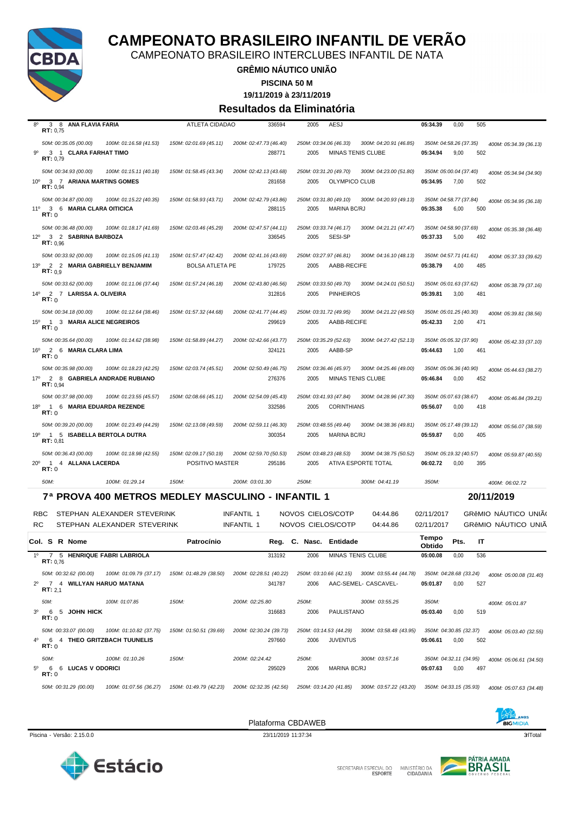

CAMPEONATO BRASILEIRO INTERCLUBES INFANTIL DE NATA

#### **GRÊMIO NÁUTICO UNIÃO**

**PISCINA 50 M**

**19/11/2019 à 23/11/2019**

#### **Resultados da Eliminatória**

| 8 <sup>0</sup><br>ANA FLAVIA FARIA<br>3<br>- 8<br>RT: 0,75                                                              | ATLETA CIDADAO                                   | 336594                           | 2005<br><b>AESJ</b>                                  |                                                                       | 05:34.39          | 0,00<br>505                           |                        |
|-------------------------------------------------------------------------------------------------------------------------|--------------------------------------------------|----------------------------------|------------------------------------------------------|-----------------------------------------------------------------------|-------------------|---------------------------------------|------------------------|
| 50M: 00:35.05 (00.00)<br>100M: 01:16.58 (41.53)                                                                         | 150M: 02:01.69 (45.11)                           | 200M: 02:47.73 (46.40)           | 250M: 03:34.06 (46.33)                               | 300M: 04:20.91 (46.85)                                                |                   | 350M: 04:58.26 (37.35)                |                        |
| 90<br>3 1 CLARA FARHAT TIMO<br>RT: 0.79                                                                                 |                                                  | 288771                           | 2005                                                 | MINAS TENIS CLUBE                                                     | 05:34.94          | 9,00<br>502                           | 400M: 05:34.39 (36.13) |
| 50M: 00:34.93 (00.00)<br>100M: 01:15.11 (40.18)<br>10 <sup>o</sup><br>3 7 ARIANA MARTINS GOMES<br>RT: 0.94              | 150M: 01:58.45 (43.34)                           | 200M: 02:42.13 (43.68)<br>281658 | 250M: 03:31.20 (49.70)<br>2005                       | 300M: 04:23.00 (51.80)<br>OLYMPICO CLUB                               | 05:34.95          | 350M: 05:00.04 (37.40)<br>502<br>7,00 | 400M: 05:34.94 (34.90) |
| 50M: 00:34.87 (00.00)<br>100M: 01:15.22 (40.35)<br>11°<br>3 6 MARIA CLARA OITICICA<br>RT: 0                             | 150M: 01:58.93 (43.71)                           | 200M: 02:42.79 (43.86)<br>288115 | 250M: 03:31.80 (49.10)<br>2005                       | 300M: 04:20.93 (49.13)<br>MARINA BC/RJ                                | 05:35.38          | 350M: 04:58.77 (37.84)<br>500<br>6,00 | 400M: 05:34.95 (36.18) |
| 50M: 00:36.48 (00.00)<br>100M: 01:18.17 (41.69)<br>$12^{\circ}$<br>3 2 SABRINA BARBOZA<br>RT: 0.96                      | 150M: 02:03.46 (45.29)                           | 200M: 02:47.57 (44.11)<br>336545 | 250M: 03:33.74 (46.17)<br>SESI-SP<br>2005            | 300M: 04:21.21 (47.47)                                                | 05:37.33          | 350M: 04:58.90 (37.69)<br>5,00<br>492 | 400M: 05:35.38 (36.48) |
| 50M: 00:33.92 (00.00)<br>100M: 01:15.05 (41.13)<br>$13^{\circ}$<br>2 2 MARIA GABRIELLY BENJAMIM<br>RT: 0.9              | 150M: 01:57.47 (42.42)<br><b>BOLSA ATLETA PE</b> | 200M: 02:41.16 (43.69)<br>179725 | 250M: 03:27.97 (46.81)<br>2005                       | 300M: 04:16.10 (48.13)<br>AABB-RECIFE                                 | 05:38.79          | 350M: 04:57.71 (41.61)<br>485<br>4,00 | 400M: 05:37.33 (39.62) |
| 50M: 00:33.62 (00.00)<br>100M: 01:11.06 (37.44)<br>$14^{\circ}$<br>2 7 LARISSA A. OLIVEIRA<br>RT: 0                     | 150M: 01:57.24 (46.18)                           | 200M: 02:43.80 (46.56)<br>312816 | 250M: 03:33.50 (49.70)<br><b>PINHEIROS</b><br>2005   | 300M: 04:24.01 (50.51)                                                | 05:39.81          | 350M: 05:01.63 (37.62)<br>3,00<br>481 | 400M: 05:38.79 (37.16) |
| 50M: 00:34.18 (00.00)<br>100M: 01:12.64 (38.46)<br>$15^{\circ}$<br>$\overline{1}$<br>3 MARIA ALICE NEGREIROS<br>RT: 0   | 150M: 01:57.32 (44.68)                           | 200M: 02:41.77 (44.45)<br>299619 | 250M: 03:31.72 (49.95)<br>2005                       | 300M: 04:21.22 (49.50)<br>AABB-RECIFE                                 | 05:42.33          | 350M: 05:01.25 (40.30)<br>2,00<br>471 | 400M: 05:39.81 (38.56) |
| 50M: 00:35.64 (00.00)<br>100M: 01:14.62 (38.98)<br>16 <sup>o</sup><br>2 6 MARIA CLARA LIMA<br>RT: 0                     | 150M: 01:58.89 (44.27)                           | 200M: 02:42.66 (43.77)<br>324121 | 250M: 03:35.29 (52.63)<br>AABB-SP<br>2005            | 300M: 04:27.42 (52.13)                                                | 05:44.63          | 350M: 05:05.32 (37.90)<br>1,00<br>461 | 400M: 05:42.33 (37.10) |
| 50M: 00:35.98 (00.00)<br>100M: 01:18.23 (42.25)<br>17°<br>2 8 GABRIELA ANDRADE RUBIANO<br><b>RT:</b> $0.94$             | 150M: 02:03.74 (45.51)                           | 200M: 02:50.49 (46.75)<br>276376 | 250M: 03:36.46 (45.97)<br>2005                       | 300M: 04:25.46 (49.00)<br><b>MINAS TENIS CLUBE</b>                    | 05:46.84          | 350M: 05:06.36 (40.90)<br>0,00<br>452 | 400M: 05:44.63 (38.27) |
| 50M: 00:37.98 (00.00)<br>100M: 01:23.55 (45.57)<br>18 <sup>0</sup><br>$\overline{1}$<br>6 MARIA EDUARDA REZENDE<br>RT:0 | 150M: 02:08.66 (45.11)                           | 200M: 02:54.09 (45.43)<br>332586 | 250M: 03:41.93 (47.84)<br><b>CORINTHIANS</b><br>2005 | 300M: 04:28.96 (47.30)                                                | 05:56.07          | 350M: 05:07.63 (38.67)<br>0,00<br>418 | 400M: 05:46.84 (39.21) |
| 50M: 00:39.20 (00.00)<br>100M: 01:23.49 (44.29)<br>1 5 ISABELLA BERTOLA DUTRA<br>19°<br>RT: 0.81                        | 150M: 02:13.08 (49.59)                           | 200M: 02:59.11 (46.30)<br>300354 | 250M: 03:48.55 (49.44)<br>2005                       | 300M: 04:38.36 (49.81)<br><b>MARINA BC/RJ</b>                         | 05:59.87          | 350M: 05:17.48 (39.12)<br>0,00<br>405 | 400M: 05:56.07 (38.59) |
| 50M: 00:36.43 (00.00)<br>100M: 01:18.98 (42.55)<br>$\overline{1}$<br>4 ALLANA LACERDA<br>$20^{\circ}$<br>RT:0           | 150M: 02:09.17 (50.19)<br>POSITIVO MASTER        | 200M: 02:59.70 (50.53)<br>295186 | 250M: 03:48.23 (48.53)<br>2005                       | 300M: 04:38.75 (50.52)<br>ATIVA ESPORTE TOTAL                         | 06:02.72          | 350M: 05:19.32 (40.57)<br>395<br>0,00 | 400M: 05:59.87 (40.55) |
| 50M:<br>100M: 01:29.14                                                                                                  | 150M:                                            | 200M: 03:01.30                   | 250M:                                                | 300M: 04:41.19                                                        | 350M:             |                                       | 400M: 06:02.72         |
| 7ª PROVA 400 METROS MEDLEY MASCULINO - INFANTIL 1                                                                       |                                                  |                                  |                                                      |                                                                       |                   |                                       | 20/11/2019             |
| RBC<br>STEPHAN ALEXANDER STEVERINK                                                                                      |                                                  | INFANTIL 1                       | NOVOS CIELOS/COTP                                    | 04:44.86                                                              | 02/11/2017        |                                       | GRAMIO NAUTICO UNIÃO   |
| RC<br>STEPHAN ALEXANDER STEVERINK                                                                                       |                                                  | INFANTIL 1                       | NOVOS CIELOS/COTP                                    | 04:44.86                                                              | 02/11/2017        |                                       | GRÊMIO NÁUTICO UNIÃ    |
| Col. S R Nome                                                                                                           | Patrocínio                                       |                                  | Reg. C. Nasc. Entidade                               |                                                                       | Tempo<br>Obtido   | Pts.<br>IT                            |                        |
| $1^{\circ}$<br>7 5 HENRIQUE FABRI LABRIOLA<br>RT: 0.76                                                                  |                                                  | 313192                           | 2006                                                 | MINAS TENIS CLUBE                                                     | 05:00.08          | 0,00<br>536                           |                        |
| 50M: 00:32.62 (00.00)<br>100M: 01:09.79 (37.17)<br>$2^{\circ}$<br>7 4 WILLYAN HARUO MATANA<br>RT: 2,1                   | 150M: 01:48.29 (38.50)                           | 200M: 02:28.51 (40.22)<br>341787 | 2006                                                 | 250M: 03:10.66 (42.15) 300M: 03:55.44 (44.78)<br>AAC-SEMEL- CASCAVEL- | 05:01.87          | 350M: 04:28.68 (33.24)<br>0,00<br>527 | 400M: 05:00.08 (31.40) |
| 50M:<br>100M: 01:07.85<br>3 <sup>0</sup><br>6 5 JOHN HICK<br>RT:0                                                       | 150M:                                            | 200M: 02:25.80<br>316683         | 250M:<br>2006                                        | 300M: 03:55.25<br>PAULISTANO                                          | 350M:<br>05:03.40 | 0,00<br>519                           | 400M: 05:01.87         |
| 50M: 00:33.07 (00.00)<br>100M: 01:10.82 (37.75)<br>40<br>6 4 THEO GRITZBACH TUUNELIS<br>RT: 0                           | 150M: 01:50.51 (39.69)                           | 200M: 02:30.24 (39.73)<br>297660 | 250M: 03:14.53 (44.29)<br>2006<br><b>JUVENTUS</b>    | 300M: 03:58.48 (43.95)                                                | 05:06.61          | 350M: 04:30.85 (32.37)<br>502<br>0,00 | 400M: 05:03.40 (32.55) |
| 50M:<br>100M: 01:10.26<br>$5^{\circ}$<br>6 6 LUCAS V ODORICI<br>RT:0                                                    | 150M:                                            | 200M: 02:24.42<br>295029         | 250M:<br>2006                                        | 300M: 03:57.16<br>MARINA BC/RJ                                        | 05:07.63          | 350M: 04:32.11 (34.95)<br>0,00<br>497 | 400M: 05:06.61 (34.50) |
| 50M: 00:31.29 (00.00)<br>100M: 01:07.56 (36.27)                                                                         |                                                  |                                  | 250M: 03:14.20 (41.85)                               | 300M: 03:57.22 (43.20)                                                |                   | 350M: 04:33.15 (35.93)                | 400M: 05:07.63 (34.48) |



Piscina - Versão: 2.15.0.0 23/11/2019 11:37:34 23/11/2019 11:37:34 3 23/11/2019 11:37:34 3 23/11/2019 11:37:34



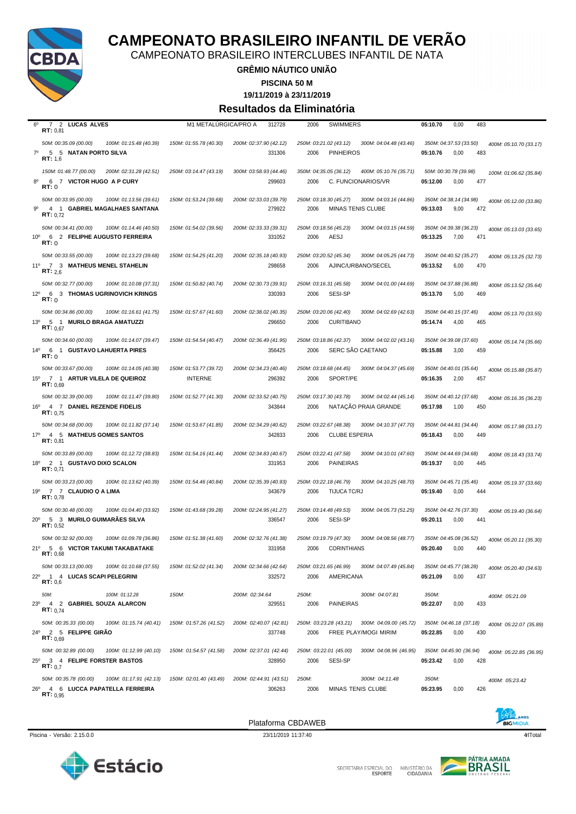

CAMPEONATO BRASILEIRO INTERCLUBES INFANTIL DE NATA

#### **GRÊMIO NÁUTICO UNIÃO**

**PISCINA 50 M**

**19/11/2019 à 23/11/2019**

#### **Resultados da Eliminatória**

| $6^{\circ}$     | $7^{\circ}$<br>2 LUCAS ALVES<br>RT: 0.81                                                           | M1 METALURGICA/PRO A                     | 312728                           | <b>SWIMMERS</b><br>2006                                                              | 05:10.70<br>0,00<br>483                                                     |
|-----------------|----------------------------------------------------------------------------------------------------|------------------------------------------|----------------------------------|--------------------------------------------------------------------------------------|-----------------------------------------------------------------------------|
| $7^{\circ}$     | 50M: 00:35.09 (00.00)<br>100M: 01:15.48 (40.39)<br>5 5 NATAN PORTO SILVA<br>RT: 1,6                | 150M: 01:55.78 (40.30)                   | 200M: 02:37.90 (42.12)<br>331306 | 250M: 03:21.02 (43.12)<br>300M: 04:04.48 (43.46)<br>2006<br><b>PINHEIROS</b>         | 350M: 04:37.53 (33.50)<br>400M: 05:10.70 (33.17)<br>483<br>05:10.76<br>0,00 |
| $8^{\circ}$     | 150M: 01:48.77 (00.00)<br>200M: 02:31.28 (42.51)<br>6 7 VICTOR HUGO A P CURY<br>RT:0               | 250M: 03:14.47 (43.19)                   | 300M: 03:58.93 (44.46)<br>299603 | 350M: 04:35.05 (36.12)<br>400M: 05:10.76 (35.71)<br>2006<br>C. FUNCIONARIOS/VR       | 50M: 00:30.78 (39.98)<br>100M: 01:06.62 (35.84)<br>05:12.00<br>0,00<br>477  |
| 90              | 50M: 00:33.95 (00.00)<br>100M: 01:13.56 (39.61)<br>4 1 GABRIEL MAGALHAES SANTANA<br>RT: 0.72       | 150M: 01:53.24 (39.68)                   | 200M: 02:33.03 (39.79)<br>279922 | 250M: 03:18.30 (45.27)<br>300M: 04:03.16 (44.86)<br>2006<br><b>MINAS TENIS CLUBE</b> | 350M: 04:38.14 (34.98)<br>400M: 05:12.00 (33.86)<br>05:13.03<br>9,00<br>472 |
| 10 <sup>o</sup> | 50M: 00:34.41 (00.00)<br>100M: 01:14.46 (40.50)<br>6 2 FELIPHE AUGUSTO FERREIRA<br>RT: 0           | 150M: 01:54.02 (39.56)                   | 200M: 02:33.33 (39.31)<br>331052 | 250M: 03:18.56 (45.23)<br>300M: 04:03.15 (44.59)<br>AESJ<br>2006                     | 350M: 04:39.38 (36.23)<br>400M: 05:13.03 (33.65)<br>05:13.25<br>7,00<br>471 |
|                 | 50M: 00:33.55 (00.00)<br>100M: 01:13.23 (39.68)<br>11º 7 3 MATHEUS MENEL STAHELIN<br>RT: 2,6       | 150M: 01:54.25 (41.20)                   | 200M: 02:35.18 (40.93)<br>298658 | 250M: 03:20.52 (45.34)<br>300M: 04:05.25 (44.73)<br>2006<br>AJINC/URBANO/SECEL       | 350M: 04:40.52 (35.27)<br>400M: 05:13.25 (32.73)<br>05:13.52<br>6,00<br>470 |
| $12^{\circ}$    | 50M: 00:32.77 (00.00)<br>100M: 01:10.08 (37.31)<br>6 3 THOMAS UGRINOVICH KRINGS<br>RT:0            | 150M: 01:50.82 (40.74)                   | 200M: 02:30.73 (39.91)<br>330393 | 250M: 03:16.31 (45.58)<br>300M: 04:01.00 (44.69)<br>SESI-SP<br>2006                  | 350M: 04:37.88 (36.88)<br>400M: 05:13.52 (35.64)<br>469<br>05:13.70<br>5,00 |
| $13^{\circ}$    | 50M: 00:34.86 (00.00)<br>100M: 01:16.61 (41.75)<br>5 1 MURILO BRAGA AMATUZZI<br>RT: 0,67           | 150M: 01:57.67 (41.60)                   | 200M: 02:38.02 (40.35)<br>296650 | 250M: 03:20.06 (42.40)<br>300M: 04:02.69 (42.63)<br>2006<br><b>CURITIBANO</b>        | 350M: 04:40.15 (37.46)<br>400M: 05:13.70 (33.55)<br>05:14.74<br>4,00<br>465 |
| $14^{\circ}$    | 50M: 00:34.60 (00.00)<br>100M: 01:14.07 (39.47)<br>6 1 GUSTAVO LAHUERTA PIRES<br>RT:0              | 150M: 01:54.54 (40.47)                   | 200M: 02:36.49 (41.95)<br>356425 | 250M: 03:18.86 (42.37)<br>300M: 04:02.02 (43.16)<br>SERC SAO CAETANO<br>2006         | 350M: 04:39.08 (37.60)<br>400M: 05:14.74 (35.66)<br>459<br>05:15.88<br>3,00 |
| $15^{\circ}$    | 50M: 00:33.67 (00.00)<br>100M: 01:14.05 (40.38)<br>7 1 ARTUR VILELA DE QUEIROZ<br>RT: 0,69         | 150M: 01:53.77 (39.72)<br><b>INTERNE</b> | 200M: 02:34.23 (40.46)<br>296392 | 250M: 03:18.68 (44.45)<br>300M: 04:04.37 (45.69)<br>2006<br>SPORT/PE                 | 350M: 04:40.01 (35.64)<br>400M: 05:15.88 (35.87)<br>05:16.35<br>2,00<br>457 |
| $16^{\circ}$    | 50M: 00:32.39 (00.00)<br>100M: 01:11.47 (39.80)<br>4 7 DANIEL REZENDE FIDELIS<br>RT: 0.75          | 150M: 01:52.77 (41.30)                   | 200M: 02:33.52 (40.75)<br>343844 | 250M: 03:17.30 (43.78)<br>300M: 04:02.44 (45.14)<br>NATAÇÃO PRAIA GRANDE<br>2006     | 350M: 04:40.12 (37.68)<br>400M: 05:16.35 (36.23)<br>05:17.98<br>1,00<br>450 |
| 17°             | 50M: 00:34.68 (00.00)<br>100M: 01:11.82 (37.14)<br>4 5 MATHEUS GOMES SANTOS<br>RT: 0.81            | 150M: 01:53.67 (41.85)                   | 200M: 02:34.29 (40.62)<br>342833 | 250M: 03:22.67 (48.38)<br>300M: 04:10.37 (47.70)<br>2006<br><b>CLUBE ESPERIA</b>     | 350M: 04:44.81 (34.44)<br>400M: 05:17.98 (33.17)<br>05:18.43<br>0,00<br>449 |
| $18^{\circ}$    | 50M: 00:33.89 (00.00)<br>100M: 01:12.72 (38.83)<br>2 1 GUSTAVO DIXO SCALON<br>RT: 0,71             | 150M: 01:54.16 (41.44)                   | 200M: 02:34.83 (40.67)<br>331953 | 250M: 03:22.41 (47.58)<br>300M: 04:10.01 (47.60)<br>2006<br><b>PAINEIRAS</b>         | 350M: 04:44.69 (34.68)<br>400M: 05:18.43 (33.74)<br>445<br>05:19.37<br>0,00 |
| 19°             | 50M: 00:33.23 (00.00)<br>100M: 01:13.62 (40.39)<br>77 CLAUDIO Q A LIMA<br>RT: 0.78                 | 150M: 01:54.46 (40.84)                   | 200M: 02:35.39 (40.93)<br>343679 | 250M: 03:22.18 (46.79)<br>300M: 04:10.25 (48.70)<br>2006<br><b>TIJUCA TC/RJ</b>      | 350M: 04:45.71 (35.46)<br>400M: 05:19.37 (33.66)<br>05:19.40<br>0,00<br>444 |
| $20^{\circ}$    | 50M: 00:30.48 (00.00)<br>100M: 01:04.40 (33.92)<br>5 3 MURILO GUIMARAES SILVA<br><b>RT:</b> $0,52$ | 150M: 01:43.68 (39.28)                   | 200M: 02:24.95 (41.27)<br>336547 | 250M: 03:14.48 (49.53)<br>300M: 04:05.73 (51.25)<br>SESI-SP<br>2006                  | 350M: 04:42.76 (37.30)<br>400M: 05:19.40 (36.64)<br>05:20.11<br>0,00<br>441 |
|                 | 50M: 00:32.92 (00.00)<br>100M: 01:09.78 (36.86)<br>21º 5 6 VICTOR TAKUMI TAKABATAKE<br>RT: 0.68    | 150M: 01:51.38 (41.60)                   | 200M: 02:32.76 (41.38)<br>331958 | 250M: 03:19.79 (47.30)<br>300M: 04:08.56 (48.77)<br>2006<br><b>CORINTHIANS</b>       | 350M: 04:45.08 (36.52)<br>400M: 05:20.11 (35.30)<br>05:20.40<br>0,00<br>440 |
| $22^{\circ}$    | 100M: 01:10.68 (37.55)<br>50M: 00:33.13 (00.00)<br>1 4 LUCAS SCAPI PELEGRINI<br>RT: 0,6            | 150M: 01:52.02 (41.34)                   | 200M: 02:34.66 (42.64)<br>332572 | 250M: 03:21.65 (46.99) 300M: 04:07.49 (45.84)<br>2006<br>AMERICANA                   | 350M: 04:45.77 (38.28)<br>400M: 05:20.40 (34.63)<br>0,00<br>437<br>05:21.09 |
| $23^{\circ}$    | 50M:<br>100M: 01:12.28<br>4 2 GABRIEL SOUZA ALARCON<br>RT: 0.74                                    | 150M:                                    | 200M: 02:34.64<br>329551         | 250M:<br>300M: 04:07.81<br>2006<br><b>PAINEIRAS</b>                                  | 350M:<br>400M: 05:21.09<br>05:22.07<br>0,00<br>433                          |
|                 | 50M: 00:35.33 (00.00)<br>100M: 01:15.74 (40.41)<br>24º 2 5 FELIPPE GIRAO<br>RT: 0.69               | 150M: 01:57.26 (41.52)                   | 200M: 02:40.07 (42.81)<br>337748 | 250M: 03:23.28 (43.21) 300M: 04:09.00 (45.72)<br>FREE PLAY/MOGI MIRIM<br>2006        | 350M: 04:46.18 (37.18)<br>400M: 05:22.07 (35.89)<br>430<br>05:22.85<br>0,00 |
| $25^{\circ}$    | 50M: 00:32.89 (00.00)<br>100M: 01:12.99 (40.10)<br>3 4 FELIPE FORSTER BASTOS<br><b>RT:</b> $0.7$   | 150M: 01:54.57 (41.58)                   | 200M: 02:37.01 (42.44)<br>328950 | 250M: 03:22.01 (45.00)<br>300M: 04:08.96 (46.95)<br>SESI-SP<br>2006                  | 350M: 04:45.90 (36.94)<br>400M: 05:22.85 (36.95)<br>428<br>05:23.42<br>0,00 |
| $26^{\circ}$    | 50M: 00:35.78 (00.00)<br>100M: 01:17.91 (42.13)<br>4 6 LUCCA PAPATELLA FERREIRA<br>RT: 0.95        | 150M: 02:01.40 (43.49)                   | 200M: 02:44.91 (43.51)<br>306263 | 250M:<br>300M: 04:11.48<br><b>MINAS TENIS CLUBE</b><br>2006                          | 350M:<br>400M: 05:23.42<br>0,00<br>05:23.95<br>426                          |



Piscina - Versão: 2.15.0.0 23/11/2019 11:37:40 23/11/2019 11:37:40 4/1Total 4/1Total 4/1Total 4/1Total 4/1Total 4/1Total 4/1Total 4/1Total 4/1Total 4/1Total 4/1Total 4/1Total 4/1Total 4/1Total 4/1Total 4/1Total 4/1Total 4/

Plataforma CBDAWEB



SECRETARIA ESPECIAL DO MINISTÉRIO DA<br>CIDADANIA

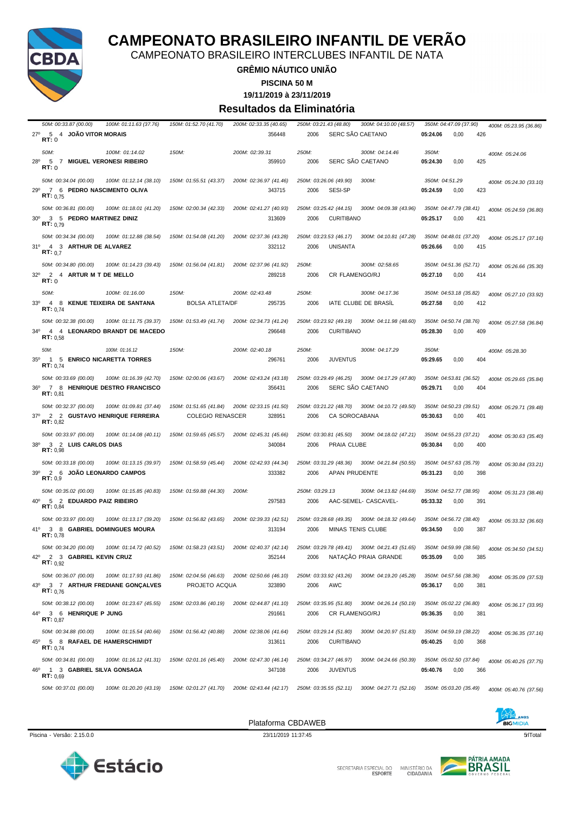

CAMPEONATO BRASILEIRO INTERCLUBES INFANTIL DE NATA

#### **GRÊMIO NÁUTICO UNIÃO**

**PISCINA 50 M**

**19/11/2019 à 23/11/2019**

#### **Resultados da Eliminatória**

| 100M: 01:11.63 (37.76)                                                                                              | 150M: 01:52.70 (41.70)                  | 200M: 02:33.35 (40.65)           | 300M: 04:10.00 (48.57)<br>250M: 03:21.43 (48.80)                              | 350M: 04:47.09 (37.90)<br>400M: 05:23.95 (36.86)                            |
|---------------------------------------------------------------------------------------------------------------------|-----------------------------------------|----------------------------------|-------------------------------------------------------------------------------|-----------------------------------------------------------------------------|
| 5<br>$27^{\circ}$<br>4 JOAO VITOR MORAIS<br><b>RT: 0</b>                                                            |                                         | 356448                           | SERC SAO CAETANO<br>2006                                                      | 05:24.06<br>0,00<br>426                                                     |
| 50M:<br>100M: 01:14.02<br>28°<br>7 MIGUEL VERONESI RIBEIRO<br>5<br>RT:0                                             | 150M:                                   | 200M: 02:39.31<br>359910         | 250M:<br>300M: 04:14.46<br>SERC SAO CAETANO<br>2006                           | 350M:<br>400M: 05:24.06<br>0,00<br>425<br>05:24.30                          |
| 50M: 00:34.04 (00.00)<br>100M: 01:12.14 (38.10)<br>29°<br>7 6 PEDRO NASCIMENTO OLIVA<br>RT: 0.75                    | 150M: 01:55.51 (43.37)                  | 200M: 02:36.97 (41.46)<br>343715 | 250M: 03:26.06 (49.90)<br>300M:<br>SESI-SP<br>2006                            | 350M: 04:51.29<br>400M: 05:24.30 (33.10)<br>05:24.59<br>0,00<br>423         |
| 50M: 00:36.81 (00.00)<br>100M: 01:18.01 (41.20)<br>$30^\circ$<br>3 5 PEDRO MARTINEZ DINIZ<br>RT: 0.79               | 150M: 02:00.34 (42.33)                  | 200M: 02:41.27 (40.93)<br>313609 | 250M: 03:25.42 (44.15)<br>300M: 04:09.38 (43.96)<br><b>CURITIBANO</b><br>2006 | 350M: 04:47.79 (38.41)<br>400M: 05:24.59 (36.80)<br>05:25.17<br>421<br>0,00 |
| 50M: 00:34.34 (00.00)<br>100M: 01:12.88 (38.54)<br>31º 4 3 ARTHUR DE ALVAREZ<br>RT: 0.7                             | 150M: 01:54.08 (41.20)                  | 200M: 02:37.36 (43.28)<br>332112 | 250M: 03:23.53 (46.17)<br>300M: 04:10.81 (47.28)<br>2006<br>UNISANTA          | 350M: 04:48.01 (37.20)<br>400M: 05:25.17 (37.16)<br>05:26.66<br>0,00<br>415 |
| 50M: 00:34.80 (00.00)<br>100M: 01:14.23 (39.43)<br>$32^\circ$<br>2 4 ARTUR M T DE MELLO<br>RT:0                     | 150M: 01:56.04 (41.81)                  | 200M: 02:37.96 (41.92)<br>289218 | 250M:<br>300M: 02:58.65<br>CR FLAMENGO/RJ<br>2006                             | 350M: 04:51.36 (52.71)<br>400M: 05:26.66 (35.30)<br>05:27.10<br>0,00<br>414 |
| 50M:<br>100M: 01:16.00<br>$33^\circ$<br>4 8 KENUE TEIXEIRA DE SANTANA<br><b>RT:</b> $0,74$                          | 150M:<br><b>BOLSA ATLETA/DF</b>         | 200M: 02:43.48<br>295735         | 250M:<br>300M: 04:17.36<br>IATE CLUBE DE BRASIL<br>2006                       | 350M: 04:53.18 (35.82)<br>400M: 05:27.10 (33.92)<br>05:27.58<br>0,00<br>412 |
| 50M: 00:32.38 (00.00)<br>100M: 01:11.75 (39.37)<br>$34^{\circ}$<br>4 4 LEONARDO BRANDT DE MACEDO<br>RT: 0.58        | 150M: 01:53.49 (41.74)                  | 200M: 02:34.73 (41.24)<br>296648 | 250M: 03:23.92 (49.19)<br>300M: 04:11.98 (48.60)<br>2006<br><b>CURITIBANO</b> | 350M: 04:50.74 (38.76)<br>400M: 05:27.58 (36.84)<br>409<br>05:28.30<br>0,00 |
| 50M:<br>100M: 01:16.12<br>$35^\circ$<br>1 5 ENRICO NICARETTA TORRES<br><b>RT:</b> $0,74$                            | 150M:                                   | 200M: 02:40.18<br>296761         | 250M:<br>300M: 04:17.29<br>2006<br><b>JUVENTUS</b>                            | 350M:<br>400M: 05:28.30<br>05:29.65<br>0,00<br>404                          |
| 50M: 00:33.69 (00.00)<br>100M: 01:16.39 (42.70)<br>$36^{\circ}$<br>7 8 HENRIQUE DESTRO FRANCISCO<br>RT: 0.81        | 150M: 02:00.06 (43.67)                  | 200M: 02:43.24 (43.18)<br>356431 | 250M: 03:29.49 (46.25)<br>300M: 04:17.29 (47.80)<br>SERC SÃO CAETANO<br>2006  | 350M: 04:53.81 (36.52)<br>400M: 05:29.65 (35.84)<br>0,00<br>404<br>05:29.71 |
| 50M: 00:32.37 (00.00)<br>100M: 01:09.81 (37.44)                                                                     | 150M: 01:51.65 (41.84)                  | 200M: 02:33.15 (41.50)           | 250M: 03:21.22 (48.70) 300M: 04:10.72 (49.50)                                 | 350M: 04:50.23 (39.51)<br>400M: 05:29.71 (39.48)                            |
| $37^\circ$<br>2 2 GUSTAVO HENRIQUE FERREIRA<br>RT: 0.82                                                             | <b>COLEGIO RENASCER</b>                 | 328951                           | 2006<br>CA SOROCABANA                                                         | 05:30.63<br>0,00<br>401                                                     |
| 50M: 00:33.97 (00.00)<br>100M: 01:14.08 (40.11)<br>38 <sup>0</sup><br>3 2 LUIS CARLOS DIAS<br>RT: 0,98              | 150M: 01:59.65 (45.57)                  | 200M: 02:45.31 (45.66)<br>340084 | 250M: 03:30.81 (45.50)<br>300M: 04:18.02 (47.21)<br>2006<br>PRAIA CLUBE       | 350M: 04:55.23 (37.21)<br>400M: 05:30.63 (35.40)<br>05:30.84<br>0,00<br>400 |
| 50M: 00:33.18 (00.00)<br>100M: 01:13.15 (39.97)<br>2 6 JOAO LEONARDO CAMPOS<br>39°<br>RT: 0.9                       | 150M: 01:58.59 (45.44)                  | 200M: 02:42.93 (44.34)<br>333382 | 250M: 03:31.29 (48.36)<br>300M: 04:21.84 (50.55)<br>2006<br>APAN PRUDENTE     | 350M: 04:57.63 (35.79)<br>400M: 05:30.84 (33.21)<br>05:31.23<br>0,00<br>398 |
| 50M: 00:35.02 (00.00)<br>100M: 01:15.85 (40.83)<br>40 <sup>o</sup><br>5 2 EDUARDO PAIZ RIBEIRO<br>RT: 0,84          | 150M: 01:59.88 (44.30)                  | 200M:<br>297583                  | 250M: 03:29.13<br>300M: 04:13.82 (44.69)<br>2006<br>AAC-SEMEL- CASCAVEL-      | 350M: 04:52.77 (38.95)<br>400M: 05:31.23 (38.46)<br>391<br>05:33.32<br>0,00 |
| 50M: 00:33.97 (00.00)<br>100M: 01:13.17 (39.20)<br>41º 3 8 GABRIEL DOMINGUES MOURA<br>RT: 0.78                      | 150M: 01:56.82 (43.65)                  | 200M: 02:39.33 (42.51)<br>313194 | 250M: 03:28.68 (49.35)<br>300M: 04:18.32 (49.64)<br>2006<br>MINAS TENIS CLUBE | 350M: 04:56.72 (38.40)<br>400M: 05:33.32 (36.60)<br>05:34.50<br>0,00<br>387 |
| 50M: 00:34.20 (00.00)<br>100M: 01:14.72 (40.52)<br>42º 2 3 GABRIEL KEVIN CRUZ<br>RT: 0.92                           | 150M: 01:58.23 (43.51)                  | 200M: 02:40.37 (42.14)<br>352144 | 250M: 03:29.78 (49.41) 300M: 04:21.43 (51.65)<br>2006 NATAÇÃO PRAIA GRANDE    | 350M: 04:59.99 (38.56)<br>400M: 05:34.50 (34.51)<br>05:35.09<br>0,00<br>385 |
| 50M: 00:36.07 (00.00)<br>100M: 01:17.93 (41.86)<br>43°<br>3 7 ARTHUR FREDIANE GONÇALVES<br>RT: 0.76                 | 150M: 02:04.56 (46.63)<br>PROJETO ACQUA | 200M: 02:50.66 (46.10)<br>323890 | 250M: 03:33.92 (43.26)<br>300M: 04:19.20 (45.28)<br>2006<br>AWC               | 350M: 04:57.56 (38.36)<br>400M: 05:35.09 (37.53)<br>381<br>05:36.17<br>0,00 |
| 50M: 00:38.12 (00.00)<br>100M: 01:23.67 (45.55)<br>44º 3 6 HENRIQUE P JUNG<br>RT: 0.87                              | 150M: 02:03.86 (40.19)                  | 200M: 02:44.87 (41.10)<br>291661 | 250M: 03:35.95 (51.80)<br>300M: 04:26.14 (50.19)<br>2006<br>CR FLAMENGO/RJ    | 350M: 05:02.22 (36.80)<br>400M: 05:36.17 (33.95)<br>05:36.35<br>0,00<br>381 |
| 50M: 00:34.88 (00.00)<br>100M: 01:15.54 (40.66)<br>$45^{\circ}$<br>5 8 RAFAEL DE HAMERSCHIMIDT<br><b>RT:</b> $0,74$ | 150M: 01:56.42 (40.88)                  | 200M: 02:38.06 (41.64)<br>313611 | 250M: 03:29.14 (51.80)<br>300M: 04:20.97 (51.83)<br>2006<br><b>CURITIBANO</b> | 350M: 04:59.19 (38.22)<br>400M: 05:36.35 (37.16)<br>05:40.25<br>0,00<br>368 |
| 50M: 00:34.81 (00.00)<br>100M: 01:16.12 (41.31)<br>46º 1 3 GABRIEL SILVA GONSAGA<br>RT: 0.69                        | 150M: 02:01.16 (45.40)                  | 200M: 02:47.30 (46.14)<br>347108 | 250M: 03:34.27 (46.97)<br>300M: 04:24.66 (50.39)<br><b>JUVENTUS</b><br>2006   | 350M: 05:02.50 (37.84)<br>400M: 05:40.25 (37.75)<br>05:40.76<br>0,00<br>366 |



Piscina - Versão: 2.15.0.0 23/11/2019 11:37:45 **23/11/2019 11:37:45** 51Total 51Total 51Total 51Total 51Total 51Total 51Total 51Total 51Total 51Total 51Total 51Total 51Total 51Total 51Total 51Total 51Total 51Total 51Total 5

Plataforma CBDAWEB



P SECRETARIA ESPECIAL DO MINISTÉRIO DA<br>CIDADANIA

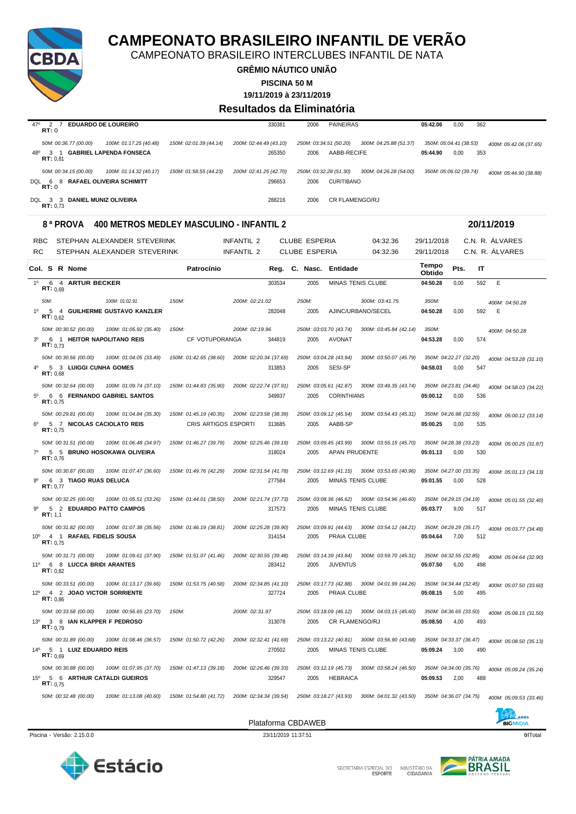

CAMPEONATO BRASILEIRO INTERCLUBES INFANTIL DE NATA

**GRÊMIO NÁUTICO UNIÃO**

**PISCINA 50 M**

**19/11/2019 à 23/11/2019**

#### **Resultados da Eliminatória**

| 470<br><b>EDUARDO DE LOUREIRO</b><br>RT:0               | 330381                                           | <b>PAINEIRAS</b><br>2006                         | 05:42.06<br>362<br>0,00                          |
|---------------------------------------------------------|--------------------------------------------------|--------------------------------------------------|--------------------------------------------------|
| 50M: 00:36.77 (00.00)<br>100M: 01:17.25 (40.48)         | 150M: 02:01.39 (44.14)<br>200M: 02:44.49 (43.10) | 250M: 03:34.51 (50.20)<br>300M: 04:25.88 (51.37) | 350M: 05:04.41 (38.53)<br>400M: 05:42.06 (37.65) |
| <b>GABRIEL LAPENDA FONSECA</b><br>48°<br>3.<br>RT: 0.81 | 265350                                           | AABB-RECIFE<br>2006                              | 0,00<br>05:44.90<br>353                          |
| 50M: 00:34.15 (00.00)<br>100M: 01:14.32 (40.17)         | 150M: 01:58.55 (44.23)<br>200M: 02:41.25 (42.70) | 250M: 03:32.28 (51.30)<br>300M: 04:26.28 (54.00) | 350M: 05:06.02 (39.74)<br>400M: 05:44.90 (38.88) |
| 8 RAFAEL OLIVEIRA SCHIMITT<br>DOL<br>- 6<br>RT:0        | 296653                                           | <b>CURITIBANO</b><br>2006                        |                                                  |
| <b>DANIEL MUNIZ OLIVEIRA</b><br>DOL<br>33<br>RT: 0.73   | 288216                                           | CR FLAMENGO/RJ<br>2006                           |                                                  |

#### **8 ª PROVA 400 METROS MEDLEY MASCULINO - INFANTIL 2 20/11/2019**

|                 | <b>RBC</b>                   |               |                                                  | STEPHAN ALEXANDER STEVERINK                           |                                                | <b>INFANTIL 2</b>      |        | <b>CLUBE ESPERIA</b> |                                                | 04:32.36               | 29/11/2018             |                                |     | C.N. R. ALVARES        |
|-----------------|------------------------------|---------------|--------------------------------------------------|-------------------------------------------------------|------------------------------------------------|------------------------|--------|----------------------|------------------------------------------------|------------------------|------------------------|--------------------------------|-----|------------------------|
| RC              |                              |               |                                                  | STEPHAN ALEXANDER STEVERINK                           |                                                | <b>INFANTIL 2</b>      |        | <b>CLUBE ESPERIA</b> |                                                | 04:32.36               | 29/11/2018             |                                |     | C.N. R. ALVARES        |
|                 |                              | Col. S R Nome |                                                  |                                                       | Patrocínio                                     |                        | Reg.   | C. Nasc.             | Entidade                                       |                        | <b>Tempo</b><br>Obtido | Pts.                           | IT  |                        |
| 10              | 6                            |               | 4 ARTUR BECKER                                   |                                                       |                                                |                        | 303534 | 2005                 | MINAS TENIS CLUBE                              |                        | 04:50.28               | 0,00                           | 592 | E                      |
| 1 <sup>0</sup>  | RT: 0.69<br>50M:<br>RT: 0.62 |               |                                                  | 100M: 01:02.91<br>5 4 GUILHERME GUSTAVO KANZLER       | 150M:                                          | 200M: 02:21.02         | 282048 | 250M:<br>2005        | AJINC/URBANO/SECEL                             | 300M: 03:41.75         | 350M:<br>04:50.28      | 0,00                           | 592 | 400M: 04:50.28<br>Ε    |
| 3 <sup>0</sup>  | RT: 0.73                     |               | 50M: 00:30.52 (00.00)                            | 100M: 01:05.92 (35.40)<br>6 1 HEITOR NAPOLITANO REIS  | 150M:<br>CF VOTUPORANGA                        | 200M: 02:19.96         | 344819 | 2005                 | 250M: 03:03.70 (43.74)<br><b>AVONAT</b>        | 300M: 03:45.84 (42.14) | 350M:<br>04:53.28      | 0,00                           | 574 | 400M: 04:50.28         |
|                 | RT: 0.68                     |               | 50M: 00:30.56 (00.00)<br>5 3 LUIGGI CUNHA GOMES  | 100M: 01:04.05 (33.49)                                | 150M: 01:42.65 (38.60)                         | 200M: 02:20.34 (37.69) | 313853 | 2005                 | 250M: 03:04.28 (43.94)<br>SESI-SP              | 300M: 03:50.07 (45.79) | 04:58.03               | 350M: 04:22.27 (32.20)<br>0.00 | 547 | 400M: 04:53.28 (31.10) |
| $5^{\circ}$     | RT: 0.75                     |               | 50M: 00:32.64 (00.00)                            | 100M: 01:09.74 (37.10)<br>6 6 FERNANDO GABRIEL SANTOS | 150M: 01:44.83 (35.90)                         | 200M: 02:22.74 (37.91) | 349937 | 2005                 | 250M: 03:05.61 (42.87)<br><b>CORINTHIANS</b>   | 300M: 03:49.35 (43.74) | 05:00.12               | 350M: 04:23.81 (34.46)<br>0,00 | 536 | 400M: 04:58.03 (34.22) |
| $6^{\circ}$     | RT: 0.75                     |               | 50M: 00:29.81 (00.00)                            | 100M: 01:04.84 (35.30)<br>5 7 NICOLAS CACIOLATO REIS  | 150M: 01:45.19 (40.35)<br>CRIS ARTIGOS ESPORTI | 200M: 02:23.58 (38.39) | 313685 | 2005                 | 250M: 03:09.12 (45.54)<br>AABB-SP              | 300M: 03:54.43 (45.31) | 05:00.25               | 350M: 04:26.98 (32.55)<br>0,00 | 535 | 400M: 05:00.12 (33.14) |
|                 | RT: 0.76                     |               | 50M: 00:31.51 (00.00)                            | 100M: 01:06.48 (34.97)<br>5 5 BRUNO HOSOKAWA OLIVEIRA | 150M: 01:46.27 (39.79)                         | 200M: 02:25.46 (39.19) | 318024 | 2005                 | 250M: 03:09.45 (43.99)<br><b>APAN PRUDENTE</b> | 300M: 03:55.15 (45.70) | 05:01.13               | 350M: 04:28.38 (33.23)<br>0.00 | 530 | 400M: 05:00.25 (31.87) |
| R <sup>0</sup>  | RT: 0.77                     |               | 50M: 00:30.87 (00.00)<br>6 3 TIAGO RUAS DELUCA   | 100M: 01:07.47 (36.60)                                | 150M: 01:49.76 (42.29)                         | 200M: 02:31.54 (41.78) | 277584 | 2005                 | 250M: 03:12.69 (41.15)<br>MINAS TENIS CLUBE    | 300M: 03:53.65 (40.96) | 05:01.55               | 350M: 04:27.00 (33.35)<br>0,00 | 528 | 400M: 05:01.13 (34.13) |
|                 | RT: 1,1                      |               | 50M: 00:32.25 (00.00)                            | 100M: 01:05.51 (33.26)<br>5 2 EDUARDO PATTO CAMPOS    | 150M: 01:44.01 (38.50)                         | 200M: 02:21.74 (37.73) | 317573 | 2005                 | 250M: 03:08.36 (46.62)<br>MINAS TENIS CLUBE    | 300M: 03:54.96 (46.60) | 05:03.77               | 350M: 04:29.15 (34.19)<br>9,00 | 517 | 400M: 05:01.55 (32.40) |
| 10 <sup>o</sup> | RT: 0.75                     |               | 50M: 00:31.82 (00.00)                            | 100M: 01:07.38 (35.56)<br>4 1 RAFAEL FIDELIS SOUSA    | 150M: 01:46.19 (38.81)                         | 200M: 02:25.28 (39.90) | 314154 | 2005                 | 250M: 03:09.91 (44.63)<br>PRAIA CLUBE          | 300M: 03:54.12 (44.21) | 05:04.64               | 350M: 04:29.29 (35.17)<br>7,00 | 512 | 400M: 05:03.77 (34.48) |
| 11°             | RT: 0.82                     |               | 50M: 00:31.71 (00.00)<br>6 8 LUCCA BRIDI ARANTES | 100M: 01:09.61 (37.90)                                | 150M: 01:51.07 (41.46)                         | 200M: 02:30.55 (39.48) | 283412 | 2005                 | 250M: 03:14.39 (43.84)<br><b>JUVENTUS</b>      | 300M: 03:59.70 (45.31) | 05:07.50               | 350M: 04:32.55 (32.85)<br>6,00 | 498 | 400M: 05:04.64 (32.90) |
| 12°             | RT: 0.86                     |               | 50M: 00:33.51 (00.00)                            | 100M: 01:13.17 (39.66)<br>4 2 JOAO VICTOR SORRIENTE   | 150M: 01:53.75 (40.58)                         | 200M: 02:34.85 (41.10) | 327724 | 2005                 | 250M: 03:17.73 (42.88)<br>PRAIA CLUBE          | 300M: 04:01.99 (44.26) | 05:08.15               | 350M: 04:34.44 (32.45)<br>5.00 | 495 | 400M: 05:07.50 (33.60) |
| $13^{\circ}$    | RT: 0.79                     |               | 50M: 00:33.58 (00.00)                            | 100M: 00:56.65 (23.70)<br>3 8 IAN KLAPPER F PEDROSO   | 150M                                           | 200M: 02:31.97         | 313078 | 2005                 | 250M: 03:18.09 (46.12)<br>CR FLAMENGO/RJ       | 300M: 04:03.15 (45.60) | 05:08.50               | 350M: 04:36.65 (33.50)<br>4,00 | 493 | 400M: 05:08.15 (31.50) |
| $14^{0}$        | RT: 0,69                     |               | 50M: 00:31.89 (00.00)<br>5 1 LUIZ EDUARDO REIS   | 100M: 01:08.46 (36.57)                                | 150M: 01:50.72 (42.26)                         | 200M: 02:32.41 (41.69) | 270502 | 2005                 | 250M: 03:13.22 (40.81)<br>MINAS TENIS CLUBE    | 300M: 03:56.90 (43.68) | 05:09.24               | 350M: 04:33.37 (36.47)<br>3,00 | 490 | 400M: 05:08.50 (35.13) |
| $15^{\circ}$    | RT: 0.75                     |               | 50M: 00:30.88 (00.00)                            | 100M: 01:07.95 (37.70)<br>5 6 ARTHUR CATALDI GUEIROS  | 150M: 01:47.13 (39.18)                         | 200M: 02:26.46 (39.33) | 329547 | 2005                 | 250M: 03:12.19 (45.73)<br><b>HEBRAICA</b>      | 300M: 03:58.24 (46.50) | 05:09.53               | 350M: 04:34.00 (35.76)<br>2,00 | 488 | 400M: 05:09.24 (35.24) |
|                 |                              |               | 50M: 00:32.48 (00.00)                            | 100M: 01:13.08 (40.60)                                | 150M: 01:54.80 (41.72)                         | 200M: 02:34.34 (39.54) |        |                      | 250M: 03:18.27 (43.93)                         | 300M: 04:01.32 (43.50) |                        | 350M: 04:36.07 (34.75)         |     | 400M: 05:09.53 (33.46) |





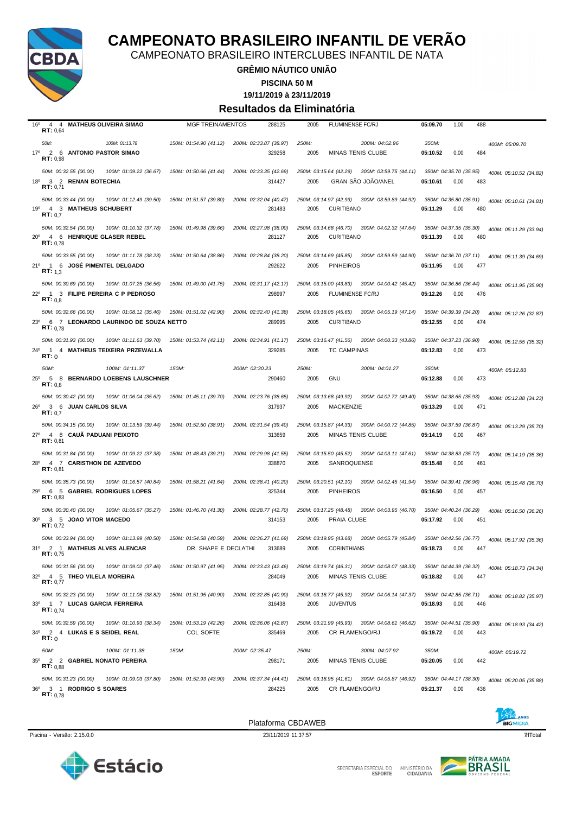

CAMPEONATO BRASILEIRO INTERCLUBES INFANTIL DE NATA

#### **GRÊMIO NÁUTICO UNIÃO**

**PISCINA 50 M**

**19/11/2019 à 23/11/2019**

#### **Resultados da Eliminatória**

| 16°<br>4 4<br><b>MATHEUS OLIVEIRA SIMAO</b><br>RT: 0.64                                                              | <b>MGF TREINAMENTOS</b>                        | 288125                           | 2005<br><b>FLUMINENSE FC/RJ</b>                                                       | 05:09.70<br>1,00<br>488                                                     |
|----------------------------------------------------------------------------------------------------------------------|------------------------------------------------|----------------------------------|---------------------------------------------------------------------------------------|-----------------------------------------------------------------------------|
| 50M:<br>100M: 01:13.78<br>17º 2 6 ANTONIO PASTOR SIMAO<br>RT: 0,98                                                   | 150M: 01:54.90 (41.12)                         | 200M: 02:33.87 (38.97)<br>329258 | 250M:<br>300M: 04:02.96<br>2005<br><b>MINAS TENIS CLUBE</b>                           | 350M:<br>400M: 05:09.70<br>05:10.52<br>0,00<br>484                          |
| 50M: 00:32.55 (00.00)<br>100M: 01:09.22 (36.67)<br>$18^{\circ}$<br>3 2 RENAN BOTECHIA<br>RT: 0.71                    | 150M: 01:50.66 (41.44)                         | 200M: 02:33.35 (42.69)<br>314427 | 250M: 03:15.64 (42.29)<br>300M: 03:59.75 (44.11)<br><b>GRAN SAO JOAO/ANEL</b><br>2005 | 350M: 04:35.70 (35.95)<br>400M: 05:10.52 (34.82)<br>05:10.61<br>0,00<br>483 |
| 50M: 00:33.44 (00.00)<br>100M: 01:12.49 (39.50)<br>19°<br>4 3 MATHEUS SCHUBERT<br>RT: 0.7                            | 150M: 01:51.57 (39.80)                         | 200M: 02:32.04 (40.47)<br>281483 | 250M: 03:14.97 (42.93)<br>300M: 03:59.89 (44.92)<br>2005<br><b>CURITIBANO</b>         | 350M: 04:35.80 (35.91)<br>400M: 05:10.61 (34.81)<br>05:11.29<br>0,00<br>480 |
| 50M: 00:32.54 (00.00)<br>100M: 01:10.32 (37.78)<br>$20^{\circ}$<br>4 6 HENRIQUE GLASER REBEL<br>RT: 0.78             | 150M: 01:49.98 (39.66)                         | 200M: 02:27.98 (38.00)<br>281127 | 250M: 03:14.68 (46.70)<br>300M: 04:02.32 (47.64)<br><b>CURITIBANO</b><br>2005         | 350M: 04:37.35 (35.30)<br>400M: 05:11.29 (33.94)<br>480<br>05:11.39<br>0,00 |
| 50M: 00:33.55 (00.00)<br>100M: 01:11.78 (38.23)<br>21°<br>1 6 JOSÉ PIMENTEL DELGADO<br><b>RT:</b> $1,3$              | 150M: 01:50.64 (38.86)                         | 200M: 02:28.84 (38.20)<br>292622 | 250M: 03:14.69 (45.85)<br>300M: 03:59.59 (44.90)<br>2005<br><b>PINHEIROS</b>          | 350M: 04:36.70 (37.11)<br>400M: 05:11.39 (34.69)<br>05:11.95<br>0,00<br>477 |
| 50M: 00:30.69 (00.00)<br>100M: 01:07.25 (36.56)<br>22º 1 3 FILIPE PEREIRA C P PEDROSO<br>RT: 0.8                     | 150M: 01:49.00 (41.75)                         | 200M: 02:31.17 (42.17)<br>298997 | 250M: 03:15.00 (43.83)<br>300M: 04:00.42 (45.42)<br>FLUMINENSE FC/RJ<br>2005          | 350M: 04:36.86 (36.44)<br>400M: 05:11.95 (35.90)<br>476<br>05:12.26<br>0,00 |
| 50M: 00:32.66 (00.00)<br>100M: 01:08.12 (35.46)<br>6 7 LEONARDO LAURINDO DE SOUZA NETTO<br>$23^\circ$<br>RT: 0.78    | 150M: 01:51.02 (42.90)                         | 200M: 02:32.40 (41.38)<br>289995 | 250M: 03:18.05 (45.65)<br>300M: 04:05.19 (47.14)<br>2005<br><b>CURITIBANO</b>         | 350M: 04:39.39 (34.20)<br>400M: 05:12.26 (32.87)<br>05:12.55<br>0,00<br>474 |
| 50M: 00:31.93 (00.00)<br>100M: 01:11.63 (39.70)<br>$24^{\circ}$<br>1 4 MATHEUS TEIXEIRA PRZEWALLA<br>RT:0            | 150M: 01:53.74 (42.11)                         | 200M: 02:34.91 (41.17)<br>329285 | 250M: 03:16.47 (41.56)<br>300M: 04:00.33 (43.86)<br>2005<br><b>TC CAMPINAS</b>        | 350M: 04:37.23 (36.90)<br>400M: 05:12.55 (35.32)<br>05:12.83<br>0,00<br>473 |
| 50M:<br>100M: 01:11.37<br>$25^{\circ}$<br>5 8 BERNARDO LOEBENS LAUSCHNER<br>RT: 0,8                                  | 150M:                                          | 200M: 02:30.23<br>290460         | 250M:<br>300M: 04:01.27<br><b>GNU</b><br>2005                                         | 350M:<br>400M: 05:12.83<br>05:12.88<br>0,00<br>473                          |
| 50M: 00:30.42 (00.00)<br>100M: 01:06.04 (35.62)<br>$26^{\circ}$<br>3 6 JUAN CARLOS SILVA<br>RT: 0.7                  | 150M: 01:45.11 (39.70)                         | 200M: 02:23.76 (38.65)<br>317937 | 250M: 03:13.68 (49.92)<br>300M: 04:02.72 (49.40)<br>2005<br>MACKENZIE                 | 350M: 04:38.65 (35.93)<br>400M: 05:12.88 (34.23)<br>05:13.29<br>0,00<br>471 |
| 50M: 00:34.15 (00.00)<br>100M: 01:13.59 (39.44)<br>$27^\circ$<br>4 8 CAUA PADUANI PEIXOTO<br>RT: 0.81                | 150M: 01:52.50 (38.91)                         | 200M: 02:31.54 (39.40)<br>313659 | 250M: 03:15.87 (44.33)<br>300M: 04:00.72 (44.85)<br>2005<br><b>MINAS TENIS CLUBE</b>  | 350M: 04:37.59 (36.87)<br>400M: 05:13.29 (35.70)<br>05:14.19<br>0,00<br>467 |
| 50M: 00:31.84 (00.00)<br>100M: 01:09.22 (37.38)<br>28º 4 7 CARISTHON DE AZEVEDO<br>RT: 0,81                          | 150M: 01:48.43 (39.21)                         | 200M: 02:29.98 (41.55)<br>338870 | 250M: 03:15.50 (45.52)<br>300M: 04:03.11 (47.61)<br>2005<br>SANROQUENSE               | 350M: 04:38.83 (35.72)<br>400M: 05:14.19 (35.36)<br>05:15.48<br>0,00<br>461 |
| 50M: 00:35.73 (00.00)<br>100M: 01:16.57 (40.84)<br>29°<br>6 5 GABRIEL RODRIGUES LOPES<br>RT: 0.83                    | 150M: 01:58.21 (41.64)                         | 200M: 02:38.41 (40.20)<br>325344 | 250M: 03:20.51 (42.10)<br>300M: 04:02.45 (41.94)<br><b>PINHEIROS</b><br>2005          | 350M: 04:39.41 (36.96)<br>400M: 05:15.48 (36.70)<br>05:16.50<br>0,00<br>457 |
| 50M: 00:30.40 (00.00)<br>100M: 01:05.67 (35.27)<br>3 5 JOAO VITOR MACEDO<br>$30^{\circ}$<br>RT: 0,72                 | 150M: 01:46.70 (41.30)                         | 200M: 02:28.77 (42.70)<br>314153 | 250M: 03:17.25 (48.48)<br>300M: 04:03.95 (46.70)<br>PRAIA CLUBE<br>2005               | 350M: 04:40.24 (36.29)<br>400M: 05:16.50 (36.26)<br>05:17.92<br>0,00<br>451 |
| 50M: 00:33.94 (00.00)<br>100M: 01:13.99 (40.50)<br>31º 2 1 MATHEUS ALVES ALENCAR<br><b>RT:</b> 0,75                  | 150M: 01:54.58 (40.59)<br>DR. SHAPE E DECLATHI | 200M: 02:36.27 (41.69)<br>313689 | 250M: 03:19.95 (43.68)<br>300M: 04:05.79 (45.84)<br>2005<br><b>CORINTHIANS</b>        | 350M: 04:42.56 (36.77)<br>400M: 05:17.92 (35.36)<br>05:18.73<br>0,00<br>447 |
| 50M: 00:31.56 (00.00)<br>100M: 01:09.02 (37.46)<br>32º 4 5 THEO VILELA MOREIRA<br>RT: 0,77                           | 150M: 01:50.97 (41.95)                         | 200M: 02:33.43 (42.46)<br>284049 | 250M: 03:19.74 (46.31) 300M: 04:08.07 (48.33)<br>2005<br>MINAS TENIS CLUBE            | 350M: 04:44.39 (36.32)<br>400M: 05:18.73 (34.34)<br>05:18.82<br>0,00<br>447 |
| 50M: 00:32.23 (00.00)<br>100M: 01:11.05 (38.82)<br>33 <sup>0</sup><br>1 7 LUCAS GARCIA FERREIRA<br><b>RT:</b> $0.74$ | 150M: 01:51.95 (40.90)                         | 200M: 02:32.85 (40.90)<br>316438 | 250M: 03:18.77 (45.92)<br>300M: 04:06.14 (47.37)<br>2005<br><b>JUVENTUS</b>           | 350M: 04:42.85 (36.71)<br>400M: 05:18.82 (35.97)<br>05:18.93<br>0,00<br>446 |
| 50M: 00:32.59 (00.00)<br>100M: 01:10.93 (38.34)<br>34º 2 4 LUKAS E S SEIDEL REAL<br>RT:0                             | 150M: 01:53.19 (42.26)<br>COL SOFTE            | 200M: 02:36.06 (42.87)<br>335469 | 250M: 03:21.99 (45.93) 300M: 04:08.61 (46.62)<br>2005<br>CR FLAMENGO/RJ               | 350M: 04:44.51 (35.90)<br>400M: 05:18.93 (34.42)<br>05:19.72<br>0,00<br>443 |
| 100M: 01:11.38<br>50M:<br>35º 2 2 GABRIEL NONATO PEREIRA<br>RT: 0.88                                                 | 150M:                                          | 200M: 02:35.47<br>298171         | 250M:<br>300M: 04:07.92<br>2005<br><b>MINAS TENIS CLUBE</b>                           | 350M:<br>400M: 05:19.72<br>05:20.05<br>0,00<br>442                          |
| 50M: 00:31.23 (00.00)<br>100M: 01:09.03 (37.80)<br>$36^{\circ}$<br>3 1 RODRIGO S SOARES<br><b>RT:</b> $0.78$         | 150M: 01:52.93 (43.90)                         | 200M: 02:37.34 (44.41)<br>284225 | 250M: 03:18.95 (41.61) 300M: 04:05.87 (46.92)<br>2005<br>CR FLAMENGO/RJ               | 350M: 04:44.17 (38.30)<br>400M: 05:20.05 (35.88)<br>05:21.37<br>0,00<br>436 |







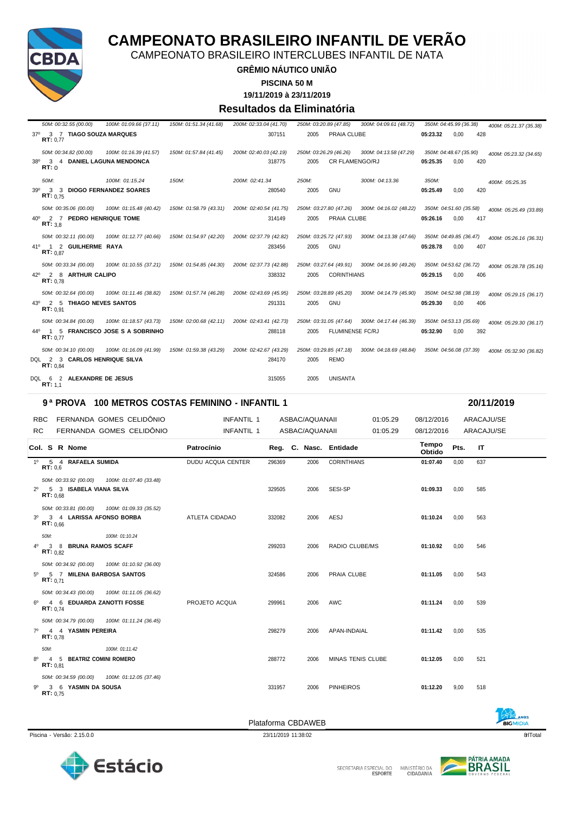

CAMPEONATO BRASILEIRO INTERCLUBES INFANTIL DE NATA

#### **GRÊMIO NÁUTICO UNIÃO**

**PISCINA 50 M**

**19/11/2019 à 23/11/2019**

#### **Resultados da Eliminatória**

|     | 50M: 00:32.55 (00.00)                             | 100M: 01:09.66 (37.11)                         | 150M: 01:51.34 (41.68) | 200M: 02:33.04 (41.70) | 250M: 03:20.89 (47.85) |                        | 300M: 04:09.61 (48.72)                        |          | 350M: 04:45.99 (36.38) | 400M: 05:21.37 (35.38)                                                                      |
|-----|---------------------------------------------------|------------------------------------------------|------------------------|------------------------|------------------------|------------------------|-----------------------------------------------|----------|------------------------|---------------------------------------------------------------------------------------------|
|     | 37º 3 7 TIAGO SOUZA MARQUES<br>RT: 0.77           |                                                |                        | 307151                 | 2005                   | PRAIA CLUBE            |                                               | 05:23.32 | 0,00                   | 428                                                                                         |
|     | 50M: 00:34.82 (00.00)                             | 100M: 01:16.39 (41.57)                         | 150M: 01:57.84 (41.45) | 200M: 02:40.03 (42.19) |                        | 250M: 03:26.29 (46.26) | 300M: 04:13.58 (47.29)                        |          | 350M: 04:48.67 (35.90) | 400M: 05:23.32 (34.65)                                                                      |
|     | 38º 3 4 DANIEL LAGUNA MENDONCA<br>RT: 0           |                                                |                        | 318775                 | 2005                   | <b>CR FLAMENGO/RJ</b>  |                                               | 05:25.35 | 0,00                   | 420                                                                                         |
|     | 50M:                                              | 100M: 01:15.24                                 | 150M:                  | 200M: 02:41.34         | 250M:                  |                        | 300M: 04:13.36                                | 350M:    |                        | 400M: 05:25.35                                                                              |
| 390 | 3 3 DIOGO FERNANDEZ SOARES<br>RT: 0.75            |                                                |                        | 280540                 | 2005                   | <b>GNU</b>             |                                               | 05:25.49 | 0.00                   | 420                                                                                         |
|     | 50M: 00:35.06 (00.00)                             | 100M: 01:15.48 (40.42)  150M: 01:58.79 (43.31) |                        | 200M: 02:40.54 (41.75) |                        |                        | 250M: 03:27.80 (47.26) 300M: 04:16.02 (48.22) |          | 350M: 04:51.60 (35.58) | 400M: 05:25.49 (33.89)                                                                      |
|     | 40° 2 7 PEDRO HENRIQUE TOME<br>RT: 3.8            |                                                |                        | 314149                 | 2005                   | PRAIA CLUBE            |                                               | 05:26.16 | 0.00                   | 417                                                                                         |
|     | 50M: 00:32.11 (00.00)                             | 100M: 01:12.77 (40.66)  150M: 01:54.97 (42.20) |                        | 200M: 02:37.79 (42.82) |                        | 250M: 03:25.72 (47.93) | 300M: 04:13.38 (47.66)                        |          | 350M: 04:49.85 (36.47) | 400M: 05:26.16 (36.31)                                                                      |
|     | 41º 1 2 GUILHERME RAYA<br>RT: 0.87                |                                                |                        | 283456                 | 2005                   | <b>GNU</b>             |                                               | 05:28.78 | 0,00                   | 407                                                                                         |
|     | 50M: 00:33.34 (00.00)                             | 100M: 01:10.55 (37.21)  150M: 01:54.85 (44.30) |                        | 200M: 02:37.73 (42.88) |                        |                        |                                               |          |                        | 250M: 03:27.64 (49.91) 300M: 04:16.90 (49.26) 350M: 04:53.62 (36.72) 400M: 05:28.78 (35.16) |
|     | 42º 2 8 ARTHUR CALIPO<br>RT: 0.78                 |                                                |                        | 338332                 | 2005                   | <b>CORINTHIANS</b>     |                                               | 05:29.15 | 0,00                   | 406                                                                                         |
|     | 50M: 00:32.64 (00.00)                             | 100M: 01:11.46 (38.82)  150M: 01:57.74 (46.28) |                        | 200M: 02:43.69 (45.95) |                        | 250M: 03:28.89 (45.20) |                                               |          |                        | 300M: 04:14.79 (45.90) 350M: 04:52.98 (38.19) 400M: 05:29.15 (36.17)                        |
|     | 43º 2 5 THIAGO NEVES SANTOS<br>RT: 0.91           |                                                |                        | 291331                 | 2005                   | GNU                    |                                               | 05:29.30 | 0,00                   | 406                                                                                         |
|     | 50M: 00:34.84 (00.00)                             | 100M: 01:18.57 (43.73)  150M: 02:00.68 (42.11) |                        | 200M: 02:43.41 (42.73) |                        | 250M: 03:31.05 (47.64) | 300M: 04:17.44 (46.39) 350M: 04:53.13 (35.69) |          |                        | 400M: 05:29.30 (36.17)                                                                      |
|     | 44º 1 5 FRANCISCO JOSE S A SOBRINHO<br>RT: 0.77   |                                                |                        | 288118                 | 2005                   | FLUMINENSE FC/RJ       |                                               | 05:32.90 | 0,00                   | 392                                                                                         |
|     | 50M: 00:34.10 (00.00)                             | 100M: 01:16.09 (41.99)  150M: 01:59.38 (43.29) |                        | 200M: 02:42.67 (43.29) |                        | 250M: 03:29.85 (47.18) | 300M: 04:18.69 (48.84)                        |          | 350M: 04:56.08 (37.39) | 400M: 05:32.90 (36.82)                                                                      |
|     | DQL 2 3 CARLOS HENRIQUE SILVA<br>RT: 0.84         |                                                |                        | 284170                 | 2005                   | <b>REMO</b>            |                                               |          |                        |                                                                                             |
|     | 2 ALEXANDRE DE JESUS<br>DOL 6<br><b>RT:</b> $1,1$ |                                                |                        | 315055                 | 2005                   | <b>UNISANTA</b>        |                                               |          |                        |                                                                                             |

#### **9 ª PROVA 100 METROS COSTAS FEMININO - INFANTIL 1 20/11/2019**

|           |                  | RBC FERNANDA GOMES CELIDÔNIO                                                  | INFANTIL 1        |        | ASBAC/AQUANAII |                        | 01:05.29 | 08/12/2016      |      | ARACAJU/SE |
|-----------|------------------|-------------------------------------------------------------------------------|-------------------|--------|----------------|------------------------|----------|-----------------|------|------------|
| <b>RC</b> |                  | FERNANDA GOMES CELIDÔNIO                                                      | INFANTIL 1        |        | ASBAC/AQUANAII |                        | 01:05.29 | 08/12/2016      |      | ARACAJU/SE |
|           |                  | Col. S R Nome                                                                 | Patrocínio        |        |                | Reg. C. Nasc. Entidade |          | Tempo<br>Obtido | Pts. | IT         |
|           | RT: 0.6          | 1º 5 4 RAFAELA SUMIDA                                                         | DUDU ACQUA CENTER | 296369 | 2006           | <b>CORINTHIANS</b>     |          | 01:07.40        | 0.00 | 637        |
|           | RT: 0.68         | 50M: 00:33.92 (00.00) 100M: 01:07.40 (33.48)<br>2º 5 3 ISABELA VIANA SILVA    |                   | 329505 | 2006           | SESI-SP                |          | 01:09.33        | 0.00 | 585        |
|           | RT: 0.66         | 50M: 00:33.81 (00.00)  100M: 01:09.33 (35.52)<br>3º 3 4 LARISSA AFONSO BORBA  | ATLETA CIDADAO    | 332082 | 2006           | AESJ                   |          | 01:10.24        | 0.00 | 563        |
|           | 50M:<br>RT: 0.82 | 100M: 01:10.24<br>4º 3 8 BRUNA RAMOS SCAFF                                    |                   | 299203 | 2006           | RADIO CLUBE/MS         |          | 01:10.92        | 0.00 | 546        |
|           | RT: 0.71         | 50M: 00:34.92 (00.00)  100M: 01:10.92 (36.00)<br>5º 5 7 MILENA BARBOSA SANTOS |                   | 324586 | 2006           | PRAIA CLUBE            |          | 01:11.05        | 0,00 | 543        |
|           | RT: 0.74         | 50M: 00:34.43 (00.00)  100M: 01:11.05 (36.62)<br>6º 4 6 EDUARDA ZANOTTI FOSSE | PROJETO ACQUA     | 299961 | 2006           | <b>AWC</b>             |          | 01:11.24        | 0.00 | 539        |
|           | RT: 0.78         | 50M: 00:34.79 (00.00) 100M: 01:11.24 (36.45)<br>7º 4 4 YASMIN PEREIRA         |                   | 298279 | 2006           | APAN-INDAIAL           |          | 01:11.42        | 0.00 | 535        |
|           | 50M:<br>RT: 0.81 | 100M: 01:11.42<br>8º 4 5 BEATRIZ COMINI ROMERO                                |                   | 288772 | 2006           | MINAS TENIS CLUBE      |          | 01:12.05        | 0,00 | 521        |
| .9º       | RT: 0.75         | 50M: 00:34.59 (00.00) 100M: 01:12.05 (37.46)<br>3 6 YASMIN DA SOUSA           |                   | 331957 | 2006           | <b>PINHEIROS</b>       |          | 01:12.20        | 9.00 | 518        |





**BIGMIDIA** 

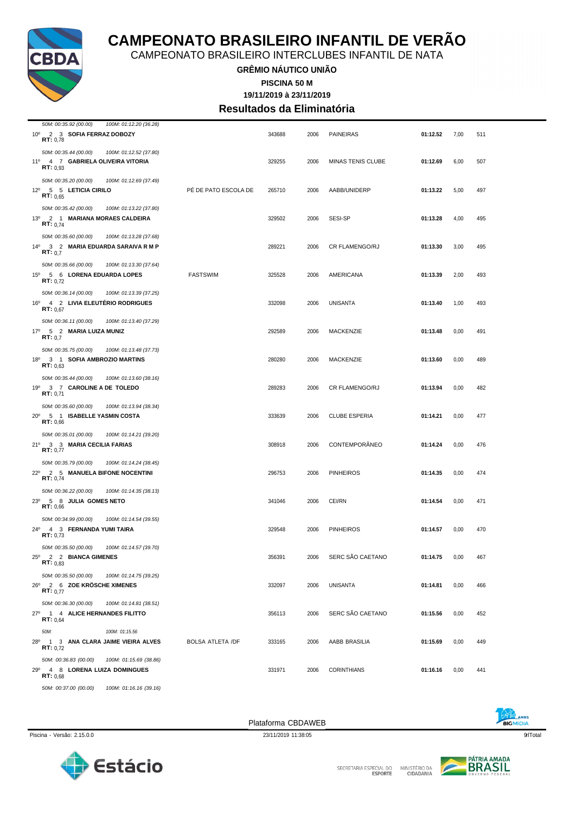

CAMPEONATO BRASILEIRO INTERCLUBES INFANTIL DE NATA

**GRÊMIO NÁUTICO UNIÃO PISCINA 50 M**

**19/11/2019 à 23/11/2019**

**Resultados da Eliminatória**

| 50M: 00:35.92 (00.00)<br>100M: 01:12.20 (36.28)                                |                         |        |      |                      |          |      |     |
|--------------------------------------------------------------------------------|-------------------------|--------|------|----------------------|----------|------|-----|
| 10° 2 3 SOFIA FERRAZ DOBOZY<br>RT: 0,78                                        |                         | 343688 | 2006 | <b>PAINEIRAS</b>     | 01:12.52 | 7,00 | 511 |
| 50M: 00:35.44 (00.00)<br>100M: 01:12.52 (37.80)                                |                         |        |      |                      |          |      |     |
| 11º 4 7 GABRIELA OLIVEIRA VITORIA                                              |                         | 329255 | 2006 | MINAS TENIS CLUBE    | 01:12.69 | 6,00 | 507 |
| RT: 0.93                                                                       |                         |        |      |                      |          |      |     |
| 50M: 00:35.20 (00.00)<br>100M: 01:12.69 (37.49)                                |                         |        |      |                      |          |      |     |
| 12º 5 5 LETICIA CIRILO<br>RT: 0.65                                             | PE DE PATO ESCOLA DE    | 265710 | 2006 | AABB/UNIDERP         | 01:13.22 | 5,00 | 497 |
| 50M: 00:35.42 (00.00)<br>100M: 01:13.22 (37.80)                                |                         |        |      |                      |          |      |     |
| 13º 2 1 MARIANA MORAES CALDEIRA                                                |                         | 329502 | 2006 | <b>SESI-SP</b>       | 01:13.28 | 4,00 | 495 |
| RT: 0.74                                                                       |                         |        |      |                      |          |      |     |
| 50M: 00:35.60 (00.00)<br>100M: 01:13.28 (37.68)                                |                         |        |      |                      |          |      |     |
| 14º 3 2 MARIA EDUARDA SARAIVA R M P<br>RT: 0.7                                 |                         | 289221 | 2006 | CR FLAMENGO/RJ       | 01:13.30 | 3,00 | 495 |
| 50M: 00:35.66 (00.00)<br>100M: 01:13.30 (37.64)                                |                         |        |      |                      |          |      |     |
| 15º 5 6 LORENA EDUARDA LOPES                                                   | <b>FASTSWIM</b>         | 325528 | 2006 | AMERICANA            | 01:13.39 | 2,00 | 493 |
| RT: 0.72                                                                       |                         |        |      |                      |          |      |     |
| 50M: 00:36.14 (00.00)<br>100M: 01:13.39 (37.25)                                |                         |        |      |                      |          |      |     |
| 16º 4 2 LIVIA ELEUTERIO RODRIGUES<br>RT: 0.67                                  |                         | 332098 | 2006 | <b>UNISANTA</b>      | 01:13.40 | 1,00 | 493 |
|                                                                                |                         |        |      |                      |          |      |     |
| 50M: 00:36.11 (00.00)<br>100M: 01:13.40 (37.29)<br>17º 5 2 MARIA LUIZA MUNIZ   |                         | 292589 | 2006 | MACKENZIE            | 01:13.48 | 0,00 | 491 |
| RT: 0.7                                                                        |                         |        |      |                      |          |      |     |
| 50M: 00:35.75 (00.00)<br>100M: 01:13.48 (37.73)                                |                         |        |      |                      |          |      |     |
| 18º 3 1 SOFIA AMBROZIO MARTINS                                                 |                         | 280280 | 2006 | MACKENZIE            | 01:13.60 | 0,00 | 489 |
| RT: 0.63                                                                       |                         |        |      |                      |          |      |     |
| 50M: 00:35.44 (00.00)<br>100M: 01:13.60 (38.16)                                |                         |        |      |                      |          |      |     |
| 19º 3 7 CAROLINE A DE TOLEDO<br>RT: 0,71                                       |                         | 289283 | 2006 | CR FLAMENGO/RJ       | 01:13.94 | 0,00 | 482 |
| 50M: 00:35.60 (00.00)<br>100M: 01:13.94 (38.34)                                |                         |        |      |                      |          |      |     |
| 20° 5 1 ISABELLE YASMIN COSTA                                                  |                         | 333639 | 2006 | <b>CLUBE ESPERIA</b> | 01:14.21 | 0,00 | 477 |
| RT: 0.66                                                                       |                         |        |      |                      |          |      |     |
| 50M: 00:35.01 (00.00)<br>100M: 01:14.21 (39.20)                                |                         |        |      |                      |          |      |     |
| 21º 3 3 MARIA CECILIA FARIAS<br>RT: 0,77                                       |                         | 308918 | 2006 | <b>CONTEMPORÂNEO</b> | 01:14.24 | 0,00 | 476 |
| 50M: 00:35.79 (00.00)<br>100M: 01:14.24 (38.45)                                |                         |        |      |                      |          |      |     |
| 22º 2 5 MANUELA BIFONE NOCENTINI                                               |                         | 296753 | 2006 | <b>PINHEIROS</b>     | 01:14.35 | 0,00 | 474 |
| RT: 0.74                                                                       |                         |        |      |                      |          |      |     |
| 50M: 00:36.22 (00.00)<br>100M: 01:14.35 (38.13)                                |                         |        |      |                      |          |      |     |
| 23º 5 8 JULIA GOMES NETO<br>RT: 0,66                                           |                         | 341046 | 2006 | CEI/RN               | 01:14.54 | 0,00 | 471 |
| 50M: 00:34.99 (00.00)<br>100M: 01:14.54 (39.55)                                |                         |        |      |                      |          |      |     |
| 24º 4 3 FERNANDA YUMI TAIRA                                                    |                         | 329548 | 2006 | <b>PINHEIROS</b>     | 01:14.57 | 0,00 | 470 |
| RT: 0,73                                                                       |                         |        |      |                      |          |      |     |
| 50M: 00:35.50 (00.00)<br>100M: 01:14.57 (39.70)                                |                         |        |      |                      |          |      |     |
| 25º 2 2 BIANCA GIMENES<br>RT: 0,83                                             |                         | 356391 | 2006 | SERC SAO CAETANO     | 01:14.75 | 0,00 | 467 |
|                                                                                |                         |        |      |                      |          |      |     |
| 50M: 00:35.50 (00.00)<br>100M: 01:14.75 (39.25)<br>26º 2 6 ZOE KRÖSCHE XIMENES |                         | 332097 | 2006 | <b>UNISANTA</b>      | 01:14.81 | 0,00 | 466 |
| RT: 0.77                                                                       |                         |        |      |                      |          |      |     |
| 50M: 00:36.30 (00.00)<br>100M: 01:14.81 (38.51)                                |                         |        |      |                      |          |      |     |
| 27º 1 4 ALICE HERNANDES FILITTO                                                |                         | 356113 | 2006 | SERC SÃO CAETANO     | 01:15.56 | 0,00 | 452 |
| RT: 0,64                                                                       |                         |        |      |                      |          |      |     |
| 50M:<br>100M: 01:15.56                                                         |                         |        |      |                      |          |      |     |
| 28º 1 3 ANA CLARA JAIME VIEIRA ALVES<br>RT: 0.72                               | <b>BOLSA ATLETA /DF</b> | 333165 | 2006 | AABB BRASILIA        | 01:15.69 | 0,00 | 449 |
| 50M: 00:36.83 (00.00)<br>100M: 01:15.69 (38.86)                                |                         |        |      |                      |          |      |     |
| 29º 4 8 LORENA LUIZA DOMINGUES                                                 |                         | 331971 | 2006 | <b>CORINTHIANS</b>   | 01:16.16 | 0,00 | 441 |
| RT: 0.68                                                                       |                         |        |      |                      |          |      |     |
| 50M: 00:37.00 (00.00)<br>100M: 01:16.16 (39.16)                                |                         |        |      |                      |          |      |     |





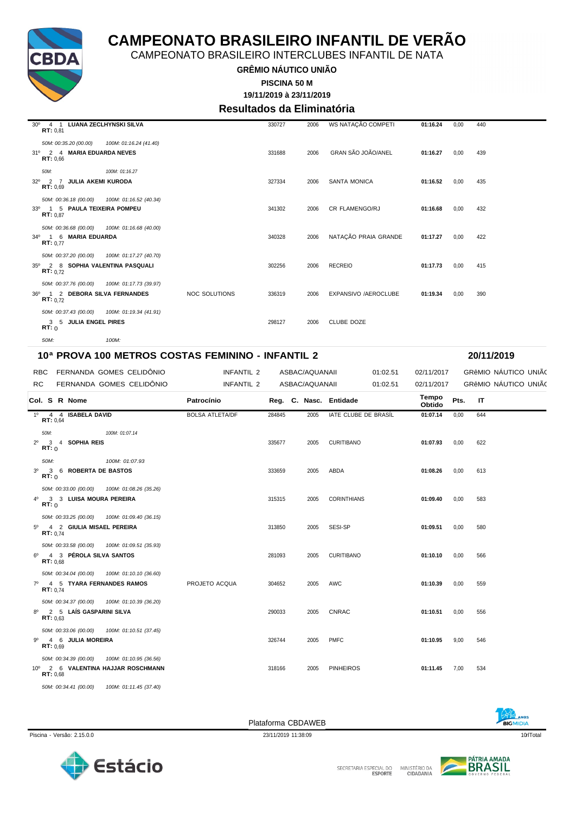

CAMPEONATO BRASILEIRO INTERCLUBES INFANTIL DE NATA

**GRÊMIO NÁUTICO UNIÃO**

**PISCINA 50 M**

### **19/11/2019 à 23/11/2019**

**Resultados da Eliminatória**

| 30° 4 1 LUANA ZECLHYNSKI SILVA<br>RT: 0.81                                                     |                        |                      | 330727 | 2006 | WS NATAÇÃO COMPETI    | 01:16.24 | 0,00 | 440 |
|------------------------------------------------------------------------------------------------|------------------------|----------------------|--------|------|-----------------------|----------|------|-----|
| 50M: 00:35.20 (00.00)<br>31º 2 4 MARIA EDUARDA NEVES<br>RT: 0.66                               | 100M: 01:16.24 (41.40) |                      | 331688 | 2006 | GRAN SÃO JOÃO/ANEL    | 01:16.27 | 0.00 | 439 |
| 50M:<br>32º 2 7 JULIA AKEMI KURODA<br>RT: 0.69                                                 | 100M: 01:16.27         |                      | 327334 | 2006 | <b>SANTA MONICA</b>   | 01:16.52 | 0.00 | 435 |
| 50M: 00:36.18 (00.00)  100M: 01:16.52 (40.34)<br>33º 1 5 PAULA TEIXEIRA POMPEU<br>RT: 0.87     |                        |                      | 341302 | 2006 | CR FLAMENGO/RJ        | 01:16.68 | 0,00 | 432 |
| 50M: 00:36.68 (00.00)  100M: 01:16.68 (40.00)<br>34º 1 6 MARIA EDUARDA<br>RT: 0.77             |                        |                      | 340328 | 2006 | NATAÇÃO PRAIA GRANDE  | 01:17.27 | 0.00 | 422 |
| 50M: 00:37.20 (00.00)  100M: 01:17.27 (40.70)<br>35º 2 8 SOPHIA VALENTINA PASQUALI<br>RT: 0.72 |                        |                      | 302256 | 2006 | <b>RECREIO</b>        | 01:17.73 | 0.00 | 415 |
| 50M: 00:37.76 (00.00) 100M: 01:17.73 (39.97)<br>36º 1 2 DEBORA SILVA FERNANDES<br>RT: 0.72     |                        | <b>NOC SOLUTIONS</b> | 336319 | 2006 | EXPANSIVO / AEROCLUBE | 01:19.34 | 0.00 | 390 |
| 50M: 00:37.43 (00.00)  100M: 01:19.34 (41.91)<br>3 5 JULIA ENGEL PIRES<br>RT: 0                |                        |                      | 298127 | 2006 | <b>CLUBE DOZE</b>     |          |      |     |
| $50M$ :                                                                                        | $100M$ :               |                      |        |      |                       |          |      |     |

#### **10ª PROVA 100 METROS COSTAS FEMININO - INFANTIL 2 20/11/2019**

| FERNANDA GOMES CELIDÔNIO<br>RBC                                                                    | INFANTIL 2             |        | ASBAC/AQUANAII |                        | 01:02.51 | 02/11/2017             |      | GRÊMIO NÁUTICO UNIÃO |
|----------------------------------------------------------------------------------------------------|------------------------|--------|----------------|------------------------|----------|------------------------|------|----------------------|
| FERNANDA GOMES CELIDÔNIO<br><b>RC</b>                                                              | <b>INFANTIL 2</b>      |        | ASBAC/AQUANAII |                        | 01:02.51 | 02/11/2017             |      | GRÊMIO NÁUTICO UNIÃO |
| Col. S R Nome                                                                                      | Patrocínio             |        |                | Reg. C. Nasc. Entidade |          | <b>Tempo</b><br>Obtido | Pts. | <b>IT</b>            |
| 1º 4 4 ISABELA DAVID<br>RT: 0.64                                                                   | <b>BOLSA ATLETA/DF</b> | 284845 | 2005           | IATE CLUBE DE BRASÍL   |          | 01:07.14               | 0,00 | 644                  |
| 50M:<br>100M: 01:07.14<br>2º 3 4 SOPHIA REIS<br>RT:0                                               |                        | 335677 | 2005           | <b>CURITIBANO</b>      |          | 01:07.93               | 0,00 | 622                  |
| 50M:<br>100M: 01:07.93<br>3º 3 6 ROBERTA DE BASTOS<br>RT:0                                         |                        | 333659 | 2005           | ABDA                   |          | 01:08.26               | 0,00 | 613                  |
| 50M: 00:33.00 (00.00)  100M: 01:08.26 (35.26)<br>4º 3 3 LUISA MOURA PEREIRA<br>RT:0                |                        | 315315 | 2005           | <b>CORINTHIANS</b>     |          | 01:09.40               | 0,00 | 583                  |
| 50M: 00:33.25 (00.00) 100M: 01:09.40 (36.15)<br>5º 4 2 GIULIA MISAEL PEREIRA<br>RT: 0,74           |                        | 313850 | 2005           | SESI-SP                |          | 01:09.51               | 0.00 | 580                  |
| 50M: 00:33.58 (00.00) 100M: 01:09.51 (35.93)<br>4 3 PÉROLA SILVA SANTOS<br>$6^{\circ}$<br>RT: 0.68 |                        | 281093 | 2005           | <b>CURITIBANO</b>      |          | 01:10.10               | 0.00 | 566                  |
| 50M: 00:34.04 (00.00)  100M: 01:10.10 (36.60)<br>7º 4 5 TYARA FERNANDES RAMOS<br><b>RT:</b> $0.74$ | PROJETO ACQUA          | 304652 | 2005           | <b>AWC</b>             |          | 01:10.39               | 0.00 | 559                  |
| 50M: 00:34.37 (00.00) 100M: 01:10.39 (36.20)<br>8º 2 5 LAÍS GASPARINI SILVA<br>RT: 0.63            |                        | 290033 | 2005           | <b>CNRAC</b>           |          | 01:10.51               | 0,00 | 556                  |
| 50M: 00:33.06 (00.00)  100M: 01:10.51 (37.45)<br>9º 4 6 JULIA MOREIRA<br>RT: 0.69                  |                        | 326744 | 2005           | <b>PMFC</b>            |          | 01:10.95               | 9.00 | 546                  |
| 50M: 00:34.39 (00.00)  100M: 01:10.95 (36.56)<br>10º 2 6 VALENTINA HAJJAR ROSCHMANN<br>RT: 0.68    |                        | 318166 | 2005           | <b>PINHEIROS</b>       |          | 01:11.45               | 7,00 | 534                  |
| 50M: 00:34.41 (00.00)<br>100M: 01:11.45 (37.40)                                                    |                        |        |                |                        |          |                        |      |                      |

Piscina - Versão: 2.15.0.0 23/11/2019 11:38:09 23/11/2019 11:38:09 23/11/2019 11:38:09 10de Traditional Australian Control and Australian Control and Australian Control and Australian Control and Australian Control and Aus

Plataforma CBDAWEB





**BIGMIDIA**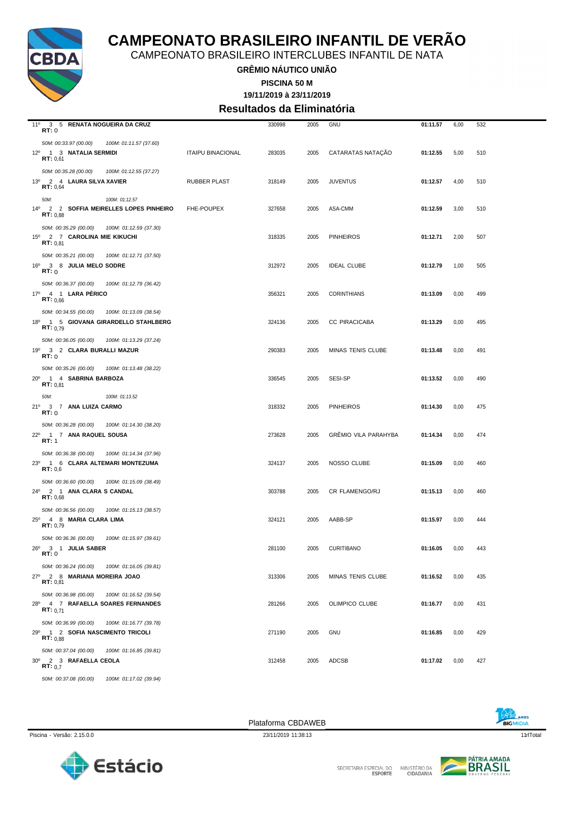

CAMPEONATO BRASILEIRO INTERCLUBES INFANTIL DE NATA

**GRÊMIO NÁUTICO UNIÃO**

**PISCINA 50 M**

**19/11/2019 à 23/11/2019**

**Resultados da Eliminatória**

| 11º 3 5 RENATA NOGUEIRA DA CRUZ<br>RT:0         |                          | 330998 | 2005 | GNU                         | 01:11.57 | 6,00 | 532 |
|-------------------------------------------------|--------------------------|--------|------|-----------------------------|----------|------|-----|
| 50M: 00:33.97 (00.00)<br>100M: 01:11.57 (37.60) |                          |        |      |                             |          |      |     |
| 12º 1 3 NATALIA SERMIDI                         | <b>ITAIPU BINACIONAL</b> | 283035 | 2005 | CATARATAS NATAÇÃO           | 01:12.55 | 5,00 | 510 |
| RT: 0,61                                        |                          |        |      |                             |          |      |     |
| 50M: 00:35.28 (00.00)<br>100M: 01:12.55 (37.27) |                          |        |      |                             |          |      |     |
| 13º 2 4 LAURA SILVA XAVIER                      | RUBBER PLAST             | 318149 | 2005 | <b>JUVENTUS</b>             | 01:12.57 | 4,00 | 510 |
| RT: 0,64                                        |                          |        |      |                             |          |      |     |
| 100M: 01:12.57<br>50M:                          |                          |        |      |                             |          |      |     |
| 14º 2 2 SOFFIA MEIRELLES LOPES PINHEIRO         | FHE-POUPEX               | 327658 | 2005 | ASA-CMM                     | 01:12.59 | 3,00 | 510 |
| RT: 0.88                                        |                          |        |      |                             |          |      |     |
| 50M: 00:35.29 (00.00)<br>100M: 01:12.59 (37.30) |                          |        |      |                             |          |      |     |
| 15º 2 7 CAROLINA MIE KIKUCHI<br>RT: 0.81        |                          | 318335 | 2005 | <b>PINHEIROS</b>            | 01:12.71 | 2,00 | 507 |
|                                                 |                          |        |      |                             |          |      |     |
| 50M: 00:35.21 (00.00)<br>100M: 01:12.71 (37.50) |                          |        |      |                             |          |      |     |
| 16º 3 8 JULIA MELO SODRE<br>RT:0                |                          | 312972 | 2005 | <b>IDEAL CLUBE</b>          | 01:12.79 | 1,00 | 505 |
|                                                 |                          |        |      |                             |          |      |     |
| 50M: 00:36.37 (00.00)<br>100M: 01:12.79 (36.42) |                          |        |      |                             |          |      |     |
| 17º 4 1 LARA PERICO<br>RT: 0.66                 |                          | 356321 | 2005 | <b>CORINTHIANS</b>          | 01:13.09 | 0,00 | 499 |
| 50M: 00:34.55 (00.00)<br>100M: 01:13.09 (38.54) |                          |        |      |                             |          |      |     |
| 18º 1 5 GIOVANA GIRARDELLO STAHLBERG            |                          | 324136 | 2005 | CC PIRACICABA               | 01:13.29 | 0,00 | 495 |
| RT: 0.79                                        |                          |        |      |                             |          |      |     |
| 50M: 00:36.05 (00.00)<br>100M: 01:13.29 (37.24) |                          |        |      |                             |          |      |     |
| 19º 3 2 CLARA BURALLI MAZUR                     |                          | 290383 | 2005 | MINAS TENIS CLUBE           | 01:13.48 | 0,00 | 491 |
| RT:0                                            |                          |        |      |                             |          |      |     |
| 50M: 00:35.26 (00.00)<br>100M: 01:13.48 (38.22) |                          |        |      |                             |          |      |     |
| 20° 1 4 SABRINA BARBOZA                         |                          | 336545 | 2005 | SESI-SP                     | 01:13.52 | 0,00 | 490 |
| RT: 0.81                                        |                          |        |      |                             |          |      |     |
| 100M: 01:13.52<br>50M:                          |                          |        |      |                             |          |      |     |
| 21º 3 7 ANA LUIZA CARMO                         |                          | 318332 | 2005 | <b>PINHEIROS</b>            | 01:14.30 | 0,00 | 475 |
| RT:0                                            |                          |        |      |                             |          |      |     |
| 50M: 00:36.28 (00.00)<br>100M: 01:14.30 (38.20) |                          |        |      |                             |          |      |     |
| 22º 1 7 ANA RAQUEL SOUSA<br>RT: 1               |                          | 273628 | 2005 | <b>GRÉMIO VILA PARAHYBA</b> | 01:14.34 | 0,00 | 474 |
|                                                 |                          |        |      |                             |          |      |     |
| 50M: 00:36.38 (00.00)<br>100M: 01:14.34 (37.96) |                          |        |      |                             |          |      |     |
| 23º 1 6 CLARA ALTEMARI MONTEZUMA<br>RT: 0,6     |                          | 324137 | 2005 | NOSSO CLUBE                 | 01:15.09 | 0,00 | 460 |
| 50M: 00:36.60 (00.00)<br>100M: 01:15.09 (38.49) |                          |        |      |                             |          |      |     |
| 24º 2 1 ANA CLARA S CANDAL                      |                          | 303788 | 2005 | CR FLAMENGO/RJ              | 01:15.13 | 0,00 | 460 |
| RT: 0,68                                        |                          |        |      |                             |          |      |     |
| 50M: 00:36.56 (00.00)<br>100M: 01:15.13 (38.57) |                          |        |      |                             |          |      |     |
| 25º 4 8 MARIA CLARA LIMA                        |                          | 324121 | 2005 | AABB-SP                     | 01:15.97 | 0,00 | 444 |
| RT: 0,79                                        |                          |        |      |                             |          |      |     |
| 50M: 00:36.36 (00.00)<br>100M: 01:15.97 (39.61) |                          |        |      |                             |          |      |     |
| 26º 3 1 JULIA SABER                             |                          | 281100 | 2005 | <b>CURITIBANO</b>           | 01:16.05 | 0,00 | 443 |
| RT:0                                            |                          |        |      |                             |          |      |     |
| 50M: 00:36.24 (00.00)<br>100M: 01:16.05 (39.81) |                          |        |      |                             |          |      |     |
| 27º 2 8 MARIANA MOREIRA JOAO                    |                          | 313306 | 2005 | MINAS TENIS CLUBE           | 01:16.52 | 0,00 | 435 |
| RT: 0,81                                        |                          |        |      |                             |          |      |     |
| 50M: 00:36.98 (00.00)<br>100M: 01:16.52 (39.54) |                          |        |      |                             |          |      |     |
| 28º 4 7 RAFAELLA SOARES FERNANDES<br>RT: 0.71   |                          | 281266 | 2005 | OLIMPICO CLUBE              | 01:16.77 | 0,00 | 431 |
|                                                 |                          |        |      |                             |          |      |     |
| 50M: 00:36.99 (00.00)<br>100M: 01:16.77 (39.78) |                          |        |      |                             |          |      |     |
| 29º 1 2 SOFIA NASCIMENTO TRICOLI<br>RT: 0.88    |                          | 271190 | 2005 | <b>GNU</b>                  | 01:16.85 | 0,00 | 429 |
| 50M: 00:37.04 (00.00)<br>100M: 01:16.85 (39.81) |                          |        |      |                             |          |      |     |
| 30° 2 3 RAFAELLA CEOLA                          |                          | 312458 | 2005 | <b>ADCSB</b>                | 01:17.02 | 0,00 | 427 |
| RT: 0.7                                         |                          |        |      |                             |          |      |     |
| 50M: 00:37.08 (00.00) 100M: 01:17.02 (39.94)    |                          |        |      |                             |          |      |     |

Estácio



 $\sqrt{2}$ 

SECRETARIA ESPECIAL DO MINISTÉRIO DA<br>ESPORTE CIDADANIA

**BIGMIDIA**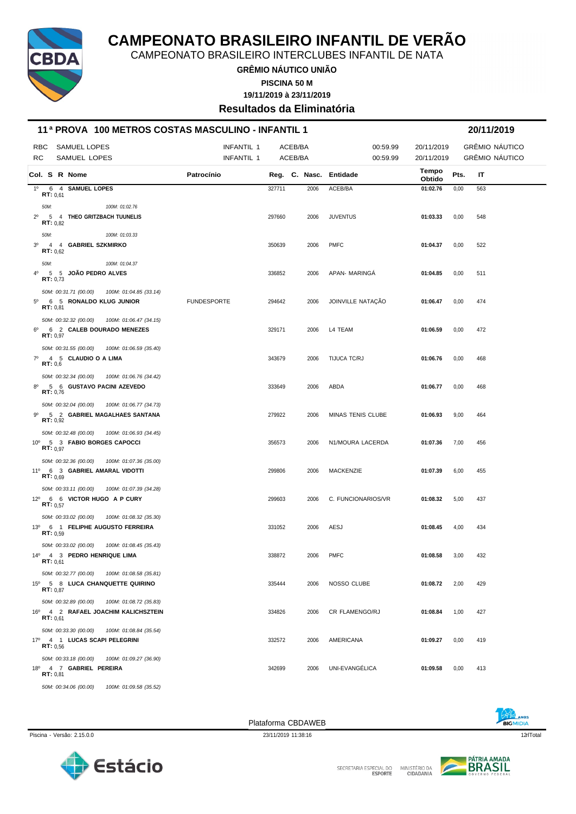

CAMPEONATO BRASILEIRO INTERCLUBES INFANTIL DE NATA

**GRÊMIO NÁUTICO UNIÃO**

**PISCINA 50 M**

**19/11/2019 à 23/11/2019**

**Resultados da Eliminatória**

| 11ª PROVA 100 METROS COSTAS MASCULINO - INFANTIL 1 |         |                   |                                     |                                              |                                 |        |                    | 20/11/2019 |                        |                          |      |                                  |
|----------------------------------------------------|---------|-------------------|-------------------------------------|----------------------------------------------|---------------------------------|--------|--------------------|------------|------------------------|--------------------------|------|----------------------------------|
| <b>RBC</b><br>RC.                                  |         |                   | <b>SAMUEL LOPES</b><br>SAMUEL LOPES |                                              | <b>INFANTIL 1</b><br>INFANTIL 1 |        | ACEB/BA<br>ACEB/BA |            | 00:59.99<br>00:59.99   | 20/11/2019<br>20/11/2019 |      | GRÊMIO NÁUTICO<br>GRÊMIO NÁUTICO |
|                                                    |         |                   | Col. S R Nome                       |                                              | Patrocínio                      |        |                    |            | Reg. C. Nasc. Entidade | Tempo<br>Obtido          | Pts. | IT                               |
| $1^{\circ}$                                        |         | RT: 0,61          | 6 4 SAMUEL LOPES                    |                                              |                                 | 327711 |                    | 2006       | ACEB/BA                | 01:02.76                 | 0,00 | 563                              |
| 50M:                                               |         |                   |                                     | 100M: 01:02.76                               |                                 |        |                    |            |                        |                          |      |                                  |
| $2^{\circ}$                                        |         | <b>RT:</b> $0.82$ | 5 4 THEO GRITZBACH TUUNELIS         |                                              |                                 | 297660 |                    | 2006       | <b>JUVENTUS</b>        | 01:03.33                 | 0,00 | 548                              |
| 50M:                                               |         |                   |                                     | 100M: 01:03.33                               |                                 |        |                    |            |                        |                          |      |                                  |
| 3 <sup>0</sup>                                     |         | <b>RT:</b> $0.62$ | 4 4 GABRIEL SZKMIRKO                |                                              |                                 | 350639 |                    | 2006       | <b>PMFC</b>            | 01:04.37                 | 0,00 | 522                              |
| 50M:                                               |         |                   |                                     | 100M: 01:04.37                               |                                 |        |                    |            |                        |                          |      |                                  |
| $4^{\circ}$                                        |         | RT: 0,73          | 5 5 JOAO PEDRO ALVES                |                                              |                                 | 336852 |                    | 2006       | APAN- MARINGA          | 01:04.85                 | 0,00 | 511                              |
|                                                    |         |                   | 50M: 00:31.71 (00.00)               | 100M: 01:04.85 (33.14)                       |                                 |        |                    |            |                        |                          |      |                                  |
| $5^{\circ}$                                        |         | RT: 0,81          | 6 5 RONALDO KLUG JUNIOR             |                                              | <b>FUNDESPORTE</b>              | 294642 |                    | 2006       | JOINVILLE NATAÇÃO      | 01:06.47                 | 0,00 | 474                              |
|                                                    |         |                   | 50M: 00:32.32 (00.00)               | 100M: 01:06.47 (34.15)                       |                                 |        |                    |            |                        |                          |      |                                  |
| $6^{\circ}$                                        |         | RT: 0,97          | 6 2 CALEB DOURADO MENEZES           |                                              |                                 | 329171 |                    | 2006       | L4 TEAM                | 01:06.59                 | 0,00 | 472                              |
|                                                    |         |                   | 50M: 00:31.55 (00.00)               | 100M: 01:06.59 (35.40)                       |                                 |        |                    |            |                        |                          |      |                                  |
| $7^\circ$                                          | RT: 0,6 |                   | 4 5 CLAUDIO Q A LIMA                |                                              |                                 | 343679 |                    | 2006       | TIJUCA TC/RJ           | 01:06.76                 | 0,00 | 468                              |
|                                                    |         |                   | 50M: 00:32.34 (00.00)               | 100M: 01:06.76 (34.42)                       |                                 |        |                    |            |                        |                          |      |                                  |
| $8^{\circ}$                                        |         | RT: 0,76          | 5 6 GUSTAVO PACINI AZEVEDO          |                                              |                                 | 333649 |                    | 2006       | ABDA                   | 01:06.77                 | 0,00 | 468                              |
|                                                    |         |                   | 50M: 00:32.04 (00.00)               | 100M: 01:06.77 (34.73)                       |                                 |        |                    |            |                        |                          |      |                                  |
| 90                                                 |         | RT: 0,92          |                                     | 5 2 GABRIEL MAGALHAES SANTANA                |                                 | 279922 |                    | 2006       | MINAS TENIS CLUBE      | 01:06.93                 | 9,00 | 464                              |
|                                                    |         |                   | 50M: 00:32.48 (00.00)               | 100M: 01:06.93 (34.45)                       |                                 |        |                    |            |                        |                          |      |                                  |
|                                                    |         | <b>RT:</b> $0.97$ | 10° 5 3 FABIO BORGES CAPOCCI        |                                              |                                 | 356573 |                    | 2006       | N1/MOURA LACERDA       | 01:07.36                 | 7,00 | 456                              |
|                                                    |         |                   | 50M: 00:32.36 (00.00)               | 100M: 01:07.36 (35.00)                       |                                 |        |                    |            |                        |                          |      |                                  |
|                                                    |         | <b>RT:</b> $0,69$ | 11º 6 3 GABRIEL AMARAL VIDOTTI      |                                              |                                 | 299806 |                    | 2006       | MACKENZIE              | 01:07.39                 | 6,00 | 455                              |
|                                                    |         |                   | 50M: 00:33.11 (00.00)               | 100M: 01:07.39 (34.28)                       |                                 |        |                    |            |                        |                          |      |                                  |
|                                                    |         | <b>RT:</b> $0.57$ | 12º 6 6 VICTOR HUGO A P CURY        |                                              |                                 | 299603 |                    | 2006       | C. FUNCIONARIOS/VR     | 01:08.32                 | 5,00 | 437                              |
|                                                    |         |                   | 50M: 00:33.02 (00.00)               | 100M: 01:08.32 (35.30)                       |                                 |        |                    |            |                        |                          |      |                                  |
|                                                    |         | <b>RT:</b> $0.59$ | 13º 6 1 FELIPHE AUGUSTO FERREIRA    |                                              |                                 | 331052 |                    | 2006       | AESJ                   | 01:08.45                 | 4,00 | 434                              |
|                                                    |         |                   | 50M: 00:33.02 (00.00)               | 100M: 01:08.45 (35.43)                       |                                 |        |                    |            |                        |                          |      |                                  |
|                                                    |         | RT: 0.61          | 14º 4 3 PEDRO HENRIQUE LIMA         |                                              |                                 | 338872 |                    | 2006       | <b>PMFC</b>            | 01:08.58                 | 3,00 | 432                              |
|                                                    |         |                   | 50M: 00:32.77 (00.00)               | 100M: 01:08.58 (35.81)                       |                                 |        |                    |            |                        |                          |      |                                  |
|                                                    |         | <b>RT:</b> $0,87$ | 15º 5 8 LUCA CHANQUETTE QUIRINO     |                                              |                                 | 335444 |                    | 2006       | NOSSO CLUBE            | 01:08.72                 | 2,00 | 429                              |
|                                                    |         |                   | 50M: 00:32.89 (00.00)               | 100M: 01:08.72 (35.83)                       |                                 |        |                    |            |                        |                          |      |                                  |
|                                                    |         | RT: 0.61          |                                     | 16º 4 2 RAFAEL JOACHIM KALICHSZTEIN          |                                 | 334826 |                    | 2006       | <b>CR FLAMENGO/RJ</b>  | 01:08.84                 | 1,00 | 427                              |
|                                                    |         |                   | 50M: 00:33.30 (00.00)               | 100M: 01:08.84 (35.54)                       |                                 |        |                    |            |                        |                          |      |                                  |
|                                                    |         | RT: 0.56          | 17º 4 1 LUCAS SCAPI PELEGRINI       |                                              |                                 | 332572 |                    | 2006       | AMERICANA              | 01:09.27                 | 0,00 | 419                              |
|                                                    |         |                   | 50M: 00:33.18 (00.00)               | 100M: 01:09.27 (36.90)                       |                                 |        |                    |            |                        |                          |      |                                  |
|                                                    |         | RT: 0.81          | 18º 4 7 GABRIEL PEREIRA             |                                              |                                 | 342699 |                    | 2006       | UNI-EVANGÉLICA         | 01:09.58                 | 0,00 | 413                              |
|                                                    |         |                   |                                     | 50M: 00:34.06 (00.00) 100M: 01:09.58 (35.52) |                                 |        |                    |            |                        |                          |      |                                  |





Piscina - Versão: 2.15.0.0 23/11/2019 11:38:16 23/11/2019 11:38:16 23/11/2019 11:38:16 23/11/2019 121 Total



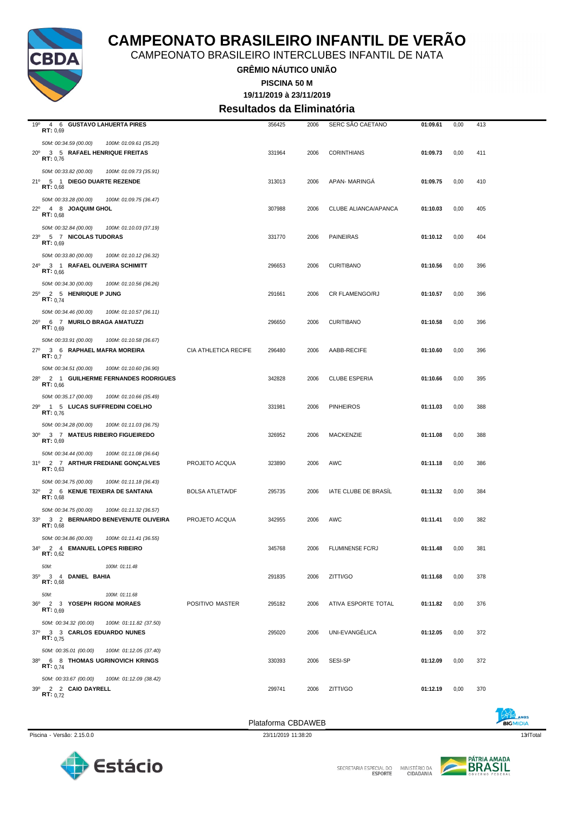



|  | ina - Versão: 2.15.0.0 |  |
|--|------------------------|--|
|  |                        |  |

Piscina - Versão: 2.15.0.0 23/11/2019 11:38:20 23/11/2019 11:38:20 23/11/2019 11:38:20 23/11/2019 11:38:20 13qrlTotal

**BIGMIDIA** 

| 23 <sup>0</sup> | RT: 0,69              | 5 7 NICOLAS TUDORAS     |                                       |                        | 331770             | 2006 | <b>PAINEIRAS</b>        | 01:10.12 | 0,00 | 404 |
|-----------------|-----------------------|-------------------------|---------------------------------------|------------------------|--------------------|------|-------------------------|----------|------|-----|
|                 | 50M: 00:33.80 (00.00) |                         | 100M: 01:10.12 (36.32)                |                        |                    |      |                         |          |      |     |
|                 | <b>RT:</b> $0,66$     |                         | 24º 3 1 RAFAEL OLIVEIRA SCHIMITT      |                        | 296653             | 2006 | <b>CURITIBANO</b>       | 01:10.56 | 0,00 | 396 |
|                 | 50M: 00:34.30 (00.00) |                         | 100M: 01:10.56 (36.26)                |                        |                    |      |                         |          |      |     |
|                 | <b>RT:</b> $0,74$     | 25º 2 5 HENRIQUE P JUNG |                                       |                        | 291661             | 2006 | CR FLAMENGO/RJ          | 01:10.57 | 0,00 | 396 |
|                 | 50M: 00:34.46 (00.00) |                         | 100M: 01:10.57 (36.11)                |                        |                    |      |                         |          |      |     |
| $26^{\circ}$    | RT: 0.69              |                         | 6 7 MURILO BRAGA AMATUZZI             |                        | 296650             | 2006 | <b>CURITIBANO</b>       | 01:10.58 | 0.00 | 396 |
|                 | 50M: 00:33.91 (00.00) |                         | 100M: 01:10.58 (36.67)                |                        |                    |      |                         |          |      |     |
| 27°             | RT: 0,7               |                         | 3 6 RAPHAEL MAFRA MOREIRA             | CIA ATHLETICA RECIFE   | 296480             | 2006 | AABB-RECIFE             | 01:10.60 | 0,00 | 396 |
|                 | 50M: 00:34.51 (00.00) |                         | 100M: 01:10.60 (36.90)                |                        |                    |      |                         |          |      |     |
|                 | RT: 0.66              |                         | 28º 2 1 GUILHERME FERNANDES RODRIGUES |                        | 342828             | 2006 | <b>CLUBE ESPERIA</b>    | 01:10.66 | 0,00 | 395 |
|                 | 50M: 00:35.17 (00.00) |                         | 100M: 01:10.66 (35.49)                |                        |                    |      |                         |          |      |     |
|                 | <b>RT:</b> $0,76$     |                         | 29º 1 5 LUCAS SUFFREDINI COELHO       |                        | 331981             | 2006 | <b>PINHEIROS</b>        | 01:11.03 | 0,00 | 388 |
|                 | 50M: 00:34.28 (00.00) |                         | 100M: 01:11.03 (36.75)                |                        |                    |      |                         |          |      |     |
|                 | RT: 0.69              |                         | 30° 3 7 MATEUS RIBEIRO FIGUEIREDO     |                        | 326952             | 2006 | <b>MACKENZIE</b>        | 01:11.08 | 0,00 | 388 |
|                 | 50M: 00:34.44 (00.00) |                         | 100M: 01:11.08 (36.64)                |                        |                    |      |                         |          |      |     |
|                 | RT: 0.63              |                         | 31º 2 7 ARTHUR FREDIANE GONÇALVES     | PROJETO ACQUA          | 323890             | 2006 | AWC                     | 01:11.18 | 0,00 | 386 |
|                 | 50M: 00:34.75 (00.00) |                         | 100M: 01:11.18 (36.43)                |                        |                    |      |                         |          |      |     |
|                 | RT: 0,68              |                         | 32º 2 6 KENUE TEIXEIRA DE SANTANA     | <b>BOLSA ATLETA/DF</b> | 295735             | 2006 | IATE CLUBE DE BRASÍL    | 01:11.32 | 0,00 | 384 |
|                 | 50M: 00:34.75 (00.00) |                         | 100M: 01:11.32 (36.57)                |                        |                    |      |                         |          |      |     |
| 33 <sup>0</sup> | RT: 0,68              |                         | 3 2 BERNARDO BENEVENUTE OLIVEIRA      | PROJETO ACQUA          | 342955             | 2006 | <b>AWC</b>              | 01:11.41 | 0.00 | 382 |
|                 | 50M: 00:34.86 (00.00) |                         | 100M: 01:11.41 (36.55)                |                        |                    |      |                         |          |      |     |
| $34^{\circ}$    | RT: 0.62              |                         | 2 4 EMANUEL LOPES RIBEIRO             |                        | 345768             | 2006 | <b>FLUMINENSE FC/RJ</b> | 01:11.48 | 0.00 | 381 |
|                 | 50M:                  |                         | 100M: 01:11.48                        |                        |                    |      |                         |          |      |     |
|                 | RT: 0.68              | 35º 3 4 DANIEL BAHIA    |                                       |                        | 291835             | 2006 | ZITTI/GO                | 01:11.68 | 0,00 | 378 |
|                 | 50M:                  |                         | 100M: 01:11.68                        |                        |                    |      |                         |          |      |     |
|                 | RT: 0,69              |                         | 36º 2 3 YOSEPH RIGONI MORAES          | POSITIVO MASTER        | 295182             | 2006 | ATIVA ESPORTE TOTAL     | 01:11.82 | 0,00 | 376 |
|                 | 50M: 00:34.32 (00.00) |                         | 100M: 01:11.82 (37.50)                |                        |                    |      |                         |          |      |     |
|                 | <b>RT:</b> $0,75$     |                         | 37º 3 3 CARLOS EDUARDO NUNES          |                        | 295020             | 2006 | UNI-EVANGÉLICA          | 01:12.05 | 0,00 | 372 |
|                 | 50M: 00:35.01 (00.00) |                         | 100M: 01:12.05 (37.40)                |                        |                    |      |                         |          |      |     |
|                 | <b>RT:</b> $0.74$     |                         | 38º 6 8 THOMAS UGRINOVICH KRINGS      |                        | 330393             | 2006 | SESI-SP                 | 01:12.09 | 0,00 | 372 |
|                 | 50M: 00:33.67 (00.00) |                         | 100M: 01:12.09 (38.42)                |                        |                    |      |                         |          |      |     |
|                 | <b>RT</b> : $0,72$    | 39º 2 2 CAIO DAYRELL    |                                       |                        | 299741             | 2006 | ZITTI/GO                | 01:12.19 | 0,00 | 370 |
|                 |                       |                         |                                       |                        | Plataforma CBDAWEB |      |                         |          |      |     |



*50M: 00:34.59 (00.00) 100M: 01:09.61 (35.20)*

*50M: 00:33.82 (00.00) 100M: 01:09.73 (35.91)*

*50M: 00:33.28 (00.00) 100M: 01:09.75 (36.47)*

*50M: 00:32.84 (00.00) 100M: 01:10.03 (37.19)*

### **CAMPEONATO BRASILEIRO INFANTIL DE VERÃO**

**GRÊMIO NÁUTICO UNIÃO** CAMPEONATO BRASILEIRO INTERCLUBES INFANTIL DE NATA

> **19/11/2019 à 23/11/2019 PISCINA 50 M**

**Resultados da Eliminatória**

19º 4 6 **GUSTAVO LAHUERTA PIRES** 356425 2006 SERC SÃO CAETANO **01:09.61** 0,00 413 **RT:** 0,69

20º 3 5 **RAFAEL HENRIQUE FREITAS** 331964 2006 CORINTHIANS **01:09.73** 0,00 411 **RT:** 0,76

21º 5 1 **DIEGO DUARTE REZENDE** 313013 2006 APAN- MARINGÁ **01:09.75** 0,00 410 **RT:** 0,68

22º 4 8 **JOAQUIM GHOL** 307988 2006 CLUBE ALIANCA/APANCA **01:10.03** 0,00 405 **RT:** 0,68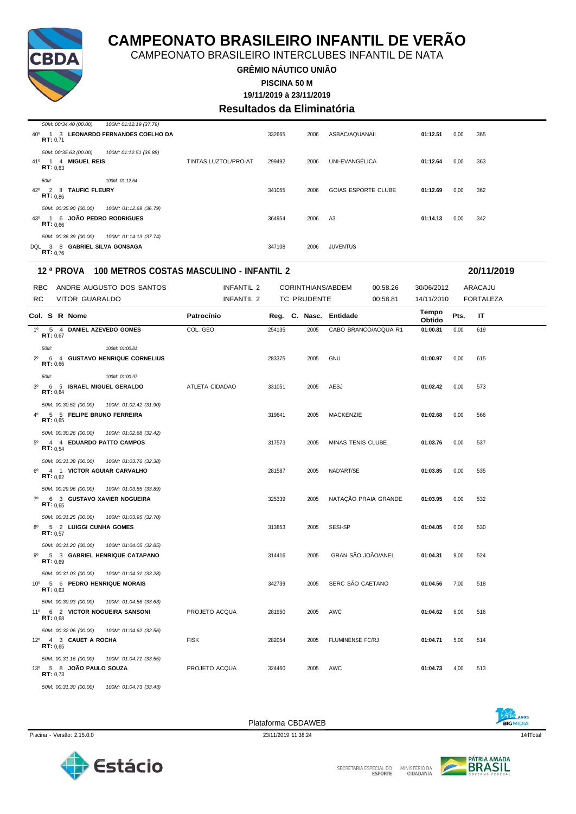

CAMPEONATO BRASILEIRO INTERCLUBES INFANTIL DE NATA

#### **GRÊMIO NÁUTICO UNIÃO PISCINA 50 M**

**19/11/2019 à 23/11/2019**

### **Resultados da Eliminatória**

|                 | 50M: 00:34.40 (00.00)                                              | 100M: 01:12.19 (37.79)           |                      |        |      |                            |          |      |     |
|-----------------|--------------------------------------------------------------------|----------------------------------|----------------------|--------|------|----------------------------|----------|------|-----|
| 40°             | RT: 0.71                                                           | 1 3 LEONARDO FERNANDES COELHO DA |                      | 332665 | 2006 | ASBAC/AQUANAII             | 01:12.51 | 0,00 | 365 |
| 41 <sup>o</sup> | 50M: 00:35.63 (00.00)<br>1 4 MIGUEL REIS<br>RT: 0.63               | 100M: 01:12.51 (36.88)           | TINTAS LUZTOL/PRO-AT | 299492 | 2006 | UNI-EVANGÉLICA             | 01:12.64 | 0,00 | 363 |
| 42°             | 50M:<br><b>TAUFIC FLEURY</b><br>2 8<br>RT: 0.86                    | 100M: 01:12.64                   |                      | 341055 | 2006 | <b>GOIAS ESPORTE CLUBE</b> | 01:12.69 | 0,00 | 362 |
|                 | 50M: 00:35.90 (00.00)<br>43º 1 6 JOÃO PEDRO RODRIGUES<br>RT: 0.66  | 100M: 01:12.69 (36.79)           |                      | 364954 | 2006 | A3                         | 01:14.13 | 0,00 | 342 |
|                 | 50M: 00:36.39 (00.00)<br>DQL 3 8 GABRIEL SILVA GONSAGA<br>RT: 0.76 | 100M: 01:14.13 (37.74)           |                      | 347108 | 2006 | <b>JUVENTUS</b>            |          |      |     |

#### **12 ª PROVA 100 METROS COSTAS MASCULINO - INFANTIL 2 20/11/2019**

|                | RBC               |                               | ANDRE AUGUSTO DOS SANTOS        | INFANTIL 2     |        |                    | CORINTHIANS/ABDEM      | 00:58.26             | 30/06/2012      |                                | ARACAJU |  |
|----------------|-------------------|-------------------------------|---------------------------------|----------------|--------|--------------------|------------------------|----------------------|-----------------|--------------------------------|---------|--|
| <b>RC</b>      |                   | <b>VITOR GUARALDO</b>         |                                 | INFANTIL 2     |        | <b>TC PRUDENTE</b> |                        | 00:58.81             |                 | 14/11/2010<br><b>FORTALEZA</b> |         |  |
|                |                   | Col. S R Nome                 |                                 | Patrocínio     |        |                    | Reg. C. Nasc. Entidade |                      | Tempo<br>Obtido | Pts.                           | ΙT      |  |
|                | RT: 0.67          | 1º 5 4 DANIEL AZEVEDO GOMES   |                                 | COL. GEO       | 254135 | 2005               |                        | CABO BRANCO/ACQUA R1 | 01:00.81        | 0,00                           | 619     |  |
|                | 50M:              |                               | 100M: 01:00.81                  |                |        |                    |                        |                      |                 |                                |         |  |
| $2^{\circ}$    |                   |                               | 6 4 GUSTAVO HENRIQUE CORNELIUS  |                | 283375 | 2005               | <b>GNU</b>             |                      | 01:00.97        | 0,00                           | 615     |  |
|                | RT: 0.66          |                               |                                 |                |        |                    |                        |                      |                 |                                |         |  |
|                | 50M:              |                               | 100M: 01:00.97                  |                |        |                    |                        |                      |                 |                                |         |  |
| 3 <sup>0</sup> | RT: 0.64          | 6 5 ISRAEL MIGUEL GERALDO     |                                 | ATLETA CIDADAO | 331051 | 2005               | AESJ                   |                      | 01:02.42        | 0,00                           | 573     |  |
|                |                   | 50M: 00:30.52 (00.00)         | 100M: 01:02.42 (31.90)          |                |        |                    |                        |                      |                 |                                |         |  |
| 4 <sup>0</sup> | RT: 0.65          | 5 5 FELIPE BRUNO FERREIRA     |                                 |                | 319641 | 2005               | <b>MACKENZIE</b>       |                      | 01:02.68        | 0.00                           | 566     |  |
|                |                   | 50M: 00:30.26 (00.00)         | 100M: 01:02.68 (32.42)          |                |        |                    |                        |                      |                 |                                |         |  |
|                | <b>RT:</b> $0.54$ | 5º 4 4 EDUARDO PATTO CAMPOS   |                                 |                | 317573 | 2005               | MINAS TENIS CLUBE      |                      | 01:03.76        | 0,00                           | 537     |  |
|                |                   | 50M: 00:31.38 (00.00)         | 100M: 01:03.76 (32.38)          |                |        |                    |                        |                      |                 |                                |         |  |
| 6 <sup>0</sup> |                   | 4 1 VICTOR AGUIAR CARVALHO    |                                 |                | 281587 | 2005               | NAD'ART/SE             |                      | 01:03.85        | 0,00                           | 535     |  |
|                | RT: 0.62          |                               |                                 |                |        |                    |                        |                      |                 |                                |         |  |
|                |                   | 50M: 00:29.96 (00.00)         | 100M: 01:03.85 (33.89)          |                |        |                    |                        |                      |                 |                                |         |  |
| $7^{\circ}$    | RT: 0.65          |                               | 6 3 GUSTAVO XAVIER NOGUEIRA     |                | 325339 | 2005               |                        | NATAÇÃO PRAIA GRANDE | 01:03.95        | 0,00                           | 532     |  |
|                |                   | 50M: 00:31.25 (00.00)         | 100M: 01:03.95 (32.70)          |                |        |                    |                        |                      |                 |                                |         |  |
|                | <b>RT:</b> $0.57$ | 8º 5 2 LUIGGI CUNHA GOMES     |                                 |                | 313853 | 2005               | SESI-SP                |                      | 01:04.05        | 0,00                           | 530     |  |
|                |                   | 50M: 00:31.20 (00.00)         | 100M: 01:04.05 (32.85)          |                |        |                    |                        |                      |                 |                                |         |  |
| $9^{\circ}$    | <b>RT:</b> $0,69$ |                               | 5 3 GABRIEL HENRIQUE CATAPANO   |                | 314416 | 2005               | GRAN SÃO JOÃO/ANEL     |                      | 01:04.31        | 9,00                           | 524     |  |
|                |                   | 50M: 00:31.03 (00.00)         | 100M: 01:04.31 (33.28)          |                |        |                    |                        |                      |                 |                                |         |  |
|                | RT: 0.63          | 10° 5 6 PEDRO HENRIQUE MORAIS |                                 |                | 342739 | 2005               | SERC SÃO CAETANO       |                      | 01:04.56        | 7,00                           | 518     |  |
|                |                   | 50M: 00:30.93 (00.00)         | 100M: 01:04.56 (33.63)          |                |        |                    |                        |                      |                 |                                |         |  |
|                | RT: 0,68          |                               | 11º 6 2 VICTOR NOGUEIRA SANSONI | PROJETO ACQUA  | 281950 | 2005               | AWC                    |                      | 01:04.62        | 6,00                           | 516     |  |
|                |                   | 50M: 00:32.06 (00.00)         | 100M: 01:04.62 (32.56)          |                |        |                    |                        |                      |                 |                                |         |  |
|                | RT: 0.65          | 12º 4 3 CAUET A ROCHA         |                                 | <b>FISK</b>    | 282054 | 2005               | FLUMINENSE FC/RJ       |                      | 01:04.71        | 5,00                           | 514     |  |
|                |                   | 50M: 00:31.16 (00.00)         | 100M: 01:04.71 (33.55)          |                |        |                    |                        |                      |                 |                                |         |  |
|                | RT: 0.73          | 13º 5 8 JOÃO PAULO SOUZA      |                                 | PROJETO ACQUA  | 324460 | 2005               | AWC                    |                      | 01:04.73        | 4,00                           | 513     |  |
|                |                   | 50M: 00:31.30 (00.00)         | 100M: 01:04.73 (33.43)          |                |        |                    |                        |                      |                 |                                |         |  |







**BIGMIDIA**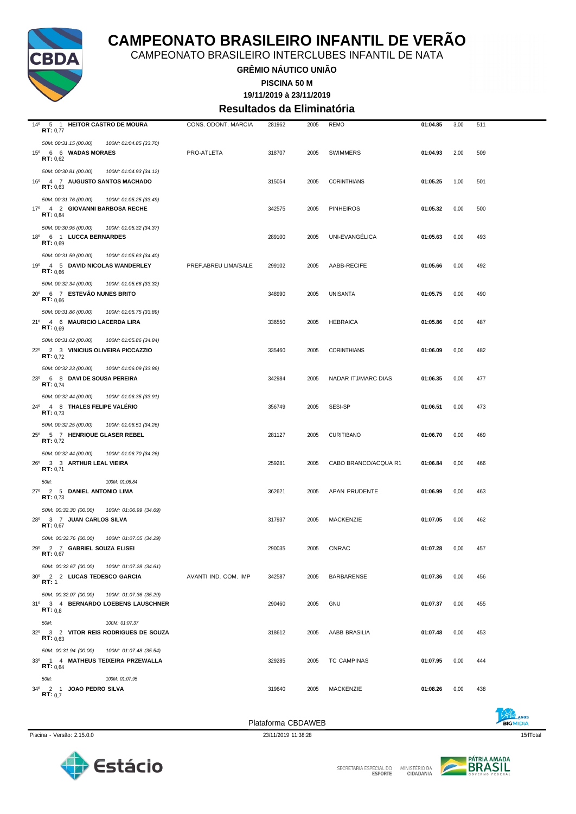

CAMPEONATO BRASILEIRO INTERCLUBES INFANTIL DE NATA

**GRÊMIO NÁUTICO UNIÃO**

**PISCINA 50 M**

**19/11/2019 à 23/11/2019**

**Resultados da Eliminatória**

| 14º 5 1 HEITOR CASTRO DE MOURA<br>RT: 0,77                                                                  | CONS. ODONT. MARCIA  | 281962 | 2005 | <b>REMO</b>          | 01:04.85 | 3,00 | 511 |  |
|-------------------------------------------------------------------------------------------------------------|----------------------|--------|------|----------------------|----------|------|-----|--|
| 50M: 00:31.15 (00.00)<br>100M: 01:04.85 (33.70)<br>15º 6 6 WADAS MORAES<br><b>RT:</b> $0,62$                | PRO-ATLETA           | 318707 | 2005 | <b>SWIMMERS</b>      | 01:04.93 | 2,00 | 509 |  |
| 50M: 00:30.81 (00.00)<br>100M: 01:04.93 (34.12)<br>16º 4 7 AUGUSTO SANTOS MACHADO<br>RT: 0,63               |                      | 315054 | 2005 | <b>CORINTHIANS</b>   | 01:05.25 | 1,00 | 501 |  |
| 50M: 00:31.76 (00.00)<br>100M: 01:05.25 (33.49)<br>17º 4 2 GIOVANNI BARBOSA RECHE<br><b>RT:</b> $0.84$      |                      | 342575 | 2005 | <b>PINHEIROS</b>     | 01:05.32 | 0,00 | 500 |  |
| 50M: 00:30.95 (00.00)<br>100M: 01:05.32 (34.37)<br>18º 6 1 LUCCA BERNARDES<br><b>RT:</b> $0,69$             |                      | 289100 | 2005 | UNI-EVANGELICA       | 01:05.63 | 0,00 | 493 |  |
| 50M: 00:31.59 (00.00)<br>100M: 01:05.63 (34.40)<br>19º 4 5 DAVID NICOLAS WANDERLEY<br>RT: 0.66              | PREF.ABREU LIMA/SALE | 299102 | 2005 | AABB-RECIFE          | 01:05.66 | 0,00 | 492 |  |
| 50M: 00:32.34 (00.00)<br>100M: 01:05.66 (33.32)<br>20° 6 7 ESTEVÃO NUNES BRITO<br>RT: 0,66                  |                      | 348990 | 2005 | <b>UNISANTA</b>      | 01:05.75 | 0,00 | 490 |  |
| 50M: 00:31.86 (00.00)<br>100M: 01:05.75 (33.89)<br>21º 4 6 MAURICIO LACERDA LIRA<br>RT: 0.69                |                      | 336550 | 2005 | <b>HEBRAICA</b>      | 01:05.86 | 0,00 | 487 |  |
| 50M: 00:31.02 (00.00)<br>100M: 01:05.86 (34.84)<br>22º 2 3 VINICIUS OLIVEIRA PICCAZZIO<br>RT: 0.72          |                      | 335460 | 2005 | <b>CORINTHIANS</b>   | 01:06.09 | 0,00 | 482 |  |
| 50M: 00:32.23 (00.00)<br>100M: 01:06.09 (33.86)<br>23º 6 8 DAVI DE SOUSA PEREIRA<br><b>RT:</b> $0.74$       |                      | 342984 | 2005 | NADAR ITJ/MARC DIAS  | 01:06.35 | 0,00 | 477 |  |
| 50M: 00:32.44 (00.00)<br>100M: 01:06.35 (33.91)<br>24º 4 8 THALES FELIPE VALERIO<br><b>RT:</b> $0.73$       |                      | 356749 | 2005 | SESI-SP              | 01:06.51 | 0,00 | 473 |  |
| 50M: 00:32.25 (00.00)<br>100M: 01:06.51 (34.26)<br>25º 5 7 HENRIQUE GLASER REBEL<br><b>RT:</b> $0,72$       |                      | 281127 | 2005 | <b>CURITIBANO</b>    | 01:06.70 | 0,00 | 469 |  |
| 50M: 00:32.44 (00.00)<br>100M: 01:06.70 (34.26)<br>26º 3 3 ARTHUR LEAL VIEIRA<br>RT: 0.71                   |                      | 259281 | 2005 | CABO BRANCO/ACQUA R1 | 01:06.84 | 0,00 | 466 |  |
| 50M:<br>100M: 01:06.84<br>27º 2 5 DANIEL ANTONIO LIMA<br>RT: 0.73                                           |                      | 362621 | 2005 | APAN PRUDENTE        | 01:06.99 | 0,00 | 463 |  |
| 50M: 00:32.30 (00.00)<br>100M: 01:06.99 (34.69)<br>28º 3 7 JUAN CARLOS SILVA<br>RT: 0.67                    |                      | 317937 | 2005 | MACKENZIE            | 01:07.05 | 0,00 | 462 |  |
| 50M: 00:32.76 (00.00)<br>100M: 01:07.05 (34.29)<br>29º 2 7 GABRIEL SOUZA ELISEI<br>RT: 0,67                 |                      | 290035 | 2005 | <b>CNRAC</b>         | 01:07.28 | 0,00 | 457 |  |
| 50M: 00:32.67 (00.00)  100M: 01:07.28 (34.61)<br>30° 2 2 LUCAS TEDESCO GARCIA<br>RT: 1                      | AVANTI IND. COM. IMP | 342587 | 2005 | BARBARENSE           | 01:07.36 | 0,00 | 456 |  |
| 50M: 00:32.07 (00.00)<br>100M: 01:07.36 (35.29)<br>31º 3 4 BERNARDO LOEBENS LAUSCHNER<br>RT: 0.8            |                      | 290460 | 2005 | <b>GNU</b>           | 01:07.37 | 0,00 | 455 |  |
| 50M:<br>100M: 01:07.37<br>32º 3 2 VITOR REIS RODRIGUES DE SOUZA<br>RT: 0.63<br>50M: 00:31.94 (00.00)        |                      | 318612 | 2005 | AABB BRASILIA        | 01:07.48 | 0,00 | 453 |  |
| 100M: 01:07.48 (35.54)<br>33º 1 4 MATHEUS TEIXEIRA PRZEWALLA<br><b>RT:</b> $0.64$<br>50M:<br>100M: 01:07.95 |                      | 329285 | 2005 | <b>TC CAMPINAS</b>   | 01:07.95 | 0,00 | 444 |  |
| 34º 2 1 JOAO PEDRO SILVA<br>RT: 0.7                                                                         |                      | 319640 | 2005 | MACKENZIE            | 01:08.26 | 0,00 | 438 |  |
|                                                                                                             |                      |        |      |                      |          |      |     |  |



SECRETARIA ESPECIAL DO

MINISTÉRIO DA<br>CIDADANIA

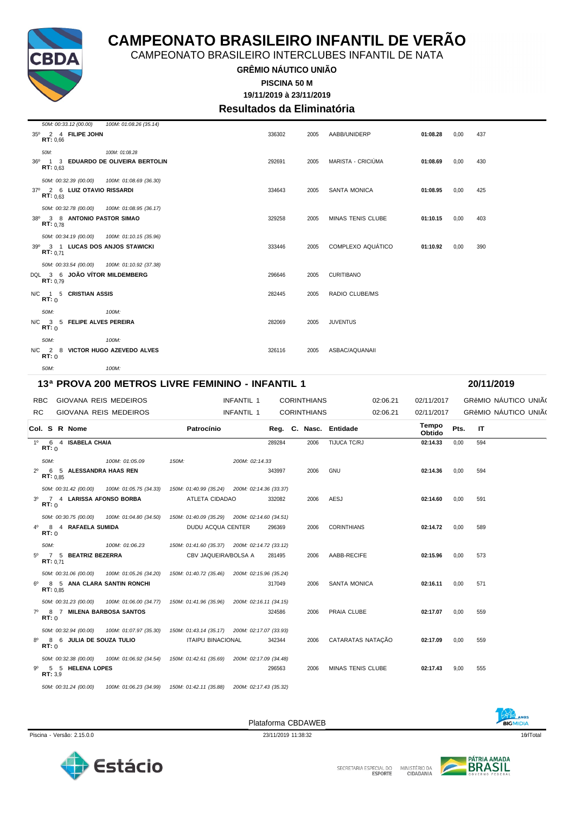

CAMPEONATO BRASILEIRO INTERCLUBES INFANTIL DE NATA

### **GRÊMIO NÁUTICO UNIÃO**

**19/11/2019 à 23/11/2019 PISCINA 50 M**

### **Resultados da Eliminatória**

| 50M: 00:33.12 (00.00)<br>35º 2 4 FILIPE JOHN<br>RT: 0.66                                     | 100M: 01:08.26 (35.14) | 336302 | 2005 | AABB/UNIDERP          | 01:08.28 | 0.00 | 437 |
|----------------------------------------------------------------------------------------------|------------------------|--------|------|-----------------------|----------|------|-----|
| 50M:<br>36º 1 3 EDUARDO DE OLIVEIRA BERTOLIN<br>RT: 0.63                                     | 100M: 01:08.28         | 292691 | 2005 | MARISTA - CRICIÚMA    | 01:08.69 | 0,00 | 430 |
| 50M: 00:32.39 (00.00)  100M: 01:08.69 (36.30)<br>37º 2 6 LUIZ OTAVIO RISSARDI<br>RT: 0.63    |                        | 334643 | 2005 | <b>SANTA MONICA</b>   | 01:08.95 | 0,00 | 425 |
| 50M: 00:32.78 (00.00)  100M: 01:08.95 (36.17)<br>38º 3 8 ANTONIO PASTOR SIMAO<br>RT: 0.78    |                        | 329258 | 2005 | MINAS TENIS CLUBE     | 01:10.15 | 0.00 | 403 |
| 50M: 00:34.19 (00.00) 100M: 01:10.15 (35.96)<br>39º 3 1 LUCAS DOS ANJOS STAWICKI<br>RT: 0.71 |                        | 333446 | 2005 | COMPLEXO AQUÁTICO     | 01:10.92 | 0.00 | 390 |
| 50M: 00:33.54 (00.00)  100M: 01:10.92 (37.38)<br>DQL 3 6 JOÃO VÍTOR MILDEMBERG<br>RT: 0.79   |                        | 296646 | 2005 | <b>CURITIBANO</b>     |          |      |     |
| N/C 1 5 CRISTIAN ASSIS<br>RT: 0                                                              |                        | 282445 | 2005 | <b>RADIO CLUBE/MS</b> |          |      |     |
| 50M:<br>N/C 3 5 FELIPE ALVES PEREIRA<br>RT: 0                                                | 100M:                  | 282069 | 2005 | <b>JUVENTUS</b>       |          |      |     |
| 50M:<br>N/C 2 8 VICTOR HUGO AZEVEDO ALVES<br>RT: 0                                           | 100M:                  | 326116 | 2005 | ASBAC/AQUANAII        |          |      |     |
| 50M:                                                                                         | 100M:                  |        |      |                       |          |      |     |

#### **13ª PROVA 200 METROS LIVRE FEMININO - INFANTIL 1 20/11/2019**

RBC GIOVANA REIS MEDEIROS **INFANTIL 1** CORINTHIANS 02:06.21 02/11/2017 GRêMIO NÁUTICO UNIÃO RC GIOVANA REIS MEDEIROS **INFANTIL 1** CORINTHIANS 02:06.21 02/11/2017 GRêMIO NÁUTICO UNIÃO

|             | Col. S R Nome |                             |                                              | Patrocínio                                                                                    |                        |        |      | Reg. C. Nasc. Entidade | Tempo<br>Obtido | Pts. | IT. |  |
|-------------|---------------|-----------------------------|----------------------------------------------|-----------------------------------------------------------------------------------------------|------------------------|--------|------|------------------------|-----------------|------|-----|--|
|             | RT: 0         | 1º 6 4 ISABELA CHAIA        |                                              |                                                                                               |                        | 289284 | 2006 | TIJUCA TC/RJ           | 02:14.33        | 0,00 | 594 |  |
|             | 50M:          |                             | 100M: 01:05.09                               | 150M:                                                                                         | 200M: 02:14.33         |        |      |                        |                 |      |     |  |
| $2^{\circ}$ | RT: 0.85      | 6 5 ALESSANDRA HAAS REN     |                                              |                                                                                               |                        | 343997 | 2006 | <b>GNU</b>             | 02:14.36        | 0.00 | 594 |  |
|             |               |                             |                                              | 50M: 00:31.42 (00.00) 100M: 01:05.75 (34.33) 150M: 01:40.99 (35.24) 200M: 02:14.36 (33.37)    |                        |        |      |                        |                 |      |     |  |
|             | RT:0          | 3º 7 4 LARISSA AFONSO BORBA |                                              | ATLETA CIDADAO                                                                                |                        | 332082 | 2006 | AESJ                   | 02:14.60        | 0,00 | 591 |  |
|             |               |                             | 50M: 00:30.75 (00.00) 100M: 01:04.80 (34.50) | 150M: 01:40.09 (35.29) 200M: 02:14.60 (34.51)                                                 |                        |        |      |                        |                 |      |     |  |
| $4^{\circ}$ | RT: 0         | 8 4 RAFAELA SUMIDA          |                                              | DUDU ACQUA CENTER                                                                             |                        | 296369 | 2006 | <b>CORINTHIANS</b>     | 02:14.72        | 0,00 | 589 |  |
|             | 50M:          |                             | 100M: 01:06.23                               | 150M: 01:41.60 (35.37) 200M: 02:14.72 (33.12)                                                 |                        |        |      |                        |                 |      |     |  |
|             | RT: 0.71      | 5º 7 5 BEATRIZ BEZERRA      |                                              | CBV JAQUEIRA/BOLSA A                                                                          |                        | 281495 | 2006 | AABB-RECIFE            | 02:15.96        | 0.00 | 573 |  |
|             |               |                             |                                              | 50M: 00:31.06 (00.00) 100M: 01:05.26 (34.20) 150M: 01:40.72 (35.46) 200M: 02:15.96 (35.24)    |                        |        |      |                        |                 |      |     |  |
|             | RT: 0.85      |                             | 6 <sup>0</sup> 8 5 ANA CLARA SANTIN RONCHI   |                                                                                               |                        | 317049 | 2006 | SANTA MONICA           | 02:16.11        | 0,00 | 571 |  |
|             |               |                             |                                              | 50M: 00:31.23 (00.00) 100M: 01:06.00 (34.77) 150M: 01:41.96 (35.96) 200M: 02:16.11 (34.15)    |                        |        |      |                        |                 |      |     |  |
|             | RT:0          |                             | 7º 8 7 MILENA BARBOSA SANTOS                 |                                                                                               |                        | 324586 | 2006 | PRAIA CLUBE            | 02:17.07        | 0.00 | 559 |  |
|             |               |                             |                                              | 50M: 00:32.94 (00.00) 100M: 01:07.97 (35.30) 150M: 01:43.14 (35.17) 200M: 02:17.07 (33.93)    |                        |        |      |                        |                 |      |     |  |
| 8°          | RT: 0         | 8 6 JULIA DE SOUZA TULIO    |                                              | ITAIPU BINACIONAL                                                                             |                        | 342344 | 2006 | CATARATAS NATAÇÃO      | 02:17.09        | 0,00 | 559 |  |
|             |               |                             |                                              | 50M: 00:32.38 (00.00)  100M: 01:06.92 (34.54)  150M: 01:42.61 (35.69)  200M: 02:17.09 (34.48) |                        |        |      |                        |                 |      |     |  |
|             | RT: 3.9       | 9º 5 5 HELENA LOPES         |                                              |                                                                                               |                        | 296563 | 2006 | MINAS TENIS CLUBE      | 02:17.43        | 9,00 | 555 |  |
|             |               | 50M: 00:31.24 (00.00)       | 100M: 01:06.23 (34.99)                       | 150M: 01:42.11 (35.88)                                                                        | 200M: 02:17.43 (35.32) |        |      |                        |                 |      |     |  |

Piscina - Versão: 2.15.0.0 16tTotal 23/11/2019 11:38:32 16tTotal 23/11/2019 11:38:32 16tTotal 23/11/2019 11:38:32 16tTotal 23/11/2019 11:38:32 16tTotal 23/11/2019 11:38:32 16tTotal 23/11/2019 11:38:32 16tTotal 2011 11:38:3





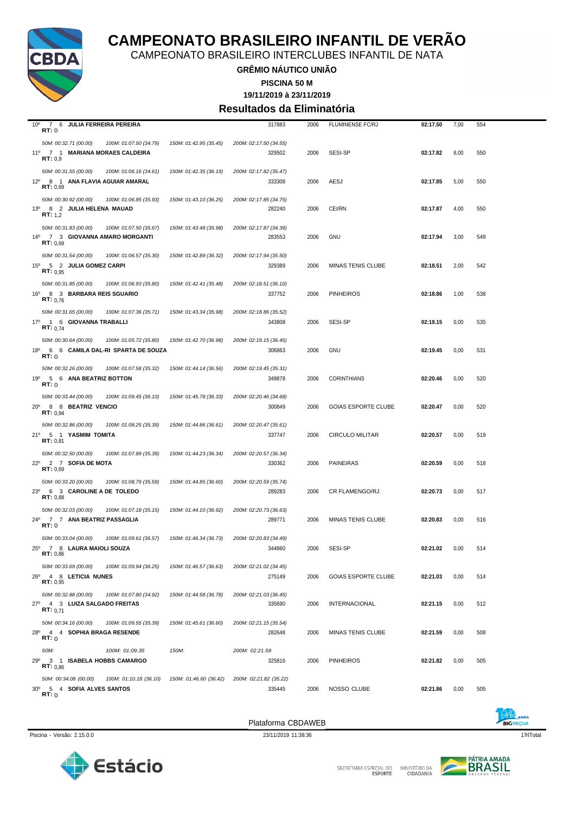

CAMPEONATO BRASILEIRO INTERCLUBES INFANTIL DE NATA

**GRÊMIO NÁUTICO UNIÃO**

**PISCINA 50 M**

**19/11/2019 à 23/11/2019**

#### **Resultados da Eliminatória**

| $10^{\circ}$<br>7 6 JULIA FERREIRA PEREIRA<br>RT:0 |                        | 317883                 | 2006 | <b>FLUMINENSE FC/RJ</b>    | 02:17.50 | 7,00 | 554 |
|----------------------------------------------------|------------------------|------------------------|------|----------------------------|----------|------|-----|
| 50M: 00:32.71 (00.00)<br>100M: 01:07.50 (34.79)    | 150M: 01:42.95 (35.45) | 200M: 02:17.50 (34.55) |      |                            |          |      |     |
| 11º 7 1 MARIANA MORAES CALDEIRA<br>RT: 0.9         |                        | 329502                 | 2006 | SESI-SP                    | 02:17.82 | 6,00 | 550 |
| 50M: 00:31.55 (00.00)<br>100M: 01:06.16 (34.61)    | 150M: 01:42.35 (36.19) | 200M: 02:17.82 (35.47) |      |                            |          |      |     |
| 12º 8 1 ANA FLAVIA AGUIAR AMARAL<br>RT: 0,69       |                        | 333308                 | 2006 | AESJ                       | 02:17.85 | 5,00 | 550 |
| 50M: 00:30.92 (00.00)<br>100M: 01:06.85 (35.93)    | 150M: 01:43.10 (36.25) | 200M: 02:17.85 (34.75) |      |                            |          |      |     |
| 13º 8 2 JULIA HELENA MAUAD<br><b>RT:</b> 1,2       |                        | 282240                 | 2006 | CEI/RN                     | 02:17.87 | 4,00 | 550 |
| 50M: 00:31.83 (00.00)<br>100M: 01:07.50 (35.67)    | 150M: 01:43.48 (35.98) | 200M: 02:17.87 (34.39) |      |                            |          |      |     |
| 14º 7 3 GIOVANNA AMARO MORGANTI<br>RT: 0,69        |                        | 283553                 | 2006 | <b>GNU</b>                 | 02:17.94 | 3,00 | 549 |
| 50M: 00:31.54 (00.00)<br>100M: 01:06.57 (35.30)    | 150M: 01:42.89 (36.32) | 200M: 02:17.94 (35.50) |      |                            |          |      |     |
| 15º 5 2 JULIA GOMEZ CARPI<br>RT: 0.95              |                        | 329389                 | 2006 | MINAS TENIS CLUBE          | 02:18.51 | 2,00 | 542 |
| 50M: 00:31.85 (00.00)<br>100M: 01:06.93 (35.80)    | 150M: 01:42.41 (35.48) | 200M: 02:18.51 (36.10) |      |                            |          |      |     |
| 16º 8 3 BARBARA REIS SGUARIO<br>RT: 0.76           |                        | 337752                 | 2006 | <b>PINHEIROS</b>           | 02:18.86 | 1,00 | 538 |
| 50M: 00:31.65 (00.00)<br>100M: 01:07.36 (35.71)    | 150M: 01:43.34 (35.98) | 200M: 02:18.86 (35.52) |      |                            |          |      |     |
| 17º 1 6 GIOVANNA TRABALLI<br><b>RT:</b> 0,74       |                        | 343808                 | 2006 | SESI-SP                    | 02:19.15 | 0,00 | 535 |
| 50M: 00:30.64 (00.00)<br>100M: 01:05.72 (35.80)    | 150M: 01:42.70 (36.98) | 200M: 02:19.15 (36.45) |      |                            |          |      |     |
| 18º 6 6 CAMILA DAL-RI SPARTA DE SOUZA<br>RT:0      |                        | 306863                 | 2006 | GNU                        | 02:19.45 | 0,00 | 531 |
| 50M: 00:32.26 (00.00)<br>100M: 01:07.58 (35.32)    | 150M: 01:44.14 (36.56) | 200M: 02:19.45 (35.31) |      |                            |          |      |     |
| 5 6 ANA BEATRIZ BOTTON<br>19°<br>RT:0              |                        | 349878                 | 2006 | <b>CORINTHIANS</b>         | 02:20.46 | 0,00 | 520 |
| 50M: 00:33.44 (00.00)<br>100M: 01:09.45 (36.10)    | 150M: 01:45.78 (36.33) | 200M: 02:20.46 (34.68) |      |                            |          |      |     |
| 20° 8 8 BEATRIZ VENCIO<br><b>RT:</b> $0.94$        |                        | 300849                 | 2006 | <b>GOIAS ESPORTE CLUBE</b> | 02:20.47 | 0,00 | 520 |
| 50M: 00:32.86 (00.00)<br>100M: 01:08.25 (35.39)    | 150M: 01:44.86 (36.61) | 200M: 02:20.47 (35.61) |      |                            |          |      |     |
| 21º 5 1 YASMIM TOMITA<br>RT: 0,81                  |                        | 337747                 | 2006 | <b>CIRCULO MILITAR</b>     | 02:20.57 | 0,00 | 519 |
| 50M: 00:32.50 (00.00)<br>100M: 01:07.89 (35.39)    | 150M: 01:44.23 (36.34) | 200M: 02:20.57 (36.34) |      |                            |          |      |     |
| 22º 2 7 SOFIA DE MOTA<br>RT: 0.69                  |                        | 330362                 | 2006 | <b>PAINEIRAS</b>           | 02:20.59 | 0,00 | 518 |
| 50M: 00:33.20 (00.00)<br>100M: 01:08.79 (35.59)    | 150M: 01:44.85 (36.60) | 200M: 02:20.59 (35.74) |      |                            |          |      |     |
| 23º 6 3 CAROLINE A DE TOLEDO<br>RT: 0.88           |                        | 289283                 | 2006 | <b>CR FLAMENGO/RJ</b>      | 02:20.73 | 0,00 | 517 |
| 50M: 00:32.03 (00.00)<br>100M: 01:07.18 (35.15)    | 150M: 01:44.10 (36.92) | 200M: 02:20.73 (36.63) |      |                            |          |      |     |
| 24º 7 7 ANA BEATRIZ PASSAGLIA<br>RT:0              |                        | 289771                 | 2006 | MINAS TENIS CLUBE          | 02:20.83 | 0,00 | 516 |
| 50M: 00:33.04 (00.00)<br>100M: 01:09.61 (36.57)    | 150M: 01:46.34 (36.73) | 200M: 02:20.83 (34.49) |      |                            |          |      |     |
| 25º 7 8 LAURA MAIOLI SOUZA<br>RT: 0,86             |                        | 344860                 | 2006 | SESI-SP                    | 02:21.02 | 0,00 | 514 |
| 50M: 00:33.69 (00.00)<br>100M: 01:09.94 (36.25)    | 150M: 01:46.57 (36.63) | 200M: 02:21.02 (34.45) |      |                            |          |      |     |
| 26º 4 8 LETICIA NUNES<br>RT: 0,95                  |                        | 275149                 | 2006 | <b>GOIAS ESPORTE CLUBE</b> | 02:21.03 | 0,00 | 514 |
| 50M: 00:32.88 (00.00)<br>100M: 01:07.80 (34.92)    | 150M: 01:44.58 (36.78) | 200M: 02:21.03 (36.45) |      |                            |          |      |     |
| 27º 4 3 LUIZA SALGADO FREITAS<br>RT: 0.71          |                        | 335690                 | 2006 | <b>INTERNACIONAL</b>       | 02:21.15 | 0,00 | 512 |
| 50M: 00:34.16 (00.00)<br>100M: 01:09.55 (35.39)    | 150M: 01:45.61 (36.60) | 200M: 02:21.15 (35.54) |      |                            |          |      |     |
| 28º 4 4 SOPHIA BRAGA RESENDE<br>RT:0               |                        | 282648                 | 2006 | MINAS TENIS CLUBE          | 02:21.59 | 0,00 | 508 |
| 50M:<br>100M: 01:09.35                             | 150M:                  | 200M: 02:21.59         |      |                            |          |      |     |
| 29º 3 1 ISABELA HOBBS CAMARGO<br>RT: 0.86          |                        | 325816                 | 2006 | <b>PINHEIROS</b>           | 02:21.82 | 0,00 | 505 |
| 50M: 00:34.08 (00.00)<br>100M: 01:10.18 (36.10)    | 150M: 01:46.60 (36.42) | 200M: 02:21.82 (35.22) |      |                            |          |      |     |
| 30° 5 4 SOFIA ALVES SANTOS<br>RT:0                 |                        | 335445                 | 2006 | NOSSO CLUBE                | 02:21.86 | 0,00 | 505 |

Piscina - Versão: 2.15.0.0 23/11/2019 11:38:36 23/11/2019 11:38:36 23/11/2019 11:38:36 23/11/2019 17qrlTotal

Plataforma CBDAWEB





SECRETARIA ESPECIAL DO MINISTÉRIO DA<br>CIDADANIA

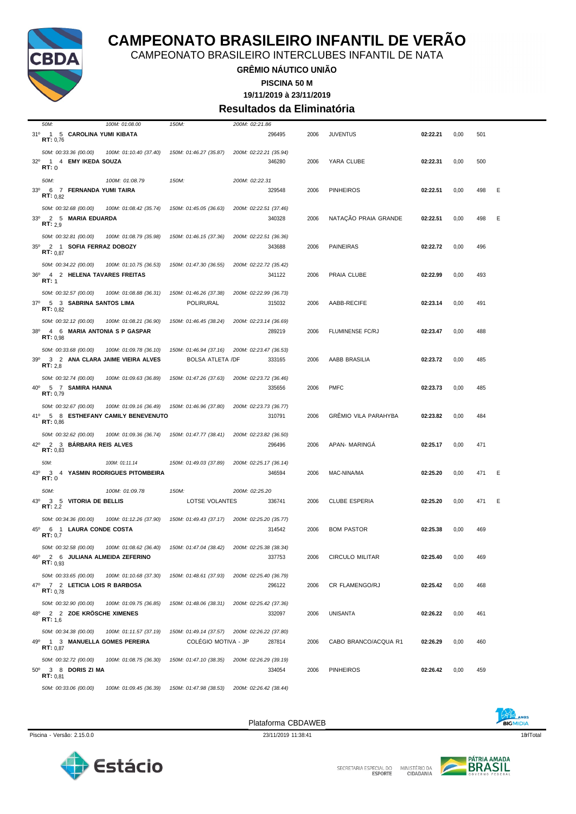

CAMPEONATO BRASILEIRO INTERCLUBES INFANTIL DE NATA

### **GRÊMIO NÁUTICO UNIÃO**

**PISCINA 50 M**

**19/11/2019 à 23/11/2019**

#### **Resultados da Eliminatória**

| 50M:<br>100M: 01:08.00                                                   | 150M:                                                                       | 200M: 02:21.86                   |      |                             |          |      |     |   |
|--------------------------------------------------------------------------|-----------------------------------------------------------------------------|----------------------------------|------|-----------------------------|----------|------|-----|---|
| 31º 1 5 CAROLINA YUMI KIBATA<br>RT: 0,76                                 |                                                                             | 296495                           | 2006 | <b>JUVENTUS</b>             | 02:22.21 | 0,00 | 501 |   |
| 50M: 00:33.36 (00.00)<br>32º 1 4 EMY IKEDA SOUZA<br>RT: 0                | 100M: 01:10.40 (37.40)<br>150M: 01:46.27 (35.87)                            | 200M: 02:22.21 (35.94)<br>346280 | 2006 | YARA CLUBE                  | 02:22.31 | 0,00 | 500 |   |
| 50M:<br>100M: 01:08.79<br>33º 6 7 FERNANDA YUMI TAIRA<br>RT: 0.82        | 150M:                                                                       | 200M: 02:22.31<br>329548         | 2006 | <b>PINHEIROS</b>            | 02:22.51 | 0,00 | 498 | Ε |
| 50M: 00:32.68 (00.00)<br>33º 2 5 MARIA EDUARDA<br>RT: 2.9                | 100M: 01:08.42 (35.74)<br>150M: 01:45.05 (36.63)                            | 200M: 02:22.51 (37.46)<br>340328 | 2006 | NATAÇÃO PRAIA GRANDE        | 02:22.51 | 0,00 | 498 | Ε |
| 50M: 00:32.81 (00.00)<br>35º 2 1 SOFIA FERRAZ DOBOZY<br>RT: 0.87         | 100M: 01:08.79 (35.98)<br>150M: 01:46.15 (37.36)                            | 200M: 02:22.51 (36.36)<br>343688 | 2006 | <b>PAINEIRAS</b>            | 02:22.72 | 0,00 | 496 |   |
| 50M: 00:34.22 (00.00)<br>4 2 HELENA TAVARES FREITAS<br>36°<br>RT: 1      | 150M: 01:47.30 (36.55)<br>100M: 01:10.75 (36.53)                            | 200M: 02:22.72 (35.42)<br>341122 | 2006 | PRAIA CLUBE                 | 02:22.99 | 0,00 | 493 |   |
| 50M: 00:32.57 (00.00)<br>37º 5 3 SABRINA SANTOS LIMA<br>RT: 0.82         | 100M: 01:08.88 (36.31)<br>150M: 01:46.26 (37.38)<br>POLIRURAL               | 200M: 02:22.99 (36.73)<br>315032 | 2006 | AABB-RECIFE                 | 02:23.14 | 0,00 | 491 |   |
| 50M: 00:32.12 (00.00)<br>38º 4 6 MARIA ANTONIA S P GASPAR<br>RT: 0.98    | 100M: 01:08.21 (36.90)<br>150M: 01:46.45 (38.24)                            | 200M: 02:23.14 (36.69)<br>289219 | 2006 | <b>FLUMINENSE FC/RJ</b>     | 02:23.47 | 0,00 | 488 |   |
| 50M: 00:33.68 (00.00)<br>39º 3 2 ANA CLARA JAIME VIEIRA ALVES<br>RT: 2,8 | 100M: 01:09.78 (36.10)<br>150M: 01:46.94 (37.16)<br><b>BOLSA ATLETA /DF</b> | 200M: 02:23.47 (36.53)<br>333165 | 2006 | AABB BRASILIA               | 02:23.72 | 0,00 | 485 |   |
| 50M: 00:32.74 (00.00)<br>40° 5 7 SAMIRA HANNA<br>RT: 0,79                | 150M: 01:47.26 (37.63)<br>100M: 01:09.63 (36.89)                            | 200M: 02:23.72 (36.46)<br>335656 | 2006 | <b>PMFC</b>                 | 02:23.73 | 0,00 | 485 |   |
| 50M: 00:32.67 (00.00)<br>41º 5 8 ESTHEFANY CAMILY BENEVENUTO<br>RT: 0,86 | 100M: 01:09.16 (36.49)<br>150M: 01:46.96 (37.80)                            | 200M: 02:23.73 (36.77)<br>310791 | 2006 | <b>GRÉMIO VILA PARAHYBA</b> | 02:23.82 | 0,00 | 484 |   |
| 50M: 00:32.62 (00.00)<br>42º 2 3 BARBARA REIS ALVES<br>RT: 0,83          | 150M: 01:47.77 (38.41)<br>100M: 01:09.36 (36.74)                            | 200M: 02:23.82 (36.50)<br>296496 | 2006 | APAN- MARINGA               | 02:25.17 | 0,00 | 471 |   |
| 50M:<br>100M: 01:11.14<br>43°<br>3 4 YASMIN RODRIGUES PITOMBEIRA<br>RT:0 | 150M: 01:49.03 (37.89)                                                      | 200M: 02:25.17 (36.14)<br>346594 | 2006 | MAC-NINA/MA                 | 02:25.20 | 0,00 | 471 | Ε |
| 50M:<br>100M: 01:09.78<br>3 5 VITORIA DE BELLIS<br>43°<br>RT: 2,2        | 150M:<br>LOTSE VOLANTES                                                     | 200M: 02:25.20<br>336741         | 2006 | <b>CLUBE ESPERIA</b>        | 02:25.20 | 0,00 | 471 | Ε |
| 50M: 00:34.36 (00.00)<br>45º 6 1 LAURA CONDE COSTA<br>RT: 0,7            | 150M: 01:49.43 (37.17)<br>100M: 01:12.26 (37.90)                            | 200M: 02:25.20 (35.77)<br>314542 | 2006 | <b>BOM PASTOR</b>           | 02:25.38 | 0,00 | 469 |   |
| 50M: 00:32.58 (00.00)<br>46º 2 6 JULIANA ALMEIDA ZEFERINO<br>RT: 0.93    | 100M: 01:08.62 (36.40)<br>150M: 01:47.04 (38.42)                            | 200M: 02:25.38 (38.34)<br>337753 | 2006 | CIRCULO MILITAR             | 02:25.40 | 0,00 | 469 |   |
| 50M: 00:33.65 (00.00)<br>47º 7 2 LETICIA LOIS R BARBOSA<br>RT: 0.78      | 100M: 01:10.68 (37.30)<br>150M: 01:48.61 (37.93)                            | 200M: 02:25.40 (36.79)<br>296122 | 2006 | CR FLAMENGO/RJ              | 02:25.42 | 0,00 | 468 |   |
| 50M: 00:32.90 (00.00)<br>48º 2 2 ZOE KRÖSCHE XIMENES<br><b>RT:</b> $1.6$ | 150M: 01:48.06 (38.31)<br>100M: 01:09.75 (36.85)                            | 200M: 02:25.42 (37.36)<br>332097 | 2006 | <b>UNISANTA</b>             | 02:26.22 | 0,00 | 461 |   |
| 50M: 00:34.38 (00.00)<br>49º 1 3 MANUELLA GOMES PEREIRA<br>RT: 0.87      | 100M: 01:11.57 (37.19)<br>150M: 01:49.14 (37.57)<br>COLÉGIO MOTIVA - JP     | 200M: 02:26.22 (37.80)<br>287814 | 2006 | CABO BRANCO/ACQUA R1        | 02:26.29 | 0,00 | 460 |   |
| 50M: 00:32.72 (00.00)<br>50° 3 8 DORIS ZI MA<br>RT: 0.81                 | 100M: 01:08.75 (36.30)<br>150M: 01:47.10 (38.35)                            | 200M: 02:26.29 (39.19)<br>334054 | 2006 | <b>PINHEIROS</b>            | 02:26.42 | 0,00 | 459 |   |
| 50M: 00:33.06 (00.00)                                                    | 100M: 01:09.45 (36.39)<br>150M: 01:47.98 (38.53)                            | 200M: 02:26.42 (38.44)           |      |                             |          |      |     |   |



Plataforma CBDAWEB



MINISTÉRIO DA<br>CIDADANIA

SECRETARIA ESPECIAL DO



Estácio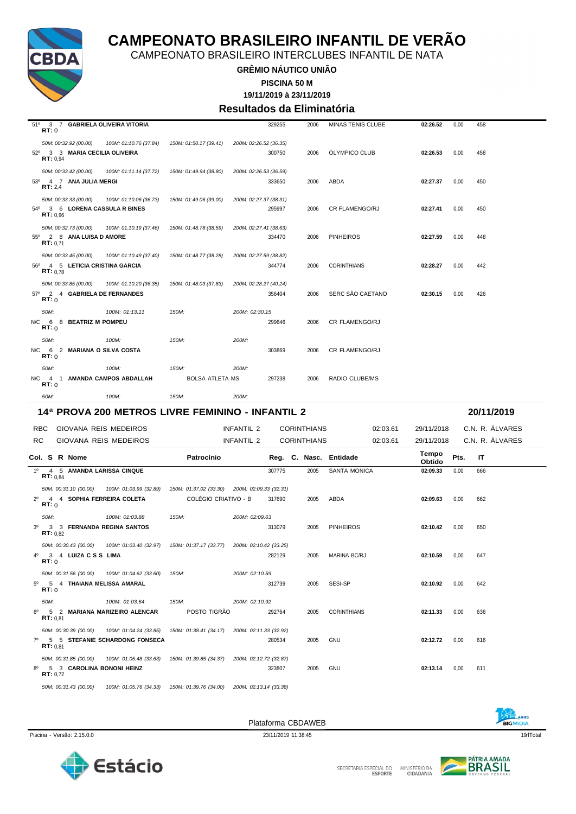

CAMPEONATO BRASILEIRO INTERCLUBES INFANTIL DE NATA

**GRÊMIO NÁUTICO UNIÃO**

**PISCINA 50 M**

**19/11/2019 à 23/11/2019**

#### **Resultados da Eliminatória**

| 51°<br>3 7 GABRIELA OLIVEIRA VITORIA<br>RT:0                         |                        |                                               |                        | 329255 | 2006               | MINAS TENIS CLUBE      |          | 02:26.52        | 0,00 | 458             |  |
|----------------------------------------------------------------------|------------------------|-----------------------------------------------|------------------------|--------|--------------------|------------------------|----------|-----------------|------|-----------------|--|
| 50M: 00:32.92 (00.00)                                                | 100M: 01:10.76 (37.84) | 150M: 01:50.17 (39.41)                        | 200M: 02:26.52 (36.35) |        |                    |                        |          |                 |      |                 |  |
| 52º 3 3 MARIA CECILIA OLIVEIRA<br>RT: 0.94                           |                        |                                               |                        | 300750 | 2006               | OLYMPICO CLUB          |          | 02:26.53        | 0,00 | 458             |  |
| 50M: 00:33.42 (00.00)                                                | 100M: 01:11.14 (37.72) | 150M: 01:49.94 (38.80)                        | 200M: 02:26.53 (36.59) |        |                    |                        |          |                 |      |                 |  |
| 53º 4 7 ANA JULIA MERGI<br>RT: 2.4                                   |                        |                                               |                        | 333650 | 2006               | ABDA                   |          | 02:27.37        | 0,00 | 450             |  |
| 50M: 00:33.33 (00.00)<br>54º 3 6 LORENA CASSULA R BINES<br>RT: 0.96  | 100M: 01:10.06 (36.73) | 150M: 01:49.06 (39.00)                        | 200M: 02:27.37 (38.31) | 295997 | 2006               | CR FLAMENGO/RJ         |          | 02:27.41        | 0,00 | 450             |  |
| 50M: 00:32.73 (00.00)<br>55º 2 8 ANA LUISA D AMORE<br>RT: 0.71       | 100M: 01:10.19 (37.46) | 150M: 01:48.78 (38.59)                        | 200M: 02:27.41 (38.63) | 334470 | 2006               | <b>PINHEIROS</b>       |          | 02:27.59        | 0,00 | 448             |  |
| 50M: 00:33.45 (00.00)<br>56º 4 5 LETICIA CRISTINA GARCIA<br>RT: 0.78 | 100M: 01:10.49 (37.40) | 150M: 01:48.77 (38.28)                        | 200M: 02:27.59 (38.82) | 344774 | 2006               | <b>CORINTHIANS</b>     |          | 02:28.27        | 0,00 | 442             |  |
| 50M: 00:33.85 (00.00)<br>57º 2 4 GABRIELA DE FERNANDES<br>RT: 0      | 100M: 01:10.20 (36.35) | 150M: 01:48.03 (37.83)                        | 200M: 02:28.27 (40.24) | 356404 | 2006               | SERC SÃO CAETANO       |          | 02:30.15        | 0,00 | 426             |  |
| 50M:                                                                 | 100M: 01:13.11         | 150M:                                         | 200M: 02:30.15         |        |                    |                        |          |                 |      |                 |  |
| N/C<br>6 8 BEATRIZ M POMPEU<br>RT: 0                                 |                        |                                               |                        | 299646 | 2006               | <b>CR FLAMENGO/RJ</b>  |          |                 |      |                 |  |
| 50M:                                                                 | 100M:                  | 150M:                                         | 200M:                  |        |                    |                        |          |                 |      |                 |  |
| N/C<br>6 2 MARIANA O SILVA COSTA<br>RT: 0                            |                        |                                               |                        | 303869 | 2006               | <b>CR FLAMENGO/RJ</b>  |          |                 |      |                 |  |
| 50M:                                                                 | 100M:                  | 150M:                                         | 200M:                  |        |                    |                        |          |                 |      |                 |  |
| N/C<br>4 1 AMANDA CAMPOS ABDALLAH<br>RT:0                            |                        | <b>BOLSA ATLETA MS</b>                        |                        | 297238 | 2006               | RADIO CLUBE/MS         |          |                 |      |                 |  |
| 50M:                                                                 | 100M:                  | 150M                                          | $200M$ :               |        |                    |                        |          |                 |      |                 |  |
| 14ª PROVA 200 METROS LIVRE FEMININO - INFANTIL 2                     |                        |                                               |                        |        |                    |                        |          |                 |      | 20/11/2019      |  |
| <b>RBC</b><br><b>GIOVANA REIS MEDEIROS</b>                           |                        |                                               | <b>INFANTIL 2</b>      |        | <b>CORINTHIANS</b> |                        | 02:03.61 | 29/11/2018      |      | C.N. R. ÁLVARES |  |
| RC                                                                   | GIOVANA REIS MEDEIROS  |                                               | <b>INFANTIL 2</b>      |        | <b>CORINTHIANS</b> |                        | 02:03.61 | 29/11/2018      |      | C.N. R. ÁLVARES |  |
| Col. S R Nome                                                        |                        | Patrocínio                                    |                        |        |                    | Reg. C. Nasc. Entidade |          | Tempo<br>Obtido | Pts. | ΙT              |  |
| $1^{\circ}$<br>4 5 AMANDA LARISSA CINQUE<br>RT: 0,84                 |                        |                                               |                        | 307775 | 2005               | <b>SANTA MONICA</b>    |          | 02:09.33        | 0,00 | 666             |  |
| 50M: 00:31.10 (00.00)                                                | 100M: 01:03.99 (32.89) | 150M: 01:37.02 (33.30) 200M: 02:09.33 (32.31) |                        |        |                    |                        |          |                 |      |                 |  |
| $2^{\circ}$<br>4 4 SOPHIA FERREIRA COLETA<br>RT: 0                   |                        | <b>COLÉGIO CRIATIVO - B</b>                   |                        | 317690 | 2005               | ABDA                   |          | 02:09.63        | 0,00 | 662             |  |
| 50M:                                                                 | 100M: 01:03.88         | 150M:                                         | 200M: 02:09.63         |        |                    |                        |          |                 |      |                 |  |
| 30<br>3 3 FERNANDA REGINA SANTOS<br>RT: 0.82                         |                        |                                               |                        | 313079 | 2005               |                        |          | 02:10.42        | 0.00 | 650             |  |
|                                                                      |                        |                                               |                        |        |                    | <b>PINHEIROS</b>       |          |                 |      |                 |  |

*50M: 00:31.43 (00.00) 100M: 01:05.76 (34.33) 150M: 01:39.76 (34.00) 200M: 02:13.14 (33.38)*

*50M: 00:31.56 (00.00) 100M: 01:04.62 (33.60) 150M: 200M: 02:10.59*

*50M: 100M: 01:03.64 150M: 200M: 02:10.92*

*50M: 00:30.39 (00.00) 100M: 01:04.24 (33.85) 150M: 01:38.41 (34.17) 200M: 02:11.33 (32.92)*

*50M: 00:31.85 (00.00) 100M: 01:05.48 (33.63) 150M: 01:39.85 (34.37) 200M: 02:12.72 (32.87)*

Piscina - Versão: 2.15.0.0 23/11/2019 11:38:45 19qrlTotal

**RT:** 0

Plataforma CBDAWEB



4º 3 4 **LUIZA C S S LIMA** 282129 2005 MARINA BC/RJ **02:10.59** 0,00 647 **RT:** 0

5º 5 4 **THAIANA MELISSA AMARAL** 312739 2005 SESI-SP **02:10.92** 0,00 642

6º 5 2 **MARIANA MARIZEIRO ALENCAR** POSTO TIGRÃO 292764 2005 CORINTHIANS **02:11.33** 0,00 636 **RT:** 0,81

7º 5 5 **STEFANIE SCHARDONG FONSECA** 280534 2005 GNU **02:12.72** 0,00 616 **RT:** 0,81

8º 5 3 **CAROLINA BONONI HEINZ** 323807 2005 GNU **02:13.14** 0,00 611 **RT:** 0,72



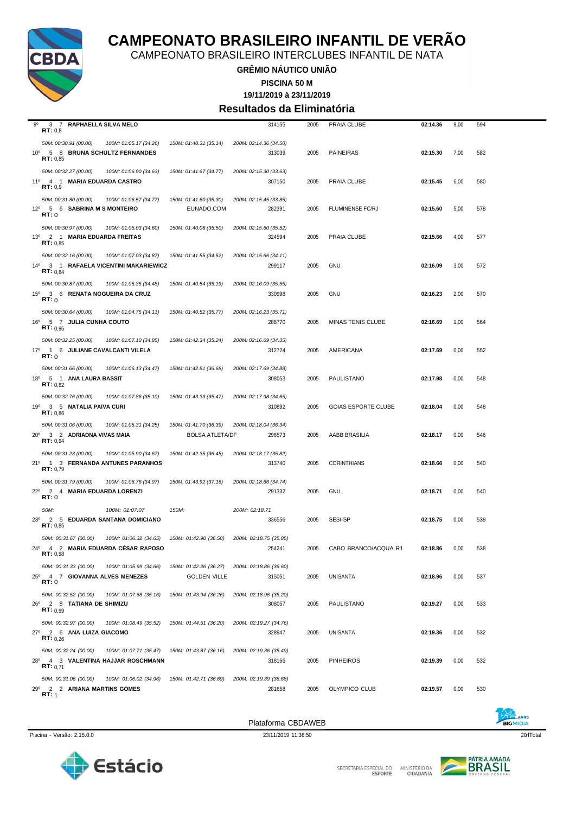

CAMPEONATO BRASILEIRO INTERCLUBES INFANTIL DE NATA

**GRÊMIO NÁUTICO UNIÃO**

**19/11/2019 à 23/11/2019 PISCINA 50 M**

### **Resultados da Eliminatória**

| $9^{\circ}$<br>3 7 RAPHAELLA SILVA MELO                                           |                                                                      | 314155                 | 2005 | PRAIA CLUBE                | 02:14.36 | 9,00 | 594 |
|-----------------------------------------------------------------------------------|----------------------------------------------------------------------|------------------------|------|----------------------------|----------|------|-----|
| RT: 0,8                                                                           |                                                                      |                        |      |                            |          |      |     |
| 50M: 00:30.91 (00.00)<br>100M: 01:05.17 (34.26)                                   | 150M: 01:40.31 (35.14)                                               | 200M: 02:14.36 (34.50) |      |                            |          |      |     |
| 5 8 BRUNA SCHULTZ FERNANDES<br>$10^{\circ}$<br>RT: 0,85                           |                                                                      | 313039                 | 2005 | <b>PAINEIRAS</b>           | 02:15.30 | 7,00 | 582 |
| 50M: 00:32.27 (00.00)<br>100M: 01:06.90 (34.63)                                   | 150M: 01:41.67 (34.77)                                               | 200M: 02:15.30 (33.63) |      |                            |          |      |     |
| 11º 4 1 MARIA EDUARDA CASTRO                                                      |                                                                      | 307150                 | 2005 | PRAIA CLUBE                | 02:15.45 | 6,00 | 580 |
| RT: 0.9                                                                           |                                                                      |                        |      |                            |          |      |     |
| 50M: 00:31.80 (00.00)<br>100M: 01:06.57 (34.77)                                   | 150M: 01:41.60 (35.30)                                               | 200M: 02:15.45 (33.85) |      |                            |          |      |     |
| 12º 5 6 SABRINA M S MONTEIRO<br>RT:0                                              | EUNADO.COM                                                           | 282391                 | 2005 | <b>FLUMINENSE FC/RJ</b>    | 02:15.60 | 5,00 | 578 |
|                                                                                   |                                                                      |                        |      |                            |          |      |     |
| 50M: 00:30.97 (00.00)<br>100M: 01:05.03 (34.60)<br>13º 2 1 MARIA EDUARDA FREITAS  | 150M: 01:40.08 (35.50)                                               | 200M: 02:15.60 (35.52) |      |                            |          |      |     |
| <b>RT:</b> $0.85$                                                                 |                                                                      | 324594                 | 2005 | PRAIA CLUBE                | 02:15.66 | 4,00 | 577 |
| 50M: 00:32.16 (00.00)<br>100M: 01:07.03 (34.87)                                   | 150M: 01:41.55 (34.52)                                               | 200M: 02:15.66 (34.11) |      |                            |          |      |     |
| 14º 3 1 RAFAELA VICENTINI MAKARIEWICZ                                             |                                                                      | 299117                 | 2005 | <b>GNU</b>                 | 02:16.09 | 3,00 | 572 |
| <b>RT:</b> $0.84$                                                                 |                                                                      |                        |      |                            |          |      |     |
| 50M: 00:30.87 (00.00)<br>100M: 01:05.35 (34.48)                                   | 150M: 01:40.54 (35.19)                                               | 200M: 02:16.09 (35.55) |      |                            |          |      |     |
| 15º 3 6 RENATA NOGUEIRA DA CRUZ<br>RT:0                                           |                                                                      | 330998                 | 2005 | <b>GNU</b>                 | 02:16.23 | 2,00 | 570 |
| 50M: 00:30.64 (00.00)<br>100M: 01:04.75 (34.11)                                   | 150M: 01:40.52 (35.77)                                               | 200M: 02:16.23 (35.71) |      |                            |          |      |     |
| 16 <sup>0</sup> 5 7 JULIA CUNHA COUTO                                             |                                                                      | 288770                 | 2005 | MINAS TENIS CLUBE          | 02:16.69 | 1,00 | 564 |
| RT: 0.96                                                                          |                                                                      |                        |      |                            |          |      |     |
| 50M: 00:32.25 (00.00)<br>100M: 01:07.10 (34.85)                                   | 150M: 01:42.34 (35.24)                                               | 200M: 02:16.69 (34.35) |      |                            |          |      |     |
| 17º 1 6 JULIANE CAVALCANTI VILELA                                                 |                                                                      | 312724                 | 2005 | AMERICANA                  | 02:17.69 | 0,00 | 552 |
| RT:0                                                                              |                                                                      |                        |      |                            |          |      |     |
| 50M: 00:31.66 (00.00)<br>100M: 01:06.13 (34.47)                                   | 150M: 01:42.81 (36.68)                                               | 200M: 02:17.69 (34.88) |      |                            |          |      |     |
| 18º 5 1 ANA LAURA BASSIT<br>RT: 0.82                                              |                                                                      | 308053                 | 2005 | PAULISTANO                 | 02:17.98 | 0,00 | 548 |
| 50M: 00:32.76 (00.00)<br>100M: 01:07.86 (35.10)                                   | 150M: 01:43.33 (35.47)                                               | 200M: 02:17.98 (34.65) |      |                            |          |      |     |
| 19 <sup>o</sup><br>3 5 NATALIA PAIVA CURI                                         |                                                                      | 310892                 | 2005 | <b>GOIAS ESPORTE CLUBE</b> | 02:18.04 | 0,00 | 548 |
| RT: 0,86                                                                          |                                                                      |                        |      |                            |          |      |     |
| 50M: 00:31.06 (00.00)<br>100M: 01:05.31 (34.25)                                   | 150M: 01:41.70 (36.39)                                               | 200M: 02:18.04 (36.34) |      |                            |          |      |     |
| 20° 3 2 ADRIADNA VIVAS MAIA<br>RT: 0,94                                           | <b>BOLSA ATLETA/DF</b>                                               | 296573                 | 2005 | AABB BRASILIA              | 02:18.17 | 0,00 | 546 |
| 50M: 00:31.23 (00.00)<br>100M: 01:05.90 (34.67)                                   | 150M: 01:42.35 (36.45)                                               | 200M: 02:18.17 (35.82) |      |                            |          |      |     |
| 21º 1 3 FERNANDA ANTUNES PARANHOS                                                 |                                                                      | 313740                 | 2005 | <b>CORINTHIANS</b>         | 02:18.66 | 0,00 | 540 |
| RT: 0,79                                                                          |                                                                      |                        |      |                            |          |      |     |
| 50M: 00:31.79 (00.00)<br>100M: 01:06.76 (34.97)                                   | 150M: 01:43.92 (37.16)                                               | 200M: 02:18.66 (34.74) |      |                            |          |      |     |
| 22º 2 4 MARIA EDUARDA LORENZI<br>RT:0                                             |                                                                      | 291332                 | 2005 | GNU                        | 02:18.71 | 0,00 | 540 |
| 100M: 01:07.07<br>50M:                                                            | 150M:                                                                | 200M: 02:18.71         |      |                            |          |      |     |
| 23º 2 5 EDUARDA SANTANA DOMICIANO                                                 |                                                                      | 336556                 | 2005 | SESI-SP                    | 02:18.75 | 0,00 | 539 |
| RT: 0,85                                                                          |                                                                      |                        |      |                            |          |      |     |
| 50M: 00:31.67 (00.00)<br>100M: 01:06.32 (34.65)                                   | 150M: 01:42.90 (36.58)                                               | 200M: 02:18.75 (35.85) |      |                            |          |      |     |
| 24º 4 2 MARIA EDUARDA CÉSAR RAPOSO<br>RT: 0,98                                    |                                                                      | 254241                 | 2005 | CABO BRANCO/ACQUA R1       | 02:18.86 | 0,00 | 538 |
|                                                                                   |                                                                      |                        |      |                            |          |      |     |
| 50M: 00:31.33 (00.00)<br>100M: 01:05.99 (34.66)<br>25º 4 7 GIOVANNA ALVES MENEZES | 150M: 01:42.26 (36.27) 200M: 02:18.86 (36.60)<br><b>GOLDEN VILLE</b> | 315051                 | 2005 | <b>UNISANTA</b>            | 02:18.96 |      | 537 |
| RT:0                                                                              |                                                                      |                        |      |                            |          | 0,00 |     |
| 50M: 00:32.52 (00.00)<br>100M: 01:07.68 (35.16)                                   | 150M: 01:43.94 (36.26)                                               | 200M: 02:18.96 (35.20) |      |                            |          |      |     |
| 26º 2 8 TATIANA DE SHIMIZU                                                        |                                                                      | 308057                 | 2005 | PAULISTANO                 | 02:19.27 | 0,00 | 533 |
| RT: 0.99                                                                          |                                                                      |                        |      |                            |          |      |     |
| 50M: 00:32.97 (00.00)<br>100M: 01:08.49 (35.52)                                   | 150M: 01:44.51 (36.20)                                               | 200M: 02:19.27 (34.76) |      |                            |          |      |     |
| 27º 2 6 ANA LUIZA GIACOMO<br>RT: 0.26                                             |                                                                      | 328947                 | 2005 | UNISANTA                   | 02:19.36 | 0,00 | 532 |
| 50M: 00:32.24 (00.00)<br>100M: 01:07.71 (35.47)                                   | 150M: 01:43.87 (36.16)                                               | 200M: 02:19.36 (35.49) |      |                            |          |      |     |
| 28º 4 3 VALENTINA HAJJAR ROSCHMANN                                                |                                                                      | 318166                 | 2005 | <b>PINHEIROS</b>           | 02:19.39 | 0,00 | 532 |
| <b>RT:</b> $0,71$                                                                 |                                                                      |                        |      |                            |          |      |     |
| 50M: 00:31.06 (00.00)<br>100M: 01:06.02 (34.96)                                   | 150M: 01:42.71 (36.69)                                               | 200M: 02:19.39 (36.68) |      |                            |          |      |     |
| 29º 2 2 ARIANA MARTINS GOMES<br>RT: 1                                             |                                                                      | 281658                 | 2005 | OLYMPICO CLUB              | 02:19.57 | 0,00 | 530 |





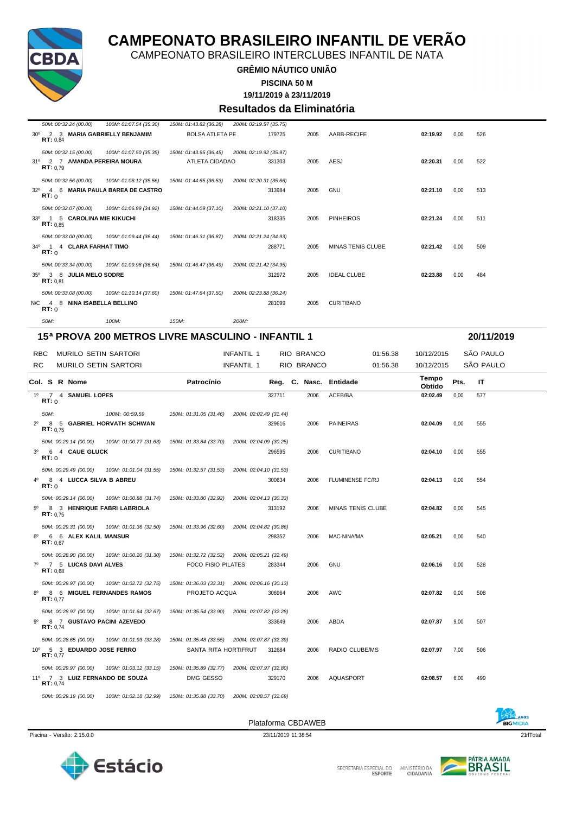

CAMPEONATO BRASILEIRO INTERCLUBES INFANTIL DE NATA

#### **GRÊMIO NÁUTICO UNIÃO**

#### **PISCINA 50 M**

**19/11/2019 à 23/11/2019**

#### **Resultados da Eliminatória**

| 50M: 00:32.24 (00.00)                   | 100M: 01:07.54 (35.30)          |                        | 150M: 01:43.82 (36.28) 200M: 02:19.57 (35.75) |      |                          |          |      |     |
|-----------------------------------------|---------------------------------|------------------------|-----------------------------------------------|------|--------------------------|----------|------|-----|
| $30^\circ$<br>RT: 0.84                  | 2 3 MARIA GABRIELLY BENJAMIM    | <b>BOLSA ATLETA PE</b> | 179725                                        | 2005 | AABB-RECIFE              | 02:19.92 | 0.00 | 526 |
| 50M: 00:32.15 (00.00)                   | 100M: 01:07.50 (35.35)          | 150M: 01:43.95 (36.45) | 200M: 02:19.92 (35.97)                        |      |                          |          |      |     |
| RT: 0.79                                | 31º 2 7 AMANDA PEREIRA MOURA    | <b>ATLETA CIDADAO</b>  | 331303                                        | 2005 | AESJ                     | 02:20.31 | 0.00 | 522 |
| 50M: 00:32.56 (00.00)                   | 100M: 01:08.12 (35.56)          | 150M: 01:44.65 (36.53) | 200M: 02:20.31 (35.66)                        |      |                          |          |      |     |
| $32^{\circ}$<br>RT: 0                   | 4 6 MARIA PAULA BAREA DE CASTRO |                        | 313984                                        | 2005 | <b>GNU</b>               | 02:21.10 | 0.00 | 513 |
| 50M: 00:32.07 (00.00)                   | 100M: 01:06.99 (34.92)          | 150M: 01:44.09 (37.10) | 200M: 02:21.10 (37.10)                        |      |                          |          |      |     |
| RT: 0.85                                | 33º 1 5 CAROLINA MIE KIKUCHI    |                        | 318335                                        | 2005 | <b>PINHEIROS</b>         | 02:21.24 | 0,00 | 511 |
| 50M: 00:33.00 (00.00)                   | 100M: 01:09.44 (36.44)          | 150M: 01:46.31 (36.87) | 200M: 02:21.24 (34.93)                        |      |                          |          |      |     |
| $34^{\circ}$<br>$\overline{1}$<br>RT: 0 | 4 CLARA FARHAT TIMO             |                        | 288771                                        | 2005 | <b>MINAS TENIS CLUBE</b> | 02:21.42 | 0.00 | 509 |
| 50M: 00:33.34 (00.00)                   | 100M: 01:09.98 (36.64)          | 150M: 01:46.47 (36.49) | 200M: 02:21.42 (34.95)                        |      |                          |          |      |     |
| $35^{\circ}$<br>RT: 0.81                | 3 8 JULIA MELO SODRE            |                        | 312972                                        | 2005 | <b>IDEAL CLUBE</b>       | 02:23.88 | 0.00 | 484 |
| 50M: 00:33.08 (00.00)                   | 100M: 01:10.14 (37.60)          | 150M: 01:47.64 (37.50) | 200M: 02:23.88 (36.24)                        |      |                          |          |      |     |
| RT:0                                    | N/C 4 8 NINA ISABELLA BELLINO   |                        | 281099                                        | 2005 | <b>CURITIBANO</b>        |          |      |     |
| 50M:                                    | 100M:                           | 150M:                  | 200M:                                         |      |                          |          |      |     |

#### **15ª PROVA 200 METROS LIVRE MASCULINO - INFANTIL 1 20/11/2019**

| <b>RBC</b>  |                  | MURILO SETIN SARTORI                                |                                                                               |                                                                                                     | <b>INFANTIL 1</b>      |        | RIO BRANCO | 01:56.38               | 10/12/2015      |      | SÃO PAULO |  |
|-------------|------------------|-----------------------------------------------------|-------------------------------------------------------------------------------|-----------------------------------------------------------------------------------------------------|------------------------|--------|------------|------------------------|-----------------|------|-----------|--|
| <b>RC</b>   |                  | <b>MURILO SETIN SARTORI</b>                         |                                                                               |                                                                                                     | <b>INFANTIL 1</b>      |        | RIO BRANCO | 01:56.38               | 10/12/2015      |      | SÃO PAULO |  |
|             |                  | Col. S R Nome                                       |                                                                               | Patrocínio                                                                                          |                        |        |            | Reg. C. Nasc. Entidade | Tempo<br>Obtido | Pts. | IT.       |  |
|             | RT: 0            | 1º 7 4 SAMUEL LOPES                                 |                                                                               |                                                                                                     |                        | 327711 | 2006       | ACEB/BA                | 02:02.49        | 0,00 | 577       |  |
| $2^{\circ}$ | 50M:<br>RT: 0.75 |                                                     | 100M: 00:59.59<br>8 5 GABRIEL HORVATH SCHWAN                                  | 150M: 01:31.05 (31.46)                                                                              | 200M: 02:02.49 (31.44) | 329616 | 2006       | <b>PAINEIRAS</b>       | 02:04.09        | 0,00 | 555       |  |
|             | RT: 0            | 50M: 00:29.14 (00.00)<br>3º 6 4 CAUE GLUCK          |                                                                               | 100M: 01:00.77 (31.63)  150M: 01:33.84 (33.70)                                                      | 200M: 02:04.09 (30.25) | 296595 | 2006       | <b>CURITIBANO</b>      | 02:04.10        | 0.00 | 555       |  |
| $4^{\circ}$ | RT: 0            | 50M: 00:29.49 (00.00)<br>8 4 LUCCA SILVA B ABREU    |                                                                               | 100M: 01:01.04 (31.55) 150M: 01:32.57 (31.53) 200M: 02:04.10 (31.53)                                |                        | 300634 | 2006       | FLUMINENSE FC/RJ       | 02:04.13        | 0,00 | 554       |  |
| $5^{\circ}$ | RT: 0.75         | 50M: 00:29.14 (00.00)                               | 100M: 01:00.88 (31.74)  150M: 01:33.80 (32.92)<br>8 3 HENRIQUE FABRI LABRIOLA |                                                                                                     | 200M: 02:04.13 (30.33) | 313192 | 2006       | MINAS TENIS CLUBE      | 02:04.82        | 0,00 | 545       |  |
| 60          | RT: 0.67         | 50M: 00:29.31 (00.00)<br>6 6 ALEX KALIL MANSUR      | 100M: 01:01.36 (32.50)  150M: 01:33.96 (32.60)                                |                                                                                                     | 200M: 02:04.82 (30.86) | 298352 | 2006       | MAC-NINA/MA            | 02:05.21        | 0,00 | 540       |  |
| $7^{\circ}$ | RT: 0.68         | 50M: 00:28.90 (00.00)<br>7 5 LUCAS DAVI ALVES       |                                                                               | 100M: 01:00.20 (31.30)  150M: 01:32.72 (32.52)  200M: 02:05.21 (32.49)<br><b>FOCO FISIO PILATES</b> |                        | 283344 | 2006       | <b>GNU</b>             | 02:06.16        | 0.00 | 528       |  |
| $8^{\circ}$ | RT: 0.77         | 50M: 00:29.97 (00.00)                               | 100M: 01:02.72 (32.75)<br>8 6 MIGUEL FERNANDES RAMOS                          | 150M: 01:36.03 (33.31) 200M: 02:06.16 (30.13)<br>PROJETO ACQUA                                      |                        | 306964 | 2006       | AWC                    | 02:07.82        | 0,00 | 508       |  |
| 90          | RT: 0.74         | 50M: 00:28.97 (00.00)                               | 100M: 01:01.64 (32.67)<br>8 7 GUSTAVO PACINI AZEVEDO                          | 150M: 01:35.54 (33.90) 200M: 02:07.82 (32.28)                                                       |                        | 333649 | 2006       | ABDA                   | 02:07.87        | 9,00 | 507       |  |
|             | RT: 0.77         | 50M: 00:28.65 (00.00)<br>10º 5 3 EDUARDO JOSE FERRO | 100M: 01:01.93 (33.28)                                                        | 150M: 01:35.48 (33.55) 200M: 02:07.87 (32.39)<br>SANTA RITA HORTIFRUT                               |                        | 312684 | 2006       | RADIO CLUBE/MS         | 02:07.97        | 7,00 | 506       |  |
|             | RT: 0.74         | 50M: 00:29.97 (00.00)                               | 100M: 01:03.12 (33.15)<br>11º 7 3 LUIZ FERNANDO DE SOUZA                      | 150M: 01:35.89 (32.77)<br>DMG GESSO                                                                 | 200M: 02:07.97 (32.80) | 329170 | 2006       | AQUASPORT              | 02:08.57        | 6.00 | 499       |  |
|             |                  | 50M: 00:29.19 (00.00)                               |                                                                               | 100M: 01:02.18 (32.99) 150M: 01:35.88 (33.70) 200M: 02:08.57 (32.69)                                |                        |        |            |                        |                 |      |           |  |

Piscina - Versão: 2.15.0.0 23/11/2019 11:38:54 21rlTotal 23/11/2019 11:38:54 21rlTotal 21rlTotal 21rlTotal 21rlTotal 21rlTotal 21rlTotal 21rlTotal 21rlTotal 21rlTotal 21rlTotal 21rlTotal 21rlTotal 21rlTotal 21rlTotal 21rlT





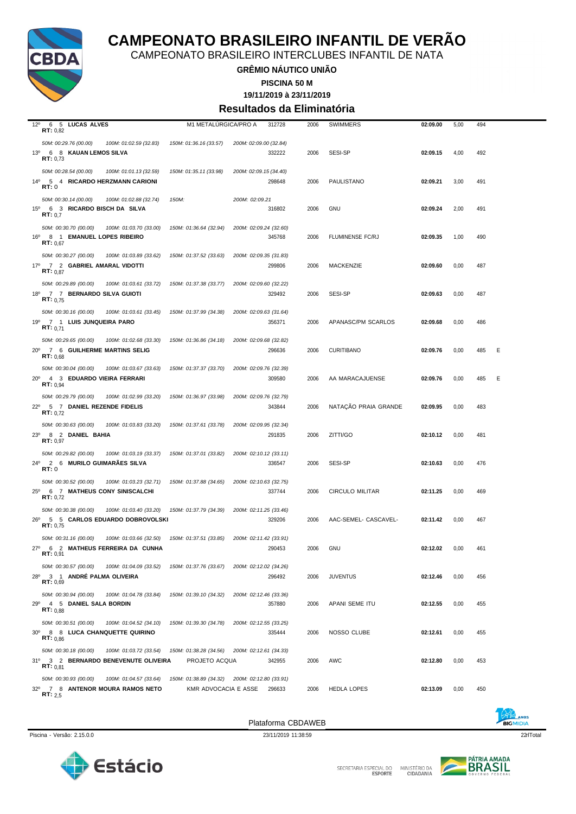

CAMPEONATO BRASILEIRO INTERCLUBES INFANTIL DE NATA

**GRÊMIO NÁUTICO UNIÃO**

**PISCINA 50 M**

**19/11/2019 à 23/11/2019**

#### **Resultados da Eliminatória**

| $12^{\circ}$<br><b>6 5 LUCAS ALVES</b><br>RT: 0,82                                                            | M1 METALURGICA/PRO A                                                  |                        | 312728 | 2006 | <b>SWIMMERS</b>         | 02:09.00 | 5,00 | 494 |   |
|---------------------------------------------------------------------------------------------------------------|-----------------------------------------------------------------------|------------------------|--------|------|-------------------------|----------|------|-----|---|
| 50M: 00:29.76 (00.00)<br>100M: 01:02.59 (32.83)<br>13º 6 8 KAUAN LEMOS SILVA<br>RT: 0,73                      | 150M: 01:36.16 (33.57)                                                | 200M: 02:09.00 (32.84) | 332222 | 2006 | SESI-SP                 | 02:09.15 | 4,00 | 492 |   |
| 50M: 00:28.54 (00.00)<br>100M: 01:01.13 (32.59)<br>14º 5 4 RICARDO HERZMANN CARIONI<br><b>RT:</b> 0           | 150M: 01:35.11 (33.98)                                                | 200M: 02:09.15 (34.40) | 298648 | 2006 | PAULISTANO              | 02:09.21 | 3,00 | 491 |   |
| 50M: 00:30.14 (00.00)<br>100M: 01:02.88 (32.74)<br>15 <sup>0</sup> 6 3 RICARDO BISCH DA SILVA<br>RT: 0.7      | 150M:                                                                 | 200M: 02:09.21         | 316802 | 2006 | GNU                     | 02:09.24 | 2,00 | 491 |   |
| 50M: 00:30.70 (00.00)<br>100M: 01:03.70 (33.00)<br>16º 8 1 EMANUEL LOPES RIBEIRO<br>RT: 0,67                  | 150M: 01:36.64 (32.94)                                                | 200M: 02:09.24 (32.60) | 345768 | 2006 | <b>FLUMINENSE FC/RJ</b> | 02:09.35 | 1,00 | 490 |   |
| 50M: 00:30.27 (00.00)<br>100M: 01:03.89 (33.62)<br>17º 7 2 GABRIEL AMARAL VIDOTTI<br>RT: 0.87                 | 150M: 01:37.52 (33.63)                                                | 200M: 02:09.35 (31.83) | 299806 | 2006 | <b>MACKENZIE</b>        | 02:09.60 | 0,00 | 487 |   |
| 50M: 00:29.89 (00.00)<br>100M: 01:03.61 (33.72)<br>18º 7 7 BERNARDO SILVA GUIOTI<br>RT: 0.75                  | 150M: 01:37.38 (33.77)                                                | 200M: 02:09.60 (32.22) | 329492 | 2006 | <b>SESI-SP</b>          | 02:09.63 | 0,00 | 487 |   |
| 50M: 00:30.16 (00.00)<br>100M: 01:03.61 (33.45)<br>19º 7 1 LUIS JUNQUEIRA PARO<br><b>RT:</b> $0,71$           | 150M: 01:37.99 (34.38)                                                | 200M: 02:09.63 (31.64) | 356371 | 2006 | APANASC/PM SCARLOS      | 02:09.68 | 0,00 | 486 |   |
| 50M: 00:29.65 (00.00)<br>100M: 01:02.68 (33.30)<br>20° 7 6 GUILHERME MARTINS SELIG<br>RT: 0.68                | 150M: 01:36.86 (34.18)                                                | 200M: 02:09.68 (32.82) | 296636 | 2006 | <b>CURITIBANO</b>       | 02:09.76 | 0,00 | 485 | Ε |
| 50M: 00:30.04 (00.00)<br>100M: 01:03.67 (33.63)<br>$20^{\circ}$<br>4 3 EDUARDO VIEIRA FERRARI<br>RT: 0.94     | 150M: 01:37.37 (33.70)                                                | 200M: 02:09.76 (32.39) | 309580 | 2006 | AA MARACAJUENSE         | 02:09.76 | 0,00 | 485 | Ε |
| 50M: 00:29.79 (00.00)<br>100M: 01:02.99 (33.20)<br>22º 5 7 DANIEL REZENDE FIDELIS<br>RT: 0.72                 | 150M: 01:36.97 (33.98)                                                | 200M: 02:09.76 (32.79) | 343844 | 2006 | NATAÇÃO PRAIA GRANDE    | 02:09.95 | 0,00 | 483 |   |
| 50M: 00:30.63 (00.00)<br>100M: 01:03.83 (33.20)<br>23º 8 2 DANIEL BAHIA<br>RT: 0,97                           | 150M: 01:37.61 (33.78)                                                | 200M: 02:09.95 (32.34) | 291835 | 2006 | ZITTI/GO                | 02:10.12 | 0,00 | 481 |   |
| 100M: 01:03.19 (33.37)<br>50M: 00:29.82 (00.00)<br>24º 2 6 MURILO GUIMARAES SILVA<br>RT:0                     | 150M: 01:37.01 (33.82)                                                | 200M: 02:10.12 (33.11) | 336547 | 2006 | <b>SESI-SP</b>          | 02:10.63 | 0,00 | 476 |   |
| 50M: 00:30.52 (00.00)<br>100M: 01:03.23 (32.71)<br>25º 6 7 MATHEUS CONY SINISCALCHI<br><b>RT:</b> $0,72$      | 150M: 01:37.88 (34.65)                                                | 200M: 02:10.63 (32.75) | 337744 | 2006 | <b>CIRCULO MILITAR</b>  | 02:11.25 | 0,00 | 469 |   |
| 50M: 00:30.38 (00.00)<br>100M: 01:03.40 (33.20)<br>5 5 CARLOS EDUARDO DOBROVOLSKI<br>$26^{\circ}$<br>RT: 0,75 | 150M: 01:37.79 (34.39)                                                | 200M: 02:11.25 (33.46) | 329206 | 2006 | AAC-SEMEL- CASCAVEL-    | 02:11.42 | 0,00 | 467 |   |
| 50M: 00:31.16 (00.00)<br>100M: 01:03.66 (32.50)<br>27º 6 2 MATHEUS FERREIRA DA CUNHA<br>RT: 0.91              | 150M: 01:37.51 (33.85)                                                | 200M: 02:11.42 (33.91) | 290453 | 2006 | GNU                     | 02:12.02 | 0,00 | 461 |   |
| 50M: 00:30.57 (00.00)<br>100M: 01:04.09 (33.52)<br>28º 3 1 ANDRÉ PALMA OLIVEIRA<br>RT: 0,69                   | 150M: 01:37.76 (33.67)                                                | 200M: 02:12.02 (34.26) | 296492 | 2006 | <b>JUVENTUS</b>         | 02:12.46 | 0,00 | 456 |   |
| 50M: 00:30.94 (00.00)<br>100M: 01:04.78 (33.84)<br>29º 4 5 DANIEL SALA BORDIN<br>RT: 0.88                     | 150M: 01:39.10 (34.32)                                                | 200M: 02:12.46 (33.36) | 357880 | 2006 | APANI SEME ITU          | 02:12.55 | 0,00 | 455 |   |
| 50M: 00:30.51 (00.00)<br>100M: 01:04.52 (34.10)<br>30° 8 8 LUCA CHANQUETTE QUIRINO<br>RT: 0.86                | 150M: 01:39.30 (34.78)                                                | 200M: 02:12.55 (33.25) | 335444 | 2006 | NOSSO CLUBE             | 02:12.61 | 0,00 | 455 |   |
| 50M: 00:30.18 (00.00)<br>100M: 01:03.72 (33.54)<br>31º 3 2 BERNARDO BENEVENUTE OLIVEIRA<br>RT: 0.81           | 150M: 01:38.28 (34.56)<br>PROJETO ACQUA                               | 200M: 02:12.61 (34.33) | 342955 | 2006 | AWC                     | 02:12.80 | 0,00 | 453 |   |
| 50M: 00:30.93 (00.00)<br>100M: 01:04.57 (33.64)<br>32º 7 8 ANTENOR MOURA RAMOS NETO<br>RT: 2.5                | 150M: 01:38.89 (34.32) 200M: 02:12.80 (33.91)<br>KMR ADVOCACIA E ASSE |                        | 296633 | 2006 | <b>HEDLA LOPES</b>      | 02:13.09 | 0,00 | 450 |   |





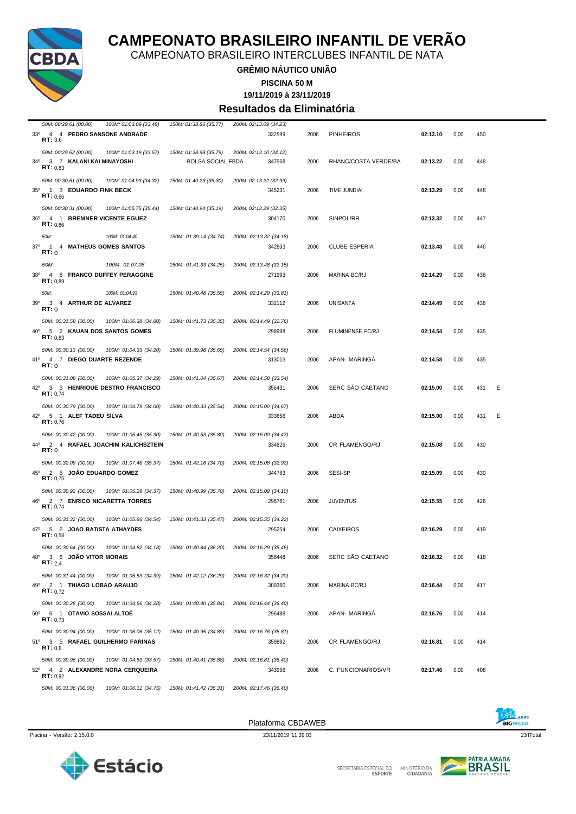

CAMPEONATO BRASILEIRO INTERCLUBES INFANTIL DE NATA

### **GRÊMIO NÁUTICO UNIÃO**

**PISCINA 50 M**

**19/11/2019 à 23/11/2019**

#### **Resultados da Eliminatória**

| 50M: 00:29.61 (00.00)<br>100M: 01:03.09 (33.48) | 150M: 01:38.86 (35.77)   | 200M: 02:13.09 (34.23) |      |                      |          |      |     |   |
|-------------------------------------------------|--------------------------|------------------------|------|----------------------|----------|------|-----|---|
| 33º 4 4 PEDRO SANSONE ANDRADE                   |                          | 332599                 | 2006 | <b>PINHEIROS</b>     | 02:13.10 | 0,00 | 450 |   |
| RT: 3.6                                         |                          |                        |      |                      |          |      |     |   |
| 50M: 00:29.62 (00.00)<br>100M: 01:03.19 (33.57) | 150M: 01:38.98 (35.79)   | 200M: 02:13.10 (34.12) |      |                      |          |      |     |   |
| 3 7 KALANI KAI MINAYOSHI<br>34°                 | <b>BOLSA SOCIAL FBDA</b> | 347568                 | 2006 | RHANC/COSTA VERDE/BA | 02:13.22 | 0,00 | 448 |   |
| RT: 0.83                                        |                          |                        |      |                      |          |      |     |   |
| 50M: 00:30.61 (00.00)<br>100M: 01:04.93 (34.32) | 150M: 01:40.23 (35.30)   | 200M: 02:13.22 (32.99) |      |                      |          |      |     |   |
| 35º 1 3 EDUARDO FINK BECK                       |                          | 345231                 | 2006 | TIME JUNDIAI         | 02:13.29 | 0,00 | 448 |   |
| RT: 0.66                                        |                          |                        |      |                      |          |      |     |   |
| 50M: 00:30.31 (00.00)<br>100M: 01:05.75 (35.44) | 150M: 01:40.94 (35.19)   | 200M: 02:13.29 (32.35) |      |                      |          |      |     |   |
| 36º 4 1 BREMNER VICENTE EGUEZ                   |                          | 304170                 | 2006 | SINPOL/RR            | 02:13.32 | 0,00 | 447 |   |
| RT: 0.86                                        |                          |                        |      |                      |          |      |     |   |
| 50M:<br>100M: 01:04.40                          | 150M: 01:39.14 (34.74)   | 200M: 02:13.32 (34.18) |      |                      |          |      |     |   |
| 37°<br>$\overline{1}$<br>4 MATHEUS GOMES SANTOS |                          | 342833                 | 2006 | <b>CLUBE ESPERIA</b> | 02:13.48 | 0,00 | 446 |   |
| RT:0                                            |                          |                        |      |                      |          |      |     |   |
| 50M:<br>100M: 01:07.08                          | 150M: 01:41.33 (34.25)   | 200M: 02:13.48 (32.15) |      |                      |          |      |     |   |
| 4 8 FRANCO DUFFEY PERAGGINE<br>38°              |                          | 271993                 | 2006 | MARINA BC/RJ         | 02:14.29 | 0,00 | 438 |   |
| RT: 0.89                                        |                          |                        |      |                      |          |      |     |   |
| 50M:<br>100M: 01:04.93                          | 150M: 01:40.48 (35.55)   | 200M: 02:14.29 (33.81) |      |                      |          |      |     |   |
| 39°<br>3 4 ARTHUR DE ALVAREZ                    |                          | 332112                 | 2006 | UNISANTA             | 02:14.49 | 0,00 | 436 |   |
| RT:0                                            |                          |                        |      |                      |          |      |     |   |
| 50M: 00:31.58 (00.00)<br>100M: 01:06.38 (34.80) | 150M: 01:41.73 (35.35)   | 200M: 02:14.49 (32.76) |      |                      |          |      |     |   |
| 40° 5 2 KAUAN DOS SANTOS GOMES                  |                          | 298998                 | 2006 | FLUMINENSE FC/RJ     | 02:14.54 | 0,00 | 435 |   |
| RT: 0.83                                        |                          |                        |      |                      |          |      |     |   |
| 50M: 00:30.13 (00.00)<br>100M: 01:04.33 (34.20) | 150M: 01:39.98 (35.65)   | 200M: 02:14.54 (34.56) |      |                      |          |      |     |   |
| 41°<br>4 7 DIEGO DUARTE REZENDE<br>RT:0         |                          | 313013                 | 2006 | APAN- MARINGA        | 02:14.58 | 0,00 | 435 |   |
|                                                 |                          |                        |      |                      |          |      |     |   |
| 50M: 00:31.08 (00.00)<br>100M: 01:05.37 (34.29) | 150M: 01:41.04 (35.67)   | 200M: 02:14.58 (33.54) |      |                      |          |      |     |   |
| 42º 3 3 HENRIQUE DESTRO FRANCISCO<br>RT: 0,74   |                          | 356431                 | 2006 | SERC SÃO CAETANO     | 02:15.00 | 0,00 | 431 | Е |
|                                                 |                          |                        |      |                      |          |      |     |   |
| 50M: 00:30.79 (00.00)<br>100M: 01:04.79 (34.00) | 150M: 01:40.33 (35.54)   | 200M: 02:15.00 (34.67) |      |                      |          |      |     |   |
| 42º 5 1 ALEF TADEU SILVA<br>RT: 0,76            |                          | 333656                 | 2006 | ABDA                 | 02:15.00 | 0,00 | 431 | Ε |
| 50M: 00:30.42 (00.00)<br>100M: 01:05.45 (35.30) | 150M: 01:40.53 (35.80)   | 200M: 02:15.00 (34.47) |      |                      |          |      |     |   |
| 2 4 RAFAEL JOACHIM KALICHSZTEIN<br>44°          |                          | 334826                 | 2006 | CR FLAMENGO/RJ       | 02:15.08 | 0,00 | 430 |   |
| RT:0                                            |                          |                        |      |                      |          |      |     |   |
| 50M: 00:32.09 (00.00)<br>100M: 01:07.46 (35.37) | 150M: 01:42.16 (34.70)   | 200M: 02:15.08 (32.92) |      |                      |          |      |     |   |
| 45º 2 5 JOAO EDUARDO GOMEZ                      |                          | 344783                 | 2006 | <b>SESI-SP</b>       | 02:15.09 | 0,00 | 430 |   |
| RT: 0,75                                        |                          |                        |      |                      |          |      |     |   |
| 50M: 00:30.92 (00.00)<br>100M: 01:05.29 (34.37) | 150M: 01:40.99 (35.70)   | 200M: 02:15.09 (34.10) |      |                      |          |      |     |   |
| 46°<br>2 7 ENRICO NICARETTA TORRES              |                          | 296761                 | 2006 | <b>JUVENTUS</b>      | 02:15.55 | 0,00 | 426 |   |
| RT: 0,74                                        |                          |                        |      |                      |          |      |     |   |
| 50M: 00:31.32 (00.00)<br>100M: 01:05.86 (34.54) | 150M: 01:41.33 (35.47)   | 200M: 02:15.55 (34.22) |      |                      |          |      |     |   |
| 47º 5 6 JOAO BATISTA ATHAYDES                   |                          | 295254                 | 2006 | <b>CAIXEIROS</b>     | 02:16.29 | 0,00 | 419 |   |
| RT: 0,58                                        |                          |                        |      |                      |          |      |     |   |
| 50M: 00:30.64 (00.00)<br>100M: 01:04.82 (34.18) | 150M: 01:40.84 (36.20)   | 200M: 02:16.29 (35.45) |      |                      |          |      |     |   |
| 3 6 JOÃO VITOR MORAIS<br>48°                    |                          | 356448                 | 2006 | SERC SÃO CAETANO     | 02:16.32 | 0,00 | 418 |   |
| <b>RT:</b> 2.4                                  |                          |                        |      |                      |          |      |     |   |
| 50M: 00:31.44 (00.00)<br>100M: 01:05.83 (34.39) | 150M: 01:42.12 (36.29)   | 200M: 02:16.32 (34.20) |      |                      |          |      |     |   |
| 49º 2 1 THIAGO LOBAO ARAUJO<br>RT: 0.72         |                          | 300360                 | 2006 | <b>MARINA BC/RJ</b>  | 02:16.44 | 0,00 | 417 |   |
|                                                 |                          |                        |      |                      |          |      |     |   |
| 50M: 00:30.28 (00.00)<br>100M: 01:04.56 (34.28) | 150M: 01:40.40 (35.84)   | 200M: 02:16.44 (36.40) |      |                      |          |      |     |   |
| 50° 6 1 OTAVIO SOSSAI ALTOE<br>RT: 0.73         |                          | 296488                 | 2006 | APAN- MARINGA        | 02:16.76 | 0,00 | 414 |   |
|                                                 |                          |                        |      |                      |          |      |     |   |
| 50M: 00:30.94 (00.00)<br>100M: 01:06.06 (35.12) | 150M: 01:40.95 (34.89)   | 200M: 02:16.76 (35.81) |      |                      |          |      |     |   |
| 51º 3 5 RAFAEL GUILHERMO FARINAS<br>RT: 0.8     |                          | 359892                 | 2006 | CR FLAMENGO/RJ       | 02:16.81 | 0,00 | 414 |   |
|                                                 |                          |                        |      |                      |          |      |     |   |
| 50M: 00:30.96 (00.00)<br>100M: 01:04.53 (33.57) | 150M: 01:40.41 (35.88)   | 200M: 02:16.81 (36.40) |      |                      |          |      |     |   |
| 4 2 ALEXANDRE NORA CERQUEIRA<br>52°<br>RT: 0.92 |                          | 343956                 | 2006 | C. FUNCIONARIOS/VR   | 02:17.46 | 0,00 | 408 |   |
| 50M: 00:31.36 (00.00)<br>100M: 01:06.11 (34.75) | 150M: 01:41.42 (35.31)   | 200M: 02:17.46 (36.40) |      |                      |          |      |     |   |
|                                                 |                          |                        |      |                      |          |      |     |   |







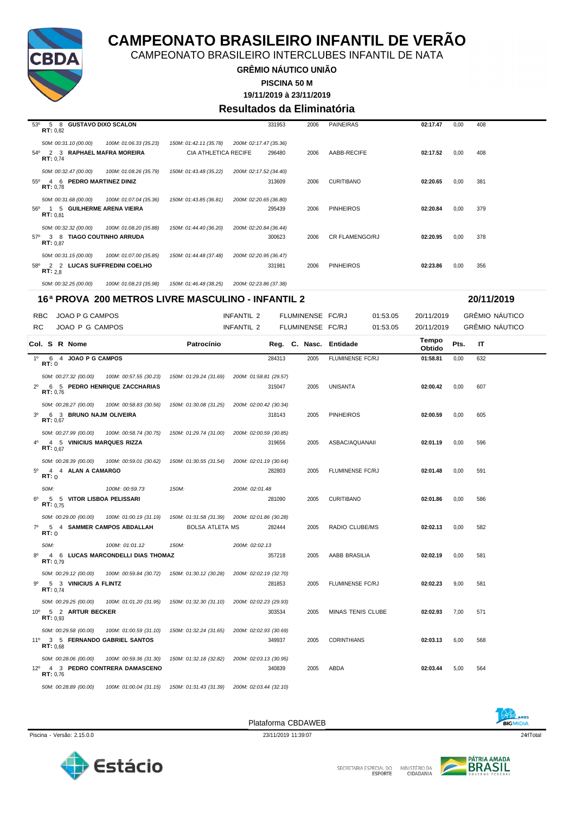

CAMPEONATO BRASILEIRO INTERCLUBES INFANTIL DE NATA

**GRÊMIO NÁUTICO UNIÃO**

**PISCINA 50 M**

**19/11/2019 à 23/11/2019**

#### **Resultados da Eliminatória**

| 0,00 | 408 |
|------|-----|
|      |     |
| 0,00 | 381 |
|      |     |
| 0,00 | 379 |
|      |     |
| 0,00 | 378 |
|      |     |
| 0,00 | 356 |
|      |     |

| 50M: 00:32.25 (00.00) | 100M: 01:08.23 (35.98) | 150M: 01:46.48 (38.25) | 200M: 02:23.86 (37.38) |
|-----------------------|------------------------|------------------------|------------------------|
|                       |                        |                        |                        |

|                | 16ª PROVA 200 METROS LIVRE MASCULINO - INFANTIL 2 |                   |  |                       |  |                                   |                                               |                |                        |  |                  | 20/11/2019               |          |                 |      |                       |  |
|----------------|---------------------------------------------------|-------------------|--|-----------------------|--|-----------------------------------|-----------------------------------------------|----------------|------------------------|--|------------------|--------------------------|----------|-----------------|------|-----------------------|--|
|                | <b>RBC</b>                                        |                   |  | JOAO P G CAMPOS       |  |                                   |                                               | INFANTIL 2     |                        |  | FLUMINENSE FC/RJ |                          | 01:53.05 | 20/11/2019      |      | GRÊMIO NÁUTICO        |  |
| <b>RC</b>      |                                                   |                   |  | JOAO P G CAMPOS       |  |                                   |                                               | INFANTIL 2     |                        |  | FLUMINENSE FC/RJ |                          | 01:53.05 | 20/11/2019      |      | <b>GRÊMIO NÁUTICO</b> |  |
|                |                                                   |                   |  | Col. S R Nome         |  |                                   | Patrocínio                                    |                |                        |  |                  | Reg. C. Nasc. Entidade   |          | Tempo<br>Obtido | Pts. | IT                    |  |
| $1^{\circ}$    | RT:0                                              |                   |  | 6 4 JOAO P G CAMPOS   |  |                                   |                                               |                | 284313                 |  | 2005             | FLUMINENSE FC/RJ         |          | 01:58.81        | 0,00 | 632                   |  |
|                |                                                   |                   |  | 50M: 00:27.32 (00.00) |  | 100M: 00:57.55 (30.23)            | 150M: 01:29.24 (31.69)                        |                | 200M: 01:58.81 (29.57) |  |                  |                          |          |                 |      |                       |  |
| $2^{\circ}$    |                                                   | RT: 0.76          |  |                       |  | 6 5 PEDRO HENRIQUE ZACCHARIAS     |                                               |                | 315047                 |  | 2005             | UNISANTA                 |          | 02:00.42        | 0,00 | 607                   |  |
|                |                                                   |                   |  | 50M: 00:28.27 (00.00) |  | 100M: 00:58.83 (30.56)            | 150M: 01:30.08 (31.25)                        |                | 200M: 02:00.42 (30.34) |  |                  |                          |          |                 |      |                       |  |
| 3 <sup>0</sup> |                                                   | RT: 0.67          |  |                       |  | 6 3 BRUNO NAJM OLIVEIRA           |                                               |                | 318143                 |  | 2005             | <b>PINHEIROS</b>         |          | 02:00.59        | 0.00 | 605                   |  |
|                |                                                   |                   |  | 50M: 00:27.99 (00.00) |  | 100M: 00:58.74 (30.75)            | 150M: 01:29.74 (31.00)                        |                | 200M: 02:00.59 (30.85) |  |                  |                          |          |                 |      |                       |  |
| 4 <sup>0</sup> |                                                   | RT: 0.67          |  |                       |  | 4 5 VINICIUS MARQUES RIZZA        |                                               |                | 319656                 |  | 2005             | ASBAC/AQUANAII           |          | 02:01.19        | 0,00 | 596                   |  |
|                |                                                   |                   |  | 50M: 00:28.39 (00.00) |  | 100M: 00:59.01 (30.62)            | 150M: 01:30.55 (31.54)                        |                | 200M: 02:01.19 (30.64) |  |                  |                          |          |                 |      |                       |  |
| $5^{\circ}$    | RT: 0                                             |                   |  | 4 4 ALAN A CAMARGO    |  |                                   |                                               |                | 282803                 |  | 2005             | FLUMINENSE FC/RJ         |          | 02:01.48        | 0,00 | 591                   |  |
|                | 50M:                                              |                   |  |                       |  | 100M: 00:59.73                    | 150M:                                         | 200M: 02:01.48 |                        |  |                  |                          |          |                 |      |                       |  |
| $6^{\circ}$    |                                                   | RT: 0.75          |  |                       |  | 5 5 VITOR LISBOA PELISSARI        |                                               |                | 281090                 |  | 2005             | <b>CURITIBANO</b>        |          | 02:01.86        | 0,00 | 586                   |  |
|                |                                                   |                   |  | 50M: 00:29.00 (00.00) |  | 100M: 01:00.19 (31.19)            | 150M: 01:31.58 (31.39) 200M: 02:01.86 (30.28) |                |                        |  |                  |                          |          |                 |      |                       |  |
| $7^\circ$      | RT:0                                              |                   |  |                       |  | 5 4 SAMMER CAMPOS ABDALLAH        | <b>BOLSA ATLETA MS</b>                        |                | 282444                 |  | 2005             | RADIO CLUBE/MS           |          | 02:02.13        | 0.00 | 582                   |  |
|                | 50M:                                              |                   |  |                       |  | 100M: 01:01.12                    | 150M:                                         | 200M: 02:02.13 |                        |  |                  |                          |          |                 |      |                       |  |
| $8^{\circ}$    |                                                   | <b>RT:</b> $0.79$ |  |                       |  | 4 6 LUCAS MARCONDELLI DIAS THOMAZ |                                               |                | 357218                 |  | 2005             | AABB BRASILIA            |          | 02:02.19        | 0,00 | 581                   |  |
|                |                                                   |                   |  | 50M: 00:29.12 (00.00) |  | 100M: 00:59.84 (30.72)            | 150M: 01:30.12 (30.28)                        |                | 200M: 02:02.19 (32.70) |  |                  |                          |          |                 |      |                       |  |
| .go            |                                                   | RT: 0.74          |  | 5 3 VINICIUS A FLINTZ |  |                                   |                                               |                | 281853                 |  | 2005             | FLUMINENSE FC/RJ         |          | 02:02.23        | 9,00 | 581                   |  |
|                |                                                   |                   |  | 50M: 00:29.25 (00.00) |  | 100M: 01:01.20 (31.95)            | 150M: 01:32.30 (31.10)                        |                | 200M: 02:02.23 (29.93) |  |                  |                          |          |                 |      |                       |  |
|                |                                                   | RT: 0.93          |  | 10° 5 2 ARTUR BECKER  |  |                                   |                                               |                | 303534                 |  | 2005             | <b>MINAS TENIS CLUBE</b> |          | 02:02.93        | 7,00 | 571                   |  |
|                |                                                   |                   |  | 50M: 00:29.58 (00.00) |  | 100M: 01:00.59 (31.10)            | 150M: 01:32.24 (31.65)                        |                | 200M: 02:02.93 (30.69) |  |                  |                          |          |                 |      |                       |  |
|                |                                                   | RT: 0.68          |  |                       |  | 11º 3 5 FERNANDO GABRIEL SANTOS   |                                               |                | 349937                 |  | 2005             | <b>CORINTHIANS</b>       |          | 02:03.13        | 6,00 | 568                   |  |
|                |                                                   |                   |  | 50M: 00:28.06 (00.00) |  | 100M: 00:59.36 (31.30)            | 150M: 01:32.18 (32.82)                        |                | 200M: 02:03.13 (30.95) |  |                  |                          |          |                 |      |                       |  |
|                |                                                   | RT: 0.76          |  |                       |  | 12º 4 3 PEDRO CONTRERA DAMASCENO  |                                               |                | 340839                 |  | 2005             | <b>ABDA</b>              |          | 02:03.44        | 5,00 | 564                   |  |
|                |                                                   |                   |  | 50M: 00:28.89 (00.00) |  | 100M: 01:00.04 (31.15)            | 150M: 01:31.43 (31.39)                        |                | 200M: 02:03.44 (32.10) |  |                  |                          |          |                 |      |                       |  |





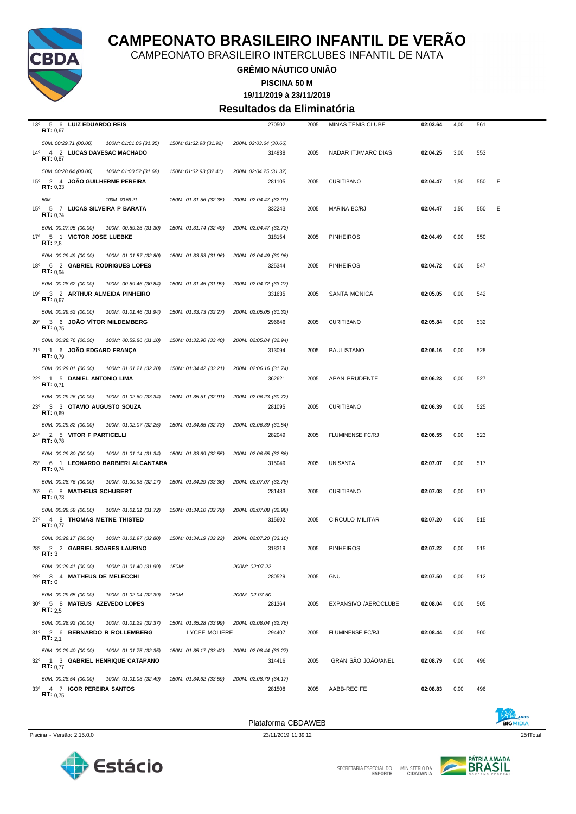

CAMPEONATO BRASILEIRO INTERCLUBES INFANTIL DE NATA

**GRÊMIO NÁUTICO UNIÃO**

**PISCINA 50 M**

**19/11/2019 à 23/11/2019**

#### **Resultados da Eliminatória**

| 13 <sup>o</sup><br>5 6 LUIZ EDUARDO REIS                                             |                        | 270502                           | 2005 | MINAS TENIS CLUBE       | 02:03.64 | 4,00 | 561 |   |
|--------------------------------------------------------------------------------------|------------------------|----------------------------------|------|-------------------------|----------|------|-----|---|
| RT: 0,67                                                                             |                        |                                  |      |                         |          |      |     |   |
| 50M: 00:29.71 (00.00)<br>100M: 01:01.06 (31.35)<br>14º 4 2 LUCAS DAVESAC MACHADO     | 150M: 01:32.98 (31.92) | 200M: 02:03.64 (30.66)<br>314938 | 2005 | NADAR ITJ/MARC DIAS     | 02:04.25 | 3,00 | 553 |   |
| RT: 0,87                                                                             |                        |                                  |      |                         |          |      |     |   |
| 50M: 00:28.84 (00.00)<br>100M: 01:00.52 (31.68)                                      | 150M: 01:32.93 (32.41) | 200M: 02:04.25 (31.32)           |      |                         |          |      |     |   |
| 15º 2 4 JOAO GUILHERME PEREIRA                                                       |                        | 281105                           | 2005 | <b>CURITIBANO</b>       | 02:04.47 | 1,50 | 550 | Ε |
| RT: 0,33                                                                             |                        |                                  |      |                         |          |      |     |   |
| 50M:<br>100M: 00:59.21                                                               | 150M: 01:31.56 (32.35) | 200M: 02:04.47 (32.91)           |      |                         |          |      |     |   |
| $15^{\circ}$<br>5 7 LUCAS SILVEIRA P BARATA<br><b>RT:</b> $0.74$                     |                        | 332243                           | 2005 | MARINA BC/RJ            | 02:04.47 | 1,50 | 550 | Ε |
| 50M: 00:27.95 (00.00)<br>100M: 00:59.25 (31.30)                                      | 150M: 01:31.74 (32.49) | 200M: 02:04.47 (32.73)           |      |                         |          |      |     |   |
| 17º 5 1 VICTOR JOSE LUEBKE                                                           |                        | 318154                           | 2005 | <b>PINHEIROS</b>        | 02:04.49 | 0,00 | 550 |   |
| RT: 2,8                                                                              |                        |                                  |      |                         |          |      |     |   |
| 50M: 00:29.49 (00.00)<br>100M: 01:01.57 (32.80)                                      | 150M: 01:33.53 (31.96) | 200M: 02:04.49 (30.96)           |      |                         |          |      |     |   |
| 18º 6 2 GABRIEL RODRIGUES LOPES<br>RT: 0.94                                          |                        | 325344                           | 2005 | <b>PINHEIROS</b>        | 02:04.72 | 0,00 | 547 |   |
| 50M: 00:28.62 (00.00)<br>100M: 00:59.46 (30.84)                                      | 150M: 01:31.45 (31.99) | 200M: 02:04.72 (33.27)           |      |                         |          |      |     |   |
| 19º 3 2 ARTHUR ALMEIDA PINHEIRO                                                      |                        | 331635                           | 2005 | <b>SANTA MONICA</b>     | 02:05.05 | 0,00 | 542 |   |
| RT: 0.67                                                                             |                        |                                  |      |                         |          |      |     |   |
| 50M: 00:29.52 (00.00)<br>100M: 01:01.46 (31.94)                                      | 150M: 01:33.73 (32.27) | 200M: 02:05.05 (31.32)           |      |                         |          |      |     |   |
| 20° 3 6 JOAO VITOR MILDEMBERG<br>RT: 0.75                                            |                        | 296646                           | 2005 | <b>CURITIBANO</b>       | 02:05.84 | 0,00 | 532 |   |
| 50M: 00:28.76 (00.00)<br>100M: 00:59.86 (31.10)                                      | 150M: 01:32.90 (33.40) | 200M: 02:05.84 (32.94)           |      |                         |          |      |     |   |
| 21º 1 6 JOAO EDGARD FRANÇA                                                           |                        | 313094                           | 2005 | PAULISTANO              | 02:06.16 | 0,00 | 528 |   |
| RT: 0.79                                                                             |                        |                                  |      |                         |          |      |     |   |
| 50M: 00:29.01 (00.00)<br>100M: 01:01.21 (32.20)                                      | 150M: 01:34.42 (33.21) | 200M: 02:06.16 (31.74)           |      |                         |          |      |     |   |
| 22º 1 5 DANIEL ANTONIO LIMA<br>RT: 0.71                                              |                        | 362621                           | 2005 | APAN PRUDENTE           | 02:06.23 | 0,00 | 527 |   |
| 50M: 00:29.26 (00.00)<br>100M: 01:02.60 (33.34)                                      | 150M: 01:35.51 (32.91) | 200M: 02:06.23 (30.72)           |      |                         |          |      |     |   |
| $23^{\circ}$<br>3 3 OTAVIO AUGUSTO SOUZA                                             |                        | 281095                           | 2005 | <b>CURITIBANO</b>       | 02:06.39 | 0,00 | 525 |   |
| <b>RT:</b> $0,69$                                                                    |                        |                                  |      |                         |          |      |     |   |
| 50M: 00:29.82 (00.00)<br>100M: 01:02.07 (32.25)                                      | 150M: 01:34.85 (32.78) | 200M: 02:06.39 (31.54)           |      |                         |          |      |     |   |
| 24º 2 5 VITOR F PARTICELLI<br>RT: 0,78                                               |                        | 282049                           | 2005 | FLUMINENSE FC/RJ        | 02:06.55 | 0,00 | 523 |   |
| 50M: 00:29.80 (00.00)<br>100M: 01:01.14 (31.34)                                      | 150M: 01:33.69 (32.55) | 200M: 02:06.55 (32.86)           |      |                         |          |      |     |   |
| 6 1 LEONARDO BARBIERI ALCANTARA<br>$25^{\circ}$                                      |                        | 315049                           | 2005 | <b>UNISANTA</b>         | 02:07.07 | 0,00 | 517 |   |
| RT: 0.74                                                                             |                        |                                  |      |                         |          |      |     |   |
| 50M: 00:28.76 (00.00)<br>100M: 01:00.93 (32.17)                                      | 150M: 01:34.29 (33.36) | 200M: 02:07.07 (32.78)           |      |                         |          |      |     |   |
| 26º 6 8 MATHEUS SCHUBERT<br>RT: 0,73                                                 |                        | 281483                           | 2005 | <b>CURITIBANO</b>       | 02:07.08 | 0,00 | 517 |   |
| 50M: 00:29.59 (00.00)<br>100M: 01:01.31 (31.72)                                      | 150M: 01:34.10 (32.79) | 200M: 02:07.08 (32.98)           |      |                         |          |      |     |   |
| 27º 4 8 THOMAS METNE THISTED                                                         |                        | 315602                           | 2005 | <b>CIRCULO MILITAR</b>  | 02:07.20 | 0,00 | 515 |   |
| RT: 0,77                                                                             |                        |                                  |      |                         |          |      |     |   |
| 50M: 00:29.17 (00.00)<br>100M: 01:01.97 (32.80)<br>28º 2 2 GABRIEL SOARES LAURINO    | 150M: 01:34.19 (32.22) | 200M: 02:07.20 (33.10)<br>318319 | 2005 | <b>PINHEIROS</b>        | 02:07.22 | 0,00 | 515 |   |
| RT: 3                                                                                |                        |                                  |      |                         |          |      |     |   |
| 50M: 00:29.41 (00.00)<br>100M: 01:01.40 (31.99)                                      | 150M:                  | 200M: 02:07.22                   |      |                         |          |      |     |   |
| 29°<br>3 4 MATHEUS DE MELECCHI<br>RT:0                                               |                        | 280529                           | 2005 | <b>GNU</b>              | 02:07.50 | 0,00 | 512 |   |
|                                                                                      |                        |                                  |      |                         |          |      |     |   |
| 50M: 00:29.65 (00.00)<br>100M: 01:02.04 (32.39)<br>30° 5 8 MATEUS AZEVEDO LOPES      | 150M:                  | 200M: 02:07.50<br>281364         | 2005 | EXPANSIVO /AEROCLUBE    | 02:08.04 | 0,00 | 505 |   |
| <b>RT:</b> 2.5                                                                       |                        |                                  |      |                         |          |      |     |   |
| 50M: 00:28.92 (00.00)<br>100M: 01:01.29 (32.37)                                      | 150M: 01:35.28 (33.99) | 200M: 02:08.04 (32.76)           |      |                         |          |      |     |   |
| 31º 2 6 BERNARDO R ROLLEMBERG<br><b>RT:</b> 2,1                                      | <b>LYCEE MOLIERE</b>   | 294407                           | 2005 | <b>FLUMINENSE FC/RJ</b> | 02:08.44 | 0,00 | 500 |   |
|                                                                                      |                        |                                  |      |                         |          |      |     |   |
| 50M: 00:29.40 (00.00)<br>100M: 01:01.75 (32.35)<br>32º 1 3 GABRIEL HENRIQUE CATAPANO | 150M: 01:35.17 (33.42) | 200M: 02:08.44 (33.27)<br>314416 | 2005 | GRAN SÃO JOÃO/ANEL      | 02:08.79 | 0,00 | 496 |   |
| RT: 0.77                                                                             |                        |                                  |      |                         |          |      |     |   |
| 50M: 00:28.54 (00.00)<br>100M: 01:01.03 (32.49)                                      | 150M: 01:34.62 (33.59) | 200M: 02:08.79 (34.17)           |      |                         |          |      |     |   |
| 33º 4 7 IGOR PEREIRA SANTOS<br>RT: 0.75                                              |                        | 281508                           | 2005 | AABB-RECIFE             | 02:08.83 | 0,00 | 496 |   |
|                                                                                      |                        |                                  |      |                         |          |      |     |   |



SECRETARIA ESPECIAL DO

MINISTÉRIO DA<br>CIDADANIA

Plataforma CBDAWEB



Piscina - Versão: 2.15.0.0 23/11/2019 11:39:12 25/17 25/17 25/17 25/17 25/17 25/17 25/17 25/17 25/17 25/17 25/17 25/17 25/17 25/17 25/17 25/17 25/17 25/17 25/17 25/17 25/17 25/17 25/17 25/17 25/17 25/17 25/17 25/17 25/17 2

**BIGMIDIA**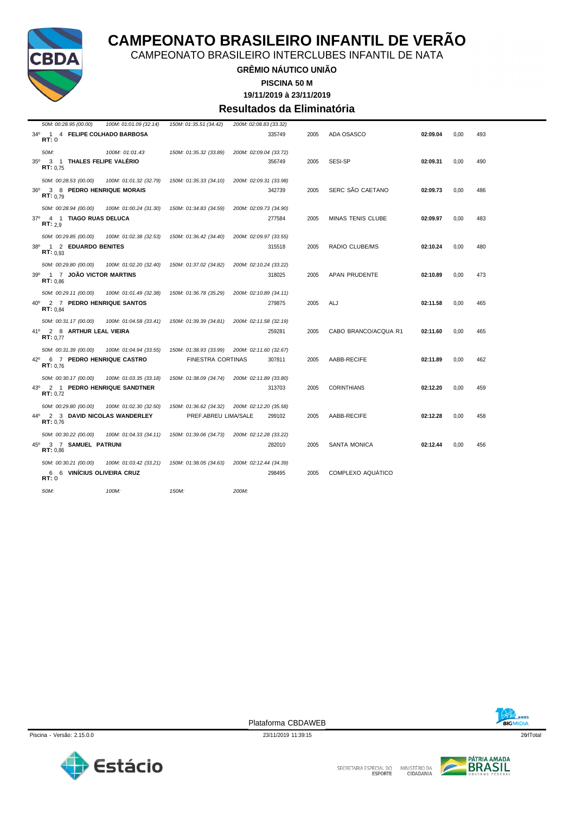

CAMPEONATO BRASILEIRO INTERCLUBES INFANTIL DE NATA

**GRÊMIO NÁUTICO UNIÃO**

**PISCINA 50 M**

**19/11/2019 à 23/11/2019**

#### **Resultados da Eliminatória**

|            | 50M: 00:28.95 (00.00)                       | 100M: 01:01.09 (32.14) | 150M: 01:35.51 (34.42)   | 200M: 02:08.83 (33.32) |        |      |                      |          |      |     |
|------------|---------------------------------------------|------------------------|--------------------------|------------------------|--------|------|----------------------|----------|------|-----|
| RT:0       | 34º 1 4 FELIPE COLHADO BARBOSA              |                        |                          |                        | 335749 | 2005 | ADA OSASCO           | 02:09.04 | 0,00 | 493 |
| 50M:       |                                             | 100M: 01:01.43         | 150M: 01:35.32 (33.89)   | 200M: 02:09.04 (33.72) |        |      |                      |          |      |     |
| $35^\circ$ | 3 1 THALES FELIPE VALÉRIO<br>RT: 0.75       |                        |                          |                        | 356749 | 2005 | SESI-SP              | 02:09.31 | 0.00 | 490 |
|            | 50M: 00:28.53 (00.00)                       | 100M: 01:01.32 (32.79) | 150M: 01:35.33 (34.10)   | 200M: 02:09.31 (33.98) |        |      |                      |          |      |     |
|            | 36º 3 8 PEDRO HENRIQUE MORAIS<br>RT: 0.79   |                        |                          |                        | 342739 | 2005 | SERC SÃO CAETANO     | 02:09.73 | 0.00 | 486 |
|            | 50M: 00:28.94 (00.00)                       | 100M: 01:00.24 (31.30) | 150M: 01:34.83 (34.59)   | 200M: 02:09.73 (34.90) |        |      |                      |          |      |     |
|            | 37º 4 1 TIAGO RUAS DELUCA<br>RT: 2.9        |                        |                          |                        | 277584 | 2005 | MINAS TENIS CLUBE    | 02:09.97 | 0,00 | 483 |
|            | 50M: 00:29.85 (00.00)                       | 100M: 01:02.38 (32.53) | 150M: 01:36.42 (34.40)   | 200M: 02:09.97 (33.55) |        |      |                      |          |      |     |
| 38°        | 1 2 EDUARDO BENITES<br>RT: 0.93             |                        |                          |                        | 315518 | 2005 | RADIO CLUBE/MS       | 02:10.24 | 0,00 | 480 |
|            | 50M: 00:29.80 (00.00)                       | 100M: 01:02.20 (32.40) | 150M: 01:37.02 (34.82)   | 200M: 02:10.24 (33.22) |        |      |                      |          |      |     |
|            | 39º 1 7 JOAO VICTOR MARTINS<br>RT: 0.86     |                        |                          |                        | 318025 | 2005 | <b>APAN PRUDENTE</b> | 02:10.89 | 0.00 | 473 |
|            | 50M: 00:29.11 (00.00)                       | 100M: 01:01.49 (32.38) | 150M: 01:36.78 (35.29)   | 200M: 02:10.89 (34.11) |        |      |                      |          |      |     |
|            | 40° 2 7 PEDRO HENRIQUE SANTOS<br>RT: 0.84   |                        |                          |                        | 279875 | 2005 | ALJ                  | 02:11.58 | 0.00 | 465 |
|            | 50M: 00:31.17 (00.00)                       | 100M: 01:04.58 (33.41) | 150M: 01:39.39 (34.81)   | 200M: 02:11.58 (32.19) |        |      |                      |          |      |     |
|            | 41º 2 8 ARTHUR LEAL VIEIRA<br>RT: 0.77      |                        |                          |                        | 259281 | 2005 | CABO BRANCO/ACQUA R1 | 02:11.60 | 0.00 | 465 |
|            | 50M: 00:31.39 (00.00)                       | 100M: 01:04.94 (33.55) | 150M: 01:38.93 (33.99)   | 200M: 02:11.60 (32.67) |        |      |                      |          |      |     |
|            | 42º 6 7 PEDRO HENRIQUE CASTRO<br>RT: 0.76   |                        | <b>FINESTRA CORTINAS</b> |                        | 307811 | 2005 | AABB-RECIFE          | 02:11.89 | 0,00 | 462 |
|            | 50M: 00:30.17 (00.00)                       | 100M: 01:03.35 (33.18) | 150M: 01:38.09 (34.74)   | 200M: 02:11.89 (33.80) |        |      |                      |          |      |     |
|            | 43º 2 1 PEDRO HENRIQUE SANDTNER<br>RT: 0.72 |                        |                          |                        | 313703 | 2005 | <b>CORINTHIANS</b>   | 02:12.20 | 0,00 | 459 |
|            | 50M: 00:29.80 (00.00)                       | 100M: 01:02.30 (32.50) | 150M: 01:36.62 (34.32)   | 200M: 02:12.20 (35.58) |        |      |                      |          |      |     |
|            | 44º 2 3 DAVID NICOLAS WANDERLEY<br>RT: 0.76 |                        | PREF.ABREU LIMA/SALE     |                        | 299102 | 2005 | AABB-RECIFE          | 02:12.28 | 0,00 | 458 |
|            | 50M: 00:30.22 (00.00)                       | 100M: 01:04.33 (34.11) | 150M: 01:39.06 (34.73)   | 200M: 02:12.28 (33.22) |        |      |                      |          |      |     |
|            | 45º 3 7 SAMUEL PATRUNI<br>RT: 0.86          |                        |                          |                        | 282010 | 2005 | <b>SANTA MONICA</b>  | 02:12.44 | 0.00 | 456 |
|            | 50M: 00:30.21 (00.00)                       | 100M: 01:03.42 (33.21) | 150M: 01:38.05 (34.63)   | 200M: 02:12.44 (34.39) |        |      |                      |          |      |     |
| RT: 0      | 6 6 VINÍCIUS OLIVEIRA CRUZ                  |                        |                          |                        | 298495 | 2005 | COMPLEXO AQUÁTICO    |          |      |     |
| 50M:       |                                             | 100M:                  | 150M:                    | 200M:                  |        |      |                      |          |      |     |





Piscina - Versão: 2.15.0.0 26HTotal 26HTotal 23/11/2019 11:39:15 26HTotal 254HTotal 26HTotal 26HTotal 26HTotal Plataforma CBDAWEB

SECRETARIA ESPECIAL DO

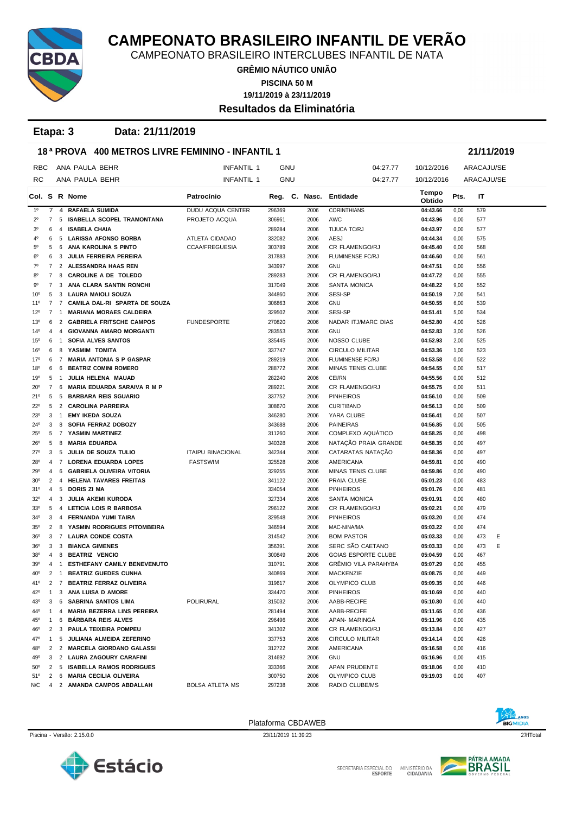

CAMPEONATO BRASILEIRO INTERCLUBES INFANTIL DE NATA

**GRÊMIO NÁUTICO UNIÃO PISCINA 50 M**

**19/11/2019 à 23/11/2019**

#### **Resultados da Eliminatória**

**Etapa: 3 Data: 21/11/2019**

|                 | 18 <sup>a</sup> PROVA 400 METROS LIVRE FEMININO - INFANTIL 1<br>21/11/2019 |                 |                                    |                          |            |  |               |                             |                 |      |            |  |  |
|-----------------|----------------------------------------------------------------------------|-----------------|------------------------------------|--------------------------|------------|--|---------------|-----------------------------|-----------------|------|------------|--|--|
| RBC             |                                                                            |                 | ANA PAULA BEHR                     | <b>INFANTIL 1</b>        | <b>GNU</b> |  |               | 04:27.77                    | 10/12/2016      |      | ARACAJU/SE |  |  |
| RC              |                                                                            |                 | ANA PAULA BEHR                     | <b>INFANTIL 1</b>        | <b>GNU</b> |  |               | 04:27.77                    | 10/12/2016      |      | ARACAJU/SE |  |  |
|                 |                                                                            |                 | Col. S R Nome                      | Patrocínio               |            |  | Reg. C. Nasc. | Entidade                    | Tempo<br>Obtido | Pts. | IT         |  |  |
| $1^{\circ}$     | $\overline{7}$                                                             | $\overline{4}$  | <b>RAFAELA SUMIDA</b>              | <b>DUDU ACQUA CENTER</b> | 296369     |  | 2006          | <b>CORINTHIANS</b>          | 04:43.66        | 0,00 | 579        |  |  |
| $2^{\circ}$     | 7                                                                          | 5               | ISABELLA SCOPEL TRAMONTANA         | PROJETO ACQUA            | 306961     |  | 2006          | AWC                         | 04:43.96        | 0,00 | 577        |  |  |
| 30              | 6                                                                          | 4               | <b>ISABELA CHAIA</b>               |                          | 289284     |  | 2006          | TIJUCA TC/RJ                | 04:43.97        | 0,00 | 577        |  |  |
| 40              | 6                                                                          |                 | 5 LARISSA AFONSO BORBA             | ATLETA CIDADAO           | 332082     |  | 2006          | <b>AESJ</b>                 | 04:44.34        | 0,00 | 575        |  |  |
| 5°              | 5                                                                          | 6               | ANA KAROLINA S PINTO               | <b>CCAA/FREGUESIA</b>    | 303789     |  | 2006          | CR FLAMENGO/RJ              | 04:45.40        | 0,00 | 568        |  |  |
| $6^{\circ}$     | 6                                                                          | 3               | <b>JULIA FERREIRA PEREIRA</b>      |                          | 317883     |  | 2006          | <b>FLUMINENSE FC/RJ</b>     | 04:46.60        | 0,00 | 561        |  |  |
| 70              | 7                                                                          |                 | 2 ALESSANDRA HAAS REN              |                          | 343997     |  | 2006          | <b>GNU</b>                  | 04:47.51        | 0,00 | 556        |  |  |
| 80              | 7                                                                          | 8               | <b>CAROLINE A DE TOLEDO</b>        |                          | 289283     |  | 2006          | CR FLAMENGO/RJ              | 04:47.72        | 0,00 | 555        |  |  |
| 90              | 7                                                                          | 3               | ANA CLARA SANTIN RONCHI            |                          | 317049     |  | 2006          | <b>SANTA MONICA</b>         | 04:48.22        | 9,00 | 552        |  |  |
| $10^{\circ}$    | 5                                                                          | 3               | LAURA MAIOLI SOUZA                 |                          | 344860     |  | 2006          | SESI-SP                     | 04:50.19        | 7,00 | 541        |  |  |
| $11^{\circ}$    | $\overline{7}$                                                             | $7\overline{ }$ | CAMILA DAL-RI SPARTA DE SOUZA      |                          | 306863     |  | 2006          | <b>GNU</b>                  | 04:50.55        | 6,00 | 539        |  |  |
| $12^{\circ}$    | 7                                                                          | $\mathbf{1}$    | <b>MARIANA MORAES CALDEIRA</b>     |                          | 329502     |  | 2006          | SESI-SP                     | 04:51.41        | 5,00 | 534        |  |  |
| $13^{\circ}$    | 6                                                                          | 2               | <b>GABRIELA FRITSCHE CAMPOS</b>    | <b>FUNDESPORTE</b>       | 270820     |  | 2006          | NADAR ITJ/MARC DIAS         | 04:52.80        | 4,00 | 526        |  |  |
| $14^{o}$        | 4                                                                          | 4               | <b>GIOVANNA AMARO MORGANTI</b>     |                          | 283553     |  | 2006          | <b>GNU</b>                  | 04:52.83        | 3,00 | 526        |  |  |
| $15^{\circ}$    | 6                                                                          | $\overline{1}$  | SOFIA ALVES SANTOS                 |                          | 335445     |  | 2006          | NOSSO CLUBE                 | 04:52.93        | 2,00 | 525        |  |  |
| 16°             | 6                                                                          | 8               | YASMIM TOMITA                      |                          | 337747     |  | 2006          | CIRCULO MILITAR             | 04:53.36        | 1,00 | 523        |  |  |
| 17°             | 6                                                                          |                 | 7 MARIA ANTONIA S P GASPAR         |                          | 289219     |  | 2006          | <b>FLUMINENSE FC/RJ</b>     | 04:53.58        | 0,00 | 522        |  |  |
| $18^{\circ}$    | 6                                                                          | 6               | <b>BEATRIZ COMINI ROMERO</b>       |                          | 288772     |  | 2006          | MINAS TENIS CLUBE           | 04:54.55        | 0,00 | 517        |  |  |
| 19°             | 5                                                                          | $\overline{1}$  | JULIA HELENA MAUAD                 |                          | 282240     |  | 2006          | CEI/RN                      | 04:55.56        | 0,00 | 512        |  |  |
| $20^{\circ}$    | 7                                                                          | 6               | <b>MARIA EDUARDA SARAIVA R M P</b> |                          | 289221     |  | 2006          | CR FLAMENGO/RJ              | 04:55.75        | 0,00 | 511        |  |  |
| 21°             | 5                                                                          | 5               | <b>BARBARA REIS SGUARIO</b>        |                          | 337752     |  | 2006          | <b>PINHEIROS</b>            | 04:56.10        | 0,00 | 509        |  |  |
| $22^{\circ}$    | 5                                                                          |                 | 2 CAROLINA PARREIRA                |                          | 308670     |  | 2006          | <b>CURITIBANO</b>           | 04:56.13        | 0,00 | 509        |  |  |
| $23^{\circ}$    | 3                                                                          | $\overline{1}$  | <b>EMY IKEDA SOUZA</b>             |                          | 346280     |  | 2006          | YARA CLUBE                  | 04:56.41        | 0,00 | 507        |  |  |
| $24^{\circ}$    | 3                                                                          |                 | SOFIA FERRAZ DOBOZY                |                          | 343688     |  | 2006          | <b>PAINEIRAS</b>            | 04:56.85        | 0,00 | 505        |  |  |
| $25^{\circ}$    | 5                                                                          | 8               | 7 YASMIN MARTINEZ                  |                          | 311260     |  | 2006          | COMPLEXO AQUATICO           | 04:58.25        | 0,00 | 498        |  |  |
|                 | 5                                                                          | 8               | <b>MARIA EDUARDA</b>               |                          | 340328     |  | 2006          | NATAÇÃO PRAIA GRANDE        | 04:58.35        | 0,00 | 497        |  |  |
| $26^{\circ}$    | 3                                                                          | -5              | JULIA DE SOUZA TULIO               | <b>ITAIPU BINACIONAL</b> | 342344     |  | 2006          | CATARATAS NATAÇÃO           | 04:58.36        |      | 497        |  |  |
| $27^{\circ}$    |                                                                            |                 |                                    |                          |            |  |               |                             |                 | 0,00 |            |  |  |
| $28^{\circ}$    | 4                                                                          | 7               | <b>LORENA EDUARDA LOPES</b>        | <b>FASTSWIM</b>          | 325528     |  | 2006          | AMERICANA                   | 04:59.81        | 0,00 | 490        |  |  |
| 29°             | 4                                                                          | 6               | GABRIELA OLIVEIRA VITORIA          |                          | 329255     |  | 2006          | <b>MINAS TENIS CLUBE</b>    | 04:59.86        | 0,00 | 490        |  |  |
| 30 <sup>o</sup> | 2                                                                          | 4               | <b>HELENA TAVARES FREITAS</b>      |                          | 341122     |  | 2006          | PRAIA CLUBE                 | 05:01.23        | 0,00 | 483        |  |  |
| 31°             | 4                                                                          | 5               | DORIS ZI MA                        |                          | 334054     |  | 2006          | <b>PINHEIROS</b>            | 05:01.76        | 0,00 | 481        |  |  |
| $32^{\circ}$    | 4                                                                          | 3               | JULIA AKEMI KURODA                 |                          | 327334     |  | 2006          | SANTA MONICA                | 05:01.91        | 0,00 | 480        |  |  |
| 33 <sup>0</sup> | 5                                                                          | 4               | LETICIA LOIS R BARBOSA             |                          | 296122     |  | 2006          | CR FLAMENGO/RJ              | 05:02.21        | 0,00 | 479        |  |  |
| $34^{\circ}$    | 3                                                                          | $\overline{4}$  | <b>FERNANDA YUMI TAIRA</b>         |                          | 329548     |  | 2006          | <b>PINHEIROS</b>            | 05:03.20        | 0,00 | 474        |  |  |
| $35^\circ$      | 2                                                                          | 8               | YASMIN RODRIGUES PITOMBEIRA        |                          | 346594     |  | 2006          | MAC-NINA/MA                 | 05:03.22        | 0,00 | 474        |  |  |
| $36^{\circ}$    | 3                                                                          | 7               | <b>LAURA CONDE COSTA</b>           |                          | 314542     |  | 2006          | <b>BOM PASTOR</b>           | 05:03.33        | 0,00 | 473<br>Ε   |  |  |
| $36^{\circ}$    | 3                                                                          |                 | 3 BIANCA GIMENES                   |                          | 356391     |  | 2006          | SERC SÃO CAETANO            | 05:03.33        | 0,00 | Ε<br>473   |  |  |
| 38°             | 4                                                                          | 8               | <b>BEATRIZ VENCIO</b>              |                          | 300849     |  | 2006          | <b>GOIAS ESPORTE CLUBE</b>  | 05:04.59        | 0,00 | 467        |  |  |
| 39°             | 4                                                                          | $\overline{1}$  | <b>ESTHEFANY CAMILY BENEVENUTO</b> |                          | 310791     |  | 2006          | <b>GRÉMIO VILA PARAHYBA</b> | 05:07.29        | 0,00 | 455        |  |  |
| 40°             | $\overline{2}$                                                             | $\overline{1}$  | <b>BEATRIZ GUEDES CUNHA</b>        |                          | 340869     |  | 2006          | MACKENZIE                   | 05:08.75        | 0,00 | 449        |  |  |
| 41°             | $\overline{2}$                                                             |                 | 7 BEATRIZ FERRAZ OLIVEIRA          |                          | 319617     |  | 2006          | OLYMPICO CLUB               | 05:09.35        | 0,00 | 446        |  |  |
| 42°             | 1                                                                          |                 | 3 ANA LUISA D AMORE                |                          | 334470     |  | 2006          | <b>PINHEIROS</b>            | 05:10.69        | 0,00 | 440        |  |  |
| 43°             | 3                                                                          | 6               | SABRINA SANTOS LIMA                | POLIRURAL                | 315032     |  | 2006          | AABB-RECIFE                 | 05:10.80        | 0,00 | 440        |  |  |
| 44°             | 1                                                                          | 4               | <b>MARIA BEZERRA LINS PEREIRA</b>  |                          | 281494     |  | 2006          | AABB-RECIFE                 | 05:11.65        | 0,00 | 436        |  |  |
| 45°             | 1                                                                          |                 | 6 BARBARA REIS ALVES               |                          | 296496     |  | 2006          | APAN- MARINGA               | 05:11.96        | 0,00 | 435        |  |  |
| 46°             |                                                                            |                 | 2 3 PAULA TEIXEIRA POMPEU          |                          | 341302     |  | 2006          | CR FLAMENGO/RJ              | 05:13.84        | 0,00 | 427        |  |  |
| 47°             | 1                                                                          |                 | 5 JULIANA ALMEIDA ZEFERINO         |                          | 337753     |  | 2006          | CIRCULO MILITAR             | 05:14.14        | 0,00 | 426        |  |  |
| 48°             | 2                                                                          |                 | 2 MARCELA GIORDANO GALASSI         |                          | 312722     |  | 2006          | AMERICANA                   | 05:16.58        | 0,00 | 416        |  |  |
| 49°             | 3                                                                          | 2               | <b>LAURA ZAGOURY CARAFINI</b>      |                          | 314692     |  | 2006          | <b>GNU</b>                  | 05:16.96        | 0,00 | 415        |  |  |
| 50 <sup>o</sup> | $\mathbf{2}$                                                               |                 | 5 ISABELLA RAMOS RODRIGUES         |                          | 333366     |  | 2006          | APAN PRUDENTE               | 05:18.06        | 0,00 | 410        |  |  |
| 51°             | 2                                                                          |                 | 6 MARIA CECILIA OLIVEIRA           |                          | 300750     |  | 2006          | OLYMPICO CLUB               | 05:19.03        | 0,00 | 407        |  |  |
| N/C             | 4                                                                          |                 | 2 AMANDA CAMPOS ABDALLAH           | BOLSA ATLETA MS          | 297238     |  | 2006          | RADIO CLUBE/MS              |                 |      |            |  |  |

Plataforma CBDAWEB



Piscina - Versão: 2.15.0.0 23/11/2019 11:39:23 2711701al 23/11/2019 11:39:23 2711701al 271Total



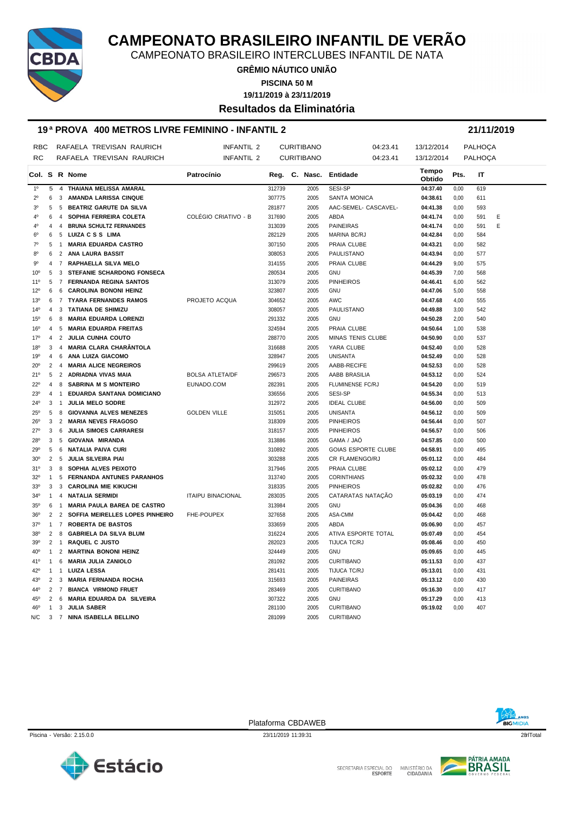

CAMPEONATO BRASILEIRO INTERCLUBES INFANTIL DE NATA

**GRÊMIO NÁUTICO UNIÃO PISCINA 50 M**

**19/11/2019 à 23/11/2019**

**Resultados da Eliminatória**

#### **19 ª PROVA 400 METROS LIVRE FEMININO - INFANTIL 2 21/11/2019**

| <b>RBC</b>                   |                     |                     | RAFAELA TREVISAN RAURICH                                      | <b>INFANTIL 2</b>        |                  | <b>CURITIBANO</b> | 04:23.41                   | 13/12/2014           |              | PALHOÇA        |  |
|------------------------------|---------------------|---------------------|---------------------------------------------------------------|--------------------------|------------------|-------------------|----------------------------|----------------------|--------------|----------------|--|
| <b>RC</b>                    |                     |                     | RAFAELA TREVISAN RAURICH                                      | <b>INFANTIL 2</b>        |                  | <b>CURITIBANO</b> | 04:23.41                   | 13/12/2014           |              | <b>PALHOÇA</b> |  |
|                              |                     |                     | Col. S R Nome                                                 | Patrocínio               |                  |                   | Reg. C. Nasc. Entidade     | Tempo                | Pts.         | IT             |  |
| 1 <sup>0</sup>               | 5                   | $\overline{4}$      | THAIANA MELISSA AMARAL                                        |                          | 312739           | 2005              | <b>SESI-SP</b>             | Obtido<br>04:37.40   | 0,00         | 619            |  |
| $2^{\circ}$                  | 6                   | 3                   | AMANDA LARISSA CINQUE                                         |                          | 307775           | 2005              | <b>SANTA MONICA</b>        | 04:38.61             | 0,00         | 611            |  |
| 3 <sup>o</sup>               | 5                   | 5                   | <b>BEATRIZ GARUTE DA SILVA</b>                                |                          | 281877           | 2005              | AAC-SEMEL- CASCAVEL-       | 04:41.38             | 0,00         | 593            |  |
| 40                           | 6                   | 4                   | SOPHIA FERREIRA COLETA                                        | COLÉGIO CRIATIVO - B     | 317690           | 2005              | ABDA                       | 04:41.74             | 0,00         | Ε<br>591       |  |
| 4°                           | $\overline{4}$      | $\overline{4}$      | <b>BRUNA SCHULTZ FERNANDES</b>                                |                          | 313039           | 2005              | <b>PAINEIRAS</b>           | 04:41.74             | 0,00         | Ε<br>591       |  |
| $6^{\circ}$                  | 6                   | 5                   | LUIZA C S S LIMA                                              |                          | 282129           | 2005              | <b>MARINA BC/RJ</b>        | 04:42.84             | 0,00         | 584            |  |
| $7^\circ$                    | 5                   | 1                   | <b>MARIA EDUARDA CASTRO</b>                                   |                          | 307150           | 2005              | PRAIA CLUBE                | 04:43.21             | 0,00         | 582            |  |
| 80                           | 6                   | $\overline{2}$      | ANA LAURA BASSIT                                              |                          | 308053           | 2005              | PAULISTANO                 | 04:43.94             | 0,00         | 577            |  |
| $9^{\circ}$                  | $\overline{4}$      | $\overline{7}$      | RAPHAELLA SILVA MELO                                          |                          |                  | 2005              | PRAIA CLUBE                | 04:44.29             | 9,00         | 575            |  |
|                              | 5                   |                     | STEFANIE SCHARDONG FONSECA                                    |                          | 314155<br>280534 |                   |                            | 04:45.39             |              |                |  |
| 10 <sup>o</sup>              | $5\overline{5}$     | 3<br>$\overline{7}$ |                                                               |                          |                  | 2005              | <b>GNU</b>                 |                      | 7,00         | 568            |  |
| $11^{\circ}$<br>$12^{\circ}$ | 6                   | 6                   | <b>FERNANDA REGINA SANTOS</b><br><b>CAROLINA BONONI HEINZ</b> |                          | 313079<br>323807 | 2005<br>2005      | <b>PINHEIROS</b>           | 04:46.41<br>04:47.06 | 6,00         | 562<br>558     |  |
| 13°                          |                     | $\overline{7}$      | <b>TYARA FERNANDES RAMOS</b>                                  | PROJETO ACQUA            |                  | 2005              | <b>GNU</b><br>AWC          | 04:47.68             | 5,00<br>4,00 | 555            |  |
|                              | 6                   |                     |                                                               |                          | 304652           |                   |                            |                      |              |                |  |
| $14^{0}$                     | $\overline{4}$      | 3                   | TATIANA DE SHIMIZU                                            |                          | 308057           | 2005              | PAULISTANO                 | 04:49.88             | 3,00         | 542            |  |
| 15 <sup>0</sup>              | 6                   | 8                   | <b>MARIA EDUARDA LORENZI</b>                                  |                          | 291332           | 2005              | <b>GNU</b>                 | 04:50.28             | 2,00         | 540            |  |
| 16 <sup>o</sup>              | $\overline{4}$      | 5                   | <b>MARIA EDUARDA FREITAS</b>                                  |                          | 324594           | 2005              | PRAIA CLUBE                | 04:50.64             | 1,00         | 538            |  |
| 17°                          | $\overline{4}$      | $\overline{2}$      | <b>JULIA CUNHA COUTO</b>                                      |                          | 288770           | 2005              | MINAS TENIS CLUBE          | 04:50.90             | 0,00         | 537            |  |
| 18 <sup>0</sup>              | 3<br>$\overline{a}$ | $\overline{4}$      | <b>MARIA CLARA CHARÂNTOLA</b>                                 |                          | 316688           | 2005              | YARA CLUBE                 | 04:52.40             | 0,00         | 528            |  |
| 19°                          |                     | 6                   | <b>ANA LUIZA GIACOMO</b>                                      |                          | 328947           | 2005              | <b>UNISANTA</b>            | 04:52.49             | 0,00         | 528            |  |
| 20 <sup>o</sup>              | $\overline{2}$      | 4                   | <b>MARIA ALICE NEGREIROS</b>                                  |                          | 299619           | 2005              | AABB-RECIFE                | 04:52.53             | 0,00         | 528            |  |
| 21°                          | 5                   | $\overline{2}$      | ADRIADNA VIVAS MAIA                                           | <b>BOLSA ATLETA/DF</b>   | 296573           | 2005              | AABB BRASILIA              | 04:53.12             | 0,00         | 524            |  |
| $22^{\circ}$                 | $\overline{4}$      | 8                   | <b>SABRINA M S MONTEIRO</b>                                   | EUNADO.COM               | 282391           | 2005              | FLUMINENSE FC/RJ           | 04:54.20             | 0,00         | 519            |  |
| 23 <sup>o</sup>              | $\overline{4}$      | $\mathbf{1}$        | EDUARDA SANTANA DOMICIANO                                     |                          | 336556           | 2005              | SESI-SP                    | 04:55.34             | 0,00         | 513            |  |
| 24°                          | 3                   | $\overline{1}$      | <b>JULIA MELO SODRE</b>                                       |                          | 312972           | 2005              | <b>IDEAL CLUBE</b>         | 04:56.00             | 0,00         | 509            |  |
| $25^{\circ}$                 | 5                   | 8                   | <b>GIOVANNA ALVES MENEZES</b>                                 | <b>GOLDEN VILLE</b>      | 315051           | 2005              | <b>UNISANTA</b>            | 04:56.12             | 0,00         | 509            |  |
| $26^{\circ}$                 | 3                   | 2                   | <b>MARIA NEVES FRAGOSO</b>                                    |                          | 318309           | 2005              | <b>PINHEIROS</b>           | 04:56.44             | 0,00         | 507            |  |
| 27°                          | 3                   | 6                   | <b>JULIA SIMOES CARRARESI</b>                                 |                          | 318157           | 2005              | <b>PINHEIROS</b>           | 04:56.57             | 0,00         | 506            |  |
| 28°                          | 3                   | 5                   | GIOVANA MIRANDA                                               |                          | 313886           | 2005              | GAMA / JAÓ                 | 04:57.85             | 0,00         | 500            |  |
| 29°                          | 5                   | 6                   | <b>NATALIA PAIVA CURI</b>                                     |                          | 310892           | 2005              | <b>GOIAS ESPORTE CLUBE</b> | 04:58.91             | 0,00         | 495            |  |
| 30 <sup>o</sup>              | $\overline{2}$      | 5                   | JULIA SILVEIRA PIAI                                           |                          | 303288           | 2005              | CR FLAMENGO/RJ             | 05:01.12             | 0,00         | 484            |  |
| 31°                          | 3                   | 8                   | SOPHIA ALVES PEIXOTO                                          |                          | 317946           | 2005              | PRAIA CLUBE                | 05:02.12             | 0,00         | 479            |  |
| 32°                          | 1                   | 5                   | <b>FERNANDA ANTUNES PARANHOS</b>                              |                          | 313740           | 2005              | <b>CORINTHIANS</b>         | 05:02.32             | 0,00         | 478            |  |
| 33°                          | 3                   | 3                   | <b>CAROLINA MIE KIKUCHI</b>                                   |                          | 318335           | 2005              | <b>PINHEIROS</b>           | 05:02.82             | 0,00         | 476            |  |
| $34^{\circ}$                 | $\mathbf{1}$        | $\overline{4}$      | <b>NATALIA SERMIDI</b>                                        | <b>ITAIPU BINACIONAL</b> | 283035           | 2005              | CATARATAS NATAÇÃO          | 05:03.19             | 0,00         | 474            |  |
| $35^{\circ}$                 | 6                   | $\mathbf{1}$        | <b>MARIA PAULA BAREA DE CASTRO</b>                            |                          | 313984           | 2005              | <b>GNU</b>                 | 05:04.36             | 0,00         | 468            |  |
| 36 <sup>o</sup>              | 2                   | 2                   | SOFFIA MEIRELLES LOPES PINHEIRO                               | FHE-POUPEX               | 327658           | 2005              | ASA-CMM                    | 05:04.42             | 0,00         | 468            |  |
| 37°                          | $\mathbf{1}$        | 7                   | <b>ROBERTA DE BASTOS</b>                                      |                          | 333659           | 2005              | ABDA                       | 05:06.90             | 0,00         | 457            |  |
| 38°                          | 2                   | 8                   | <b>GABRIELA DA SILVA BLUM</b>                                 |                          | 316224           | 2005              | ATIVA ESPORTE TOTAL        | 05:07.49             | 0,00         | 454            |  |
| 39°                          | 2                   | $\overline{1}$      | <b>RAQUEL C JUSTO</b>                                         |                          | 282023           | 2005              | TIJUCA TC/RJ               | 05:08.46             | 0,00         | 450            |  |
| 40°                          | $\mathbf{1}$        | $\overline{2}$      | <b>MARTINA BONONI HEINZ</b>                                   |                          | 324449           | 2005              | <b>GNU</b>                 | 05:09.65             | 0,00         | 445            |  |
| 41°                          | $\mathbf{1}$        | 6                   | <b>MARIA JULIA ZANIOLO</b>                                    |                          | 281092           | 2005              | <b>CURITIBANO</b>          | 05:11.53             | 0,00         | 437            |  |
| 42°                          | $\mathbf{1}$        | $\mathbf{1}$        | <b>LUIZA LESSA</b>                                            |                          | 281431           | 2005              | TIJUCA TC/RJ               | 05:13.01             | 0,00         | 431            |  |
| 43°                          | 2                   | 3                   | <b>MARIA FERNANDA ROCHA</b>                                   |                          | 315693           | 2005              | <b>PAINEIRAS</b>           | 05:13.12             | 0,00         | 430            |  |
| 44°                          | $\overline{2}$      | $\overline{7}$      | <b>BIANCA VIRMOND FRUET</b>                                   |                          | 283469           | 2005              | <b>CURITIBANO</b>          | 05:16.30             | 0,00         | 417            |  |
| 45 <sup>°</sup>              | $\overline{2}$      | 6                   | MARIA EDUARDA DA SILVEIRA                                     |                          | 307322           | 2005              | <b>GNU</b>                 | 05:17.29             | 0,00         | 413            |  |
| 46°                          | $\mathbf{1}$        |                     | 3 JULIA SABER                                                 |                          | 281100           | 2005              | <b>CURITIBANO</b>          | 05:19.02             | 0,00         | 407            |  |
| N/C                          | 3                   |                     | 7 NINA ISABELLA BELLINO                                       |                          | 281099           | 2005              | <b>CURITIBANO</b>          |                      |              |                |  |



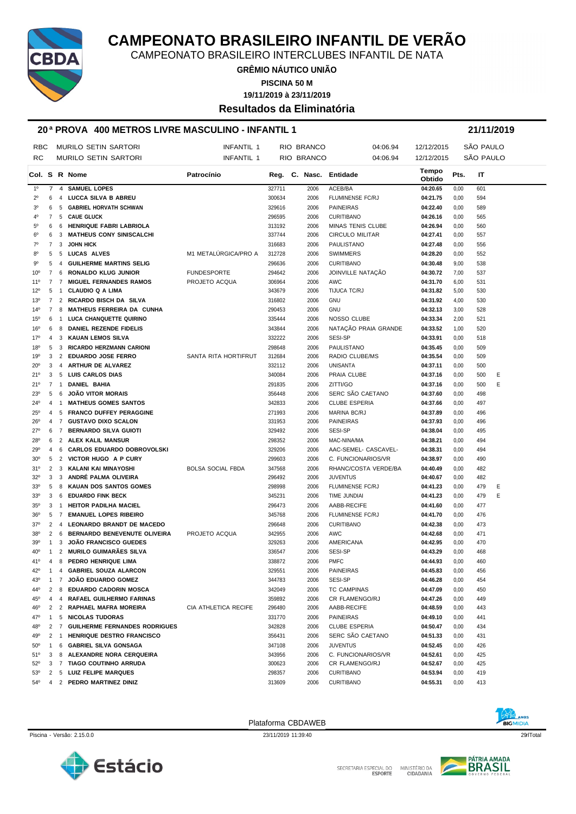

CAMPEONATO BRASILEIRO INTERCLUBES INFANTIL DE NATA

**GRÊMIO NÁUTICO UNIÃO**

**PISCINA 50 M**

**19/11/2019 à 23/11/2019**

**Resultados da Eliminatória**

#### **20 ª PROVA 400 METROS LIVRE MASCULINO - INFANTIL 1 21/11/2019**

| RBC                               |                | <b>MURILO SETIN SARTORI</b>                                            | <b>INFANTIL 1</b>        |                  | RIO BRANCO             | 04:06.94                 | 12/12/2015           |              | SÃO PAULO  |  |
|-----------------------------------|----------------|------------------------------------------------------------------------|--------------------------|------------------|------------------------|--------------------------|----------------------|--------------|------------|--|
| RC                                |                | <b>MURILO SETIN SARTORI</b>                                            | INFANTIL 1               |                  | RIO BRANCO             | 04:06.94                 | 12/12/2015           |              | SÃO PAULO  |  |
|                                   |                | Col. S R Nome                                                          | Patrocínio               |                  | Reg. C. Nasc. Entidade |                          | Tempo<br>Obtido      | Pts.         | IT         |  |
| $1^{\circ}$                       | 7              | 4 SAMUEL LOPES                                                         |                          | 327711           | 2006                   | ACEB/BA                  | 04:20.65             | 0,00         | 601        |  |
| $2^{\circ}$<br>6                  |                | 4 LUCCA SILVA B ABREU                                                  |                          | 300634           | 2006                   | FLUMINENSE FC/RJ         | 04:21.75             | 0,00         | 594        |  |
| 3 <sup>0</sup><br>6               |                | 5 GABRIEL HORVATH SCHWAN                                               |                          | 329616           | 2006                   | <b>PAINEIRAS</b>         | 04:22.40             | 0,00         | 589        |  |
| $\overline{7}$<br>40              |                | 5 CAUE GLUCK                                                           |                          | 296595           | 2006                   | <b>CURITIBANO</b>        | 04:26.16             | 0,00         | 565        |  |
| $5^{\circ}$<br>6                  |                | 6 HENRIQUE FABRI LABRIOLA                                              |                          | 313192           | 2006                   | <b>MINAS TENIS CLUBE</b> | 04:26.94             | 0,00         | 560        |  |
| $6^{\circ}$<br>6                  |                | <b>MATHEUS CONY SINISCALCHI</b><br>3                                   |                          | 337744           | 2006                   | <b>CIRCULO MILITAR</b>   | 04:27.41             | 0,00         | 557        |  |
| $7^\circ$<br>7                    |                | JOHN HICK<br>3                                                         |                          | 316683           | 2006                   | PAULISTANO               | 04:27.48             | 0,00         | 556        |  |
| 80<br>5                           |                | 5 LUCAS ALVES                                                          | M1 METALÚRGICA/PRO A     | 312728           | 2006                   | <b>SWIMMERS</b>          | 04:28.20             | 0,00         | 552        |  |
| 90<br>5                           |                | <b>GUILHERME MARTINS SELIG</b><br>4                                    |                          | 296636           | 2006                   | <b>CURITIBANO</b>        | 04:30.48             | 9,00         | 538        |  |
| 10 <sup>o</sup><br>7              |                | RONALDO KLUG JUNIOR<br>6                                               | <b>FUNDESPORTE</b>       | 294642           | 2006                   | JOINVILLE NATAÇÃO        | 04:30.72             | 7,00         | 537        |  |
| 11 <sup>0</sup><br>$\overline{7}$ |                | $\overline{7}$<br><b>MIGUEL FERNANDES RAMOS</b>                        | PROJETO ACQUA            | 306964           | 2006                   | AWC                      | 04:31.70             | 6,00         | 531        |  |
| $12^{\circ}$<br>5                 |                | <b>CLAUDIO Q A LIMA</b><br>$\mathbf{1}$                                |                          | 343679           | 2006                   | TIJUCA TC/RJ             | 04:31.82             | 5,00         | 530        |  |
| $13^{\circ}$                      | $\overline{7}$ | 2 RICARDO BISCH DA SILVA                                               |                          | 316802           | 2006                   | GNU                      | 04:31.92             | 4,00         | 530        |  |
| $14^{\circ}$<br>$\overline{7}$    |                | 8<br><b>MATHEUS FERREIRA DA CUNHA</b>                                  |                          | 290453           | 2006                   | <b>GNU</b>               | 04:32.13             | 3,00         | 528        |  |
| $15^{\circ}$<br>6                 |                | LUCA CHANQUETTE QUIRINO<br>$\mathbf{1}$                                |                          | 335444           | 2006                   | NOSSO CLUBE              | 04:33.34             | 2,00         | 521        |  |
| 16 <sup>o</sup><br>6              |                | DANIEL REZENDE FIDELIS<br>8                                            |                          | 343844           | 2006                   | NATAÇÃO PRAIA GRANDE     | 04:33.52             | 1,00         | 520        |  |
| 17°<br>$\overline{4}$             |                | KAUAN LEMOS SILVA<br>3                                                 |                          | 332222           | 2006                   | SESI-SP                  | 04:33.91             | 0,00         | 518        |  |
| 18 <sup>0</sup><br>5              |                | 3 RICARDO HERZMANN CARIONI                                             |                          | 298648           | 2006                   | <b>PAULISTANO</b>        | 04:35.45             | 0,00         | 509        |  |
| 19 <sup>o</sup><br>3              |                | 2 EDUARDO JOSE FERRO                                                   | SANTA RITA HORTIFRUT     | 312684           | 2006                   | RADIO CLUBE/MS           | 04:35.54             | 0,00         | 509        |  |
| $20^{\circ}$<br>3                 |                | 4 ARTHUR DE ALVAREZ                                                    |                          | 332112           | 2006                   | UNISANTA                 | 04:37.11             | 0,00         | 500        |  |
| 21°<br>3                          |                | 5 LUIS CARLOS DIAS                                                     |                          | 340084           | 2006                   | PRAIA CLUBE              | 04:37.16             | 0,00         | 500<br>Ε   |  |
| 7<br>21°                          |                | DANIEL BAHIA<br>$\mathbf{1}$                                           |                          | 291835           | 2006                   | ZITTI/GO                 | 04:37.16             | 0,00         | Ε<br>500   |  |
| 23°<br>5                          |                | <b>JOÃO VITOR MORAIS</b><br>6                                          |                          | 356448           | 2006                   | SERC SÃO CAETANO         | 04:37.60             | 0,00         | 498        |  |
| 24 <sup>o</sup><br>4              |                | <b>MATHEUS GOMES SANTOS</b><br>$\overline{1}$                          |                          | 342833           | 2006                   | <b>CLUBE ESPERIA</b>     | 04:37.66             | 0,00         | 497        |  |
| $25^{\circ}$<br>$\overline{4}$    |                | 5 FRANCO DUFFEY PERAGGINE                                              |                          | 271993           | 2006                   | MARINA BC/RJ             | 04:37.89             | 0,00         | 496        |  |
| $26^{\circ}$<br>4                 |                | 7 GUSTAVO DIXO SCALON                                                  |                          | 331953           | 2006                   | <b>PAINEIRAS</b>         | 04:37.93             | 0,00         | 496        |  |
| $27^{\circ}$<br>6                 |                | <b>BERNARDO SILVA GUIOTI</b><br>7                                      |                          | 329492           | 2006                   | <b>SESI-SP</b>           | 04:38.04             | 0,00         | 495        |  |
| 28 <sup>°</sup><br>6              |                | 2 ALEX KALIL MANSUR                                                    |                          | 298352           | 2006                   | MAC-NINA/MA              | 04:38.21             | 0,00         | 494        |  |
| 29°<br>4                          |                | <b>CARLOS EDUARDO DOBROVOLSKI</b><br>6                                 |                          | 329206           | 2006                   | AAC-SEMEL- CASCAVEL-     | 04:38.31             | 0,00         | 494        |  |
| 30 <sup>o</sup><br>5              |                | 2 VICTOR HUGO A P CURY                                                 |                          | 299603           | 2006                   | C. FUNCIONARIOS/VR       | 04:38.97             | 0,00         | 490        |  |
| 31°<br>2                          |                | 3 KALANI KAI MINAYOSHI                                                 | <b>BOLSA SOCIAL FBDA</b> |                  | 2006                   | RHANC/COSTA VERDE/BA     | 04:40.49             |              | 482        |  |
| $32^{\circ}$<br>3                 |                | 3<br>ANDRÉ PALMA OLIVEIRA                                              |                          | 347568<br>296492 | 2006                   | <b>JUVENTUS</b>          | 04:40.67             | 0,00<br>0,00 | 482        |  |
| 33 <sup>0</sup><br>5              |                | 8 KAUAN DOS SANTOS GOMES                                               |                          | 298998           | 2006                   | FLUMINENSE FC/RJ         | 04:41.23             | 0,00         | 479<br>Ε   |  |
| $33^\circ$<br>3                   |                | <b>EDUARDO FINK BECK</b><br>6                                          |                          | 345231           | 2006                   | TIME JUNDIAI             | 04:41.23             | 0,00         | Ε<br>479   |  |
| 3                                 |                | <b>HEITOR PADILHA MACIEL</b>                                           |                          |                  |                        | AABB-RECIFE              | 04:41.60             |              | 477        |  |
| $35^{\circ}$                      |                | $\overline{1}$                                                         |                          | 296473           | 2006                   |                          |                      | 0,00         |            |  |
| $36^{\circ}$<br>5                 |                | <b>EMANUEL LOPES RIBEIRO</b><br>$\overline{7}$                         |                          | 345768           | 2006                   | <b>FLUMINENSE FC/RJ</b>  | 04:41.70             | 0,00         | 476        |  |
| $37^{\circ}$<br>2                 |                | $\overline{4}$<br><b>LEONARDO BRANDT DE MACEDO</b>                     |                          | 296648           | 2006                   | <b>CURITIBANO</b>        | 04:42.38             | 0,00         | 473        |  |
| 2<br>$38^{\circ}$<br>$\mathbf{1}$ |                | BERNARDO BENEVENUTE OLIVEIRA<br>6<br>3<br><b>JOAO FRANCISCO GUEDES</b> | PROJETO ACQUA            | 342955           | 2006                   | AWC                      | 04:42.68<br>04:42.95 | 0,00         | 471<br>470 |  |
| $39^\circ$                        |                | 2 MURILO GUIMARÃES SILVA                                               |                          | 329263           | 2006                   | AMERICANA                |                      | 0,00         |            |  |
| 40 <sup>o</sup><br>1              |                | <b>PEDRO HENRIQUE LIMA</b>                                             |                          | 336547           | 2006                   | SESI-SP                  | 04:43.29             | 0,00         | 468        |  |
| 41°<br>4                          |                | 8                                                                      |                          | 338872           | 2006                   | <b>PMFC</b>              | 04:44.93             | 0,00         | 460        |  |
| 42°<br>$\mathbf{1}$               |                | 4 GABRIEL SOUZA ALARCON                                                |                          | 329551           | 2006                   | <b>PAINEIRAS</b>         | 04:45.83             | 0,00         | 456        |  |
| $43^{\circ}$                      | $\mathbf{1}$   | 7 JOAO EDUARDO GOMEZ                                                   |                          | 344783           | 2006                   | SESI-SP                  | 04:46.28             | 0,00         | 454        |  |
| 44°<br>2                          |                | <b>EDUARDO CADORIN MOSCA</b><br>8                                      |                          | 342049           | 2006                   | <b>TC CAMPINAS</b>       | 04:47.09             | 0,00         | 450        |  |
| 45°<br>4                          |                | 4<br><b>RAFAEL GUILHERMO FARINAS</b>                                   |                          | 359892           | 2006                   | CR FLAMENGO/RJ           | 04:47.26             | 0,00         | 449        |  |
| 46°                               |                | 2 2 RAPHAEL MAFRA MOREIRA                                              | CIA ATHLETICA RECIFE     | 296480           | 2006                   | AABB-RECIFE              | 04:48.59             | 0,00         | 443        |  |
| 47°                               | $\mathbf{1}$   | 5 NICOLAS TUDORAS                                                      |                          | 331770           | 2006                   | <b>PAINEIRAS</b>         | 04:49.10             | 0,00         | 441        |  |
| 48°                               |                | 2 7 GUILHERME FERNANDES RODRIGUES                                      |                          | 342828           | 2006                   | <b>CLUBE ESPERIA</b>     | 04:50.47             | 0,00         | 434        |  |
| 49°                               |                | 2 1 HENRIQUE DESTRO FRANCISCO                                          |                          | 356431           | 2006                   | SERC SÃO CAETANO         | 04:51.33             | 0,00         | 431        |  |
| $50^{\circ}$                      | $\mathbf{1}$   | 6 GABRIEL SILVA GONSAGA                                                |                          | 347108           | 2006                   | <b>JUVENTUS</b>          | 04:52.45             | 0,00         | 426        |  |
| 51°                               | 3              | 8 ALEXANDRE NORA CERQUEIRA                                             |                          | 343956           | 2006                   | C. FUNCIONARIOS/VR       | 04:52.61             | 0,00         | 425        |  |
| 52°                               |                | 3 7 TIAGO COUTINHO ARRUDA                                              |                          | 300623           | 2006                   | CR FLAMENGO/RJ           | 04:52.67             | 0,00         | 425        |  |
| 53 <sup>o</sup>                   |                | 2 5 LUIZ FELIPE MARQUES                                                |                          | 298357           | 2006                   | <b>CURITIBANO</b>        | 04:53.94             | 0,00         | 419        |  |
| 54°                               |                | 4 2 PEDRO MARTINEZ DINIZ                                               |                          | 313609           | 2006                   | <b>CURITIBANO</b>        | 04:55.31             | 0,00         | 413        |  |







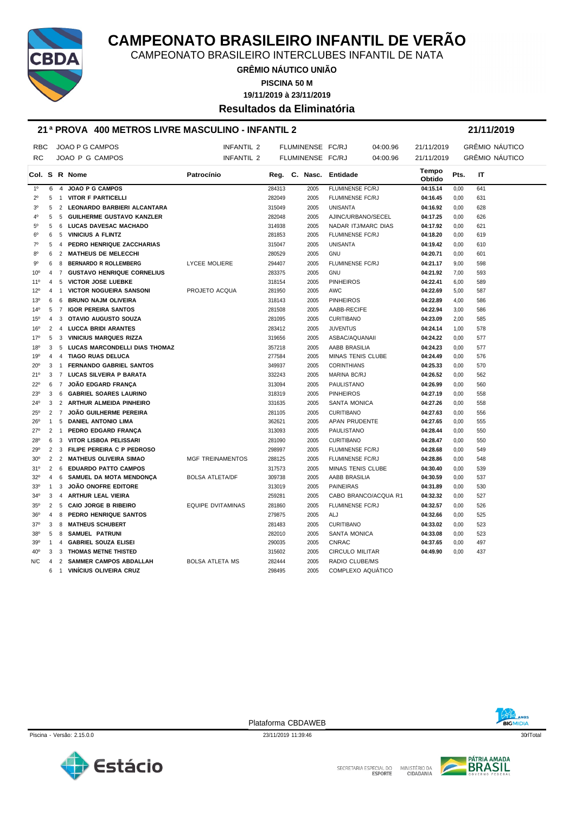

CAMPEONATO BRASILEIRO INTERCLUBES INFANTIL DE NATA

**GRÊMIO NÁUTICO UNIÃO**

**PISCINA 50 M**

**19/11/2019 à 23/11/2019**

**Resultados da Eliminatória**

#### **21 ª PROVA 400 METROS LIVRE MASCULINO - INFANTIL 2 21/11/2019**

| <b>RBC</b>      |                |                  | JOAO P G CAMPOS                   | INFANTIL 2               |        | FLUMINENSE FC/RJ |                        | 04:00.96 | 21/11/2019      |      | GRÊMIO NÁUTICO        |
|-----------------|----------------|------------------|-----------------------------------|--------------------------|--------|------------------|------------------------|----------|-----------------|------|-----------------------|
| <b>RC</b>       |                |                  | JOAO P G CAMPOS                   | <b>INFANTIL 2</b>        |        | FLUMINENSE FC/RJ |                        | 04:00.96 | 21/11/2019      |      | <b>GRÊMIO NÁUTICO</b> |
|                 |                |                  | Col. S R Nome                     | Patrocínio               |        |                  | Reg. C. Nasc. Entidade |          | Tempo<br>Obtido | Pts. | IT                    |
| 1 <sup>0</sup>  | 6              | $\overline{4}$   | <b>JOAO P G CAMPOS</b>            |                          | 284313 | 2005             | FLUMINENSE FC/RJ       |          | 04:15.14        | 0,00 | 641                   |
| $2^{\circ}$     | 5              | $\overline{1}$   | <b>VITOR F PARTICELLI</b>         |                          | 282049 | 2005             | FLUMINENSE FC/RJ       |          | 04:16.45        | 0,00 | 631                   |
| 3 <sup>0</sup>  | 5              |                  | 2 LEONARDO BARBIERI ALCANTARA     |                          | 315049 | 2005             | <b>UNISANTA</b>        |          | 04:16.92        | 0,00 | 628                   |
| $4^{\circ}$     | 5              | 5                | <b>GUILHERME GUSTAVO KANZLER</b>  |                          | 282048 | 2005             | AJINC/URBANO/SECEL     |          | 04:17.25        | 0,00 | 626                   |
| $5^{\circ}$     | 5              | -6               | <b>LUCAS DAVESAC MACHADO</b>      |                          | 314938 | 2005             | NADAR ITJ/MARC DIAS    |          | 04:17.92        | 0,00 | 621                   |
| $6^{\circ}$     | 6              | -5               | <b>VINICIUS A FLINTZ</b>          |                          | 281853 | 2005             | FLUMINENSE FC/RJ       |          | 04:18.20        | 0,00 | 619                   |
| $7^\circ$       | 5              | $\overline{4}$   | PEDRO HENRIQUE ZACCHARIAS         |                          | 315047 | 2005             | <b>UNISANTA</b>        |          | 04:19.42        | 0,00 | 610                   |
| 80              | 6              | 2                | <b>MATHEUS DE MELECCHI</b>        |                          | 280529 | 2005             | <b>GNU</b>             |          | 04:20.71        | 0,00 | 601                   |
| 90              | 6              | 8                | <b>BERNARDO R ROLLEMBERG</b>      | <b>LYCEE MOLIERE</b>     | 294407 | 2005             | FLUMINENSE FC/RJ       |          | 04:21.17        | 9,00 | 598                   |
| 10 <sup>o</sup> | 4              | $\overline{7}$   | <b>GUSTAVO HENRIQUE CORNELIUS</b> |                          | 283375 | 2005             | <b>GNU</b>             |          | 04:21.92        | 7,00 | 593                   |
| $11^{\circ}$    | 4              |                  | 5 VICTOR JOSE LUEBKE              |                          | 318154 | 2005             | <b>PINHEIROS</b>       |          | 04:22.41        | 6,00 | 589                   |
| 12°             | 4              | $\overline{1}$   | <b>VICTOR NOGUEIRA SANSONI</b>    | PROJETO ACQUA            | 281950 | 2005             | AWC                    |          | 04:22.69        | 5,00 | 587                   |
| 13 <sup>0</sup> | 6              | - 6              | <b>BRUNO NAJM OLIVEIRA</b>        |                          | 318143 | 2005             | <b>PINHEIROS</b>       |          | 04:22.89        | 4,00 | 586                   |
| $14^{\circ}$    | 5              | $\overline{7}$   | <b>IGOR PEREIRA SANTOS</b>        |                          | 281508 | 2005             | AABB-RECIFE            |          | 04:22.94        | 3,00 | 586                   |
| 15 <sup>o</sup> | 4              | 3                | OTAVIO AUGUSTO SOUZA              |                          | 281095 | 2005             | <b>CURITIBANO</b>      |          | 04:23.09        | 2,00 | 585                   |
| 16 <sup>o</sup> | $\overline{2}$ |                  | 4 LUCCA BRIDI ARANTES             |                          | 283412 | 2005             | <b>JUVENTUS</b>        |          | 04:24.14        | 1,00 | 578                   |
| 17°             | 5              | 3                | <b>VINICIUS MARQUES RIZZA</b>     |                          | 319656 | 2005             | ASBAC/AQUANAII         |          | 04:24.22        | 0,00 | 577                   |
| 18 <sup>o</sup> | 3              |                  | 5 LUCAS MARCONDELLI DIAS THOMAZ   |                          | 357218 | 2005             | AABB BRASILIA          |          | 04:24.23        | 0,00 | 577                   |
| 19°             | 4              |                  | 4 TIAGO RUAS DELUCA               |                          | 277584 | 2005             | MINAS TENIS CLUBE      |          | 04:24.49        | 0,00 | 576                   |
| 20 <sup>o</sup> | 3              | $\overline{1}$   | <b>FERNANDO GABRIEL SANTOS</b>    |                          | 349937 | 2005             | <b>CORINTHIANS</b>     |          | 04:25.33        | 0,00 | 570                   |
| 21°             | 3              | 7                | LUCAS SILVEIRA P BARATA           |                          | 332243 | 2005             | <b>MARINA BC/RJ</b>    |          | 04:26.52        | 0,00 | 562                   |
| $22^{\circ}$    | 6              | $\overline{7}$   | <b>JOÃO EDGARD FRANÇA</b>         |                          | 313094 | 2005             | PAULISTANO             |          | 04:26.99        | 0,00 | 560                   |
| 23 <sup>0</sup> | 3              | 6                | <b>GABRIEL SOARES LAURINO</b>     |                          | 318319 | 2005             | <b>PINHEIROS</b>       |          | 04:27.19        | 0,00 | 558                   |
| $24^{\circ}$    | 3              |                  | 2 ARTHUR ALMEIDA PINHEIRO         |                          | 331635 | 2005             | <b>SANTA MONICA</b>    |          | 04:27.26        | 0,00 | 558                   |
| $25^{\circ}$    |                | $2 \overline{7}$ | <b>JOÃO GUILHERME PEREIRA</b>     |                          | 281105 | 2005             | <b>CURITIBANO</b>      |          | 04:27.63        | 0,00 | 556                   |
| $26^{\circ}$    | $\mathbf{1}$   |                  | 5 DANIEL ANTONIO LIMA             |                          | 362621 | 2005             | APAN PRUDENTE          |          | 04:27.65        | 0,00 | 555                   |
| $27^{\circ}$    |                | $2 \quad 1$      | PEDRO EDGARD FRANCA               |                          | 313093 | 2005             | PAULISTANO             |          | 04:28.44        | 0,00 | 550                   |
| 28 <sup>°</sup> | 6              | 3                | VITOR LISBOA PELISSARI            |                          | 281090 | 2005             | <b>CURITIBANO</b>      |          | 04:28.47        | 0,00 | 550                   |
| 29°             | $\overline{2}$ |                  | 3 FILIPE PEREIRA C P PEDROSO      |                          | 298997 | 2005             | FLUMINENSE FC/RJ       |          | 04:28.68        | 0,00 | 549                   |
| 30 <sup>o</sup> |                |                  | 2 2 MATHEUS OLIVEIRA SIMAO        | <b>MGF TREINAMENTOS</b>  | 288125 | 2005             | FLUMINENSE FC/RJ       |          | 04:28.86        | 0,00 | 548                   |
| 31°             |                | $2 \quad 6$      | <b>EDUARDO PATTO CAMPOS</b>       |                          | 317573 | 2005             | MINAS TENIS CLUBE      |          | 04:30.40        | 0,00 | 539                   |
| $32^{\circ}$    | 4              | 6                | SAMUEL DA MOTA MENDONÇA           | <b>BOLSA ATLETA/DF</b>   | 309738 | 2005             | AABB BRASILIA          |          | 04:30.59        | 0,00 | 537                   |
| 33 <sup>0</sup> | $\mathbf{1}$   | 3                | <b>JOÃO ONOFRE EDITORE</b>        |                          | 313019 | 2005             | <b>PAINEIRAS</b>       |          | 04:31.89        | 0,00 | 530                   |
| 34°             |                |                  | 3 4 ARTHUR LEAL VIEIRA            |                          | 259281 | 2005             | CABO BRANCO/ACQUA R1   |          | 04:32.32        | 0,00 | 527                   |
| $35^{\circ}$    |                | 2 <sub>5</sub>   | <b>CAIO JORGE B RIBEIRO</b>       | <b>EQUIPE DVITAMINAS</b> | 281860 | 2005             | FLUMINENSE FC/RJ       |          | 04:32.57        | 0,00 | 526                   |
| 36 <sup>o</sup> | 4              | 8                | PEDRO HENRIQUE SANTOS             |                          | 279875 | 2005             | ALJ                    |          | 04:32.66        | 0,00 | 525                   |
| 37°             | 3              | 8                | <b>MATHEUS SCHUBERT</b>           |                          | 281483 | 2005             | <b>CURITIBANO</b>      |          | 04:33.02        | 0,00 | 523                   |
| 38°             | 5              | 8                | <b>SAMUEL PATRUNI</b>             |                          | 282010 | 2005             | <b>SANTA MONICA</b>    |          | 04:33.08        | 0,00 | 523                   |
| 39°             | $\mathbf{1}$   |                  | 4 GABRIEL SOUZA ELISEI            |                          | 290035 | 2005             | <b>CNRAC</b>           |          | 04:37.65        | 0,00 | 497                   |
| 40°             | 3              | 3                | THOMAS METNE THISTED              |                          | 315602 | 2005             | <b>CIRCULO MILITAR</b> |          | 04:49.90        | 0.00 | 437                   |
| N/C             | 4              |                  | 2 SAMMER CAMPOS ABDALLAH          | <b>BOLSA ATLETA MS</b>   | 282444 | 2005             | RADIO CLUBE/MS         |          |                 |      |                       |
|                 | 6              | $\overline{1}$   | <b>VINICIUS OLIVEIRA CRUZ</b>     |                          | 298495 | 2005             | COMPLEXO AQUÁTICO      |          |                 |      |                       |



Piscina - Versão: 2.15.0.0 23/11/2019 11:39:46 23/11/2019 11:39:46 23/11/2019 11:39:46 30rlTotal

Plataforma CBDAWEB





SECRETARIA ESPECIAL DO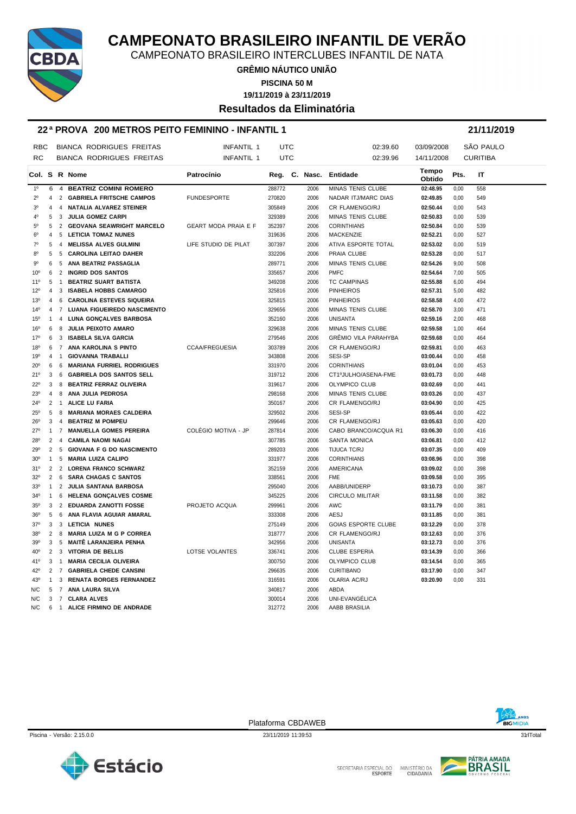

CAMPEONATO BRASILEIRO INTERCLUBES INFANTIL DE NATA

**GRÊMIO NÁUTICO UNIÃO**

**PISCINA 50 M**

**19/11/2019 à 23/11/2019**

#### **Resultados da Eliminatória**

#### **22 ª PROVA 200 METROS PEITO FEMININO - INFANTIL 1 21/11/2019**

| <b>RBC</b>      |                     |                     | <b>BIANCA RODRIGUES FREITAS</b>                             | <b>INFANTIL 1</b>           | <b>UTC</b>       |              | 02:39.60                      | 03/09/2008           |              | SÃO PAULO       |
|-----------------|---------------------|---------------------|-------------------------------------------------------------|-----------------------------|------------------|--------------|-------------------------------|----------------------|--------------|-----------------|
| <b>RC</b>       |                     |                     | <b>BIANCA RODRIGUES FREITAS</b>                             | INFANTIL 1                  | <b>UTC</b>       |              | 02:39.96                      | 14/11/2008           |              | <b>CURITIBA</b> |
|                 |                     |                     | Col. S R Nome                                               | Patrocínio                  |                  |              | Reg. C. Nasc. Entidade        | Tempo<br>Obtido      | Pts.         | IT              |
| 1 <sup>0</sup>  | 6                   |                     | 4 BEATRIZ COMINI ROMERO                                     |                             | 288772           | 2006         | MINAS TENIS CLUBE             | 02:48.95             | 0,00         | 558             |
| $2^{\circ}$     | $\overline{4}$      |                     | 2 GABRIELA FRITSCHE CAMPOS                                  | <b>FUNDESPORTE</b>          | 270820           | 2006         | NADAR ITJ/MARC DIAS           | 02:49.85             | 0,00         | 549             |
| 3 <sup>0</sup>  | 4                   | $\overline{4}$      | <b>NATALIA ALVAREZ STEINER</b>                              |                             | 305849           | 2006         | CR FLAMENGO/RJ                | 02:50.44             | 0,00         | 543             |
| 4°              | 5                   | 3                   | <b>JULIA GOMEZ CARPI</b>                                    |                             | 329389           | 2006         | MINAS TENIS CLUBE             | 02:50.83             | 0,00         | 539             |
| $5^{\circ}$     | 5                   | $\overline{2}$      | <b>GEOVANA SEAWRIGHT MARCELO</b>                            | <b>GEART MODA PRAIA E F</b> | 352397           | 2006         | <b>CORINTHIANS</b>            | 02:50.84             | 0,00         | 539             |
| 6 <sup>o</sup>  | 4                   | 5                   | <b>LETICIA TOMAZ NUNES</b>                                  |                             | 319636           | 2006         | <b>MACKENZIE</b>              | 02:52.21             | 0,00         | 527             |
| $7^\circ$       | 5                   | 4                   | <b>MELISSA ALVES GULMINI</b>                                | LIFE STUDIO DE PILAT        | 307397           | 2006         | ATIVA ESPORTE TOTAL           | 02:53.02             | 0,00         | 519             |
| 80              | 5                   | 5                   | <b>CAROLINA LEITAO DAHER</b>                                |                             | 332206           | 2006         | PRAIA CLUBE                   | 02:53.28             | 0,00         | 517             |
| $9^{\circ}$     | 6                   | 5                   | ANA BEATRIZ PASSAGLIA                                       |                             | 289771           | 2006         | MINAS TENIS CLUBE             | 02:54.26             | 9.00         | 508             |
| 10 <sup>o</sup> | 6                   | $\overline{2}$      | <b>INGRID DOS SANTOS</b>                                    |                             | 335657           | 2006         | <b>PMFC</b>                   | 02:54.64             | 7,00         | 505             |
| $11^{\circ}$    | 5                   | $\overline{1}$      | <b>BEATRIZ SUART BATISTA</b>                                |                             | 349208           | 2006         | <b>TC CAMPINAS</b>            | 02:55.88             | 6,00         | 494             |
| 12°             | $\overline{4}$      | 3                   | <b>ISABELA HOBBS CAMARGO</b>                                |                             | 325816           | 2006         | <b>PINHEIROS</b>              | 02:57.31             | 5,00         | 482             |
| 13 <sup>0</sup> | $\overline{4}$      | 6                   | <b>CAROLINA ESTEVES SIQUEIRA</b>                            |                             | 325815           | 2006         | <b>PINHEIROS</b>              | 02:58.58             | 4,00         | 472             |
| $14^{0}$        | 4                   | $\overline{7}$      | LUANA FIGUEIREDO NASCIMENTO                                 |                             | 329656           | 2006         | MINAS TENIS CLUBE             | 02:58.70             | 3,00         | 471             |
| 15°             | $\mathbf{1}$        | 4                   | LUNA GONÇALVES BARBOSA                                      |                             | 352160           | 2006         | <b>UNISANTA</b>               | 02:59.16             | 2,00         | 468             |
| 16°             | 6                   | 8                   | <b>JULIA PEIXOTO AMARO</b>                                  |                             | 329638           | 2006         | MINAS TENIS CLUBE             | 02:59.58             | 1,00         | 464             |
| 17°             | 6                   | 3                   | ISABELA SILVA GARCIA                                        |                             | 279546           | 2006         | GRÊMIO VILA PARAHYBA          | 02:59.68             | 0,00         | 464             |
| 18°             | 6                   |                     | 7 ANA KAROLINA S PINTO                                      | <b>CCAA/FREGUESIA</b>       | 303789           | 2006         | CR FLAMENGO/RJ                | 02:59.81             | 0,00         | 463             |
| 19°             | $\overline{4}$      | $\overline{1}$      | <b>GIOVANNA TRABALLI</b>                                    |                             | 343808           | 2006         | <b>SESI-SP</b>                | 03:00.44             | 0,00         | 458             |
| $20^{\circ}$    | 6                   | 6                   | <b>MARIANA FURRIEL RODRIGUES</b>                            |                             | 331970           | 2006         | <b>CORINTHIANS</b>            | 03:01.04             | 0,00         | 453             |
| 21°             | 3                   | 6                   | <b>GABRIELA DOS SANTOS SELL</b>                             |                             | 319712           | 2006         | CT1ºJULHO/ASENA-FME           | 03:01.73             | 0,00         | 448             |
| 22°             | 3                   | 8                   | <b>BEATRIZ FERRAZ OLIVEIRA</b>                              |                             | 319617           | 2006         | OLYMPICO CLUB                 | 03:02.69             | 0,00         | 441             |
| 23°             | $\overline{4}$      | 8                   | ANA JULIA PEDROSA                                           |                             | 298168           | 2006         | MINAS TENIS CLUBE             | 03:03.26             | 0,00         | 437             |
| 24°             | 2                   | $\overline{1}$      | <b>ALICE LU FARIA</b>                                       |                             | 350167           | 2006         | CR FLAMENGO/RJ                | 03:04.90             | 0,00         | 425             |
| 25°             | 5                   | 8                   | <b>MARIANA MORAES CALDEIRA</b>                              |                             | 329502           | 2006         | <b>SESI-SP</b>                | 03:05.44             | 0,00         | 422             |
| $26^{\circ}$    | 3                   | 4                   | <b>BEATRIZ M POMPEU</b>                                     |                             | 299646           | 2006         | CR FLAMENGO/RJ                | 03:05.63             | 0,00         | 420             |
| $27^{\circ}$    | $\mathbf{1}$        | $\overline{7}$      | <b>MANUELLA GOMES PEREIRA</b>                               | COLÉGIO MOTIVA - JP         | 287814           | 2006         | CABO BRANCO/ACQUA R1          | 03:06.30             | 0,00         | 416             |
| 28°             | $\overline{2}$      | $\overline{4}$      | <b>CAMILA NAOMI NAGAI</b>                                   |                             | 307785           | 2006         | <b>SANTA MONICA</b>           | 03:06.81             | 0,00         | 412             |
| 29°             | $\overline{2}$      | 5                   | <b>GIOVANA F G DO NASCIMENTO</b>                            |                             | 289203           | 2006         | TIJUCA TC/RJ                  | 03:07.35             | 0,00         | 409             |
|                 | $\mathbf{1}$        | 5                   | <b>MARIA LUIZA CALIPO</b>                                   |                             |                  |              |                               | 03:08.96             |              | 398             |
| $30^{\circ}$    |                     |                     |                                                             |                             | 331977           | 2006         | <b>CORINTHIANS</b>            |                      | 0,00         |                 |
| 31°<br>32°      | $\overline{2}$<br>2 | $\overline{2}$<br>6 | <b>LORENA FRANCO SCHWARZ</b><br><b>SARA CHAGAS C SANTOS</b> |                             | 352159<br>338561 | 2006<br>2006 | AMERICANA<br><b>FME</b>       | 03:09.02<br>03:09.58 | 0,00<br>0,00 | 398<br>395      |
| 33 <sup>0</sup> | $\mathbf{1}$        | 2                   | JULIA SANTANA BARBOSA                                       |                             | 295040           | 2006         | AABB/UNIDERP                  | 03:10.73             | 0,00         | 387             |
|                 | $\mathbf{1}$        |                     |                                                             |                             | 345225           | 2006         |                               | 03:11.58             |              |                 |
| $34^{\circ}$    | 3                   | 6<br>$\overline{2}$ | HELENA GONÇALVES COSME<br><b>EDUARDA ZANOTTI FOSSE</b>      | PROJETO ACQUA               |                  | 2006         | <b>CIRCULO MILITAR</b><br>AWC | 03:11.79             | 0,00         | 382<br>381      |
| 35 <sup>0</sup> |                     |                     |                                                             |                             | 299961           |              |                               |                      | 0,00         |                 |
| 36°             | 5                   | 6                   | ANA FLAVIA AGUIAR AMARAL                                    |                             | 333308           | 2006         | AESJ                          | 03:11.85             | 0,00         | 381             |
| $37^\circ$      | 3                   | 3                   | <b>LETICIA NUNES</b>                                        |                             | 275149           | 2006         | <b>GOIAS ESPORTE CLUBE</b>    | 03:12.29             | 0,00         | 378             |
| 38°             | 2                   | 8                   | <b>MARIA LUIZA M G P CORREA</b>                             |                             | 318777           | 2006         | CR FLAMENGO/RJ                | 03:12.63             | 0,00         | 376             |
| 39°             | 3                   | 5                   | <b>MAITE LARANJEIRA PENHA</b>                               |                             | 342956           | 2006         | <b>UNISANTA</b>               | 03:12.73             | 0,00         | 376             |
| 40°             |                     | $2 \quad 3$         | <b>VITORIA DE BELLIS</b>                                    | LOTSE VOLANTES              | 336741           | 2006         | <b>CLUBE ESPERIA</b>          | 03:14.39             | 0,00         | 366             |
| 41°             | 3                   | $\overline{1}$      | <b>MARIA CECILIA OLIVEIRA</b>                               |                             | 300750           | 2006         | OLYMPICO CLUB                 | 03:14.54             | 0,00         | 365             |
| $42^{\circ}$    | 2                   | $\overline{7}$      | <b>GABRIELA CHEDE CANSINI</b>                               |                             | 296635           | 2006         | <b>CURITIBANO</b>             | 03:17.90             | 0,00         | 347             |
| 43°             | $\mathbf{1}$        | 3                   | <b>RENATA BORGES FERNANDEZ</b>                              |                             | 316591           | 2006         | OLARIA AC/RJ                  | 03:20.90             | 0.00         | 331             |
| N/C             | 5                   |                     | 7 ANA LAURA SILVA                                           |                             | 340817           | 2006         | <b>ABDA</b>                   |                      |              |                 |
| N/C             | 3                   |                     | 7 CLARA ALVES                                               |                             | 300014           | 2006         | UNI-EVANGÉLICA                |                      |              |                 |
| N/C             | 6                   |                     | 1 ALICE FIRMINO DE ANDRADE                                  |                             | 312772           | 2006         | AABB BRASILIA                 |                      |              |                 |



Piscina - Versão: 2.15.0.0 23/11/2019 11:39:53 23/11/2019 11:39:53 31rlTotal

Plataforma CBDAWEB

SECRETARIA ESPECIAL DO





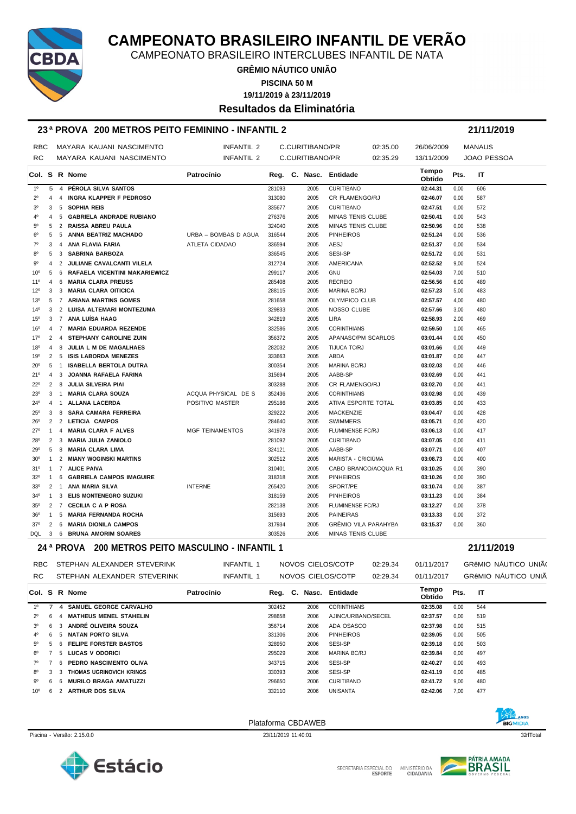

CAMPEONATO BRASILEIRO INTERCLUBES INFANTIL DE NATA

**GRÊMIO NÁUTICO UNIÃO**

**PISCINA 50 M**

**19/11/2019 à 23/11/2019**

#### **Resultados da Eliminatória**

#### **23 ª PROVA 200 METROS PEITO FEMININO - INFANTIL 2 21/11/2019**

| <b>RBC</b>      |                |                | MAYARA KAUANI NASCIMENTO        | <b>INFANTIL 2</b>      |        | C.CURITIBANO/PR |                             | 02:35.00 | 26/06/2009      |      | <b>MANAUS</b>      |
|-----------------|----------------|----------------|---------------------------------|------------------------|--------|-----------------|-----------------------------|----------|-----------------|------|--------------------|
| <b>RC</b>       |                |                | MAYARA KAUANI NASCIMENTO        | INFANTIL 2             |        | C.CURITIBANO/PR |                             | 02:35.29 | 13/11/2009      |      | <b>JOAO PESSOA</b> |
|                 |                |                | Col. S R Nome                   | Patrocínio             |        |                 | Reg. C. Nasc. Entidade      |          | Tempo<br>Obtido | Pts. | IT                 |
| 1 <sup>0</sup>  | 5              |                | 4 PÉROLA SILVA SANTOS           |                        | 281093 | 2005            | <b>CURITIBANO</b>           |          | 02:44.31        | 0,00 | 606                |
| $2^{\circ}$     | $\overline{4}$ |                | 4 INGRA KLAPPER F PEDROSO       |                        | 313080 | 2005            | CR FLAMENGO/RJ              |          | 02:46.07        | 0,00 | 587                |
| 3 <sup>0</sup>  | 3              |                | 5 SOPHIA REIS                   |                        | 335677 | 2005            | <b>CURITIBANO</b>           |          | 02:47.51        | 0,00 | 572                |
| $4^{\circ}$     | 4              | 5              | <b>GABRIELA ANDRADE RUBIANO</b> |                        | 276376 | 2005            | <b>MINAS TENIS CLUBE</b>    |          | 02:50.41        | 0,00 | 543                |
| $5^{\circ}$     | 5              |                | 2 RAISSA ABREU PAULA            |                        | 324040 | 2005            | <b>MINAS TENIS CLUBE</b>    |          | 02:50.96        | 0,00 | 538                |
| 6 <sup>o</sup>  | 5              |                | 5 ANNA BEATRIZ MACHADO          | URBA - BOMBAS D AGUA   | 316544 | 2005            | <b>PINHEIROS</b>            |          | 02:51.24        | 0,00 | 536                |
| 70              | 3              | $\overline{4}$ | ANA FLAVIA FARIA                | ATLETA CIDADAO         | 336594 | 2005            | AESJ                        |          | 02:51.37        | 0,00 | 534                |
| 80              | 5              |                | 3 SABRINA BARBOZA               |                        | 336545 | 2005            | SESI-SP                     |          | 02:51.72        | 0,00 | 531                |
| $9^{\circ}$     | 4              |                | 2 JULIANE CAVALCANTI VILELA     |                        | 312724 | 2005            | <b>AMERICANA</b>            |          | 02:52.52        | 9,00 | 524                |
| $10^{\circ}$    | 5              |                | 6 RAFAELA VICENTINI MAKARIEWICZ |                        | 299117 | 2005            | <b>GNU</b>                  |          | 02:54.03        | 7,00 | 510                |
| $11^{\circ}$    | 4              |                | 6 MARIA CLARA PREUSS            |                        | 285408 | 2005            | <b>RECREIO</b>              |          | 02:56.56        | 6,00 | 489                |
| $12^{\circ}$    | 3              |                | 3 MARIA CLARA OITICICA          |                        | 288115 | 2005            | <b>MARINA BC/RJ</b>         |          | 02:57.23        | 5,00 | 483                |
| $13^{o}$        |                |                | 5 7 ARIANA MARTINS GOMES        |                        | 281658 | 2005            | OLYMPICO CLUB               |          | 02:57.57        | 4,00 | 480                |
| $14^{o}$        | 3              |                | 2 LUISA ALTEMARI MONTEZUMA      |                        | 329833 | 2005            | NOSSO CLUBE                 |          | 02:57.66        | 3,00 | 480                |
| $15^{o}$        |                |                | 3 7 ANA LUÍSA HAAG              |                        | 342819 | 2005            | LIRA                        |          | 02:58.93        | 2,00 | 469                |
| 16 <sup>o</sup> |                |                | 4 7 MARIA EDUARDA REZENDE       |                        | 332586 | 2005            | <b>CORINTHIANS</b>          |          | 02:59.50        | 1,00 | 465                |
| $17^{\circ}$    | 2              |                | 4 STEPHANY CAROLINE ZUIN        |                        | 356372 | 2005            | APANASC/PM SCARLOS          |          | 03:01.44        | 0,00 | 450                |
| 18°             | 4              | 8              | JULIA L M DE MAGALHAES          |                        | 282032 | 2005            | TIJUCA TC/RJ                |          | 03:01.66        | 0,00 | 449                |
| 19°             |                |                | 2 5 ISIS LABORDA MENEZES        |                        | 333663 | 2005            | ABDA                        |          | 03:01.87        | 0,00 | 447                |
| $20^{\circ}$    |                | 5 1            | <b>ISABELLA BERTOLA DUTRA</b>   |                        | 300354 | 2005            | <b>MARINA BC/RJ</b>         |          | 03:02.03        | 0,00 | 446                |
| 21°             | 4              | 3              | JOANNA RAFAELA FARINA           |                        | 315694 | 2005            | AABB-SP                     |          | 03:02.69        | 0,00 | 441                |
| $22^{\circ}$    | $\overline{2}$ |                | 8 JULIA SILVEIRA PIAI           |                        | 303288 | 2005            | <b>CR FLAMENGO/RJ</b>       |          | 03:02.70        | 0,00 | 441                |
| 23°             |                | 3 1            | <b>MARIA CLARA SOUZA</b>        | ACQUA PHYSICAL DE S    | 352436 | 2005            | <b>CORINTHIANS</b>          |          | 03:02.98        | 0,00 | 439                |
| $24^{\circ}$    |                |                | 4 1 ALLANA LACERDA              | POSITIVO MASTER        | 295186 | 2005            | ATIVA ESPORTE TOTAL         |          | 03:03.85        | 0,00 | 433                |
| $25^{\circ}$    | 3              |                | 8 SARA CAMARA FERREIRA          |                        | 329222 | 2005            | MACKENZIE                   |          | 03:04.47        | 0,00 | 428                |
| $26^{\circ}$    | $\overline{2}$ |                | 2 LETICIA CAMPOS                |                        | 284640 | 2005            | <b>SWIMMERS</b>             |          | 03:05.71        | 0,00 | 420                |
| $27^\circ$      | $\mathbf{1}$   |                | 4 MARIA CLARA F ALVES           | <b>MGF TEINAMENTOS</b> | 341978 | 2005            | FLUMINENSE FC/RJ            |          | 03:06.13        | 0,00 | 417                |
| 28°             |                |                | 2 3 MARIA JULIA ZANIOLO         |                        | 281092 | 2005            | <b>CURITIBANO</b>           |          | 03:07.05        | 0,00 | 411                |
| 29°             | 5              |                | 8 MARIA CLARA LIMA              |                        | 324121 | 2005            | AABB-SP                     |          | 03:07.71        | 0,00 | 407                |
| 30 <sup>o</sup> | $\mathbf{1}$   |                | 2 MIANY WOGINSKI MARTINS        |                        | 302512 | 2005            | MARISTA - CRICIÚMA          |          | 03:08.73        | 0,00 | 400                |
| 31°             | $\mathbf{1}$   |                | 7 ALICE PAIVA                   |                        | 310401 | 2005            | CABO BRANCO/ACQUA R1        |          | 03:10.25        | 0,00 | 390                |
| 32°             | 1              |                | 6 GABRIELA CAMPOS IMAGUIRE      |                        | 318318 | 2005            | <b>PINHEIROS</b>            |          | 03:10.26        | 0,00 | 390                |
| 33 <sup>0</sup> | $\overline{2}$ |                | 1 ANA MARIA SILVA               | <b>INTERNE</b>         | 265420 | 2005            | SPORT/PE                    |          | 03:10.74        | 0,00 | 387                |
| $34^\circ$      | 1              |                | <b>3 ELIS MONTENEGRO SUZUKI</b> |                        | 318159 | 2005            | <b>PINHEIROS</b>            |          | 03:11.23        | 0,00 | 384                |
| $35^\circ$      |                |                | 2 7 CECILIA C A P ROSA          |                        | 282138 | 2005            | FLUMINENSE FC/RJ            |          | 03:12.27        | 0,00 | 378                |
| 36°             | $\mathbf{1}$   |                | 5 MARIA FERNANDA ROCHA          |                        | 315693 | 2005            | <b>PAINEIRAS</b>            |          | 03:13.33        | 0,00 | 372                |
| $37^\circ$      | $\overline{2}$ |                | 6 MARIA DIONILA CAMPOS          |                        | 317934 | 2005            | <b>GRÊMIO VILA PARAHYBA</b> |          | 03:15.37        | 0.00 | 360                |
| DQL 3           |                |                | 6 BRUNA AMORIM SOARES           |                        | 303526 | 2005            | MINAS TENIS CLUBE           |          |                 |      |                    |

|                |     |    |                | 24 ª PROVA    | <b>200 METROS PEITO MASCULINO - INFANTIL 1</b> |            |                   |         |                   |                    |          |                 |      | 21/11/2019 |                      |
|----------------|-----|----|----------------|---------------|------------------------------------------------|------------|-------------------|---------|-------------------|--------------------|----------|-----------------|------|------------|----------------------|
|                | RBC |    |                |               | STEPHAN ALEXANDER STEVERINK                    |            | INFANTIL 1        |         | NOVOS CIELOS/COTP |                    | 02:29.34 | 01/11/2017      |      |            | GRAMIO NÁUTICO UNIÃO |
|                | RC. |    |                |               | STEPHAN ALEXANDER STEVERINK                    |            | <b>INFANTIL 1</b> |         | NOVOS CIELOS/COTP |                    | 02:29.34 | 01/11/2017      |      |            | GRAMIO NÁUTICO UNIÃ  |
|                |     |    |                | Col. S R Nome |                                                | Patrocínio |                   | Reg. C. |                   | Nasc. Entidade     |          | Tempo<br>Obtido | Pts. | IT         |                      |
| 10             |     |    | $\overline{a}$ |               | <b>SAMUEL GEORGE CARVALHO</b>                  |            |                   | 302452  | 2006              | <b>CORINTHIANS</b> |          | 02:35.08        | 0,00 | 544        |                      |
| $2^{\circ}$    |     | 6  |                |               | <b>MATHEUS MENEL STAHELIN</b>                  |            |                   | 298658  | 2006              | AJINC/URBANO/SECEL |          | 02:37.57        | 0,00 | 519        |                      |
| 3 <sup>0</sup> |     | -6 |                |               | ANDRÉ OLIVEIRA SOUZA                           |            |                   | 356714  | 2006              | ADA OSASCO         |          | 02:37.98        | 0.00 | 515        |                      |
| $4^{\circ}$    |     | 6. |                |               | NATAN PORTO SILVA                              |            |                   | 331306  | 2006              | <b>PINHEIROS</b>   |          | 02:39.05        | 0.00 | 505        |                      |
| $5^{\circ}$    |     | 5. | -6             |               | <b>FELIPE FORSTER BASTOS</b>                   |            |                   | 328950  | 2006              | SESI-SP            |          | 02:39.18        | 0,00 | 503        |                      |
| 6°             |     |    |                |               | 5 LUCAS V ODORICI                              |            |                   | 295029  | 2006              | MARINA BC/RJ       |          | 02:39.84        | 0.00 | 497        |                      |
| 70             |     |    | -6             |               | PEDRO NASCIMENTO OLIVA                         |            |                   | 343715  | 2006              | SESI-SP            |          | 02:40.27        | 0,00 | 493        |                      |
| $8^{\circ}$    |     | 3  |                |               | THOMAS UGRINOVICH KRINGS                       |            |                   | 330393  | 2006              | SESI-SP            |          | 02:41.19        | 0,00 | 485        |                      |
| gº             |     | 6  |                |               | <b>MURILO BRAGA AMATUZZI</b>                   |            |                   | 296650  | 2006              | <b>CURITIBANO</b>  |          | 02:41.72        | 9,00 | 480        |                      |

10º 6 2 **ARTHUR DOS SILVA** 332110 2006 UNISANTA **02:42.06** 7,00 477









ANOS **BICMIDIA** 

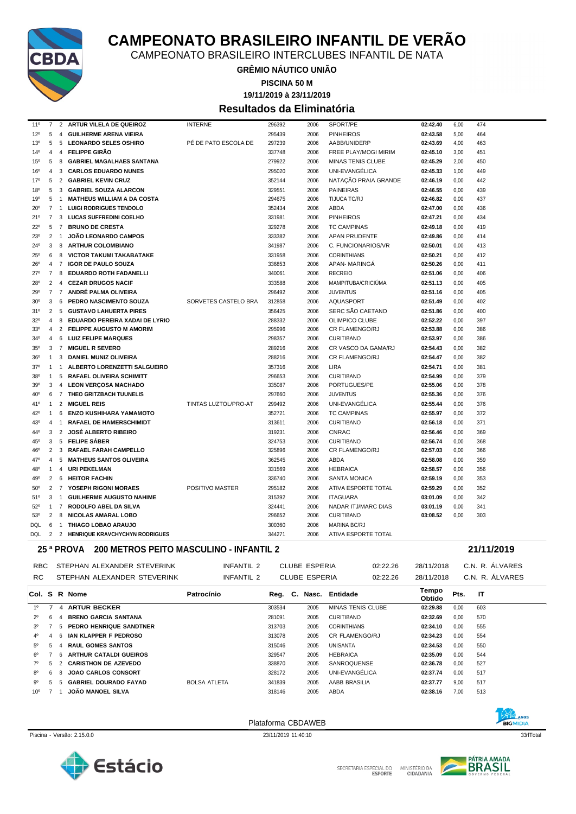

CAMPEONATO BRASILEIRO INTERCLUBES INFANTIL DE NATA

**GRÊMIO NÁUTICO UNIÃO**

**PISCINA 50 M**

**19/11/2019 à 23/11/2019**

#### **Resultados da Eliminatória**

| $11^{\circ}$    | 7              |                | 2 ARTUR VILELA DE QUEIROZ           | <b>INTERNE</b>       | 296392 | 2006 | SPORT/PE                   | 02:42.40 | 6,00 | 474 |
|-----------------|----------------|----------------|-------------------------------------|----------------------|--------|------|----------------------------|----------|------|-----|
| 12°             | 5              | $\overline{4}$ | <b>GUILHERME ARENA VIEIRA</b>       |                      | 295439 | 2006 | <b>PINHEIROS</b>           | 02:43.58 | 5,00 | 464 |
| $13^{o}$        | 5              | 5              | <b>LEONARDO SELES OSHIRO</b>        | PÉ DE PATO ESCOLA DE | 297239 | 2006 | AABB/UNIDERP               | 02:43.69 | 4,00 | 463 |
| $14^{o}$        | 4              | $\overline{4}$ | <b>FELIPPE GIRÃO</b>                |                      | 337748 | 2006 | FREE PLAY/MOGI MIRIM       | 02:45.10 | 3,00 | 451 |
| 15 <sup>o</sup> | 5              | 8              | <b>GABRIEL MAGALHAES SANTANA</b>    |                      | 279922 | 2006 | <b>MINAS TENIS CLUBE</b>   | 02:45.29 | 2,00 | 450 |
| 16 <sup>o</sup> | 4              | 3              | <b>CARLOS EDUARDO NUNES</b>         |                      | 295020 | 2006 | UNI-EVANGÉLICA             | 02:45.33 | 1.00 | 449 |
| $17^{\circ}$    | 5              |                | 2 GABRIEL KEVIN CRUZ                |                      | 352144 | 2006 | NATAÇÃO PRAIA GRANDE       | 02:46.19 | 0,00 | 442 |
| 18 <sup>0</sup> | 5              | $\mathbf{3}$   | <b>GABRIEL SOUZA ALARCON</b>        |                      | 329551 | 2006 | <b>PAINEIRAS</b>           | 02:46.55 | 0,00 | 439 |
| 19 <sup>o</sup> | 5              | $\overline{1}$ | <b>MATHEUS WILLIAM A DA COSTA</b>   |                      | 294675 | 2006 | TIJUCA TC/RJ               | 02:46.82 | 0,00 | 437 |
| 20 <sup>o</sup> |                | 7 1            | <b>LUIGI RODRIGUES TENDOLO</b>      |                      | 352434 | 2006 | ABDA                       | 02:47.00 | 0,00 | 436 |
| 21°             |                | 7 <sub>3</sub> | <b>LUCAS SUFFREDINI COELHO</b>      |                      | 331981 | 2006 | <b>PINHEIROS</b>           | 02:47.21 | 0,00 | 434 |
| $22^{\circ}$    | 5              | $\overline{7}$ | <b>BRUNO DE CRESTA</b>              |                      | 329278 | 2006 | <b>TC CAMPINAS</b>         | 02:49.18 | 0.00 | 419 |
| $23^{\circ}$    | 2              | $\overline{1}$ | <b>JOÃO LEONARDO CAMPOS</b>         |                      | 333382 | 2006 | <b>APAN PRUDENTE</b>       | 02:49.86 | 0.00 | 414 |
| $24^{\circ}$    | 3              | 8              | <b>ARTHUR COLOMBIANO</b>            |                      | 341987 | 2006 | C. FUNCIONARIOS/VR         | 02:50.01 | 0,00 | 413 |
| $25^{\circ}$    | 6              | 8              | <b>VICTOR TAKUMI TAKABATAKE</b>     |                      | 331958 | 2006 | <b>CORINTHIANS</b>         | 02:50.21 | 0,00 | 412 |
| $26^{\circ}$    | 4              | $\overline{7}$ | <b>IGOR DE PAULO SOUZA</b>          |                      | 336853 | 2006 | APAN-MARINGA               | 02:50.26 | 0,00 | 411 |
| 27°             | 7              | 8              | <b>EDUARDO ROTH FADANELLI</b>       |                      | 340061 | 2006 | <b>RECREIO</b>             | 02:51.06 | 0,00 | 406 |
| 28°             | 2              | $\overline{4}$ | <b>CEZAR DRUGOS NACIF</b>           |                      | 333588 | 2006 | MAMPITUBA/CRICIÚMA         | 02:51.13 | 0,00 | 405 |
| 29°             |                |                | 7 7 ANDRÉ PALMA OLIVEIRA            |                      | 296492 | 2006 | <b>JUVENTUS</b>            | 02:51.16 | 0.00 | 405 |
| 30 <sup>o</sup> | 3              | - 6            | PEDRO NASCIMENTO SOUZA              | SORVETES CASTELO BRA | 312858 | 2006 | <b>AQUASPORT</b>           | 02:51.49 | 0.00 | 402 |
| 31°             | $\overline{2}$ | - 5            | <b>GUSTAVO LAHUERTA PIRES</b>       |                      | 356425 | 2006 | SERC SÃO CAETANO           | 02:51.86 | 0,00 | 400 |
| 32°             | $\overline{4}$ | 8              | EDUARDO PEREIRA XADAI DE LYRIO      |                      | 288332 | 2006 | OLIMPICO CLUBE             | 02:52.22 | 0,00 | 397 |
| 33°             | 4              | 2              | <b>FELIPPE AUGUSTO M AMORIM</b>     |                      | 295996 | 2006 | CR FLAMENGO/RJ             | 02:53.88 | 0,00 | 386 |
| 34°             |                |                | 4 6 LUIZ FELIPE MARQUES             |                      | 298357 | 2006 | <b>CURITIBANO</b>          | 02:53.97 | 0,00 | 386 |
| $35^\circ$      | 3              | $\overline{7}$ | <b>MIGUEL R SEVERO</b>              |                      | 289216 | 2006 | CR VASCO DA GAMA/RJ        | 02:54.43 | 0.00 | 382 |
| 36 <sup>o</sup> | 1              | 3              | <b>DANIEL MUNIZ OLIVEIRA</b>        |                      | 288216 | 2006 | <b>CR FLAMENGO/RJ</b>      | 02:54.47 | 0.00 | 382 |
| $37^{\circ}$    | 1              | $\mathbf{1}$   | <b>ALBERTO LORENZETTI SALGUEIRO</b> |                      | 357316 | 2006 | <b>LIRA</b>                | 02:54.71 | 0.00 | 381 |
| 38°             | 1              | 5              | <b>RAFAEL OLIVEIRA SCHIMITT</b>     |                      | 296653 | 2006 | <b>CURITIBANO</b>          | 02:54.99 | 0,00 | 379 |
| 39°             | 3              | $\overline{4}$ | <b>LEON VERÇOSA MACHADO</b>         |                      | 335087 | 2006 | PORTUGUES/PE               | 02:55.06 | 0,00 | 378 |
| 40°             | 6              |                | 7 THEO GRITZBACH TUUNELIS           |                      | 297660 | 2006 | <b>JUVENTUS</b>            | 02:55.36 | 0,00 | 376 |
| 41°             | $\mathbf{1}$   | $\overline{2}$ | <b>MIGUEL REIS</b>                  | TINTAS LUZTOL/PRO-AT | 299492 | 2006 | UNI-EVANGÉLICA             | 02:55.44 | 0,00 | 376 |
| 42°             | 1              | 6              | <b>ENZO KUSHIHARA YAMAMOTO</b>      |                      | 352721 | 2006 | <b>TC CAMPINAS</b>         | 02:55.97 | 0.00 | 372 |
| 43°             | 4              | $\overline{1}$ | <b>RAFAEL DE HAMERSCHIMIDT</b>      |                      | 313611 | 2006 | <b>CURITIBANO</b>          | 02:56.18 | 0.00 | 371 |
| 44°             | 3              | 2              | <b>JOSÉ ALBERTO RIBEIRO</b>         |                      | 319231 | 2006 | <b>CNRAC</b>               | 02:56.46 | 0.00 | 369 |
| 45 <sup>°</sup> | 3              | 5              | <b>FELIPE SÁBER</b>                 |                      | 324753 | 2006 | <b>CURITIBANO</b>          | 02:56.74 | 0,00 | 368 |
| 46°             | $\overline{2}$ | 3              | <b>RAFAEL FARAH CAMPELLO</b>        |                      | 325896 | 2006 | CR FLAMENGO/RJ             | 02:57.03 | 0,00 | 366 |
| 47°             | 4              | 5              | <b>MATHEUS SANTOS OLIVEIRA</b>      |                      | 362545 | 2006 | ABDA                       | 02:58.08 | 0,00 | 359 |
| 48°             | $\mathbf{1}$   | $\overline{4}$ | <b>URI PEKELMAN</b>                 |                      | 331569 | 2006 | <b>HEBRAICA</b>            | 02:58.57 | 0,00 | 356 |
| 49°             |                | $2 \quad 6$    | <b>HEITOR FACHIN</b>                |                      | 336740 | 2006 | <b>SANTA MONICA</b>        | 02:59.19 | 0,00 | 353 |
| $50^{\circ}$    |                |                | 2 7 YOSEPH RIGONI MORAES            | POSITIVO MASTER      | 295182 | 2006 | <b>ATIVA ESPORTE TOTAL</b> | 02:59.29 | 0.00 | 352 |
| 51°             | 3              | $\overline{1}$ | <b>GUILHERME AUGUSTO NAHIME</b>     |                      | 315392 | 2006 | <b>ITAGUARA</b>            | 03:01.09 | 0.00 | 342 |
| 52°             |                | 1 7            | RODOLFO ABEL DA SILVA               |                      | 324441 | 2006 | NADAR ITJ/MARC DIAS        | 03:01.19 | 0,00 | 341 |
| $53^{\circ}$    | $\overline{2}$ | 8              | <b>NICOLAS AMARAL LOBO</b>          |                      | 296652 | 2006 | <b>CURITIBANO</b>          | 03:08.52 | 0,00 | 303 |
| DQL             | 6              | $\overline{1}$ | THIAGO LOBAO ARAUJO                 |                      | 300360 | 2006 | MARINA BC/RJ               |          |      |     |
| DQL             |                |                | 2 2 HENRIQUE KRAVCHYCHYN RODRIGUES  |                      | 344271 | 2006 | ATIVA ESPORTE TOTAL        |          |      |     |

#### **25 ª PROVA 200 METROS PEITO MASCULINO - INFANTIL 2 21/11/2019**

|                 |    |                |               |                              |                     |        |                      |                          |          |                 |      | --------        |
|-----------------|----|----------------|---------------|------------------------------|---------------------|--------|----------------------|--------------------------|----------|-----------------|------|-----------------|
| <b>RBC</b>      |    |                |               | STEPHAN ALEXANDER STEVERINK  | INFANTIL 2          |        | <b>CLUBE ESPERIA</b> |                          | 02:22.26 | 28/11/2018      |      | C.N. R. ÁLVARES |
| RC.             |    |                |               | STEPHAN ALEXANDER STEVERINK  | INFANTIL 2          |        | <b>CLUBE ESPERIA</b> |                          | 02:22.26 | 28/11/2018      |      | C.N. R. ÁLVARES |
|                 |    |                | Col. S R Nome |                              | Patrocínio          |        |                      | Reg. C. Nasc. Entidade   |          | Tempo<br>Obtido | Pts. | IT              |
| 10              |    |                |               | 4 ARTUR BECKER               |                     | 303534 | 2005                 | <b>MINAS TENIS CLUBE</b> |          | 02:29.88        | 0.00 | 603             |
| $2^{\circ}$     | 6  | $\Delta$       |               | <b>BRENO GARCIA SANTANA</b>  |                     | 281091 | 2005                 | <b>CURITIBANO</b>        |          | 02:32.69        | 0,00 | 570             |
| $3^{\circ}$     |    | 5.             |               | PEDRO HENRIQUE SANDTNER      |                     | 313703 | 2005                 | <b>CORINTHIANS</b>       |          | 02:34.10        | 0,00 | 555             |
| 4°              |    | -6             |               | IAN KLAPPER F PEDROSO        |                     | 313078 | 2005                 | CR FLAMENGO/RJ           |          | 02:34.23        | 0,00 | 554             |
| 50              | 5. | $\Delta$       |               | <b>RAUL GOMES SANTOS</b>     |                     | 315046 | 2005                 | <b>UNISANTA</b>          |          | 02:34.53        | 0.00 | 550             |
| 6°              |    |                |               | 6 ARTHUR CATALDI GUEIROS     |                     | 329547 | 2005                 | <b>HEBRAICA</b>          |          | 02:35.09        | 0,00 | 544             |
|                 | 5  | $\overline{2}$ |               | <b>CARISTHON DE AZEVEDO</b>  |                     | 338870 | 2005                 | <b>SANROQUENSE</b>       |          | 02:36.78        | 0,00 | 527             |
| 80              | 6. | 8              |               | <b>JOAO CARLOS CONSORT</b>   |                     | 328172 | 2005                 | UNI-EVANGÉLICA           |          | 02:37.74        | 0,00 | 517             |
| .qo             | 5. | 5.             |               | <b>GABRIEL DOURADO FAYAD</b> | <b>BOLSA ATLETA</b> | 341839 | 2005                 | AABB BRASILIA            |          | 02:37.77        | 9,00 | 517             |
| 10 <sup>o</sup> |    |                |               | JOÃO MANOEL SILVA            |                     | 318146 | 2005                 | <b>ABDA</b>              |          | 02:38.16        | 7.00 | 513             |
|                 |    |                |               |                              |                     |        |                      |                          |          |                 |      |                 |

Piscina - Versão: 2.15.0.0 23/11/2019 11:40:10 23/11/2019 11:40:10 23/11/2019 11:40:10 33rlTotal



Plataforma CBDAWEB

BIGMIDIA



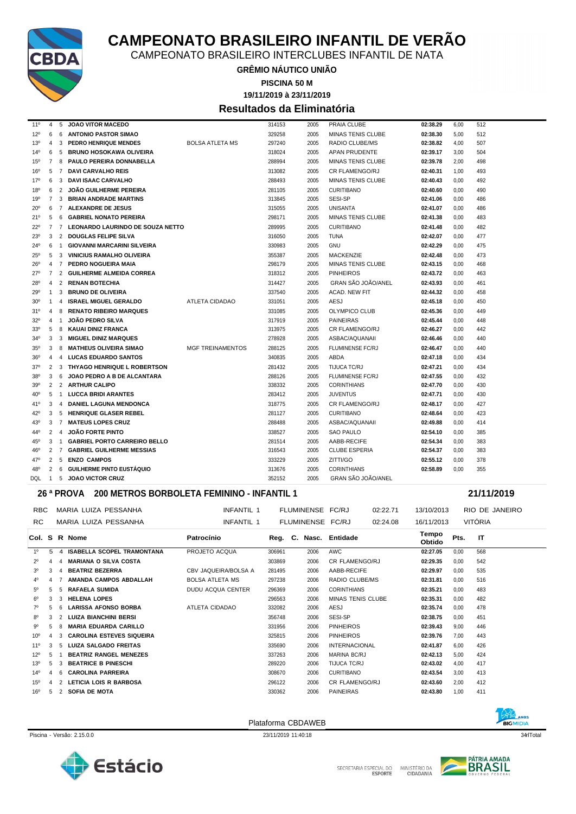

CAMPEONATO BRASILEIRO INTERCLUBES INFANTIL DE NATA

**GRÊMIO NÁUTICO UNIÃO**

**PISCINA 50 M**

**19/11/2019 à 23/11/2019**

#### **Resultados da Eliminatória**

| $11^{\circ}$    | 4              | 5              | <b>JOAO VITOR MACEDO</b>            |                         | 314153 | 2005 | PRAIA CLUBE               | 02:38.29 | 6,00 | 512 |
|-----------------|----------------|----------------|-------------------------------------|-------------------------|--------|------|---------------------------|----------|------|-----|
| 12°             | 6              | 6              | <b>ANTONIO PASTOR SIMAO</b>         |                         | 329258 | 2005 | <b>MINAS TENIS CLUBE</b>  | 02:38.30 | 5.00 | 512 |
| $13^{o}$        | 4              | 3              | <b>PEDRO HENRIQUE MENDES</b>        | <b>BOLSA ATLETA MS</b>  | 297240 | 2005 | RADIO CLUBE/MS            | 02:38.82 | 4,00 | 507 |
| $14^{o}$        | 6              | 5              | <b>BRUNO HOSOKAWA OLIVEIRA</b>      |                         | 318024 | 2005 | <b>APAN PRUDENTE</b>      | 02:39.17 | 3.00 | 504 |
| $15^{\circ}$    | $\overline{7}$ | 8              | <b>PAULO PEREIRA DONNABELLA</b>     |                         | 288994 | 2005 | <b>MINAS TENIS CLUBE</b>  | 02:39.78 | 2,00 | 498 |
| 16°             | 5              | $\overline{7}$ | <b>DAVI CARVALHO REIS</b>           |                         | 313082 | 2005 | CR FLAMENGO/RJ            | 02:40.31 | 1,00 | 493 |
| $17^{\circ}$    | 6              | 3              | <b>DAVI ISAAC CARVALHO</b>          |                         | 288493 | 2005 | <b>MINAS TENIS CLUBE</b>  | 02:40.43 | 0.00 | 492 |
| 18 <sup>0</sup> | 6              | 2              | JOÃO GUILHERME PEREIRA              |                         | 281105 | 2005 | <b>CURITIBANO</b>         | 02:40.60 | 0.00 | 490 |
| 19°             | 7              | 3              | <b>BRIAN ANDRADE MARTINS</b>        |                         | 313845 | 2005 | SESI-SP                   | 02:41.06 | 0,00 | 486 |
| $20^{\circ}$    | 6              |                | 7 ALEXANDRE DE JESUS                |                         | 315055 | 2005 | UNISANTA                  | 02:41.07 | 0,00 | 486 |
| 21°             | 5              | 6              | <b>GABRIEL NONATO PEREIRA</b>       |                         | 298171 | 2005 | <b>MINAS TENIS CLUBE</b>  | 02:41.38 | 0,00 | 483 |
| $22^{\circ}$    | $\overline{7}$ |                | 7 LEONARDO LAURINDO DE SOUZA NETTO  |                         | 289995 | 2005 | <b>CURITIBANO</b>         | 02:41.48 | 0,00 | 482 |
| $23^{\circ}$    | 3              |                | 2 DOUGLAS FELIPE SILVA              |                         | 316050 | 2005 | <b>TUNA</b>               | 02:42.07 | 0.00 | 477 |
| 24°             | 6              | $\overline{1}$ | <b>GIOVANNI MARCARINI SILVEIRA</b>  |                         | 330983 | 2005 | GNU                       | 02:42.29 | 0,00 | 475 |
| $25^{\circ}$    | 5              | 3              | <b>VINICIUS RAMALHO OLIVEIRA</b>    |                         | 355387 | 2005 | <b>MACKENZIE</b>          | 02:42.48 | 0,00 | 473 |
| $26^{\circ}$    | 4              |                | 7 PEDRO NOGUEIRA MAIA               |                         | 298179 | 2005 | MINAS TENIS CLUBE         | 02:43.15 | 0,00 | 468 |
| 27°             | $\overline{7}$ |                | 2 GUILHERME ALMEIDA CORREA          |                         | 318312 | 2005 | <b>PINHEIROS</b>          | 02:43.72 | 0,00 | 463 |
| 28°             | 4              |                | 2 RENAN BOTECHIA                    |                         | 314427 | 2005 | GRAN SÃO JOÃO/ANEL        | 02:43.93 | 0.00 | 461 |
| 29°             | $\mathbf{1}$   | 3              | <b>BRUNO DE OLIVEIRA</b>            |                         | 337540 | 2005 | ACAD. NEW FIT             | 02:44.32 | 0.00 | 458 |
| 30 <sup>o</sup> | 1              | 4              | <b>ISRAEL MIGUEL GERALDO</b>        | <b>ATLETA CIDADAO</b>   | 331051 | 2005 | AESJ                      | 02:45.18 | 0,00 | 450 |
| 31°             | 4              | 8              | <b>RENATO RIBEIRO MARQUES</b>       |                         | 331085 | 2005 | OLYMPICO CLUB             | 02:45.36 | 0,00 | 449 |
| $32^{\circ}$    | 4              | -1             | <b>JOÃO PEDRO SILVA</b>             |                         | 317919 | 2005 | <b>PAINEIRAS</b>          | 02:45.44 | 0.00 | 448 |
| 33 <sup>0</sup> | 5              | 8              | KAUAI DINIZ FRANCA                  |                         | 313975 | 2005 | <b>CR FLAMENGO/RJ</b>     | 02:46.27 | 0.00 | 442 |
| $34^{\circ}$    | 3              | 3              | <b>MIGUEL DINIZ MARQUES</b>         |                         | 278928 | 2005 | ASBAC/AQUANAII            | 02:46.46 | 0,00 | 440 |
| 35 <sup>0</sup> | 3              | 8              | <b>MATHEUS OLIVEIRA SIMAO</b>       | <b>MGF TREINAMENTOS</b> | 288125 | 2005 | <b>FLUMINENSE FC/RJ</b>   | 02:46.47 | 0,00 | 440 |
| 36°             | 4              | $\overline{4}$ | <b>LUCAS EDUARDO SANTOS</b>         |                         | 340835 | 2005 | ABDA                      | 02:47.18 | 0,00 | 434 |
| $37^\circ$      | $\overline{2}$ | 3              | <b>THYAGO HENRIQUE L ROBERTSON</b>  |                         | 281432 | 2005 | <b>TIJUCA TC/RJ</b>       | 02:47.21 | 0.00 | 434 |
| $38^{\circ}$    | 3              | 6              | JOAO PEDRO A B DE ALCANTARA         |                         | 288126 | 2005 | <b>FLUMINENSE FC/RJ</b>   | 02:47.55 | 0.00 | 432 |
| 39°             | $\overline{2}$ |                | 2 ARTHUR CALIPO                     |                         | 338332 | 2005 | <b>CORINTHIANS</b>        | 02:47.70 | 0.00 | 430 |
| 40°             | 5              | $\overline{1}$ | <b>LUCCA BRIDI ARANTES</b>          |                         | 283412 | 2005 | <b>JUVENTUS</b>           | 02:47.71 | 0.00 | 430 |
| 41°             | 3              | 4              | <b>DANIEL LAGUNA MENDONCA</b>       |                         | 318775 | 2005 | CR FLAMENGO/RJ            | 02:48.17 | 0,00 | 427 |
| 42°             | 3              | 5              | <b>HENRIQUE GLASER REBEL</b>        |                         | 281127 | 2005 | <b>CURITIBANO</b>         | 02:48.64 | 0,00 | 423 |
| 43°             | 3              |                | 7 MATEUS LOPES CRUZ                 |                         | 288488 | 2005 | ASBAC/AQUANAII            | 02:49.88 | 0.00 | 414 |
| 44°             | $\overline{2}$ | $\overline{4}$ | <b>JOÃO FORTE PINTO</b>             |                         | 338527 | 2005 | <b>SAO PAULO</b>          | 02:54.10 | 0.00 | 385 |
| 45 <sup>°</sup> | 3              | $\mathbf{1}$   | <b>GABRIEL PORTO CARREIRO BELLO</b> |                         | 281514 | 2005 | AABB-RECIFE               | 02:54.34 | 0,00 | 383 |
| 46°             | $\overline{2}$ | $\overline{7}$ | <b>GABRIEL GUILHERME MESSIAS</b>    |                         | 316543 | 2005 | <b>CLUBE ESPERIA</b>      | 02:54.37 | 0,00 | 383 |
| 47°             | 2              | 5              | <b>ENZO CAMPOS</b>                  |                         | 333229 | 2005 | ZITTI/GO                  | 02:55.12 | 0,00 | 378 |
| 48°             | 2              | 6              | <b>GUILHERME PINTO EUSTÁQUIO</b>    |                         | 313676 | 2005 | <b>CORINTHIANS</b>        | 02:58.89 | 0.00 | 355 |
| <b>DQL</b>      | $\overline{1}$ | 5              | <b>JOAO VICTOR CRUZ</b>             |                         | 352152 | 2005 | <b>GRAN SÃO JOÃO/ANEL</b> |          |      |     |

#### **26 ª PROVA 200 METROS BORBOLETA FEMININO - INFANTIL 1 21/11/2019**

| <b>RBC</b>      |    |   | MARIA LUIZA PESSANHA              | INFANTIL 1             |        | FLUMINENSE FC/RJ |                        | 02:22.71 | 13/10/2013      |      | RIO DE JANEIRO |
|-----------------|----|---|-----------------------------------|------------------------|--------|------------------|------------------------|----------|-----------------|------|----------------|
| <b>RC</b>       |    |   | MARIA LUIZA PESSANHA              | INFANTIL 1             |        | FLUMINENSE FC/RJ |                        | 02:24.08 | 16/11/2013      |      | <b>VITÓRIA</b> |
|                 |    |   | Col. S R Nome                     | Patrocínio             |        |                  | Reg. C. Nasc. Entidade |          | Tempo<br>Obtido | Pts. | IT             |
| 1 <sup>0</sup>  | 5  | Δ | <b>ISABELLA SCOPEL TRAMONTANA</b> | PROJETO ACQUA          | 306961 | 2006             | <b>AWC</b>             |          | 02:27.05        | 0,00 | 568            |
| $2^{\circ}$     | 4  |   | <b>MARIANA O SILVA COSTA</b>      |                        | 303869 | 2006             | CR FLAMENGO/RJ         |          | 02:29.35        | 0,00 | 542            |
| 30              | 3  |   | <b>BEATRIZ BEZERRA</b>            | CBV JAQUEIRA/BOLSA A   | 281495 | 2006             | AABB-RECIFE            |          | 02:29.97        | 0,00 | 535            |
| 4°              |    |   | <b>AMANDA CAMPOS ABDALLAH</b>     | <b>BOLSA ATLETA MS</b> | 297238 | 2006             | RADIO CLUBE/MS         |          | 02:31.81        | 0,00 | 516            |
| $5^{\circ}$     | 5  | 5 | <b>RAFAELA SUMIDA</b>             | DUDU ACQUA CENTER      | 296369 | 2006             | <b>CORINTHIANS</b>     |          | 02:35.21        | 0,00 | 483            |
| $6^{\circ}$     |    |   | <b>HELENA LOPES</b>               |                        | 296563 | 2006             | MINAS TENIS CLUBE      |          | 02:35.31        | 0,00 | 482            |
| 7°              | 5  | 6 | <b>LARISSA AFONSO BORBA</b>       | <b>ATLETA CIDADAO</b>  | 332082 | 2006             | AESJ                   |          | 02:35.74        | 0,00 | 478            |
| $8^{\circ}$     | 3  |   | <b>LUIZA BIANCHINI BERSI</b>      |                        | 356748 | 2006             | SESI-SP                |          | 02:38.75        | 0,00 | 451            |
| $9^{\circ}$     | 5  |   | <b>MARIA EDUARDA CARILLO</b>      |                        | 331956 | 2006             | <b>PINHEIROS</b>       |          | 02:39.43        | 9,00 | 446            |
| 10 <sup>o</sup> | 4  |   | <b>CAROLINA ESTEVES SIQUEIRA</b>  |                        | 325815 | 2006             | <b>PINHEIROS</b>       |          | 02:39.76        | 7,00 | 443            |
| $11^{\circ}$    |    |   | <b>LUIZA SALGADO FREITAS</b>      |                        | 335690 | 2006             | <b>INTERNACIONAL</b>   |          | 02:41.87        | 6,00 | 426            |
| $12^{\circ}$    | 5  |   | <b>BEATRIZ RANGEL MENEZES</b>     |                        | 337263 | 2006             | MARINA BC/RJ           |          | 02:42.13        | 5,00 | 424            |
| $13^{o}$        | 5  |   | <b>BEATRICE B PINESCHI</b>        |                        | 289220 | 2006             | TIJUCA TC/RJ           |          | 02:43.02        | 4,00 | 417            |
| $14^{o}$        | 4  | 6 | <b>CAROLINA PARREIRA</b>          |                        | 308670 | 2006             | <b>CURITIBANO</b>      |          | 02:43.54        | 3,00 | 413            |
| $15^{\circ}$    | 4  |   | <b>LETICIA LOIS R BARBOSA</b>     |                        | 296122 | 2006             | CR FLAMENGO/RJ         |          | 02:43.60        | 2,00 | 412            |
| $16^{\circ}$    | 5. |   | <b>SOFIA DE MOTA</b>              |                        | 330362 | 2006             | <b>PAINEIRAS</b>       |          | 02:43.80        | 1,00 | 411            |









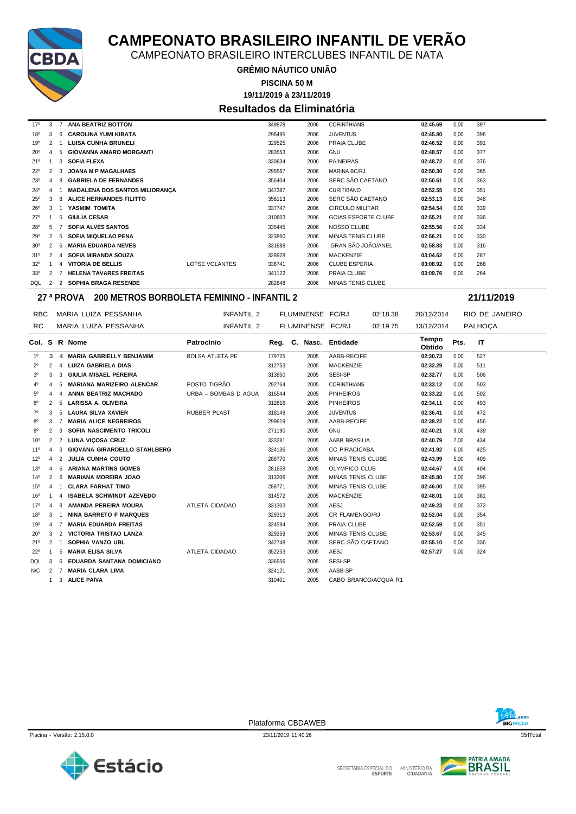

CAMPEONATO BRASILEIRO INTERCLUBES INFANTIL DE NATA

**GRÊMIO NÁUTICO UNIÃO**

**19/11/2019 à 23/11/2019 PISCINA 50 M**

### **Resultados da Eliminatória**

| $17^{\circ}$    | 3 |   | <b>ANA BEATRIZ BOTTON</b>             |                | 349878 | 2006 | <b>CORINTHIANS</b>         | 02:45.69 | 0.00 | 397 |
|-----------------|---|---|---------------------------------------|----------------|--------|------|----------------------------|----------|------|-----|
| 18 <sup>0</sup> | 3 | ĥ | <b>CAROLINA YUMI KIBATA</b>           |                | 296495 | 2006 | <b>JUVENTUS</b>            | 02:45.80 | 0,00 | 396 |
| $19^{o}$        | 2 |   | <b>LUISA CUNHA BRUNELI</b>            |                | 329525 | 2006 | PRAIA CLUBE                | 02:46.52 | 0.00 | 391 |
| $20^{\circ}$    |   |   | <b>GIOVANNA AMARO MORGANTI</b>        |                | 283553 | 2006 | <b>GNU</b>                 | 02:48.57 | 0.00 | 377 |
| 21°             |   | 3 | <b>SOFIA FLEXA</b>                    |                | 330634 | 2006 | <b>PAINEIRAS</b>           | 02:48.72 | 0.00 | 376 |
| $22^{\circ}$    | 2 | વ | <b>JOANA M P MAGALHAES</b>            |                | 295567 | 2006 | <b>MARINA BC/RJ</b>        | 02:50.30 | 0.00 | 365 |
| $23^{\circ}$    | 4 |   | <b>GABRIELA DE FERNANDES</b>          |                | 356404 | 2006 | SERC SÃO CAETANO           | 02:50.61 | 0.00 | 363 |
| $24^{\circ}$    | 4 |   | <b>MADALENA DOS SANTOS MILIORANÇA</b> |                | 347387 | 2006 | <b>CURITIBANO</b>          | 02:52.55 | 0.00 | 351 |
| $25^{\circ}$    | 3 |   | <b>ALICE HERNANDES FILITTO</b>        |                | 356113 | 2006 | SERC SÃO CAETANO           | 02:53.13 | 0,00 | 348 |
| $26^{\circ}$    | 3 |   | YASMIM TOMITA                         |                | 337747 | 2006 | <b>CIRCULO MILITAR</b>     | 02:54.54 | 0.00 | 339 |
| $27^{\circ}$    |   | 5 | <b>GIULIA CESAR</b>                   |                | 310603 | 2006 | <b>GOIAS ESPORTE CLUBE</b> | 02:55.21 | 0,00 | 336 |
| 28°             | 5 |   | <b>SOFIA ALVES SANTOS</b>             |                | 335445 | 2006 | <b>NOSSO CLUBE</b>         | 02:55.56 | 0,00 | 334 |
| 29°             | 2 | 5 | <b>SOFIA MIQUELAO PENA</b>            |                | 323860 | 2006 | <b>MINAS TENIS CLUBE</b>   | 02:56.21 | 0.00 | 330 |
| 30 <sup>o</sup> | 2 | ĥ | <b>MARIA EDUARDA NEVES</b>            |                | 331688 | 2006 | <b>GRAN SÃO JOÃO/ANEL</b>  | 02:58.83 | 0.00 | 316 |
| 31°             |   | Δ | <b>SOFIA MIRANDA SOUZA</b>            |                | 328978 | 2006 | <b>MACKENZIE</b>           | 03:04.62 | 0.00 | 287 |
| $32^{\circ}$    |   |   | <b>VITORIA DE BELLIS</b>              | LOTSE VOLANTES | 336741 | 2006 | <b>CLUBE ESPERIA</b>       | 03:08.92 | 0,00 | 268 |
| 33°             |   |   | <b>HELENA TAVARES FREITAS</b>         |                | 341122 | 2006 | PRAIA CLUBE                | 03:09.76 | 0,00 | 264 |
| DQL             |   |   | <b>SOPHIA BRAGA RESENDE</b>           |                | 282648 | 2006 | <b>MINAS TENIS CLUBE</b>   |          |      |     |

#### **27 ª PROVA 200 METROS BORBOLETA FEMININO - INFANTIL 2 21/11/2019**

| RBC             |                |                      | MARIA LUIZA PESSANHA                | INFANTIL 2             | FLUMINENSE FC/RJ |                  |                          | 02:18.38 | 20/12/2014      |            | RIO DE JANEIRO |
|-----------------|----------------|----------------------|-------------------------------------|------------------------|------------------|------------------|--------------------------|----------|-----------------|------------|----------------|
| RC.             |                | MARIA LUIZA PESSANHA |                                     | INFANTIL 2             |                  | FLUMINENSE FC/RJ |                          | 02:19.75 |                 | 13/12/2014 | <b>PALHOCA</b> |
|                 |                |                      | Col. S R Nome                       | Patrocínio             |                  |                  | Reg. C. Nasc. Entidade   |          | Tempo<br>Obtido | Pts.       | IT             |
| $1^{\circ}$     | 3              | $\overline{4}$       | <b>MARIA GABRIELLY BENJAMIM</b>     | <b>BOLSA ATLETA PE</b> | 179725           | 2005             | AABB-RECIFE              |          | 02:30.73        | 0,00       | 527            |
| $2^{\circ}$     | 2              | 4                    | <b>LUIZA GABRIELA DIAS</b>          |                        | 312753           | 2005             | <b>MACKENZIE</b>         |          | 02:32.29        | 0,00       | 511            |
| 3 <sup>0</sup>  | 3              | 3                    | GIULIA MISAEL PEREIRA               |                        | 313850           | 2005             | SESI-SP                  |          | 02:32.77        | 0,00       | 506            |
| 40              | 4              | 5                    | <b>MARIANA MARIZEIRO ALENCAR</b>    | POSTO TIGRÃO           | 292764           | 2005             | <b>CORINTHIANS</b>       |          | 02:33.12        | 0,00       | 503            |
| $5^{\circ}$     |                |                      | ANNA BEATRIZ MACHADO                | URBA - BOMBAS D AGUA   | 316544           | 2005             | <b>PINHEIROS</b>         |          | 02:33.22        | 0,00       | 502            |
| $6^{\circ}$     | 2              | 5                    | LARISSA A. OLIVEIRA                 |                        | 312816           | 2005             | <b>PINHEIROS</b>         |          | 02:34.11        | 0,00       | 493            |
| $7^\circ$       | 3              |                      | <b>LAURA SILVA XAVIER</b>           | <b>RUBBER PLAST</b>    | 318149           | 2005             | <b>JUVENTUS</b>          |          | 02:36.41        | 0,00       | 472            |
| $8^{\circ}$     | 3              |                      | <b>MARIA ALICE NEGREIROS</b>        |                        | 299619           | 2005             | AABB-RECIFE              |          | 02:38.22        | 0,00       | 456            |
| 90              | $\overline{c}$ | 3                    | SOFIA NASCIMENTO TRICOLI            |                        | 271190           | 2005             | <b>GNU</b>               |          | 02:40.21        | 9,00       | 439            |
| 10 <sup>o</sup> | $\overline{2}$ | 2                    | <b>LUNA VICOSA CRUZ</b>             |                        | 333281           | 2005             | AABB BRASILIA            |          | 02:40.79        | 7,00       | 434            |
| $11^{\circ}$    | 4              | 3                    | <b>GIOVANA GIRARDELLO STAHLBERG</b> |                        | 324136           | 2005             | <b>CC PIRACICABA</b>     |          | 02:41.92        | 6,00       | 425            |
| 12°             | 4              | 2                    | <b>JULIA CUNHA COUTO</b>            |                        | 288770           | 2005             | <b>MINAS TENIS CLUBE</b> |          | 02:43.99        | 5.00       | 409            |
| $13^{\circ}$    | 4              | 6                    | <b>ARIANA MARTINS GOMES</b>         |                        | 281658           | 2005             | <b>OLYMPICO CLUB</b>     |          | 02:44.67        | 4,00       | 404            |
| $14^{\circ}$    | 2              | 6                    | <b>MARIANA MOREIRA JOAO</b>         |                        | 313306           | 2005             | <b>MINAS TENIS CLUBE</b> |          | 02:45.80        | 3,00       | 396            |
| 15 <sup>o</sup> | $\overline{4}$ |                      | <b>CLARA FARHAT TIMO</b>            |                        | 288771           | 2005             | <b>MINAS TENIS CLUBE</b> |          | 02:46.00        | 2,00       | 395            |
| 16 <sup>o</sup> |                |                      | <b>ISABELA SCHWINDT AZEVEDO</b>     |                        | 314572           | 2005             | <b>MACKENZIE</b>         |          | 02:48.01        | 1,00       | 381            |
| 17°             | 4              | 8                    | <b>AMANDA PEREIRA MOURA</b>         | ATLETA CIDADAO         | 331303           | 2005             | <b>AESJ</b>              |          | 02:49.23        | 0,00       | 372            |
| $18^{\circ}$    | 3              |                      | <b>NINA BARRETO F MARQUES</b>       |                        | 329313           | 2005             | CR FLAMENGO/RJ           |          | 02:52.04        | 0,00       | 354            |
| 19°             | $\overline{4}$ | 7                    | <b>MARIA EDUARDA FREITAS</b>        |                        | 324594           | 2005             | PRAIA CLUBE              |          | 02:52.59        | 0.00       | 351            |
| $20^{\circ}$    | 3              | 2                    | <b>VICTORIA TRISTAO LANZA</b>       |                        | 329259           | 2005             | MINAS TENIS CLUBE        |          | 02:53.67        | 0,00       | 345            |
| 21°             | 2              |                      | SOPHIA VANZO UBL                    |                        | 342748           | 2005             | SERC SÃO CAETANO         |          | 02:55.10        | 0,00       | 336            |
| $22^{\circ}$    |                | 5                    | <b>MARIA ELISA SILVA</b>            | ATLETA CIDADAO         | 352253           | 2005             | AESJ                     |          | 02:57.27        | 0,00       | 324            |
| <b>DQL</b>      | 3              | 6                    | <b>EDUARDA SANTANA DOMICIANO</b>    |                        | 336556           | 2005             | SESI-SP                  |          |                 |            |                |
| N/C             | 2              | $\overline{7}$       | <b>MARIA CLARA LIMA</b>             |                        | 324121           | 2005             | AABB-SP                  |          |                 |            |                |
|                 |                |                      | 3 ALICE PAIVA                       |                        | 310401           | 2005             | CABO BRANCO/ACQUA R1     |          |                 |            |                |
|                 |                |                      |                                     |                        |                  |                  |                          |          |                 |            |                |



Piscina - Versão: 2.15.0.0 23/11/2019 11:40:26 23/11/2019 11:40:26 35rlTotal 35rlTotal 35rlTotal 35rlTotal 35rlTotal 35rlTotal 35rlTotal 35rlTotal 35rlTotal 35rlTotal 35rlTotal 35rlTotal 35rlTotal 35rlTotal 35rlTotal 35rlT

Plataforma CBDAWEB



SECRETARIA ESPECIAL DO MINISTÉRIO DA<br>CIDADANIA

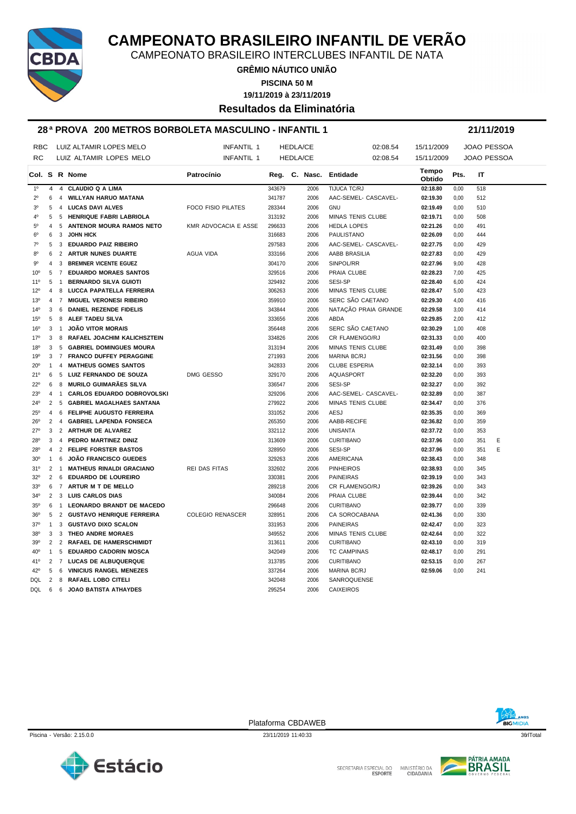

CAMPEONATO BRASILEIRO INTERCLUBES INFANTIL DE NATA

**GRÊMIO NÁUTICO UNIÃO**

**PISCINA 50 M**

**19/11/2019 à 23/11/2019**

**Resultados da Eliminatória**

#### **28 ª PROVA 200 METROS BORBOLETA MASCULINO - INFANTIL 1 21/11/2019**

| <b>RBC</b>      |                | LUIZ ALTAMIR LOPES MELO |                                   | <b>INFANTIL 1</b>         | <b>HEDLA/CE</b> |  |                 | 02:08.54                 | 15/11/2009      |      | JOAO PESSOA        |   |
|-----------------|----------------|-------------------------|-----------------------------------|---------------------------|-----------------|--|-----------------|--------------------------|-----------------|------|--------------------|---|
| <b>RC</b>       |                |                         | LUIZ ALTAMIR LOPES MELO           | <b>INFANTIL 1</b>         |                 |  | <b>HEDLA/CE</b> | 02:08.54                 | 15/11/2009      |      | <b>JOAO PESSOA</b> |   |
|                 |                |                         | Col. S R Nome                     | Patrocínio                |                 |  |                 | Reg. C. Nasc. Entidade   | Tempo<br>Obtido | Pts. | ΙT                 |   |
| 1 <sup>0</sup>  | $\overline{4}$ |                         | 4 CLAUDIO Q A LIMA                |                           | 343679          |  | 2006            | TIJUCA TC/RJ             | 02:18.80        | 0,00 | 518                |   |
| $2^{\circ}$     | 6              | 4                       | <b>WILLYAN HARUO MATANA</b>       |                           | 341787          |  | 2006            | AAC-SEMEL- CASCAVEL-     | 02:19.30        | 0,00 | 512                |   |
| 3 <sup>0</sup>  | 5              |                         | 4 LUCAS DAVI ALVES                | <b>FOCO FISIO PILATES</b> | 283344          |  | 2006            | GNU                      | 02:19.49        | 0,00 | 510                |   |
| 4 <sup>0</sup>  | 5              |                         | 5 HENRIQUE FABRI LABRIOLA         |                           | 313192          |  | 2006            | <b>MINAS TENIS CLUBE</b> | 02:19.71        | 0,00 | 508                |   |
| $5^{\rm o}$     | $\overline{4}$ | 5                       | <b>ANTENOR MOURA RAMOS NETO</b>   | KMR ADVOCACIA E ASSE      | 296633          |  | 2006            | <b>HEDLA LOPES</b>       | 02:21.26        | 0,00 | 491                |   |
| $6^{\circ}$     | 6              | 3                       | <b>JOHN HICK</b>                  |                           | 316683          |  | 2006            | PAULISTANO               | 02:26.09        | 0,00 | 444                |   |
| $7^{\circ}$     | 5              | 3                       | <b>EDUARDO PAIZ RIBEIRO</b>       |                           | 297583          |  | 2006            | AAC-SEMEL- CASCAVEL-     | 02:27.75        | 0,00 | 429                |   |
| 80              | 6              | 2                       | ARTUR NUNES DUARTE                | AGUA VIDA                 | 333166          |  | 2006            | AABB BRASILIA            | 02:27.83        | 0,00 | 429                |   |
| $9^{\circ}$     | 4              | 3                       | <b>BREMNER VICENTE EGUEZ</b>      |                           | 304170          |  | 2006            | SINPOL/RR                | 02:27.96        | 9,00 | 428                |   |
| 10 <sup>o</sup> | 5              | $\overline{7}$          | <b>EDUARDO MORAES SANTOS</b>      |                           | 329516          |  | 2006            | PRAIA CLUBE              | 02:28.23        | 7,00 | 425                |   |
| $11^{\circ}$    | 5              | $\overline{1}$          | <b>BERNARDO SILVA GUIOTI</b>      |                           | 329492          |  | 2006            | <b>SESI-SP</b>           | 02:28.40        | 6,00 | 424                |   |
| 12°             | 4              | 8                       | LUCCA PAPATELLA FERREIRA          |                           | 306263          |  | 2006            | MINAS TENIS CLUBE        | 02:28.47        | 5,00 | 423                |   |
| $13^{\circ}$    | 4              | 7                       | <b>MIGUEL VERONESI RIBEIRO</b>    |                           | 359910          |  | 2006            | SERC SÃO CAETANO         | 02:29.30        | 4,00 | 416                |   |
| $14^{\circ}$    | 3              | 6                       | DANIEL REZENDE FIDELIS            |                           | 343844          |  | 2006            | NATAÇÃO PRAIA GRANDE     | 02:29.58        | 3,00 | 414                |   |
| 15 <sup>0</sup> | 5              | 8                       | ALEF TADEU SILVA                  |                           | 333656          |  | 2006            | <b>ABDA</b>              | 02:29.85        | 2,00 | 412                |   |
| 16 <sup>o</sup> | 3              | $\mathbf{1}$            | <b>JOÃO VITOR MORAIS</b>          |                           | 356448          |  | 2006            | SERC SÃO CAETANO         | 02:30.29        | 1,00 | 408                |   |
| 17 <sup>o</sup> | 3              | 8                       | RAFAEL JOACHIM KALICHSZTEIN       |                           | 334826          |  | 2006            | CR FLAMENGO/RJ           | 02:31.33        | 0,00 | 400                |   |
| 18 <sup>o</sup> | 3              | 5                       | <b>GABRIEL DOMINGUES MOURA</b>    |                           | 313194          |  | 2006            | MINAS TENIS CLUBE        | 02:31.49        | 0,00 | 398                |   |
| 19°             | 3              |                         | 7 FRANCO DUFFEY PERAGGINE         |                           | 271993          |  | 2006            | MARINA BC/RJ             | 02:31.56        | 0,00 | 398                |   |
| 20 <sup>o</sup> | $\mathbf{1}$   | $\overline{4}$          | <b>MATHEUS GOMES SANTOS</b>       |                           | 342833          |  | 2006            | <b>CLUBE ESPERIA</b>     | 02:32.14        | 0,00 | 393                |   |
| 21°             | 6              |                         | 5 LUIZ FERNANDO DE SOUZA          | DMG GESSO                 | 329170          |  | 2006            | <b>AQUASPORT</b>         | 02:32.20        | 0,00 | 393                |   |
| $22^{\circ}$    | 6              | 8                       | MURILO GUIMARÃES SILVA            |                           | 336547          |  | 2006            | <b>SESI-SP</b>           | 02:32.27        | 0,00 | 392                |   |
| $23^{\circ}$    | $\overline{4}$ | $\mathbf{1}$            | <b>CARLOS EDUARDO DOBROVOLSKI</b> |                           | 329206          |  | 2006            | AAC-SEMEL- CASCAVEL-     | 02:32.89        | 0,00 | 387                |   |
| 24°             | 2              | 5                       | GABRIEL MAGALHAES SANTANA         |                           | 279922          |  | 2006            | MINAS TENIS CLUBE        | 02:34.47        | 0,00 | 376                |   |
| $25^{\circ}$    | 4              | 6                       | <b>FELIPHE AUGUSTO FERREIRA</b>   |                           | 331052          |  | 2006            | <b>AESJ</b>              | 02:35.35        | 0,00 | 369                |   |
| $26^{\circ}$    | $\overline{2}$ |                         | 4 GABRIEL LAPENDA FONSECA         |                           | 265350          |  | 2006            | AABB-RECIFE              | 02:36.82        | 0,00 | 359                |   |
| $27^\circ$      | 3              |                         | 2 ARTHUR DE ALVAREZ               |                           | 332112          |  | 2006            | <b>UNISANTA</b>          | 02:37.72        | 0,00 | 353                |   |
| $28^{\circ}$    | 3              |                         | 4 PEDRO MARTINEZ DINIZ            |                           | 313609          |  | 2006            | <b>CURITIBANO</b>        | 02:37.96        | 0,00 | 351                | E |
| 28°             | $\overline{4}$ |                         | 2 FELIPE FORSTER BASTOS           |                           | 328950          |  | 2006            | SESI-SP                  | 02:37.96        | 0,00 | 351                | E |
| 30 <sup>o</sup> | $\mathbf{1}$   | 6                       | <b>JOÃO FRANCISCO GUEDES</b>      |                           | 329263          |  | 2006            | AMERICANA                | 02:38.43        | 0,00 | 348                |   |
| 31°             | 2              | $\mathbf{1}$            | <b>MATHEUS RINALDI GRACIANO</b>   | <b>REI DAS FITAS</b>      | 332602          |  | 2006            | <b>PINHEIROS</b>         | 02:38.93        | 0,00 | 345                |   |
| $32^{\circ}$    | 2              |                         | 6 EDUARDO DE LOUREIRO             |                           | 330381          |  | 2006            | <b>PAINEIRAS</b>         | 02:39.19        | 0,00 | 343                |   |
| 33 <sup>0</sup> | 6              |                         | 7 ARTUR M T DE MELLO              |                           | 289218          |  | 2006            | CR FLAMENGO/RJ           | 02:39.26        | 0,00 | 343                |   |
| $34^{\circ}$    | 2              | 3                       | <b>LUIS CARLOS DIAS</b>           |                           | 340084          |  | 2006            | PRAIA CLUBE              | 02:39.44        | 0,00 | 342                |   |
| $35^\circ$      | 6              | $\overline{1}$          | <b>LEONARDO BRANDT DE MACEDO</b>  |                           | 296648          |  | 2006            | <b>CURITIBANO</b>        | 02:39.77        | 0,00 | 339                |   |
| 36 <sup>o</sup> | 5              |                         | 2 GUSTAVO HENRIQUE FERREIRA       | <b>COLEGIO RENASCER</b>   | 328951          |  | 2006            | CA SOROCABANA            | 02:41.36        | 0,00 | 330                |   |
| $37^\circ$      | 1              |                         | 3 GUSTAVO DIXO SCALON             |                           | 331953          |  | 2006            | <b>PAINEIRAS</b>         | 02:42.47        | 0,00 | 323                |   |
| 38°             | 3              | 3                       | <b>THEO ANDRE MORAES</b>          |                           | 349552          |  | 2006            | MINAS TENIS CLUBE        | 02:42.64        | 0,00 | 322                |   |
| 39°             | 2              |                         | 2 RAFAEL DE HAMERSCHIMIDT         |                           | 313611          |  | 2006            | <b>CURITIBANO</b>        | 02:43.10        | 0,00 | 319                |   |
| 40 <sup>o</sup> | $\mathbf{1}$   |                         | 5 EDUARDO CADORIN MOSCA           |                           | 342049          |  | 2006            | <b>TC CAMPINAS</b>       | 02:48.17        | 0,00 | 291                |   |
| 41°             |                |                         | 2 7 LUCAS DE ALBUQUERQUE          |                           | 313785          |  | 2006            | <b>CURITIBANO</b>        | 02:53.15        | 0,00 | 267                |   |
| 42°             | 5              | 6                       | <b>VINICIUS RANGEL MENEZES</b>    |                           | 337264          |  | 2006            | <b>MARINA BC/RJ</b>      | 02:59.06        | 0.00 | 241                |   |
| DQL             | 2              | 8                       | <b>RAFAEL LOBO CITELI</b>         |                           | 342048          |  | 2006            | <b>SANROQUENSE</b>       |                 |      |                    |   |
| DQL             | 6              | 6                       | <b>JOAO BATISTA ATHAYDES</b>      |                           | 295254          |  | 2006            | <b>CAIXEIROS</b>         |                 |      |                    |   |
|                 |                |                         |                                   |                           |                 |  |                 |                          |                 |      |                    |   |

Estácio

Plataforma CBDAWEB



Piscina - Versão: 2.15.0.0 23/11/2019 11:40:33 23/11/2019 11:40:33 36flTotal 36flTotal 36flTotal 36flTotal 36flTotal 36flTotal 36flTotal 36flTotal 36flTotal 36flTotal 36flTotal 36flTotal 36flTotal 36flTotal 36flTotal 36flT



SECRETARIA ESPECIAL DO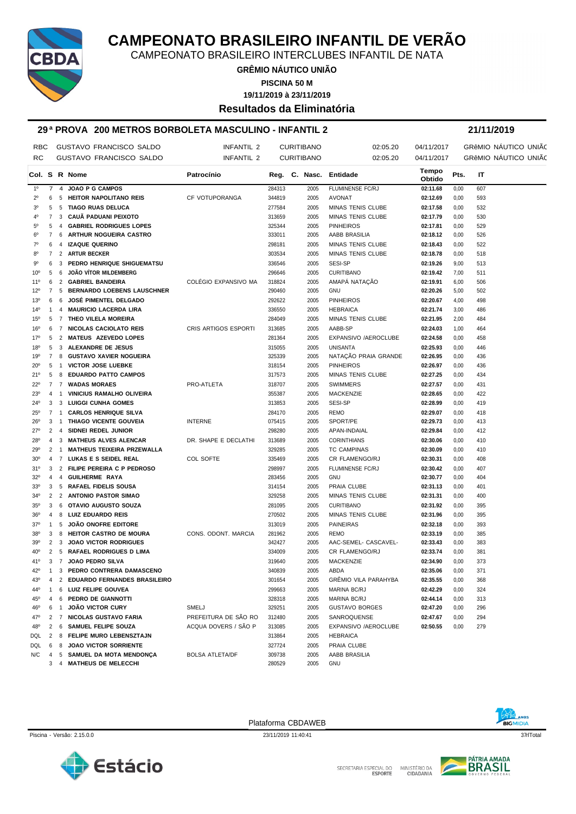

CAMPEONATO BRASILEIRO INTERCLUBES INFANTIL DE NATA

**GRÊMIO NÁUTICO UNIÃO PISCINA 50 M**

**19/11/2019 à 23/11/2019**

**Resultados da Eliminatória**

#### **29 ª PROVA 200 METROS BORBOLETA MASCULINO - INFANTIL 2 21/11/2019**

| <b>RBC</b>      |                |                | <b>GUSTAVO FRANCISCO SALDO</b>                       | <b>INFANTIL 2</b>      |                  | <b>CURITIBANO</b>      | 02:05.20                    | 04/11/2017      |              | GRÊMIO NÁUTICO UNIÃO |
|-----------------|----------------|----------------|------------------------------------------------------|------------------------|------------------|------------------------|-----------------------------|-----------------|--------------|----------------------|
| RC              |                |                | GUSTAVO FRANCISCO SALDO                              | <b>INFANTIL 2</b>      |                  | <b>CURITIBANO</b>      | 02:05.20                    | 04/11/2017      |              | GRÊMIO NAUTICO UNIÃO |
|                 |                |                | Col. S R Nome                                        | Patrocínio             |                  | Reg. C. Nasc. Entidade |                             | Tempo<br>Obtido | Pts.         | IT                   |
| $1^{\circ}$     | $\overline{7}$ |                | 4 JOAO P G CAMPOS                                    |                        | 284313           | 2005                   | <b>FLUMINENSE FC/RJ</b>     | 02:11.68        | 0,00         | 607                  |
| $2^{\circ}$     | 6              |                | 5 HEITOR NAPOLITANO REIS                             | CF VOTUPORANGA         | 344819           | 2005                   | <b>AVONAT</b>               | 02:12.69        | 0,00         | 593                  |
| 3 <sup>0</sup>  | 5              | 5              | <b>TIAGO RUAS DELUCA</b>                             |                        | 277584           | 2005                   | MINAS TENIS CLUBE           | 02:17.58        | 0,00         | 532                  |
| 4°              | $\overline{7}$ | 3              | CAUÃ PADUANI PEIXOTO                                 |                        | 313659           | 2005                   | MINAS TENIS CLUBE           | 02:17.79        | 0,00         | 530                  |
| $5^{\circ}$     | 5              | 4              | <b>GABRIEL RODRIGUES LOPES</b>                       |                        | 325344           | 2005                   | <b>PINHEIROS</b>            | 02:17.81        | 0,00         | 529                  |
| $6^{\circ}$     | 7              |                | 6 ARTHUR NOGUEIRA CASTRO                             |                        | 333011           | 2005                   | AABB BRASILIA               | 02:18.12        | 0,00         | 526                  |
| $7^\circ$       | 6              |                | 4 IZAQUE QUERINO                                     |                        | 298181           | 2005                   | MINAS TENIS CLUBE           | 02:18.43        | 0,00         | 522                  |
| 80              | 7              |                | 2 ARTUR BECKER                                       |                        | 303534           | 2005                   | MINAS TENIS CLUBE           | 02:18.78        | 0,00         | 518                  |
| 90              | 6              |                | 3 PEDRO HENRIQUE SHIGUEMATSU                         |                        | 336546           | 2005                   | SESI-SP                     | 02:19.26        | 9,00         | 513                  |
| 10 <sup>o</sup> | 5              | 6              | <b>JOÃO VÍTOR MILDEMBERG</b>                         |                        | 296646           | 2005                   | <b>CURITIBANO</b>           | 02:19.42        | 7,00         | 511                  |
| 11°             | 6              |                | 2 GABRIEL BANDEIRA                                   | COLÉGIO EXPANSIVO MA   | 318824           | 2005                   | AMAPÁ NATAÇÃO               | 02:19.91        | 6,00         | 506                  |
| $12^{\circ}$    | $\overline{7}$ |                | 5 BERNARDO LOEBENS LAUSCHNER                         |                        | 290460           | 2005                   | <b>GNU</b>                  | 02:20.26        | 5,00         | 502                  |
| $13^{o}$        | 6              | 6              | <b>JOSÉ PIMENTEL DELGADO</b>                         |                        | 292622           | 2005                   | <b>PINHEIROS</b>            | 02:20.67        | 4,00         | 498                  |
| 14°             | $\mathbf{1}$   |                | 4 MAURICIO LACERDA LIRA                              |                        | 336550           | 2005                   | <b>HEBRAICA</b>             | 02:21.74        | 3,00         | 486                  |
| $15^{\circ}$    | 5              |                | 7 THEO VILELA MOREIRA                                |                        | 284049           | 2005                   | MINAS TENIS CLUBE           | 02:21.95        | 2,00         | 484                  |
| 16°             | 6              |                | 7 NICOLAS CACIOLATO REIS                             | CRIS ARTIGOS ESPORTI   | 313685           | 2005                   | AABB-SP                     | 02:24.03        | 1,00         | 464                  |
| 17°             | 5              | 2              | <b>MATEUS AZEVEDO LOPES</b>                          |                        | 281364           | 2005                   | EXPANSIVO /AEROCLUBE        | 02:24.58        | 0,00         | 458                  |
| $18^{\circ}$    | 5              | 3              | ALEXANDRE DE JESUS                                   |                        | 315055           | 2005                   | <b>UNISANTA</b>             | 02:25.93        | 0,00         | 446                  |
| 19°             | $\overline{7}$ |                | 8 GUSTAVO XAVIER NOGUEIRA                            |                        | 325339           | 2005                   | NATAÇÃO PRAIA GRANDE        | 02:26.95        | 0,00         | 436                  |
| $20^{\circ}$    | 5              | $\overline{1}$ | <b>VICTOR JOSE LUEBKE</b>                            |                        | 318154           | 2005                   | <b>PINHEIROS</b>            | 02:26.97        | 0,00         | 436                  |
| 21°             | 5              | 8              | <b>EDUARDO PATTO CAMPOS</b>                          |                        | 317573           | 2005                   | MINAS TENIS CLUBE           | 02:27.25        | 0,00         | 434                  |
| 22°             | $\overline{7}$ |                | 7 WADAS MORAES                                       | PRO-ATLETA             | 318707           | 2005                   | <b>SWIMMERS</b>             | 02:27.57        | 0,00         | 431                  |
| $23^{\circ}$    | $\overline{4}$ | $\overline{1}$ | <b>VINICIUS RAMALHO OLIVEIRA</b>                     |                        | 355387           | 2005                   | <b>MACKENZIE</b>            | 02:28.65        | 0,00         | 422                  |
| 24°             | 3              |                | 3 LUIGGI CUNHA GOMES                                 |                        | 313853           | 2005                   | SESI-SP                     | 02:28.99        | 0,00         | 419                  |
| $25^{\circ}$    |                | 7 <sub>1</sub> | <b>CARLOS HENRIQUE SILVA</b>                         |                        | 284170           | 2005                   | <b>REMO</b>                 | 02:29.07        | 0,00         | 418                  |
| $26^{\circ}$    | 3              | $\overline{1}$ | THIAGO VICENTE GOUVEIA                               | <b>INTERNE</b>         | 075415           | 2005                   | SPORT/PE                    | 02:29.73        | 0,00         | 413                  |
| $27^{\circ}$    | 2              | 4              | SIDNEI REDEL JUNIOR                                  |                        | 298280           | 2005                   | APAN-INDAIAL                | 02:29.84        | 0,00         | 412                  |
| $28^{\circ}$    | $\overline{4}$ | 3              | <b>MATHEUS ALVES ALENCAR</b>                         | DR. SHAPE E DECLATHI   | 313689           | 2005                   | <b>CORINTHIANS</b>          | 02:30.06        | 0,00         | 410                  |
| 29°             |                | $2 \quad 1$    | <b>MATHEUS TEIXEIRA PRZEWALLA</b>                    |                        | 329285           | 2005                   | <b>TC CAMPINAS</b>          | 02:30.09        | 0,00         | 410                  |
| 30 <sup>o</sup> | $\overline{4}$ |                | 7 LUKAS E S SEIDEL REAL                              | COL SOFTE              | 335469           | 2005                   | CR FLAMENGO/RJ              | 02:30.31        | 0,00         | 408                  |
| 31°             | 3              |                | 2 FILIPE PEREIRA C P PEDROSO                         |                        | 298997           | 2005                   | FLUMINENSE FC/RJ            | 02:30.42        | 0,00         | 407                  |
| $32^{\circ}$    | 4              |                | 4 GUILHERME RAYA                                     |                        | 283456           | 2005                   | <b>GNU</b>                  | 02:30.77        | 0,00         | 404                  |
| 33 <sup>0</sup> | 3              |                | 5 RAFAEL FIDELIS SOUSA                               |                        | 314154           | 2005                   | PRAIA CLUBE                 | 02:31.13        | 0,00         | 401                  |
| $34^{\circ}$    | 2              |                | 2 ANTONIO PASTOR SIMAO                               |                        | 329258           | 2005                   | MINAS TENIS CLUBE           | 02:31.31        | 0,00         | 400                  |
| $35^\circ$      | 3              | 6              | OTAVIO AUGUSTO SOUZA                                 |                        | 281095           | 2005                   | <b>CURITIBANO</b>           | 02:31.92        | 0,00         | 395                  |
| 36 <sup>o</sup> | 4              | 8              | LUIZ EDUARDO REIS                                    |                        | 270502           | 2005                   | MINAS TENIS CLUBE           | 02:31.96        | 0,00         | 395                  |
| $37^\circ$      | $\mathbf{1}$   | 5              | <b>JOÃO ONOFRE EDITORE</b>                           |                        | 313019           | 2005                   | <b>PAINEIRAS</b>            | 02:32.18        | 0,00         | 393                  |
| $38^{\circ}$    | 3              | 8              | <b>HEITOR CASTRO DE MOURA</b>                        | CONS. ODONT. MARCIA    | 281962           | 2005                   | <b>REMO</b>                 | 02:33.19        | 0,00         | 385                  |
| 39°             | $\overline{2}$ | 3              | <b>JOAO VICTOR RODRIGUES</b>                         |                        | 342427           | 2005                   | AAC-SEMEL- CASCAVEL-        | 02:33.43        | 0,00         | 383                  |
| 40°             | 2              |                | 5 RAFAEL RODRIGUES D LIMA                            |                        | 334009           | 2005                   | CR FLAMENGO/RJ              | 02:33.74        | 0,00         | 381                  |
| 41°             |                |                | 3 7 JOAO PEDRO SILVA                                 |                        | 319640           | 2005                   | <b>MACKENZIE</b>            | 02:34.90        | 0,00         | 373                  |
| 42°             | $\mathbf{1}$   |                | 3 PEDRO CONTRERA DAMASCENO                           |                        | 340839           | 2005                   | ABDA                        | 02:35.06        | 0,00         | 371                  |
| 43 <sup>°</sup> | 4              |                | 2 EDUARDO FERNANDES BRASILEIRO                       |                        | 301654           | 2005                   | <b>GRÊMIO VILA PARAHYBA</b> | 02:35.55        | 0,00         | 368                  |
| 44°             | $\mathbf{1}$   |                | 6 LUIZ FELIPE GOUVEA                                 |                        | 299663           | 2005                   | <b>MARINA BC/RJ</b>         | 02:42.29        | 0,00         | 324                  |
| 45°             | $\overline{4}$ |                | 6 PEDRO DE GIANNOTTI                                 |                        | 328318           | 2005                   | <b>MARINA BC/RJ</b>         | 02:44.14        | 0,00         | 313                  |
| 46°             | 6              | $\overline{1}$ | <b>JOÃO VICTOR CURY</b>                              | <b>SMELJ</b>           | 329251           | 2005                   | <b>GUSTAVO BORGES</b>       | 02:47.20        | 0,00         | 296                  |
| 47°             |                |                | 2 7 NICOLAS GUSTAVO FARIA                            | PREFEITURA DE SÃO RO   | 312480           | 2005                   | SANROQUENSE                 | 02:47.67        |              | 294                  |
|                 | $\overline{2}$ |                | 6 SAMUEL FELIPE SOUZA                                | ACQUA DOVERS / SÃO P   | 313085           |                        | EXPANSIVO /AEROCLUBE        | 02:50.55        | 0,00<br>0,00 | 279                  |
| 48°             | $\overline{2}$ |                |                                                      |                        |                  | 2005                   |                             |                 |              |                      |
| DQL             |                |                | 8 FELIPE MURO LEBENSZTAJN                            |                        | 313864           | 2005                   | <b>HEBRAICA</b>             |                 |              |                      |
| DQL             | 6              |                | 8 JOAO VICTOR SORRIENTE                              |                        | 327724           | 2005                   | PRAIA CLUBE                 |                 |              |                      |
| N/C             | 4              |                | 5 SAMUEL DA MOTA MENDONÇA<br>3 4 MATHEUS DE MELECCHI | <b>BOLSA ATLETA/DF</b> | 309738<br>280529 | 2005<br>2005           | AABB BRASILIA<br>GNU        |                 |              |                      |

Plataforma CBDAWEB



Piscina - Versão: 2.15.0.0 23/11/2019 11:40:41 37qrlTotal



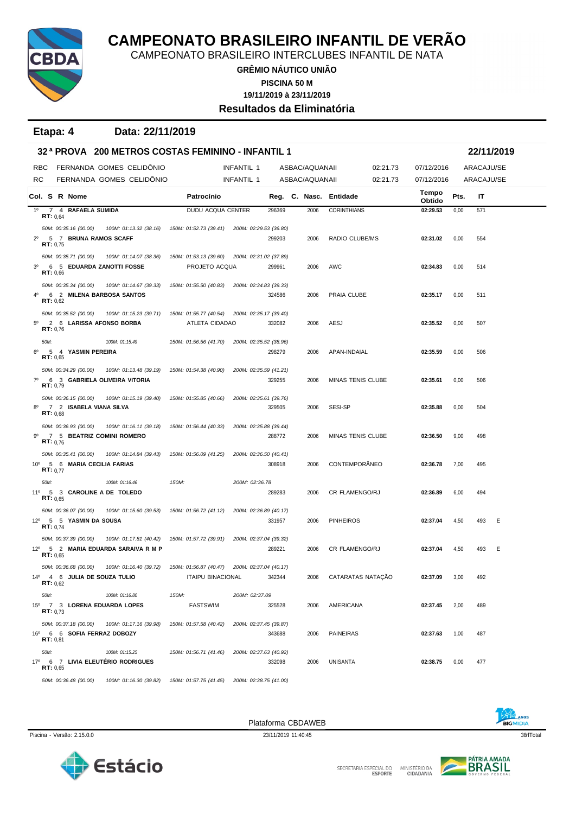

CAMPEONATO BRASILEIRO INTERCLUBES INFANTIL DE NATA

**GRÊMIO NÁUTICO UNIÃO**

**PISCINA 50 M**

**19/11/2019 à 23/11/2019 Resultados da Eliminatória**

**Etapa: 4 Data: 22/11/2019**

|                |                   |                         | 32ª PROVA 200 METROS COSTAS FEMININO - INFANTIL 1                                          |                                               |                        |        |                |                          |          |                 |      | 22/11/2019 |   |
|----------------|-------------------|-------------------------|--------------------------------------------------------------------------------------------|-----------------------------------------------|------------------------|--------|----------------|--------------------------|----------|-----------------|------|------------|---|
| RBC            |                   |                         | FERNANDA GOMES CELIDÔNIO                                                                   |                                               | INFANTIL 1             |        | ASBAC/AQUANAII |                          | 02:21.73 | 07/12/2016      |      | ARACAJU/SE |   |
| RC             |                   |                         | FERNANDA GOMES CELIDÔNIO                                                                   |                                               | <b>INFANTIL 1</b>      |        | ASBAC/AQUANAII |                          | 02:21.73 | 07/12/2016      |      | ARACAJU/SE |   |
|                |                   | Col. S R Nome           |                                                                                            | Patrocínio                                    |                        |        |                | Reg. C. Nasc. Entidade   |          | Tempo<br>Obtido | Pts. | IT         |   |
| $1^{\circ}$    | <b>RT:</b> $0.64$ | 7 4 RAFAELA SUMIDA      |                                                                                            | <b>DUDU ACQUA CENTER</b>                      |                        | 296369 | 2006           | <b>CORINTHIANS</b>       |          | 02:29.53        | 0,00 | 571        |   |
|                |                   | 50M: 00:35.16 (00.00)   | 100M: 01:13.32 (38.16)                                                                     | 150M: 01:52.73 (39.41) 200M: 02:29.53 (36.80) |                        |        |                |                          |          |                 |      |            |   |
| $2^{\circ}$    | RT: 0.75          |                         | 5 7 BRUNA RAMOS SCAFF                                                                      |                                               |                        | 299203 | 2006           | RADIO CLUBE/MS           |          | 02:31.02        | 0,00 | 554        |   |
|                |                   | 50M: 00:35.71 (00.00)   | 100M: 01:14.07 (38.36)                                                                     | 150M: 01:53.13 (39.60) 200M: 02:31.02 (37.89) |                        |        |                |                          |          |                 |      |            |   |
| 3 <sup>0</sup> | RT: 0.66          |                         | 6 5 EDUARDA ZANOTTI FOSSE                                                                  | PROJETO ACQUA                                 |                        | 299961 | 2006           | AWC                      |          | 02:34.83        | 0,00 | 514        |   |
|                |                   | 50M: 00:35.34 (00.00)   | 100M: 01:14.67 (39.33)                                                                     | 150M: 01:55.50 (40.83)                        | 200M: 02:34.83 (39.33) |        |                |                          |          |                 |      |            |   |
| 40             | RT: 0,62          |                         | 6 2 MILENA BARBOSA SANTOS                                                                  |                                               |                        | 324586 | 2006           | PRAIA CLUBE              |          | 02:35.17        | 0,00 | 511        |   |
|                |                   | 50M: 00:35.52 (00.00)   | 100M: 01:15.23 (39.71)                                                                     | 150M: 01:55.77 (40.54)                        | 200M: 02:35.17 (39.40) |        |                |                          |          |                 |      |            |   |
| $5^{\circ}$    | RT: 0.76          |                         | 2 6 LARISSA AFONSO BORBA                                                                   | ATLETA CIDADAO                                |                        | 332082 | 2006           | AESJ                     |          | 02:35.52        | 0,00 | 507        |   |
|                | 50M:              |                         | 100M: 01:15.49                                                                             | 150M: 01:56.56 (41.70)                        | 200M: 02:35.52 (38.96) |        |                |                          |          |                 |      |            |   |
| 6°             | RT: 0.65          | 5 4 YASMIN PEREIRA      |                                                                                            |                                               |                        | 298279 | 2006           | APAN-INDAIAL             |          | 02:35.59        | 0,00 | 506        |   |
|                |                   | 50M: 00:34.29 (00.00)   | 100M: 01:13.48 (39.19)                                                                     | 150M: 01:54.38 (40.90)                        | 200M: 02:35.59 (41.21) |        |                |                          |          |                 |      |            |   |
| $7^\circ$      | RT: 0.79          |                         | 6 3 GABRIELA OLIVEIRA VITORIA                                                              |                                               |                        | 329255 | 2006           | <b>MINAS TENIS CLUBE</b> |          | 02:35.61        | 0,00 | 506        |   |
|                |                   | 50M: 00:36.15 (00.00)   | 100M: 01:15.19 (39.40)                                                                     | 150M: 01:55.85 (40.66)                        | 200M: 02:35.61 (39.76) |        |                |                          |          |                 |      |            |   |
| 80             | RT: 0,68          |                         | 7 2 ISABELA VIANA SILVA                                                                    |                                               |                        | 329505 | 2006           | SESI-SP                  |          | 02:35.88        | 0,00 | 504        |   |
|                |                   | 50M: 00:36.93 (00.00)   | 100M: 01:16.11 (39.18)                                                                     | 150M: 01:56.44 (40.33)                        | 200M: 02:35.88 (39.44) |        |                |                          |          |                 |      |            |   |
| 90             | RT: 0.76          |                         | 7 5 BEATRIZ COMINI ROMERO                                                                  |                                               |                        | 288772 | 2006           | MINAS TENIS CLUBE        |          | 02:36.50        | 9,00 | 498        |   |
|                |                   | 50M: 00:35.41 (00.00)   | 100M: 01:14.84 (39.43)                                                                     | 150M: 01:56.09 (41.25)                        | 200M: 02:36.50 (40.41) |        |                |                          |          |                 |      |            |   |
|                | <b>RT:</b> $0.77$ |                         | 10° 5 6 MARIA CECILIA FARIAS                                                               |                                               |                        | 308918 | 2006           | CONTEMPORÂNEO            |          | 02:36.78        | 7,00 | 495        |   |
|                | 50M:              |                         | 100M: 01:16.46                                                                             | 150M:                                         | 200M: 02:36.78         |        |                |                          |          |                 |      |            |   |
|                | RT: 0,65          |                         | 11º 5 3 CAROLINE A DE TOLEDO                                                               |                                               |                        | 289283 | 2006           | CR FLAMENGO/RJ           |          | 02:36.89        | 6,00 | 494        |   |
|                |                   | 50M: 00:36.07 (00.00)   | 100M: 01:15.60 (39.53)                                                                     | 150M: 01:56.72 (41.12)                        | 200M: 02:36.89 (40.17) |        |                |                          |          |                 |      |            |   |
|                | RT: 0.74          | 12º 5 5 YASMIN DA SOUSA |                                                                                            |                                               |                        | 331957 | 2006           | <b>PINHEIROS</b>         |          | 02:37.04        | 4,50 | 493        | Ε |
|                |                   | 50M: 00:37.39 (00.00)   | 100M: 01:17.81 (40.42)                                                                     | 150M: 01:57.72 (39.91)                        | 200M: 02:37.04 (39.32) |        |                |                          |          |                 |      |            |   |
|                | RT: 0.65          |                         | 12º 5 2 MARIA EDUARDA SARAIVA R M P                                                        |                                               |                        | 289221 | 2006           | CR FLAMENGO/RJ           |          | 02:37.04        | 4,50 | 493        | Ε |
|                |                   | 50M: 00:36.68 (00.00)   | 100M: 01:16.40 (39.72)                                                                     | 150M: 01:56.87 (40.47) 200M: 02:37.04 (40.17) |                        |        |                |                          |          |                 |      |            |   |
|                | <b>RT:</b> $0,62$ |                         | 14º 4 6 JULIA DE SOUZA TULIO                                                               | <b>ITAIPU BINACIONAL</b>                      |                        | 342344 | 2006           | CATARATAS NATACÃO        |          | 02:37.09        | 3,00 | 492        |   |
|                | 50M:              |                         | 100M: 01:16.80                                                                             | 150M:                                         | 200M: 02:37.09         |        |                |                          |          |                 |      |            |   |
|                | RT: 0.73          |                         | 15º 7 3 LORENA EDUARDA LOPES                                                               | <b>FASTSWIM</b>                               |                        | 325528 | 2006           | AMERICANA                |          | 02:37.45        | 2,00 | 489        |   |
|                |                   | 50M: 00:37.18 (00.00)   | 100M: 01:17.16 (39.98)                                                                     | 150M: 01:57.58 (40.42)                        | 200M: 02:37.45 (39.87) |        |                |                          |          |                 |      |            |   |
|                | RT: 0.81          |                         | 16º 6 6 SOFIA FERRAZ DOBOZY                                                                |                                               |                        | 343688 | 2006           | PAINEIRAS                |          | 02:37.63        | 1,00 | 487        |   |
|                | 50M:              |                         | 100M: 01:15.25                                                                             | 150M: 01:56.71 (41.46)                        | 200M: 02:37.63 (40.92) |        |                |                          |          |                 |      |            |   |
|                | RT: 0.65          |                         | 17º 6 7 LIVIA ELEUTÉRIO RODRIGUES                                                          |                                               |                        | 332098 | 2006           | UNISANTA                 |          | 02:38.75        | 0,00 | 477        |   |
|                |                   |                         | 50M; 00:36 48 (00:00) 100M; 01:16 30 (39.82) 150M; 01:57 75 (41.45) 200M; 02:38 75 (41.00) |                                               |                        |        |                |                          |          |                 |      |            |   |

*50M: 00:36.48 (00.00) 100M: 01:16.30 (39.82) 150M: 01:57.75 (41.45) 200M: 02:38.75 (41.00)*

**BIGMIDIA** 

Piscina - Versão: 2.15.0.0 23/11/2019 11:40:45 23/11/2019 11:40:45 23/11/2019 11:40:45 23/11/2019 11:40:45 23/11/2019 11:40:45 23/11/2019 11:40:45 23/11/2019 11:40:45 23/11/2019 11:40:45 23/11/2019 11:40:45 23/11/2019 11:4



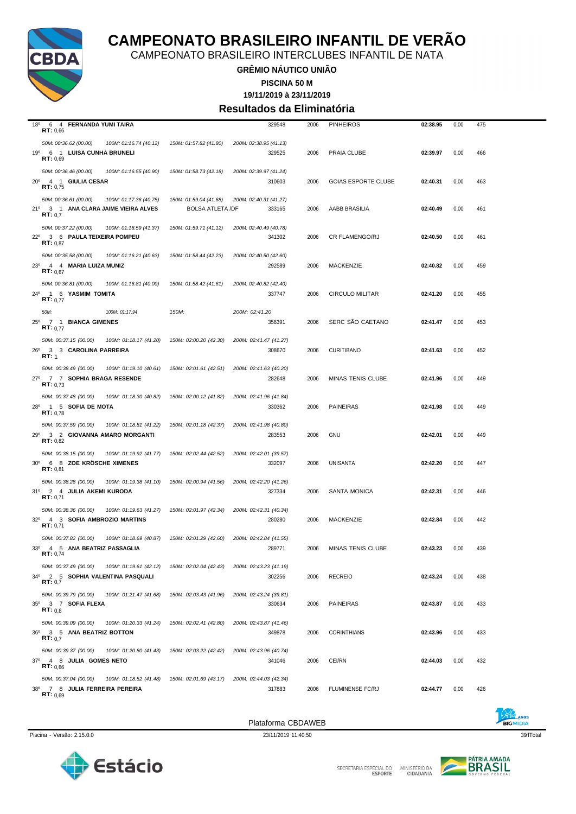

CAMPEONATO BRASILEIRO INTERCLUBES INFANTIL DE NATA

**GRÊMIO NÁUTICO UNIÃO**

**PISCINA 50 M**

#### **19/11/2019 à 23/11/2019 Resultados da Eliminatória**

| $18^{\circ}$<br>6 4 FERNANDA YUMI TAIRA<br>RT: 0,66                                                    |                                                   | 329548                           | 2006 | <b>PINHEIROS</b>           | 02:38.95 | 0,00 | 475 |  |
|--------------------------------------------------------------------------------------------------------|---------------------------------------------------|----------------------------------|------|----------------------------|----------|------|-----|--|
| 50M: 00:36.62 (00.00)<br>100M: 01:16.74 (40.12)<br>19º 6 1 LUISA CUNHA BRUNELI<br>RT: 0.69             | 150M: 01:57.82 (41.80)                            | 200M: 02:38.95 (41.13)<br>329525 | 2006 | PRAIA CLUBE                | 02:39.97 | 0,00 | 466 |  |
| 50M: 00:36.46 (00.00)<br>100M: 01:16.55 (40.90)<br>$20^{\circ}$<br>4 1 GIULIA CESAR<br>RT: 0,75        | 150M: 01:58.73 (42.18)                            | 200M: 02:39.97 (41.24)<br>310603 | 2006 | <b>GOIAS ESPORTE CLUBE</b> | 02:40.31 | 0,00 | 463 |  |
| 50M: 00:36.61 (00.00)<br>100M: 01:17.36 (40.75)<br>21º 3 1 ANA CLARA JAIME VIEIRA ALVES<br>RT: 0.7     | 150M: 01:59.04 (41.68)<br><b>BOLSA ATLETA /DF</b> | 200M: 02:40.31 (41.27)<br>333165 | 2006 | AABB BRASILIA              | 02:40.49 | 0,00 | 461 |  |
| 50M: 00:37.22 (00.00)<br>100M: 01:18.59 (41.37)<br>22º 3 6 PAULA TEIXEIRA POMPEU<br><b>RT:</b> $0.87$  | 150M: 01:59.71 (41.12)                            | 200M: 02:40.49 (40.78)<br>341302 | 2006 | <b>CR FLAMENGO/RJ</b>      | 02:40.50 | 0,00 | 461 |  |
| 50M: 00:35.58 (00.00)<br>100M: 01:16.21 (40.63)<br>23º 4 4 MARIA LUIZA MUNIZ<br>RT: 0.67               | 150M: 01:58.44 (42.23)                            | 200M: 02:40.50 (42.60)<br>292589 | 2006 | <b>MACKENZIE</b>           | 02:40.82 | 0,00 | 459 |  |
| 50M: 00:36.81 (00.00)<br>100M: 01:16.81 (40.00)<br>24º 1 6 YASMIM TOMITA<br><b>RT:</b> $0.77$          | 150M: 01:58.42 (41.61)                            | 200M: 02:40.82 (42.40)<br>337747 | 2006 | <b>CIRCULO MILITAR</b>     | 02:41.20 | 0,00 | 455 |  |
| 50M:<br>100M: 01:17.94<br>25º 7 1 BIANCA GIMENES<br>RT: 0.77                                           | 150M:                                             | 200M: 02:41.20<br>356391         | 2006 | SERC SÃO CAETANO           | 02:41.47 | 0,00 | 453 |  |
| 50M: 00:37.15 (00.00)<br>100M: 01:18.17 (41.20)<br>26º 3 3 CAROLINA PARREIRA<br>RT: 1                  | 150M: 02:00.20 (42.30)                            | 200M: 02:41.47 (41.27)<br>308670 | 2006 | <b>CURITIBANO</b>          | 02:41.63 | 0,00 | 452 |  |
| 50M: 00:38.49 (00.00)<br>100M: 01:19.10 (40.61)<br>27º 7 7 SOPHIA BRAGA RESENDE<br><b>RT:</b> $0.73$   | 150M: 02:01.61 (42.51)                            | 200M: 02:41.63 (40.20)<br>282648 | 2006 | MINAS TENIS CLUBE          | 02:41.96 | 0,00 | 449 |  |
| 50M: 00:37.48 (00.00)<br>100M: 01:18.30 (40.82)<br>28º 1 5 SOFIA DE MOTA<br>RT: 0.78                   | 150M: 02:00.12 (41.82)                            | 200M: 02:41.96 (41.84)<br>330362 | 2006 | <b>PAINEIRAS</b>           | 02:41.98 | 0,00 | 449 |  |
| 50M: 00:37.59 (00.00)<br>100M: 01:18.81 (41.22)<br>29º 3 2 GIOVANNA AMARO MORGANTI<br>RT: 0,82         | 150M: 02:01.18 (42.37)                            | 200M: 02:41.98 (40.80)<br>283553 | 2006 | <b>GNU</b>                 | 02:42.01 | 0,00 | 449 |  |
| 50M: 00:38.15 (00.00)<br>100M: 01:19.92 (41.77)<br>30° 6 8 ZOE KRÖSCHE XIMENES<br>RT: 0.81             | 150M: 02:02.44 (42.52)                            | 200M: 02:42.01 (39.57)<br>332097 | 2006 | UNISANTA                   | 02:42.20 | 0,00 | 447 |  |
| 50M: 00:38.28 (00.00)<br>100M: 01:19.38 (41.10)<br>31º 2 4 JULIA AKEMI KURODA<br>RT: 0,71              | 150M: 02:00.94 (41.56)                            | 200M: 02:42.20 (41.26)<br>327334 | 2006 | SANTA MONICA               | 02:42.31 | 0,00 | 446 |  |
| 50M: 00:38.36 (00.00)<br>100M: 01:19.63 (41.27)<br>32º 4 3 SOFIA AMBROZIO MARTINS<br>RT: 0,71          | 150M: 02:01.97 (42.34)                            | 200M: 02:42.31 (40.34)<br>280280 | 2006 | MACKENZIE                  | 02:42.84 | 0,00 | 442 |  |
| 50M: 00:37.82 (00.00)<br>100M: 01:18.69 (40.87)<br>33º 4 5 ANA BEATRIZ PASSAGLIA<br>RT: 0.74           | 150M: 02:01.29 (42.60)                            | 200M: 02:42.84 (41.55)<br>289771 | 2006 | MINAS TENIS CLUBE          | 02:43.23 | 0,00 | 439 |  |
| 50M: 00:37.49 (00.00)<br>100M: 01:19.61 (42.12)<br>34º 2 5 SOPHIA VALENTINA PASQUALI<br>RT: 0,7        | 150M: 02:02.04 (42.43)                            | 200M: 02:43.23 (41.19)<br>302256 | 2006 | <b>RECREIO</b>             | 02:43.24 | 0,00 | 438 |  |
| 50M: 00:39.79 (00.00)<br>100M: 01:21.47 (41.68)<br>$35^\circ$<br>3 7 SOFIA FLEXA<br>RT: 0.8            | 150M: 02:03.43 (41.96)                            | 200M: 02:43.24 (39.81)<br>330634 | 2006 | <b>PAINEIRAS</b>           | 02:43.87 | 0,00 | 433 |  |
| 50M: 00:39.09 (00.00)<br>100M: 01:20.33 (41.24)<br>36º 3 5 ANA BEATRIZ BOTTON<br>RT: 0,7               | 150M: 02:02.41 (42.80)                            | 200M: 02:43.87 (41.46)<br>349878 | 2006 | <b>CORINTHIANS</b>         | 02:43.96 | 0,00 | 433 |  |
| 50M: 00:39.37 (00.00)<br>100M: 01:20.80 (41.43)<br>37º 4 8 JULIA GOMES NETO<br>RT: 0,66                | 150M: 02:03.22 (42.42)                            | 200M: 02:43.96 (40.74)<br>341046 | 2006 | CEI/RN                     | 02:44.03 | 0,00 | 432 |  |
| 50M: 00:37.04 (00.00)<br>100M: 01:18.52 (41.48)<br>38º 7 8 JULIA FERREIRA PEREIRA<br><b>RT:</b> $0.69$ | 150M: 02:01.69 (43.17)                            | 200M: 02:44.03 (42.34)<br>317883 | 2006 | FLUMINENSE FC/RJ           | 02:44.77 | 0,00 | 426 |  |
|                                                                                                        |                                                   |                                  |      |                            |          |      |     |  |

Plataforma CBDAWEB





SECRETARIA ESPECIAL DO MINISTÉRIO DA<br>CIDADANIA

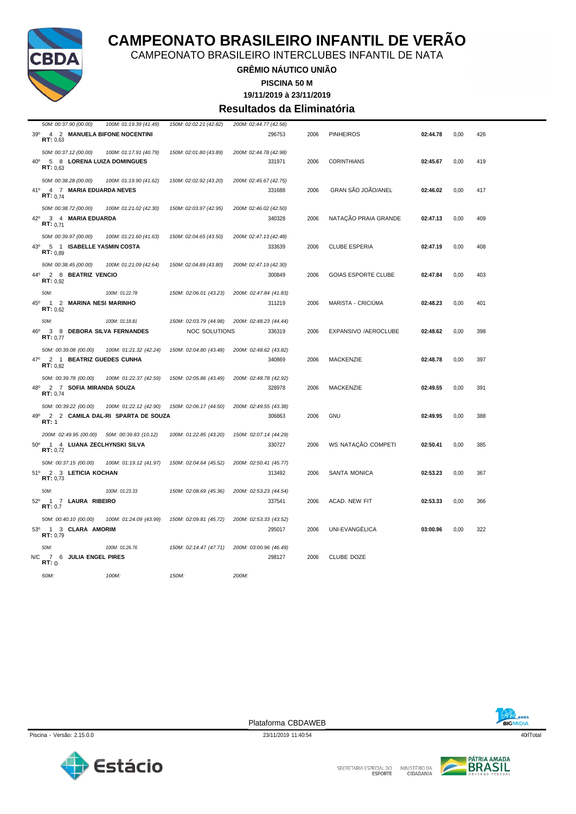

CAMPEONATO BRASILEIRO INTERCLUBES INFANTIL DE NATA

#### **GRÊMIO NÁUTICO UNIÃO**

**PISCINA 50 M**

**19/11/2019 à 23/11/2019**

#### **Resultados da Eliminatória**

| 50M: 00:37.90 (00.00)                                                                    | 100M: 01:19.39 (41.49)            | 150M: 02:02.21 (42.82) | 200M: 02:44.77 (42.56)           |      |                            |          |      |     |
|------------------------------------------------------------------------------------------|-----------------------------------|------------------------|----------------------------------|------|----------------------------|----------|------|-----|
| 39º 4 2 MANUELA BIFONE NOCENTINI<br>RT: 0.63                                             |                                   |                        | 296753                           | 2006 | <b>PINHEIROS</b>           | 02:44.78 | 0,00 | 426 |
| 50M: 00:37.12 (00.00)                                                                    | 100M: 01:17.91 (40.79)            | 150M: 02:01.80 (43.89) | 200M: 02:44.78 (42.98)           |      |                            |          |      |     |
| 40° 5 8 LORENA LUIZA DOMINGUES<br>RT: 0.63                                               |                                   |                        | 331971                           | 2006 | <b>CORINTHIANS</b>         | 02:45.67 | 0,00 | 419 |
| 50M: 00:38.28 (00.00)<br>41 <sup>°</sup><br>4 7 MARIA EDUARDA NEVES<br><b>RT:</b> $0.74$ | 100M: 01:19.90 (41.62)            | 150M: 02:02.92 (43.20) | 200M: 02:45.67 (42.75)<br>331688 | 2006 | GRAN SÃO JOÃO/ANEL         | 02:46.02 | 0,00 | 417 |
| 50M: 00:38.72 (00.00)                                                                    | 100M: 01:21.02 (42.30)            | 150M: 02:03.97 (42.95) | 200M: 02:46.02 (42.50)           |      |                            |          |      |     |
| 42°<br>3 4 MARIA EDUARDA<br>RT: 0.71                                                     |                                   |                        | 340328                           | 2006 | NATAÇÃO PRAIA GRANDE       | 02:47.13 | 0,00 | 409 |
| 50M: 00:39.97 (00.00)                                                                    | 100M: 01:21.60 (41.63)            | 150M: 02:04.65 (43.50) | 200M: 02:47.13 (42.48)           |      |                            |          |      |     |
| 5 1 ISABELLE YASMIN COSTA<br>43 <sup>0</sup><br>RT: 0.89                                 |                                   |                        | 333639                           | 2006 | <b>CLUBE ESPERIA</b>       | 02:47.19 | 0,00 | 408 |
| 50M: 00:38.45 (00.00)                                                                    | 100M: 01:21.09 (42.64)            | 150M: 02:04.89 (43.80) | 200M: 02:47.19 (42.30)           |      |                            |          |      |     |
| 44°<br>2 8 BEATRIZ VENCIO<br>RT: 0.92                                                    |                                   |                        | 300849                           | 2006 | <b>GOIAS ESPORTE CLUBE</b> | 02:47.84 | 0,00 | 403 |
| 50M:                                                                                     | 100M: 01:22.78                    | 150M: 02:06.01 (43.23) | 200M: 02:47.84 (41.83)           |      |                            |          |      |     |
| 45°<br>1 2 MARINA NESI MARINHO<br>RT: 0.62                                               |                                   |                        | 311219                           | 2006 | MARISTA - CRICIUMA         | 02:48.23 | 0,00 | 401 |
| 50M:                                                                                     | 100M: 01:18.81                    | 150M: 02:03.79 (44.98) | 200M: 02:48.23 (44.44)           |      |                            |          |      |     |
| 46°<br>3 8 DEBORA SILVA FERNANDES<br>RT: 0.77                                            |                                   | <b>NOC SOLUTIONS</b>   | 336319                           | 2006 | EXPANSIVO /AEROCLUBE       | 02:48.62 | 0,00 | 398 |
| 50M: 00:39.08 (00.00)                                                                    | 100M: 01:21.32 (42.24)            | 150M: 02:04.80 (43.48) | 200M: 02:48.62 (43.82)           |      |                            |          |      |     |
| 47º 2 1 BEATRIZ GUEDES CUNHA<br><b>RT:</b> $0.82$                                        |                                   |                        | 340869                           | 2006 | <b>MACKENZIE</b>           | 02:48.78 | 0.00 | 397 |
| 50M: 00:39.78 (00.00)                                                                    | 100M: 01:22.37 (42.59)            | 150M: 02:05.86 (43.49) | 200M: 02:48.78 (42.92)           |      |                            |          |      |     |
| 48°<br>2 7 SOFIA MIRANDA SOUZA<br>RT: 0.74                                               |                                   |                        | 328978                           | 2006 | <b>MACKENZIE</b>           | 02:49.55 | 0,00 | 391 |
| 50M: 00:39.22 (00.00)                                                                    | 100M: 01:22.12 (42.90)            | 150M: 02:06.17 (44.50) | 200M: 02:49.55 (43.38)           |      |                            |          |      |     |
| 49°<br>RT: 1                                                                             | 2 2 CAMILA DAL-RI SPARTA DE SOUZA |                        | 306863                           | 2006 | GNU                        | 02:49.95 | 0,00 | 388 |
| 200M: 02:49.95 (00.00) 50M: 00:39.83 (10.12)                                             |                                   | 100M: 01:22.85 (43.20) | 150M: 02:07.14 (44.29)           |      |                            |          |      |     |
| $50^{\circ}$<br>1 4 LUANA ZECLHYNSKI SILVA<br>RT: 0.72                                   |                                   |                        | 330727                           | 2006 | WS NATAÇÃO COMPETI         | 02:50.41 | 0,00 | 385 |
| 50M: 00:37.15 (00.00)                                                                    | 100M: 01:19.12 (41.97)            | 150M: 02:04.64 (45.52) | 200M: 02:50.41 (45.77)           |      |                            |          |      |     |
| 51º 2 3 LETICIA KOCHAN<br>RT: 0.73                                                       |                                   |                        | 313492                           | 2006 | SANTA MONICA               | 02:53.23 | 0,00 | 367 |
| 50M:                                                                                     | 100M: 01:23.33                    | 150M: 02:08.69 (45.36) | 200M: 02:53.23 (44.54)           |      |                            |          |      |     |
| 52º 1 7 LAURA RIBEIRO<br>RT: 0.7                                                         |                                   |                        | 337541                           | 2006 | ACAD. NEW FIT              | 02:53.33 | 0,00 | 366 |
| 50M: 00:40.10 (00.00)                                                                    | 100M: 01:24.09 (43.99)            | 150M: 02:09.81 (45.72) | 200M: 02:53.33 (43.52)           |      |                            |          |      |     |
| $53^{\circ}$<br>1 3 CLARA AMORIM<br>RT: 0,79                                             |                                   |                        | 295017                           | 2006 | UNI-EVANGELICA             | 03:00.96 | 0,00 | 322 |
| 50M:                                                                                     | 100M: 01:26.76                    | 150M: 02:14.47 (47.71) | 200M: 03:00.96 (46.49)           |      |                            |          |      |     |
| N/C<br>7 6 JULIA ENGEL PIRES<br>RT:0                                                     |                                   |                        | 298127                           | 2006 | CLUBE DOZE                 |          |      |     |
| 50M:                                                                                     | 100M:                             | 150M:                  | 200M:                            |      |                            |          |      |     |

BIGMIDIA





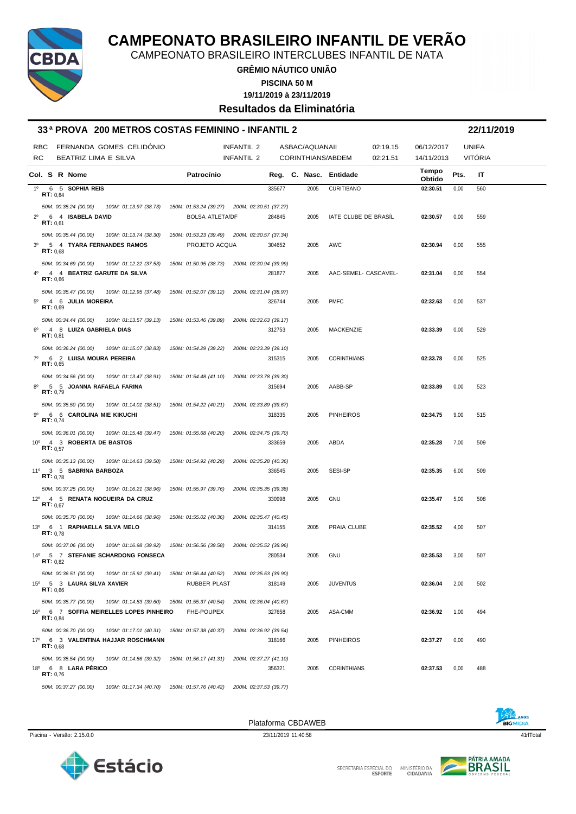

CAMPEONATO BRASILEIRO INTERCLUBES INFANTIL DE NATA

**GRÊMIO NÁUTICO UNIÃO**

**PISCINA 50 M**

**19/11/2019 à 23/11/2019**

**Resultados da Eliminatória**

|                | 33 <sup>a</sup> PROVA 200 METROS COSTAS FEMININO - INFANTIL 2 |                                                                        |                        |        |                |                        |                      |                 |      | 22/11/2019     |  |
|----------------|---------------------------------------------------------------|------------------------------------------------------------------------|------------------------|--------|----------------|------------------------|----------------------|-----------------|------|----------------|--|
| RBC            | FERNANDA GOMES CELIDÔNIO                                      |                                                                        | <b>INFANTIL 2</b>      |        | ASBAC/AQUANAII |                        | 02:19.15             | 06/12/2017      |      | <b>UNIFA</b>   |  |
| <b>RC</b>      | BEATRIZ LIMA E SILVA                                          |                                                                        | <b>INFANTIL 2</b>      |        |                | CORINTHIANS/ABDEM      | 02:21.51             | 14/11/2013      |      | <b>VITÓRIA</b> |  |
|                | Col. S R Nome                                                 | Patrocínio                                                             |                        |        |                | Reg. C. Nasc. Entidade |                      | Tempo<br>Obtido | Pts. | IT             |  |
| $1^{\circ}$    | 6 5 SOPHIA REIS<br><b>RT</b> : $0.84$                         |                                                                        |                        | 335677 | 2005           | <b>CURITIBANO</b>      |                      | 02:30.51        | 0,00 | 560            |  |
|                | 50M: 00:35.24 (00.00)<br>100M: 01:13.97 (38.73)               | 150M: 01:53.24 (39.27) 200M: 02:30.51 (37.27)                          |                        |        |                |                        |                      |                 |      |                |  |
| $2^{\circ}$    | RT: 0.61                                                      | <b>BOLSA ATLETA/DF</b>                                                 |                        | 284845 | 2005           | IATE CLUBE DE BRASIL   |                      | 02:30.57        | 0,00 | 559            |  |
|                | 50M: 00:35.44 (00.00)<br>100M: 01:13.74 (38.30)               | 150M: 01:53.23 (39.49) 200M: 02:30.57 (37.34)                          |                        |        |                |                        |                      |                 |      |                |  |
| 3 <sup>0</sup> | 5 4 TYARA FERNANDES RAMOS<br>RT: 0.68                         | PROJETO ACQUA                                                          |                        | 304652 | 2005           | AWC                    |                      | 02:30.94        | 0,00 | 555            |  |
|                | 50M: 00:34.69 (00.00)<br>100M: 01:12.22 (37.53)               | 150M: 01:50.95 (38.73)                                                 | 200M: 02:30.94 (39.99) |        |                |                        |                      |                 |      |                |  |
| $4^{\circ}$    | 4 4 BEATRIZ GARUTE DA SILVA<br>RT: 0,66                       |                                                                        |                        | 281877 | 2005           |                        | AAC-SEMEL- CASCAVEL- | 02:31.04        | 0,00 | 554            |  |
|                | 50M: 00:35.47 (00.00)<br>100M: 01:12.95 (37.48)               | 150M: 01:52.07 (39.12)                                                 | 200M: 02:31.04 (38.97) |        |                |                        |                      |                 |      |                |  |
| $5^{\circ}$    | 4 6 JULIA MOREIRA<br>RT: 0,69                                 |                                                                        |                        | 326744 | 2005           | <b>PMFC</b>            |                      | 02:32.63        | 0,00 | 537            |  |
|                | 50M: 00:34.44 (00.00)<br>100M: 01:13.57 (39.13)               | 150M: 01:53.46 (39.89)                                                 | 200M: 02:32.63 (39.17) |        |                |                        |                      |                 |      |                |  |
| $6^{\circ}$    | 4 8 LUIZA GABRIELA DIAS<br>RT: 0,81                           |                                                                        |                        | 312753 | 2005           | <b>MACKENZIE</b>       |                      | 02:33.39        | 0,00 | 529            |  |
|                | 50M: 00:36.24 (00.00)<br>100M: 01:15.07 (38.83)               | 150M: 01:54.29 (39.22)                                                 | 200M: 02:33.39 (39.10) |        |                |                        |                      |                 |      |                |  |
| $7^\circ$      | 6 2 LUISA MOURA PEREIRA<br>RT: 0,65                           |                                                                        |                        | 315315 | 2005           | <b>CORINTHIANS</b>     |                      | 02:33.78        | 0,00 | 525            |  |
|                | 50M: 00:34.56 (00.00)<br>100M: 01:13.47 (38.91)               | 150M: 01:54.48 (41.10)                                                 | 200M: 02:33.78 (39.30) |        |                |                        |                      |                 |      |                |  |
| 8°             | 5 5 JOANNA RAFAELA FARINA<br>RT: 0,79                         |                                                                        |                        | 315694 | 2005           | AABB-SP                |                      | 02:33.89        | 0,00 | 523            |  |
|                | 50M: 00:35.50 (00.00)<br>100M: 01:14.01 (38.51)               | 150M: 01:54.22 (40.21)                                                 | 200M: 02:33.89 (39.67) |        |                |                        |                      |                 |      |                |  |
| 9º             | 6 6 CAROLINA MIE KIKUCHI<br>RT: 0.74                          |                                                                        |                        | 318335 | 2005           | <b>PINHEIROS</b>       |                      | 02:34.75        | 9,00 | 515            |  |
|                | 50M: 00:36.01 (00.00)<br>100M: 01:15.48 (39.47)               | 150M: 01:55.68 (40.20)                                                 | 200M: 02:34.75 (39.70) |        |                |                        |                      |                 |      |                |  |
| $10^{\circ}$   | 4 3 ROBERTA DE BASTOS<br>RT: 0.57                             |                                                                        |                        | 333659 | 2005           | ABDA                   |                      | 02:35.28        | 7,00 | 509            |  |
|                | 50M: 00:35.13 (00.00)<br>100M: 01:14.63 (39.50)               | 150M: 01:54.92 (40.29)                                                 | 200M: 02:35.28 (40.36) |        |                |                        |                      |                 |      |                |  |
|                | 11º 3 5 SABRINA BARBOZA<br>RT: 0.78                           |                                                                        |                        | 336545 | 2005           | SESI-SP                |                      | 02:35.35        | 6,00 | 509            |  |
|                | 50M: 00:37.25 (00.00)<br>100M: 01:16.21 (38.96)               | 150M: 01:55.97 (39.76)                                                 | 200M: 02:35.35 (39.38) |        |                |                        |                      |                 |      |                |  |
| $12^{\circ}$   | 4 5 RENATA NOGUEIRA DA CRUZ<br>RT: 0,67                       |                                                                        |                        | 330998 | 2005           | <b>GNU</b>             |                      | 02:35.47        | 5,00 | 508            |  |
|                | 50M: 00:35.70 (00.00)<br>100M: 01:14.66 (38.96)               | 150M: 01:55.02 (40.36)                                                 | 200M: 02:35.47 (40.45) |        |                |                        |                      |                 |      |                |  |
|                | 13º 6 1 RAPHAELLA SILVA MELO<br>RT: 0.78                      |                                                                        |                        | 314155 | 2005           | PRAIA CLUBE            |                      | 02:35.52        | 4,00 | 507            |  |
|                | 50M: 00:37.06 (00.00)<br>100M: 01:16.98 (39.92)               | 150M: 01:56.56 (39.58)                                                 | 200M: 02:35.52 (38.96) |        |                |                        |                      |                 |      |                |  |
|                | 14º 5 7 STEFANIE SCHARDONG FONSECA<br>R1:0,82                 |                                                                        |                        | 280534 | 2005           | <b>GNU</b>             |                      | 02:35.53        | 3,00 | 507            |  |
|                | 50M: 00:36.51 (00.00)<br>100M: 01:15.92 (39.41)               | 150M: 01:56.44 (40.52) 200M: 02:35.53 (39.90)                          |                        |        |                |                        |                      |                 |      |                |  |
|                | 15º 5 3 LAURA SILVA XAVIER<br>RT: 0.66                        | <b>RUBBER PLAST</b>                                                    |                        | 318149 | 2005           | <b>JUVENTUS</b>        |                      | 02:36.04        | 2,00 | 502            |  |
|                | 50M: 00:35.77 (00.00)<br>100M: 01:14.83 (39.60)               | 150M: 01:55.37 (40.54)                                                 | 200M: 02:36.04 (40.67) |        |                |                        |                      |                 |      |                |  |
|                | 16º 6 7 SOFFIA MEIRELLES LOPES PINHEIRO<br>RT: 0.84           | FHE-POUPEX                                                             |                        | 327658 | 2005           | ASA-CMM                |                      | 02:36.92        | 1,00 | 494            |  |
|                | 50M: 00:36.70 (00.00)<br>100M: 01:17.01 (40.31)               | 150M: 01:57.38 (40.37)                                                 | 200M: 02:36.92 (39.54) |        |                |                        |                      |                 |      |                |  |
|                | 17º 6 3 VALENTINA HAJJAR ROSCHMANN<br>RT: 0.68                |                                                                        |                        | 318166 | 2005           | <b>PINHEIROS</b>       |                      | 02:37.27        | 0,00 | 490            |  |
|                | 50M: 00:35.54 (00.00)<br>100M: 01:14.86 (39.32)               | 150M: 01:56.17 (41.31)                                                 | 200M: 02:37.27 (41.10) |        |                |                        |                      |                 |      |                |  |
|                | 18º 6 8 LARA PÉRICO<br>RT: 0.76                               |                                                                        |                        | 356321 | 2005           | <b>CORINTHIANS</b>     |                      | 02:37.53        | 0,00 | 488            |  |
|                | 50M: 00:37.27 (00.00)                                         | 100M: 01:17.34 (40.70)  150M: 01:57.76 (40.42)  200M: 02:37.53 (39.77) |                        |        |                |                        |                      |                 |      |                |  |

Estácio



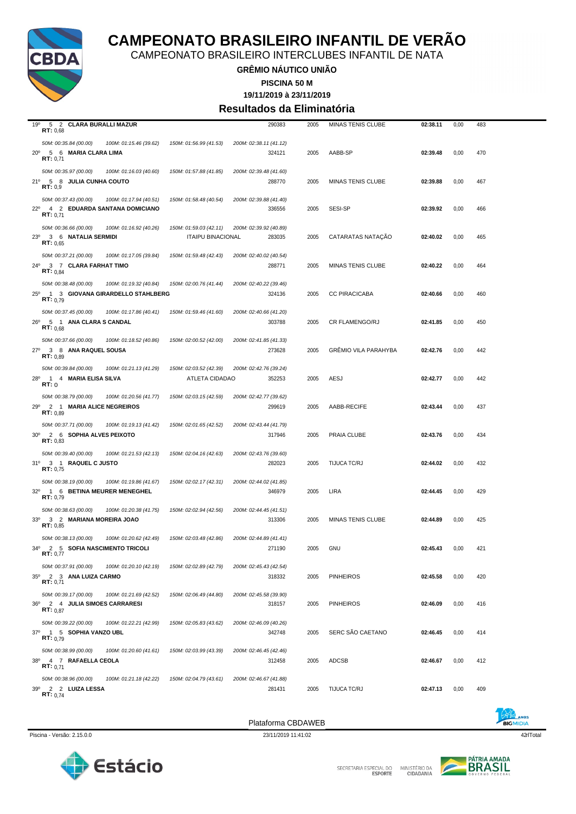

CAMPEONATO BRASILEIRO INTERCLUBES INFANTIL DE NATA

**GRÊMIO NÁUTICO UNIÃO**

**PISCINA 50 M**

**19/11/2019 à 23/11/2019**

#### **Resultados da Eliminatória**

| 19°<br>5 2 CLARA BURALLI MAZUR<br>RT: 0,68                                                                 |                                                    | 290383                           | 2005 | MINAS TENIS CLUBE           | 02:38.11 | 0,00 | 483 |
|------------------------------------------------------------------------------------------------------------|----------------------------------------------------|----------------------------------|------|-----------------------------|----------|------|-----|
| 50M: 00:35.84 (00.00)<br>100M: 01:15.46 (39.62)<br>20° 5 6 MARIA CLARA LIMA<br>RT: 0,71                    | 150M: 01:56.99 (41.53)                             | 200M: 02:38.11 (41.12)<br>324121 | 2005 | AABB-SP                     | 02:39.48 | 0,00 | 470 |
| 50M: 00:35.97 (00.00)<br>100M: 01:16.03 (40.60)<br>21º 5 8 JULIA CUNHA COUTO<br>RT: 0.9                    | 150M: 01:57.88 (41.85)                             | 200M: 02:39.48 (41.60)<br>288770 | 2005 | MINAS TENIS CLUBE           | 02:39.88 | 0,00 | 467 |
| 50M: 00:37.43 (00.00)<br>100M: 01:17.94 (40.51)<br>22º 4 2 EDUARDA SANTANA DOMICIANO<br>RT: 0.71           | 150M: 01:58.48 (40.54)                             | 200M: 02:39.88 (41.40)<br>336556 | 2005 | SESI-SP                     | 02:39.92 | 0,00 | 466 |
| 50M: 00:36.66 (00.00)<br>100M: 01:16.92 (40.26)<br>23º 3 6 NATALIA SERMIDI<br>RT: 0.65                     | 150M: 01:59.03 (42.11)<br><b>ITAIPU BINACIONAL</b> | 200M: 02:39.92 (40.89)<br>283035 | 2005 | CATARATAS NATAÇÃO           | 02:40.02 | 0,00 | 465 |
| 50M: 00:37.21 (00.00)<br>100M: 01:17.05 (39.84)<br>24º 3 7 CLARA FARHAT TIMO<br><b>RT:</b> $0,84$          | 150M: 01:59.48 (42.43)                             | 200M: 02:40.02 (40.54)<br>288771 | 2005 | MINAS TENIS CLUBE           | 02:40.22 | 0,00 | 464 |
| 50M: 00:38.48 (00.00)<br>100M: 01:19.32 (40.84)<br>25º 1 3 GIOVANA GIRARDELLO STAHLBERG<br>RT: 0.79        | 150M: 02:00.76 (41.44)                             | 200M: 02:40.22 (39.46)<br>324136 | 2005 | <b>CC PIRACICABA</b>        | 02:40.66 | 0,00 | 460 |
| 50M: 00:37.45 (00.00)<br>100M: 01:17.86 (40.41)<br>26º 5 1 ANA CLARA S CANDAL<br>RT: 0.68                  | 150M: 01:59.46 (41.60)                             | 200M: 02:40.66 (41.20)<br>303788 | 2005 | CR FLAMENGO/RJ              | 02:41.85 | 0,00 | 450 |
| 50M: 00:37.66 (00.00)<br>100M: 01:18.52 (40.86)<br>27º 3 8 ANA RAQUEL SOUSA<br>RT: 0.89                    | 150M: 02:00.52 (42.00)                             | 200M: 02:41.85 (41.33)<br>273628 | 2005 | <b>GRÉMIO VILA PARAHYBA</b> | 02:42.76 | 0,00 | 442 |
| 50M: 00:39.84 (00.00)<br>100M: 01:21.13 (41.29)<br>$28^{\circ}$<br>1 4 MARIA ELISA SILVA<br>RT:0           | 150M: 02:03.52 (42.39)<br>ATLETA CIDADAO           | 200M: 02:42.76 (39.24)<br>352253 | 2005 | AESJ                        | 02:42.77 | 0,00 | 442 |
| 50M: 00:38.79 (00.00)<br>100M: 01:20.56 (41.77)<br>29º 2 1 MARIA ALICE NEGREIROS<br>RT: 0.89               | 150M: 02:03.15 (42.59)                             | 200M: 02:42.77 (39.62)<br>299619 | 2005 | AABB-RECIFE                 | 02:43.44 | 0,00 | 437 |
| 50M: 00:37.71 (00.00)<br>100M: 01:19.13 (41.42)<br>2 6 SOPHIA ALVES PEIXOTO<br>30 <sup>o</sup><br>RT: 0,83 | 150M: 02:01.65 (42.52)                             | 200M: 02:43.44 (41.79)<br>317946 | 2005 | PRAIA CLUBE                 | 02:43.76 | 0,00 | 434 |
| 50M: 00:39.40 (00.00)<br>100M: 01:21.53 (42.13)<br>31º 3 1 RAQUEL C JUSTO<br>RT: 0,75                      | 150M: 02:04.16 (42.63)                             | 200M: 02:43.76 (39.60)<br>282023 | 2005 | TIJUCA TC/RJ                | 02:44.02 | 0,00 | 432 |
| 50M: 00:38.19 (00.00)<br>100M: 01:19.86 (41.67)<br>32º 1 6 BETINA MEURER MENEGHEL<br>RT: 0,79              | 150M: 02:02.17 (42.31)                             | 200M: 02:44.02 (41.85)<br>346979 | 2005 | <b>LIRA</b>                 | 02:44.45 | 0,00 | 429 |
| 50M: 00:38.63 (00.00)<br>100M: 01:20.38 (41.75)<br>33º 3 2 MARIANA MOREIRA JOAO<br>RT: 0.85                | 150M: 02:02.94 (42.56)                             | 200M: 02:44.45 (41.51)<br>313306 | 2005 | <b>MINAS TENIS CLUBE</b>    | 02:44.89 | 0,00 | 425 |
| 50M: 00:38.13 (00.00)<br>100M: 01:20.62 (42.49)<br>34º 2 5 SOFIA NASCIMENTO TRICOLI<br>RT: 0,77            | 150M: 02:03.48 (42.86)                             | 200M: 02:44.89 (41.41)<br>271190 | 2005 | <b>GNU</b>                  | 02:45.43 | 0,00 | 421 |
| 50M: 00:37.91 (00.00)<br>100M: 01:20.10 (42.19)<br>35º 2 3 ANA LUIZA CARMO<br>RT: 0,71                     | 150M: 02:02.89 (42.79)                             | 200M: 02:45.43 (42.54)<br>318332 | 2005 | <b>PINHEIROS</b>            | 02:45.58 | 0,00 | 420 |
| 50M: 00:39.17 (00.00)<br>100M: 01:21.69 (42.52)<br>2 4 JULIA SIMOES CARRARESI<br>36°<br><b>RT:</b> $0.87$  | 150M: 02:06.49 (44.80)                             | 200M: 02:45.58 (39.90)<br>318157 | 2005 | <b>PINHEIROS</b>            | 02:46.09 | 0,00 | 416 |
| 50M: 00:39.22 (00.00)<br>100M: 01:22.21 (42.99)<br>37º 1 5 SOPHIA VANZO UBL<br>RT: 0.79                    | 150M: 02:05.83 (43.62)                             | 200M: 02:46.09 (40.26)<br>342748 | 2005 | SERC SÃO CAETANO            | 02:46.45 | 0,00 | 414 |
| 50M: 00:38.99 (00.00)<br>100M: 01:20.60 (41.61)<br>38º 4 7 RAFAELLA CEOLA<br><b>RT:</b> $0,71$             | 150M: 02:03.99 (43.39)                             | 200M: 02:46.45 (42.46)<br>312458 | 2005 | ADCSB                       | 02:46.67 | 0,00 | 412 |
| 50M: 00:38.96 (00.00)<br>100M: 01:21.18 (42.22)<br>39º 2 2 LUIZA LESSA<br>RT: 0.74                         | 150M: 02:04.79 (43.61)                             | 200M: 02:46.67 (41.88)<br>281431 | 2005 | TIJUCA TC/RJ                | 02:47.13 | 0,00 | 409 |





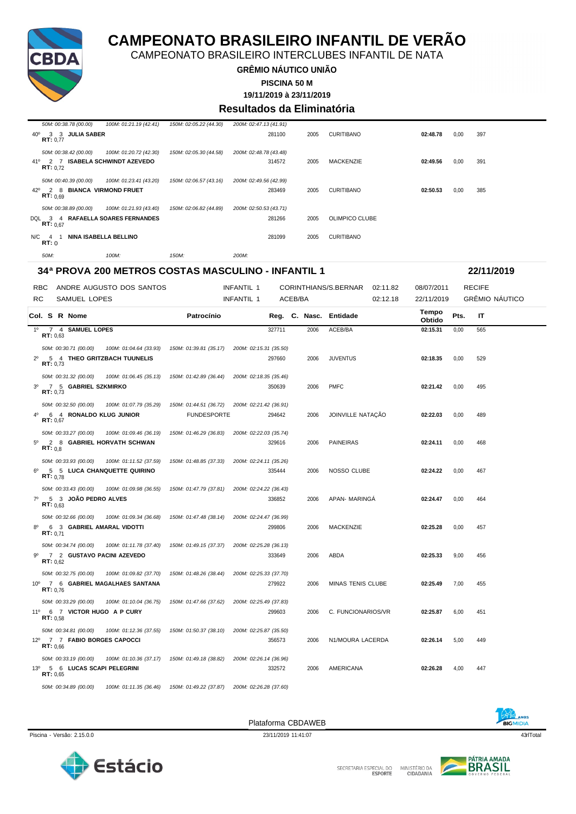

CAMPEONATO BRASILEIRO INTERCLUBES INFANTIL DE NATA

**GRÊMIO NÁUTICO UNIÃO**

**PISCINA 50 M**

**19/11/2019 à 23/11/2019**

#### **Resultados da Eliminatória**

|     | 50M: 00:38.78 (00.00) |                                   | 100M: 01:21.19 (42.41) | 150M: 02:05.22 (44.30) | 200M: 02:47.13 (41.91) |        |      |                   |          |      |     |
|-----|-----------------------|-----------------------------------|------------------------|------------------------|------------------------|--------|------|-------------------|----------|------|-----|
| 40° | RT: 0.77              | 3 3 JULIA SABER                   |                        |                        |                        | 281100 | 2005 | <b>CURITIBANO</b> | 02:48.78 | 0,00 | 397 |
|     | 50M: 00:38.42 (00.00) | 41º 2 7 ISABELA SCHWINDT AZEVEDO  | 100M: 01:20.72 (42.30) | 150M: 02:05.30 (44.58) | 200M: 02:48.78 (43.48) | 314572 | 2005 | <b>MACKENZIE</b>  | 02:49.56 | 0,00 | 391 |
|     | RT: 0.72              |                                   |                        |                        |                        |        |      |                   |          |      |     |
|     | 50M: 00:40.39 (00.00) |                                   | 100M: 01:23.41 (43.20) | 150M: 02:06.57 (43.16) | 200M: 02:49.56 (42.99) |        |      |                   |          |      |     |
| 42° | RT: 0.69              | 2 8 BIANCA VIRMOND FRUET          |                        |                        |                        | 283469 | 2005 | <b>CURITIBANO</b> | 02:50.53 | 0.00 | 385 |
|     | 50M: 00:38.89 (00.00) |                                   | 100M: 01:21.93 (43.40) | 150M: 02:06.82 (44.89) | 200M: 02:50.53 (43.71) |        |      |                   |          |      |     |
|     | RT: 0.67              | DQL 3 4 RAFAELLA SOARES FERNANDES |                        |                        |                        | 281266 | 2005 | OLIMPICO CLUBE    |          |      |     |
|     | $N/C$ 4<br>RT: 0      | NINA ISABELLA BELLINO             |                        |                        |                        | 281099 | 2005 | <b>CURITIBANO</b> |          |      |     |
|     | 50M:                  | 100M:                             |                        | 150M:                  | 200M:                  |        |      |                   |          |      |     |

#### **34ª PROVA 200 METROS COSTAS MASCULINO - INFANTIL 1 22/11/2019**

| <b>RBC</b>     |                   |                                                        | ANDRE AUGUSTO DOS SANTOS                                               |                                              | <b>INFANTIL 1</b>      |         |      | CORINTHIANS/S.BERNAR   | 02:11.82 | 08/07/2011      |      | <b>RECIFE</b>         |  |
|----------------|-------------------|--------------------------------------------------------|------------------------------------------------------------------------|----------------------------------------------|------------------------|---------|------|------------------------|----------|-----------------|------|-----------------------|--|
| <b>RC</b>      |                   | <b>SAMUEL LOPES</b>                                    |                                                                        |                                              | <b>INFANTIL 1</b>      | ACEB/BA |      |                        | 02:12.18 | 22/11/2019      |      | <b>GRÊMIO NÁUTICO</b> |  |
|                |                   | Col. S R Nome                                          |                                                                        | Patrocínio                                   |                        |         |      | Reg. C. Nasc. Entidade |          | Tempo<br>Obtido | Pts. | <b>IT</b>             |  |
|                | RT: 0.63          | 1º 7 4 SAMUEL LOPES                                    |                                                                        |                                              |                        | 327711  | 2006 | ACEB/BA                |          | 02:15.31        | 0,00 | 565                   |  |
| $2^{\circ}$    | RT: 0,73          | 50M: 00:30.71 (00.00)                                  | 100M: 01:04.64 (33.93)<br>5 4 THEO GRITZBACH TUUNELIS                  | 150M: 01:39.81 (35.17)                       | 200M: 02:15.31 (35.50) | 297660  | 2006 | <b>JUVENTUS</b>        |          | 02:18.35        | 0,00 | 529                   |  |
| 3 <sup>0</sup> | RT: 0.73          | 50M: 00:31.32 (00.00)<br>7 5 GABRIEL SZKMIRKO          | 100M: 01:06.45 (35.13)                                                 | 150M: 01:42.89 (36.44)                       | 200M: 02:18.35 (35.46) | 350639  | 2006 | <b>PMFC</b>            |          | 02:21.42        | 0,00 | 495                   |  |
| $4^{\circ}$    | RT: 0.67          | 50M: 00:32.50 (00.00)<br>6 4 RONALDO KLUG JUNIOR       | 100M: 01:07.79 (35.29)                                                 | 150M: 01:44.51 (36.72)<br><b>FUNDESPORTE</b> | 200M: 02:21.42 (36.91) | 294642  | 2006 | JOINVILLE NATAÇÃO      |          | 02:22.03        | 0,00 | 489                   |  |
| $5^{\circ}$    | RT: 0,8           | 50M: 00:33.27 (00.00)                                  | 100M: 01:09.46 (36.19)<br>2 8 GABRIEL HORVATH SCHWAN                   | 150M: 01:46.29 (36.83)                       | 200M: 02:22.03 (35.74) | 329616  | 2006 | PAINEIRAS              |          | 02:24.11        | 0,00 | 468                   |  |
| $6^{\circ}$    | RT: 0.78          | 50M: 00:33.93 (00.00)                                  | 100M: 01:11.52 (37.59)<br>5 5 LUCA CHANQUETTE QUIRINO                  | 150M: 01:48.85 (37.33)                       | 200M: 02:24.11 (35.26) | 335444  | 2006 | NOSSO CLUBE            |          | 02:24.22        | 0,00 | 467                   |  |
| $7^\circ$      | RT: 0.63          | 50M: 00:33.43 (00.00)<br>5 3 JOÃO PEDRO ALVES          | 100M: 01:09.98 (36.55)                                                 | 150M: 01:47.79 (37.81)                       | 200M: 02:24.22 (36.43) | 336852  | 2006 | APAN- MARINGA          |          | 02:24.47        | 0,00 | 464                   |  |
| $8^{\circ}$    | <b>RT:</b> $0.71$ | 50M: 00:32.66 (00.00)<br>6 3 GABRIEL AMARAL VIDOTTI    | 100M: 01:09.34 (36.68)                                                 | 150M: 01:47.48 (38.14)                       | 200M: 02:24.47 (36.99) | 299806  | 2006 | <b>MACKENZIE</b>       |          | 02:25.28        | 0,00 | 457                   |  |
| 9º             | RT: 0.62          | 50M: 00:34.74 (00.00)                                  | 100M: 01:11.78 (37.40)<br>7 2 GUSTAVO PACINI AZEVEDO                   | 150M: 01:49.15 (37.37)                       | 200M: 02:25.28 (36.13) | 333649  | 2006 | ABDA                   |          | 02:25.33        | 9,00 | 456                   |  |
|                | RT: 0.76          | 50M: 00:32.75 (00.00)                                  | 100M: 01:09.82 (37.70)<br>10º 7 6 GABRIEL MAGALHAES SANTANA            | 150M: 01:48.26 (38.44)                       | 200M: 02:25.33 (37.70) | 279922  | 2006 | MINAS TENIS CLUBE      |          | 02:25.49        | 7,00 | 455                   |  |
|                | RT: 0.58          | 50M: 00:33.29 (00.00)<br>11º 6 7 VICTOR HUGO A P CURY  | 100M: 01:10.04 (36.75)                                                 | 150M: 01:47.66 (37.62)                       | 200M: 02:25.49 (37.83) | 299603  | 2006 | C. FUNCIONARIOS/VR     |          | 02:25.87        | 6,00 | 451                   |  |
|                | RT: 0.66          | 50M: 00:34.81 (00.00)<br>12º 7 7 FABIO BORGES CAPOCCI  | 100M: 01:12.36 (37.55)                                                 | 150M: 01:50.37 (38.10)                       | 200M: 02:25.87 (35.50) | 356573  | 2006 | N1/MOURA LACERDA       |          | 02:26.14        | 5,00 | 449                   |  |
|                | RT: 0.65          | 50M: 00:33.19 (00.00)<br>13º 5 6 LUCAS SCAPI PELEGRINI | 100M: 01:10.36 (37.17)                                                 | 150M: 01:49.18 (38.82)                       | 200M: 02:26.14 (36.96) | 332572  | 2006 | AMERICANA              |          | 02:26.28        | 4,00 | 447                   |  |
|                |                   | 50M: 00:34.89 (00.00)                                  | 100M: 01:11.35 (36.46)  150M: 01:49.22 (37.87)  200M: 02:26.28 (37.60) |                                              |                        |         |      |                        |          |                 |      |                       |  |

Piscina - Versão: 2.15.0.0 23/11/2019 11:41:07 23/11/2019 11:41:07 43rlTotal 43rlTotal 43rlTotal 49rlTotal 49rlTotal 49rlTotal 49rlTotal 49rlTotal 49rlTotal 49rlTotal 49rlTotal 49rlTotal 49rlTotal 49rlTotal 49rlTotal 49rlT

Plataforma CBDAWEB





**BIGMIDIA**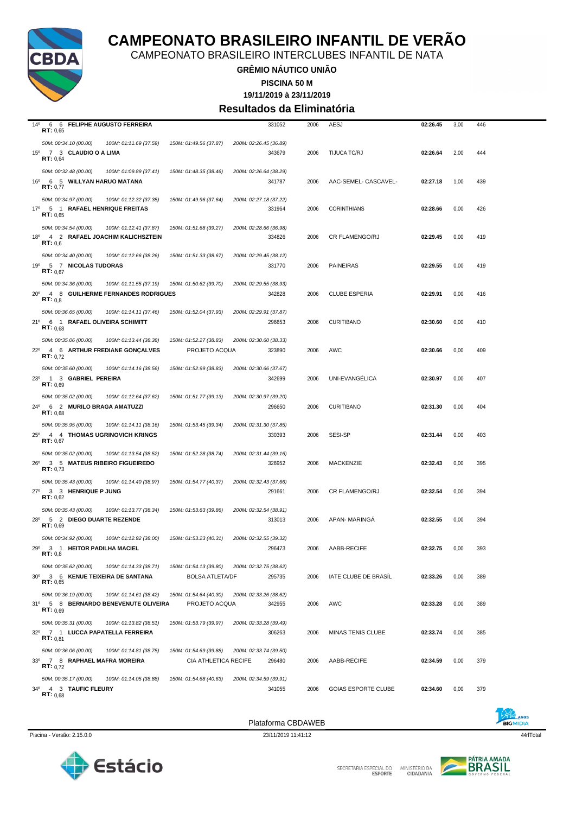

CAMPEONATO BRASILEIRO INTERCLUBES INFANTIL DE NATA

**GRÊMIO NÁUTICO UNIÃO**

**PISCINA 50 M**

#### **19/11/2019 à 23/11/2019 Resultados da Eliminatória**

| 14°<br>6 6 FELIPHE AUGUSTO FERREIRA<br>331052<br>RT: 0,65                                                                                                                          | 2006 | AESJ                       | 02:26.45 | 3,00 | 446 |
|------------------------------------------------------------------------------------------------------------------------------------------------------------------------------------|------|----------------------------|----------|------|-----|
| 50M: 00:34.10 (00.00)<br>150M: 01:49.56 (37.87)<br>200M: 02:26.45 (36.89)<br>100M: 01:11.69 (37.59)<br>15º 7 3 CLAUDIO Q A LIMA<br>343679<br>RT: 0,64                              | 2006 | <b>TIJUCA TC/RJ</b>        | 02:26.64 | 2,00 | 444 |
| 50M: 00:32.48 (00.00)<br>100M: 01:09.89 (37.41)<br>150M: 01:48.35 (38.46)<br>200M: 02:26.64 (38.29)<br>16°<br>6 5 WILLYAN HARUO MATANA<br>341787<br>RT: 0,77                       | 2006 | AAC-SEMEL- CASCAVEL-       | 02:27.18 | 1,00 | 439 |
| 50M: 00:34.97 (00.00)<br>100M: 01:12.32 (37.35)<br>150M: 01:49.96 (37.64)<br>200M: 02:27.18 (37.22)<br>17º 5 1 RAFAEL HENRIQUE FREITAS<br>331964<br>RT: 0,65                       | 2006 | <b>CORINTHIANS</b>         | 02:28.66 | 0,00 | 426 |
| 50M: 00:34.54 (00.00)<br>100M: 01:12.41 (37.87)<br>150M: 01:51.68 (39.27)<br>200M: 02:28.66 (36.98)<br>4 2 RAFAEL JOACHIM KALICHSZTEIN<br>334826<br>18º<br>RT: 0,6                 | 2006 | <b>CR FLAMENGO/RJ</b>      | 02:29.45 | 0,00 | 419 |
| 50M: 00:34.40 (00.00)<br>100M: 01:12.66 (38.26)<br>150M: 01:51.33 (38.67)<br>200M: 02:29.45 (38.12)<br>19º 5 7 NICOLAS TUDORAS<br>331770<br>RT: 0.67                               | 2006 | <b>PAINEIRAS</b>           | 02:29.55 | 0,00 | 419 |
| 200M: 02:29.55 (38.93)<br>50M: 00:34.36 (00.00)<br>100M: 01:11.55 (37.19)<br>150M: 01:50.62 (39.70)<br>342828<br>20° 4 8 GUILHERME FERNANDES RODRIGUES<br>RT: 0,8                  | 2006 | <b>CLUBE ESPERIA</b>       | 02:29.91 | 0,00 | 416 |
| 50M: 00:36.65 (00.00)<br>100M: 01:14.11 (37.46)<br>150M: 01:52.04 (37.93)<br>200M: 02:29.91 (37.87)<br>21º 6 1 RAFAEL OLIVEIRA SCHIMITT<br>296653                                  | 2006 | <b>CURITIBANO</b>          | 02:30.60 | 0,00 | 410 |
| RT: 0,68<br>50M: 00:35.06 (00.00)<br>100M: 01:13.44 (38.38)<br>150M: 01:52.27 (38.83)<br>200M: 02:30.60 (38.33)<br>22º 4 6 ARTHUR FREDIANE GONÇALVES<br>PROJETO ACQUA<br>323890    | 2006 | AWC                        | 02:30.66 | 0,00 | 409 |
| RT: 0.72<br>50M: 00:35.60 (00.00)<br>100M: 01:14.16 (38.56)<br>150M: 01:52.99 (38.83)<br>200M: 02:30.66 (37.67)<br>$23^{\circ}$<br>1 3 GABRIEL PEREIRA<br>342699                   | 2006 | UNI-EVANGÉLICA             | 02:30.97 | 0,00 | 407 |
| RT: 0.69<br>50M: 00:35.02 (00.00)<br>100M: 01:12.64 (37.62)<br>150M: 01:51.77 (39.13)<br>200M: 02:30.97 (39.20)<br>24º 6 2 MURILO BRAGA AMATUZZI<br>296650                         | 2006 | <b>CURITIBANO</b>          | 02:31.30 | 0,00 | 404 |
| RT: 0.68<br>50M: 00:35.95 (00.00)<br>100M: 01:14.11 (38.16)<br>150M: 01:53.45 (39.34)<br>200M: 02:31.30 (37.85)<br>$25^{\circ}$<br>4 4 THOMAS UGRINOVICH KRINGS<br>330393          | 2006 | SESI-SP                    | 02:31.44 | 0,00 | 403 |
| RT: 0,67<br>50M: 00:35.02 (00.00)<br>100M: 01:13.54 (38.52)<br>150M: 01:52.28 (38.74)<br>200M: 02:31.44 (39.16)<br>3 5 MATEUS RIBEIRO FIGUEIREDO<br>$26^{\circ}$<br>326952         | 2006 | MACKENZIE                  | 02:32.43 | 0,00 | 395 |
| RT: 0.73<br>50M: 00:35.43 (00.00)<br>100M: 01:14.40 (38.97)<br>150M: 01:54.77 (40.37)<br>200M: 02:32.43 (37.66)                                                                    |      |                            |          |      |     |
| 27º 3 3 HENRIQUE P JUNG<br>291661<br>RT: 0,62<br>200M: 02:32.54 (38.91)<br>50M: 00:35.43 (00.00)<br>100M: 01:13.77 (38.34)<br>150M: 01:53.63 (39.86)                               | 2006 | <b>CR FLAMENGO/RJ</b>      | 02:32.54 | 0,00 | 394 |
| 5 2 DIEGO DUARTE REZENDE<br>28°<br>313013<br>RT: 0,69<br>50M: 00:34.92 (00.00)<br>100M: 01:12.92 (38.00)<br>150M: 01:53.23 (40.31)<br>200M: 02:32.55 (39.32)                       | 2006 | APAN- MARINGA              | 02:32.55 | 0,00 | 394 |
| 29º 3 1 HEITOR PADILHA MACIEL<br>296473<br>RT: 0,8<br>50M: 00:35.62 (00.00)<br>150M: 01:54.13 (39.80)<br>200M: 02:32.75 (38.62)<br>100M: 01:14.33 (38.71)                          | 2006 | AABB-RECIFE                | 02:32.75 | 0,00 | 393 |
| $30^{\circ}$<br>3 6 KENUE TEIXEIRA DE SANTANA<br><b>BOLSA ATLETA/DF</b><br>295735<br>RT: 0,65<br>50M: 00:36.19 (00.00)<br>200M: 02:33.26 (38.62)                                   | 2006 | IATE CLUBE DE BRASIL       | 02:33.26 | 0,00 | 389 |
| 100M: 01:14.61 (38.42)<br>150M: 01:54.64 (40.30)<br>31º 5 8 BERNARDO BENEVENUTE OLIVEIRA<br>PROJETO ACQUA<br>342955<br>RT: 0,69                                                    | 2006 | AWC                        | 02:33.28 | 0,00 | 389 |
| 50M: 00:35.31 (00.00)<br>100M: 01:13.82 (38.51)<br>150M: 01:53.79 (39.97)<br>200M: 02:33.28 (39.49)<br>32º 7 1 LUCCA PAPATELLA FERREIRA<br>306263<br>RT: 0.81                      | 2006 | MINAS TENIS CLUBE          | 02:33.74 | 0,00 | 385 |
| 50M: 00:36.06 (00.00)<br>100M: 01:14.81 (38.75)<br>150M: 01:54.69 (39.88)<br>200M: 02:33.74 (39.50)<br>33º 7 8 RAPHAEL MAFRA MOREIRA<br>CIA ATHLETICA RECIFE<br>296480<br>RT: 0.72 | 2006 | AABB-RECIFE                | 02:34.59 | 0,00 | 379 |
| 50M: 00:35.17 (00.00)<br>200M: 02:34.59 (39.91)<br>100M: 01:14.05 (38.88)<br>150M: 01:54.68 (40.63)<br>34º 4 3 TAUFIC FLEURY<br>341055<br><b>RT:</b> $0,68$                        | 2006 | <b>GOIAS ESPORTE CLUBE</b> | 02:34.60 | 0,00 | 379 |

Piscina - Versão: 2.15.0.0 23/11/2019 11:41:12 44rlTotal 23/11/2019 11:41:12 44rlTotal 23/11/2019 11:41:12 44rlTotal 23/11/2019 11:41:12

Plataforma CBDAWEB





SECRETARIA ESPECIAL DO MINISTÉRIO DA<br>CIDADANIA

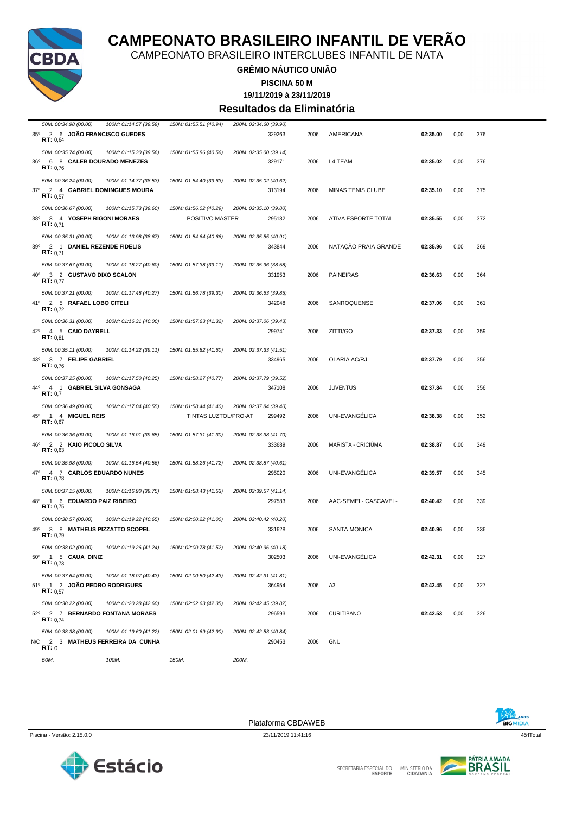

CAMPEONATO BRASILEIRO INTERCLUBES INFANTIL DE NATA

#### **GRÊMIO NÁUTICO UNIÃO**

**PISCINA 50 M**

**19/11/2019 à 23/11/2019**

#### **Resultados da Eliminatória**

| 50M: 00:34.98 (00.00)<br>100M: 01:14.57 (39.59)                                                 | 150M: 01:55.51 (40.94) | 200M: 02:34.60 (39.90)           |      |                            |          |      |     |  |
|-------------------------------------------------------------------------------------------------|------------------------|----------------------------------|------|----------------------------|----------|------|-----|--|
| $35^\circ$<br>2 6 JOAO FRANCISCO GUEDES<br>RT: 0,64                                             |                        | 329263                           | 2006 | AMERICANA                  | 02:35.00 | 0,00 | 376 |  |
| 50M: 00:35.74 (00.00)<br>100M: 01:15.30 (39.56)<br>6 8 CALEB DOURADO MENEZES<br>36°<br>RT: 0.76 | 150M: 01:55.86 (40.56) | 200M: 02:35.00 (39.14)<br>329171 | 2006 | L4 TEAM                    | 02:35.02 | 0,00 | 376 |  |
| 50M: 00:36.24 (00.00)<br>100M: 01:14.77 (38.53)<br>37º 2 4 GABRIEL DOMINGUES MOURA<br>RT: 0.57  | 150M: 01:54.40 (39.63) | 200M: 02:35.02 (40.62)<br>313194 | 2006 | <b>MINAS TENIS CLUBE</b>   | 02:35.10 | 0,00 | 375 |  |
| 50M: 00:36.67 (00.00)<br>100M: 01:15.73 (39.60)                                                 | 150M: 01:56.02 (40.29) | 200M: 02:35.10 (39.80)           |      |                            |          |      |     |  |
| 38°<br>3 4 YOSEPH RIGONI MORAES<br>RT: 0.71                                                     | POSITIVO MASTER        | 295182                           | 2006 | <b>ATIVA ESPORTE TOTAL</b> | 02:35.55 | 0,00 | 372 |  |
| 50M: 00:35.31 (00.00)<br>100M: 01:13.98 (38.67)                                                 | 150M: 01:54.64 (40.66) | 200M: 02:35.55 (40.91)           |      |                            |          |      |     |  |
| 2 1 DANIEL REZENDE FIDELIS<br>39°<br>RT: 0.71                                                   |                        | 343844                           | 2006 | NATAÇÃO PRAIA GRANDE       | 02:35.96 | 0,00 | 369 |  |
| 50M: 00:37.67 (00.00)<br>100M: 01:18.27 (40.60)                                                 | 150M: 01:57.38 (39.11) | 200M: 02:35.96 (38.58)           |      |                            |          |      |     |  |
| $40^{\circ}$<br>3 2 GUSTAVO DIXO SCALON<br>RT: 0.77                                             |                        | 331953                           | 2006 | <b>PAINEIRAS</b>           | 02:36.63 | 0,00 | 364 |  |
| 50M: 00:37.21 (00.00)<br>100M: 01:17.48 (40.27)                                                 | 150M: 01:56.78 (39.30) | 200M: 02:36.63 (39.85)           |      |                            |          |      |     |  |
| 41º 2 5 RAFAEL LOBO CITELI<br>RT: 0.72                                                          |                        | 342048                           | 2006 | SANROQUENSE                | 02:37.06 | 0,00 | 361 |  |
| 50M: 00:36.31 (00.00)<br>100M: 01:16.31 (40.00)                                                 | 150M: 01:57.63 (41.32) | 200M: 02:37.06 (39.43)           |      |                            |          |      |     |  |
| 42°<br>4 5 CAIO DAYRELL<br>RT: 0,81                                                             |                        | 299741                           | 2006 | ZITTI/GO                   | 02:37.33 | 0,00 | 359 |  |
| 50M: 00:35.11 (00.00)<br>100M: 01:14.22 (39.11)                                                 | 150M: 01:55.82 (41.60) | 200M: 02:37.33 (41.51)           |      |                            |          |      |     |  |
| 3 7 FELIPE GABRIEL<br>43°<br>RT: 0.76                                                           |                        | 334965                           | 2006 | <b>OLARIA AC/RJ</b>        | 02:37.79 | 0,00 | 356 |  |
| 50M: 00:37.25 (00.00)<br>100M: 01:17.50 (40.25)                                                 | 150M: 01:58.27 (40.77) | 200M: 02:37.79 (39.52)           |      |                            |          |      |     |  |
| 44°<br>4 1 GABRIEL SILVA GONSAGA<br>RT: 0,7                                                     |                        | 347108                           | 2006 | <b>JUVENTUS</b>            | 02:37.84 | 0,00 | 356 |  |
| 50M: 00:36.49 (00.00)<br>100M: 01:17.04 (40.55)                                                 | 150M: 01:58.44 (41.40) | 200M: 02:37.84 (39.40)           |      |                            |          |      |     |  |
| 1 4 MIGUEL REIS<br>45°<br>RT: 0.67                                                              | TINTAS LUZTOL/PRO-AT   | 299492                           | 2006 | UNI-EVANGÉLICA             | 02:38.38 | 0,00 | 352 |  |
| 50M: 00:36.36 (00.00)<br>100M: 01:16.01 (39.65)                                                 | 150M: 01:57.31 (41.30) | 200M: 02:38.38 (41.70)           |      |                            |          |      |     |  |
| 46°<br>2 2 KAIO PICOLO SILVA<br>RT: 0,63                                                        |                        | 333689                           | 2006 | MARISTA - CRICIÚMA         | 02:38.87 | 0,00 | 349 |  |
| 50M: 00:35.98 (00.00)<br>100M: 01:16.54 (40.56)                                                 | 150M: 01:58.26 (41.72) | 200M: 02:38.87 (40.61)           |      |                            |          |      |     |  |
| 47°<br>4 7 CARLOS EDUARDO NUNES<br>RT: 0.78                                                     |                        | 295020                           | 2006 | UNI-EVANGÉLICA             | 02:39.57 | 0,00 | 345 |  |
| 50M: 00:37.15 (00.00)<br>100M: 01:16.90 (39.75)                                                 | 150M: 01:58.43 (41.53) | 200M: 02:39.57 (41.14)           |      |                            |          |      |     |  |
| 48°<br>1 6 EDUARDO PAIZ RIBEIRO<br>RT: 0,75                                                     |                        | 297583                           | 2006 | AAC-SEMEL- CASCAVEL-       | 02:40.42 | 0,00 | 339 |  |
| 50M: 00:38.57 (00.00)<br>100M: 01:19.22 (40.65)                                                 | 150M: 02:00.22 (41.00) | 200M: 02:40.42 (40.20)           |      |                            |          |      |     |  |
| 49°<br>3 8 MATHEUS PIZZATTO SCOPEL<br>RT: 0,79                                                  |                        | 331628                           | 2006 | <b>SANTA MONICA</b>        | 02:40.96 | 0,00 | 336 |  |
| 50M: 00:38.02 (00.00)<br>100M: 01:19.26 (41.24)                                                 | 150M: 02:00.78 (41.52) | 200M: 02:40.96 (40.18)           |      |                            |          |      |     |  |
| 1 5 CAUA DINIZ<br>50 <sup>o</sup><br><b>RT:</b> $0,73$                                          |                        | 302503                           |      | 2006 UNI-EVANGÉLICA        | 02:42.31 | 0,00 | 327 |  |
| 50M: 00:37.64 (00.00)<br>100M: 01:18.07 (40.43)                                                 | 150M: 02:00.50 (42.43) | 200M: 02:42.31 (41.81)           |      |                            |          |      |     |  |
| 51º 1 2 JOÃO PEDRO RODRIGUES<br>RT: 0.57                                                        |                        | 364954                           | 2006 | A <sub>3</sub>             | 02:42.45 | 0,00 | 327 |  |
| 50M: 00:38.22 (00.00)<br>100M: 01:20.28 (42.60)                                                 | 150M: 02:02.63 (42.35) | 200M: 02:42.45 (39.82)           |      |                            |          |      |     |  |
| 52º 2 7 BERNARDO FONTANA MORAES<br>RT: 0.74                                                     |                        | 296593                           | 2006 | <b>CURITIBANO</b>          | 02:42.53 | 0,00 | 326 |  |
| 50M: 00:38.38 (00.00)<br>100M: 01:19.60 (41.22)                                                 | 150M: 02:01.69 (42.90) | 200M: 02:42.53 (40.84)           |      |                            |          |      |     |  |
| N/C 2 3 MATHEUS FERREIRA DA CUNHA<br>RT:0                                                       |                        | 290453                           | 2006 | GNU                        |          |      |     |  |
| 50M:<br>100M:                                                                                   | 150M:                  | 200M:                            |      |                            |          |      |     |  |



Piscina - Versão: 2.15.0.0 23/11/2019 11:41:16 23/11/2019 11:41:16 45rlTotal 45rlTotal 45rlTotal 45rlTotal 45rlTotal 45rlTotal 45rlTotal 45rlTotal 45rlTotal 45rlTotal 45rlTotal 45rlTotal 45rlTotal 45rlTotal 45rlTotal 45rlT



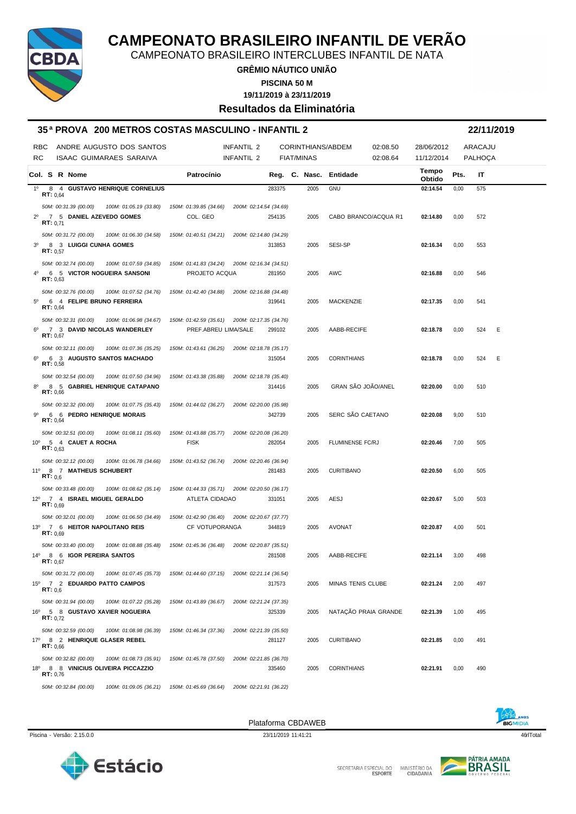

CAMPEONATO BRASILEIRO INTERCLUBES INFANTIL DE NATA

**GRÊMIO NÁUTICO UNIÃO**

**PISCINA 50 M**

**19/11/2019 à 23/11/2019**

**Resultados da Eliminatória**

|                |                    |                       | 35ª PROVA 200 METROS COSTAS MASCULINO - INFANTIL 2    |                        |                        |        |                   |                          |                      |                 |      | 22/11/2019 |   |
|----------------|--------------------|-----------------------|-------------------------------------------------------|------------------------|------------------------|--------|-------------------|--------------------------|----------------------|-----------------|------|------------|---|
|                | <b>RBC</b>         |                       | ANDRE AUGUSTO DOS SANTOS                              |                        | INFANTIL 2             |        |                   | CORINTHIANS/ABDEM        | 02:08.50             | 28/06/2012      |      | ARACAJU    |   |
| RC             |                    |                       | <b>ISAAC GUIMARAES SARAIVA</b>                        |                        | INFANTIL 2             |        | <b>FIAT/MINAS</b> |                          | 02:08.64             | 11/12/2014      |      | PALHOÇA    |   |
|                |                    | Col. S R Nome         |                                                       | Patrocínio             |                        |        |                   | Reg. C. Nasc. Entidade   |                      | Tempo<br>Obtido | Pts. | IT         |   |
| 1 <sup>0</sup> | <b>RT</b> : $0.64$ |                       | 8 4 GUSTAVO HENRIQUE CORNELIUS                        |                        |                        | 283375 | 2005              | <b>GNU</b>               |                      | 02:14.54        | 0,00 | 575        |   |
|                |                    | 50M: 00:31.39 (00.00) | 100M: 01:05.19 (33.80)                                | 150M: 01:39.85 (34.66) | 200M: 02:14.54 (34.69) |        |                   |                          |                      |                 |      |            |   |
| $2^{\circ}$    |                    |                       | 7 5 DANIEL AZEVEDO GOMES                              | COL. GEO               |                        | 254135 | 2005              |                          | CABO BRANCO/ACQUA R1 | 02:14.80        | 0,00 | 572        |   |
|                | RT: 0.71           |                       |                                                       |                        |                        |        |                   |                          |                      |                 |      |            |   |
|                |                    | 50M: 00:31.72 (00.00) | 100M: 01:06.30 (34.58)                                | 150M: 01:40.51 (34.21) | 200M: 02:14.80 (34.29) |        |                   |                          |                      |                 |      |            |   |
| 30             | RT: 0.57           |                       | 8 3 LUIGGI CUNHA GOMES                                |                        |                        | 313853 | 2005              | SESI-SP                  |                      | 02:16.34        | 0,00 | 553        |   |
|                |                    | 50M: 00:32.74 (00.00) | 100M: 01:07.59 (34.85)                                | 150M: 01:41.83 (34.24) | 200M: 02:16.34 (34.51) |        |                   |                          |                      |                 |      |            |   |
| 4 <sup>0</sup> |                    |                       | 6 5 VICTOR NOGUEIRA SANSONI                           | PROJETO ACQUA          |                        | 281950 | 2005              | <b>AWC</b>               |                      | 02:16.88        | 0,00 | 546        |   |
|                | RT: 0.63           |                       |                                                       |                        |                        |        |                   |                          |                      |                 |      |            |   |
| $5^{\circ}$    |                    | 50M: 00:32.76 (00.00) | 100M: 01:07.52 (34.76)<br>6 4 FELIPE BRUNO FERREIRA   | 150M: 01:42.40 (34.88) | 200M: 02:16.88 (34.48) | 319641 | 2005              | <b>MACKENZIE</b>         |                      | 02:17.35        | 0,00 | 541        |   |
|                | RT: 0,64           |                       |                                                       |                        |                        |        |                   |                          |                      |                 |      |            |   |
|                |                    | 50M: 00:32.31 (00.00) | 100M: 01:06.98 (34.67)                                | 150M: 01:42.59 (35.61) | 200M: 02:17.35 (34.76) |        |                   |                          |                      |                 |      |            |   |
| $6^{\circ}$    | RT: 0.67           |                       | 7 3 DAVID NICOLAS WANDERLEY                           | PREF.ABREU LIMA/SALE   |                        | 299102 | 2005              | AABB-RECIFE              |                      | 02:18.78        | 0,00 | 524        | Ε |
|                |                    | 50M: 00:32.11 (00.00) | 100M: 01:07.36 (35.25)                                | 150M: 01:43.61 (36.25) | 200M: 02:18.78 (35.17) |        |                   |                          |                      |                 |      |            |   |
| $6^{\circ}$    | RT: 0,58           |                       | 6 3 AUGUSTO SANTOS MACHADO                            |                        |                        | 315054 | 2005              | <b>CORINTHIANS</b>       |                      | 02:18.78        | 0,00 | 524        | Ε |
|                |                    | 50M: 00:32.54 (00.00) | 100M: 01:07.50 (34.96)                                | 150M: 01:43.38 (35.88) | 200M: 02:18.78 (35.40) |        |                   |                          |                      |                 |      |            |   |
| $8^{\circ}$    | RT: 0,66           |                       | 8 5 GABRIEL HENRIQUE CATAPANO                         |                        |                        | 314416 | 2005              | GRAN SÃO JOÃO/ANEL       |                      | 02:20.00        | 0,00 | 510        |   |
|                |                    | 50M: 00:32.32 (00.00) | 100M: 01:07.75 (35.43)                                | 150M: 01:44.02 (36.27) | 200M: 02:20.00 (35.98) |        |                   |                          |                      |                 |      |            |   |
| 90             | RT: 0,64           |                       | 6 6 PEDRO HENRIQUE MORAIS                             |                        |                        | 342739 | 2005              | SERC SÃO CAETANO         |                      | 02:20.08        | 9,00 | 510        |   |
|                |                    | 50M: 00:32.51 (00.00) | 100M: 01:08.11 (35.60)                                | 150M: 01:43.88 (35.77) | 200M: 02:20.08 (36.20) |        |                   |                          |                      |                 |      |            |   |
|                |                    |                       | 10° 5 4 CAUET A ROCHA                                 | <b>FISK</b>            |                        | 282054 | 2005              | FLUMINENSE FC/RJ         |                      | 02:20.46        | 7,00 | 505        |   |
|                | RT: 0.63           |                       |                                                       |                        |                        |        |                   |                          |                      |                 |      |            |   |
|                |                    | 50M: 00:32.12 (00.00) | 100M: 01:06.78 (34.66)                                | 150M: 01:43.52 (36.74) | 200M: 02:20.46 (36.94) |        |                   |                          |                      |                 |      |            |   |
|                | RT: 0,6            |                       | 11º 8 7 MATHEUS SCHUBERT                              |                        |                        | 281483 | 2005              | <b>CURITIBANO</b>        |                      | 02:20.50        | 6,00 | 505        |   |
|                |                    | 50M: 00:33.48 (00.00) | 100M: 01:08.62 (35.14)                                | 150M: 01:44.33 (35.71) | 200M: 02:20.50 (36.17) |        |                   |                          |                      |                 |      |            |   |
|                | RT: 0.69           |                       | 12º 7 4 ISRAEL MIGUEL GERALDO                         | ATLETA CIDADAO         |                        | 331051 | 2005              | AESJ                     |                      | 02:20.67        | 5,00 | 503        |   |
|                |                    | 50M: 00:32.01 (00.00) | 100M: 01:06.50 (34.49)                                | 150M: 01:42.90 (36.40) | 200M: 02:20.67 (37.77) |        |                   |                          |                      |                 |      |            |   |
|                |                    |                       | 13º 7 6 HEITOR NAPOLITANO REIS                        | CF VOTUPORANGA         |                        | 344819 | 2005              | <b>AVONAT</b>            |                      | 02:20.87        | 4,00 | 501        |   |
|                | RT: 0,69           |                       |                                                       |                        |                        |        |                   |                          |                      |                 |      |            |   |
|                |                    | 50M: 00:33.40 (00.00) | 100M: 01:08.88 (35.48)<br>14º 8 6 IGOR PEREIRA SANTOS | 150M: 01:45.36 (36.48) | 200M: 02:20.87 (35.51) | 281508 | 2005              | AABB-RECIFE              |                      | 02:21.14        | 3,00 | 498        |   |
|                | RT: 0.67           |                       |                                                       |                        |                        |        |                   |                          |                      |                 |      |            |   |
|                |                    | 50M: 00:31.72 (00.00) | 100M: 01:07.45 (35.73)                                | 150M: 01:44.60 (37.15) | 200M: 02:21.14 (36.54) |        |                   |                          |                      |                 |      |            |   |
|                | RT: 0,6            |                       | 15º 7 2 EDUARDO PATTO CAMPOS                          |                        |                        | 317573 | 2005              | <b>MINAS TENIS CLUBE</b> |                      | 02:21.24        | 2,00 | 497        |   |
|                |                    | 50M: 00:31.94 (00.00) | 100M: 01:07.22 (35.28)                                | 150M: 01:43.89 (36.67) | 200M: 02:21.24 (37.35) |        |                   |                          |                      |                 |      |            |   |
|                |                    |                       | 16º 5 8 GUSTAVO XAVIER NOGUEIRA                       |                        |                        | 325339 | 2005              |                          | NATAÇÃO PRAIA GRANDE | 02:21.39        | 1,00 | 495        |   |
|                | RT: 0.72           |                       |                                                       |                        |                        |        |                   |                          |                      |                 |      |            |   |
|                |                    | 50M: 00:32.59 (00.00) | 100M: 01:08.98 (36.39)                                | 150M: 01:46.34 (37.36) | 200M: 02:21.39 (35.50) |        |                   |                          |                      |                 |      |            |   |
|                | RT: 0,66           |                       | 17º 8 2 HENRIQUE GLASER REBEL                         |                        |                        | 281127 | 2005              | <b>CURITIBANO</b>        |                      | 02:21.85        | 0,00 | 491        |   |
|                |                    | 50M: 00:32.82 (00.00) | 100M: 01:08.73 (35.91)                                | 150M: 01:45.78 (37.50) | 200M: 02:21.85 (36.70) |        |                   |                          |                      |                 |      |            |   |
| 18°            | RT: 0,76           |                       | 8 8 VINICIUS OLIVEIRA PICCAZZIO                       |                        |                        | 335460 | 2005              | <b>CORINTHIANS</b>       |                      | 02:21.91        | 0,00 | 490        |   |
|                |                    | 50M: 00:32.84 (00.00) | 100M: 01:09.05 (36.21)                                | 150M: 01:45.69 (36.64) | 200M: 02:21.91 (36.22) |        |                   |                          |                      |                 |      |            |   |
|                |                    |                       |                                                       |                        |                        |        |                   |                          |                      |                 |      |            |   |





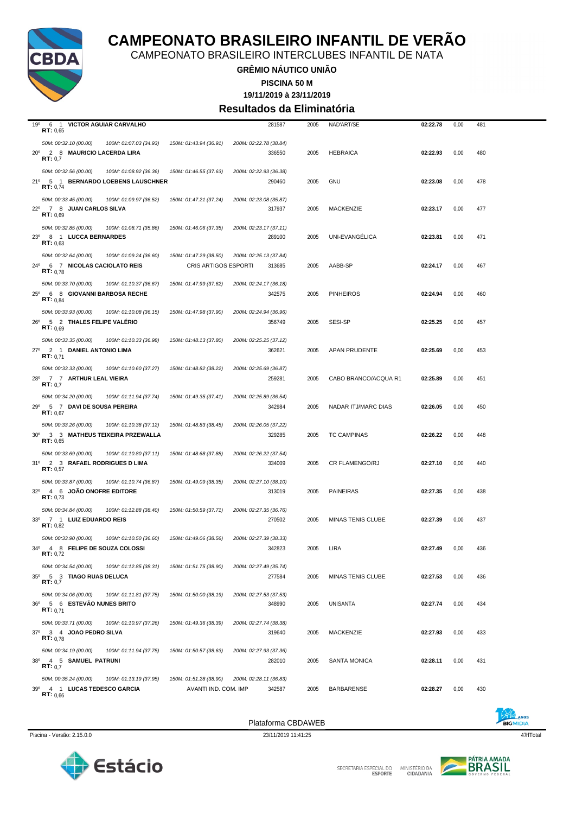

CAMPEONATO BRASILEIRO INTERCLUBES INFANTIL DE NATA

**GRÊMIO NÁUTICO UNIÃO**

**PISCINA 50 M**

**19/11/2019 à 23/11/2019**

#### **Resultados da Eliminatória**

| 19°<br>6 1 VICTOR AGUIAR CARVALHO                                                                 |                        |                        | 281587 | 2005 | NAD'ART/SE               | 02:22.78 | 0,00 | 481 |
|---------------------------------------------------------------------------------------------------|------------------------|------------------------|--------|------|--------------------------|----------|------|-----|
| RT: 0,65                                                                                          |                        |                        |        |      |                          |          |      |     |
| 50M: 00:32.10 (00.00)<br>100M: 01:07.03 (34.93)                                                   | 150M: 01:43.94 (36.91) | 200M: 02:22.78 (38.84) |        |      |                          |          |      |     |
| $20^{\circ}$<br>2 8 MAURICIO LACERDA LIRA<br>RT: 0,7                                              |                        |                        | 336550 | 2005 | <b>HEBRAICA</b>          | 02:22.93 | 0,00 | 480 |
| 50M: 00:32.56 (00.00)<br>100M: 01:08.92 (36.36)                                                   | 150M: 01:46.55 (37.63) | 200M: 02:22.93 (36.38) |        |      |                          |          |      |     |
| 21º 5 1 BERNARDO LOEBENS LAUSCHNER                                                                |                        |                        | 290460 | 2005 | <b>GNU</b>               | 02:23.08 | 0,00 | 478 |
| <b>RT:</b> $0,74$                                                                                 |                        |                        |        |      |                          |          |      |     |
| 50M: 00:33.45 (00.00)<br>100M: 01:09.97 (36.52)                                                   | 150M: 01:47.21 (37.24) | 200M: 02:23.08 (35.87) |        |      |                          |          |      |     |
| $22^{\circ}$<br>7 8 JUAN CARLOS SILVA<br>RT: 0.69                                                 |                        |                        | 317937 | 2005 | <b>MACKENZIE</b>         | 02:23.17 | 0,00 | 477 |
|                                                                                                   |                        |                        |        |      |                          |          |      |     |
| 50M: 00:32.85 (00.00)<br>100M: 01:08.71 (35.86)<br>8 1 LUCCA BERNARDES<br>$23^{\circ}$            | 150M: 01:46.06 (37.35) | 200M: 02:23.17 (37.11) | 289100 | 2005 | UNI-EVANGELICA           | 02:23.81 | 0,00 | 471 |
| RT: 0.63                                                                                          |                        |                        |        |      |                          |          |      |     |
| 50M: 00:32.64 (00.00)<br>100M: 01:09.24 (36.60)                                                   | 150M: 01:47.29 (38.50) | 200M: 02:25.13 (37.84) |        |      |                          |          |      |     |
| 24º 6 7 NICOLAS CACIOLATO REIS                                                                    | CRIS ARTIGOS ESPORTI   |                        | 313685 | 2005 | AABB-SP                  | 02:24.17 | 0,00 | 467 |
| RT: 0.78                                                                                          |                        |                        |        |      |                          |          |      |     |
| 50M: 00:33.70 (00.00)<br>100M: 01:10.37 (36.67)                                                   | 150M: 01:47.99 (37.62) | 200M: 02:24.17 (36.18) |        |      |                          |          |      |     |
| 6 8 GIOVANNI BARBOSA RECHE<br>$25^{\circ}$<br><b>RT</b> : $0.84$                                  |                        |                        | 342575 | 2005 | <b>PINHEIROS</b>         | 02:24.94 | 0,00 | 460 |
| 50M: 00:33.93 (00.00)<br>100M: 01:10.08 (36.15)                                                   | 150M: 01:47.98 (37.90) | 200M: 02:24.94 (36.96) |        |      |                          |          |      |     |
| 26º 5 2 THALES FELIPE VALÉRIO                                                                     |                        |                        | 356749 | 2005 | SESI-SP                  | 02:25.25 | 0,00 | 457 |
| RT: 0.69                                                                                          |                        |                        |        |      |                          |          |      |     |
| 50M: 00:33.35 (00.00)<br>100M: 01:10.33 (36.98)                                                   | 150M: 01:48.13 (37.80) | 200M: 02:25.25 (37.12) |        |      |                          |          |      |     |
| $27^{\circ}$<br>2 1 DANIEL ANTONIO LIMA<br>RT: 0.71                                               |                        |                        | 362621 | 2005 | APAN PRUDENTE            | 02:25.69 | 0,00 | 453 |
| 50M: 00:33.33 (00.00)<br>100M: 01:10.60 (37.27)                                                   | 150M: 01:48.82 (38.22) | 200M: 02:25.69 (36.87) |        |      |                          |          |      |     |
| 28°<br>77 ARTHUR LEAL VIEIRA                                                                      |                        |                        | 259281 | 2005 | CABO BRANCO/ACQUA R1     | 02:25.89 | 0,00 | 451 |
| RT: 0.7                                                                                           |                        |                        |        |      |                          |          |      |     |
| 50M: 00:34.20 (00.00)<br>100M: 01:11.94 (37.74)                                                   | 150M: 01:49.35 (37.41) | 200M: 02:25.89 (36.54) |        |      |                          |          |      |     |
| 5 7 DAVI DE SOUSA PEREIRA<br>29°<br>RT: 0,67                                                      |                        |                        | 342984 | 2005 | NADAR ITJ/MARC DIAS      | 02:26.05 | 0,00 | 450 |
| 50M: 00:33.26 (00.00)<br>100M: 01:10.38 (37.12)                                                   | 150M: 01:48.83 (38.45) | 200M: 02:26.05 (37.22) |        |      |                          |          |      |     |
| 30° 3 3 MATHEUS TEIXEIRA PRZEWALLA                                                                |                        |                        | 329285 | 2005 | TC CAMPINAS              | 02:26.22 | 0,00 | 448 |
| RT: 0,65                                                                                          |                        |                        |        |      |                          |          |      |     |
| 50M: 00:33.69 (00.00)<br>100M: 01:10.80 (37.11)                                                   | 150M: 01:48.68 (37.88) | 200M: 02:26.22 (37.54) |        |      |                          |          |      |     |
| 31º 2 3 RAFAEL RODRIGUES D LIMA<br>RT: 0,57                                                       |                        |                        | 334009 | 2005 | CR FLAMENGO/RJ           | 02:27.10 | 0,00 | 440 |
| 50M: 00:33.87 (00.00)<br>100M: 01:10.74 (36.87)                                                   | 150M: 01:49.09 (38.35) | 200M: 02:27.10 (38.10) |        |      |                          |          |      |     |
| 32º 4 6 JOÃO ONOFRE EDITORE                                                                       |                        |                        | 313019 | 2005 | <b>PAINEIRAS</b>         | 02:27.35 | 0,00 | 438 |
| RT: 0,73                                                                                          |                        |                        |        |      |                          |          |      |     |
| 50M: 00:34.84 (00.00)<br>100M: 01:12.88 (38.40)                                                   | 150M: 01:50.59 (37.71) | 200M: 02:27.35 (36.76) |        |      |                          |          |      |     |
| 33º 7 1 LUIZ EDUARDO REIS<br><b>RT:</b> $0,82$                                                    |                        |                        | 270502 | 2005 | <b>MINAS TENIS CLUBE</b> | 02:27.39 | 0,00 | 437 |
|                                                                                                   |                        |                        |        |      |                          |          |      |     |
| 50M: 00:33.90 (00.00)<br>100M: 01:10.50 (36.60)<br>34º 4 8 FELIPE DE SOUZA COLOSSI                | 150M: 01:49.06 (38.56) | 200M: 02:27.39 (38.33) | 342823 | 2005 | LIRA                     | 02:27.49 | 0,00 | 436 |
| <b>RT: 0,72</b>                                                                                   |                        |                        |        |      |                          |          |      |     |
| 50M: 00:34.54 (00.00)<br>100M: 01:12.85 (38.31)                                                   | 150M: 01:51.75 (38.90) | 200M: 02:27.49 (35.74) |        |      |                          |          |      |     |
| $35^\circ$<br>5 3 TIAGO RUAS DELUCA                                                               |                        |                        | 277584 | 2005 | MINAS TENIS CLUBE        | 02:27.53 | 0,00 | 436 |
| RT: 0,7                                                                                           |                        |                        |        |      |                          |          |      |     |
| 50M: 00:34.06 (00.00)<br>100M: 01:11.81 (37.75)<br>$36^{\circ}$<br><b>5 6 ESTEVÃO NUNES BRITO</b> | 150M: 01:50.00 (38.19) | 200M: 02:27.53 (37.53) | 348990 | 2005 | UNISANTA                 | 02:27.74 | 0,00 | 434 |
| <b>RT:</b> $0.71$                                                                                 |                        |                        |        |      |                          |          |      |     |
| 50M: 00:33.71 (00.00)<br>100M: 01:10.97 (37.26)                                                   | 150M: 01:49.36 (38.39) | 200M: 02:27.74 (38.38) |        |      |                          |          |      |     |
| 37º 3 4 JOAO PEDRO SILVA<br>RT: 0.78                                                              |                        |                        | 319640 | 2005 | MACKENZIE                | 02:27.93 | 0,00 | 433 |
|                                                                                                   |                        |                        |        |      |                          |          |      |     |
| 50M: 00:34.19 (00.00)<br>100M: 01:11.94 (37.75)<br>38º 4 5 SAMUEL PATRUNI                         | 150M: 01:50.57 (38.63) | 200M: 02:27.93 (37.36) | 282010 | 2005 | SANTA MONICA             | 02:28.11 | 0,00 | 431 |
| RT: 0.7                                                                                           |                        |                        |        |      |                          |          |      |     |
| 50M: 00:35.24 (00.00)<br>100M: 01:13.19 (37.95)                                                   | 150M: 01:51.28 (38.90) | 200M: 02:28.11 (36.83) |        |      |                          |          |      |     |
| 39º 4 1 LUCAS TEDESCO GARCIA                                                                      | AVANTI IND. COM. IMP   |                        | 342587 | 2005 | <b>BARBARENSE</b>        | 02:28.27 | 0,00 | 430 |
| RT: 0,66                                                                                          |                        |                        |        |      |                          |          |      |     |







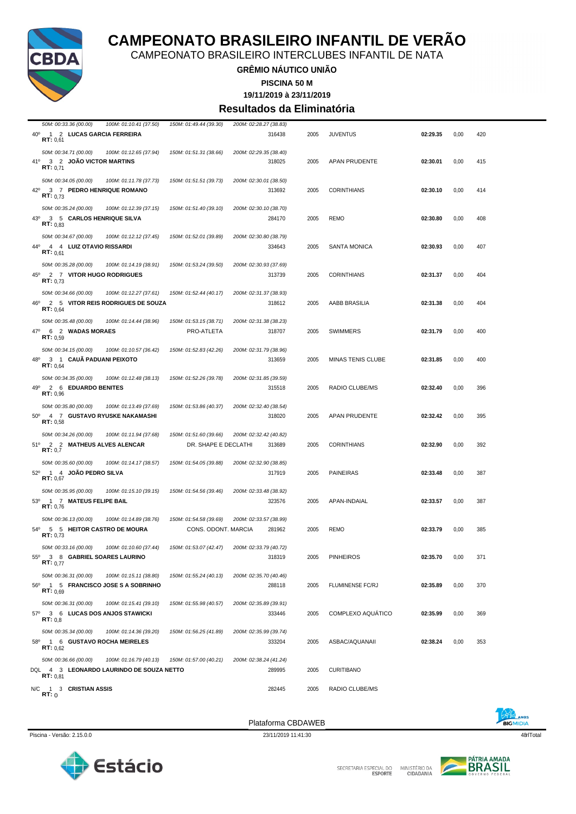

CAMPEONATO BRASILEIRO INTERCLUBES INFANTIL DE NATA

#### **GRÊMIO NÁUTICO UNIÃO**

**PISCINA 50 M**

**19/11/2019 à 23/11/2019**

#### **Resultados da Eliminatória**

| 50M: 00:33.36 (00.00)<br>100M: 01:10.41 (37.50)                                                           | 150M: 01:49.44 (39.30)                         | 200M: 02:28.27 (38.83)           |      |                          |          |      |     |
|-----------------------------------------------------------------------------------------------------------|------------------------------------------------|----------------------------------|------|--------------------------|----------|------|-----|
| $40^{\circ}$<br>1 2 LUCAS GARCIA FERREIRA<br>RT: 0.61                                                     |                                                | 316438                           | 2005 | <b>JUVENTUS</b>          | 02:29.35 | 0,00 | 420 |
| 50M: 00:34.71 (00.00)<br>100M: 01:12.65 (37.94)<br>41 <sup>o</sup><br>3 2 JOAO VICTOR MARTINS<br>RT: 0.71 | 150M: 01:51.31 (38.66)                         | 200M: 02:29.35 (38.40)<br>318025 | 2005 | APAN PRUDENTE            | 02:30.01 | 0,00 | 415 |
| 50M: 00:34.05 (00.00)<br>100M: 01:11.78 (37.73)<br>42º 3 7 PEDRO HENRIQUE ROMANO<br>RT: 0.73              | 150M: 01:51.51 (39.73)                         | 200M: 02:30.01 (38.50)<br>313692 | 2005 | <b>CORINTHIANS</b>       | 02:30.10 | 0,00 | 414 |
| 50M: 00:35.24 (00.00)<br>100M: 01:12.39 (37.15)<br>43º 3 5 CARLOS HENRIQUE SILVA<br>RT: 0.83              | 150M: 01:51.40 (39.10)                         | 200M: 02:30.10 (38.70)<br>284170 | 2005 | <b>REMO</b>              | 02:30.80 | 0,00 | 408 |
| 50M: 00:34.67 (00.00)<br>100M: 01:12.12 (37.45)<br>44°<br>4 4 LUIZ OTAVIO RISSARDI<br>RT: 0.61            | 150M: 01:52.01 (39.89)                         | 200M: 02:30.80 (38.79)<br>334643 | 2005 | <b>SANTA MONICA</b>      | 02:30.93 | 0,00 | 407 |
| 50M: 00:35.28 (00.00)<br>100M: 01:14.19 (38.91)<br>2 7 VITOR HUGO RODRIGUES<br>45°<br><b>RT:</b> $0.73$   | 150M: 01:53.24 (39.50)                         | 200M: 02:30.93 (37.69)<br>313739 | 2005 | <b>CORINTHIANS</b>       | 02:31.37 | 0,00 | 404 |
| 50M: 00:34.66 (00.00)<br>100M: 01:12.27 (37.61)<br>2 5 VITOR REIS RODRIGUES DE SOUZA<br>46°<br>RT: 0,64   | 150M: 01:52.44 (40.17)                         | 200M: 02:31.37 (38.93)<br>318612 | 2005 | AABB BRASILIA            | 02:31.38 | 0,00 | 404 |
| 50M: 00:35.48 (00.00)<br>100M: 01:14.44 (38.96)<br>$47^\circ$<br>6 2 WADAS MORAES<br>RT: 0.59             | 150M: 01:53.15 (38.71)<br>PRO-ATLETA           | 200M: 02:31.38 (38.23)<br>318707 | 2005 | <b>SWIMMERS</b>          | 02:31.79 | 0,00 | 400 |
| 50M: 00:34.15 (00.00)<br>100M: 01:10.57 (36.42)<br>48°<br>3 1 CAUÃ PADUANI PEIXOTO<br><b>RT:</b> $0.64$   | 150M: 01:52.83 (42.26)                         | 200M: 02:31.79 (38.96)<br>313659 | 2005 | MINAS TENIS CLUBE        | 02:31.85 | 0,00 | 400 |
| 50M: 00:34.35 (00.00)<br>100M: 01:12.48 (38.13)<br>49º 2 6 EDUARDO BENITES<br>RT: 0.96                    | 150M: 01:52.26 (39.78)                         | 200M: 02:31.85 (39.59)<br>315518 | 2005 | RADIO CLUBE/MS           | 02:32.40 | 0,00 | 396 |
| 50M: 00:35.80 (00.00)<br>100M: 01:13.49 (37.69)<br>50° 4 7 GUSTAVO RYUSKE NAKAMASHI<br>RT: 0,58           | 150M: 01:53.86 (40.37)                         | 200M: 02:32.40 (38.54)<br>318020 | 2005 | APAN PRUDENTE            | 02:32.42 | 0,00 | 395 |
| 50M: 00:34.26 (00.00)<br>100M: 01:11.94 (37.68)<br>51º 2 2 MATHEUS ALVES ALENCAR<br>RT: 0.7               | 150M: 01:51.60 (39.66)<br>DR. SHAPE E DECLATHI | 200M: 02:32.42 (40.82)<br>313689 | 2005 | <b>CORINTHIANS</b>       | 02:32.90 | 0,00 | 392 |
| 50M: 00:35.60 (00.00)<br>100M: 01:14.17 (38.57)<br>52º 1 4 JOAO PEDRO SILVA<br>RT: 0,67                   | 150M: 01:54.05 (39.88)                         | 200M: 02:32.90 (38.85)<br>317919 | 2005 | <b>PAINEIRAS</b>         | 02:33.48 | 0,00 | 387 |
| 50M: 00:35.95 (00.00)<br>100M: 01:15.10 (39.15)<br>1 7 MATEUS FELIPE BAIL<br>$53^\circ$<br>RT: 0,76       | 150M: 01:54.56 (39.46)                         | 200M: 02:33.48 (38.92)<br>323576 | 2005 | APAN-INDAIAL             | 02:33.57 | 0,00 | 387 |
| 50M: 00:36.13 (00.00)<br>100M: 01:14.89 (38.76)<br>54º 5 5 HEITOR CASTRO DE MOURA<br>RT: 0,73             | 150M: 01:54.58 (39.69)<br>CONS. ODONT. MARCIA  | 200M: 02:33.57 (38.99)<br>281962 | 2005 | REMO                     | 02:33.79 | 0,00 | 385 |
| 50M: 00:33.16 (00.00)<br>100M: 01:10.60 (37.44)<br>55º 3 8 GABRIEL SOARES LAURINO<br><b>RT:</b> $0.77$    | 150M: 01:53.07 (42.47)                         | 200M: 02:33.79 (40.72)<br>318319 | 2005 | <b>PINHEIROS</b>         | 02:35.70 | 0,00 | 371 |
| 50M: 00:36.31 (00.00)<br>100M: 01:15.11 (38.80)<br>56º 1 5 FRANCISCO JOSE S A SOBRINHO<br>RT: 0.69        | 150M: 01:55.24 (40.13)                         | 200M: 02:35.70 (40.46)<br>288118 | 2005 | <b>FLUMINENSE FC/RJ</b>  | 02:35.89 | 0,00 | 370 |
| 50M: 00:36.31 (00.00)<br>100M: 01:15.41 (39.10)<br>57º 3 6 LUCAS DOS ANJOS STAWICKI<br>RT: 0,8            | 150M: 01:55.98 (40.57)                         | 200M: 02:35.89 (39.91)<br>333446 | 2005 | <b>COMPLEXO AQUÁTICO</b> | 02:35.99 | 0,00 | 369 |
| 50M: 00:35.34 (00.00)<br>100M: 01:14.36 (39.20)<br>58º 1 6 GUSTAVO ROCHA MEIRELES<br>RT: 0.62             | 150M: 01:56.25 (41.89)                         | 200M: 02:35.99 (39.74)<br>333204 | 2005 | ASBAC/AQUANAII           | 02:38.24 | 0,00 | 353 |
| 50M: 00:36.66 (00.00)<br>100M: 01:16.79 (40.13)<br>DQL 4 3 LEONARDO LAURINDO DE SOUZA NETTO<br>RT: 0.81   | 150M: 01:57.00 (40.21)                         | 200M: 02:38.24 (41.24)<br>289995 | 2005 | <b>CURITIBANO</b>        |          |      |     |
| N/C 1 3 CRISTIAN ASSIS<br>RT:0                                                                            |                                                | 282445                           | 2005 | RADIO CLUBE/MS           |          |      |     |



Piscina - Versão: 2.15.0.0 23/11/2019 11:41:30 23/11/2019 11:41:30 48rlTotal

Plataforma CBDAWEB



SECRETARIA ESPECIAL DO

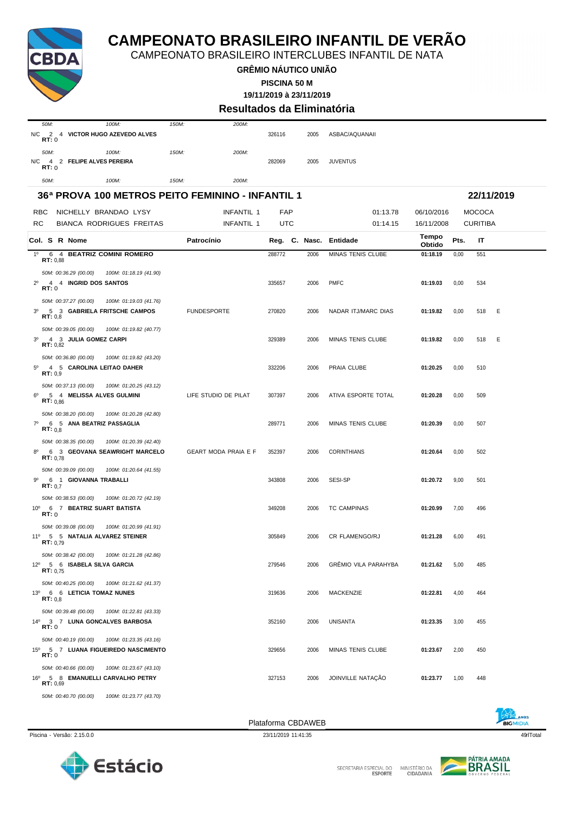

**GRÊMIO NÁUTICO UNIÃO**

**PISCINA 50 M**

**19/11/2019 à 23/11/2019**

#### **Resultados da Eliminatória**

| 50M:                | $100M$ :                             | $150M$ : | 200M: |        |      |                 |
|---------------------|--------------------------------------|----------|-------|--------|------|-----------------|
| N/C<br>RT:0         | 2 4 VICTOR HUGO AZEVEDO ALVES        |          |       | 326116 | 2005 | ASBAC/AQUANAII  |
| 50M:<br>N/C<br>RT:0 | $100M$ :<br>4 2 FELIPE ALVES PEREIRA | $150M$ : | 200M: | 282069 | 2005 | <b>JUVENTUS</b> |
| 50M:                | 100M <sub>1</sub>                    | 150M:    | 200M: |        |      |                 |

| 36ª PROVA 100 METROS PEITO FEMININO - INFANTIL 1                                          |                             | 22/11/2019 |      |                          |                 |      |                 |  |
|-------------------------------------------------------------------------------------------|-----------------------------|------------|------|--------------------------|-----------------|------|-----------------|--|
| RBC<br>NICHELLY BRANDAO LYSY                                                              | <b>INFANTIL 1</b>           | FAP        |      | 01:13.78                 | 06/10/2016      |      | <b>MOCOCA</b>   |  |
| RC<br><b>BIANCA RODRIGUES FREITAS</b>                                                     | INFANTIL 1                  | UTC        |      | 01:14.15                 | 16/11/2008      |      | <b>CURITIBA</b> |  |
| Col. S R Nome                                                                             | Patrocínio                  |            |      | Reg. C. Nasc. Entidade   | Tempo<br>Obtido | Pts. | IT              |  |
| $1^{\circ}$<br>6 4 BEATRIZ COMINI ROMERO<br>RT: 0.88                                      |                             | 288772     | 2006 | <b>MINAS TENIS CLUBE</b> | 01:18.19        | 0,00 | 551             |  |
| 50M: 00:36.29 (00.00)<br>100M: 01:18.19 (41.90)                                           |                             |            |      |                          |                 |      |                 |  |
| 4 4 INGRID DOS SANTOS<br>$2^{\circ}$<br>RT:0                                              |                             | 335657     | 2006 | <b>PMFC</b>              | 01:19.03        | 0,00 | 534             |  |
| 50M: 00:37.27 (00.00)<br>100M: 01:19.03 (41.76)                                           |                             |            |      |                          |                 |      |                 |  |
| 5 3 GABRIELA FRITSCHE CAMPOS<br>$3^{\circ}$<br>RT: 0.8                                    | <b>FUNDESPORTE</b>          | 270820     | 2006 | NADAR ITJ/MARC DIAS      | 01:19.82        | 0,00 | E<br>518        |  |
| 50M: 00:39.05 (00.00)<br>100M: 01:19.82 (40.77)                                           |                             |            |      |                          |                 |      |                 |  |
| 3 <sup>0</sup><br>4 3 JULIA GOMEZ CARPI<br><b>RT:</b> $0,82$                              |                             | 329389     | 2006 | MINAS TENIS CLUBE        | 01:19.82        | 0,00 | 518<br>- E      |  |
| 50M: 00:36.80 (00.00)<br>100M: 01:19.82 (43.20)                                           |                             |            |      |                          |                 |      |                 |  |
| $5^{\circ}$<br>4 5 CAROLINA LEITAO DAHER<br>RT: 0.9                                       |                             | 332206     | 2006 | PRAIA CLUBE              | 01:20.25        | 0,00 | 510             |  |
| 50M: 00:37.13 (00.00)<br>100M: 01:20.25 (43.12)                                           | LIFE STUDIO DE PILAT        |            |      |                          |                 |      |                 |  |
| 5 4 MELISSA ALVES GULMINI<br>$6^{\circ}$<br>RT: 0.86                                      |                             | 307397     | 2006 | ATIVA ESPORTE TOTAL      | 01:20.28        | 0,00 | 509             |  |
| 50M: 00:38.20 (00.00)<br>100M: 01:20.28 (42.80)<br>$7^\circ$<br>6 5 ANA BEATRIZ PASSAGLIA |                             |            |      |                          |                 |      |                 |  |
| RT: 0,8                                                                                   |                             | 289771     | 2006 | MINAS TENIS CLUBE        | 01:20.39        | 0,00 | 507             |  |
| 50M: 00:38.35 (00.00)<br>100M: 01:20.39 (42.40)                                           |                             |            |      |                          |                 |      |                 |  |
| 6 3 GEOVANA SEAWRIGHT MARCELO<br>$8^{\circ}$<br>RT: 0.78                                  | <b>GEART MODA PRAIA E F</b> | 352397     | 2006 | <b>CORINTHIANS</b>       | 01:20.64        | 0,00 | 502             |  |
| 50M: 00:39.09 (00.00)<br>100M: 01:20.64 (41.55)                                           |                             |            |      |                          |                 |      |                 |  |
| 6 1 GIOVANNA TRABALLI<br>9º<br>RT: 0.7                                                    |                             | 343808     | 2006 | SESI-SP                  | 01:20.72        | 9,00 | 501             |  |
| 50M: 00:38.53 (00.00)<br>100M: 01:20.72 (42.19)                                           |                             |            |      |                          |                 |      |                 |  |
| 10° 6 7 BEATRIZ SUART BATISTA<br>RT:0                                                     |                             | 349208     | 2006 | <b>TC CAMPINAS</b>       | 01:20.99        | 7,00 | 496             |  |
| 50M: 00:39.08 (00.00)<br>100M: 01:20.99 (41.91)                                           |                             |            |      |                          |                 |      |                 |  |
| 11º 5 5 NATALIA ALVAREZ STEINER<br>RT: 0.79                                               |                             | 305849     | 2006 | CR FLAMENGO/RJ           | 01:21.28        | 6,00 | 491             |  |
| 50M: 00:38.42 (00.00)<br>100M: 01:21.28 (42.86)                                           |                             |            |      |                          |                 |      |                 |  |
| 12º 5 6 ISABELA SILVA GARCIA<br>RT: 0.75                                                  |                             | 279546     | 2006 | GRÊMIO VILA PARAHYBA     | 01:21.62        | 5,00 | 485             |  |
| 50M: 00:40.25 (00.00)<br>100M: 01:21.62 (41.37)                                           |                             |            |      |                          |                 |      |                 |  |
| 13º 6 6 LETICIA TOMAZ NUNES<br>RT: 0,8                                                    |                             | 319636     | 2006 | <b>MACKENZIE</b>         | 01:22.81        | 4,00 | 464             |  |
| 50M: 00:39.48 (00.00)<br>100M: 01:22.81 (43.33)                                           |                             |            |      |                          |                 |      |                 |  |
| 14º 3 7 LUNA GONCALVES BARBOSA<br>RT:0                                                    |                             | 352160     | 2006 | UNISANTA                 | 01:23.35        | 3,00 | 455             |  |
| 50M: 00:40.19 (00.00)<br>100M: 01:23.35 (43.16)                                           |                             |            |      |                          |                 |      |                 |  |
| 15º 5 7 LUANA FIGUEIREDO NASCIMENTO<br>RT:0                                               |                             | 329656     | 2006 | MINAS TENIS CLUBE        | 01:23.67        | 2,00 | 450             |  |
| 50M: 00:40.66 (00.00)<br>100M: 01:23.67 (43.10)                                           |                             |            |      |                          |                 |      |                 |  |
| 16º 5 8 EMANUELLI CARVALHO PETRY<br>RT: 0,69                                              |                             | 327153     | 2006 | JOINVILLE NATAÇÃO        | 01:23.77        | 1,00 | 448             |  |
| 50M: 00:40.70 (00.00)<br>100M: 01:23.77 (43.70)                                           |                             |            |      |                          |                 |      |                 |  |

Plataforma CBDAWEB

SECRETARIA ESPECIAL DO

### CAMPEONATO BRASILEIRO INTERCLUBES INFANTIL DE NATA

Piscina - Versão: 2.15.0.0 23/11/2019 11:41:35 23/11/2019 11:41:35 49rlTotal





Estácio

MINISTÉRIO DA<br>CIDADANIA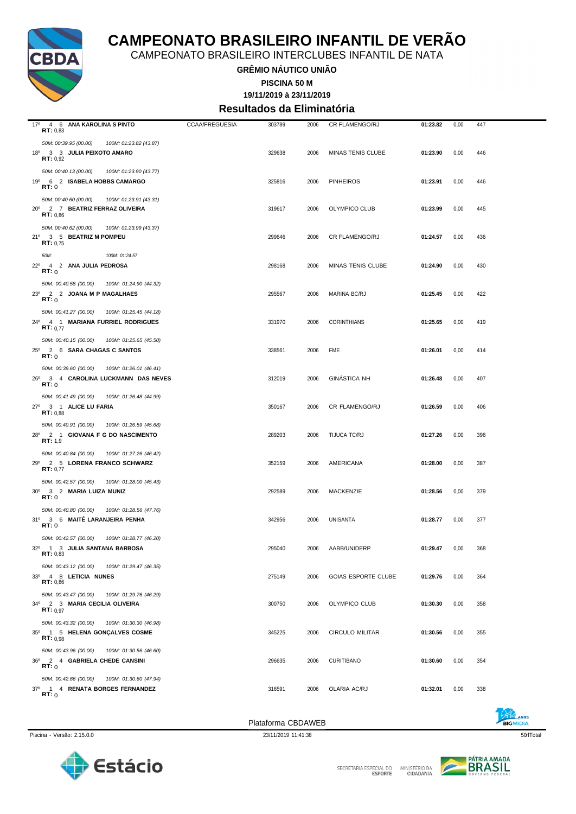

CAMPEONATO BRASILEIRO INTERCLUBES INFANTIL DE NATA

**GRÊMIO NÁUTICO UNIÃO**

**PISCINA 50 M**

**19/11/2019 à 23/11/2019**

#### **Resultados da Eliminatória**

| 17º 4 6 ANA KAROLINA S PINTO                                                       | <b>CCAA/FREGUESIA</b> | 303789 | 2006 | CR FLAMENGO/RJ             | 01:23.82 | 0,00 | 447 |
|------------------------------------------------------------------------------------|-----------------------|--------|------|----------------------------|----------|------|-----|
| RT: 0,83                                                                           |                       |        |      |                            |          |      |     |
| 50M: 00:39.95 (00.00)<br>100M: 01:23.82 (43.87)<br>18º 3 3 JULIA PEIXOTO AMARO     |                       | 329638 | 2006 | MINAS TENIS CLUBE          | 01:23.90 | 0,00 | 446 |
| RT: 0,92                                                                           |                       |        |      |                            |          |      |     |
| 50M: 00:40.13 (00.00)<br>100M: 01:23.90 (43.77)                                    |                       |        |      |                            |          |      |     |
| 19º 6 2 ISABELA HOBBS CAMARGO                                                      |                       | 325816 | 2006 | <b>PINHEIROS</b>           | 01:23.91 | 0,00 | 446 |
| RT:0                                                                               |                       |        |      |                            |          |      |     |
| 50M: 00:40.60 (00.00)<br>100M: 01:23.91 (43.31)<br>20° 2 7 BEATRIZ FERRAZ OLIVEIRA |                       | 319617 | 2006 | OLYMPICO CLUB              | 01:23.99 | 0,00 | 445 |
| RT: 0.86                                                                           |                       |        |      |                            |          |      |     |
| 50M: 00:40.62 (00.00)<br>100M: 01:23.99 (43.37)                                    |                       |        |      |                            |          |      |     |
| 21º 3 5 BEATRIZ M POMPEU<br><b>RT:</b> $0.75$                                      |                       | 299646 | 2006 | CR FLAMENGO/RJ             | 01:24.57 | 0,00 | 436 |
| 100M: 01:24.57                                                                     |                       |        |      |                            |          |      |     |
| 50M:<br>22º 4 2 ANA JULIA PEDROSA                                                  |                       | 298168 | 2006 | MINAS TENIS CLUBE          | 01:24.90 | 0,00 | 430 |
| RT:0                                                                               |                       |        |      |                            |          |      |     |
| 50M: 00:40.58 (00.00)<br>100M: 01:24.90 (44.32)                                    |                       |        |      |                            |          |      |     |
| 23º 2 2 JOANA M P MAGALHAES<br>RT:0                                                |                       | 295567 | 2006 | MARINA BC/RJ               | 01:25.45 | 0,00 | 422 |
| 50M: 00:41.27 (00.00)<br>100M: 01:25.45 (44.18)                                    |                       |        |      |                            |          |      |     |
| 24º 4 1 MARIANA FURRIEL RODRIGUES                                                  |                       | 331970 | 2006 | <b>CORINTHIANS</b>         | 01:25.65 | 0,00 | 419 |
| RT: 0.77                                                                           |                       |        |      |                            |          |      |     |
| 50M: 00:40.15 (00.00)<br>100M: 01:25.65 (45.50)                                    |                       |        |      |                            |          |      |     |
| 25º 2 6 SARA CHAGAS C SANTOS<br>RT:0                                               |                       | 338561 | 2006 | <b>FME</b>                 | 01:26.01 | 0,00 | 414 |
| 50M: 00:39.60 (00.00)<br>100M: 01:26.01 (46.41)                                    |                       |        |      |                            |          |      |     |
| 26º 3 4 CAROLINA LUCKMANN DAS NEVES                                                |                       | 312019 | 2006 | <b>GINÁSTICA NH</b>        | 01:26.48 | 0,00 | 407 |
| RT:0                                                                               |                       |        |      |                            |          |      |     |
| 50M: 00:41.49 (00.00)<br>100M: 01:26.48 (44.99)                                    |                       |        |      |                            |          |      |     |
| 27º 3 1 ALICE LU FARIA<br>RT: 0.88                                                 |                       | 350167 | 2006 | CR FLAMENGO/RJ             | 01:26.59 | 0,00 | 406 |
| 50M: 00:40.91 (00.00)<br>100M: 01:26.59 (45.68)                                    |                       |        |      |                            |          |      |     |
| 28º 2 1 GIOVANA F G DO NASCIMENTO                                                  |                       | 289203 | 2006 | TIJUCA TC/RJ               | 01:27.26 | 0,00 | 396 |
| RT: 1,9                                                                            |                       |        |      |                            |          |      |     |
| 50M: 00:40.84 (00.00)<br>100M: 01:27.26 (46.42)                                    |                       |        |      |                            |          |      |     |
| 29º 2 5 LORENA FRANCO SCHWARZ<br>RT: 0,77                                          |                       | 352159 | 2006 | AMERICANA                  | 01:28.00 | 0,00 | 387 |
| 50M: 00:42.57 (00.00)<br>100M: 01:28.00 (45.43)                                    |                       |        |      |                            |          |      |     |
| 30° 3 2 MARIA LUIZA MUNIZ                                                          |                       | 292589 | 2006 | <b>MACKENZIE</b>           | 01:28.56 | 0,00 | 379 |
| RT:0                                                                               |                       |        |      |                            |          |      |     |
| 50M: 00:40.80 (00.00)<br>100M: 01:28.56 (47.76)<br>31º 3 6 MAITÉ LARANJEIRA PENHA  |                       | 342956 | 2006 | <b>UNISANTA</b>            |          | 0,00 | 377 |
| RT:0                                                                               |                       |        |      |                            | 01:28.77 |      |     |
| 50M: 00:42.57 (00.00)<br>100M: 01:28.77 (46.20)                                    |                       |        |      |                            |          |      |     |
| 32º 1 3 JULIA SANTANA BARBOSA<br>RT: 0,83                                          |                       | 295040 | 2006 | AABB/UNIDERP               | 01:29.47 | 0,00 | 368 |
| 50M: 00:43.12 (00.00) 100M: 01:29.47 (46.35)                                       |                       |        |      |                            |          |      |     |
| 33º 4 8 LETICIA NUNES                                                              |                       | 275149 | 2006 | <b>GOIAS ESPORTE CLUBE</b> | 01:29.76 | 0,00 | 364 |
| RT: 0,86                                                                           |                       |        |      |                            |          |      |     |
| 50M: 00:43.47 (00.00)<br>100M: 01:29.76 (46.29)                                    |                       |        |      |                            |          |      |     |
| 34º 2 3 MARIA CECILIA OLIVEIRA<br><b>RT:</b> $0.97$                                |                       | 300750 | 2006 | OLYMPICO CLUB              | 01:30.30 | 0,00 | 358 |
| 50M: 00:43.32 (00.00)<br>100M: 01:30.30 (46.98)                                    |                       |        |      |                            |          |      |     |
| 35º 1 5 HELENA GONÇALVES COSME                                                     |                       | 345225 | 2006 | <b>CIRCULO MILITAR</b>     | 01:30.56 | 0,00 | 355 |
| RT: 0.98                                                                           |                       |        |      |                            |          |      |     |
| 50M: 00:43.96 (00.00)<br>100M: 01:30.56 (46.60)                                    |                       |        |      |                            |          |      |     |
| 36º 2 4 GABRIELA CHEDE CANSINI<br>RT: 0                                            |                       | 296635 | 2006 | <b>CURITIBANO</b>          | 01:30.60 | 0,00 | 354 |
| 50M: 00:42.66 (00.00)<br>100M: 01:30.60 (47.94)                                    |                       |        |      |                            |          |      |     |
| 37º 1 4 RENATA BORGES FERNANDEZ                                                    |                       | 316591 | 2006 | OLARIA AC/RJ               | 01:32.01 | 0,00 | 338 |
| RT:0                                                                               |                       |        |      |                            |          |      |     |
|                                                                                    |                       |        |      |                            |          |      |     |



Estácio

Piscina - Versão: 2.15.0.0 23/11/2019 11:41:38 50rlTotal 23/11/2019 11:41:38 50rlTotal 23/11/2019 11:41:38 50rlTotal 38 50rlTotal 38 50rlTotal 38 50rlTotal 38 50rlTotal 38 50rlTotal 38 50rlTotal 38 50rlTotal 38 50rlTotal 3 Plataforma CBDAWEB

SECRETARIA ESPECIAL DO

MINISTÉRIO DA<br>CIDADANIA

 $\sqrt{2}$ 

**PÁTRIA AMADA**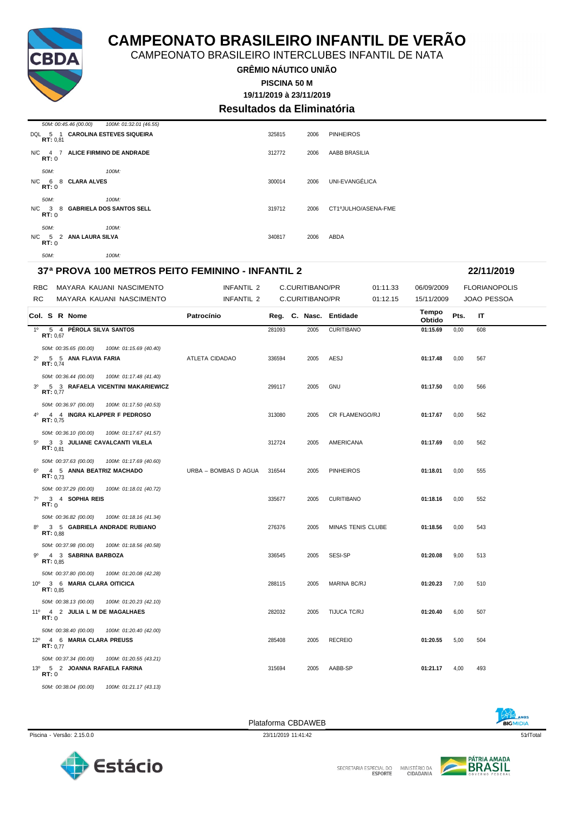CAMPEONATO BRASILEIRO INTERCLUBES INFANTIL DE NATA

**GRÊMIO NÁUTICO UNIÃO**

**PISCINA 50 M**

#### **19/11/2019 à 23/11/2019 Resultados da Eliminatória**

|                    | 50M: 00:45.46 (00.00)<br>100M: 01:32.01 (46.55) |        |      |                     |
|--------------------|-------------------------------------------------|--------|------|---------------------|
| RT: 0.81           | DQL 5 1 CAROLINA ESTEVES SIQUEIRA               | 325815 | 2006 | <b>PINHEIROS</b>    |
| RT:0               | N/C 4 7 ALICE FIRMINO DE ANDRADE                | 312772 | 2006 | AABB BRASILIA       |
| 50M:               | 100M:                                           |        |      |                     |
| RT:0               | N/C 6 8 CLARA ALVES                             | 300014 | 2006 | UNI-EVANGÉLICA      |
| 50M:               | 100M:                                           |        |      |                     |
| $N/C$ 3 8<br>RT: 0 | <b>GABRIELA DOS SANTOS SELL</b>                 | 319712 | 2006 | CT1ºJULHO/ASENA-FME |
| 50M:               | 100M:                                           |        |      |                     |
| RT: 0              | N/C 5 2 ANA LAURA SILVA                         | 340817 | 2006 | ABDA                |
| 50M:               | 100M:                                           |        |      |                     |

#### **37ª PROVA 100 METROS PEITO FEMININO - INFANTIL 2 22/11/2019**

| <b>RBC</b>  |              |                                                   | MAYARA KAUANI NASCIMENTO                                                        | INFANTIL 2           |        | C.CURITIBANO/PR |                        | 01:11.33 | 06/09/2009      |      | <b>FLORIANOPOLIS</b> |  |
|-------------|--------------|---------------------------------------------------|---------------------------------------------------------------------------------|----------------------|--------|-----------------|------------------------|----------|-----------------|------|----------------------|--|
| <b>RC</b>   |              |                                                   | MAYARA KAUANI NASCIMENTO                                                        | INFANTIL 2           |        | C.CURITIBANO/PR |                        | 01:12.15 | 15/11/2009      |      | <b>JOAO PESSOA</b>   |  |
|             |              | Col. S R Nome                                     |                                                                                 | Patrocínio           |        |                 | Reg. C. Nasc. Entidade |          | Tempo<br>Obtido | Pts. | IT                   |  |
|             |              | 1º 5 4 PÉROLA SILVA SANTOS<br>RT: 0.67            |                                                                                 |                      | 281093 | 2005            | <b>CURITIBANO</b>      |          | 01:15.69        | 0,00 | 608                  |  |
|             |              |                                                   |                                                                                 |                      |        |                 |                        |          |                 |      |                      |  |
|             |              | 50M: 00:35.65 (00.00)<br>2º 5 5 ANA FLAVIA FARIA  | 100M: 01:15.69 (40.40)                                                          | ATLETA CIDADAO       | 336594 | 2005            | AESJ                   |          | 01:17.48        | 0,00 | 567                  |  |
|             |              | RT: 0.74                                          |                                                                                 |                      |        |                 |                        |          |                 |      |                      |  |
|             |              | 50M: 00:36.44 (00.00)                             | 100M: 01:17.48 (41.40)                                                          |                      |        |                 |                        |          |                 |      |                      |  |
|             |              | RT: 0,77                                          | 3º 5 3 RAFAELA VICENTINI MAKARIEWICZ                                            |                      | 299117 | 2005            | GNU                    |          | 01:17.50        | 0,00 | 566                  |  |
|             |              |                                                   |                                                                                 |                      |        |                 |                        |          |                 |      |                      |  |
| $4^{\circ}$ |              | 50M: 00:36.97 (00.00)                             | 100M: 01:17.50 (40.53)<br>4 4 INGRA KLAPPER F PEDROSO                           |                      | 313080 | 2005            | CR FLAMENGO/RJ         |          | 01:17.67        | 0,00 | 562                  |  |
|             |              | RT: 0.75                                          |                                                                                 |                      |        |                 |                        |          |                 |      |                      |  |
|             |              | 50M: 00:36.10 (00.00)                             | 100M: 01:17.67 (41.57)                                                          |                      |        |                 |                        |          |                 |      |                      |  |
|             |              | RT: 0.81                                          | 5º 3 3 JULIANE CAVALCANTI VILELA                                                |                      | 312724 | 2005            | AMERICANA              |          | 01:17.69        | 0,00 | 562                  |  |
|             |              |                                                   |                                                                                 |                      |        |                 |                        |          |                 |      |                      |  |
| $6^{\circ}$ |              | 50M: 00:37.63 (00.00)<br>4 5 ANNA BEATRIZ MACHADO | 100M: 01:17.69 (40.60)                                                          | URBA - BOMBAS D AGUA | 316544 | 2005            | <b>PINHEIROS</b>       |          | 01:18.01        | 0,00 | 555                  |  |
|             |              | RT: 0.73                                          |                                                                                 |                      |        |                 |                        |          |                 |      |                      |  |
|             |              | 50M: 00:37.29 (00.00)                             | 100M: 01:18.01 (40.72)                                                          |                      |        |                 |                        |          |                 |      |                      |  |
| $7^\circ$   |              | 3 4 SOPHIA REIS                                   |                                                                                 |                      | 335677 | 2005            | <b>CURITIBANO</b>      |          | 01:18.16        | 0,00 | 552                  |  |
|             | RT:0         |                                                   |                                                                                 |                      |        |                 |                        |          |                 |      |                      |  |
|             |              |                                                   | 50M: 00:36.82 (00.00) 100M: 01:18.16 (41.34)<br>8º 3 5 GABRIELA ANDRADE RUBIANO |                      |        |                 |                        |          |                 |      |                      |  |
|             |              | RT: 0.88                                          |                                                                                 |                      | 276376 | 2005            | MINAS TENIS CLUBE      |          | 01:18.56        | 0,00 | 543                  |  |
|             |              | 50M: 00:37.98 (00.00)                             | 100M: 01:18.56 (40.58)                                                          |                      |        |                 |                        |          |                 |      |                      |  |
| 90          |              | 4 3 SABRINA BARBOZA                               |                                                                                 |                      | 336545 | 2005            | SESI-SP                |          | 01:20.08        | 9,00 | 513                  |  |
|             |              | RT: 0.85                                          |                                                                                 |                      |        |                 |                        |          |                 |      |                      |  |
|             |              | 50M: 00:37.80 (00.00)                             | 100M: 01:20.08 (42.28)                                                          |                      |        |                 |                        |          |                 |      |                      |  |
|             |              | 10° 3 6 MARIA CLARA OITICICA<br>RT: 0.85          |                                                                                 |                      | 288115 | 2005            | <b>MARINA BC/RJ</b>    |          | 01:20.23        | 7,00 | 510                  |  |
|             |              | 50M: 00:38.13 (00.00)                             | 100M: 01:20.23 (42.10)                                                          |                      |        |                 |                        |          |                 |      |                      |  |
|             |              | 11º 4 2 JULIA L M DE MAGALHAES                    |                                                                                 |                      | 282032 | 2005            | TIJUCA TC/RJ           |          | 01:20.40        | 6,00 | 507                  |  |
|             | RT:0         |                                                   |                                                                                 |                      |        |                 |                        |          |                 |      |                      |  |
|             |              | 50M: 00:38.40 (00.00)                             | 100M: 01:20.40 (42.00)                                                          |                      |        |                 |                        |          |                 |      |                      |  |
|             |              | 12º 4 6 MARIA CLARA PREUSS<br>RT: 0.77            |                                                                                 |                      | 285408 | 2005            | <b>RECREIO</b>         |          | 01:20.55        | 5,00 | 504                  |  |
|             |              | 50M: 00:37.34 (00.00)                             | 100M: 01:20.55 (43.21)                                                          |                      |        |                 |                        |          |                 |      |                      |  |
|             |              | 13º 5 2 JOANNA RAFAELA FARINA                     |                                                                                 |                      | 315694 | 2005            | AABB-SP                |          | 01:21.17        | 4,00 | 493                  |  |
|             | <b>RT:</b> 0 |                                                   |                                                                                 |                      |        |                 |                        |          |                 |      |                      |  |
|             |              | 50M: 00:38.04 (00.00)                             | 100M: 01:21.17 (43.13)                                                          |                      |        |                 |                        |          |                 |      |                      |  |

Piscina - Versão: 2.15.0.0 23/11/2019 11:41:42 51rlTotal 23/11/2019 11:41:42 51rlTotal 37/11/2019 11:41:42 51rlTotal 51rlTotal 37/11/2019 11:41:42 51rlTotal 37/11/2019 11:41:42 51rlTotal 37/11/2019 11:41:42 51rlTotal 37/11





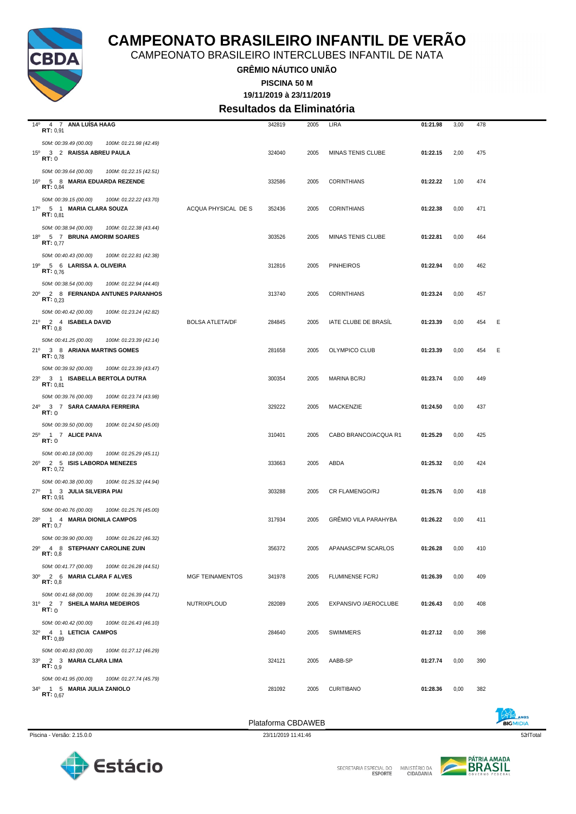

CAMPEONATO BRASILEIRO INTERCLUBES INFANTIL DE NATA

**GRÊMIO NÁUTICO UNIÃO**

**19/11/2019 à 23/11/2019 PISCINA 50 M**

**Resultados da Eliminatória**

| 14º 4 7 ANA LUISA HAAG<br>RT: 0,91                                                                        |                        | 342819 | 2005 | LIRA                        | 01:21.98 | 3,00 | 478 |   |
|-----------------------------------------------------------------------------------------------------------|------------------------|--------|------|-----------------------------|----------|------|-----|---|
| 50M: 00:39.49 (00.00)<br>100M: 01:21.98 (42.49)<br>15º 3 2 RAISSA ABREU PAULA<br><b>RT:</b> 0             |                        | 324040 | 2005 | MINAS TENIS CLUBE           | 01:22.15 | 2,00 | 475 |   |
| 50M: 00:39.64 (00.00)<br>100M: 01:22.15 (42.51)<br>16º 5 8 MARIA EDUARDA REZENDE<br>RT: 0,84              |                        | 332586 | 2005 | <b>CORINTHIANS</b>          | 01:22.22 | 1,00 | 474 |   |
| 50M: 00:39.15 (00.00)<br>100M: 01:22.22 (43.70)<br>17º 5 1 MARIA CLARA SOUZA<br>RT: 0.81                  | ACQUA PHYSICAL DE S    | 352436 | 2005 | <b>CORINTHIANS</b>          | 01:22.38 | 0,00 | 471 |   |
| 50M: 00:38.94 (00.00)<br>100M: 01:22.38 (43.44)<br>18º 5 7 BRUNA AMORIM SOARES<br>RT: 0.77                |                        | 303526 | 2005 | MINAS TENIS CLUBE           | 01:22.81 | 0,00 | 464 |   |
| 50M: 00:40.43 (00.00)<br>100M: 01:22.81 (42.38)<br>19º 5 6 LARISSA A. OLIVEIRA<br>RT: 0.76                |                        | 312816 | 2005 | <b>PINHEIROS</b>            | 01:22.94 | 0,00 | 462 |   |
| 50M: 00:38.54 (00.00)<br>100M: 01:22.94 (44.40)<br>20° 2 8 FERNANDA ANTUNES PARANHOS<br><b>RT:</b> $0.23$ |                        | 313740 | 2005 | <b>CORINTHIANS</b>          | 01:23.24 | 0,00 | 457 |   |
| 50M: 00:40.42 (00.00)<br>100M: 01:23.24 (42.82)<br>21º 2 4 ISABELA DAVID<br>RT: 0,8                       | <b>BOLSA ATLETA/DF</b> | 284845 | 2005 | IATE CLUBE DE BRASIL        | 01:23.39 | 0,00 | 454 | Ε |
| 50M: 00:41.25 (00.00)<br>100M: 01:23.39 (42.14)<br>21º 3 8 ARIANA MARTINS GOMES<br>RT: 0.78               |                        | 281658 | 2005 | OLYMPICO CLUB               | 01:23.39 | 0,00 | 454 | E |
| 50M: 00:39.92 (00.00)<br>100M: 01:23.39 (43.47)<br>23º 3 1 ISABELLA BERTOLA DUTRA<br>RT: 0.81             |                        | 300354 | 2005 | MARINA BC/RJ                | 01:23.74 | 0,00 | 449 |   |
| 50M: 00:39.76 (00.00)<br>100M: 01:23.74 (43.98)<br>24º 3 7 SARA CAMARA FERREIRA<br>RT:0                   |                        | 329222 | 2005 | MACKENZIE                   | 01:24.50 | 0,00 | 437 |   |
| 50M: 00:39.50 (00.00)<br>100M: 01:24.50 (45.00)<br>25º 1 7 ALICE PAIVA<br><b>RT:</b> 0                    |                        | 310401 | 2005 | CABO BRANCO/ACQUA R1        | 01:25.29 | 0,00 | 425 |   |
| 50M: 00:40.18 (00.00)<br>100M: 01:25.29 (45.11)<br>26º 2 5 ISIS LABORDA MENEZES<br>RT: 0.72               |                        | 333663 | 2005 | ABDA                        | 01:25.32 | 0,00 | 424 |   |
| 50M: 00:40.38 (00.00)<br>100M: 01:25.32 (44.94)<br>27º 1 3 JULIA SILVEIRA PIAI<br>RT: 0,91                |                        | 303288 | 2005 | CR FLAMENGO/RJ              | 01:25.76 | 0,00 | 418 |   |
| 50M: 00:40.76 (00.00)<br>100M: 01:25.76 (45.00)<br>28º 1 4 MARIA DIONILA CAMPOS<br>RT: 0.7                |                        | 317934 | 2005 | <b>GRÉMIO VILA PARAHYBA</b> | 01:26.22 | 0,00 | 411 |   |
| 50M: 00:39.90 (00.00)<br>100M: 01:26.22 (46.32)<br>29º 4 8 STEPHANY CAROLINE ZUIN<br>RT: 0,8              |                        | 356372 | 2005 | APANASC/PM SCARLOS          | 01:26.28 | 0,00 | 410 |   |
| 50M: 00:41.77 (00.00)<br>100M: 01:26.28 (44.51)<br>30° 2 6 MARIA CLARA F ALVES<br>RT: 0,8                 | <b>MGF TEINAMENTOS</b> | 341978 | 2005 | <b>FLUMINENSE FC/RJ</b>     | 01:26.39 | 0,00 | 409 |   |
| 50M: 00:41.68 (00.00)<br>100M: 01:26.39 (44.71)<br>31º 2 7 SHEILA MARIA MEDEIROS<br>RT:0                  | NUTRIXPLOUD            | 282089 | 2005 | EXPANSIVO / AEROCLUBE       | 01:26.43 | 0,00 | 408 |   |
| 50M: 00:40.42 (00.00)<br>100M: 01:26.43 (46.10)<br>32º 4 1 LETICIA CAMPOS<br>RT: 0.89                     |                        | 284640 | 2005 | <b>SWIMMERS</b>             | 01:27.12 | 0,00 | 398 |   |
| 50M: 00:40.83 (00.00)<br>100M: 01:27.12 (46.29)<br>33º 2 3 MARIA CLARA LIMA<br>RT: 0.9                    |                        | 324121 | 2005 | AABB-SP                     | 01:27.74 | 0,00 | 390 |   |
| 50M: 00:41.95 (00.00)<br>100M: 01:27.74 (45.79)<br>34º 1 5 MARIA JULIA ZANIOLO<br>RT: 0.67                |                        | 281092 | 2005 | <b>CURITIBANO</b>           | 01:28.36 | 0,00 | 382 |   |
|                                                                                                           |                        |        |      |                             |          |      |     |   |



SECRETARIA ESPECIAL DO

MINISTÉRIO DA<br>CIDADANIA

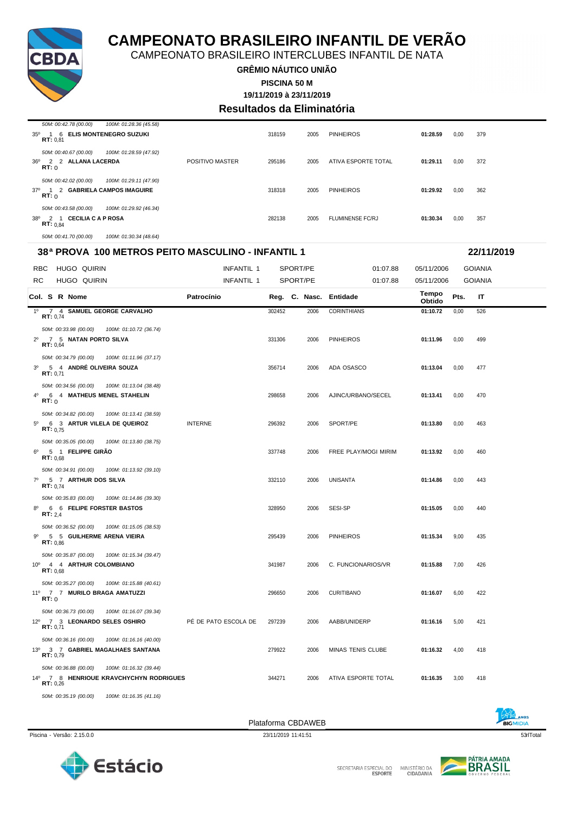

CAMPEONATO BRASILEIRO INTERCLUBES INFANTIL DE NATA

#### **GRÊMIO NÁUTICO UNIÃO PISCINA 50 M**

**19/11/2019 à 23/11/2019**

### **Resultados da Eliminatória**

| 50M: 00:42.78 (00.00)<br>100M: 01:28.36 (45.58)                                                                 |                 |        |      |                         |          |      |     |
|-----------------------------------------------------------------------------------------------------------------|-----------------|--------|------|-------------------------|----------|------|-----|
| 1 6 ELIS MONTENEGRO SUZUKI<br>$35^{\circ}$<br>RT: 0.81                                                          |                 | 318159 | 2005 | <b>PINHEIROS</b>        | 01:28.59 | 0,00 | 379 |
| 50M: 00:40.67 (00.00)<br>100M: 01:28.59 (47.92)<br>2 2 ALLANA LACERDA<br>36°<br>RT:0                            | POSITIVO MASTER | 295186 | 2005 | ATIVA ESPORTE TOTAL     | 01:29.11 | 0,00 | 372 |
| 50M: 00:42.02 (00.00)<br>100M: 01:29.11 (47.90)<br>37º 1 2 GABRIELA CAMPOS IMAGUIRE<br>RT:0                     |                 | 318318 | 2005 | <b>PINHEIROS</b>        | 01:29.92 | 0,00 | 362 |
| 50M: 00:43.58 (00.00)<br>100M: 01:29.92 (46.34)<br><b>CECILIA C A P ROSA</b><br>2 1<br>38°<br><b>RT:</b> $0.84$ |                 | 282138 | 2005 | <b>FLUMINENSE FC/RJ</b> | 01:30.34 | 0,00 | 357 |
| 50M: 00:41.70 (00.00)<br>100M: 01:30.34 (48.64)                                                                 |                 |        |      |                         |          |      |     |

### **38ª PROVA 100 METROS PEITO MASCULINO - INFANTIL 1 22/11/2019**

| 38ª PROVA_100 METROS PEITO MASCULINO - INFANTIL 1                                                             |                      | 22/11/2019 |               |                      |                 |      |                |  |
|---------------------------------------------------------------------------------------------------------------|----------------------|------------|---------------|----------------------|-----------------|------|----------------|--|
| <b>RBC</b><br>HUGO QUIRIN                                                                                     | INFANTIL 1           |            | SPORT/PE      | 01:07.88             | 05/11/2006      |      | <b>GOIANIA</b> |  |
| <b>RC</b><br><b>HUGO QUIRIN</b>                                                                               | INFANTIL 1           |            | SPORT/PE      | 01:07.88             | 05/11/2006      |      | <b>GOIANIA</b> |  |
| Col. S R Nome                                                                                                 | Patrocínio           |            | Reg. C. Nasc. | Entidade             | Tempo<br>Obtido | Pts. | IT             |  |
| $1^{\circ}$<br>7 4 SAMUEL GEORGE CARVALHO<br>RT: 0,74                                                         |                      | 302452     | 2006          | <b>CORINTHIANS</b>   | 01:10.72        | 0,00 | 526            |  |
| 50M: 00:33.98 (00.00)<br>100M: 01:10.72 (36.74)<br>2º 7 5 NATAN PORTO SILVA<br>RT: 0.64                       |                      | 331306     | 2006          | <b>PINHEIROS</b>     | 01:11.96        | 0,00 | 499            |  |
| 50M: 00:34.79 (00.00)<br>100M: 01:11.96 (37.17)<br>3 <sup>0</sup><br>5 4 ANDRÉ OLIVEIRA SOUZA<br>RT: 0,71     |                      | 356714     | 2006          | ADA OSASCO           | 01:13.04        | 0,00 | 477            |  |
| 50M: 00:34.56 (00.00)<br>100M: 01:13.04 (38.48)<br>$4^{\circ}$<br>6 4 MATHEUS MENEL STAHELIN<br>RT:0          |                      | 298658     | 2006          | AJINC/URBANO/SECEL   | 01:13.41        | 0,00 | 470            |  |
| 50M: 00:34.82 (00.00)<br>100M: 01:13.41 (38.59)<br>$5^{\circ}$<br>6 3 ARTUR VILELA DE QUEIROZ<br>RT: 0.75     | <b>INTERNE</b>       | 296392     | 2006          | SPORT/PE             | 01:13.80        | 0,00 | 463            |  |
| 50M: 00:35.05 (00.00)<br>100M: 01:13.80 (38.75)<br>5 1 FELIPPE GIRÃO<br>$6^{\circ}$<br>RT: 0.68               |                      | 337748     | 2006          | FREE PLAY/MOGI MIRIM | 01:13.92        | 0,00 | 460            |  |
| 50M: 00:34.91 (00.00)<br>100M: 01:13.92 (39.10)<br>$7^{\circ}$<br>5 7 ARTHUR DOS SILVA<br>RT: 0.74            |                      | 332110     | 2006          | UNISANTA             | 01:14.86        | 0,00 | 443            |  |
| 50M: 00:35.83 (00.00)<br>100M: 01:14.86 (39.30)<br>$8^{\circ}$<br>6 6 FELIPE FORSTER BASTOS<br><b>RT:</b> 2,4 |                      | 328950     | 2006          | SESI-SP              | 01:15.05        | 0,00 | 440            |  |
| 50M: 00:36.52 (00.00)<br>100M: 01:15.05 (38.53)<br>$9^{\circ}$<br>5 5 GUILHERME ARENA VIEIRA<br>RT: 0.86      |                      | 295439     | 2006          | <b>PINHEIROS</b>     | 01:15.34        | 9,00 | 435            |  |
| 50M: 00:35.87 (00.00)<br>100M: 01:15.34 (39.47)<br>10º 4 4 ARTHUR COLOMBIANO<br>RT: 0,68                      |                      | 341987     | 2006          | C. FUNCIONARIOS/VR   | 01:15.88        | 7,00 | 426            |  |
| 50M: 00:35.27 (00.00)<br>100M: 01:15.88 (40.61)<br>11º 7 7 MURILO BRAGA AMATUZZI<br>RT:0                      |                      | 296650     | 2006          | <b>CURITIBANO</b>    | 01:16.07        | 6,00 | 422            |  |
| 50M: 00:36.73 (00.00)<br>100M: 01:16.07 (39.34)<br>12º 7 3 LEONARDO SELES OSHIRO<br>RT: 0.71                  | PÉ DE PATO ESCOLA DE | 297239     | 2006          | AABB/UNIDERP         | 01:16.16        | 5,00 | 421            |  |
| 50M: 00:36.16 (00.00)<br>100M: 01:16.16 (40.00)<br>13º 3 7 GABRIEL MAGALHAES SANTANA<br>RT: 0,79              |                      | 279922     | 2006          | MINAS TENIS CLUBE    | 01:16.32        | 4,00 | 418            |  |
| 50M: 00:36.88 (00.00)<br>100M: 01:16.32 (39.44)<br>14º 7 8 HENRIQUE KRAVCHYCHYN RODRIGUES<br>RT: 0.26         |                      | 344271     | 2006          | ATIVA ESPORTE TOTAL  | 01:16.35        | 3.00 | 418            |  |







*50M: 00:35.19 (00.00) 100M: 01:16.35 (41.16)*

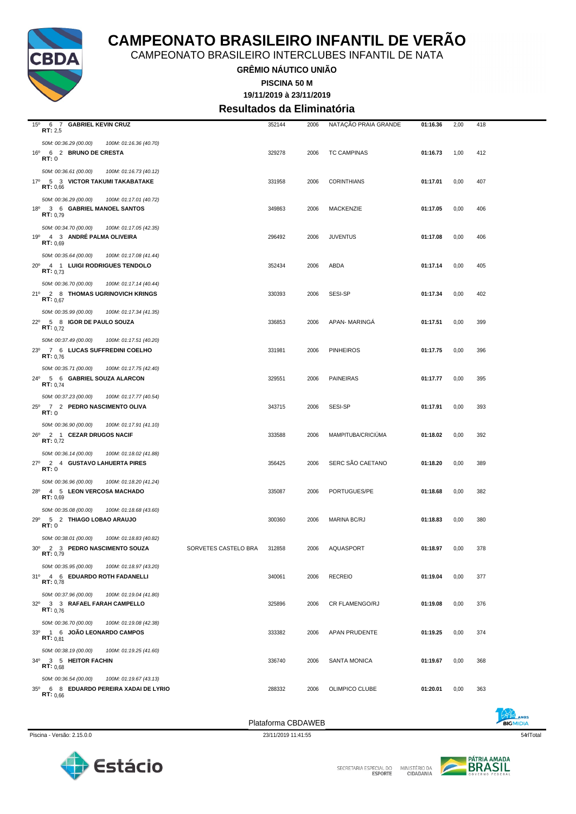

CAMPEONATO BRASILEIRO INTERCLUBES INFANTIL DE NATA

**GRÊMIO NÁUTICO UNIÃO**

**19/11/2019 à 23/11/2019 PISCINA 50 M**

**Resultados da Eliminatória**

| $15^{\circ}$<br>6 7 GABRIEL KEVIN CRUZ<br>RT: 2,5                                         |                      | 352144             | 2006 | NATAÇÃO PRAIA GRANDE | 01:16.36 | 2,00 | 418 |  |
|-------------------------------------------------------------------------------------------|----------------------|--------------------|------|----------------------|----------|------|-----|--|
| 50M: 00:36.29 (00.00)<br>100M: 01:16.36 (40.70)                                           |                      |                    |      |                      |          |      |     |  |
| 16º 6 2 BRUNO DE CRESTA                                                                   |                      | 329278             | 2006 | <b>TC CAMPINAS</b>   | 01:16.73 | 1,00 | 412 |  |
| RT:0                                                                                      |                      |                    |      |                      |          |      |     |  |
| 50M: 00:36.61 (00.00)<br>100M: 01:16.73 (40.12)                                           |                      |                    |      |                      |          |      |     |  |
| 17º 5 3 VICTOR TAKUMI TAKABATAKE<br>RT: 0,66                                              |                      | 331958             | 2006 | <b>CORINTHIANS</b>   | 01:17.01 | 0,00 | 407 |  |
| 50M: 00:36.29 (00.00)<br>100M: 01:17.01 (40.72)                                           |                      |                    |      |                      |          |      |     |  |
| 18º 3 6 GABRIEL MANOEL SANTOS                                                             |                      | 349863             | 2006 | <b>MACKENZIE</b>     | 01:17.05 | 0,00 | 406 |  |
| <b>RT:</b> $0.79$                                                                         |                      |                    |      |                      |          |      |     |  |
| 50M: 00:34.70 (00.00)<br>100M: 01:17.05 (42.35)                                           |                      |                    |      |                      |          |      |     |  |
| 19º 4 3 ANDRÉ PALMA OLIVEIRA<br><b>RT:</b> $0.69$                                         |                      | 296492             | 2006 | <b>JUVENTUS</b>      | 01:17.08 | 0,00 | 406 |  |
| 50M: 00:35.64 (00.00)<br>100M: 01:17.08 (41.44)                                           |                      |                    |      |                      |          |      |     |  |
| 20° 4 1 LUIGI RODRIGUES TENDOLO                                                           |                      | 352434             | 2006 | ABDA                 | 01:17.14 | 0,00 | 405 |  |
| <b>RT:</b> $0.73$                                                                         |                      |                    |      |                      |          |      |     |  |
| 50M: 00:36.70 (00.00)<br>100M: 01:17.14 (40.44)                                           |                      |                    |      |                      |          |      |     |  |
| 21º 2 8 THOMAS UGRINOVICH KRINGS<br><b>RT:</b> $0.67$                                     |                      | 330393             | 2006 | SESI-SP              | 01:17.34 | 0,00 | 402 |  |
| 50M: 00:35.99 (00.00)<br>100M: 01:17.34 (41.35)                                           |                      |                    |      |                      |          |      |     |  |
| 22º 5 8 IGOR DE PAULO SOUZA                                                               |                      | 336853             | 2006 | APAN-MARINGA         | 01:17.51 | 0,00 | 399 |  |
| RT: 0.72                                                                                  |                      |                    |      |                      |          |      |     |  |
| 50M: 00:37.49 (00.00)<br>100M: 01:17.51 (40.20)                                           |                      |                    |      |                      |          |      |     |  |
| 23º 7 6 LUCAS SUFFREDINI COELHO<br>RT: 0.76                                               |                      | 331981             | 2006 | <b>PINHEIROS</b>     | 01:17.75 | 0,00 | 396 |  |
| 50M: 00:35.71 (00.00)<br>100M: 01:17.75 (42.40)                                           |                      |                    |      |                      |          |      |     |  |
| 24º 5 6 GABRIEL SOUZA ALARCON                                                             |                      | 329551             | 2006 | <b>PAINEIRAS</b>     | 01:17.77 | 0,00 | 395 |  |
| <b>RT:</b> $0.74$                                                                         |                      |                    |      |                      |          |      |     |  |
| 50M: 00:37.23 (00.00)<br>100M: 01:17.77 (40.54)                                           |                      |                    |      |                      |          |      |     |  |
| 25º 7 2 PEDRO NASCIMENTO OLIVA<br>RT:0                                                    |                      | 343715             | 2006 | SESI-SP              | 01:17.91 | 0,00 | 393 |  |
| 50M: 00:36.90 (00.00)<br>100M: 01:17.91 (41.10)                                           |                      |                    |      |                      |          |      |     |  |
| 26º 2 1 CEZAR DRUGOS NACIF                                                                |                      | 333588             | 2006 | MAMPITUBA/CRICIUMA   | 01:18.02 | 0,00 | 392 |  |
| RT: 0,72                                                                                  |                      |                    |      |                      |          |      |     |  |
| 50M: 00:36.14 (00.00)<br>100M: 01:18.02 (41.88)                                           |                      |                    |      |                      |          |      |     |  |
| 27º 2 4 GUSTAVO LAHUERTA PIRES<br>RT:0                                                    |                      | 356425             | 2006 | SERC SÃO CAETANO     | 01:18.20 | 0,00 | 389 |  |
| 50M: 00:36.96 (00.00)<br>100M: 01:18.20 (41.24)                                           |                      |                    |      |                      |          |      |     |  |
| 28º 4 5 LEON VERCOSA MACHADO                                                              |                      | 335087             | 2006 | PORTUGUES/PE         | 01:18.68 | 0,00 | 382 |  |
| RT: 0.69                                                                                  |                      |                    |      |                      |          |      |     |  |
| 50M: 00:35.08 (00.00)<br>100M: 01:18.68 (43.60)                                           |                      |                    |      |                      |          |      |     |  |
| 29º 5 2 THIAGO LOBAO ARAUJO<br>RT:0                                                       |                      | 300360             | 2006 | MARINA BC/RJ         | 01:18.83 | 0,00 | 380 |  |
| 50M: 00:38.01 (00.00)<br>100M: 01:18.83 (40.82)                                           |                      |                    |      |                      |          |      |     |  |
| 30º 2 3 PEDRO NASCIMENTO SOUZA                                                            | SORVETES CASTELO BRA | 312858             | 2006 | <b>AQUASPORT</b>     | 01:18.97 | 0,00 | 378 |  |
| RT: 0,79                                                                                  |                      |                    |      |                      |          |      |     |  |
| 50M: 00:35.95 (00.00)<br>100M: 01:18.97 (43.20)                                           |                      |                    |      |                      |          |      |     |  |
| 31º 4 6 EDUARDO ROTH FADANELLI<br>RT: 0,78                                                |                      | 340061             | 2006 | <b>RECREIO</b>       | 01:19.04 | 0,00 | 377 |  |
| 50M: 00:37.96 (00.00)<br>100M: 01:19.04 (41.80)                                           |                      |                    |      |                      |          |      |     |  |
| 32º 3 3 RAFAEL FARAH CAMPELLO                                                             |                      | 325896             | 2006 | CR FLAMENGO/RJ       | 01:19.08 | 0,00 | 376 |  |
| RT: 0.76                                                                                  |                      |                    |      |                      |          |      |     |  |
| 50M: 00:36.70 (00.00)<br>100M: 01:19.08 (42.38)                                           |                      |                    |      |                      |          |      |     |  |
| 33º 1 6 JOÃO LEONARDO CAMPOS<br><b>RT:</b> $0.81$                                         |                      | 333382             | 2006 | APAN PRUDENTE        | 01:19.25 | 0,00 | 374 |  |
| 50M: 00:38.19 (00.00)<br>100M: 01:19.25 (41.60)                                           |                      |                    |      |                      |          |      |     |  |
| 34º 3 5 HEITOR FACHIN                                                                     |                      | 336740             | 2006 | <b>SANTA MONICA</b>  | 01:19.67 | 0,00 | 368 |  |
| RT: 0.68                                                                                  |                      |                    |      |                      |          |      |     |  |
| 50M: 00:36.54 (00.00)<br>100M: 01:19.67 (43.13)<br>35º 6 8 EDUARDO PEREIRA XADAI DE LYRIO |                      | 288332             | 2006 | OLIMPICO CLUBE       | 01:20.01 | 0,00 | 363 |  |
| RT: 0.66                                                                                  |                      |                    |      |                      |          |      |     |  |
|                                                                                           |                      |                    |      |                      |          |      |     |  |
|                                                                                           |                      | Plataforma CBDAWEB |      |                      |          |      |     |  |



SECRETARIA ESPECIAL DO

MINISTÉRIO DA<br>CIDADANIA

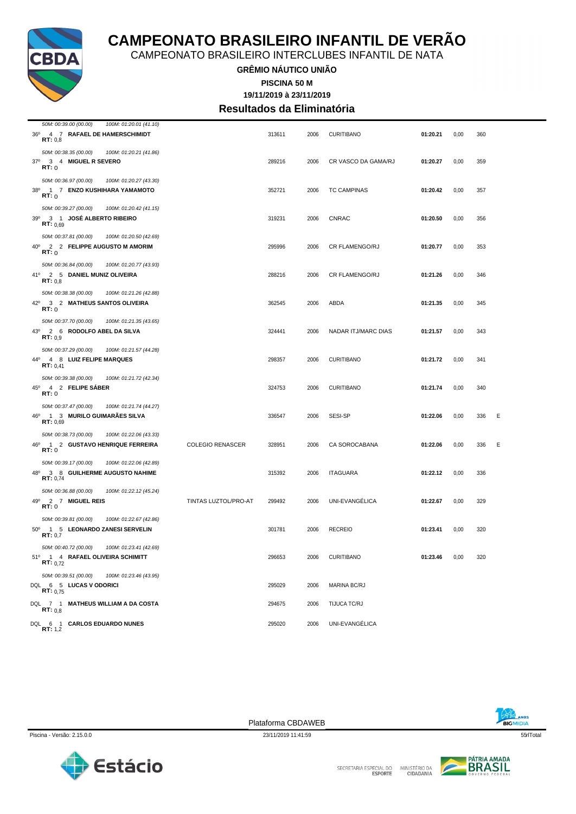

CAMPEONATO BRASILEIRO INTERCLUBES INFANTIL DE NATA

#### **GRÊMIO NÁUTICO UNIÃO 19/11/2019 à 23/11/2019 PISCINA 50 M Resultados da Eliminatória**

| 50M: 00:39.00 (00.00)<br>100M: 01:20.01 (41.10)       |                         |        |      |                            |          |      |     |   |
|-------------------------------------------------------|-------------------------|--------|------|----------------------------|----------|------|-----|---|
| 36º 4 7 RAFAEL DE HAMERSCHIMIDT<br>RT: 0.8            |                         | 313611 | 2006 | <b>CURITIBANO</b>          | 01:20.21 | 0,00 | 360 |   |
| 50M: 00:38.35 (00.00)<br>100M: 01:20.21 (41.86)       |                         |        |      |                            |          |      |     |   |
| 37º 3 4 MIGUEL R SEVERO<br>RT:0                       |                         | 289216 | 2006 | CR VASCO DA GAMA/RJ        | 01:20.27 | 0,00 | 359 |   |
| 50M: 00:36.97 (00.00)<br>100M: 01:20.27 (43.30)       |                         |        |      |                            |          |      |     |   |
| $38^{\circ}$<br>1 7 ENZO KUSHIHARA YAMAMOTO<br>RT:0   |                         | 352721 | 2006 | <b>TC CAMPINAS</b>         | 01:20.42 | 0,00 | 357 |   |
| 50M: 00:39.27 (00.00)<br>100M: 01:20.42 (41.15)       |                         |        |      |                            |          |      |     |   |
| 39º 3 1 JOSÉ ALBERTO RIBEIRO<br>RT: 0.69              |                         | 319231 | 2006 | <b>CNRAC</b>               | 01:20.50 | 0,00 | 356 |   |
| 50M: 00:37.81 (00.00)<br>100M: 01:20.50 (42.69)       |                         |        |      |                            |          |      |     |   |
| 40° 2 2 FELIPPE AUGUSTO M AMORIM<br>RT:0              |                         | 295996 | 2006 | <b>CR FLAMENGO/RJ</b>      | 01:20.77 | 0,00 | 353 |   |
| 50M: 00:36.84 (00.00)<br>100M: 01:20.77 (43.93)       |                         |        |      |                            |          |      |     |   |
| 41º 2 5 DANIEL MUNIZ OLIVEIRA<br>RT: 0.8              |                         | 288216 | 2006 | CR FLAMENGO/RJ             | 01:21.26 | 0,00 | 346 |   |
| 50M: 00:38.38 (00.00)<br>100M: 01:21.26 (42.88)       |                         |        |      |                            |          |      |     |   |
| 42º 3 2 MATHEUS SANTOS OLIVEIRA<br>RT:0               |                         | 362545 | 2006 | ABDA                       | 01:21.35 | 0,00 | 345 |   |
| 50M: 00:37.70 (00.00)<br>100M: 01:21.35 (43.65)       |                         |        |      |                            |          |      |     |   |
| 43°<br>2 6 RODOLFO ABEL DA SILVA<br>RT: 0.9           |                         | 324441 | 2006 | <b>NADAR ITJ/MARC DIAS</b> | 01:21.57 | 0,00 | 343 |   |
| 50M: 00:37.29 (00.00)<br>100M: 01:21.57 (44.28)       |                         |        |      |                            |          |      |     |   |
| 44º 4 8 LUIZ FELIPE MARQUES<br><b>RT</b> : $0,41$     |                         | 298357 | 2006 | <b>CURITIBANO</b>          | 01:21.72 | 0,00 | 341 |   |
| 50M: 00:39.38 (00.00)<br>100M: 01:21.72 (42.34)       |                         |        |      |                            |          |      |     |   |
| 45°<br>4 2 FELIPE SABER<br>RT:0                       |                         | 324753 | 2006 | <b>CURITIBANO</b>          | 01:21.74 | 0,00 | 340 |   |
| 50M: 00:37.47 (00.00)<br>100M: 01:21.74 (44.27)       |                         |        |      |                            |          |      |     |   |
| 46º 1 3 MURILO GUIMARÃES SILVA<br>RT: 0,69            |                         | 336547 | 2006 | SESI-SP                    | 01:22.06 | 0,00 | 336 | Ε |
| 50M: 00:38.73 (00.00)<br>100M: 01:22.06 (43.33)       |                         |        |      |                            |          |      |     |   |
| 46°<br>1 2 GUSTAVO HENRIQUE FERREIRA<br>RT:0          | <b>COLEGIO RENASCER</b> | 328951 | 2006 | CA SOROCABANA              | 01:22.06 | 0,00 | 336 | Ε |
| 50M: 00:39.17 (00.00)<br>100M: 01:22.06 (42.89)       |                         |        |      |                            |          |      |     |   |
| 48º 3 8 GUILHERME AUGUSTO NAHIME<br>RT: 0,74          |                         | 315392 | 2006 | <b>ITAGUARA</b>            | 01:22.12 | 0,00 | 336 |   |
| 50M: 00:36.88 (00.00)<br>100M: 01:22.12 (45.24)       |                         |        |      |                            |          |      |     |   |
| 49º 2 7 MIGUEL REIS<br><b>RT:</b> 0                   | TINTAS LUZTOL/PRO-AT    | 299492 | 2006 | UNI-EVANGÉLICA             | 01:22.67 | 0,00 | 329 |   |
| 50M: 00:39.81 (00.00)<br>100M: 01:22.67 (42.86)       |                         |        |      |                            |          |      |     |   |
| 50° 1 5 LEONARDO ZANESI SERVELIN<br>RT: 0,7           |                         | 301781 | 2006 | <b>RECREIO</b>             | 01:23.41 | 0,00 | 320 |   |
| 50M: 00:40.72 (00.00)<br>100M: 01:23.41 (42.69)       |                         |        |      |                            |          |      |     |   |
| 51º 1 4 RAFAEL OLIVEIRA SCHIMITT<br><b>RT:</b> $0.72$ |                         | 296653 | 2006 | <b>CURITIBANO</b>          | 01:23.46 | 0,00 | 320 |   |
| 50M: 00:39.51 (00.00)<br>100M: 01:23.46 (43.95)       |                         |        |      |                            |          |      |     |   |
| DQL 6 5 LUCAS V ODORICI<br>RT: 0.75                   |                         | 295029 | 2006 | <b>MARINA BC/RJ</b>        |          |      |     |   |
| DQL 7 1 MATHEUS WILLIAM A DA COSTA<br>RT: 0,8         |                         | 294675 | 2006 | TIJUCA TC/RJ               |          |      |     |   |
| DQL 6 1 CARLOS EDUARDO NUNES<br><b>RT:</b> 1,2        |                         | 295020 | 2006 | UNI-EVANGÉLICA             |          |      |     |   |

**BIGMIDIA** 





SECRETARIA ESPECIAL DO

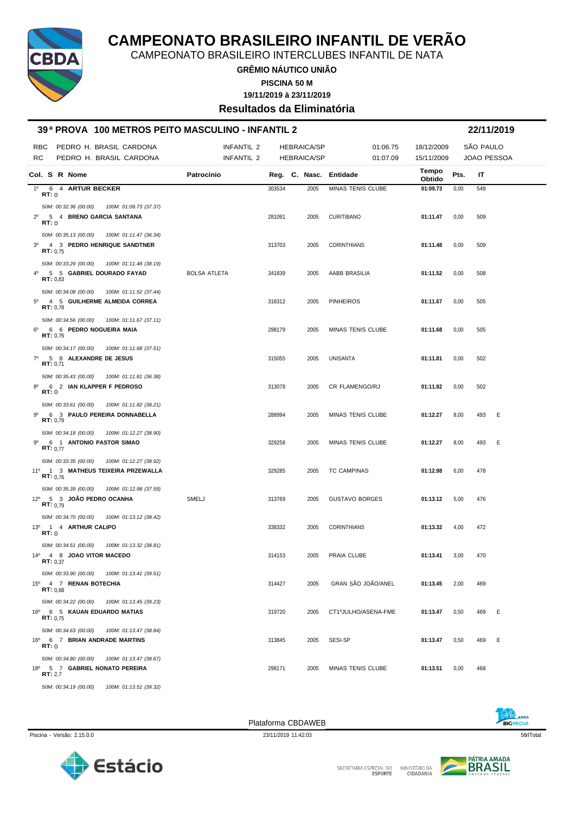

CAMPEONATO BRASILEIRO INTERCLUBES INFANTIL DE NATA

**GRÊMIO NÁUTICO UNIÃO PISCINA 50 M**

**19/11/2019 à 23/11/2019**

**Resultados da Eliminatória**

#### **39 ª PROVA 100 METROS PEITO MASCULINO - INFANTIL 2 22/11/2019**

| RBC         | PEDRO H. BRASIL CARDONA                                                            |                        | <b>INFANTIL 2</b>   | <b>HEBRAICA/SP</b> |                    | 01:06.75               | 18/12/2009      | SÃO PAULO |             |     |
|-------------|------------------------------------------------------------------------------------|------------------------|---------------------|--------------------|--------------------|------------------------|-----------------|-----------|-------------|-----|
| RC          | PEDRO H. BRASIL CARDONA                                                            |                        | INFANTIL 2          |                    | <b>HEBRAICA/SP</b> | 01:07.09               | 15/11/2009      |           | JOAO PESSOA |     |
|             | Col. S R Nome                                                                      |                        | Patrocínio          |                    |                    | Reg. C. Nasc. Entidade | Tempo<br>Obtido | Pts.      | ΙT          |     |
| $1^{\circ}$ | 6 4 ARTUR BECKER<br>RT:0                                                           |                        |                     | 303534             | 2005               | MINAS TENIS CLUBE      | 01:09.73        | 0,00      | 549         |     |
|             | 50M: 00:32.36 (00.00)                                                              | 100M: 01:09.73 (37.37) |                     |                    |                    |                        |                 |           |             |     |
| $2^{\circ}$ | 5 4 BRENO GARCIA SANTANA<br>RT: 0                                                  |                        |                     | 281091             | 2005               | <b>CURITIBANO</b>      | 01:11.47        | 0,00      | 509         |     |
|             | 50M: 00:35.13 (00.00)<br>3º 4 3 PEDRO HENRIQUE SANDTNER<br>RT: 0.75                | 100M: 01:11.47 (36.34) |                     | 313703             | 2005               | <b>CORINTHIANS</b>     | 01:11.48        | 0,00      | 509         |     |
|             | 50M: 00:33.29 (00.00)                                                              | 100M: 01:11.48 (38.19) |                     |                    |                    |                        |                 |           |             |     |
|             | 4º 5 5 GABRIEL DOURADO FAYAD<br>RT: 0,83                                           |                        | <b>BOLSA ATLETA</b> | 341839             | 2005               | AABB BRASILIA          | 01:11.52        | 0,00      | 508         |     |
|             | 50M: 00:34.08 (00.00)                                                              | 100M: 01:11.52 (37.44) |                     |                    |                    |                        |                 |           |             |     |
|             | 5º 4 5 GUILHERME ALMEIDA CORREA<br>RT: 0,78                                        |                        |                     | 318312             | 2005               | <b>PINHEIROS</b>       | 01:11.67        | 0,00      | 505         |     |
|             | 50M: 00:34.56 (00.00)<br>6º 6 6 PEDRO NOGUEIRA MAIA<br>RT: 0,76                    | 100M: 01:11.67 (37.11) |                     | 298179             | 2005               | MINAS TENIS CLUBE      | 01:11.68        | 0,00      | 505         |     |
|             |                                                                                    |                        |                     |                    |                    |                        |                 |           |             |     |
|             | 50M: 00:34.17 (00.00)<br>7º 5 8 ALEXANDRE DE JESUS<br>RT: 0,71                     | 100M: 01:11.68 (37.51) |                     | 315055             | 2005               | UNISANTA               | 01:11.81        | 0,00      | 502         |     |
| 80          | 50M: 00:35.43 (00.00)<br>6 2 IAN KLAPPER F PEDROSO<br><b>RT:</b> 0                 | 100M: 01:11.81 (36.38) |                     | 313078             | 2005               | CR FLAMENGO/RJ         | 01:11.82        | 0,00      | 502         |     |
|             | 50M: 00:33.61 (00.00)                                                              | 100M: 01:11.82 (38.21) |                     |                    |                    |                        |                 |           |             |     |
| 90          | 6 3 PAULO PEREIRA DONNABELLA<br>RT: 0,79                                           |                        |                     | 288994             | 2005               | MINAS TENIS CLUBE      | 01:12.27        | 8,00      | 493         | E   |
| g°          | 50M: 00:34.18 (00.00)<br>6 1 ANTONIO PASTOR SIMAO<br>RT: 0.77                      | 100M: 01:12.27 (38.90) |                     | 329258             | 2005               | MINAS TENIS CLUBE      | 01:12.27        | 8,00      | 493         | - E |
|             | 50M: 00:33.35 (00.00)<br>11º 1 3 MATHEUS TEIXEIRA PRZEWALLA<br>RT: 0.76            | 100M: 01:12.27 (38.92) |                     | 329285             | 2005               | <b>TC CAMPINAS</b>     | 01:12.98        | 6,00      | 478         |     |
|             | 50M: 00:35.39 (00.00)<br>12º 5 3 JOÃO PEDRO OCANHA<br>RT: 0.79                     | 100M: 01:12.98 (37.59) | SMELJ               | 313769             | 2005               | <b>GUSTAVO BORGES</b>  | 01:13.12        | 5,00      | 476         |     |
|             | 50M: 00:34.70 (00.00)                                                              | 100M: 01:13.12 (38.42) |                     |                    |                    |                        |                 |           |             |     |
|             | 13º 1 4 ARTHUR CALIPO<br>RT:0                                                      |                        |                     | 338332             | 2005               | <b>CORINTHIANS</b>     | 01:13.32        | 4,00      | 472         |     |
|             | 50M: 00:34.51 (00.00)<br>14º 4 8 JOAO VITOR MACEDO<br>RT: 0.37                     | 100M: 01:13.32 (38.81) |                     | 314153             | 2005               | PRAIA CLUBE            | 01:13.41        | 3,00      | 470         |     |
|             | 50M: 00:33.90 (00.00) 100M: 01:13.41 (39.51)<br>15º 4 7 RENAN BOTECHIA<br>RT: 0.68 |                        |                     | 314427             | 2005               | GRAN SÃO JOÃO/ANEL     | 01:13.45        | 2,00      | 469         |     |
|             | 50M: 00:34.22 (00.00)                                                              | 100M: 01:13.45 (39.23) |                     |                    |                    |                        |                 |           |             |     |
|             | 16º 6 5 KAUAN EDUARDO MATIAS<br>RT: 0.75                                           |                        |                     | 319720             | 2005               | CT1ºJULHO/ASENA-FME    | 01:13.47        | 0,50      | 469         | E   |
|             | 50M: 00:34.63 (00.00)                                                              | 100M: 01:13.47 (38.84) |                     |                    |                    |                        |                 |           |             |     |
|             | 16º 6 7 BRIAN ANDRADE MARTINS<br>RT:0                                              |                        |                     | 313845             | 2005               | SESI-SP                | 01:13.47        | 0,50      | 469         | E   |
|             | 50M: 00:34.80 (00.00)<br>18º 5 7 GABRIEL NONATO PEREIRA<br>RT: 2,7                 | 100M: 01:13.47 (38.67) |                     | 298171             | 2005               | MINAS TENIS CLUBE      | 01:13.51        | 0,00      | 468         |     |
|             | 50M: 00:34.19 (00.00) 100M: 01:13.51 (39.32)                                       |                        |                     |                    |                    |                        |                 |           |             |     |



SECRETARIA ESPECIAL DO

MINISTÉRIO DA<br>CIDADANIA

P

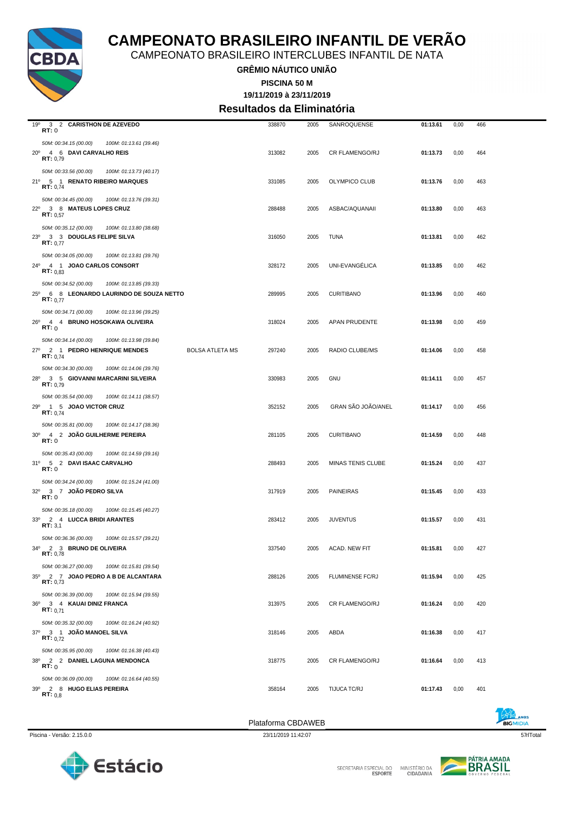

CAMPEONATO BRASILEIRO INTERCLUBES INFANTIL DE NATA

**GRÊMIO NÁUTICO UNIÃO**

**19/11/2019 à 23/11/2019 PISCINA 50 M**

**Resultados da Eliminatória**

|                                                                                                                             |                        | Plataforma CBDAWEB |              |                                        |                      |              |            |  |
|-----------------------------------------------------------------------------------------------------------------------------|------------------------|--------------------|--------------|----------------------------------------|----------------------|--------------|------------|--|
| 50M: 00:36.09 (00.00)<br>100M: 01:16.64 (40.55)<br>39º 2 8 HUGO ELIAS PEREIRA<br>RT: 0.8                                    |                        | 358164             | 2005         | TIJUCA TC/RJ                           | 01:17.43             | 0,00         | 401        |  |
| 50M: 00:35.95 (00.00)<br>100M: 01:16.38 (40.43)<br>38º 2 2 DANIEL LAGUNA MENDONCA<br>RT:0                                   |                        | 318775             | 2005         | CR FLAMENGO/RJ                         | 01:16.64             | 0,00         | 413        |  |
| 50M: 00:35.32 (00.00)<br>100M: 01:16.24 (40.92)<br>37º 3 1 JOÃO MANOEL SILVA<br><b>RT:</b> $0,72$                           |                        | 318146             | 2005         | ABDA                                   | 01:16.38             | 0,00         | 417        |  |
| 50M: 00:36.39 (00.00)<br>100M: 01:15.94 (39.55)<br>36º 3 4 KAUAI DINIZ FRANCA<br><b>RT:</b> $0,71$                          |                        | 313975             | 2005         | <b>CR FLAMENGO/RJ</b>                  | 01:16.24             | 0,00         | 420        |  |
| 50M: 00:36.27 (00.00)<br>100M: 01:15.81 (39.54)<br>35º 2 7 JOAO PEDRO A B DE ALCANTARA<br>RT: 0,73                          |                        | 288126             | 2005         | FLUMINENSE FC/RJ                       | 01:15.94             | 0,00         | 425        |  |
| 50M: 00:36.36 (00.00)<br>100M: 01:15.57 (39.21)<br>34º 2 3 BRUNO DE OLIVEIRA<br>RT: 0,78                                    |                        | 337540             | 2005         | ACAD. NEW FIT                          | 01:15.81             | 0,00         | 427        |  |
| 50M: 00:35.18 (00.00)<br>100M: 01:15.45 (40.27)<br>33º 2 4 LUCCA BRIDI ARANTES<br>RT: 3,1                                   |                        | 283412             | 2005         | <b>JUVENTUS</b>                        | 01:15.57             | 0,00         | 431        |  |
| 50M: 00:34.24 (00.00)<br>100M: 01:15.24 (41.00)<br>32º 3 7 JOÃO PEDRO SILVA<br>RT:0                                         |                        | 317919             | 2005         | <b>PAINEIRAS</b>                       | 01:15.45             | 0,00         | 433        |  |
| 50M: 00:35.43 (00.00)<br>100M: 01:14.59 (39.16)<br>31º 5 2 DAVI ISAAC CARVALHO<br>RT:0                                      |                        | 288493             | 2005         | MINAS TENIS CLUBE                      | 01:15.24             | 0,00         | 437        |  |
| 50M: 00:35.81 (00.00)<br>100M: 01:14.17 (38.36)<br>30° 4 2 JOÃO GUILHERME PEREIRA<br>RT:0                                   |                        | 281105             | 2005         | <b>CURITIBANO</b>                      | 01:14.59             | 0,00         | 448        |  |
| 50M: 00:35.54 (00.00)<br>100M: 01:14.11 (38.57)<br>29º 1 5 JOAO VICTOR CRUZ<br><b>RT:</b> $0.74$                            |                        | 352152             | 2005         | GRAN SÃO JOÃO/ANEL                     | 01:14.17             | 0,00         | 456        |  |
| 50M: 00:34.30 (00.00)<br>100M: 01:14.06 (39.76)<br>28º 3 5 GIOVANNI MARCARINI SILVEIRA<br>RT: 0.79                          |                        | 330983             | 2005         | <b>GNU</b>                             | 01:14.11             | 0,00         | 457        |  |
| RT:0<br>50M: 00:34.14 (00.00)<br>100M: 01:13.98 (39.84)<br>27º 2 1 PEDRO HENRIQUE MENDES<br><b>RT:</b> $0.74$               | <b>BOLSA ATLETA MS</b> | 297240             | 2005         | RADIO CLUBE/MS                         | 01:14.06             | 0,00         | 458        |  |
| RT: 0.77<br>50M: 00:34.71 (00.00)<br>100M: 01:13.96 (39.25)<br>26º 4 4 BRUNO HOSOKAWA OLIVEIRA                              |                        | 318024             | 2005         | APAN PRUDENTE                          | 01:13.98             | 0,00         | 459        |  |
| RT: 0.83<br>50M: 00:34.52 (00.00)<br>100M: 01:13.85 (39.33)<br>25º 6 8 LEONARDO LAURINDO DE SOUZA NETTO                     |                        | 289995             | 2005         | <b>CURITIBANO</b>                      | 01:13.96             | 0,00         | 460        |  |
| RT: 0.77<br>50M: 00:34.05 (00.00)<br>100M: 01:13.81 (39.76)<br>24º 4 1 JOAO CARLOS CONSORT                                  |                        | 328172             | 2005         | UNI-EVANGÉLICA                         | 01:13.85             | 0,00         | 462        |  |
| <b>RT:</b> $0.57$<br>50M: 00:35.12 (00.00)<br>100M: 01:13.80 (38.68)<br>23º 3 3 DOUGLAS FELIPE SILVA                        |                        | 316050             | 2005         | TUNA                                   | 01:13.81             | 0,00         | 462        |  |
| <b>RT:</b> $0,74$<br>50M: 00:34.45 (00.00)<br>100M: 01:13.76 (39.31)<br>22º 3 8 MATEUS LOPES CRUZ                           |                        | 288488             | 2005         | ASBAC/AQUANAII                         | 01:13.80             | 0,00         | 463        |  |
| 20° 4 6 DAVI CARVALHO REIS<br>RT: 0,79<br>50M: 00:33.56 (00.00)<br>100M: 01:13.73 (40.17)<br>21º 5 1 RENATO RIBEIRO MARQUES |                        | 313082<br>331085   | 2005<br>2005 | <b>CR FLAMENGO/RJ</b><br>OLYMPICO CLUB | 01:13.73<br>01:13.76 | 0,00<br>0,00 | 464<br>463 |  |
| 19º<br>3 2 CARISTHON DE AZEVEDO<br>RT:0<br>50M: 00:34.15 (00.00)<br>100M: 01:13.61 (39.46)                                  |                        | 338870             | 2005         | SANROQUENSE                            | 01:13.61             | 0,00         | 466        |  |



SECRETARIA ESPECIAL DO

MINISTÉRIO DA<br>CIDADANIA

 $\sqrt{2}$ 

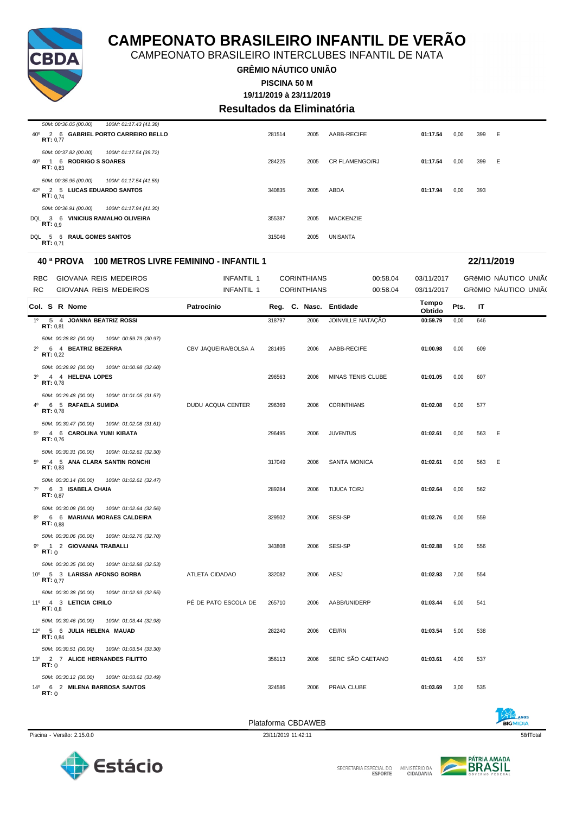





Piscina - Versão: 2.15.0.0 23/11/2019 11:42:11 58qrlTotal

Plataforma CBDAWEB

| <b>NOS</b><br><b>BIGMIDIA</b> |  |
|-------------------------------|--|
| ro-l'                         |  |

| <b>RBC</b>     | GIOVANA REIS MEDEIROS                           | INFANTIL 1           |        | <b>CORINTHIANS</b>     | 00:58.04           | 03/11/2017      |      |     | GRÊMIO NÁUTICO UNIÃO |  |
|----------------|-------------------------------------------------|----------------------|--------|------------------------|--------------------|-----------------|------|-----|----------------------|--|
| RC             | GIOVANA REIS MEDEIROS                           | INFANTIL 1           |        | <b>CORINTHIANS</b>     | 00:58.04           | 03/11/2017      |      |     | GRÊMIO NÁUTICO UNIÃO |  |
|                | Col. S R Nome                                   | Patrocínio           |        | Reg. C. Nasc. Entidade |                    | Tempo<br>Obtido | Pts. | IT  |                      |  |
|                | 1º 5 4 JOANNA BEATRIZ ROSSI<br><b>RT: 0.81</b>  |                      | 318797 | 2006                   | JOINVILLE NATAÇÃO  | 00:59.79        | 0,00 | 646 |                      |  |
|                | 50M: 00:28.82 (00.00)<br>100M: 00:59.79 (30.97) |                      |        |                        |                    |                 |      |     |                      |  |
|                | 2º 6 4 BEATRIZ BEZERRA<br><b>RT:</b> $0,22$     | CBV JAQUEIRA/BOLSA A | 281495 | 2006                   | AABB-RECIFE        | 01:00.98        | 0,00 | 609 |                      |  |
|                | 50M: 00:28.92 (00.00)<br>100M: 01:00.98 (32.60) |                      |        |                        |                    |                 |      |     |                      |  |
| 3 <sup>0</sup> | 4 4 HELENA LOPES<br>RT: 0.78                    |                      | 296563 | 2006                   | MINAS TENIS CLUBE  | 01:01.05        | 0,00 | 607 |                      |  |
|                | 50M: 00:29.48 (00.00)<br>100M: 01:01.05 (31.57) |                      |        |                        |                    |                 |      |     |                      |  |
|                | 4º 6 5 RAFAELA SUMIDA<br>RT: 0,78               | DUDU ACQUA CENTER    | 296369 | 2006                   | <b>CORINTHIANS</b> | 01:02.08        | 0,00 | 577 |                      |  |
|                | 50M: 00:30.47 (00.00)<br>100M: 01:02.08 (31.61) |                      |        |                        |                    |                 |      |     |                      |  |
| $5^{\circ}$    | 4 6 CAROLINA YUMI KIBATA<br>RT: 0,76            |                      | 296495 | 2006                   | <b>JUVENTUS</b>    | 01:02.61        | 0,00 | 563 | Ε                    |  |
|                | 50M: 00:30.31 (00.00)<br>100M: 01:02.61 (32.30) |                      |        |                        |                    |                 |      |     |                      |  |
| $5^{\circ}$    | 4 5 ANA CLARA SANTIN RONCHI<br>RT: 0.83         |                      | 317049 | 2006                   | SANTA MONICA       | 01:02.61        | 0,00 | 563 | E                    |  |
|                | 50M: 00:30.14 (00.00)<br>100M: 01:02.61 (32.47) |                      |        |                        |                    |                 |      |     |                      |  |
| $7^{\circ}$    | 6 3 ISABELA CHAIA<br>RT: 0.87                   |                      | 289284 | 2006                   | TIJUCA TC/RJ       | 01:02.64        | 0,00 | 562 |                      |  |
|                | 50M: 00:30.08 (00.00)<br>100M: 01:02.64 (32.56) |                      |        |                        |                    |                 |      |     |                      |  |
| $8^{\circ}$    | 6 6 MARIANA MORAES CALDEIRA<br>RT: 0.88         |                      | 329502 | 2006                   | SESI-SP            | 01:02.76        | 0,00 | 559 |                      |  |
|                | 50M: 00:30.06 (00.00)<br>100M: 01:02.76 (32.70) |                      |        |                        |                    |                 |      |     |                      |  |
| 90             | 1 2 GIOVANNA TRABALLI<br>RT:0                   |                      | 343808 | 2006                   | <b>SESI-SP</b>     | 01:02.88        | 9,00 | 556 |                      |  |
|                | 50M: 00:30.35 (00.00)<br>100M: 01:02.88 (32.53) |                      |        |                        |                    |                 |      |     |                      |  |
|                | 10º 5 3 LARISSA AFONSO BORBA<br>RT: 0.77        | ATLETA CIDADAO       | 332082 | 2006                   | AESJ               | 01:02.93        | 7,00 | 554 |                      |  |
|                | 50M: 00:30.38 (00.00)<br>100M: 01:02.93 (32.55) |                      |        |                        |                    |                 |      |     |                      |  |
|                | 11º 4 3 LETICIA CIRILO<br>RT: 0.8               | PÉ DE PATO ESCOLA DE | 265710 | 2006                   | AABB/UNIDERP       | 01:03.44        | 6,00 | 541 |                      |  |
|                | 50M: 00:30.46 (00.00)<br>100M: 01:03.44 (32.98) |                      |        |                        |                    |                 |      |     |                      |  |
|                | 12º 5 6 JULIA HELENA MAUAD<br><b>RT:</b> $0.84$ |                      | 282240 | 2006                   | CEI/RN             | 01:03.54        | 5,00 | 538 |                      |  |
|                | 50M: 00:30.51 (00.00)<br>100M: 01:03.54 (33.30) |                      |        |                        |                    |                 |      |     |                      |  |
|                | 13º 2 7 ALICE HERNANDES FILITTO<br>RT:0         |                      | 356113 | 2006                   | SERC SÃO CAETANO   | 01:03.61        | 4,00 | 537 |                      |  |
|                | 50M: 00:30.12 (00.00)<br>100M: 01:03.61 (33.49) |                      |        |                        |                    |                 |      |     |                      |  |
|                | 14º 6 2 MILENA BARBOSA SANTOS<br>RT:0           |                      | 324586 | 2006                   | PRAIA CLUBE        | 01:03.69        | 3,00 | 535 |                      |  |

**40 ª PROVA 100 METROS LIVRE FEMININO - INFANTIL 1 22/11/2019**

*50M: 00:35.95 (00.00) 100M: 01:17.54 (41.59)* 42º 2 5 **LUCAS EDUARDO SANTOS** 340835 2005 ABDA **01:17.94** 0,00 393 **RT:** 0,74 *50M: 00:36.91 (00.00) 100M: 01:17.94 (41.30)* DQL 3 6 **VINICIUS RAMALHO OLIVEIRA** 355387 2005 MACKENZIE **RT:** 0,9 DQL 5 6 **RAUL GOMES SANTOS** 315046 2005 UNISANTA **RT:** 0,71

# **Resultados da Eliminatória** 40º 2 6 **GABRIEL PORTO CARREIRO BELLO** 281514 2005 AABB-RECIFE **01:17.54** 0,00 399 E **RT:** 0,77

40º 1 6 **RODRIGO S SOARES** 284225 2005 CR FLAMENGO/RJ **01:17.54** 0,00 399 E **RT:** 0,83

**GRÊMIO NÁUTICO UNIÃO**

CAMPEONATO BRASILEIRO INTERCLUBES INFANTIL DE NATA

**19/11/2019 à 23/11/2019 PISCINA 50 M**



*50M: 00:36.05 (00.00) 100M: 01:17.43 (41.38)*

*50M: 00:37.82 (00.00) 100M: 01:17.54 (39.72)*

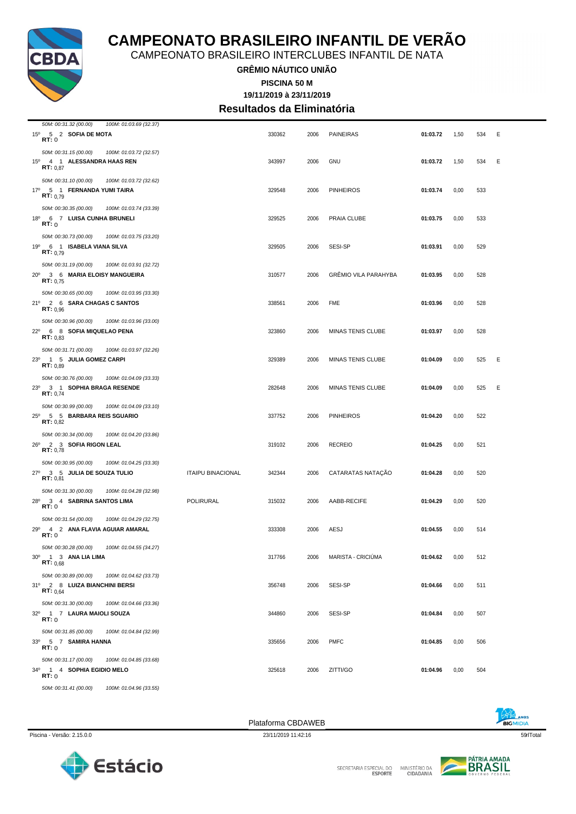





|                                                   | 30M. 00.30.89 (00.00) [00M. 01.04.82 (33.73) |                    |      |             |
|---------------------------------------------------|----------------------------------------------|--------------------|------|-------------|
| 2 8 LUIZA BIANCHINI BERSI<br>RT: 0.64             |                                              | 356748             | 2006 | SESI-SP     |
| 50M: 00:31.30 (00.00)                             | 100M: 01:04.66 (33.36)                       |                    |      |             |
| <b>LAURA MAIOLI SOUZA</b><br>1 7<br>RT: 0         |                                              | 344860             | 2006 | SESI-SP     |
| 50M: 00:31.85 (00.00)                             | 100M: 01:04.84 (32.99)                       |                    |      |             |
| <b>SAMIRA HANNA</b><br>5 7<br>RT: 0               |                                              | 335656             | 2006 | <b>PMFC</b> |
| 50M: 00:31.17 (00.00)                             | 100M: 01:04.85 (33.68)                       |                    |      |             |
| <b>SOPHIA EGIDIO MELO</b><br>$1 \quad 4$<br>RT: 0 |                                              | 325618             | 2006 | ZITTI/GO    |
| 50M: 00:31.41 (00.00)                             | 100M: 01:04.96 (33.55)                       |                    |      |             |
|                                                   |                                              |                    |      |             |
|                                                   |                                              | Plataforma CBDAWEB |      |             |

| 50M: 00:31.10 (00.00)<br>100M: 01:03.72 (32.62)<br>$17^{\circ}$<br>5 1 FERNANDA YUMI TAIRA<br>RT: 0.79     |                          | 329548 | 2006 | <b>PINHEIROS</b>            | 01:03.74 | 0,00 | 533 |   |
|------------------------------------------------------------------------------------------------------------|--------------------------|--------|------|-----------------------------|----------|------|-----|---|
| 50M: 00:30.35 (00.00)<br>100M: 01:03.74 (33.39)<br>$18^{\circ}$<br>6 7 LUISA CUNHA BRUNELI<br>RT: 0        |                          | 329525 | 2006 | PRAIA CLUBE                 | 01:03.75 | 0,00 | 533 |   |
| 50M: 00:30.73 (00.00)<br>100M: 01:03.75 (33.20)<br>19º 6 1 ISABELA VIANA SILVA<br><b>RT:</b> $0,79$        |                          | 329505 | 2006 | SESI-SP                     | 01:03.91 | 0,00 | 529 |   |
| 50M: 00:31.19 (00.00)<br>100M: 01:03.91 (32.72)<br>$20^{\circ}$<br>3 6 MARIA ELOISY MANGUEIRA<br>RT: 0,75  |                          | 310577 | 2006 | <b>GRÊMIO VILA PARAHYBA</b> | 01:03.95 | 0,00 | 528 |   |
| 50M: 00:30.65 (00.00)<br>100M: 01:03.95 (33.30)<br>$21^{\circ}$<br>2 6 SARA CHAGAS C SANTOS<br>RT: 0.96    |                          | 338561 | 2006 | <b>FME</b>                  | 01:03.96 | 0,00 | 528 |   |
| 50M: 00:30.96 (00.00)<br>100M: 01:03.96 (33.00)<br>$22^{\circ}$<br>6 8 SOFIA MIQUELAO PENA<br>RT: 0.83     |                          | 323860 | 2006 | <b>MINAS TENIS CLUBE</b>    | 01:03.97 | 0,00 | 528 |   |
| 50M: 00:31.71 (00.00)<br>100M: 01:03.97 (32.26)<br>23 <sup>o</sup><br>1 5 JULIA GOMEZ CARPI<br>RT: 0.89    |                          | 329389 | 2006 | <b>MINAS TENIS CLUBE</b>    | 01:04.09 | 0,00 | 525 | Е |
| 50M: 00:30.76 (00.00)<br>100M: 01:04.09 (33.33)<br>23 <sup>0</sup><br>3 1 SOPHIA BRAGA RESENDE<br>RT: 0.74 |                          | 282648 | 2006 | <b>MINAS TENIS CLUBE</b>    | 01:04.09 | 0,00 | 525 | Е |
| 50M: 00:30.99 (00.00)<br>100M: 01:04.09 (33.10)<br>$25^{\circ}$<br>5 5 BARBARA REIS SGUARIO<br>RT: 0,82    |                          | 337752 | 2006 | <b>PINHEIROS</b>            | 01:04.20 | 0,00 | 522 |   |
| 50M: 00:30.34 (00.00)<br>100M: 01:04.20 (33.86)<br>2 3 SOFIA RIGON LEAL<br>26°<br>RT: 0,78                 |                          | 319102 | 2006 | <b>RECREIO</b>              | 01:04.25 | 0,00 | 521 |   |
| 50M: 00:30.95 (00.00)<br>100M: 01:04.25 (33.30)<br>$27^{\circ}$<br>3 5 JULIA DE SOUZA TULIO<br>RT: 0,81    | <b>ITAIPU BINACIONAL</b> | 342344 | 2006 | CATARATAS NATAÇÃO           | 01:04.28 | 0,00 | 520 |   |
| 50M: 00:31.30 (00.00)<br>100M: 01:04.28 (32.98)<br>28°<br>3 4 SABRINA SANTOS LIMA<br>RT:0                  | <b>POLIRURAL</b>         | 315032 | 2006 | AABB-RECIFE                 | 01:04.29 | 0,00 | 520 |   |
| 50M: 00:31.54 (00.00)<br>100M: 01:04.29 (32.75)<br>29°<br>4 2 ANA FLAVIA AGUIAR AMARAL<br>RT:0             |                          | 333308 | 2006 | AESJ                        | 01:04.55 | 0,00 | 514 |   |
| 50M: 00:30.28 (00.00)<br>100M: 01:04.55 (34.27)<br>$30^{\circ}$<br>1 3 ANA LIA LIMA<br>RT: 0.68            |                          | 317766 | 2006 | MARISTA - CRICIÚMA          | 01:04.62 | 0,00 | 512 |   |
| 50M: 00:30.89 (00.00)<br>100M: 01:04.62 (33.73)<br>31º 2 8 LUIZA BIANCHINI BERSI<br>RT: 0.64               |                          | 356748 | 2006 | SESI-SP                     | 01:04.66 | 0,00 | 511 |   |
| 50M: 00:31.30 (00.00)<br>100M: 01:04.66 (33.36)<br>32º 1 7 LAURA MAIOLI SOUZA<br>RT:0                      |                          | 344860 | 2006 | SESI-SP                     | 01:04.84 | 0,00 | 507 |   |
| 50M: 00:31.85 (00.00)<br>100M: 01:04.84 (32.99)<br>33º 5 7 SAMIRA HANNA<br>RT: 0                           |                          | 335656 | 2006 | <b>PMFC</b>                 | 01:04.85 | 0,00 | 506 |   |
| 50M: 00:31.17 (00.00)<br>100M: 01:04.85 (33.68)<br>34°<br>1 4 SOPHIA EGIDIO MELO<br>RT:0                   |                          | 325618 | 2006 | ZITTI/GO                    | 01:04.96 | 0,00 | 504 |   |



*50M: 00:31.32 (00.00) 100M: 01:03.69 (32.37)*

*50M: 00:31.15 (00.00) 100M: 01:03.72 (32.57)*

**CAMPEONATO BRASILEIRO INFANTIL DE VERÃO**

CAMPEONATO BRASILEIRO INTERCLUBES INFANTIL DE NATA

**GRÊMIO NÁUTICO UNIÃO**

**PISCINA 50 M**

15º 5 2 **SOFIA DE MOTA** 330362 2006 PAINEIRAS **01:03.72** 1,50 534 E **RT:** 0

15º 4 1 **ALESSANDRA HAAS REN** 343997 2006 GNU **01:03.72** 1,50 534 E **RT:** 0,87

**19/11/2019 à 23/11/2019 Resultados da Eliminatória**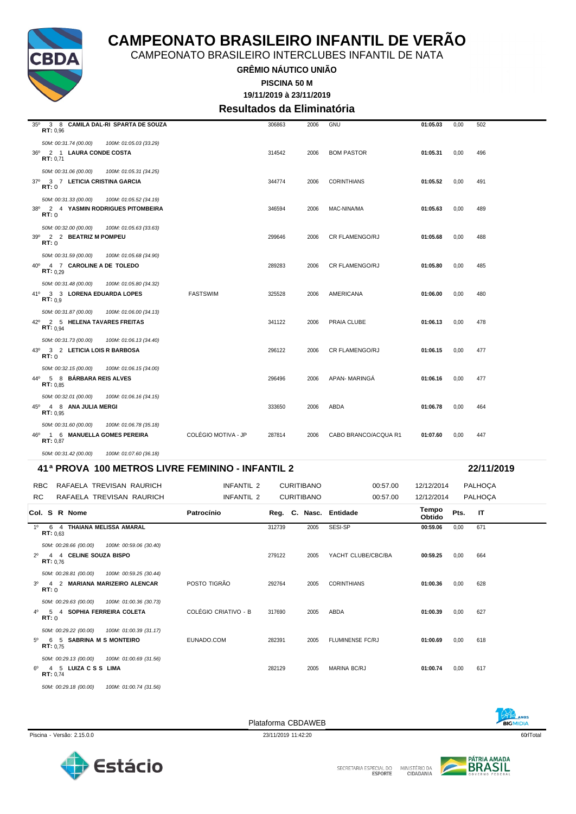

CAMPEONATO BRASILEIRO INTERCLUBES INFANTIL DE NATA

**GRÊMIO NÁUTICO UNIÃO**

**19/11/2019 à 23/11/2019 PISCINA 50 M**

### **Resultados da Eliminatória**

|                                                              | 41ª PROVA 100 METROS LIVRE FEMININO - INFANTIL 2 |                     |        |      |                       |          |      | 22/11/2019 |
|--------------------------------------------------------------|--------------------------------------------------|---------------------|--------|------|-----------------------|----------|------|------------|
| 50M: 00:31.42 (00.00)                                        | 100M: 01:07.60 (36.18)                           |                     |        |      |                       |          |      |            |
| 46º 1 6 MANUELLA GOMES PEREIRA<br>RT: 0.87                   |                                                  | COLÉGIO MOTIVA - JP | 287814 | 2006 | CABO BRANCO/ACQUA R1  | 01:07.60 | 0,00 | 447        |
| 50M: 00:31.60 (00.00)                                        | 100M: 01:06.78 (35.18)                           |                     |        |      |                       |          |      |            |
| 45° 4 8 ANA JULIA MERGI<br>RT: 0.95                          |                                                  |                     | 333650 | 2006 | ABDA                  | 01:06.78 | 0,00 | 464        |
| 50M: 00:32.01 (00.00)                                        | 100M: 01:06.16 (34.15)                           |                     |        |      |                       |          |      |            |
| 44º 5 8 BÁRBARA REIS ALVES<br>RT: 0.85                       |                                                  |                     | 296496 | 2006 | APAN-MARINGA          | 01:06.16 | 0,00 | 477        |
| 50M: 00:32.15 (00.00)                                        | 100M: 01:06.15 (34.00)                           |                     |        |      |                       |          |      |            |
| 43º 3 2 LETICIA LOIS R BARBOSA<br>RT: 0                      |                                                  |                     | 296122 | 2006 | <b>CR FLAMENGO/RJ</b> | 01:06.15 | 0,00 | 477        |
| 50M: 00:31.73 (00.00)                                        | 100M: 01:06.13 (34.40)                           |                     |        |      |                       |          |      |            |
| 42º 2 5 HELENA TAVARES FREITAS<br>RT: 0.94                   |                                                  |                     | 341122 | 2006 | PRAIA CLUBE           | 01:06.13 | 0,00 | 478        |
| 50M: 00:31.87 (00.00)                                        | 100M: 01:06.00 (34.13)                           |                     |        |      |                       |          |      |            |
| 41º 3 3 LORENA EDUARDA LOPES<br>RT: 0.9                      |                                                  | <b>FASTSWIM</b>     | 325528 | 2006 | <b>AMERICANA</b>      | 01:06.00 | 0,00 | 480        |
| <b>RT:</b> $0.29$<br>50M: 00:31.48 (00.00)                   | 100M: 01:05.80 (34.32)                           |                     |        |      |                       |          |      |            |
| 40° 4 7 CAROLINE A DE TOLEDO                                 |                                                  |                     | 289283 | 2006 | <b>CR FLAMENGO/RJ</b> | 01:05.80 | 0,00 | 485        |
| 50M: 00:31.59 (00.00)                                        | 100M: 01:05.68 (34.90)                           |                     |        |      |                       |          |      |            |
| 39º 2 2 BEATRIZ M POMPEU<br>RT:0                             |                                                  |                     | 299646 | 2006 | <b>CR FLAMENGO/RJ</b> | 01:05.68 | 0,00 | 488        |
| RT:0<br>50M: 00:32.00 (00.00)                                | 100M: 01:05.63 (33.63)                           |                     |        |      |                       |          |      |            |
| 50M: 00:31.33 (00.00)<br>38º 2 4 YASMIN RODRIGUES PITOMBEIRA | 100M: 01:05.52 (34.19)                           |                     | 346594 | 2006 | MAC-NINA/MA           | 01:05.63 | 0,00 | 489        |
| RT:0                                                         |                                                  |                     |        |      |                       |          |      |            |
| 50M: 00:31.06 (00.00)<br>37º 3 7 LETICIA CRISTINA GARCIA     | 100M: 01:05.31 (34.25)                           |                     | 344774 | 2006 | <b>CORINTHIANS</b>    | 01:05.52 | 0,00 | 491        |
| RT: 0.71                                                     |                                                  |                     |        |      |                       |          |      |            |
| 50M: 00:31.74 (00.00)<br>36º 2 1 LAURA CONDE COSTA           | 100M: 01:05.03 (33.29)                           |                     | 314542 | 2006 | <b>BOM PASTOR</b>     | 01:05.31 | 0,00 | 496        |
| RT: 0.96                                                     |                                                  |                     |        |      |                       |          |      |            |
| 35º 3 8 CAMILA DAL-RI SPARTA DE SOUZA                        |                                                  |                     | 306863 | 2006 | GNU                   | 01:05.03 | 0,00 | 502        |

| RBC         |                       | RAFAELA TREVISAN RAURICH                      | INFANTIL 2           |        | <b>CURITIBANO</b> |      | 00:57.00                | 12/12/2014      |      | PALHOÇA |
|-------------|-----------------------|-----------------------------------------------|----------------------|--------|-------------------|------|-------------------------|-----------------|------|---------|
| RC.         |                       | RAFAELA TREVISAN RAURICH                      | INFANTIL 2           |        | <b>CURITIBANO</b> |      | 00:57.00                | 12/12/2014      |      | PALHOÇA |
|             | Col. S R Nome         |                                               | Patrocínio           |        |                   |      | Reg. C. Nasc. Entidade  | Tempo<br>Obtido | Pts. | IT      |
| $1^{\circ}$ | RT: 0.63              | 6 4 THAIANA MELISSA AMARAL                    |                      | 312739 |                   | 2005 | SESI-SP                 | 00:59.06        | 0,00 | 671     |
|             |                       | 50M: 00:28.66 (00.00)  100M: 00:59.06 (30.40) |                      |        |                   |      |                         |                 |      |         |
| $2^{\circ}$ | RT: 0.76              | 4 4 CELINE SOUZA BISPO                        |                      | 279122 |                   | 2005 | YACHT CLUBE/CBC/BA      | 00:59.25        | 0,00 | 664     |
|             |                       | 50M: 00:28.81 (00.00)  100M: 00:59.25 (30.44) |                      |        |                   |      |                         |                 |      |         |
| $3^{\circ}$ | RT:0                  | 4 2 MARIANA MARIZEIRO ALENCAR                 | POSTO TIGRÃO         | 292764 |                   | 2005 | <b>CORINTHIANS</b>      | 01:00.36        | 0,00 | 628     |
|             |                       | 50M: 00:29.63 (00.00)  100M: 01:00.36 (30.73) |                      |        |                   |      |                         |                 |      |         |
|             | RT: 0                 | 4º 5 4 SOPHIA FERREIRA COLETA                 | COLÉGIO CRIATIVO - B | 317690 |                   | 2005 | ABDA                    | 01:00.39        | 0,00 | 627     |
|             |                       | 50M: 00:29.22 (00.00)  100M: 01:00.39 (31.17) |                      |        |                   |      |                         |                 |      |         |
| $5^{\circ}$ | RT: 0.75              | 6 5 SABRINA M S MONTEIRO                      | EUNADO.COM           | 282391 |                   | 2005 | <b>FLUMINENSE FC/RJ</b> | 01:00.69        | 0,00 | 618     |
|             |                       | 50M: 00:29.13 (00.00) 100M: 01:00.69 (31.56)  |                      |        |                   |      |                         |                 |      |         |
| 60          | RT: 0.74              | 4 5 LUIZACSS LIMA                             |                      | 282129 |                   | 2005 | <b>MARINA BC/RJ</b>     | 01:00.74        | 0,00 | 617     |
|             | 50M: 00:29.18 (00.00) | 100M: 01:00.74 (31.56)                        |                      |        |                   |      |                         |                 |      |         |





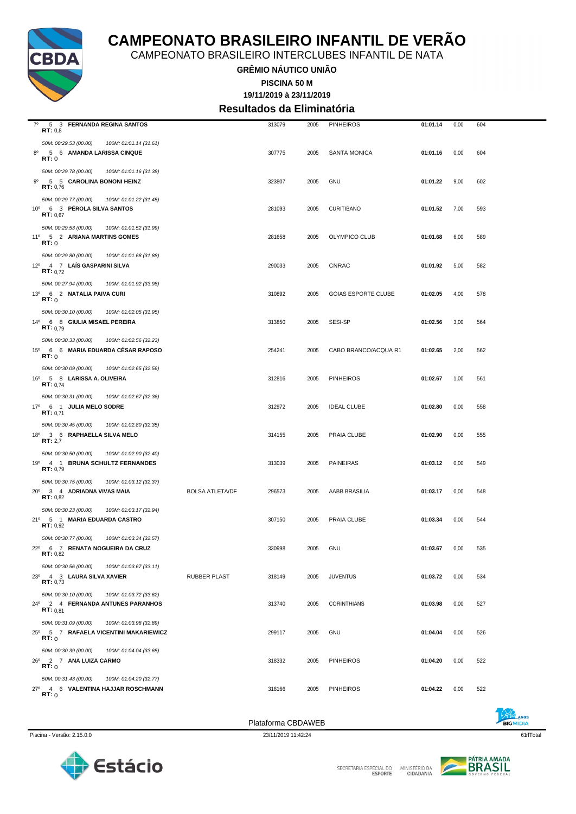

CAMPEONATO BRASILEIRO INTERCLUBES INFANTIL DE NATA

**GRÊMIO NÁUTICO UNIÃO**

**19/11/2019 à 23/11/2019 PISCINA 50 M**

**Resultados da Eliminatória**

| $7^\circ$<br>5 3 FERNANDA REGINA SANTOS                      |                        |                        | 313079 | 2005 | <b>PINHEIROS</b>           | 01:01.14 | 0,00 | 604 |
|--------------------------------------------------------------|------------------------|------------------------|--------|------|----------------------------|----------|------|-----|
| RT: 0,8                                                      |                        |                        |        |      |                            |          |      |     |
| 50M: 00:29.53 (00.00)                                        | 100M: 01:01.14 (31.61) |                        |        |      |                            |          |      |     |
| $8^{\circ}$<br>5 6 AMANDA LARISSA CINQUE<br><b>RT:</b> 0     |                        |                        | 307775 | 2005 | <b>SANTA MONICA</b>        | 01:01.16 | 0,00 | 604 |
|                                                              |                        |                        |        |      |                            |          |      |     |
| 50M: 00:29.78 (00.00)                                        | 100M: 01:01.16 (31.38) |                        |        |      |                            |          |      |     |
| 9º<br>5 5 CAROLINA BONONI HEINZ<br>RT: 0,76                  |                        |                        | 323807 | 2005 | GNU                        | 01:01.22 | 9,00 | 602 |
| 50M: 00:29.77 (00.00)                                        | 100M: 01:01.22 (31.45) |                        |        |      |                            |          |      |     |
| 10° 6 3 PÉROLA SILVA SANTOS                                  |                        |                        | 281093 | 2005 | <b>CURITIBANO</b>          | 01:01.52 | 7,00 | 593 |
| RT: 0.67                                                     |                        |                        |        |      |                            |          |      |     |
| 50M: 00:29.53 (00.00)                                        | 100M: 01:01.52 (31.99) |                        |        |      |                            |          |      |     |
| 11º 5 2 ARIANA MARTINS GOMES                                 |                        |                        | 281658 | 2005 | OLYMPICO CLUB              | 01:01.68 | 6,00 | 589 |
| RT:0                                                         |                        |                        |        |      |                            |          |      |     |
| 50M: 00:29.80 (00.00)                                        | 100M: 01:01.68 (31.88) |                        |        |      |                            |          |      |     |
| 12º 4 7 LAÍS GASPARINI SILVA<br><b>RT:</b> $0.72$            |                        |                        | 290033 | 2005 | <b>CNRAC</b>               | 01:01.92 | 5,00 | 582 |
|                                                              |                        |                        |        |      |                            |          |      |     |
| 50M: 00:27.94 (00.00)                                        | 100M: 01:01.92 (33.98) |                        |        |      |                            |          |      |     |
| 13º 6 2 NATALIA PAIVA CURI<br>RT:0                           |                        |                        | 310892 | 2005 | <b>GOIAS ESPORTE CLUBE</b> | 01:02.05 | 4,00 | 578 |
| 50M: 00:30.10 (00.00)                                        | 100M: 01:02.05 (31.95) |                        |        |      |                            |          |      |     |
| 14º 6 8 GIULIA MISAEL PEREIRA                                |                        |                        | 313850 | 2005 | <b>SESI-SP</b>             | 01:02.56 | 3,00 | 564 |
| RT: 0.79                                                     |                        |                        |        |      |                            |          |      |     |
| 50M: 00:30.33 (00.00)                                        | 100M: 01:02.56 (32.23) |                        |        |      |                            |          |      |     |
| $15^{\circ}$<br>6  6 MARIA EDUARDA CESAR RAPOSO              |                        |                        | 254241 | 2005 | CABO BRANCO/ACQUA R1       | 01:02.65 | 2,00 | 562 |
| RT:0                                                         |                        |                        |        |      |                            |          |      |     |
| 50M: 00:30.09 (00.00)                                        | 100M: 01:02.65 (32.56) |                        |        |      |                            |          |      |     |
| 16 <sup>0</sup> 5 8 LARISSA A. OLIVEIRA<br><b>RT:</b> $0,74$ |                        |                        | 312816 | 2005 | <b>PINHEIROS</b>           | 01:02.67 | 1,00 | 561 |
| 50M: 00:30.31 (00.00)                                        |                        |                        |        |      |                            |          |      |     |
| 17º 6 1 JULIA MELO SODRE                                     | 100M: 01:02.67 (32.36) |                        | 312972 | 2005 | <b>IDEAL CLUBE</b>         | 01:02.80 | 0,00 | 558 |
| RT: 0.71                                                     |                        |                        |        |      |                            |          |      |     |
| 50M: 00:30.45 (00.00)                                        | 100M: 01:02.80 (32.35) |                        |        |      |                            |          |      |     |
| 18º 3 6 RAPHAELLA SILVA MELO                                 |                        |                        | 314155 | 2005 | PRAIA CLUBE                | 01:02.90 | 0,00 | 555 |
| RT: 2,7                                                      |                        |                        |        |      |                            |          |      |     |
| 50M: 00:30.50 (00.00)                                        | 100M: 01:02.90 (32.40) |                        |        |      |                            |          |      |     |
| 19º 4 1 BRUNA SCHULTZ FERNANDES<br>RT: 0,79                  |                        |                        | 313039 | 2005 | <b>PAINEIRAS</b>           | 01:03.12 | 0,00 | 549 |
|                                                              |                        |                        |        |      |                            |          |      |     |
| 50M: 00:30.75 (00.00)<br>20° 3 4 ADRIADNA VIVAS MAIA         | 100M: 01:03.12 (32.37) |                        |        |      | AABB BRASILIA              |          |      |     |
| RT: 0,82                                                     |                        | <b>BOLSA ATLETA/DF</b> | 296573 | 2005 |                            | 01:03.17 | 0,00 | 548 |
| 50M: 00:30.23 (00.00)                                        | 100M: 01:03.17 (32.94) |                        |        |      |                            |          |      |     |
| 21º 5 1 MARIA EDUARDA CASTRO                                 |                        |                        | 307150 | 2005 | PRAIA CLUBE                | 01:03.34 | 0,00 | 544 |
| RT: 0,92                                                     |                        |                        |        |      |                            |          |      |     |
| 50M: 00:30.77 (00.00)                                        | 100M: 01:03.34 (32.57) |                        |        |      |                            |          |      |     |
| 22º 6 7 RENATA NOGUEIRA DA CRUZ<br>RT: 0,82                  |                        |                        | 330998 | 2005 | GNU                        | 01:03.67 | 0,00 | 535 |
|                                                              |                        |                        |        |      |                            |          |      |     |
| 50M: 00:30.56 (00.00)                                        | 100M: 01:03.67 (33.11) |                        |        |      |                            |          |      |     |
| 23º 4 3 LAURA SILVA XAVIER<br>RT: 0,73                       |                        | <b>RUBBER PLAST</b>    | 318149 | 2005 | <b>JUVENTUS</b>            | 01:03.72 | 0,00 | 534 |
| 50M: 00:30.10 (00.00)                                        | 100M: 01:03.72 (33.62) |                        |        |      |                            |          |      |     |
| 24º 2 4 FERNANDA ANTUNES PARANHOS                            |                        |                        | 313740 | 2005 | <b>CORINTHIANS</b>         | 01:03.98 | 0,00 | 527 |
| <b>RT:</b> $0.81$                                            |                        |                        |        |      |                            |          |      |     |
| 50M: 00:31.09 (00.00)                                        | 100M: 01:03.98 (32.89) |                        |        |      |                            |          |      |     |
| 25º 5 7 RAFAELA VICENTINI MAKARIEWICZ<br>RT:0                |                        |                        | 299117 | 2005 | GNU                        | 01:04.04 | 0,00 | 526 |
|                                                              |                        |                        |        |      |                            |          |      |     |
| 50M: 00:30.39 (00.00)                                        | 100M: 01:04.04 (33.65) |                        |        |      |                            |          |      |     |
| 26º 2 7 ANA LUIZA CARMO<br>RT:0                              |                        |                        | 318332 | 2005 | <b>PINHEIROS</b>           | 01:04.20 | 0,00 | 522 |
| 50M: 00:31.43 (00.00)                                        | 100M: 01:04.20 (32.77) |                        |        |      |                            |          |      |     |
| 27º 4 6 VALENTINA HAJJAR ROSCHMANN                           |                        |                        | 318166 | 2005 | <b>PINHEIROS</b>           | 01:04.22 | 0,00 | 522 |
| RT: 0                                                        |                        |                        |        |      |                            |          |      |     |
|                                                              |                        |                        |        |      |                            |          |      |     |





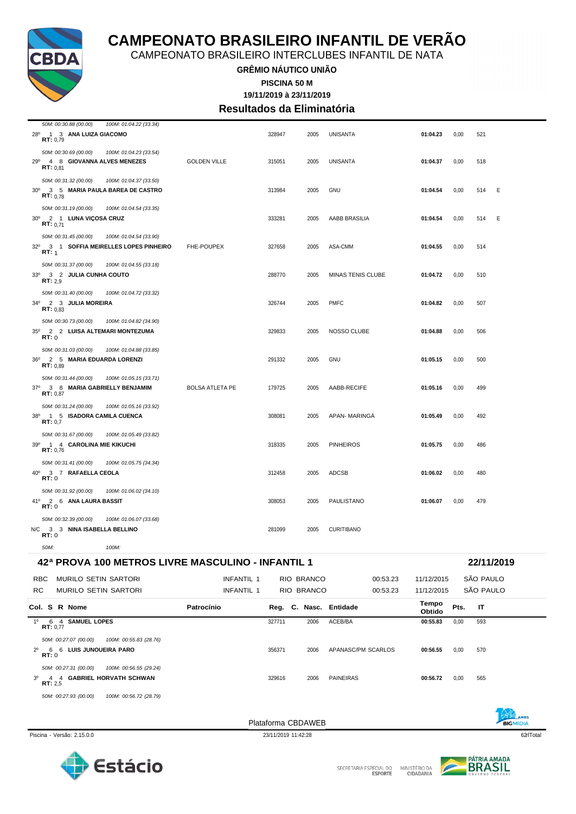

CAMPEONATO BRASILEIRO INTERCLUBES INFANTIL DE NATA

**GRÊMIO NÁUTICO UNIÃO**

**PISCINA 50 M**

**19/11/2019 à 23/11/2019 Resultados da Eliminatória**

| 3º 4 4 GABRIEL HORVATH SCHWAN<br>RT: 2,5                                                  |                        | 329616 | 2006                   | <b>PAINEIRAS</b>   | 00:56.72        | 0,00 | 565        |  |
|-------------------------------------------------------------------------------------------|------------------------|--------|------------------------|--------------------|-----------------|------|------------|--|
| RT:0<br>50M: 00:27.31 (00.00)<br>100M: 00:56.55 (29.24)                                   |                        |        |                        |                    |                 |      |            |  |
| 50M: 00:27.07 (00.00)<br>100M: 00:55.83 (28.76)<br>6 6 LUIS JUNQUEIRA PARO<br>$2^{\circ}$ |                        | 356371 | 2006                   | APANASC/PM SCARLOS | 00:56.55        | 0,00 | 570        |  |
| 1º 6 4 SAMUEL LOPES<br>RT: 0,77                                                           |                        | 327711 | 2006                   | ACEB/BA            | 00:55.83        | 0,00 | 593        |  |
| Col. S R Nome                                                                             | Patrocínio             |        | Reg. C. Nasc. Entidade |                    | Tempo<br>Obtido | Pts. | IT         |  |
| RC.<br>MURILO SETIN SARTORI                                                               | INFANTIL 1             |        | RIO BRANCO             | 00:53.23           | 11/12/2015      |      | SÃO PAULO  |  |
| MURILO SETIN SARTORI<br><b>RBC</b>                                                        | INFANTIL 1             |        | RIO BRANCO             | 00:53.23           | 11/12/2015      |      | SÃO PAULO  |  |
| 42ª PROVA 100 METROS LIVRE MASCULINO - INFANTIL 1                                         |                        |        |                        |                    |                 |      | 22/11/2019 |  |
| 50M:<br>100M:                                                                             |                        |        |                        |                    |                 |      |            |  |
| N/C 3 3 NINA ISABELLA BELLINO<br>RT:0                                                     |                        | 281099 | 2005                   | <b>CURITIBANO</b>  |                 |      |            |  |
| 50M: 00:32.39 (00.00)<br>100M: 01:06.07 (33.68)                                           |                        |        |                        |                    |                 |      |            |  |
| 41º 2 6 ANA LAURA BASSIT<br>RT:0                                                          |                        | 308053 | 2005                   | PAULISTANO         | 01:06.07        | 0,00 | 479        |  |
| 50M: 00:31.92 (00.00)<br>100M: 01:06.02 (34.10)                                           |                        |        |                        |                    |                 |      |            |  |
| 40° 3 7 RAFAELLA CEOLA<br>RT:0                                                            |                        | 312458 | 2005                   | ADCSB              | 01:06.02        | 0,00 | 480        |  |
| 50M: 00:31.41 (00.00)<br>100M: 01:05.75 (34.34)                                           |                        |        |                        |                    |                 |      |            |  |
| 39º 1 4 CAROLINA MIE KIKUCHI<br>RT: 0,76                                                  |                        | 318335 | 2005                   | <b>PINHEIROS</b>   | 01:05.75        | 0,00 | 486        |  |
| RT: 0.7<br>50M: 00:31.67 (00.00)<br>100M: 01:05.49 (33.82)                                |                        |        |                        |                    |                 |      |            |  |
| 50M: 00:31.24 (00.00)<br>100M: 01:05.16 (33.92)<br>38º 1 5 ISADORA CAMILA CUENCA          |                        | 308081 | 2005                   | APAN- MARINGA      | 01:05.49        | 0,00 | 492        |  |
| RT: 0,87                                                                                  |                        |        |                        |                    |                 |      |            |  |
| 50M: 00:31.44 (00.00)<br>100M: 01:05.15 (33.71)<br>37º 3 8 MARIA GABRIELLY BENJAMIM       | <b>BOLSA ATLETA PE</b> | 179725 | 2005                   | AABB-RECIFE        | 01:05.16        | 0,00 | 499        |  |
| 36º 2 5 MARIA EDUARDA LORENZI<br>RT: 0.89                                                 |                        | 291332 | 2005                   | GNU                | 01:05.15        | 0,00 | 500        |  |
| 50M: 00:31.03 (00.00)<br>100M: 01:04.88 (33.85)                                           |                        |        |                        |                    |                 |      |            |  |
| 2 2 LUISA ALTEMARI MONTEZUMA<br>$35^{\circ}$<br>RT:0                                      |                        | 329833 | 2005                   | NOSSO CLUBE        | 01:04.88        | 0,00 | 506        |  |
| <b>RT:</b> $0.83$<br>50M: 00:30.73 (00.00)<br>100M: 01:04.82 (34.90)                      |                        |        |                        |                    |                 |      |            |  |
| 50M: 00:31.40 (00.00)<br>100M: 01:04.72 (33.32)<br>34º 2 3 JULIA MOREIRA                  |                        | 326744 | 2005                   | <b>PMFC</b>        | 01:04.82        | 0,00 | 507        |  |
| 33º 3 2 JULIA CUNHA COUTO<br><b>RT:</b> 2,9                                               |                        | 288770 | 2005                   | MINAS TENIS CLUBE  | 01:04.72        | 0,00 | 510        |  |
| 50M: 00:31.37 (00.00)<br>100M: 01:04.55 (33.18)                                           |                        |        |                        |                    |                 |      |            |  |
| 32º 3 1 SOFFIA MEIRELLES LOPES PINHEIRO<br>RT: 1                                          | FHE-POUPEX             | 327658 | 2005                   | ASA-CMM            | 01:04.55        | 0,00 | 514        |  |
| <b>RT:</b> $0.71$<br>50M: 00:31.45 (00.00)<br>100M: 01:04.54 (33.90)                      |                        |        |                        |                    |                 |      |            |  |
| 50M: 00:31.19 (00.00)<br>100M: 01:04.54 (33.35)<br>30° 2 1 LUNA VIÇOSA CRUZ               |                        | 333281 | 2005                   | AABB BRASILIA      | 01:04.54        | 0,00 | 514<br>Ε   |  |
| RT: 0.78                                                                                  |                        |        |                        |                    |                 |      |            |  |
| 50M: 00:31.32 (00.00)<br>100M: 01:04.37 (33.50)<br>30° 3 5 MARIA PAULA BAREA DE CASTRO    |                        | 313984 | 2005                   | <b>GNU</b>         | 01:04.54        | 0,00 | Ε<br>514   |  |
| 29º 4 8 GIOVANNA ALVES MENEZES<br>RT: 0.81                                                | <b>GOLDEN VILLE</b>    | 315051 | 2005                   | <b>UNISANTA</b>    | 01:04.37        | 0,00 | 518        |  |
| 50M: 00:30.69 (00.00)<br>100M: 01:04.23 (33.54)                                           |                        |        |                        |                    |                 |      |            |  |
| 28 <sup>°</sup><br>1 3 ANA LUIZA GIACOMO<br>RT: 0,79                                      |                        | 328947 | 2005                   | <b>UNISANTA</b>    | 01:04.23        | 0,00 | 521        |  |
| 50M: 00:30.88 (00.00)<br>100M: 01:04.22 (33.34)                                           |                        |        |                        |                    |                 |      |            |  |

*50M: 00:27.93 (00.00) 100M: 00:56.72 (28.79)*

Plataforma CBDAWEB



Piscina - Versão: 2.15.0.0 621Total 23/11/2019 11:42:28 621Total 23/11/2019 11:42:28 621Total 23/11/2019 11:42:28 621Total 23/11/2019 11:42:28 621Total 23/11/2019 11:42:28 621Total 23/11/2019 11:42:28 621Total 23/11/2019 1



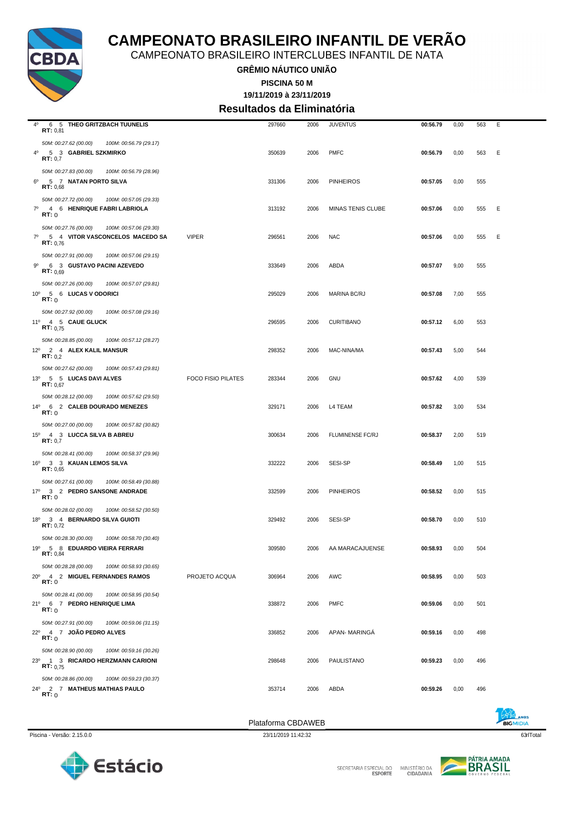

CAMPEONATO BRASILEIRO INTERCLUBES INFANTIL DE NATA

**GRÊMIO NÁUTICO UNIÃO**

**19/11/2019 à 23/11/2019 PISCINA 50 M**

**Resultados da Eliminatória**

|             |                                                                                                       |                           | Plataforma CBDAWEB |      |                          |          |      |     |   |
|-------------|-------------------------------------------------------------------------------------------------------|---------------------------|--------------------|------|--------------------------|----------|------|-----|---|
|             | 50M: 00:28.86 (00.00)<br>100M: 00:59.23 (30.37)<br>24º 2 7 MATHEUS MATHIAS PAULO<br>RT:0              |                           | 353714             | 2006 | ABDA                     | 00:59.26 | 0,00 | 496 |   |
|             | 50M: 00:28.90 (00.00)<br>100M: 00:59.16 (30.26)<br>23º 1 3 RICARDO HERZMANN CARIONI<br>RT: 0.75       |                           | 298648             | 2006 | PAULISTANO               | 00:59.23 | 0,00 | 496 |   |
|             | 50M: 00:27.91 (00.00)<br>100M: 00:59.06 (31.15)<br>22º 4 7 JOÃO PEDRO ALVES<br>RT:0                   |                           | 336852             | 2006 | <b>APAN-MARINGA</b>      | 00:59.16 | 0,00 | 498 |   |
|             | 50M: 00:28.41 (00.00)<br>100M: 00:58.95 (30.54)<br>21º 6 7 PEDRO HENRIQUE LIMA<br>RT:0                |                           | 338872             | 2006 | <b>PMFC</b>              | 00:59.06 | 0,00 | 501 |   |
|             | 50M: 00:28.28 (00.00)<br>100M: 00:58.93 (30.65)<br>20° 4 2 MIGUEL FERNANDES RAMOS<br>RT:0             | PROJETO ACQUA             | 306964             | 2006 | AWC                      | 00:58.95 | 0,00 | 503 |   |
|             | 50M: 00:28.30 (00.00)<br>100M: 00:58.70 (30.40)<br>19º 5 8 EDUARDO VIEIRA FERRARI<br>RT: 0,84         |                           | 309580             | 2006 | AA MARACAJUENSE          | 00:58.93 | 0,00 | 504 |   |
|             | 50M: 00:28.02 (00.00)<br>100M: 00:58.52 (30.50)<br>18º 3 4 BERNARDO SILVA GUIOTI<br><b>RT:</b> $0,72$ |                           | 329492             | 2006 | SESI-SP                  | 00:58.70 | 0,00 | 510 |   |
|             | 50M: 00:27.61 (00.00)<br>100M: 00:58.49 (30.88)<br>17º 3 2 PEDRO SANSONE ANDRADE<br>RT:0              |                           | 332599             | 2006 | <b>PINHEIROS</b>         | 00:58.52 | 0,00 | 515 |   |
|             | 50M: 00:28.41 (00.00)<br>100M: 00:58.37 (29.96)<br>16º 3 3 KAUAN LEMOS SILVA<br>RT: 0,65              |                           | 332222             | 2006 | SESI-SP                  | 00:58.49 | 1,00 | 515 |   |
|             | 50M: 00:27.00 (00.00)<br>100M: 00:57.82 (30.82)<br>15º 4 3 LUCCA SILVA B ABREU<br>RT: 0,7             |                           | 300634             | 2006 | <b>FLUMINENSE FC/RJ</b>  | 00:58.37 | 2,00 | 519 |   |
|             | 50M: 00:28.12 (00.00)<br>100M: 00:57.62 (29.50)<br>14º 6 2 CALEB DOURADO MENEZES<br>RT:0              |                           | 329171             | 2006 | L4 TEAM                  | 00:57.82 | 3,00 | 534 |   |
|             | 50M: 00:27.62 (00.00)<br>100M: 00:57.43 (29.81)<br>13º 5 5 LUCAS DAVI ALVES<br><b>RT:</b> $0.67$      | <b>FOCO FISIO PILATES</b> | 283344             | 2006 | GNU                      | 00:57.62 | 4,00 | 539 |   |
|             | 50M: 00:28.85 (00.00)<br>100M: 00:57.12 (28.27)<br>12º 2 4 ALEX KALIL MANSUR<br><b>RT:</b> $0,2$      |                           | 298352             | 2006 | MAC-NINA/MA              | 00:57.43 | 5,00 | 544 |   |
|             | 50M: 00:27.92 (00.00)<br>100M: 00:57.08 (29.16)<br>11º 4 5 CAUE GLUCK<br><b>RT:</b> $0,75$            |                           | 296595             | 2006 | <b>CURITIBANO</b>        | 00:57.12 | 6,00 | 553 |   |
|             | 50M: 00:27.26 (00.00)<br>100M: 00:57.07 (29.81)<br>10° 5 6 LUCAS V ODORICI<br>RT:0                    |                           | 295029             | 2006 | <b>MARINA BC/RJ</b>      | 00:57.08 | 7,00 | 555 |   |
| 90          | 50M: 00:27.91 (00.00)<br>100M: 00:57.06 (29.15)<br>6 3 GUSTAVO PACINI AZEVEDO<br>RT: 0.69             |                           | 333649             | 2006 | ABDA                     | 00:57.07 | 9,00 | 555 |   |
| $7^\circ$   | 50M: 00:27.76 (00.00)<br>100M: 00:57.06 (29.30)<br>5 4 VITOR VASCONCELOS MACEDO SA<br>RT: 0.76        | <b>VIPER</b>              | 296561             | 2006 | <b>NAC</b>               | 00:57.06 | 0,00 | 555 | Ε |
| $7^{\circ}$ | 50M: 00:27.72 (00.00)<br>100M: 00:57.05 (29.33)<br>4 6 HENRIQUE FABRI LABRIOLA<br>RT:0                |                           | 313192             | 2006 | <b>MINAS TENIS CLUBE</b> | 00:57.06 | 0,00 | 555 | Ε |
| $6^{\circ}$ | 50M: 00:27.83 (00.00)<br>100M: 00:56.79 (28.96)<br>5 7 NATAN PORTO SILVA<br>RT: 0,68                  |                           | 331306             | 2006 | <b>PINHEIROS</b>         | 00:57.05 | 0,00 | 555 |   |
|             | 50M: 00:27.62 (00.00)<br>100M: 00:56.79 (29.17)<br>4º 5 3 GABRIEL SZKMIRKO<br>RT: 0,7                 |                           | 350639             | 2006 | <b>PMFC</b>              | 00:56.79 | 0,00 | 563 | Ε |
| 40          | 6 5 THEO GRITZBACH TUUNELIS<br>RT: 0,81                                                               |                           | 297660             | 2006 | <b>JUVENTUS</b>          | 00:56.79 | 0,00 | 563 | E |



Piscina - Versão: 2.15.0.0 63rlTotal 23/11/2019 11:42:32 63rlTotal 23/11/2019 11:42:32 63rlTotal 23/11/2019 11:42:32 63rlTotal 23/11/2019 11:42:32 63rlTotal 23/11/2019 11:42:32 63rlTotal 23/11/2019 11:42:32 63rlTotal 2011

Estácio

Plataforma CBDAWEB

SECRETARIA ESPECIAL DO MINISTÉRIO DA<br>CIDADANIA

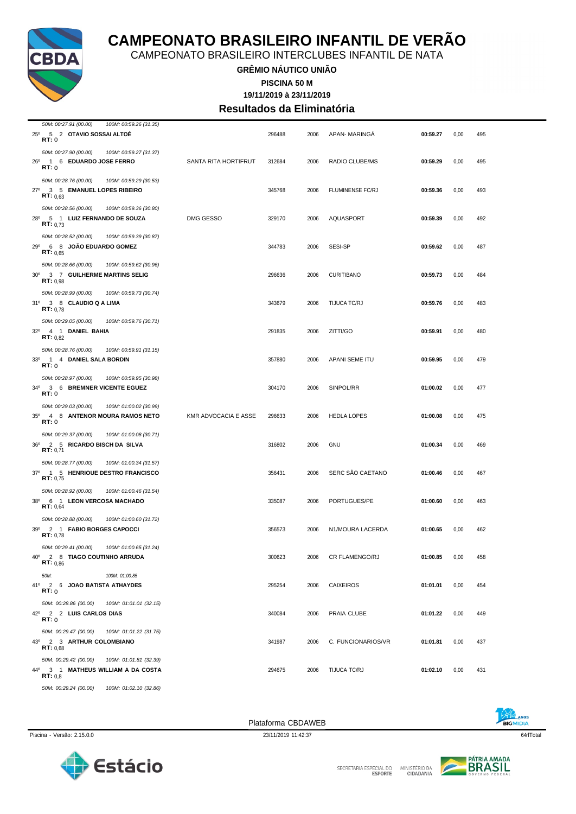

CAMPEONATO BRASILEIRO INTERCLUBES INFANTIL DE NATA

#### **GRÊMIO NÁUTICO UNIÃO 19/11/2019 à 23/11/2019 PISCINA 50 M**

**Resultados da Eliminatória**

| 50M: 00:27.91 (00.00)<br>100M: 00:59.26 (31.35)                                                           |                             |        |      |                       |          |      |     |
|-----------------------------------------------------------------------------------------------------------|-----------------------------|--------|------|-----------------------|----------|------|-----|
| 25º 5 2 OTAVIO SOSSAI ALTOE<br>RT:0                                                                       |                             | 296488 | 2006 | APAN- MARINGA         | 00:59.27 | 0,00 | 495 |
| 50M: 00:27.90 (00.00)<br>100M: 00:59.27 (31.37)<br>26º 1 6 EDUARDO JOSE FERRO<br>RT:0                     | SANTA RITA HORTIFRUT        | 312684 | 2006 | RADIO CLUBE/MS        | 00:59.29 | 0,00 | 495 |
| 50M: 00:28.76 (00.00)<br>100M: 00:59.29 (30.53)<br>$27^{\circ}$<br>3 5 EMANUEL LOPES RIBEIRO<br>RT: 0,63  |                             | 345768 | 2006 | FLUMINENSE FC/RJ      | 00:59.36 | 0,00 | 493 |
| 50M: 00:28.56 (00.00)<br>100M: 00:59.36 (30.80)<br>28º 5 1 LUIZ FERNANDO DE SOUZA<br>RT: 0.73             | DMG GESSO                   | 329170 | 2006 | AQUASPORT             | 00:59.39 | 0,00 | 492 |
| 50M: 00:28.52 (00.00)<br>100M: 00:59.39 (30.87)<br>6 8 JOÃO EDUARDO GOMEZ<br>$29^{\circ}$<br>RT: 0.65     |                             | 344783 | 2006 | <b>SESI-SP</b>        | 00:59.62 | 0,00 | 487 |
| 50M: 00:28.66 (00.00)<br>100M: 00:59.62 (30.96)<br>30° 3 7 GUILHERME MARTINS SELIG<br>RT: 0.98            |                             | 296636 | 2006 | <b>CURITIBANO</b>     | 00:59.73 | 0,00 | 484 |
| 50M: 00:28.99 (00.00)<br>100M: 00:59.73 (30.74)<br>31º 3 8 CLAUDIO Q A LIMA<br>RT: 0,78                   |                             | 343679 | 2006 | TIJUCA TC/RJ          | 00:59.76 | 0,00 | 483 |
| 50M: 00:29.05 (00.00)<br>100M: 00:59.76 (30.71)<br>32º 4 1 DANIEL BAHIA<br>RT: 0.82                       |                             | 291835 | 2006 | ZITTI/GO              | 00:59.91 | 0,00 | 480 |
| 50M: 00:28.76 (00.00)<br>100M: 00:59.91 (31.15)<br>33º 1 4 DANIEL SALA BORDIN<br>RT:0                     |                             | 357880 | 2006 | APANI SEME ITU        | 00:59.95 | 0,00 | 479 |
| 50M: 00:28.97 (00.00)<br>100M: 00:59.95 (30.98)<br>34º 3 6 BREMNER VICENTE EGUEZ<br>RT:0                  |                             | 304170 | 2006 | SINPOL/RR             | 01:00.02 | 0,00 | 477 |
| 50M: 00:29.03 (00.00)<br>100M: 01:00.02 (30.99)<br>35º 4 8 ANTENOR MOURA RAMOS NETO<br>RT:0               | <b>KMR ADVOCACIA E ASSE</b> | 296633 | 2006 | <b>HEDLA LOPES</b>    | 01:00.08 | 0,00 | 475 |
| 50M: 00:29.37 (00.00)<br>100M: 01:00.08 (30.71)<br>2 5 RICARDO BISCH DA SILVA<br>$36^{\circ}$<br>RT: 0,71 |                             | 316802 | 2006 | <b>GNU</b>            | 01:00.34 | 0,00 | 469 |
| 50M: 00:28.77 (00.00)<br>100M: 01:00.34 (31.57)<br>37º 1 5 HENRIQUE DESTRO FRANCISCO<br>RT: 0.75          |                             | 356431 | 2006 | SERC SÃO CAETANO      | 01:00.46 | 0,00 | 467 |
| 50M: 00:28.92 (00.00)<br>100M: 01:00.46 (31.54)<br>38º 6 1 LEON VERCOSA MACHADO<br>RT: 0,64               |                             | 335087 | 2006 | PORTUGUES/PE          | 01:00.60 | 0,00 | 463 |
| 50M: 00:28.88 (00.00)<br>100M: 01:00.60 (31.72)<br>39º 2 1 FABIO BORGES CAPOCCI<br><b>RT: 0.78</b>        |                             | 356573 | 2006 | N1/MOURA LACERDA      | 01:00.65 | 0,00 | 462 |
| 50M: 00:29.41 (00.00)<br>100M: 01:00.65 (31.24)<br>40° 2 8 TIAGO COUTINHO ARRUDA<br><b>RT:</b> $0,86$     |                             | 300623 | 2006 | <b>CR FLAMENGO/RJ</b> | 01:00.85 | 0,00 | 458 |
| 50M:<br>100M: 01:00.85<br>41º 2 6 JOAO BATISTA ATHAYDES<br>RT:0                                           |                             | 295254 | 2006 | <b>CAIXEIROS</b>      | 01:01.01 | 0,00 | 454 |
| 50M: 00:28.86 (00.00)<br>100M: 01:01.01 (32.15)<br>42º 2 2 LUIS CARLOS DIAS<br>RT:0                       |                             | 340084 | 2006 | PRAIA CLUBE           | 01:01.22 | 0,00 | 449 |
| 50M: 00:29.47 (00.00)<br>100M: 01:01.22 (31.75)<br>43º 2 3 ARTHUR COLOMBIANO<br>RT: 0.68                  |                             | 341987 | 2006 | C. FUNCIONARIOS/VR    | 01:01.81 | 0,00 | 437 |
| 50M: 00:29.42 (00.00)<br>100M: 01:01.81 (32.39)<br>44º 3 1 MATHEUS WILLIAM A DA COSTA<br>RT: 0.8          |                             | 294675 | 2006 | TIJUCA TC/RJ          | 01:02.10 | 0,00 | 431 |
| 50M: 00:29.24 (00.00)<br>100M: 01:02.10 (32.86)                                                           |                             |        |      |                       |          |      |     |





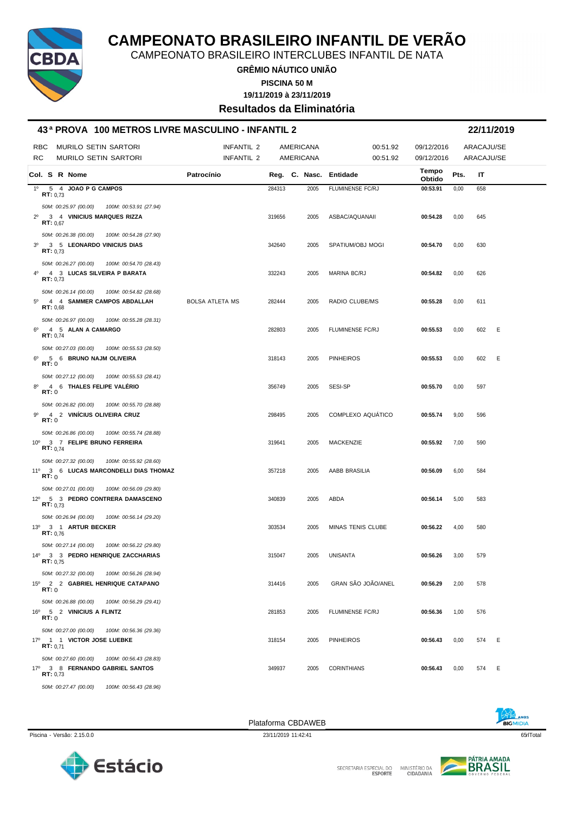

CAMPEONATO BRASILEIRO INTERCLUBES INFANTIL DE NATA

**GRÊMIO NÁUTICO UNIÃO**

**PISCINA 50 M**

**19/11/2019 à 23/11/2019**

**Resultados da Eliminatória**

#### **43 ª PROVA 100 METROS LIVRE MASCULINO - INFANTIL 2 22/11/2019**

| RBC<br><b>MURILO SETIN SARTORI</b><br>RC<br><b>MURILO SETIN SARTORI</b>                                     | INFANTIL 2<br>INFANTIL 2 |        | AMERICANA<br>AMERICANA | 00:51.92<br>00:51.92     | 09/12/2016<br>09/12/2016 | ARACAJU/SE<br>ARACAJU/SE |     |   |
|-------------------------------------------------------------------------------------------------------------|--------------------------|--------|------------------------|--------------------------|--------------------------|--------------------------|-----|---|
| Col. S R Nome                                                                                               | Patrocínio               |        | Reg. C. Nasc. Entidade |                          | Tempo<br>Obtido          | Pts.                     | IT  |   |
| 1º 5 4 JOAO P G CAMPOS<br>RT: 0.73                                                                          |                          | 284313 | 2005                   | FLUMINENSE FC/RJ         | 00:53.91                 | 0,00                     | 658 |   |
| 50M: 00:25.97 (00.00)<br>100M: 00:53.91 (27.94)<br>2º 3 4 VINICIUS MARQUES RIZZA                            |                          | 319656 | 2005                   | ASBAC/AQUANAII           | 00:54.28                 | 0,00                     | 645 |   |
| RT: 0,67<br>50M: 00:26.38 (00.00)<br>100M: 00:54.28 (27.90)                                                 |                          |        |                        |                          |                          |                          |     |   |
| 3 <sup>0</sup><br>3 5 LEONARDO VINICIUS DIAS<br>RT: 0.73                                                    |                          | 342640 | 2005                   | SPATIUM/OBJ MOGI         | 00:54.70                 | 0,00                     | 630 |   |
| 50M: 00:26.27 (00.00)<br>100M: 00:54.70 (28.43)<br>4º 4 3 LUCAS SILVEIRA P BARATA<br>RT: 0.73               |                          | 332243 | 2005                   | MARINA BC/RJ             | 00:54.82                 | 0,00                     | 626 |   |
| 50M: 00:26.14 (00.00)<br>100M: 00:54.82 (28.68)<br>$5^{\circ}$<br>4 4 SAMMER CAMPOS ABDALLAH<br>RT: 0,68    | <b>BOLSA ATLETA MS</b>   | 282444 | 2005                   | RADIO CLUBE/MS           | 00:55.28                 | 0,00                     | 611 |   |
| 50M: 00:26.97 (00.00)<br>100M: 00:55.28 (28.31)<br>4 5 ALAN A CAMARGO<br>6°<br>RT: 0.74                     |                          | 282803 | 2005                   | <b>FLUMINENSE FC/RJ</b>  | 00:55.53                 | 0,00                     | 602 | E |
| 50M: 00:27.03 (00.00)<br>100M: 00:55.53 (28.50)<br>$6^{\circ}$<br>5 6 BRUNO NAJM OLIVEIRA<br>RT:0           |                          | 318143 | 2005                   | <b>PINHEIROS</b>         | 00:55.53                 | 0,00                     | 602 | E |
| 50M: 00:27.12 (00.00)<br>100M: 00:55.53 (28.41)<br>4 6 THALES FELIPE VALÉRIO<br>$8^{\circ}$<br><b>RT:</b> 0 |                          | 356749 | 2005                   | SESI-SP                  | 00:55.70                 | 0,00                     | 597 |   |
| 50M: 00:26.82 (00.00)<br>100M: 00:55.70 (28.88)<br>4 2 VINÍCIUS OLIVEIRA CRUZ<br>gº<br>RT:0                 |                          | 298495 | 2005                   | COMPLEXO AQUÁTICO        | 00:55.74                 | 9,00                     | 596 |   |
| 50M: 00:26.86 (00.00)<br>100M: 00:55.74 (28.88)<br>10° 3 7 FELIPE BRUNO FERREIRA<br><b>RT:</b> $0,74$       |                          | 319641 | 2005                   | MACKENZIE                | 00:55.92                 | 7,00                     | 590 |   |
| 50M: 00:27.32 (00.00)<br>100M: 00:55.92 (28.60)<br>11º 3 6 LUCAS MARCONDELLI DIAS THOMAZ<br>RT:0            |                          | 357218 | 2005                   | AABB BRASILIA            | 00:56.09                 | 6,00                     | 584 |   |
| 50M: 00:27.01 (00.00)<br>100M: 00:56.09 (29.80)<br>12º 5 3 PEDRO CONTRERA DAMASCENO<br>RT: 0.73             |                          | 340839 | 2005                   | ABDA                     | 00:56.14                 | 5,00                     | 583 |   |
| 50M: 00:26.94 (00.00)<br>100M: 00:56.14 (29.20)<br>13º 3 1 ARTUR BECKER<br>RT: 0,76                         |                          | 303534 | 2005                   | <b>MINAS TENIS CLUBE</b> | 00:56.22                 | 4,00                     | 580 |   |
| 50M: 00:27.14 (00.00)<br>100M: 00:56.22 (29.80)<br>14º 3 3 PEDRO HENRIQUE ZACCHARIAS<br>RT: 0.75            |                          | 315047 | 2005                   | <b>UNISANTA</b>          | 00:56.26                 | 3,00                     | 579 |   |
| 50M: 00:27.32 (00.00) 100M: 00:56.26 (28.94)<br>15º 2 2 GABRIEL HENRIQUE CATAPANO<br>RT:0                   |                          | 314416 | 2005                   | GRAN SÃO JOÃO/ANEL       | 00:56.29                 | 2,00                     | 578 |   |
| 50M: 00:26.88 (00.00)<br>100M: 00:56.29 (29.41)<br>16º 5 2 VINICIUS A FLINTZ<br>RT:0                        |                          | 281853 | 2005                   | FLUMINENSE FC/RJ         | 00:56.36                 | 1,00                     | 576 |   |
| 50M: 00:27.00 (00.00)<br>100M: 00:56.36 (29.36)<br>17º 1 1 VICTOR JOSE LUEBKE<br><b>RT:</b> $0,71$          |                          | 318154 | 2005                   | <b>PINHEIROS</b>         | 00:56.43                 | 0,00                     | 574 | E |
| 50M: 00:27.60 (00.00)<br>100M: 00:56.43 (28.83)<br>17º 3 8 FERNANDO GABRIEL SANTOS<br>RT: 0,73              |                          | 349937 | 2005                   | <b>CORINTHIANS</b>       | 00:56.43                 | 0,00                     | 574 | E |
| 50M: 00:27.47 (00.00) 100M: 00:56.43 (28.96)                                                                |                          |        |                        |                          |                          |                          |     |   |



Piscina - Versão: 2.15.0.0 65rlTotal 23/11/2019 11:42:41 65rlTotal 23/11/2019 11:42:41 65rlTotal 65rlTotal 65rlTotal 65rlTotal 65rlTotal 65rlTotal 65rlTotal 65rlTotal 65rlTotal 65rlTotal 65rlTotal 65rlTotal 65rlTotal 65rlT Plataforma CBDAWEB



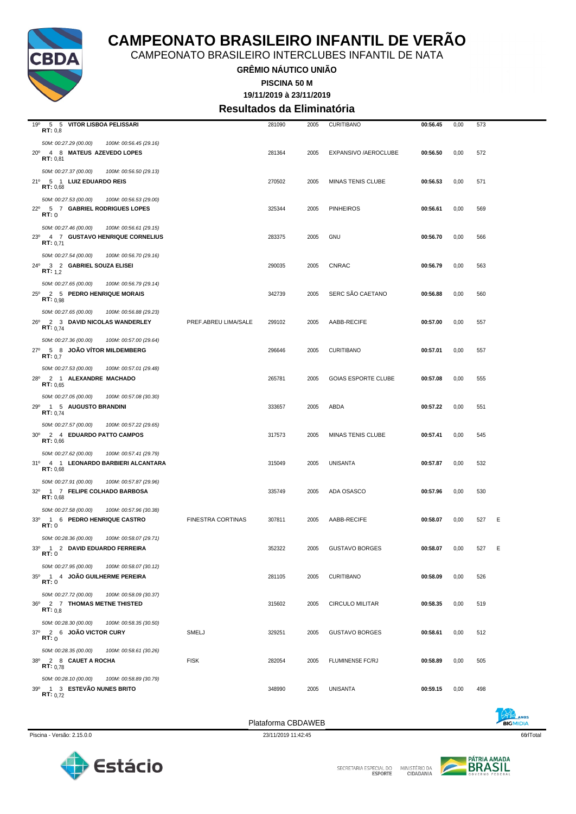

CAMPEONATO BRASILEIRO INTERCLUBES INFANTIL DE NATA

**GRÊMIO NÁUTICO UNIÃO**

**19/11/2019 à 23/11/2019 PISCINA 50 M**

**Resultados da Eliminatória**

| 19º 5 5 VITOR LISBOA PELISSARI<br>RT: 0,8                                                           |                          | 281090             | 2005 | <b>CURITIBANO</b>          | 00:56.45 | 0,00 | 573 |   |
|-----------------------------------------------------------------------------------------------------|--------------------------|--------------------|------|----------------------------|----------|------|-----|---|
| 50M: 00:27.29 (00.00)<br>100M: 00:56.45 (29.16)<br>20° 4 8 MATEUS AZEVEDO LOPES<br>RT: 0,81         |                          | 281364             | 2005 | EXPANSIVO / AEROCLUBE      | 00:56.50 | 0,00 | 572 |   |
| 50M: 00:27.37 (00.00)<br>100M: 00:56.50 (29.13)<br>21º 5 1 LUIZ EDUARDO REIS<br>RT: 0,68            |                          | 270502             | 2005 | MINAS TENIS CLUBE          | 00:56.53 | 0,00 | 571 |   |
| 50M: 00:27.53 (00.00)<br>100M: 00:56.53 (29.00)<br>22º 5 7 GABRIEL RODRIGUES LOPES<br>RT:0          |                          | 325344             | 2005 | <b>PINHEIROS</b>           | 00:56.61 | 0,00 | 569 |   |
| 50M: 00:27.46 (00.00)<br>100M: 00:56.61 (29.15)<br>23º 4 7 GUSTAVO HENRIQUE CORNELIUS<br>RT: 0.71   |                          | 283375             | 2005 | <b>GNU</b>                 | 00:56.70 | 0,00 | 566 |   |
| 50M: 00:27.54 (00.00)<br>100M: 00:56.70 (29.16)<br>24º 3 2 GABRIEL SOUZA ELISEI<br><b>RT:</b> $1,2$ |                          | 290035             | 2005 | <b>CNRAC</b>               | 00:56.79 | 0,00 | 563 |   |
| 50M: 00:27.65 (00.00)<br>100M: 00:56.79 (29.14)<br>25º 2 5 PEDRO HENRIQUE MORAIS<br>RT: 0.98        |                          | 342739             | 2005 | SERC SÃO CAETANO           | 00:56.88 | 0,00 | 560 |   |
| 50M: 00:27.65 (00.00)<br>100M: 00:56.88 (29.23)<br>26º 2 3 DAVID NICOLAS WANDERLEY<br>RT: 0.74      | PREF.ABREU LIMA/SALE     | 299102             | 2005 | AABB-RECIFE                | 00:57.00 | 0,00 | 557 |   |
| 50M: 00:27.36 (00.00)<br>100M: 00:57.00 (29.64)<br>27º 5 8 JOAO VITOR MILDEMBERG<br>RT: 0.7         |                          | 296646             | 2005 | <b>CURITIBANO</b>          | 00:57.01 | 0,00 | 557 |   |
| 50M: 00:27.53 (00.00)<br>100M: 00:57.01 (29.48)<br>28º 2 1 ALEXANDRE MACHADO<br>RT: 0.65            |                          | 265781             | 2005 | <b>GOIAS ESPORTE CLUBE</b> | 00:57.08 | 0,00 | 555 |   |
| 50M: 00:27.05 (00.00)<br>100M: 00:57.08 (30.30)<br>29º 1 5 AUGUSTO BRANDINI<br><b>RT:</b> $0,74$    |                          | 333657             | 2005 | ABDA                       | 00:57.22 | 0,00 | 551 |   |
| 50M: 00:27.57 (00.00)<br>100M: 00:57.22 (29.65)<br>30° 2 4 EDUARDO PATTO CAMPOS<br>RT: 0,66         |                          | 317573             | 2005 | MINAS TENIS CLUBE          | 00:57.41 | 0,00 | 545 |   |
| 50M: 00:27.62 (00.00)<br>100M: 00:57.41 (29.79)<br>31º 4 1 LEONARDO BARBIERI ALCANTARA<br>RT: 0.68  |                          | 315049             | 2005 | UNISANTA                   | 00:57.87 | 0,00 | 532 |   |
| 50M: 00:27.91 (00.00)<br>100M: 00:57.87 (29.96)<br>32º 1 7 FELIPE COLHADO BARBOSA<br>RT: 0,68       |                          | 335749             | 2005 | ADA OSASCO                 | 00:57.96 | 0,00 | 530 |   |
| 50M: 00:27.58 (00.00)<br>100M: 00:57.96 (30.38)<br>33º 1 6 PEDRO HENRIQUE CASTRO<br>RT:0            | <b>FINESTRA CORTINAS</b> | 307811             | 2005 | AABB-RECIFE                | 00:58.07 | 0,00 | 527 | Ε |
| 50M: 00:28.36 (00.00)<br>100M: 00:58.07 (29.71)<br>33º 1 2 DAVID EDUARDO FERREIRA<br><b>RT:</b> 0   |                          | 352322             | 2005 | <b>GUSTAVO BORGES</b>      | 00:58.07 | 0,00 | 527 | Ε |
| 50M: 00:27.95 (00.00)<br>100M: 00:58.07 (30.12)<br>35º 1 4 JOÃO GUILHERME PEREIRA<br>RT:0           |                          | 281105             | 2005 | <b>CURITIBANO</b>          | 00:58.09 | 0,00 | 526 |   |
| 50M: 00:27.72 (00.00)<br>100M: 00:58.09 (30.37)<br>36º 2 7 THOMAS METNE THISTED<br>RT: 0,8          |                          | 315602             | 2005 | <b>CIRCULO MILITAR</b>     | 00:58.35 | 0,00 | 519 |   |
| 50M: 00:28.30 (00.00)<br>100M: 00:58.35 (30.50)<br>37º 2 6 JOÃO VICTOR CURY<br>RT:0                 | SMELJ                    | 329251             | 2005 | <b>GUSTAVO BORGES</b>      | 00:58.61 | 0,00 | 512 |   |
| 50M: 00:28.35 (00.00)<br>100M: 00:58.61 (30.26)<br>38º 2 8 CAUET A ROCHA<br>RT: 0.78                | <b>FISK</b>              | 282054             | 2005 | FLUMINENSE FC/RJ           | 00:58.89 | 0,00 | 505 |   |
| 50M: 00:28.10 (00.00)<br>100M: 00:58.89 (30.79)<br>39º 1 3 ESTEVÃO NUNES BRITO<br>RT: 0.72          |                          | 348990             | 2005 | UNISANTA                   | 00:59.15 | 0,00 | 498 |   |
|                                                                                                     |                          | Plataforma CBDAWEB |      |                            |          |      |     |   |



SECRETARIA ESPECIAL DO

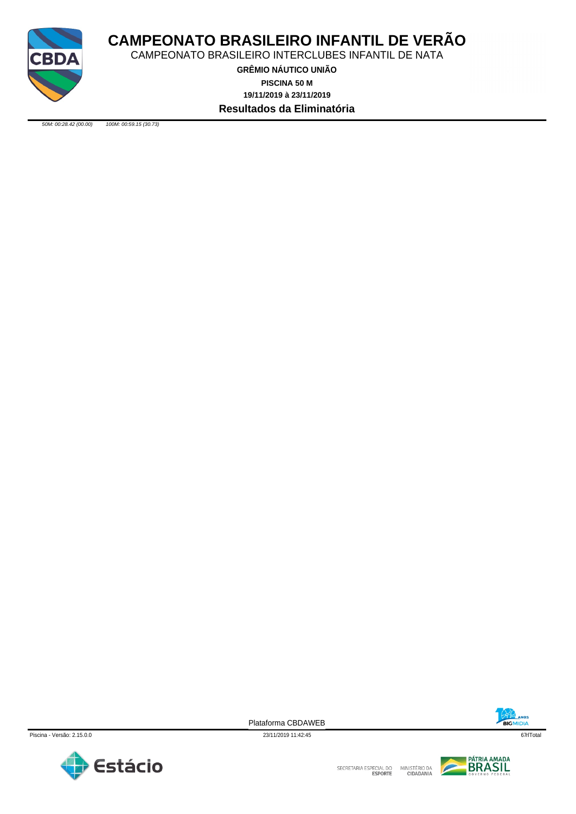

CAMPEONATO BRASILEIRO INTERCLUBES INFANTIL DE NATA

**GRÊMIO NÁUTICO UNIÃO 19/11/2019 à 23/11/2019 PISCINA 50 M Resultados da Eliminatória**

*50M: 00:28.42 (00.00) 100M: 00:59.15 (30.73)*

BIGMIDIA



Plataforma CBDAWEB



SECRETARIA ESPECIAL DO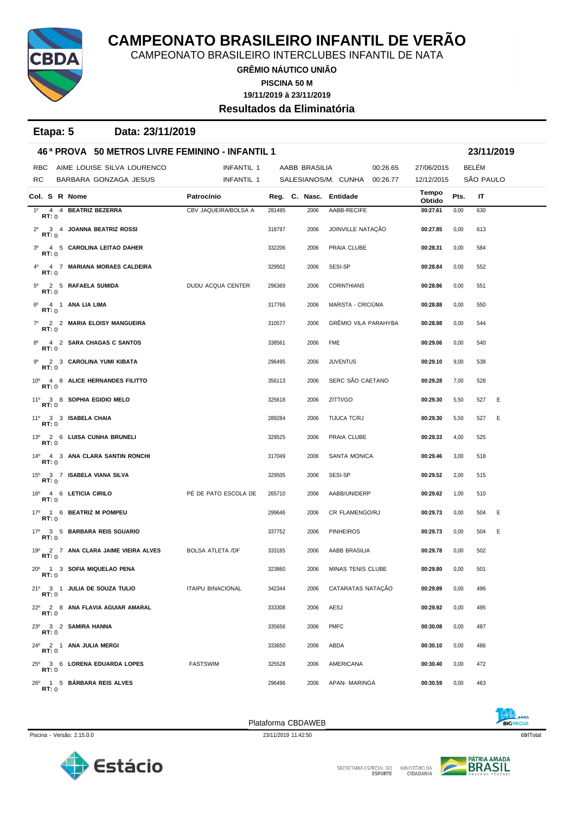

CAMPEONATO BRASILEIRO INTERCLUBES INFANTIL DE NATA

**GRÊMIO NÁUTICO UNIÃO PISCINA 50 M**

**19/11/2019 à 23/11/2019**

**Resultados da Eliminatória**

**Etapa: 5 Data: 23/11/2019**

|              | 46 <sup>a</sup> PROVA 50 METROS LIVRE FEMININO - INFANTIL 1 |                                 |                                         |                          |        |                        |                              | 23/11/2019 |                 |      |           |  |
|--------------|-------------------------------------------------------------|---------------------------------|-----------------------------------------|--------------------------|--------|------------------------|------------------------------|------------|-----------------|------|-----------|--|
| <b>RBC</b>   |                                                             |                                 | AIME LOUISE SILVA LOURENCO              | <b>INFANTIL 1</b>        |        | AABB BRASILIA          |                              | 00:26.65   | 27/06/2015      |      | BELÉM     |  |
| RC.          |                                                             |                                 | BARBARA GONZAGA JESUS                   | INFANTIL 1               |        |                        | SALESIANOS/M. CUNHA 00:26.77 |            | 12/12/2015      |      | SÃO PAULO |  |
|              |                                                             | Col. S R Nome                   |                                         | Patrocínio               |        | Reg. C. Nasc. Entidade |                              |            | Tempo<br>Obtido | Pts. | IT        |  |
| RT:0         |                                                             |                                 | 1º 4 4 BEATRIZ BEZERRA                  | CBV JAQUEIRA/BOLSA A     | 281495 | 2006                   | AABB-RECIFE                  |            | 00:27.61        | 0,00 | 630       |  |
| RT: 0        |                                                             |                                 | 2º 3 4 JOANNA BEATRIZ ROSSI             |                          | 318797 | 2006                   | JOINVILLE NATAÇÃO            |            | 00:27.85        | 0,00 | 613       |  |
| RT: 0        |                                                             |                                 | 3º 4 5 CAROLINA LEITAO DAHER            |                          | 332206 | 2006                   | PRAIA CLUBE                  |            | 00:28.31        | 0,00 | 584       |  |
| RT:0         |                                                             |                                 | 4º 4 7 MARIANA MORAES CALDEIRA          |                          | 329502 | 2006                   | SESI-SP                      |            | 00:28.84        | 0,00 | 552       |  |
| RT: 0        |                                                             |                                 | 5º 2 5 RAFAELA SUMIDA                   | DUDU ACQUA CENTER        | 296369 | 2006                   | <b>CORINTHIANS</b>           |            | 00:28.86        | 0,00 | 551       |  |
| RT:0         |                                                             | 6 <sup>0</sup> 4 1 ANA LIA LIMA |                                         |                          | 317766 | 2006                   | MARISTA - CRICIUMA           |            | 00:28.88        | 0,00 | 550       |  |
| RT: 0        |                                                             |                                 | 7º 2 2 MARIA ELOISY MANGUEIRA           |                          | 310577 | 2006                   | GRÊMIO VILA PARAHYBA         |            | 00:28.98        | 0,00 | 544       |  |
| RT:0         |                                                             |                                 | 8º 4 2 SARA CHAGAS C SANTOS             |                          | 338561 | 2006                   | FME                          |            | 00:29.06        | 0,00 | 540       |  |
| RT:0         |                                                             |                                 | 9º 2 3 CAROLINA YUMI KIBATA             |                          | 296495 | 2006                   | <b>JUVENTUS</b>              |            | 00:29.10        | 9,00 | 538       |  |
| RT:0         |                                                             |                                 | 10° 4 8 ALICE HERNANDES FILITTO         |                          | 356113 | 2006                   | SERC SÃO CAETANO             |            | 00:29.28        | 7,00 | 528       |  |
| <b>RT:</b> 0 |                                                             |                                 | 11º 3 8 SOPHIA EGIDIO MELO              |                          | 325618 | 2006                   | ZITTI/GO                     |            | 00:29.30        | 5,50 | Ε<br>527  |  |
| RT:0         |                                                             | 11º 3 3 ISABELA CHAIA           |                                         |                          | 289284 | 2006                   | TIJUCA TC/RJ                 |            | 00:29.30        | 5,50 | 527<br>Ε  |  |
| RT:0         |                                                             |                                 | 13º 2 6 LUISA CUNHA BRUNELI             |                          | 329525 | 2006                   | PRAIA CLUBE                  |            | 00:29.33        | 4,00 | 525       |  |
| RT:0         |                                                             |                                 | 14º 4 3 ANA CLARA SANTIN RONCHI         |                          | 317049 | 2006                   | <b>SANTA MONICA</b>          |            | 00:29.46        | 3,00 | 518       |  |
| RT: 0        |                                                             |                                 | 15º 3 7 ISABELA VIANA SILVA             |                          | 329505 | 2006                   | SESI-SP                      |            | 00:29.52        | 2,00 | 515       |  |
| RT:0         |                                                             | 16º 4 6 LETICIA CIRILO          |                                         | PÉ DE PATO ESCOLA DE     | 265710 | 2006                   | AABB/UNIDERP                 |            | 00:29.62        | 1,00 | 510       |  |
| RT: 0        |                                                             |                                 | 17º 1 6 BEATRIZ M POMPEU                |                          | 299646 | 2006                   | CR FLAMENGO/RJ               |            | 00:29.73        | 0,00 | Ε<br>504  |  |
| RT:0         |                                                             |                                 | 17º 3 5 BARBARA REIS SGUARIO            |                          | 337752 | 2006                   | <b>PINHEIROS</b>             |            | 00:29.73        | 0,00 | Ε<br>504  |  |
| RT:0         |                                                             |                                 | 19º 2 7 ANA CLARA JAIME VIEIRA ALVES    | <b>BOLSA ATLETA /DF</b>  | 333165 | 2006                   | AABB BRASILIA                |            | 00:29.78        | 0,00 | 502       |  |
| RT:0         |                                                             |                                 | 20 <sup>0</sup> 1 3 SOFIA MIQUELAO PENA |                          | 323860 | 2006                   | MINAS TENIS CLUBE            |            | 00:29.80        | 0,00 | 501       |  |
| RT:0         |                                                             |                                 | 21º 3 1 JULIA DE SOUZA TULIO            | <b>ITAIPU BINACIONAL</b> | 342344 | 2006                   | CATARATAS NATAÇÃO            |            | 00:29.89        | 0,00 | 496       |  |
| RT:0         |                                                             |                                 | 22º 2 8 ANA FLAVIA AGUIAR AMARAL        |                          | 333308 | 2006                   | AESJ                         |            | 00:29.92        | 0,00 | 495       |  |
| RT:0         |                                                             | 23º 3 2 SAMIRA HANNA            |                                         |                          | 335656 | 2006                   | <b>PMFC</b>                  |            | 00:30.08        | 0,00 | 487       |  |
| RT:0         |                                                             |                                 | 24º 2 1 ANA JULIA MERGI                 |                          | 333650 | 2006                   | ABDA                         |            | 00:30.10        | 0,00 | 486       |  |
| RT:0         |                                                             |                                 | 25º 3 6 LORENA EDUARDA LOPES            | <b>FASTSWIM</b>          | 325528 | 2006                   | AMERICANA                    |            | 00:30.40        | 0,00 | 472       |  |
| RT:0         |                                                             |                                 | 26º 1 5 BÁRBARA REIS ALVES              |                          | 296496 | 2006                   | APAN- MARINGA                |            | 00:30.59        | 0,00 | 463       |  |





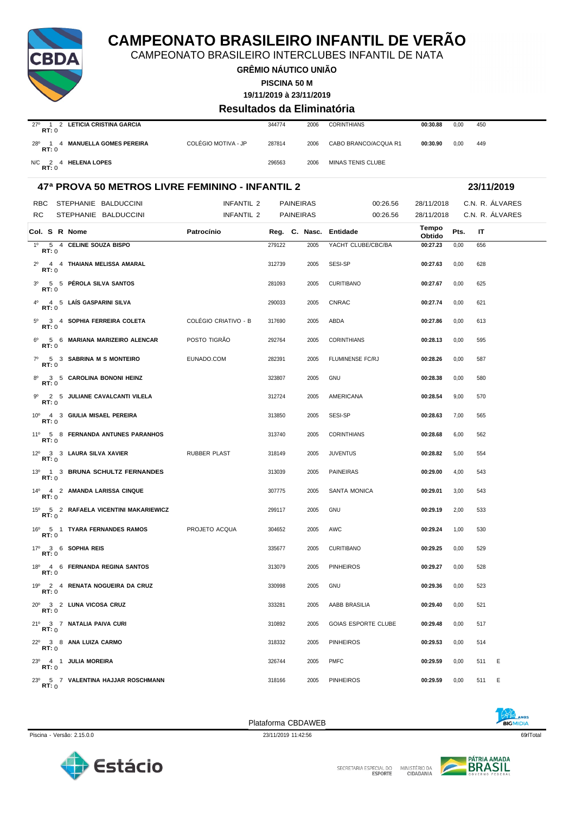

CAMPEONATO BRASILEIRO INTERCLUBES INFANTIL DE NATA

**GRÊMIO NÁUTICO UNIÃO**

**PISCINA 50 M**

**19/11/2019 à 23/11/2019**

#### **Resultados da Eliminatória**

| LETICIA CRISTINA GARCIA<br>$27^{\circ}$<br>RT:0 |                     | 344774 | 2006 | <b>CORINTHIANS</b>       | 00:30.88 | 0.00 | 450 |
|-------------------------------------------------|---------------------|--------|------|--------------------------|----------|------|-----|
| 28°<br>4 MANUELLA GOMES PEREIRA<br>RT:0         | COLÉGIO MOTIVA - JP | 287814 | 2006 | CABO BRANCO/ACQUA R1     | 00:30.90 | 0.00 | 449 |
| <b>HELENA LOPES</b><br>N/C<br>RT:0              |                     | 296563 | 2006 | <b>MINAS TENIS CLUBE</b> |          |      |     |

### **47ª PROVA 50 METROS LIVRE FEMININO - INFANTIL 2 23/11/2019** RBC STEPHANIE BALDUCCINI INFANTIL 2 PAINEIRAS 00:26.56 28/11/2018 C.N. R. ÁLVARES RC STEPHANIE BALDUCCINI INFANTIL 2 PAINEIRAS 00:26.56 28/11/2018 C.N. R. ÁLVARES **Col. <sup>S</sup> R Nome Patrocínio Nasc. Entidade Tempo Obtido Reg. C. Pts. IT** 1º 5 4 **CELINE SOUZA BISPO** 279122 2005 YACHT CLUBE/CBC/BA **00:27.23** 0,00 656 **RT:** 0 2º 4 4 **THAIANA MELISSA AMARAL** 312739 2005 SESI-SP **00:27.63** 0,00 628 **RT:** 0 3º 5 5 **PÉROLA SILVA SANTOS** 281093 2005 CURITIBANO **00:27.67** 0,00 625 **RT:** 0 4º 4 5 **LAÍS GASPARINI SILVA** 290033 2005 CNRAC **00:27.74** 0,00 621 **RT:** 0 5º 3 4 **SOPHIA FERREIRA COLETA** COLÉGIO CRIATIVO - B 317690 2005 ABDA **00:27.86** 0,00 613 **RT:** 0 6º 5 6 **MARIANA MARIZEIRO ALENCAR** POSTO TIGRÃO 292764 2005 CORINTHIANS **00:28.13** 0,00 595 **RT:** 0 7º 5 3 **SABRINA M S MONTEIRO** EUNADO.COM 282391 2005 FLUMINENSE FC/RJ **00:28.26** 0,00 587 **RT:** 0 8º 3 5 **CAROLINA BONONI HEINZ** 323807 2005 GNU **00:28.38** 0,00 580 **RT:** 0 9º 2 5 **JULIANE CAVALCANTI VILELA** 312724 2005 AMERICANA **00:28.54** 9,00 570 **RT:** 0 10º 4 3 **GIULIA MISAEL PEREIRA** 313850 2005 SESI-SP **00:28.63** 7,00 565 **RT:** 0 11º 5 8 **FERNANDA ANTUNES PARANHOS** 313740 2005 CORINTHIANS **00:28.68** 6,00 562 **RT:** 0 12º 3 3 **LAURA SILVA XAVIER** RUBBER PLAST 318149 2005 JUVENTUS **00:28.82** 5,00 554 **RT:** 0 13º 1 3 **BRUNA SCHULTZ FERNANDES** 313039 2005 PAINEIRAS **00:29.00** 4,00 543 **RT:** 0 14º 4 2 **AMANDA LARISSA CINQUE** 307775 2005 SANTA MONICA **00:29.01** 3,00 543 **RT:** 0 15º 5 2 **RAFAELA VICENTINI MAKARIEWICZ** 299117 2005 GNU **00:29.19** 2,00 533 **RT:** 0 16º 5 1 **TYARA FERNANDES RAMOS** PROJETO ACQUA 304652 2005 AWC **00:29.24** 1,00 530 **RT:** 0 17º 3 6 **SOPHIA REIS** 335677 2005 CURITIBANO **00:29.25** 0,00 529 **RT:** 0 18º 4 6 **FERNANDA REGINA SANTOS** 313079 2005 PINHEIROS **00:29.27** 0,00 528 **RT:** 0 19º 2 4 **RENATA NOGUEIRA DA CRUZ** 330998 2005 GNU **00:29.36** 0,00 523 **RT:** 0 20º 3 2 **LUNA VIÇOSA CRUZ** 333281 2005 AABB BRASILIA **00:29.40** 0,00 521 **RT:** 0 21º 3 7 **NATALIA PAIVA CURI** 310892 2005 GOIAS ESPORTE CLUBE **00:29.48** 0,00 517 **RT:** 0 22º 3 8 **ANA LUIZA CARMO** 318332 2005 PINHEIROS **00:29.53** 0,00 514 **RT:** 0 23º 4 1 **JULIA MOREIRA** 326744 2005 PMFC **00:29.59** 0,00 511 E **RT:** 0 23º 5 7 **VALENTINA HAJJAR ROSCHMANN** 318166 2005 PINHEIROS **00:29.59** 0,00 511 E **RT:** 0

Piscina - Versão: 2.15.0.0 23/11/2019 11:42:56 69qrlTotal





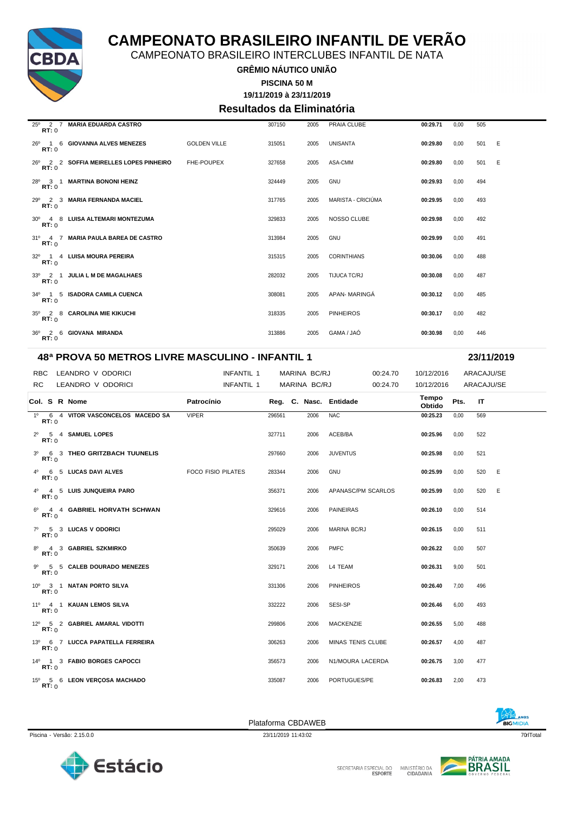

CAMPEONATO BRASILEIRO INTERCLUBES INFANTIL DE NATA

**GRÊMIO NÁUTICO UNIÃO**

**19/11/2019 à 23/11/2019 PISCINA 50 M**

### **Resultados da Eliminatória**

| $25^{\circ}$ 2 7<br>RT: 0 | <b>MARIA EDUARDA CASTRO</b>                |                     | 307150 | 2005 | PRAIA CLUBE        | 00:29.71 | 0,00 | 505 |     |
|---------------------------|--------------------------------------------|---------------------|--------|------|--------------------|----------|------|-----|-----|
| RT:0                      | 26 <sup>0</sup> 1 6 GIOVANNA ALVES MENEZES | <b>GOLDEN VILLE</b> | 315051 | 2005 | <b>UNISANTA</b>    | 00:29.80 | 0,00 | 501 | - E |
| RT:0                      | 26º 2 2 SOFFIA MEIRELLES LOPES PINHEIRO    | <b>FHE-POUPEX</b>   | 327658 | 2005 | ASA-CMM            | 00:29.80 | 0.00 | 501 | E   |
| $28^{\circ}$ 3 1<br>RT:0  | <b>MARTINA BONONI HEINZ</b>                |                     | 324449 | 2005 | <b>GNU</b>         | 00:29.93 | 0,00 | 494 |     |
| RT: 0                     | 29º 2 3 MARIA FERNANDA MACIEL              |                     | 317765 | 2005 | MARISTA - CRICIÚMA | 00:29.95 | 0.00 | 493 |     |
| RT: 0                     | 30° 4 8 LUISA ALTEMARI MONTEZUMA           |                     | 329833 | 2005 | NOSSO CLUBE        | 00:29.98 | 0,00 | 492 |     |
| RT:0                      | 31º 4 7 MARIA PAULA BAREA DE CASTRO        |                     | 313984 | 2005 | <b>GNU</b>         | 00:29.99 | 0,00 | 491 |     |
| RT: 0                     | 32º 1 4 LUISA MOURA PEREIRA                |                     | 315315 | 2005 | <b>CORINTHIANS</b> | 00:30.06 | 0.00 | 488 |     |
| RT:0                      | 33º 2 1 JULIA L M DE MAGALHAES             |                     | 282032 | 2005 | TIJUCA TC/RJ       | 00:30.08 | 0,00 | 487 |     |
| RT: 0                     | 34º 1 5 ISADORA CAMILA CUENCA              |                     | 308081 | 2005 | APAN-MARINGÁ       | 00:30.12 | 0.00 | 485 |     |
| RT: 0                     | 35º 2 8 CAROLINA MIE KIKUCHI               |                     | 318335 | 2005 | <b>PINHEIROS</b>   | 00:30.17 | 0,00 | 482 |     |
| RT: 0                     | 36º 2 6 GIOVANA MIRANDA                    |                     | 313886 | 2005 | GAMA / JAÓ         | 00:30.98 | 0.00 | 446 |     |

#### **48ª PROVA 50 METROS LIVRE MASCULINO - INFANTIL 1 23/11/2019**

RBC LEANDRO V ODORICI **INFANTIL 1 MARINA BC/RJ 00:24.70 10/12/2016** ARACAJU/SE RC LEANDRO V ODORICI **INFANTIL 1 MARINA BC/RJ** 00:24.70 10/12/2016 ARACAJU/SE **Col. <sup>S</sup> R Nome Patrocínio Nasc. Entidade Tempo Obtido Reg. C. Pts. IT** 1º 6 4 **VITOR VASCONCELOS MACEDO SA** VIPER 296561 2006 NAC **00:25.23** 0,00 569 **RT:** 0 2º 5 4 **SAMUEL LOPES** 327711 2006 ACEB/BA **00:25.96** 0,00 522 **RT:** 0 3º 6 3 **THEO GRITZBACH TUUNELIS** 297660 2006 JUVENTUS **00:25.98** 0,00 521 **RT:** 0 4º 6 5 **LUCAS DAVI ALVES** FOCO FISIO PILATES 283344 2006 GNU **00:25.99** 0,00 520 E **RT:** 0 4º 4 5 **LUIS JUNQUEIRA PARO** 356371 2006 APANASC/PM SCARLOS **00:25.99** 0,00 520 E **RT:** 0 6º 4 4 **GABRIEL HORVATH SCHWAN** 329616 2006 PAINEIRAS **00:26.10** 0,00 514 **RT:** 0 7º 5 3 **LUCAS V ODORICI** 295029 2006 MARINA BC/RJ **00:26.15** 0,00 511 **RT:** 0 8º 4 3 **GABRIEL SZKMIRKO** 350639 2006 PMFC **00:26.22** 0,00 507 **RT:** 0 9º 5 5 **CALEB DOURADO MENEZES** 329171 2006 L4 TEAM **00:26.31** 9,00 501 **RT:** 0 10º 3 1 **NATAN PORTO SILVA** 331306 2006 PINHEIROS **00:26.40** 7,00 496 **RT:** 0 11º 4 1 **KAUAN LEMOS SILVA** 332222 2006 SESI-SP **00:26.46** 6,00 493 **RT:** 0 12º 5 2 **GABRIEL AMARAL VIDOTTI** 299806 2006 MACKENZIE **00:26.55** 5,00 488 **RT:** 0 13º 6 7 **LUCCA PAPATELLA FERREIRA** 306263 2006 MINAS TENIS CLUBE **00:26.57** 4,00 487 **RT:** 0 14º 1 3 **FABIO BORGES CAPOCCI** 356573 2006 N1/MOURA LACERDA **00:26.75** 3,00 477 **RT:** 0 15º 5 6 **LEON VERÇOSA MACHADO** 335087 2006 PORTUGUES/PE **00:26.83** 2,00 473 **RT:** 0







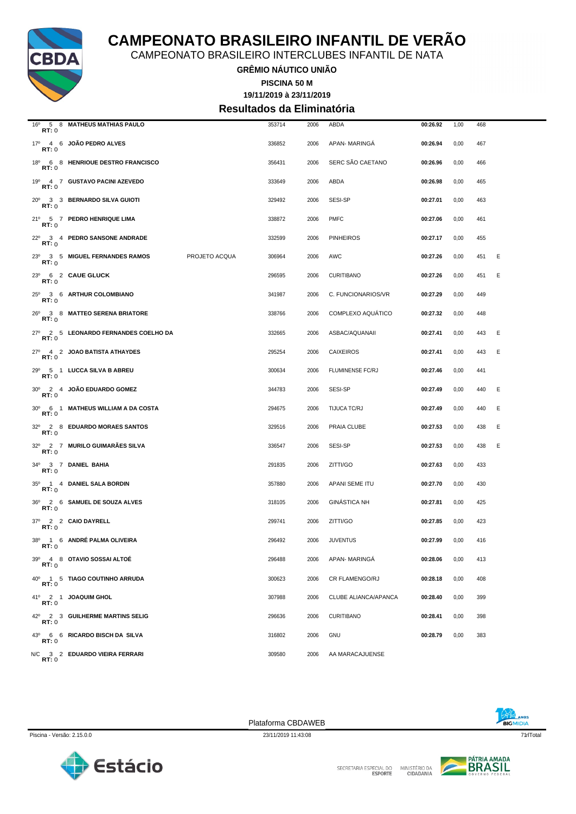

CAMPEONATO BRASILEIRO INTERCLUBES INFANTIL DE NATA

**GRÊMIO NÁUTICO UNIÃO**

**PISCINA 50 M**

#### **19/11/2019 à 23/11/2019 Resultados da Eliminatória**

| RT:0         | 16º 5 8 MATHEUS MATHIAS PAULO        |               | 353714 | 2006 | ABDA                     | 00:26.92 | 1,00 | 468 |   |
|--------------|--------------------------------------|---------------|--------|------|--------------------------|----------|------|-----|---|
| <b>RT:</b> 0 | 17º 4 6 JOÃO PEDRO ALVES             |               | 336852 | 2006 | APAN-MARINGA             | 00:26.94 | 0,00 | 467 |   |
| <b>RT:</b> 0 | 18º 6 8 HENRIQUE DESTRO FRANCISCO    |               | 356431 | 2006 | SERC SÃO CAETANO         | 00:26.96 | 0,00 | 466 |   |
| RT:0         | 19º 4 7 GUSTAVO PACINI AZEVEDO       |               | 333649 | 2006 | ABDA                     | 00:26.98 | 0,00 | 465 |   |
| RT:0         | 20° 3 3 BERNARDO SILVA GUIOTI        |               | 329492 | 2006 | SESI-SP                  | 00:27.01 | 0,00 | 463 |   |
| RT:0         | 21º 5 7 PEDRO HENRIQUE LIMA          |               | 338872 | 2006 | <b>PMFC</b>              | 00:27.06 | 0,00 | 461 |   |
| RT:0         | 22º 3 4 PEDRO SANSONE ANDRADE        |               | 332599 | 2006 | <b>PINHEIROS</b>         | 00:27.17 | 0,00 | 455 |   |
| RT:0         | 23º 3 5 MIGUEL FERNANDES RAMOS       | PROJETO ACQUA | 306964 | 2006 | AWC                      | 00:27.26 | 0,00 | 451 | Ε |
| RT:0         | 23º 6 2 CAUE GLUCK                   |               | 296595 | 2006 | <b>CURITIBANO</b>        | 00:27.26 | 0,00 | 451 | Ε |
| RT:0         | 25º 3 6 ARTHUR COLOMBIANO            |               | 341987 | 2006 | C. FUNCIONARIOS/VR       | 00:27.29 | 0,00 | 449 |   |
| RT:0         | 26º 3 8 MATTEO SERENA BRIATORE       |               | 338766 | 2006 | <b>COMPLEXO AQUÁTICO</b> | 00:27.32 | 0,00 | 448 |   |
| RT:0         | 27º 2 5 LEONARDO FERNANDES COELHO DA |               | 332665 | 2006 | ASBAC/AQUANAII           | 00:27.41 | 0,00 | 443 | Ε |
| <b>RT:</b> 0 | 27º 4 2 JOAO BATISTA ATHAYDES        |               | 295254 | 2006 | <b>CAIXEIROS</b>         | 00:27.41 | 0,00 | 443 | Ε |
| RT:0         | 29º 5 1 LUCCA SILVA B ABREU          |               | 300634 | 2006 | FLUMINENSE FC/RJ         | 00:27.46 | 0,00 | 441 |   |
| RT:0         | 30° 2 4 JOAO EDUARDO GOMEZ           |               | 344783 | 2006 | SESI-SP                  | 00:27.49 | 0,00 | 440 | Ε |
| RT:0         | 30° 6 1 MATHEUS WILLIAM A DA COSTA   |               | 294675 | 2006 | TIJUCA TC/RJ             | 00:27.49 | 0,00 | 440 | E |
| RT:0         | 32º 2 8 EDUARDO MORAES SANTOS        |               | 329516 | 2006 | PRAIA CLUBE              | 00:27.53 | 0,00 | 438 | Ε |
| RT:0         | 32º 2 7 MURILO GUIMARÃES SILVA       |               | 336547 | 2006 | SESI-SP                  | 00:27.53 | 0,00 | 438 | E |
| RT:0         | 34º 3 7 DANIEL BAHIA                 |               | 291835 | 2006 | ZITTI/GO                 | 00:27.63 | 0,00 | 433 |   |
| RT: 0        | 35º 1 4 DANIEL SALA BORDIN           |               | 357880 | 2006 | APANI SEME ITU           | 00:27.70 | 0,00 | 430 |   |
| RT:0         | 36º 2 6 SAMUEL DE SOUZA ALVES        |               | 318105 | 2006 | <b>GINÁSTICA NH</b>      | 00:27.81 | 0,00 | 425 |   |
| RT:0         | 37º 2 2 CAIO DAYRELL                 |               | 299741 | 2006 | ZITTI/GO                 | 00:27.85 | 0,00 | 423 |   |
| RT:0         | 38º 1 6 ANDRÉ PALMA OLIVEIRA         |               | 296492 | 2006 | <b>JUVENTUS</b>          | 00:27.99 | 0,00 | 416 |   |
| RT: 0        | 39º 4 8 OTAVIO SOSSAI ALTOE          |               | 296488 | 2006 | APAN- MARINGA            | 00:28.06 | 0,00 | 413 |   |
| RT:0         | 40° 1 5 TIAGO COUTINHO ARRUDA        |               | 300623 | 2006 | CR FLAMENGO/RJ           | 00:28.18 | 0,00 | 408 |   |
| RT:0         | 41º 2 1 JOAQUIM GHOL                 |               | 307988 | 2006 | CLUBE ALIANCA/APANCA     | 00:28.40 | 0,00 | 399 |   |
| RT:0         | 42º 2 3 GUILHERME MARTINS SELIG      |               | 296636 | 2006 | <b>CURITIBANO</b>        | 00:28.41 | 0,00 | 398 |   |
| <b>RT:</b> 0 | 43º 6 6 RICARDO BISCH DA SILVA       |               | 316802 | 2006 | GNU                      | 00:28.79 | 0,00 | 383 |   |
| <b>RT:</b> 0 | N/C 3 2 EDUARDO VIEIRA FERRARI       |               | 309580 | 2006 | AA MARACAJUENSE          |          |      |     |   |

Plataforma CBDAWEB





SECRETARIA ESPECIAL DO

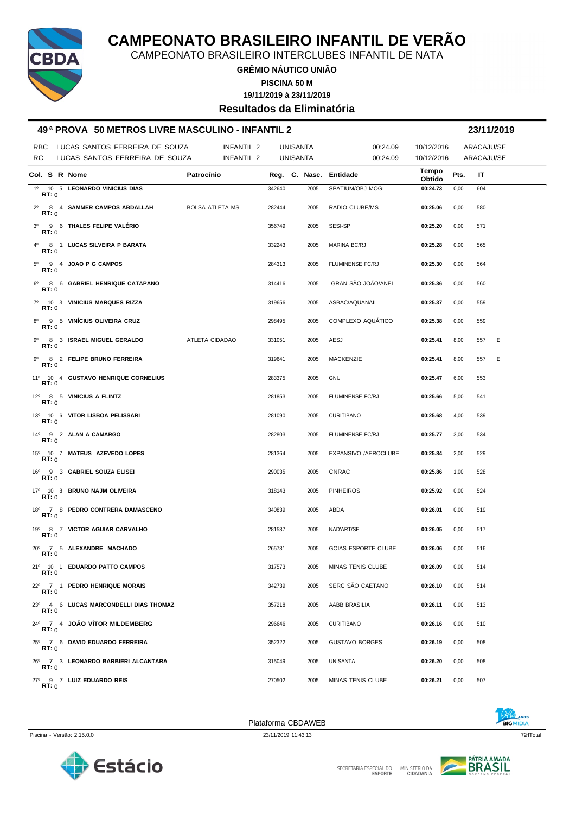

CAMPEONATO BRASILEIRO INTERCLUBES INFANTIL DE NATA

**GRÊMIO NÁUTICO UNIÃO PISCINA 50 M**

**19/11/2019 à 23/11/2019**

**Resultados da Eliminatória**

#### **49 ª PROVA 50 METROS LIVRE MASCULINO - INFANTIL 2 23/11/2019**

|                     | RBC LUCAS SANTOS FERREIRA DE SOUZA    | INFANTIL 2             |        | <b>UNISANTA</b>        | 00:24.09                   | 10/12/2016      |      | ARACAJU/SE |   |
|---------------------|---------------------------------------|------------------------|--------|------------------------|----------------------------|-----------------|------|------------|---|
| RC                  | LUCAS SANTOS FERREIRA DE SOUZA        | INFANTIL 2             |        | <b>UNISANTA</b>        | 00:24.09                   | 10/12/2016      |      | ARACAJU/SE |   |
| Col. S R Nome       |                                       | Patrocínio             |        | Reg. C. Nasc. Entidade |                            | Tempo<br>Obtido | Pts. | IT         |   |
| RT:0                | 1º 10 5 LEONARDO VINICIUS DIAS        |                        | 342640 | 2005                   | SPATIUM/OBJ MOGI           | 00:24.73        | 0,00 | 604        |   |
| RT:0                | 2º 8 4 SAMMER CAMPOS ABDALLAH         | <b>BOLSA ATLETA MS</b> | 282444 | 2005                   | RADIO CLUBE/MS             | 00:25.06        | 0,00 | 580        |   |
| RT:0                | 3º 9 6 THALES FELIPE VALERIO          |                        | 356749 | 2005                   | SESI-SP                    | 00:25.20        | 0,00 | 571        |   |
| RT:0                | 4º 8 1 LUCAS SILVEIRA P BARATA        |                        | 332243 | 2005                   | MARINA BC/RJ               | 00:25.28        | 0,00 | 565        |   |
| RT:0                | $5^{\circ}$ 9 4 JOAO P G CAMPOS       |                        | 284313 | 2005                   | <b>FLUMINENSE FC/RJ</b>    | 00:25.30        | 0,00 | 564        |   |
| RT:0                | 6º 8 6 GABRIEL HENRIQUE CATAPANO      |                        | 314416 | 2005                   | GRAN SÃO JOÃO/ANEL         | 00:25.36        | 0,00 | 560        |   |
| RT:0                | 7º 10 3 VINICIUS MARQUES RIZZA        |                        | 319656 | 2005                   | ASBAC/AQUANAII             | 00:25.37        | 0,00 | 559        |   |
| $8^{\circ}$<br>RT:0 | 9 5 VINÍCIUS OLIVEIRA CRUZ            |                        | 298495 | 2005                   | COMPLEXO AQUÁTICO          | 00:25.38        | 0,00 | 559        |   |
| RT:0                | 9º 8 3 ISRAEL MIGUEL GERALDO          | ATLETA CIDADAO         | 331051 | 2005                   | AESJ                       | 00:25.41        | 8,00 | 557        | E |
| <b>RT:</b> 0        | 9º 8 2 FELIPE BRUNO FERREIRA          |                        | 319641 | 2005                   | MACKENZIE                  | 00:25.41        | 8,00 | 557        | E |
| <b>RT:</b> 0        | 11º 10 4 GUSTAVO HENRIQUE CORNELIUS   |                        | 283375 | 2005                   | GNU                        | 00:25.47        | 6,00 | 553        |   |
| RT:0                | 12º 8 5 VINICIUS A FLINTZ             |                        | 281853 | 2005                   | FLUMINENSE FC/RJ           | 00:25.66        | 5,00 | 541        |   |
| RT:0                | 13º 10 6 VITOR LISBOA PELISSARI       |                        | 281090 | 2005                   | <b>CURITIBANO</b>          | 00:25.68        | 4,00 | 539        |   |
| RT:0                | 14º 9 2 ALAN A CAMARGO                |                        | 282803 | 2005                   | FLUMINENSE FC/RJ           | 00:25.77        | 3,00 | 534        |   |
| RT: 0               | 15º 10 7 MATEUS AZEVEDO LOPES         |                        | 281364 | 2005                   | EXPANSIVO /AEROCLUBE       | 00:25.84        | 2,00 | 529        |   |
| RT:0                | 16º 9 3 GABRIEL SOUZA ELISEI          |                        | 290035 | 2005                   | CNRAC                      | 00:25.86        | 1,00 | 528        |   |
| RT:0                | 17º 10 8 BRUNO NAJM OLIVEIRA          |                        | 318143 | 2005                   | <b>PINHEIROS</b>           | 00:25.92        | 0,00 | 524        |   |
| RT:0                | 18º 7 8 PEDRO CONTRERA DAMASCENO      |                        | 340839 | 2005                   | ABDA                       | 00:26.01        | 0,00 | 519        |   |
| RT:0                | 19º 8 7 VICTOR AGUIAR CARVALHO        |                        | 281587 | 2005                   | NAD'ART/SE                 | 00:26.05        | 0,00 | 517        |   |
| RT:0                | 20° 7 5 ALEXANDRE MACHADO             |                        | 265781 | 2005                   | <b>GOIAS ESPORTE CLUBE</b> | 00:26.06        | 0,00 | 516        |   |
|                     | 21º 10 1 EDUARDO PATTO CAMPOS         |                        | 317573 | 2005                   | MINAS TENIS CLUBE          | 00:26.09        | 0,00 | 514        |   |
| RT:0                | 22º 7 1 PEDRO HENRIQUE MORAIS         |                        | 342739 | 2005                   | SERC SÃO CAETANO           | 00:26.10        | 0,00 | 514        |   |
| RT:0                | 23º 4 6 LUCAS MARCONDELLI DIAS THOMAZ |                        | 357218 | 2005                   | AABB BRASILIA              | 00:26.11        | 0,00 | 513        |   |
| RT:0                | 24º 7 4 JOÃO VÍTOR MILDEMBERG         |                        | 296646 | 2005                   | <b>CURITIBANO</b>          | 00:26.16        | 0,00 | 510        |   |
| RT:0                | 25º 7 6 DAVID EDUARDO FERREIRA        |                        | 352322 | 2005                   | <b>GUSTAVO BORGES</b>      | 00:26.19        | 0,00 | 508        |   |
| RT:0                | 26º 7 3 LEONARDO BARBIERI ALCANTARA   |                        | 315049 | 2005                   | UNISANTA                   | 00:26.20        | 0,00 | 508        |   |
| RT: 0               | 27º 9 7 LUIZ EDUARDO REIS             |                        | 270502 | 2005                   | MINAS TENIS CLUBE          | 00:26.21        | 0,00 | 507        |   |

Plataforma CBDAWEB



Piscina - Versão: 2.15.0.0 23/11/2019 11:43:13 23/11/2019 11:43:13 23/11/2019 11:43:13 23/11/2019 11:43:13 23/11/2019 11:43:13



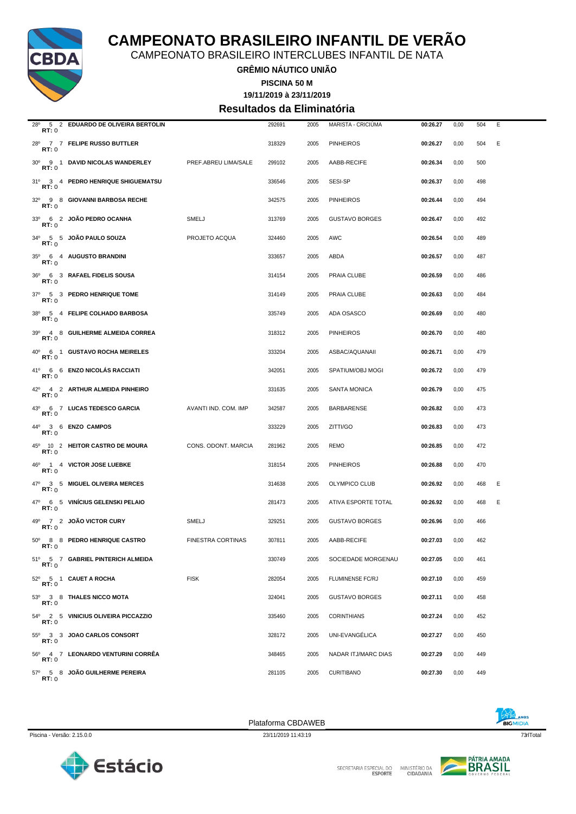

CAMPEONATO BRASILEIRO INTERCLUBES INFANTIL DE NATA

**GRÊMIO NÁUTICO UNIÃO**

**19/11/2019 à 23/11/2019 PISCINA 50 M**

### **Resultados da Eliminatória**

| 28°<br>RT:0  | 5 2 EDUARDO DE OLIVEIRA BERTOLIN    |                          | 292691 | 2005 | MARISTA - CRICIUMA         | 00:26.27 | 0,00 | 504 | Ε |
|--------------|-------------------------------------|--------------------------|--------|------|----------------------------|----------|------|-----|---|
| RT:0         | 28º 7 7 FELIPE RUSSO BUTTLER        |                          | 318329 | 2005 | <b>PINHEIROS</b>           | 00:26.27 | 0,00 | 504 | Ε |
| RT:0         | 30° 9 1 DAVID NICOLAS WANDERLEY     | PREF.ABREU LIMA/SALE     | 299102 | 2005 | AABB-RECIFE                | 00:26.34 | 0,00 | 500 |   |
| <b>RT:</b> 0 | 31º 3 4 PEDRO HENRIQUE SHIGUEMATSU  |                          | 336546 | 2005 | SESI-SP                    | 00:26.37 | 0,00 | 498 |   |
| RT:0         | 32º 9 8 GIOVANNI BARBOSA RECHE      |                          | 342575 | 2005 | <b>PINHEIROS</b>           | 00:26.44 | 0,00 | 494 |   |
| RT:0         | 33º 6 2 JOÃO PEDRO OCANHA           | SMELJ                    | 313769 | 2005 | <b>GUSTAVO BORGES</b>      | 00:26.47 | 0,00 | 492 |   |
| RT: 0        | 34º 5 5 JOÃO PAULO SOUZA            | PROJETO ACQUA            | 324460 | 2005 | AWC                        | 00:26.54 | 0,00 | 489 |   |
| RT:0         | 35º 6 4 AUGUSTO BRANDINI            |                          | 333657 | 2005 | ABDA                       | 00:26.57 | 0,00 | 487 |   |
| RT: 0        | 36º 6 3 RAFAEL FIDELIS SOUSA        |                          | 314154 | 2005 | PRAIA CLUBE                | 00:26.59 | 0,00 | 486 |   |
| RT: 0        | 37º 5 3 PEDRO HENRIQUE TOME         |                          | 314149 | 2005 | PRAIA CLUBE                | 00:26.63 | 0,00 | 484 |   |
| RT:0         | 38º 5 4 FELIPE COLHADO BARBOSA      |                          | 335749 | 2005 | ADA OSASCO                 | 00:26.69 | 0,00 | 480 |   |
| RT:0         | 39º 4 8 GUILHERME ALMEIDA CORREA    |                          | 318312 | 2005 | <b>PINHEIROS</b>           | 00:26.70 | 0,00 | 480 |   |
| RT:0         | 40° 6 1 GUSTAVO ROCHA MEIRELES      |                          | 333204 | 2005 | ASBAC/AQUANAII             | 00:26.71 | 0,00 | 479 |   |
| <b>RT:</b> 0 | 41º 6 6 ENZO NICOLAS RACCIATI       |                          | 342051 | 2005 | SPATIUM/OBJ MOGI           | 00:26.72 | 0,00 | 479 |   |
| RT:0         | 42º 4 2 ARTHUR ALMEIDA PINHEIRO     |                          | 331635 | 2005 | <b>SANTA MONICA</b>        | 00:26.79 | 0,00 | 475 |   |
| RT:0         | 43º 6 7 LUCAS TEDESCO GARCIA        | AVANTI IND. COM. IMP     | 342587 | 2005 | <b>BARBARENSE</b>          | 00:26.82 | 0,00 | 473 |   |
| RT:0         | 44° 3 6 ENZO CAMPOS                 |                          | 333229 | 2005 | ZITTI/GO                   | 00:26.83 | 0,00 | 473 |   |
| RT: 0        | 45º 10 2 HEITOR CASTRO DE MOURA     | CONS. ODONT. MARCIA      | 281962 | 2005 | <b>REMO</b>                | 00:26.85 | 0,00 | 472 |   |
| RT:0         | 46º 1 4 VICTOR JOSE LUEBKE          |                          | 318154 | 2005 | <b>PINHEIROS</b>           | 00:26.88 | 0,00 | 470 |   |
| RT:0         | 47º 3 5 MIGUEL OLIVEIRA MERCES      |                          | 314638 | 2005 | OLYMPICO CLUB              | 00:26.92 | 0,00 | 468 | Ε |
| RT:0         | 47º 6 5 VINICIUS GELENSKI PELAIO    |                          | 281473 | 2005 | <b>ATIVA ESPORTE TOTAL</b> | 00:26.92 | 0,00 | 468 | Ε |
| RT:0         | 49º 7 2 JOÃO VICTOR CURY            | SMELJ                    | 329251 | 2005 | <b>GUSTAVO BORGES</b>      | 00:26.96 | 0,00 | 466 |   |
| RT: 0        | 50° 8 8 PEDRO HENRIQUE CASTRO       | <b>FINESTRA CORTINAS</b> | 307811 | 2005 | AABB-RECIFE                | 00:27.03 | 0,00 | 462 |   |
| RT:0         | 51º 5 7 GABRIEL PINTERICH ALMEIDA   |                          | 330749 | 2005 | SOCIEDADE MORGENAU         | 00:27.05 | 0,00 | 461 |   |
| RT:0         | 52º 5 1 CAUET A ROCHA               | <b>FISK</b>              | 282054 | 2005 | FLUMINENSE FC/RJ           | 00:27.10 | 0,00 | 459 |   |
| <b>RT:</b> 0 | 53º 3 8 THALES NICCO MOTA           |                          | 324041 | 2005 | <b>GUSTAVO BORGES</b>      | 00:27.11 | 0,00 | 458 |   |
| RT:0         | 54º 2 5 VINICIUS OLIVEIRA PICCAZZIO |                          | 335460 | 2005 | <b>CORINTHIANS</b>         | 00:27.24 | 0,00 | 452 |   |
| RT:0         | 55º 3 3 JOAO CARLOS CONSORT         |                          | 328172 | 2005 | UNI-EVANGÉLICA             | 00:27.27 | 0,00 | 450 |   |
| RT:0         | 56º 4 7 LEONARDO VENTURINI CORRÊA   |                          | 348465 | 2005 | NADAR ITJ/MARC DIAS        | 00:27.29 | 0,00 | 449 |   |
| RT:0         | 57º 5 8 JOÃO GUILHERME PEREIRA      |                          | 281105 | 2005 | <b>CURITIBANO</b>          | 00:27.30 | 0,00 | 449 |   |
|              |                                     |                          |        |      |                            |          |      |     |   |

Plataforma CBDAWEB



Estácio

SECRETARIA ESPECIAL DO MINISTÉRIO DA<br>CIDADANIA

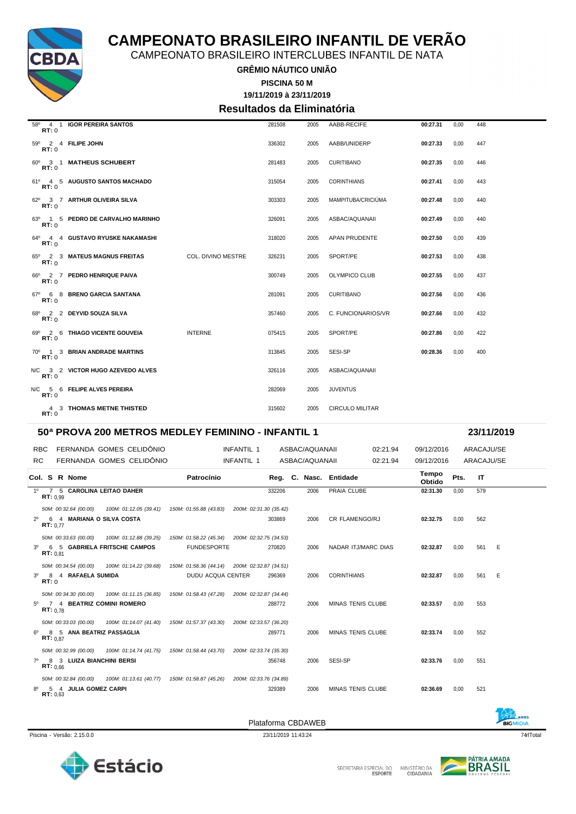

CAMPEONATO BRASILEIRO INTERCLUBES INFANTIL DE NATA

**GRÊMIO NÁUTICO UNIÃO**

**19/11/2019 à 23/11/2019 PISCINA 50 M**

**Resultados da Eliminatória**

| RT: 0 | 58º 4 1 IGOR PEREIRA SANTOS       |                           | 281508 | 2005 | AABB-RECIFE            | 00:27.31 | 0.00 | 448 |
|-------|-----------------------------------|---------------------------|--------|------|------------------------|----------|------|-----|
| RT:0  | 59º 2 4 FILIPE JOHN               |                           | 336302 | 2005 | AABB/UNIDERP           | 00:27.33 | 0,00 | 447 |
| RT:0  | 60° 3 1 MATHEUS SCHUBERT          |                           | 281483 | 2005 | <b>CURITIBANO</b>      | 00:27.35 | 0,00 | 446 |
| RT:0  | 61º 4 5 AUGUSTO SANTOS MACHADO    |                           | 315054 | 2005 | <b>CORINTHIANS</b>     | 00:27.41 | 0,00 | 443 |
| RT: 0 | 62º 3 7 ARTHUR OLIVEIRA SILVA     |                           | 303303 | 2005 | MAMPITUBA/CRICIÚMA     | 00:27.48 | 0,00 | 440 |
| RT:0  | 63º 1 5 PEDRO DE CARVALHO MARINHO |                           | 326091 | 2005 | ASBAC/AQUANAII         | 00:27.49 | 0,00 | 440 |
| RT:0  | 64º 4 4 GUSTAVO RYUSKE NAKAMASHI  |                           | 318020 | 2005 | APAN PRUDENTE          | 00:27.50 | 0,00 | 439 |
| RT:0  | 65º 2 3 MATEUS MAGNUS FREITAS     | <b>COL. DIVINO MESTRE</b> | 326231 | 2005 | SPORT/PE               | 00:27.53 | 0,00 | 438 |
| RT: 0 | 66º 2 7 PEDRO HENRIQUE PAIVA      |                           | 300749 | 2005 | <b>OLYMPICO CLUB</b>   | 00:27.55 | 0,00 | 437 |
| RT:0  | 67º 6 8 BRENO GARCIA SANTANA      |                           | 281091 | 2005 | <b>CURITIBANO</b>      | 00:27.56 | 0.00 | 436 |
| RT:0  | 68º 2 2 DEYVID SOUZA SILVA        |                           | 357460 | 2005 | C. FUNCIONARIOS/VR     | 00:27.66 | 0,00 | 432 |
| RT:0  | 69º 2 6 THIAGO VICENTE GOUVEIA    | <b>INTERNE</b>            | 075415 | 2005 | SPORT/PE               | 00:27.86 | 0.00 | 422 |
| RT:0  | 70° 1 3 BRIAN ANDRADE MARTINS     |                           | 313845 | 2005 | SESI-SP                | 00:28.36 | 0,00 | 400 |
| RT:0  | N/C 3 2 VICTOR HUGO AZEVEDO ALVES |                           | 326116 | 2005 | ASBAC/AQUANAII         |          |      |     |
| RT:0  | N/C 5 6 FELIPE ALVES PEREIRA      |                           | 282069 | 2005 | <b>JUVENTUS</b>        |          |      |     |
| RT: 0 | 4 3 THOMAS METNE THISTED          |                           | 315602 | 2005 | <b>CIRCULO MILITAR</b> |          |      |     |

#### **50ª PROVA 200 METROS MEDLEY FEMININO - INFANTIL 1 23/11/2019**

RBC FERNANDA GOMES CELIDÔNIO **INFANTIL 1** ASBAC/AQUANAII 02:21.94 09/12/2016 ARACAJU/SE RC FERNANDA GOMES CELIDÔNIO INFANTIL 1 ASBAC/AQUANAII 02:21.94 09/12/2016 ARACAJU/SE **Col. <sup>S</sup> R Nome Patrocínio Nasc. Entidade Tempo Obtido Reg. C. Pts. IT** 1º 7 5 **CAROLINA LEITAO DAHER** 332206 2006 PRAIA CLUBE **02:31.30** 0,00 579 **RT:** 0,99 *50M: 00:32.64 (00.00) 100M: 01:12.05 (39.41) 150M: 01:55.88 (43.83) 200M: 02:31.30 (35.42)* 2º 6 4 **MARIANA O SILVA COSTA** 303869 2006 CR FLAMENGO/RJ **02:32.75** 0,00 562 **RT:** 0,77 *50M: 00:33.63 (00.00) 100M: 01:12.88 (39.25) 150M: 01:58.22 (45.34) 200M: 02:32.75 (34.53)* 3º 6 5 **GABRIELA FRITSCHE CAMPOS** FUNDESPORTE 270820 2006 NADAR ITJ/MARC DIAS **02:32.87** 0,00 561 E **RT:** 0,81 *50M: 00:34.54 (00.00) 100M: 01:14.22 (39.68) 150M: 01:58.36 (44.14) 200M: 02:32.87 (34.51)* 3º 8 4 **RAFAELA SUMIDA** DUDU ACQUA CENTER 296369 2006 CORINTHIANS **02:32.87** 0,00 561 E **RT:** 0 *50M: 00:34.30 (00.00) 100M: 01:11.15 (36.85) 150M: 01:58.43 (47.28) 200M: 02:32.87 (34.44)* 5º 7 4 **BEATRIZ COMINI ROMERO** 288772 2006 MINAS TENIS CLUBE **02:33.57** 0,00 553 **RT:** 0,78 *50M: 00:33.03 (00.00) 100M: 01:14.07 (41.40) 150M: 01:57.37 (43.30) 200M: 02:33.57 (36.20)* 6º 8 5 **ANA BEATRIZ PASSAGLIA** 289771 2006 MINAS TENIS CLUBE **02:33.74** 0,00 552 **RT:** 0,87 *50M: 00:32.99 (00.00) 100M: 01:14.74 (41.75) 150M: 01:58.44 (43.70) 200M: 02:33.74 (35.30)* 7º 8 3 **LUIZA BIANCHINI BERSI** 356748 2006 SESI-SP **02:33.76** 0,00 551 **RT:** 0,66 *50M: 00:32.84 (00.00) 100M: 01:13.61 (40.77) 150M: 01:58.87 (45.26) 200M: 02:33.76 (34.89)* 8º 5 4 **JULIA GOMEZ CARPI** 329389 2006 MINAS TENIS CLUBE **02:36.69** 0,00 521 **RT:** 0,63

Piscina - Versão: 2.15.0.0 23/11/2019 11:43:24 74qrlTotal

Plataforma CBDAWEB



MINISTÉRIO DA<br>CIDADANIA SECRETARIA ESPECIAL DO



BICMIDIA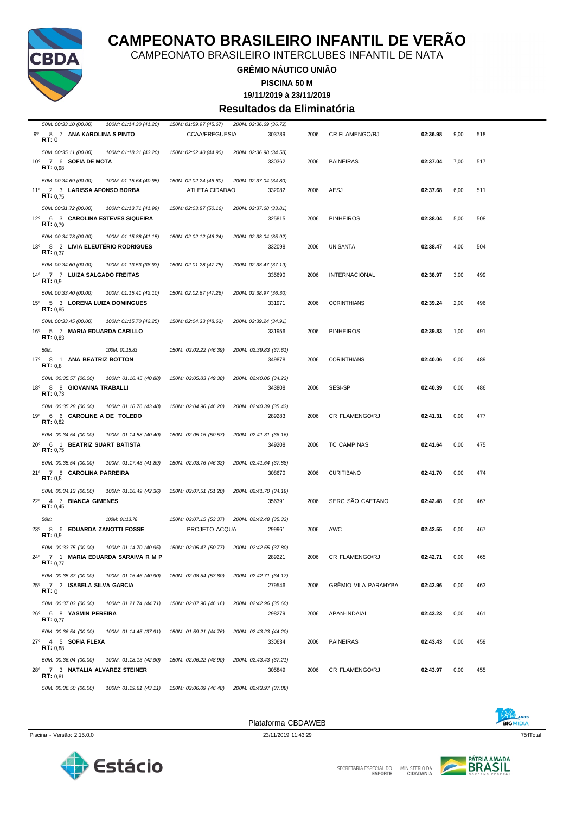

CAMPEONATO BRASILEIRO INTERCLUBES INFANTIL DE NATA

#### **GRÊMIO NÁUTICO UNIÃO**

**PISCINA 50 M**

**19/11/2019 à 23/11/2019**

#### **Resultados da Eliminatória**

| 50M: 00:33.10 (00.00)<br>100M: 01:14.30 (41.20)                                      | 150M: 01:59.97 (45.67) | 200M: 02:36.69 (36.72) |      |                             |          |      |     |
|--------------------------------------------------------------------------------------|------------------------|------------------------|------|-----------------------------|----------|------|-----|
| 8 7 ANA KAROLINA S PINTO<br>90                                                       | <b>CCAA/FREGUESIA</b>  | 303789                 | 2006 | CR FLAMENGO/RJ              | 02:36.98 | 9,00 | 518 |
| <b>RT:</b> 0                                                                         |                        |                        |      |                             |          |      |     |
| 50M: 00:35.11 (00.00)<br>100M: 01:18.31 (43.20)                                      | 150M: 02:02.40 (44.90) | 200M: 02:36.98 (34.58) |      |                             |          |      |     |
| 7 6 SOFIA DE MOTA<br>$10^{\circ}$                                                    |                        | 330362                 | 2006 | <b>PAINEIRAS</b>            | 02:37.04 | 7,00 | 517 |
| RT: 0.98                                                                             |                        |                        |      |                             |          |      |     |
| 50M: 00:34.69 (00.00)<br>100M: 01:15.64 (40.95)                                      | 150M: 02:02.24 (46.60) | 200M: 02:37.04 (34.80) |      |                             |          |      |     |
| 11º 2 3 LARISSA AFONSO BORBA<br>RT: 0.75                                             | ATLETA CIDADAO         | 332082                 | 2006 | AESJ                        | 02:37.68 | 6,00 | 511 |
|                                                                                      |                        |                        |      |                             |          |      |     |
| 50M: 00:31.72 (00.00)<br>100M: 01:13.71 (41.99)                                      | 150M: 02:03.87 (50.16) | 200M: 02:37.68 (33.81) |      |                             |          |      |     |
| 12º 6 3 CAROLINA ESTEVES SIQUEIRA<br>RT: 0.79                                        |                        | 325815                 | 2006 | <b>PINHEIROS</b>            | 02:38.04 | 5,00 | 508 |
|                                                                                      |                        | 200M: 02:38.04 (35.92) |      |                             |          |      |     |
| 50M: 00:34.73 (00.00)<br>100M: 01:15.88 (41.15)<br>13º 8 2 LIVIA ELEUTÉRIO RODRIGUES | 150M: 02:02.12 (46.24) | 332098                 | 2006 | UNISANTA                    | 02:38.47 | 4,00 | 504 |
| RT: 0.37                                                                             |                        |                        |      |                             |          |      |     |
| 50M: 00:34.60 (00.00)<br>100M: 01:13.53 (38.93)                                      | 150M: 02:01.28 (47.75) | 200M: 02:38.47 (37.19) |      |                             |          |      |     |
| 14º 7 7 LUIZA SALGADO FREITAS                                                        |                        | 335690                 | 2006 | <b>INTERNACIONAL</b>        | 02:38.97 | 3,00 | 499 |
| RT: 0.9                                                                              |                        |                        |      |                             |          |      |     |
| 50M: 00:33.40 (00.00)<br>100M: 01:15.41 (42.10)                                      | 150M: 02:02.67 (47.26) | 200M: 02:38.97 (36.30) |      |                             |          |      |     |
| 5 3 LORENA LUIZA DOMINGUES<br>$15^{\circ}$                                           |                        | 331971                 | 2006 | <b>CORINTHIANS</b>          | 02:39.24 | 2,00 | 496 |
| RT: 0.85                                                                             |                        |                        |      |                             |          |      |     |
| 50M: 00:33.45 (00.00)<br>100M: 01:15.70 (42.25)                                      | 150M: 02:04.33 (48.63) | 200M: 02:39.24 (34.91) |      |                             |          |      |     |
| 5 7 MARIA EDUARDA CARILLO<br>16º<br>RT: 0.83                                         |                        | 331956                 | 2006 | <b>PINHEIROS</b>            | 02:39.83 | 1,00 | 491 |
|                                                                                      |                        |                        |      |                             |          |      |     |
| 50M:<br>100M: 01:15.83                                                               | 150M: 02:02.22 (46.39) | 200M: 02:39.83 (37.61) |      |                             |          |      |     |
| 17°<br>8 1 ANA BEATRIZ BOTTON<br>RT: 0.8                                             |                        | 349878                 | 2006 | <b>CORINTHIANS</b>          | 02:40.06 | 0,00 | 489 |
| 50M: 00:35.57 (00.00)<br>100M: 01:16.45 (40.88)                                      | 150M: 02:05.83 (49.38) | 200M: 02:40.06 (34.23) |      |                             |          |      |     |
| 18º 8 8 GIOVANNA TRABALLI                                                            |                        | 343808                 | 2006 | SESI-SP                     | 02:40.39 | 0,00 | 486 |
| RT: 0.73                                                                             |                        |                        |      |                             |          |      |     |
| 50M: 00:35.28 (00.00)<br>100M: 01:18.76 (43.48)                                      | 150M: 02:04.96 (46.20) | 200M: 02:40.39 (35.43) |      |                             |          |      |     |
| 19º 6 6 CAROLINE A DE TOLEDO                                                         |                        | 289283                 | 2006 | <b>CR FLAMENGO/RJ</b>       | 02:41.31 | 0,00 | 477 |
| RT: 0,82                                                                             |                        |                        |      |                             |          |      |     |
| 50M: 00:34.54 (00.00)<br>100M: 01:14.58 (40.40)                                      | 150M: 02:05.15 (50.57) | 200M: 02:41.31 (36.16) |      |                             |          |      |     |
| $20^{\circ}$<br>6 1 BEATRIZ SUART BATISTA<br>RT: 0,75                                |                        | 349208                 | 2006 | <b>TC CAMPINAS</b>          | 02:41.64 | 0,00 | 475 |
|                                                                                      |                        |                        |      |                             |          |      |     |
| 50M: 00:35.54 (00.00)<br>100M: 01:17.43 (41.89)<br>21º 7 8 CAROLINA PARREIRA         | 150M: 02:03.76 (46.33) | 200M: 02:41.64 (37.88) |      |                             |          |      | 474 |
| RT: 0,8                                                                              |                        | 308670                 | 2006 | <b>CURITIBANO</b>           | 02:41.70 | 0,00 |     |
| 50M: 00:34.13 (00.00)<br>100M: 01:16.49 (42.36)                                      | 150M: 02:07.51 (51.20) | 200M: 02:41.70 (34.19) |      |                             |          |      |     |
| $22^{\circ}$<br>4 7 BIANCA GIMENES                                                   |                        | 356391                 | 2006 | SERC SÃO CAETANO            | 02:42.48 | 0,00 | 467 |
| RT: 0,45                                                                             |                        |                        |      |                             |          |      |     |
| 50M:<br>100M: 01:13.78                                                               | 150M: 02:07.15 (53.37) | 200M: 02:42.48 (35.33) |      |                             |          |      |     |
| 23 <sup>o</sup><br>8 6 EDUARDA ZANOTTI FOSSE                                         | PROJETO ACQUA          | 299961                 | 2006 | AWC                         | 02:42.55 | 0,00 | 467 |
| RT: 0,9                                                                              |                        |                        |      |                             |          |      |     |
| 50M: 00:33.75 (00.00)<br>100M: 01:14.70 (40.95)                                      | 150M: 02:05.47 (50.77) | 200M: 02:42.55 (37.80) |      |                             |          |      |     |
| 24º 7 1 MARIA EDUARDA SARAIVA R M P<br>RT: 0.77                                      |                        | 289221                 | 2006 | CR FLAMENGO/RJ              | 02:42.71 | 0,00 | 465 |
| 50M: 00:35.37 (00.00)<br>100M: 01:15.46 (40.90)                                      | 150M: 02:08.54 (53.80) | 200M: 02:42.71 (34.17) |      |                             |          |      |     |
| 25º 7 2 ISABELA SILVA GARCIA                                                         |                        | 279546                 | 2006 | <b>GRÊMIO VILA PARAHYBA</b> | 02:42.96 | 0,00 | 463 |
| RT: 0                                                                                |                        |                        |      |                             |          |      |     |
| 50M: 00:37.03 (00.00)<br>100M: 01:21.74 (44.71)                                      | 150M: 02:07.90 (46.16) | 200M: 02:42.96 (35.60) |      |                             |          |      |     |
| 26º 6 8 YASMIN PEREIRA                                                               |                        | 298279                 | 2006 | APAN-INDAIAL                | 02:43.23 | 0,00 | 461 |
| RT: 0.77                                                                             |                        |                        |      |                             |          |      |     |
| 50M: 00:36.54 (00.00)<br>100M: 01:14.45 (37.91)                                      | 150M: 01:59.21 (44.76) | 200M: 02:43.23 (44.20) |      |                             |          |      |     |
| 27º 4 5 SOFIA FLEXA                                                                  |                        | 330634                 | 2006 | <b>PAINEIRAS</b>            | 02:43.43 | 0,00 | 459 |
| RT: 0.88                                                                             |                        |                        |      |                             |          |      |     |
| 50M: 00:36.04 (00.00)<br>100M: 01:18.13 (42.90)                                      | 150M: 02:06.22 (48.90) | 200M: 02:43.43 (37.21) |      |                             |          |      |     |
| 28º 7 3 NATALIA ALVAREZ STEINER<br>RT: 0.81                                          |                        | 305849                 | 2006 | CR FLAMENGO/RJ              | 02:43.97 | 0,00 | 455 |
| 50M: 00:36.50 (00.00)<br>100M: 01:19.61 (43.11)                                      | 150M: 02:06.09 (46.48) | 200M: 02:43.97 (37.88) |      |                             |          |      |     |
|                                                                                      |                        |                        |      |                             |          |      |     |







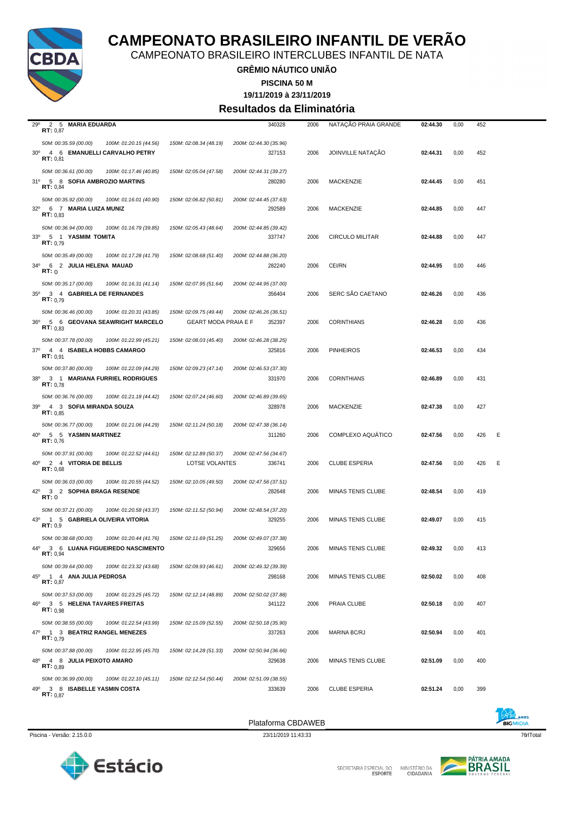

CAMPEONATO BRASILEIRO INTERCLUBES INFANTIL DE NATA

**GRÊMIO NÁUTICO UNIÃO**

**PISCINA 50 M**

**19/11/2019 à 23/11/2019**

#### **Resultados da Eliminatória**

| 29°<br>2 5 MARIA EDUARDA<br>RT: 0.87                                                |                             | 340328                           | 2006 | NATAÇÃO PRAIA GRANDE     | 02:44.30 | 0,00 | 452 |   |
|-------------------------------------------------------------------------------------|-----------------------------|----------------------------------|------|--------------------------|----------|------|-----|---|
| 50M: 00:35.59 (00.00)<br>100M: 01:20.15 (44.56)                                     | 150M: 02:08.34 (48.19)      | 200M: 02:44.30 (35.96)           |      |                          |          |      |     |   |
| 30° 4 6 EMANUELLI CARVALHO PETRY                                                    |                             | 327153                           | 2006 | JOINVILLE NATAÇÃO        | 02:44.31 | 0,00 | 452 |   |
| RT: 0.81                                                                            |                             |                                  |      |                          |          |      |     |   |
| 50M: 00:36.61 (00.00)<br>100M: 01:17.46 (40.85)                                     | 150M: 02:05.04 (47.58)      | 200M: 02:44.31 (39.27)           |      |                          |          |      |     |   |
| 31º 5 8 SOFIA AMBROZIO MARTINS                                                      |                             | 280280                           | 2006 | <b>MACKENZIE</b>         | 02:44.45 | 0,00 | 451 |   |
| RT: 0,84                                                                            |                             |                                  |      |                          |          |      |     |   |
| 50M: 00:35.92 (00.00)<br>100M: 01:16.01 (40.90)                                     | 150M: 02:06.82 (50.81)      | 200M: 02:44.45 (37.63)           |      |                          |          |      |     |   |
| 32º 6 7 MARIA LUIZA MUNIZ<br>RT: 0.83                                               |                             | 292589                           | 2006 | <b>MACKENZIE</b>         | 02:44.85 | 0,00 | 447 |   |
| 50M: 00:36.94 (00.00)<br>100M: 01:16.79 (39.85)                                     | 150M: 02:05.43 (48.64)      | 200M: 02:44.85 (39.42)           |      |                          |          |      |     |   |
| $33^\circ$<br>5 1 YASMIM TOMITA                                                     |                             | 337747                           | 2006 | <b>CIRCULO MILITAR</b>   | 02:44.88 | 0,00 | 447 |   |
| RT: 0.79                                                                            |                             |                                  |      |                          |          |      |     |   |
| 50M: 00:35.49 (00.00)<br>100M: 01:17.28 (41.79)                                     | 150M: 02:08.68 (51.40)      | 200M: 02:44.88 (36.20)           |      |                          |          |      |     |   |
| 6 2 JULIA HELENA MAUAD<br>34°                                                       |                             | 282240                           | 2006 | CEI/RN                   | 02:44.95 | 0,00 | 446 |   |
| RT:0                                                                                |                             |                                  |      |                          |          |      |     |   |
| 50M: 00:35.17 (00.00)<br>100M: 01:16.31 (41.14)                                     | 150M: 02:07.95 (51.64)      | 200M: 02:44.95 (37.00)           |      |                          |          |      |     |   |
| 3 4 GABRIELA DE FERNANDES<br>$35^\circ$<br>RT: 0.79                                 |                             | 356404                           | 2006 | SERC SÃO CAETANO         | 02:46.26 | 0,00 | 436 |   |
| 50M: 00:36.46 (00.00)<br>100M: 01:20.31 (43.85)                                     | 150M: 02:09.75 (49.44)      | 200M: 02:46.26 (36.51)           |      |                          |          |      |     |   |
| 5 6 GEOVANA SEAWRIGHT MARCELO<br>36°                                                | <b>GEART MODA PRAIA E F</b> | 352397                           | 2006 | <b>CORINTHIANS</b>       | 02:46.28 | 0,00 | 436 |   |
| RT: 0.83                                                                            |                             |                                  |      |                          |          |      |     |   |
| 50M: 00:37.78 (00.00)<br>100M: 01:22.99 (45.21)                                     | 150M: 02:08.03 (45.40)      | 200M: 02:46.28 (38.25)           |      |                          |          |      |     |   |
| 37º 4 4 ISABELA HOBBS CAMARGO<br>RT: 0.91                                           |                             | 325816                           | 2006 | <b>PINHEIROS</b>         | 02:46.53 | 0,00 | 434 |   |
| 50M: 00:37.80 (00.00)<br>100M: 01:22.09 (44.29)                                     |                             |                                  |      |                          |          |      |     |   |
| 3 1 MARIANA FURRIEL RODRIGUES<br>38°                                                | 150M: 02:09.23 (47.14)      | 200M: 02:46.53 (37.30)<br>331970 | 2006 | <b>CORINTHIANS</b>       | 02:46.89 | 0,00 | 431 |   |
| RT: 0.78                                                                            |                             |                                  |      |                          |          |      |     |   |
| 50M: 00:36.76 (00.00)<br>100M: 01:21.18 (44.42)                                     | 150M: 02:07.24 (46.60)      | 200M: 02:46.89 (39.65)           |      |                          |          |      |     |   |
| 39º 4 3 SOFIA MIRANDA SOUZA                                                         |                             | 328978                           | 2006 | MACKENZIE                | 02:47.38 | 0,00 | 427 |   |
| RT: 0.85                                                                            |                             |                                  |      |                          |          |      |     |   |
| 50M: 00:36.77 (00.00)<br>100M: 01:21.06 (44.29)                                     | 150M: 02:11.24 (50.18)      | 200M: 02:47.38 (36.14)           |      |                          |          |      |     |   |
| $40^{\circ}$<br>5 5 YASMIN MARTINEZ<br>RT: 0,76                                     |                             | 311260                           | 2006 | COMPLEXO AQUATICO        | 02:47.56 | 0,00 | 426 | Ε |
| 50M: 00:37.91 (00.00)<br>100M: 01:22.52 (44.61)                                     | 150M: 02:12.89 (50.37)      | 200M: 02:47.56 (34.67)           |      |                          |          |      |     |   |
| 40° 2 4 VITORIA DE BELLIS                                                           | LOTSE VOLANTES              | 336741                           | 2006 | <b>CLUBE ESPERIA</b>     | 02:47.56 | 0,00 | 426 | Ε |
| RT: 0.68                                                                            |                             |                                  |      |                          |          |      |     |   |
| 50M: 00:36.03 (00.00)<br>100M: 01:20.55 (44.52)                                     | 150M: 02:10.05 (49.50)      | 200M: 02:47.56 (37.51)           |      |                          |          |      |     |   |
| $42^{\circ}$<br>3 2 SOPHIA BRAGA RESENDE<br><b>RT:</b> 0                            |                             | 282648                           | 2006 | MINAS TENIS CLUBE        | 02:48.54 | 0,00 | 419 |   |
| 50M: 00:37.21 (00.00)<br>100M: 01:20.58 (43.37)                                     | 150M: 02:11.52 (50.94)      | 200M: 02:48.54 (37.20)           |      |                          |          |      |     |   |
| 43º 1 5 GABRIELA OLIVEIRA VITORIA                                                   |                             | 329255                           | 2006 | <b>MINAS TENIS CLUBE</b> | 02:49.07 | 0,00 | 415 |   |
| RT: 0.9                                                                             |                             |                                  |      |                          |          |      |     |   |
| 50M: 00:38.68 (00.00)<br>100M: 01:20.44 (41.76)                                     | 150M: 02:11.69 (51.25)      | 200M: 02:49.07 (37.38)           |      |                          |          |      |     |   |
| 44°<br>3 6 LUANA FIGUEIREDO NASCIMENTO<br><b>RT: 0,94</b>                           |                             | 329656                           | 2006 | MINAS TENIS CLUBE        | 02:49.32 | 0,00 | 413 |   |
| 50M: 00:39.64 (00.00)<br>100M: 01:23.32 (43.68)                                     |                             |                                  |      |                          |          |      |     |   |
|                                                                                     |                             |                                  |      |                          |          |      |     |   |
|                                                                                     | 150M: 02:09.93 (46.61)      | 200M: 02:49.32 (39.39)           |      |                          |          |      |     |   |
| 45º 1 4 ANA JULIA PEDROSA<br>RT: 0,87                                               |                             | 298168                           | 2006 | <b>MINAS TENIS CLUBE</b> | 02:50.02 | 0,00 | 408 |   |
| 50M: 00:37.53 (00.00)<br>100M: 01:23.25 (45.72)                                     | 150M: 02:12.14 (48.89)      | 200M: 02:50.02 (37.88)           |      |                          |          |      |     |   |
| 3 5 HELENA TAVARES FREITAS<br>46°                                                   |                             | 341122                           | 2006 | PRAIA CLUBE              | 02:50.18 | 0,00 | 407 |   |
| RT: 0.98                                                                            |                             |                                  |      |                          |          |      |     |   |
| 50M: 00:38.55 (00.00)<br>100M: 01:22.54 (43.99)                                     | 150M: 02:15.09 (52.55)      | 200M: 02:50.18 (35.90)           |      |                          |          |      |     |   |
| 47º 1 3 BEATRIZ RANGEL MENEZES<br>RT: 0.79                                          |                             | 337263                           | 2006 | <b>MARINA BC/RJ</b>      | 02:50.94 | 0,00 | 401 |   |
| 50M: 00:37.88 (00.00)<br>100M: 01:22.95 (45.70)                                     | 150M: 02:14.28 (51.33)      | 200M: 02:50.94 (36.66)           |      |                          |          |      |     |   |
| 48°<br>4 8 JULIA PEIXOTO AMARO                                                      |                             | 329638                           | 2006 | MINAS TENIS CLUBE        | 02:51.09 | 0,00 | 400 |   |
| RT: 0.89                                                                            |                             |                                  |      |                          |          |      |     |   |
| 50M: 00:36.99 (00.00)<br>100M: 01:22.10 (45.11)<br>49°<br>3 8 ISABELLE YASMIN COSTA | 150M: 02:12.54 (50.44)      | 200M: 02:51.09 (38.55)<br>333639 | 2006 | <b>CLUBE ESPERIA</b>     | 02:51.24 | 0,00 | 399 |   |







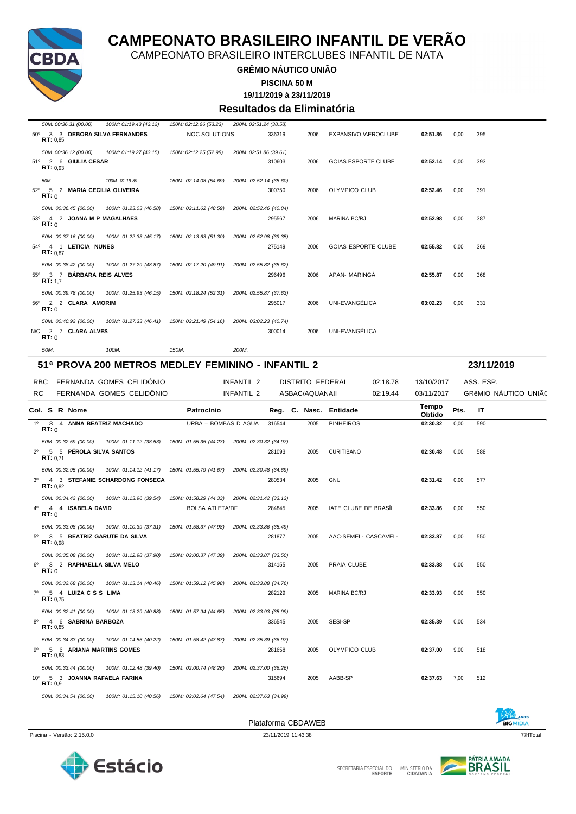

CAMPEONATO BRASILEIRO INTERCLUBES INFANTIL DE NATA

#### **GRÊMIO NÁUTICO UNIÃO**

**PISCINA 50 M**

**19/11/2019 à 23/11/2019**

#### **Resultados da Eliminatória**

| 50M: 00:36.31 (00.00)                      | 100M: 01:19.43 (43.12)                                                                     | 150M: 02:12.66 (53.23) | 200M: 02:51.24 (38.58)                            |      |                            |          |      |            |
|--------------------------------------------|--------------------------------------------------------------------------------------------|------------------------|---------------------------------------------------|------|----------------------------|----------|------|------------|
| 50° 3 3 DEBORA SILVA FERNANDES<br>RT: 0.85 |                                                                                            | <b>NOC SOLUTIONS</b>   | 336319                                            | 2006 | EXPANSIVO / AEROCLUBE      | 02:51.86 | 0.00 | 395        |
| 50M: 00:36.12 (00.00)                      | 100M: 01:19.27 (43.15)                                                                     | 150M: 02:12.25 (52.98) | 200M: 02:51.86 (39.61)                            |      |                            |          |      |            |
| 51º 2 6 GIULIA CESAR<br>RT: 0.93           |                                                                                            |                        | 310603                                            | 2006 | <b>GOIAS ESPORTE CLUBE</b> | 02:52.14 | 0.00 | 393        |
| 50M:                                       | 100M: 01:19.39                                                                             | 150M: 02:14.08 (54.69) | 200M: 02:52.14 (38.60)                            |      |                            |          |      |            |
| 52º 5 2 MARIA CECILIA OLIVEIRA<br>RT: 0    |                                                                                            |                        | 300750                                            | 2006 | <b>OLYMPICO CLUB</b>       | 02:52.46 | 0.00 | 391        |
| 50M: 00:36.45 (00.00)                      | 100M: 01:23.03 (46.58)                                                                     | 150M: 02:11.62 (48.59) | 200M: 02:52.46 (40.84)                            |      |                            |          |      |            |
| 53º 4 2 JOANA M P MAGALHAES<br>RT: 0       |                                                                                            |                        | 295567                                            | 2006 | <b>MARINA BC/RJ</b>        | 02:52.98 | 0.00 | 387        |
|                                            | 50M: 00:37.16 (00.00) 100M: 01:22.33 (45.17) 150M: 02:13.63 (51.30) 200M: 02:52.98 (39.35) |                        |                                                   |      |                            |          |      |            |
| 54º 4 1 LETICIA NUNES<br>RT: 0.87          |                                                                                            |                        | 275149                                            | 2006 | <b>GOIAS ESPORTE CLUBE</b> | 02:55.82 | 0.00 | 369        |
|                                            | 50M: 00:38.42 (00.00)  100M: 01:27.29 (48.87)                                              | 150M: 02:17.20 (49.91) | 200M: 02:55.82 (38.62)                            |      |                            |          |      |            |
| 55º 3 7 BÁRBARA REIS ALVES<br>RT: 1.7      |                                                                                            |                        | 296496                                            | 2006 | APAN- MARINGA              | 02:55.87 | 0.00 | 368        |
| 50M: 00:39.78 (00.00)                      | 100M: 01:25.93 (46.15)                                                                     | 150M: 02:18.24 (52.31) | 200M: 02:55.87 (37.63)                            |      |                            |          |      |            |
| 56º 2 2 CLARA AMORIM<br>RT: 0              |                                                                                            |                        | 295017                                            | 2006 | UNI-EVANGÉLICA             | 03:02.23 | 0.00 | 331        |
| 50M: 00:40.92 (00.00)                      | 100M: 01:27.33 (46.41)  150M: 02:21.49 (54.16)                                             |                        | 200M: 03:02.23 (40.74)                            |      |                            |          |      |            |
| N/C 2 7 CLARA ALVES<br>RT: 0               |                                                                                            |                        | 300014                                            | 2006 | UNI-EVANGÉLICA             |          |      |            |
| 50M:                                       | 100M:                                                                                      | 150M:                  | 200M:                                             |      |                            |          |      |            |
|                                            |                                                                                            |                        | 51ª PROVA 200 METROS MEDLEY FEMININO - INFANTIL 2 |      |                            |          |      | 23/11/2019 |

| <b>RBC</b>     |         |                       | FERNANDA GOMES CELIDÔNIO                                                                   |                                               | INFANTIL 2             |        | <b>DISTRITO FEDERAL</b> |                        | 02:18.78 | 13/10/2017      |      | ASS. ESP. |                      |  |
|----------------|---------|-----------------------|--------------------------------------------------------------------------------------------|-----------------------------------------------|------------------------|--------|-------------------------|------------------------|----------|-----------------|------|-----------|----------------------|--|
| RC.            |         |                       | FERNANDA GOMES CELIDÔNIO                                                                   |                                               | INFANTIL 2             |        | ASBAC/AQUANAII          |                        | 02:19.44 | 03/11/2017      |      |           | GRÊMIO NÁUTICO UNIÃO |  |
|                |         | Col. S R Nome         |                                                                                            | Patrocínio                                    |                        |        |                         | Reg. C. Nasc. Entidade |          | Tempo<br>Obtido | Pts. | <b>IT</b> |                      |  |
|                | RT:0    |                       | 1º 3 4 ANNA BEATRIZ MACHADO                                                                | URBA - BOMBAS D AGUA                          |                        | 316544 | 2005                    | <b>PINHEIROS</b>       |          | 02:30.32        | 0,00 | 590       |                      |  |
|                |         |                       | 50M: 00:32.59 (00.00) 100M: 01:11.12 (38.53)                                               | 150M: 01:55.35 (44.23) 200M: 02:30.32 (34.97) |                        |        |                         |                        |          |                 |      |           |                      |  |
|                |         | RT: 0.71              | 2 <sup>0</sup> 5 5 PÉROLA SILVA SANTOS                                                     |                                               |                        | 281093 | 2005                    | <b>CURITIBANO</b>      |          | 02:30.48        | 0.00 | 588       |                      |  |
|                |         |                       | 50M: 00:32.95 (00.00) 100M: 01:14.12 (41.17) 150M: 01:55.79 (41.67) 200M: 02:30.48 (34.69) |                                               |                        |        |                         |                        |          |                 |      |           |                      |  |
| 3 <sup>0</sup> |         | RT: 0.82              | 4 3 STEFANIE SCHARDONG FONSECA                                                             |                                               |                        | 280534 | 2005                    | <b>GNU</b>             |          | 02:31.42        | 0.00 | 577       |                      |  |
|                |         |                       | 50M: 00:34.42 (00.00) 100M: 01:13.96 (39.54) 150M: 01:58.29 (44.33) 200M: 02:31.42 (33.13) |                                               |                        |        |                         |                        |          |                 |      |           |                      |  |
| $4^{\circ}$    | RT:0    | 4 4 ISABELA DAVID     |                                                                                            | <b>BOLSA ATLETA/DF</b>                        |                        | 284845 | 2005                    | IATE CLUBE DE BRASIL   |          | 02:33.86        | 0.00 | 550       |                      |  |
|                |         | 50M: 00:33.08 (00.00) | 100M: 01:10.39 (37.31)                                                                     | 150M: 01:58.37 (47.98) 200M: 02:33.86 (35.49) |                        |        |                         |                        |          |                 |      |           |                      |  |
| $5^{\circ}$    |         | RT: 0.98              | 3 5 BEATRIZ GARUTE DA SILVA                                                                |                                               |                        | 281877 | 2005                    | AAC-SEMEL- CASCAVEL-   |          | 02:33.87        | 0.00 | 550       |                      |  |
|                |         | 50M: 00:35.08 (00.00) | 100M: 01:12.98 (37.90)                                                                     | 150M: 02:00.37 (47.39)                        | 200M: 02:33.87 (33.50) |        |                         |                        |          |                 |      |           |                      |  |
|                | RT: 0   |                       | 6º 3 2 RAPHAELLA SILVA MELO                                                                |                                               |                        | 314155 | 2005                    | PRAIA CLUBE            |          | 02:33.88        | 0,00 | 550       |                      |  |
|                |         | 50M: 00:32.68 (00.00) | 100M: 01:13.14 (40.46)  150M: 01:59.12 (45.98)                                             |                                               | 200M: 02:33.88 (34.76) |        |                         |                        |          |                 |      |           |                      |  |
| 70             |         | RT: 0.75              | 5 4 LUIZACSS LIMA                                                                          |                                               |                        | 282129 | 2005                    | <b>MARINA BC/RJ</b>    |          | 02:33.93        | 0,00 | 550       |                      |  |
|                |         |                       | 50M: 00:32.41 (00.00) 100M: 01:13.29 (40.88) 150M: 01:57.94 (44.65) 200M: 02:33.93 (35.99) |                                               |                        |        |                         |                        |          |                 |      |           |                      |  |
| 80             |         | RT: 0.85              | 4 6 SABRINA BARBOZA                                                                        |                                               |                        | 336545 | 2005                    | SESI-SP                |          | 02:35.39        | 0,00 | 534       |                      |  |
|                |         | 50M: 00:34.33 (00.00) | 100M: 01:14.55 (40.22)                                                                     | 150M: 01:58.42 (43.87)                        | 200M: 02:35.39 (36.97) |        |                         |                        |          |                 |      |           |                      |  |
| .go            |         | RT: 0.83              | 5 6 ARIANA MARTINS GOMES                                                                   |                                               |                        | 281658 | 2005                    | OLYMPICO CLUB          |          | 02:37.00        | 9,00 | 518       |                      |  |
|                |         | 50M: 00:33.44 (00.00) | 100M: 01:12.48 (39.40)                                                                     | 150M: 02:00.74 (48.26)                        | 200M: 02:37.00 (36.26) |        |                         |                        |          |                 |      |           |                      |  |
|                | RT: 0.9 |                       | 10º 5 3 JOANNA RAFAELA FARINA                                                              |                                               |                        | 315694 | 2005                    | AABB-SP                |          | 02:37.63        | 7,00 | 512       |                      |  |
|                |         | 50M: 00:34.54 (00.00) | 100M: 01:15.10 (40.56) 150M: 02:02.64 (47.54) 200M: 02:37.63 (34.99)                       |                                               |                        |        |                         |                        |          |                 |      |           |                      |  |





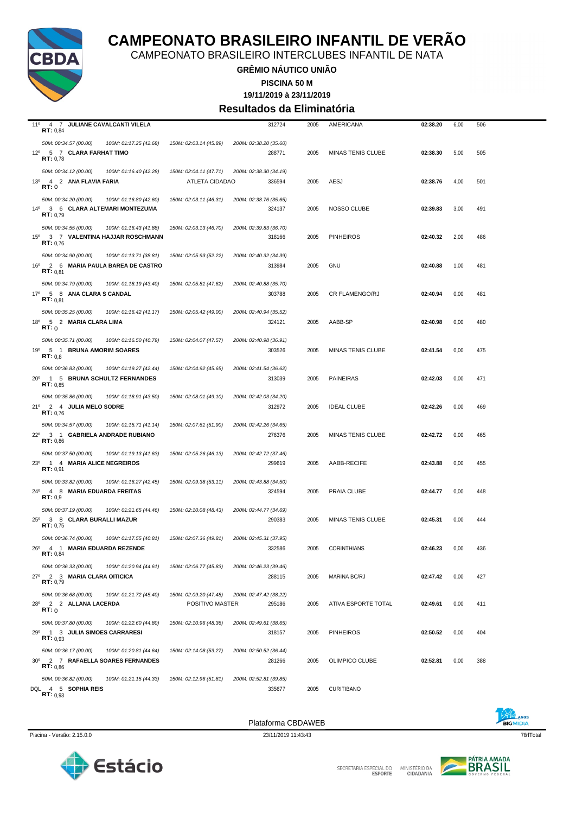

CAMPEONATO BRASILEIRO INTERCLUBES INFANTIL DE NATA

**GRÊMIO NÁUTICO UNIÃO**

**PISCINA 50 M**

### **19/11/2019 à 23/11/2019**

**Resultados da Eliminatória**

| 11º 4 7 JULIANE CAVALCANTI VILELA<br>RT: 0,84                          |                        | 312724                           | 2005 | AMERICANA                | 02:38.20 | 6,00 | 506 |
|------------------------------------------------------------------------|------------------------|----------------------------------|------|--------------------------|----------|------|-----|
| 50M: 00:34.57 (00.00)<br>100M: 01:17.25 (42.68)                        | 150M: 02:03.14 (45.89) | 200M: 02:38.20 (35.60)           |      |                          |          |      |     |
| 12º 5 7 CLARA FARHAT TIMO                                              |                        | 288771                           | 2005 | <b>MINAS TENIS CLUBE</b> | 02:38.30 | 5,00 | 505 |
| RT: 0,78                                                               |                        |                                  |      |                          |          |      |     |
| 50M: 00:34.12 (00.00)<br>100M: 01:16.40 (42.28)                        | 150M: 02:04.11 (47.71) | 200M: 02:38.30 (34.19)           |      |                          |          |      |     |
| 13º 4 2 ANA FLAVIA FARIA<br><b>RT:</b> 0                               | ATLETA CIDADAO         | 336594                           | 2005 | AESJ                     | 02:38.76 | 4,00 | 501 |
| 50M: 00:34.20 (00.00)<br>100M: 01:16.80 (42.60)                        | 150M: 02:03.11 (46.31) | 200M: 02:38.76 (35.65)           |      |                          |          |      |     |
| 14º 3 6 CLARA ALTEMARI MONTEZUMA                                       |                        | 324137                           | 2005 | NOSSO CLUBE              | 02:39.83 | 3,00 | 491 |
| RT: 0.79                                                               |                        |                                  |      |                          |          |      |     |
| 50M: 00:34.55 (00.00)<br>100M: 01:16.43 (41.88)                        | 150M: 02:03.13 (46.70) | 200M: 02:39.83 (36.70)           |      |                          |          |      |     |
| 3 7 VALENTINA HAJJAR ROSCHMANN<br>$15^{\circ}$<br>RT: 0.76             |                        | 318166                           | 2005 | <b>PINHEIROS</b>         | 02:40.32 | 2,00 | 486 |
| 50M: 00:34.90 (00.00)<br>100M: 01:13.71 (38.81)                        | 150M: 02:05.93 (52.22) | 200M: 02:40.32 (34.39)           |      |                          |          |      |     |
| 16º 2 6 MARIA PAULA BAREA DE CASTRO                                    |                        | 313984                           | 2005 | <b>GNU</b>               | 02:40.88 | 1,00 | 481 |
| RT: 0.81                                                               |                        |                                  |      |                          |          |      |     |
| 50M: 00:34.79 (00.00)<br>100M: 01:18.19 (43.40)                        | 150M: 02:05.81 (47.62) | 200M: 02:40.88 (35.70)           |      |                          |          |      |     |
| 17º 5 8 ANA CLARA S CANDAL<br>RT: 0.81                                 |                        | 303788                           | 2005 | CR FLAMENGO/RJ           | 02:40.94 | 0,00 | 481 |
| 50M: 00:35.25 (00.00)<br>100M: 01:16.42 (41.17)                        | 150M: 02:05.42 (49.00) | 200M: 02:40.94 (35.52)           |      |                          |          |      |     |
| 18 <sup>0</sup> 5 2 <b>MARIA CLARA LIMA</b>                            |                        | 324121                           | 2005 | AABB-SP                  | 02:40.98 | 0,00 | 480 |
| RT:0                                                                   |                        |                                  |      |                          |          |      |     |
| 50M: 00:35.71 (00.00)<br>100M: 01:16.50 (40.79)                        | 150M: 02:04.07 (47.57) | 200M: 02:40.98 (36.91)           |      |                          |          |      |     |
| 19 <sup>o</sup><br>5 1 BRUNA AMORIM SOARES<br>RT: 0,8                  |                        | 303526                           | 2005 | <b>MINAS TENIS CLUBE</b> | 02:41.54 | 0,00 | 475 |
| 50M: 00:36.83 (00.00)<br>100M: 01:19.27 (42.44)                        | 150M: 02:04.92 (45.65) | 200M: 02:41.54 (36.62)           |      |                          |          |      |     |
| 20° 1 5 BRUNA SCHULTZ FERNANDES                                        |                        | 313039                           | 2005 | <b>PAINEIRAS</b>         | 02:42.03 | 0,00 | 471 |
| RT: 0.85                                                               |                        |                                  |      |                          |          |      |     |
| 50M: 00:35.86 (00.00)<br>100M: 01:18.91 (43.50)                        | 150M: 02:08.01 (49.10) | 200M: 02:42.03 (34.20)           |      |                          |          |      |     |
| 21º 2 4 JULIA MELO SODRE<br>RT: 0.76                                   |                        | 312972                           | 2005 | <b>IDEAL CLUBE</b>       | 02:42.26 | 0,00 | 469 |
| 50M: 00:34.57 (00.00)<br>100M: 01:15.71 (41.14)                        | 150M: 02:07.61 (51.90) | 200M: 02:42.26 (34.65)           |      |                          |          |      |     |
| 22º 3 1 GABRIELA ANDRADE RUBIANO                                       |                        | 276376                           | 2005 | MINAS TENIS CLUBE        | 02:42.72 | 0,00 | 465 |
| RT: 0,86                                                               |                        |                                  |      |                          |          |      |     |
| 50M: 00:37.50 (00.00)<br>100M: 01:19.13 (41.63)                        | 150M: 02:05.26 (46.13) | 200M: 02:42.72 (37.46)           |      |                          |          |      |     |
| 1 4 MARIA ALICE NEGREIROS<br>$23^{\circ}$<br>RT: 0,91                  |                        | 299619                           | 2005 | AABB-RECIFE              | 02:43.88 | 0,00 | 455 |
| 50M: 00:33.82 (00.00)<br>100M: 01:16.27 (42.45)                        | 150M: 02:09.38 (53.11) | 200M: 02:43.88 (34.50)           |      |                          |          |      |     |
| 24º 4 8 MARIA EDUARDA FREITAS                                          |                        | 324594                           | 2005 | PRAIA CLUBE              | 02:44.77 | 0,00 | 448 |
| RT: 0,9                                                                |                        |                                  |      |                          |          |      |     |
| 50M: 00:37.19 (00.00)<br>100M: 01:21.65 (44.46)                        | 150M: 02:10.08 (48.43) | 200M: 02:44.77 (34.69)           |      |                          |          |      |     |
| 25º 3 8 CLARA BURALLI MAZUR<br>RT: 0,75                                |                        | 290383                           | 2005 | <b>MINAS TENIS CLUBE</b> | 02:45.31 | 0,00 | 444 |
| 50M: 00:36.74 (00.00)<br>100M: 01:17.55 (40.81)                        | 150M: 02:07.36 (49.81) | 200M: 02:45.31 (37.95)           |      |                          |          |      |     |
| 26º 4 1 MARIA EDUARDA REZENDE                                          |                        | 332586                           | 2005 | <b>CORINTHIANS</b>       | 02:46.23 | 0,00 | 436 |
| RT: 0,84                                                               |                        |                                  |      |                          |          |      |     |
| 50M: 00:36.33 (00.00)<br>100M: 01:20.94 (44.61)                        | 150M: 02:06.77 (45.83) | 200M: 02:46.23 (39.46)           |      |                          |          |      |     |
| 27º 2 3 MARIA CLARA OITICICA<br>RT: 0,79                               |                        | 288115                           | 2005 | <b>MARINA BC/RJ</b>      | 02:47.42 | 0,00 | 427 |
| 50M: 00:36.68 (00.00)<br>100M: 01:21.72 (45.40)                        | 150M: 02:09.20 (47.48) | 200M: 02:47.42 (38.22)           |      |                          |          |      |     |
| 28º 2 2 ALLANA LACERDA                                                 | POSITIVO MASTER        | 295186                           | 2005 | ATIVA ESPORTE TOTAL      | 02:49.61 | 0,00 | 411 |
| <b>RT:</b> 0                                                           |                        |                                  |      |                          |          |      |     |
| 50M: 00:37.80 (00.00)<br>100M: 01:22.60 (44.80)                        | 150M: 02:10.96 (48.36) | 200M: 02:49.61 (38.65)           |      |                          | 02:50.52 |      |     |
| $29^{\circ}$<br>1 3 JULIA SIMOES CARRARESI<br>RT: 0.93                 |                        | 318157                           | 2005 | <b>PINHEIROS</b>         |          | 0,00 | 404 |
| 50M: 00:36.17 (00.00)<br>100M: 01:20.81 (44.64)                        | 150M: 02:14.08 (53.27) | 200M: 02:50.52 (36.44)           |      |                          |          |      |     |
| 30° 2 7 RAFAELLA SOARES FERNANDES                                      |                        | 281266                           | 2005 | OLIMPICO CLUBE           | 02:52.81 | 0,00 | 388 |
| RT: 0.86                                                               |                        |                                  |      |                          |          |      |     |
| 50M: 00:36.82 (00.00)<br>100M: 01:21.15 (44.33)<br>DQL 4 5 SOPHIA REIS | 150M: 02:12.96 (51.81) | 200M: 02:52.81 (39.85)<br>335677 | 2005 | <b>CURITIBANO</b>        |          |      |     |
| RT: 0.93                                                               |                        |                                  |      |                          |          |      |     |

Plataforma CBDAWEB



Estácio

SECRETARIA ESPECIAL DO MINISTÉRIO DA<br>CIDADANIA

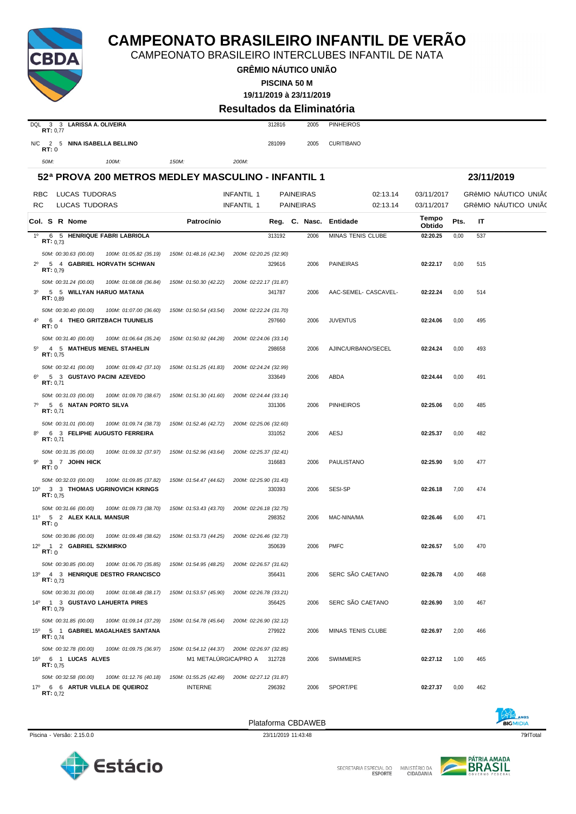



| 02:27.37 | 0,00 | 462 |                                |
|----------|------|-----|--------------------------------|
|          |      |     | <b>ANOS</b><br><b>BICMIDIA</b> |

| 30           | 5 5 WILLYAN HARUO MATANA<br>RT: 0,89          |                        |                        | 341787                 | 2006 | AAC-SEMEL- CASCAVEL-     | 02:22.24 | 0,00 | 514 |
|--------------|-----------------------------------------------|------------------------|------------------------|------------------------|------|--------------------------|----------|------|-----|
|              | 50M: 00:30.40 (00.00)                         | 100M: 01:07.00 (36.60) | 150M: 01:50.54 (43.54) | 200M: 02:22.24 (31.70) |      |                          |          |      |     |
| 4°           | 6 4 THEO GRITZBACH TUUNELIS<br>RT:0           |                        |                        | 297660                 | 2006 | <b>JUVENTUS</b>          | 02:24.06 | 0,00 | 495 |
|              | 50M: 00:31.40 (00.00)                         | 100M: 01:06.64 (35.24) | 150M: 01:50.92 (44.28) | 200M: 02:24.06 (33.14) |      |                          |          |      |     |
| 5°           | 4 5 MATHEUS MENEL STAHELIN<br>RT: 0.75        |                        |                        | 298658                 | 2006 | AJINC/URBANO/SECEL       | 02:24.24 | 0,00 | 493 |
|              | 50M: 00:32.41 (00.00)                         | 100M: 01:09.42 (37.10) | 150M: 01:51.25 (41.83) | 200M: 02:24.24 (32.99) |      |                          |          |      |     |
|              | 6º 5 3 GUSTAVO PACINI AZEVEDO<br>RT: 0.71     |                        |                        | 333649                 | 2006 | ABDA                     | 02:24.44 | 0,00 | 491 |
|              | 50M: 00:31.03 (00.00)                         | 100M: 01:09.70 (38.67) | 150M: 01:51.30 (41.60) | 200M: 02:24.44 (33.14) |      |                          |          |      |     |
| 70           | 5 6 NATAN PORTO SILVA<br>RT: 0.71             |                        |                        | 331306                 | 2006 | <b>PINHEIROS</b>         | 02:25.06 | 0.00 | 485 |
|              | 50M: 00:31.01 (00.00)                         | 100M: 01:09.74 (38.73) | 150M: 01:52.46 (42.72) | 200M: 02:25.06 (32.60) |      |                          |          |      |     |
| 80           | 6 3 FELIPHE AUGUSTO FERREIRA<br>RT: 0.71      |                        |                        | 331052                 | 2006 | AESJ                     | 02:25.37 | 0,00 | 482 |
|              | 50M: 00:31.35 (00.00)                         | 100M: 01:09.32 (37.97) | 150M: 01:52.96 (43.64) | 200M: 02:25.37 (32.41) |      |                          |          |      |     |
| 9º           | 3 7 JOHN HICK<br>RT: 0                        |                        |                        | 316683                 | 2006 | PAULISTANO               | 02:25.90 | 9,00 | 477 |
|              | 50M: 00:32.03 (00.00)                         | 100M: 01:09.85 (37.82) | 150M: 01:54.47 (44.62) | 200M: 02:25.90 (31.43) |      |                          |          |      |     |
|              | 10º 3 3 THOMAS UGRINOVICH KRINGS<br>RT: 0.75  |                        |                        | 330393                 | 2006 | SESI-SP                  | 02:26.18 | 7.00 | 474 |
|              | 50M: 00:31.66 (00.00)                         | 100M: 01:09.73 (38.70) | 150M: 01:53.43 (43.70) | 200M: 02:26.18 (32.75) |      |                          |          |      |     |
|              | 11º 5 2 ALEX KALIL MANSUR<br>RT:0             |                        |                        | 298352                 | 2006 | MAC-NINA/MA              | 02:26.46 | 6,00 | 471 |
|              | 50M: 00:30.86 (00.00)                         | 100M: 01:09.48 (38.62) | 150M: 01:53.73 (44.25) | 200M: 02:26.46 (32.73) |      |                          |          |      |     |
| $12^{\circ}$ | 1 2 GABRIEL SZKMIRKO<br>RT:0                  |                        |                        | 350639                 | 2006 | <b>PMFC</b>              | 02:26.57 | 5,00 | 470 |
|              | 50M: 00:30.85 (00.00)                         | 100M: 01:06.70 (35.85) | 150M: 01:54.95 (48.25) | 200M: 02:26.57 (31.62) |      |                          |          |      |     |
|              | 13º 4 3 HENRIQUE DESTRO FRANCISCO<br>RT: 0.73 |                        |                        | 356431                 | 2006 | SERC SÃO CAETANO         | 02:26.78 | 4,00 | 468 |
|              | 50M: 00:30.31 (00.00)                         | 100M: 01:08.48 (38.17) | 150M: 01:53.57 (45.90) | 200M: 02:26.78 (33.21) |      |                          |          |      |     |
|              | 14º 1 3 GUSTAVO LAHUERTA PIRES<br>RT: 0.79    |                        |                        | 356425                 | 2006 | SERC SÃO CAETANO         | 02:26.90 | 3,00 | 467 |
|              | 50M: 00:31.85 (00.00)                         | 100M: 01:09.14 (37.29) | 150M: 01:54.78 (45.64) | 200M: 02:26.90 (32.12) |      |                          |          |      |     |
|              | 15º 5 1 GABRIEL MAGALHAES SANTANA<br>RT: 0.74 |                        |                        | 279922                 | 2006 | <b>MINAS TENIS CLUBE</b> | 02:26.97 | 2,00 | 466 |
|              | 50M: 00:32.78 (00.00)                         | 100M: 01:09.75 (36.97) | 150M: 01:54.12 (44.37) | 200M: 02:26.97 (32.85) |      |                          |          |      |     |
|              | 16º 6 1 LUCAS ALVES<br><b>RT:</b> $0,75$      |                        | M1 METALÚRGICA/PRO A   | 312728                 | 2006 | <b>SWIMMERS</b>          | 02:27.12 | 1,00 | 465 |
|              | 50M: 00:32.58 (00.00)                         | 100M: 01:12.76 (40.18) | 150M: 01:55.25 (42.49) | 200M: 02:27.12 (31.87) |      |                          |          |      |     |
|              | 17º 6 6 ARTUR VILELA DE QUEIROZ<br>RT: 0.72   |                        | <b>INTERNE</b>         | 296392                 | 2006 | SPORT/PE                 | 02:27.37 | 0,00 | 462 |
|              |                                               |                        |                        |                        |      |                          |          |      |     |

Plataforma CBDAWEB

### **GRÊMIO NÁUTICO UNIÃO PISCINA 50 M**

**52ª PROVA 200 METROS MEDLEY MASCULINO - INFANTIL 1 23/11/2019**

RBC LUCAS TUDORAS **INFANTIL 1 PAINEIRAS** 02:13.14 03/11/2017 GRêMIO NÁUTICO UNIÃO RC LUCAS TUDORAS **INFANTIL 1 PAINEIRAS** 02:13.14 03/11/2017 GRêMIO NÁUTICO UNIÃO

**19/11/2019 à 23/11/2019**

**CAMPEONATO BRASILEIRO INFANTIL DE VERÃO**

CAMPEONATO BRASILEIRO INTERCLUBES INFANTIL DE NATA

**Resultados da Eliminatória**

**Col. <sup>S</sup> R Nome Patrocínio Nasc. Entidade Tempo Obtido Reg. C. Pts. IT** 1º 6 5 **HENRIQUE FABRI LABRIOLA** 313192 2006 MINAS TENIS CLUBE **02:20.25** 0,00 537 **RT:** 0,73

2º 5 4 **GABRIEL HORVATH SCHWAN** 329616 2006 PAINEIRAS **02:22.17** 0,00 515 **RT:** 0,79

| 3 3 LARISSA A. OLIVEIRA<br>DOL<br>RT: 0.77  | 312816 | 2005 | <b>PINHEIROS</b>  |
|---------------------------------------------|--------|------|-------------------|
| N/C<br>NINA ISABELLA BELLINO<br>2 5<br>RT:0 | 281099 | 2005 | <b>CURITIBANO</b> |

*50M: 00:30.63 (00.00) 100M: 01:05.82 (35.19) 150M: 01:48.16 (42.34) 200M: 02:20.25 (32.90)*

*50M: 00:31.24 (00.00) 100M: 01:08.08 (36.84) 150M: 01:50.30 (42.22) 200M: 02:22.17 (31.87)*

*50M: 100M: 150M: 200M:*

Piscina - Versão: 2.15.0.0 23/11/2019 11:43:48 79qrlTotal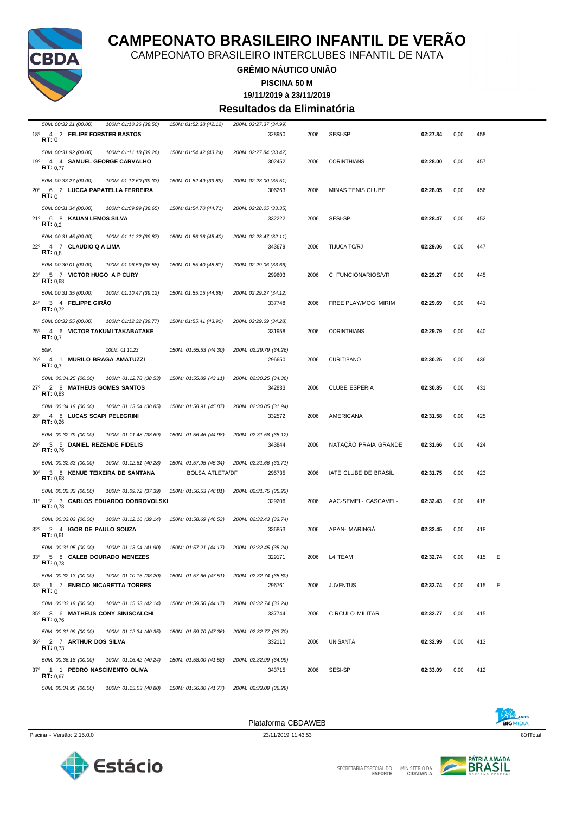

CAMPEONATO BRASILEIRO INTERCLUBES INFANTIL DE NATA

**GRÊMIO NÁUTICO UNIÃO**

**PISCINA 50 M**

**19/11/2019 à 23/11/2019**

#### **Resultados da Eliminatória**

| 50M: 00:32.21 (00.00)<br>100M: 01:10.26 (38.50) | 150M: 01:52.38 (42.12) | 200M: 02:27.37 (34.99) |      |                      |          |      |     |   |
|-------------------------------------------------|------------------------|------------------------|------|----------------------|----------|------|-----|---|
| 18º 4 2 FELIPE FORSTER BASTOS<br>RT:0           |                        | 328950                 | 2006 | SESI-SP              | 02:27.84 | 0,00 | 458 |   |
|                                                 |                        |                        |      |                      |          |      |     |   |
| 50M: 00:31.92 (00.00)<br>100M: 01:11.18 (39.26) | 150M: 01:54.42 (43.24) | 200M: 02:27.84 (33.42) |      |                      |          |      |     |   |
| 4 4 SAMUEL GEORGE CARVALHO<br>19°               |                        | 302452                 | 2006 | <b>CORINTHIANS</b>   | 02:28.00 | 0,00 | 457 |   |
| RT: 0.77                                        |                        |                        |      |                      |          |      |     |   |
| 50M: 00:33.27 (00.00)<br>100M: 01:12.60 (39.33) | 150M: 01:52.49 (39.89) | 200M: 02:28.00 (35.51) |      |                      |          |      |     |   |
| 20° 6 2 LUCCA PAPATELLA FERREIRA                |                        | 306263                 | 2006 | MINAS TENIS CLUBE    | 02:28.05 | 0,00 | 456 |   |
| RT:0                                            |                        |                        |      |                      |          |      |     |   |
|                                                 |                        |                        |      |                      |          |      |     |   |
| 50M: 00:31.34 (00.00)<br>100M: 01:09.99 (38.65) | 150M: 01:54.70 (44.71) | 200M: 02:28.05 (33.35) |      |                      |          |      |     |   |
| 21º 6 8 KAUAN LEMOS SILVA<br>RT: 0.2            |                        | 332222                 | 2006 | SESI-SP              | 02:28.47 | 0,00 | 452 |   |
|                                                 |                        |                        |      |                      |          |      |     |   |
| 50M: 00:31.45 (00.00)<br>100M: 01:11.32 (39.87) | 150M: 01:56.36 (45.40) | 200M: 02:28.47 (32.11) |      |                      |          |      |     |   |
| 22º 4 7 CLAUDIO Q A LIMA                        |                        | 343679                 | 2006 | TIJUCA TC/RJ         | 02:29.06 | 0,00 | 447 |   |
| RT: 0.8                                         |                        |                        |      |                      |          |      |     |   |
| 50M: 00:30.01 (00.00)<br>100M: 01:06.59 (36.58) | 150M: 01:55.40 (48.81) | 200M: 02:29.06 (33.66) |      |                      |          |      |     |   |
| 23º 5 7 VICTOR HUGO A P CURY                    |                        | 299603                 | 2006 | C. FUNCIONARIOS/VR   | 02:29.27 | 0,00 | 445 |   |
| RT: 0,68                                        |                        |                        |      |                      |          |      |     |   |
| 50M: 00:31.35 (00.00)<br>100M: 01:10.47 (39.12) | 150M: 01:55.15 (44.68) | 200M: 02:29.27 (34.12) |      |                      |          |      |     |   |
|                                                 |                        |                        |      |                      |          |      |     |   |
| $24^{\circ}$<br>3 4 FELIPPE GIRAO<br>RT: 0.72   |                        | 337748                 | 2006 | FREE PLAY/MOGI MIRIM | 02:29.69 | 0,00 | 441 |   |
|                                                 |                        |                        |      |                      |          |      |     |   |
| 50M: 00:32.55 (00.00)<br>100M: 01:12.32 (39.77) | 150M: 01:55.41 (43.90) | 200M: 02:29.69 (34.28) |      |                      |          |      |     |   |
| 25º 4 6 VICTOR TAKUMI TAKABATAKE                |                        | 331958                 | 2006 | <b>CORINTHIANS</b>   | 02:29.79 | 0,00 | 440 |   |
| RT: 0.7                                         |                        |                        |      |                      |          |      |     |   |
| 50M:<br>100M: 01:11.23                          | 150M: 01:55.53 (44.30) | 200M: 02:29.79 (34.26) |      |                      |          |      |     |   |
| $26^{\circ}$<br>4 1 MURILO BRAGA AMATUZZI       |                        | 296650                 | 2006 | <b>CURITIBANO</b>    | 02:30.25 | 0,00 | 436 |   |
| RT: 0.7                                         |                        |                        |      |                      |          |      |     |   |
| 50M: 00:34.25 (00.00)<br>100M: 01:12.78 (38.53) | 150M: 01:55.89 (43.11) | 200M: 02:30.25 (34.36) |      |                      |          |      |     |   |
| 27º 2 8 MATHEUS GOMES SANTOS                    |                        | 342833                 | 2006 | <b>CLUBE ESPERIA</b> | 02:30.85 | 0,00 | 431 |   |
| RT: 0.83                                        |                        |                        |      |                      |          |      |     |   |
|                                                 |                        |                        |      |                      |          |      |     |   |
| 50M: 00:34.19 (00.00)<br>100M: 01:13.04 (38.85) | 150M: 01:58.91 (45.87) | 200M: 02:30.85 (31.94) |      |                      |          |      |     |   |
| 28º 4 8 LUCAS SCAPI PELEGRINI<br>RT: 0,26       |                        | 332572                 | 2006 | AMERICANA            | 02:31.58 | 0,00 | 425 |   |
|                                                 |                        |                        |      |                      |          |      |     |   |
| 50M: 00:32.79 (00.00)<br>100M: 01:11.48 (38.69) | 150M: 01:56.46 (44.98) | 200M: 02:31.58 (35.12) |      |                      |          |      |     |   |
| 3 5 DANIEL REZENDE FIDELIS<br>29°               |                        | 343844                 | 2006 | NATAÇÃO PRAIA GRANDE | 02:31.66 | 0,00 | 424 |   |
| RT: 0,76                                        |                        |                        |      |                      |          |      |     |   |
| 50M: 00:32.33 (00.00)<br>100M: 01:12.61 (40.28) | 150M: 01:57.95 (45.34) | 200M: 02:31.66 (33.71) |      |                      |          |      |     |   |
| 30° 3 8 KENUE TEIXEIRA DE SANTANA               | <b>BOLSA ATLETA/DF</b> | 295735                 | 2006 | IATE CLUBE DE BRASIL | 02:31.75 | 0,00 | 423 |   |
| RT: 0,63                                        |                        |                        |      |                      |          |      |     |   |
| 50M: 00:32.33 (00.00)<br>100M: 01:09.72 (37.39) | 150M: 01:56.53 (46.81) | 200M: 02:31.75 (35.22) |      |                      |          |      |     |   |
| 31º 2 3 CARLOS EDUARDO DOBROVOLSKI              |                        | 329206                 | 2006 |                      | 02:32.43 |      | 418 |   |
| RT: 0,78                                        |                        |                        |      | AAC-SEMEL- CASCAVEL- |          | 0,00 |     |   |
|                                                 |                        |                        |      |                      |          |      |     |   |
| 50M: 00:33.02 (00.00)<br>100M: 01:12.16 (39.14) | 150M: 01:58.69 (46.53) | 200M: 02:32.43 (33.74) |      |                      |          |      |     |   |
| 32º 2 4 IGOR DE PAULO SOUZA<br>RT: 0,61         |                        | 336853                 | 2006 | APAN- MARINGA        | 02:32.45 | 0,00 | 418 |   |
|                                                 |                        |                        |      |                      |          |      |     |   |
| 50M: 00:31.95 (00.00)<br>100M: 01:13.04 (41.90) | 150M: 01:57.21 (44.17) | 200M: 02:32.45 (35.24) |      |                      |          |      |     |   |
| 33º 5 8 CALEB DOURADO MENEZES                   |                        | 329171                 | 2006 | L4 TEAM              | 02:32.74 | 0,00 | 415 | Е |
| <b>RT:</b> $0.73$                               |                        |                        |      |                      |          |      |     |   |
| 50M: 00:32.13 (00.00)<br>100M: 01:10.15 (38.20) | 150M: 01:57.66 (47.51) | 200M: 02:32.74 (35.80) |      |                      |          |      |     |   |
| 33º 1 7 ENRICO NICARETTA TORRES                 |                        | 296761                 | 2006 | <b>JUVENTUS</b>      | 02:32.74 | 0,00 | 415 | Ε |
| RT: 0                                           |                        |                        |      |                      |          |      |     |   |
| 50M: 00:33.19 (00.00)<br>100M: 01:15.33 (42.14) | 150M: 01:59.50 (44.17) | 200M: 02:32.74 (33.24) |      |                      |          |      |     |   |
|                                                 |                        |                        |      |                      |          |      |     |   |
| 35º 3 6 MATHEUS CONY SINISCALCHI<br>RT: 0.76    |                        | 337744                 | 2006 | CIRCULO MILITAR      | 02:32.77 | 0,00 | 415 |   |
|                                                 |                        |                        |      |                      |          |      |     |   |
| 50M: 00:31.99 (00.00)<br>100M: 01:12.34 (40.35) | 150M: 01:59.70 (47.36) | 200M: 02:32.77 (33.70) |      |                      |          |      |     |   |
| 36º 2 7 ARTHUR DOS SILVA                        |                        | 332110                 | 2006 | <b>UNISANTA</b>      | 02:32.99 | 0,00 | 413 |   |
| <b>RT:</b> $0.73$                               |                        |                        |      |                      |          |      |     |   |
| 50M: 00:36.18 (00.00)<br>100M: 01:16.42 (40.24) | 150M: 01:58.00 (41.58) | 200M: 02:32.99 (34.99) |      |                      |          |      |     |   |
| 37º 1 1 PEDRO NASCIMENTO OLIVA                  |                        | 343715                 | 2006 | <b>SESI-SP</b>       | 02:33.09 | 0,00 | 412 |   |
| RT: 0,67                                        |                        |                        |      |                      |          |      |     |   |
|                                                 | 150M: 01:56.80 (41.77) | 200M: 02:33.09 (36.29) |      |                      |          |      |     |   |

Plataforma CBDAWEB

SECRETARIA ESPECIAL DO



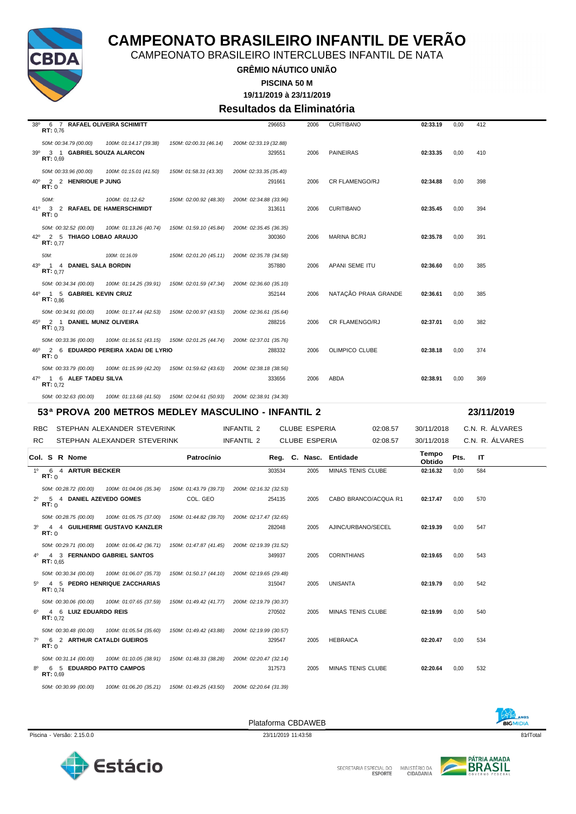

CAMPEONATO BRASILEIRO INTERCLUBES INFANTIL DE NATA

**GRÊMIO NÁUTICO UNIÃO**

**PISCINA 50 M**

**19/11/2019 à 23/11/2019**

#### **Resultados da Eliminatória**

| $38^{\circ}$   | 6 7 RAFAEL OLIVEIRA SCHIMITT<br>RT: 0,76                            |                                                              |                                    | 296653                                             | 2006                 | <b>CURITIBANO</b>        | 02:33.19        | 0,00 | 412             |
|----------------|---------------------------------------------------------------------|--------------------------------------------------------------|------------------------------------|----------------------------------------------------|----------------------|--------------------------|-----------------|------|-----------------|
| 39°            | 50M: 00:34.79 (00.00)<br>3 1 GABRIEL SOUZA ALARCON<br>RT: 0.69      | 100M: 01:14.17 (39.38)                                       | 150M: 02:00.31 (46.14)             | 200M: 02:33.19 (32.88)<br>329551                   | 2006                 | <b>PAINEIRAS</b>         | 02:33.35        | 0,00 | 410             |
| $40^{\circ}$   | 50M: 00:33.96 (00.00)<br>2 2 HENRIQUE P JUNG<br>RT:0                | 100M: 01:15.01 (41.50)                                       | 150M: 01:58.31 (43.30)             | 200M: 02:33.35 (35.40)<br>291661                   | 2006                 | <b>CR FLAMENGO/RJ</b>    | 02:34.88        | 0,00 | 398             |
| 41°            | 50M:<br>3 2 RAFAEL DE HAMERSCHIMIDT<br>RT:0                         | 100M: 01:12.62                                               | 150M: 02:00.92 (48.30)             | 200M: 02:34.88 (33.96)<br>313611                   | 2006                 | <b>CURITIBANO</b>        | 02:35.45        | 0,00 | 394             |
|                | 50M: 00:32.52 (00.00)<br>42º 2 5 THIAGO LOBAO ARAUJO<br>RT: 0.77    | 100M: 01:13.26 (40.74)                                       | 150M: 01:59.10 (45.84)             | 200M: 02:35.45 (36.35)<br>300360                   | 2006                 | <b>MARINA BC/RJ</b>      | 02:35.78        | 0,00 | 391             |
| 43°            | 50M:<br>1 4 DANIEL SALA BORDIN<br>RT: 0.77                          | 100M: 01:16.09                                               | 150M: 02:01.20 (45.11)             | 200M: 02:35.78 (34.58)<br>357880                   | 2006                 | APANI SEME ITU           | 02:36.60        | 0,00 | 385             |
|                | 50M: 00:34.34 (00.00)<br>44º 1 5 GABRIEL KEVIN CRUZ<br>RT: 0.86     | 100M: 01:14.25 (39.91)                                       | 150M: 02:01.59 (47.34)             | 200M: 02:36.60 (35.10)<br>352144                   | 2006                 | NATAÇÃO PRAIA GRANDE     | 02:36.61        | 0,00 | 385             |
|                | 50M: 00:34.91 (00.00)<br>45º 2 1 DANIEL MUNIZ OLIVEIRA<br>RT: 0.73  | 100M: 01:17.44 (42.53)                                       | 150M: 02:00.97 (43.53)             | 200M: 02:36.61 (35.64)<br>288216                   | 2006                 | CR FLAMENGO/RJ           | 02:37.01        | 0,00 | 382             |
| 46°            | 50M: 00:33.36 (00.00)<br>RT:0                                       | 100M: 01:16.51 (43.15)<br>2 6 EDUARDO PEREIRA XADAI DE LYRIO | 150M: 02:01.25 (44.74)             | 200M: 02:37.01 (35.76)<br>288332                   | 2006                 | <b>OLIMPICO CLUBE</b>    | 02:38.18        | 0,00 | 374             |
|                | 50M: 00:33.79 (00.00)<br>47º 1 6 ALEF TADEU SILVA<br>RT: 0.72       | 100M: 01:15.99 (42.20)                                       | 150M: 01:59.62 (43.63)             | 200M: 02:38.18 (38.56)<br>333656                   | 2006                 | ABDA                     | 02:38.91        | 0,00 | 369             |
|                |                                                                     |                                                              |                                    |                                                    |                      |                          |                 |      |                 |
|                | 50M: 00:32.63 (00.00)                                               | 100M: 01:13.68 (41.50)                                       | 150M: 02:04.61 (50.93)             | 200M: 02:38.91 (34.30)                             |                      |                          |                 |      |                 |
|                |                                                                     |                                                              |                                    | 53ª PROVA 200 METROS MEDLEY MASCULINO - INFANTIL 2 |                      |                          |                 |      | 23/11/2019      |
| RBC            |                                                                     | STEPHAN ALEXANDER STEVERINK                                  |                                    | INFANTIL 2                                         | <b>CLUBE ESPERIA</b> | 02:08.57                 | 30/11/2018      |      | C.N. R. ALVARES |
| RC             |                                                                     | STEPHAN ALEXANDER STEVERINK                                  |                                    | INFANTIL 2                                         | <b>CLUBE ESPERIA</b> | 02:08.57                 | 30/11/2018      |      | C.N. R. ALVARES |
|                | Col. S R Nome                                                       |                                                              | Patrocínio                         | Reg. C. Nasc.                                      |                      | Entidade                 | Tempo<br>Obtido | Pts. | ΙT              |
| 1 <sup>0</sup> | 6 4 ARTUR BECKER<br>RT:0                                            |                                                              |                                    | 303534                                             | 2005                 | MINAS TENIS CLUBE        | 02:16.32        | 0,00 | 584             |
| $2^{\circ}$    | 50M: 00:28.72 (00.00)<br>5 4 DANIEL AZEVEDO GOMES<br>RT:0           | 100M: 01:04.06 (35.34)                                       | 150M: 01:43.79 (39.73)<br>COL. GEO | 200M: 02:16.32 (32.53)<br>254135                   | 2005                 | CABO BRANCO/ACQUA R1     | 02:17.47        | 0,00 | 570             |
| 3 <sup>0</sup> | 50M: 00:28.75 (00.00)<br>RT:0                                       | 100M: 01:05.75 (37.00)<br>4 4 GUILHERME GUSTAVO KANZLER      | 150M: 01:44.82 (39.70)             | 200M: 02:17.47 (32.65)<br>282048                   | 2005                 | AJINC/URBANO/SECEL       | 02:19.39        | 0,00 | 547             |
| 40             | 50M: 00:29.71 (00.00)<br>4 3 FERNANDO GABRIEL SANTOS<br>RT: 0.65    | 100M: 01:06.42 (36.71)                                       | 150M: 01:47.87 (41.45)             | 200M: 02:19.39 (31.52)<br>349937                   | 2005                 | <b>CORINTHIANS</b>       | 02:19.65        | 0,00 | 543             |
| $5^{\circ}$    | 50M: 00:30.34 (00.00)<br><b>RT:</b> $0.74$                          | 100M: 01:06.07 (35.73)<br>4 5 PEDRO HENRIQUE ZACCHARIAS      | 150M: 01:50.17 (44.10)             | 200M: 02:19.65 (29.48)<br>315047                   | 2005                 | <b>UNISANTA</b>          | 02:19.79        | 0,00 | 542             |
| $6^{\circ}$    | 50M: 00:30.06 (00.00)<br>4 6 LUIZ EDUARDO REIS<br><b>RT:</b> $0,72$ | 100M: 01:07.65 (37.59)                                       | 150M: 01:49.42 (41.77)             | 200M: 02:19.79 (30.37)<br>270502                   | 2005                 | <b>MINAS TENIS CLUBE</b> | 02:19.99        | 0,00 | 540             |
| $7^\circ$      | 50M: 00:30.48 (00.00)<br>6 2 ARTHUR CATALDI GUEIROS<br>RT:0         | 100M: 01:05.54 (35.60)                                       | 150M: 01:49.42 (43.88)             | 200M: 02:19.99 (30.57)<br>329547                   | 2005                 | <b>HEBRAICA</b>          | 02:20.47        | 0,00 | 534             |

*50M: 00:30.99 (00.00) 100M: 01:06.20 (35.21) 150M: 01:49.25 (43.50) 200M: 02:20.64 (31.39)*

8º 6 5 **EDUARDO PATTO CAMPOS** 317573 2005 MINAS TENIS CLUBE **02:20.64** 0,00 532 **RT:** 0,69





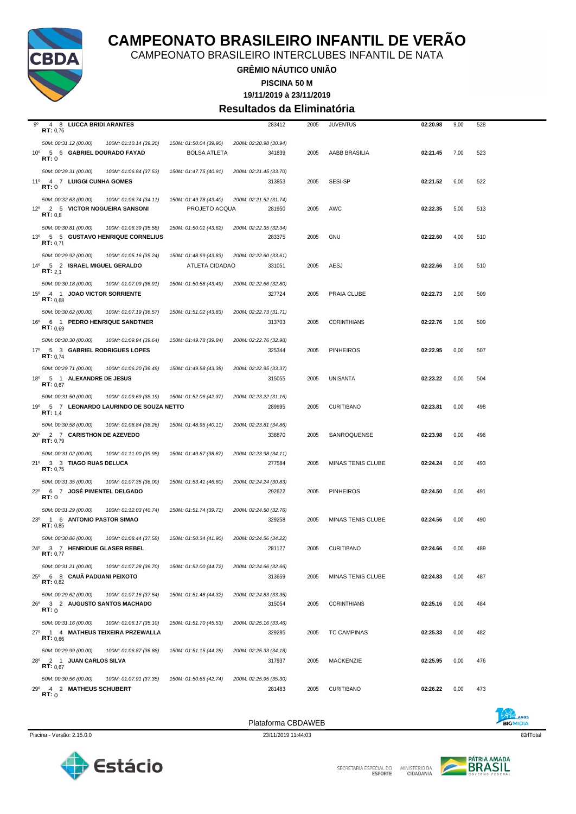

CAMPEONATO BRASILEIRO INTERCLUBES INFANTIL DE NATA

**GRÊMIO NÁUTICO UNIÃO**

**PISCINA 50 M**

**19/11/2019 à 23/11/2019**

#### **Resultados da Eliminatória**

| 9º              | 4 8 LUCCA BRIDI ARANTES<br>RT: 0,76                                 |                                          |                                         | 283412                           | 2005 | <b>JUVENTUS</b>    | 02:20.98 | 9,00 | 528 |
|-----------------|---------------------------------------------------------------------|------------------------------------------|-----------------------------------------|----------------------------------|------|--------------------|----------|------|-----|
|                 | 50M: 00:31.12 (00.00)                                               | 100M: 01:10.14 (39.20)                   | 150M: 01:50.04 (39.90)                  | 200M: 02:20.98 (30.94)           |      |                    |          |      |     |
|                 | 10º 5 6 GABRIEL DOURADO FAYAD<br>RT:0                               |                                          | <b>BOLSA ATLETA</b>                     | 341839                           | 2005 | AABB BRASILIA      | 02:21.45 | 7,00 | 523 |
|                 | 50M: 00:29.31 (00.00)                                               | 100M: 01:06.84 (37.53)                   | 150M: 01:47.75 (40.91)                  | 200M: 02:21.45 (33.70)           |      |                    |          |      |     |
|                 | 11º 4 7 LUIGGI CUNHA GOMES<br>RT:0                                  |                                          |                                         | 313853                           | 2005 | SESI-SP            | 02:21.52 | 6,00 | 522 |
|                 | 50M: 00:32.63 (00.00)<br>12º 2 5 VICTOR NOGUEIRA SANSONI<br>RT: 0.8 | 100M: 01:06.74 (34.11)                   | 150M: 01:49.78 (43.40)<br>PROJETO ACQUA | 200M: 02:21.52 (31.74)<br>281950 | 2005 | AWC                | 02:22.35 | 5,00 | 513 |
|                 | 50M: 00:30.81 (00.00)                                               | 100M: 01:06.39 (35.58)                   | 150M: 01:50.01 (43.62)                  | 200M: 02:22.35 (32.34)           |      |                    |          |      |     |
|                 | <b>RT:</b> $0,71$                                                   | 13º 5 5 GUSTAVO HENRIQUE CORNELIUS       |                                         | 283375                           | 2005 | <b>GNU</b>         | 02:22.60 | 4,00 | 510 |
|                 | 50M: 00:29.92 (00.00)                                               | 100M: 01:05.16 (35.24)                   | 150M: 01:48.99 (43.83)                  | 200M: 02:22.60 (33.61)           |      |                    |          |      |     |
|                 | 14º 5 2 ISRAEL MIGUEL GERALDO<br>RT: 2,1                            |                                          | ATLETA CIDADAO                          | 331051                           | 2005 | AESJ               | 02:22.66 | 3,00 | 510 |
|                 | 50M: 00:30.18 (00.00)                                               | 100M: 01:07.09 (36.91)                   | 150M: 01:50.58 (43.49)                  | 200M: 02:22.66 (32.80)           |      |                    |          |      |     |
|                 | 15º 4 1 JOAO VICTOR SORRIENTE<br>RT: 0.68                           |                                          |                                         | 327724                           | 2005 | PRAIA CLUBE        | 02:22.73 | 2,00 | 509 |
|                 | 50M: 00:30.62 (00.00)                                               | 100M: 01:07.19 (36.57)                   | 150M: 01:51.02 (43.83)                  | 200M: 02:22.73 (31.71)           |      |                    |          |      |     |
| $16^{\circ}$    | RT: 0.69                                                            | 6 1 PEDRO HENRIQUE SANDTNER              |                                         | 313703                           | 2005 | <b>CORINTHIANS</b> | 02:22.76 | 1,00 | 509 |
|                 | 50M: 00:30.30 (00.00)                                               | 100M: 01:09.94 (39.64)                   | 150M: 01:49.78 (39.84)                  | 200M: 02:22.76 (32.98)           |      |                    |          |      |     |
|                 | 17º 5 3 GABRIEL RODRIGUES LOPES<br><b>RT:</b> $0.74$                |                                          |                                         | 325344                           | 2005 | <b>PINHEIROS</b>   | 02:22.95 | 0,00 | 507 |
|                 | 50M: 00:29.71 (00.00)                                               | 100M: 01:06.20 (36.49)                   | 150M: 01:49.58 (43.38)                  | 200M: 02:22.95 (33.37)           |      |                    |          |      |     |
| $18^{\circ}$    | 5 1 ALEXANDRE DE JESUS<br><b>RT:</b> $0.67$                         |                                          |                                         | 315055                           | 2005 | <b>UNISANTA</b>    | 02:23.22 | 0,00 | 504 |
|                 | 50M: 00:31.50 (00.00)                                               | 100M: 01:09.69 (38.19)                   | 150M: 01:52.06 (42.37)                  | 200M: 02:23.22 (31.16)           |      |                    |          |      |     |
|                 | <b>RT:</b> $1,4$                                                    | 19º 5 7 LEONARDO LAURINDO DE SOUZA NETTO |                                         | 289995                           | 2005 | <b>CURITIBANO</b>  | 02:23.81 | 0,00 | 498 |
|                 | 50M: 00:30.58 (00.00)                                               | 100M: 01:08.84 (38.26)                   | 150M: 01:48.95 (40.11)                  | 200M: 02:23.81 (34.86)           |      |                    |          |      |     |
| $20^{\circ}$    | 2 7 CARISTHON DE AZEVEDO<br>RT: 0,79                                |                                          |                                         | 338870                           | 2005 | SANROQUENSE        | 02:23.98 | 0,00 | 496 |
|                 | 50M: 00:31.02 (00.00)                                               | 100M: 01:11.00 (39.98)                   | 150M: 01:49.87 (38.87)                  | 200M: 02:23.98 (34.11)           |      |                    |          |      |     |
|                 | 21º 3 3 TIAGO RUAS DELUCA<br>RT: 0.75                               |                                          |                                         | 277584                           | 2005 | MINAS TENIS CLUBE  | 02:24.24 | 0,00 | 493 |
|                 | 50M: 00:31.35 (00.00)                                               | 100M: 01:07.35 (36.00)                   | 150M: 01:53.41 (46.60)                  | 200M: 02:24.24 (30.83)           |      |                    |          |      |     |
|                 | 22º 6 7 JOSÉ PIMENTEL DELGADO<br>RT:0                               |                                          |                                         | 292622                           | 2005 | <b>PINHEIROS</b>   | 02:24.50 | 0,00 | 491 |
|                 | 50M: 00:31.29 (00.00)                                               | 100M: 01:12.03 (40.74)                   | 150M: 01:51.74 (39.71)                  | 200M: 02:24.50 (32.76)           |      |                    |          |      |     |
|                 | 23º 1 6 ANTONIO PASTOR SIMAO<br>RT: 0.85                            |                                          |                                         | 329258                           | 2005 | MINAS TENIS CLUBE  | 02:24.56 | 0,00 | 490 |
|                 | 50M: 00:30.86 (00.00)                                               | 100M: 01:08.44 (37.58)                   | 150M: 01:50.34 (41.90)                  | 200M: 02:24.56 (34.22)           |      |                    |          |      |     |
| $24^{\circ}$    | 3 7 HENRIQUE GLASER REBEL<br>RT: 0.77                               |                                          |                                         | 281127                           | 2005 | <b>CURITIBANO</b>  | 02:24.66 | 0,00 | 489 |
|                 | 50M: 00:31.21 (00.00)                                               | 100M: 01:07.28 (36.70)                   | 150M: 01:52.00 (44.72)                  | 200M: 02:24.66 (32.66)           |      |                    |          |      |     |
| $25^{\circ}$    | 6 8 CAUÃ PADUANI PEIXOTO<br><b>RT:</b> $0,82$                       |                                          |                                         | 313659                           | 2005 | MINAS TENIS CLUBE  | 02:24.83 | 0,00 | 487 |
|                 | 50M: 00:29.62 (00.00)                                               | 100M: 01:07.16 (37.54)                   | 150M: 01:51.48 (44.32)                  | 200M: 02:24.83 (33.35)           |      |                    |          |      |     |
| $26^{\circ}$    | 3 2 AUGUSTO SANTOS MACHADO<br>RT:0                                  |                                          |                                         | 315054                           | 2005 | <b>CORINTHIANS</b> | 02:25.16 | 0,00 | 484 |
|                 | 50M: 00:31.16 (00.00)                                               | 100M: 01:06.17 (35.10)                   | 150M: 01:51.70 (45.53)                  | 200M: 02:25.16 (33.46)           |      |                    |          |      |     |
|                 | RT: 0,66                                                            | 27º 1 4 MATHEUS TEIXEIRA PRZEWALLA       |                                         | 329285                           | 2005 | <b>TC CAMPINAS</b> | 02:25.33 | 0,00 | 482 |
|                 | 50M: 00:29.99 (00.00)                                               | 100M: 01:06.87 (36.88)                   | 150M: 01:51.15 (44.28)                  | 200M: 02:25.33 (34.18)           |      |                    |          |      |     |
| 28 <sup>°</sup> | 2 1 JUAN CARLOS SILVA<br><b>RT:</b> $0,67$                          |                                          |                                         | 317937                           | 2005 | <b>MACKENZIE</b>   | 02:25.95 | 0,00 | 476 |
|                 | 50M: 00:30.56 (00.00)                                               | 100M: 01:07.91 (37.35)                   | 150M: 01:50.65 (42.74)                  | 200M: 02:25.95 (35.30)           |      |                    |          |      |     |
|                 | 29º 4 2 MATHEUS SCHUBERT<br>RT:0                                    |                                          |                                         | 281483                           | 2005 | <b>CURITIBANO</b>  | 02:26.22 | 0,00 | 473 |

Piscina - Versão: 2.15.0.0 23/11/2019 11:44:03 23/11/2019 11:44:03 23/11/2019 11:44:03 23/11/2019 11:44:03

Plataforma CBDAWEB





SECRETARIA ESPECIAL DO MINISTÉRIO DA<br>CIDADANIA

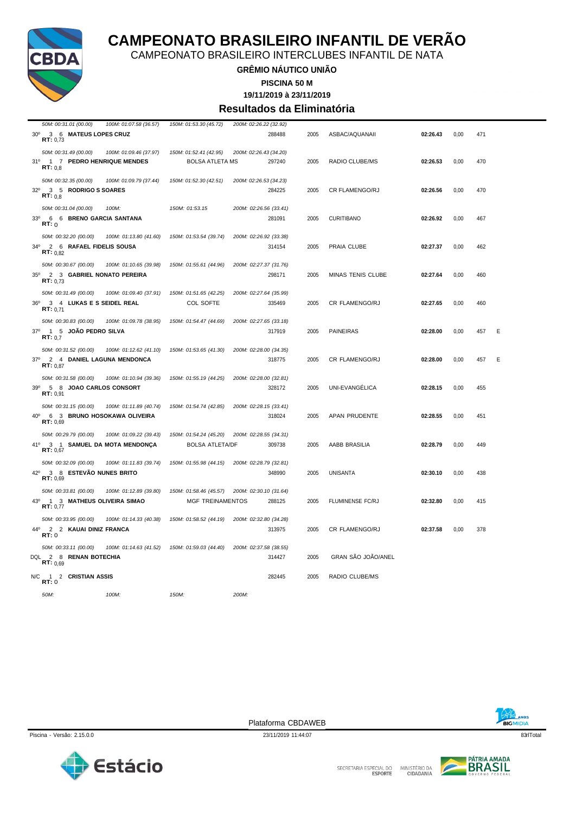

CAMPEONATO BRASILEIRO INTERCLUBES INFANTIL DE NATA

#### **GRÊMIO NÁUTICO UNIÃO**

**PISCINA 50 M**

**19/11/2019 à 23/11/2019**

#### **Resultados da Eliminatória**

| 50M: 00:31.01 (00.00)                                         | 100M: 01:07.58 (36.57) | 150M: 01:53.30 (45.72) | 200M: 02:26.22 (32.92) |        |      |                      |          |      |     |   |
|---------------------------------------------------------------|------------------------|------------------------|------------------------|--------|------|----------------------|----------|------|-----|---|
| $30^{\circ}$<br>3 6 MATEUS LOPES CRUZ                         |                        |                        |                        | 288488 | 2005 | ASBAC/AQUANAII       | 02:26.43 | 0,00 | 471 |   |
| RT: 0,73                                                      |                        |                        |                        |        |      |                      |          |      |     |   |
| 50M: 00:31.49 (00.00)                                         | 100M: 01:09.46 (37.97) | 150M: 01:52.41 (42.95) | 200M: 02:26.43 (34.20) |        |      |                      |          |      |     |   |
| 1 7 PEDRO HENRIQUE MENDES<br>31°                              |                        | <b>BOLSA ATLETA MS</b> |                        | 297240 | 2005 | RADIO CLUBE/MS       | 02:26.53 | 0,00 | 470 |   |
| RT: 0,8                                                       |                        |                        |                        |        |      |                      |          |      |     |   |
| 50M: 00:32.35 (00.00)                                         | 100M: 01:09.79 (37.44) | 150M: 01:52.30 (42.51) | 200M: 02:26.53 (34.23) |        |      |                      |          |      |     |   |
| $32^\circ$<br>3 5 RODRIGO S SOARES                            |                        |                        |                        | 284225 | 2005 | CR FLAMENGO/RJ       | 02:26.56 | 0,00 | 470 |   |
| RT: 0.8                                                       |                        |                        |                        |        |      |                      |          |      |     |   |
| 50M: 00:31.04 (00.00)                                         | $100M$ :               | 150M: 01:53.15         | 200M: 02:26.56 (33.41) |        |      |                      |          |      |     |   |
| 33 <sup>0</sup><br>6 6 BRENO GARCIA SANTANA                   |                        |                        |                        | 281091 | 2005 | <b>CURITIBANO</b>    | 02:26.92 | 0,00 | 467 |   |
| RT:0                                                          |                        |                        |                        |        |      |                      |          |      |     |   |
| 50M: 00:32.20 (00.00)                                         | 100M: 01:13.80 (41.60) | 150M: 01:53.54 (39.74) | 200M: 02:26.92 (33.38) |        |      |                      |          |      |     |   |
| $34^{\circ}$<br>2 6 RAFAEL FIDELIS SOUSA<br><b>RT:</b> $0.82$ |                        |                        |                        | 314154 | 2005 | PRAIA CLUBE          | 02:27.37 | 0,00 | 462 |   |
|                                                               |                        |                        |                        |        |      |                      |          |      |     |   |
| 50M: 00:30.67 (00.00)                                         | 100M: 01:10.65 (39.98) | 150M: 01:55.61 (44.96) | 200M: 02:27.37 (31.76) |        |      |                      |          |      |     |   |
| 2 3 GABRIEL NONATO PEREIRA<br>$35^{\circ}$<br>RT: 0.73        |                        |                        |                        | 298171 | 2005 | MINAS TENIS CLUBE    | 02:27.64 | 0,00 | 460 |   |
|                                                               |                        |                        |                        |        |      |                      |          |      |     |   |
| 50M: 00:31.49 (00.00)<br>$36^{\circ}$                         | 100M: 01:09.40 (37.91) | 150M: 01:51.65 (42.25) | 200M: 02:27.64 (35.99) |        |      |                      |          |      |     |   |
| 3 4 LUKAS E S SEIDEL REAL<br><b>RT:</b> $0,71$                |                        | COL SOFTE              |                        | 335469 | 2005 | CR FLAMENGO/RJ       | 02:27.65 | 0,00 | 460 |   |
| 50M: 00:30.83 (00.00)                                         | 100M: 01:09.78 (38.95) | 150M: 01:54.47 (44.69) | 200M: 02:27.65 (33.18) |        |      |                      |          |      |     |   |
| 1 5 JOÃO PEDRO SILVA<br>$37^\circ$                            |                        |                        |                        | 317919 | 2005 | <b>PAINEIRAS</b>     | 02:28.00 | 0,00 | 457 | Ε |
| RT: 0.7                                                       |                        |                        |                        |        |      |                      |          |      |     |   |
| 50M: 00:31.52 (00.00)                                         | 100M: 01:12.62 (41.10) | 150M: 01:53.65 (41.30) | 200M: 02:28.00 (34.35) |        |      |                      |          |      |     |   |
| $37^\circ$<br>2 4 DANIEL LAGUNA MENDONCA                      |                        |                        |                        | 318775 | 2005 | CR FLAMENGO/RJ       | 02:28.00 | 0,00 | 457 | Ε |
| RT: 0,87                                                      |                        |                        |                        |        |      |                      |          |      |     |   |
| 50M: 00:31.58 (00.00)                                         | 100M: 01:10.94 (39.36) | 150M: 01:55.19 (44.25) | 200M: 02:28.00 (32.81) |        |      |                      |          |      |     |   |
| 39 <sup>o</sup><br>5 8 JOAO CARLOS CONSORT                    |                        |                        |                        | 328172 | 2005 | UNI-EVANGÉLICA       | 02:28.15 | 0,00 | 455 |   |
| RT: 0,91                                                      |                        |                        |                        |        |      |                      |          |      |     |   |
| 50M: 00:31.15 (00.00)                                         | 100M: 01:11.89 (40.74) | 150M: 01:54.74 (42.85) | 200M: 02:28.15 (33.41) |        |      |                      |          |      |     |   |
| 40°<br>6 3 BRUNO HOSOKAWA OLIVEIRA                            |                        |                        |                        | 318024 | 2005 | <b>APAN PRUDENTE</b> | 02:28.55 | 0,00 | 451 |   |
| RT: 0.69                                                      |                        |                        |                        |        |      |                      |          |      |     |   |
| 50M: 00:29.79 (00.00)                                         | 100M: 01:09.22 (39.43) | 150M: 01:54.24 (45.20) | 200M: 02:28.55 (34.31) |        |      |                      |          |      |     |   |
| 41°<br>3 1 SAMUEL DA MOTA MENDONÇA<br>RT: 0,67                |                        | <b>BOLSA ATLETA/DF</b> |                        | 309738 | 2005 | AABB BRASILIA        | 02:28.79 | 0,00 | 449 |   |
|                                                               |                        |                        |                        |        |      |                      |          |      |     |   |
| 50M: 00:32.09 (00.00)                                         | 100M: 01:11.83 (39.74) | 150M: 01:55.98 (44.15) | 200M: 02:28.79 (32.81) |        |      |                      |          |      |     |   |
| 3 8 ESTEVÃO NUNES BRITO<br>$42^{\circ}$<br>RT: 0.69           |                        |                        |                        | 348990 | 2005 | <b>UNISANTA</b>      | 02:30.10 | 0,00 | 438 |   |
|                                                               |                        |                        |                        |        |      |                      |          |      |     |   |
| 50M: 00:33.81 (00.00)                                         | 100M: 01:12.89 (39.80) | 150M: 01:58.46 (45.57) | 200M: 02:30.10 (31.64) |        |      |                      |          |      |     |   |
| 43°<br>1 3 MATHEUS OLIVEIRA SIMAO<br>RT: 0.77                 |                        | MGF TREINAMENTOS       |                        | 288125 | 2005 | FLUMINENSE FC/RJ     | 02:32.80 | 0,00 | 415 |   |
| 50M: 00:33.95 (00.00)                                         | 100M: 01:14.33 (40.38) | 150M: 01:58.52 (44.19) | 200M: 02:32.80 (34.28) |        |      |                      |          |      |     |   |
| 44°<br>2 2 KAUAI DINIZ FRANCA                                 |                        |                        |                        | 313975 | 2005 | CR FLAMENGO/RJ       | 02:37.58 | 0,00 | 378 |   |
| RT:0                                                          |                        |                        |                        |        |      |                      |          |      |     |   |
| 50M: 00:33.11 (00.00)                                         | 100M: 01:14.63 (41.52) | 150M: 01:59.03 (44.40) | 200M: 02:37.58 (38.55) |        |      |                      |          |      |     |   |
| DQL 2 8 RENAN BOTECHIA                                        |                        |                        |                        | 314427 | 2005 | GRAN SÃO JOÃO/ANEL   |          |      |     |   |
| RT: 0,69                                                      |                        |                        |                        |        |      |                      |          |      |     |   |
| 1 2 CRISTIAN ASSIS<br>N/C                                     |                        |                        |                        | 282445 | 2005 | RADIO CLUBE/MS       |          |      |     |   |
| RT: 0                                                         |                        |                        |                        |        |      |                      |          |      |     |   |
| 50M:                                                          | 100M:                  | 150M:                  | 200M:                  |        |      |                      |          |      |     |   |
|                                                               |                        |                        |                        |        |      |                      |          |      |     |   |

BIGMIDIA

Piscina - Versão: 2.15.0.0 23/11/2019 11:44:07 23/11/2019 11:44:07 23/11/2019 11:44:07 23/11/2019 11:44:07 23/11/2019 11:44:07 23/11/2019 11:44:07 23/11/2019 11:44:07 23/11/2019 11:44:07 23/11/2019 11:44:07 23/11/2019 11:4

Plataforma CBDAWEB





SECRETARIA ESPECIAL DO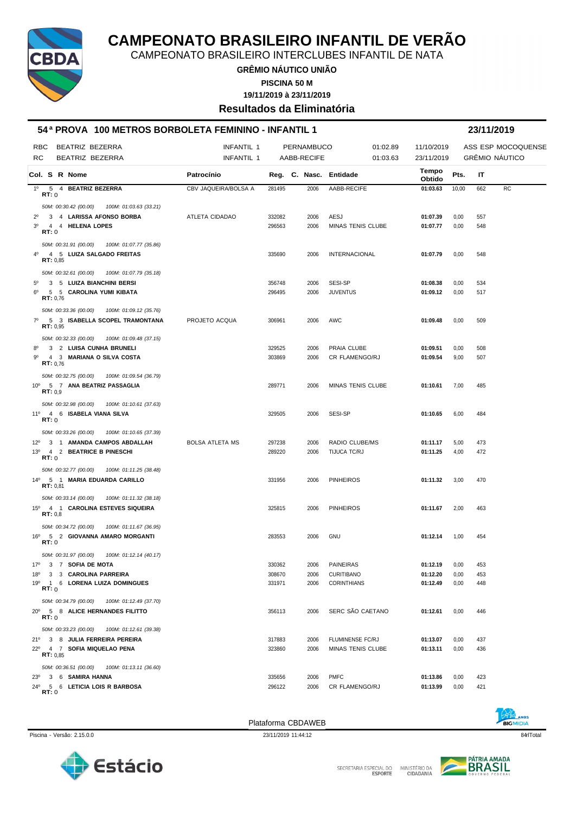

CAMPEONATO BRASILEIRO INTERCLUBES INFANTIL DE NATA

**GRÊMIO NÁUTICO UNIÃO PISCINA 50 M**

**19/11/2019 à 23/11/2019**

**Resultados da Eliminatória**

|                |               | 54ª PROVA 100 METROS BORBOLETA FEMININO - INFANTIL 1                             |                        |        |             |                        |                 |       | 23/11/2019     |                    |
|----------------|---------------|----------------------------------------------------------------------------------|------------------------|--------|-------------|------------------------|-----------------|-------|----------------|--------------------|
| RBC            |               | BEATRIZ BEZERRA                                                                  | <b>INFANTIL 1</b>      |        | PERNAMBUCO  | 01:02.89               | 11/10/2019      |       |                | ASS ESP MOCOQUENSE |
| <b>RC</b>      |               | BEATRIZ BEZERRA                                                                  | <b>INFANTIL 1</b>      |        | AABB-RECIFE | 01:03.63               | 23/11/2019      |       | GRÊMIO NÁUTICO |                    |
|                | Col. S R Nome |                                                                                  | Patrocínio             |        |             | Reg. C. Nasc. Entidade | Tempo<br>Obtido | Pts.  | IT             |                    |
| $1^{\circ}$    |               | 5 4 BEATRIZ BEZERRA                                                              | CBV JAQUEIRA/BOLSA A   | 281495 | 2006        | AABB-RECIFE            | 01:03.63        | 10,00 | 662            | <b>RC</b>          |
|                | RT:0          |                                                                                  |                        |        |             |                        |                 |       |                |                    |
|                |               | 50M: 00:30.42 (00.00)<br>100M: 01:03.63 (33.21)                                  |                        |        |             |                        |                 |       |                |                    |
| $2^{\circ}$    |               | 3 4 LARISSA AFONSO BORBA                                                         | ATLETA CIDADAO         | 332082 | 2006        | AESJ                   | 01:07.39        | 0,00  | 557            |                    |
| 3 <sup>0</sup> | RT:0          | 4 4 HELENA LOPES                                                                 |                        | 296563 | 2006        | MINAS TENIS CLUBE      | 01:07.77        | 0,00  | 548            |                    |
|                |               | 50M: 00:31.91 (00.00)<br>100M: 01:07.77 (35.86)                                  |                        |        |             |                        |                 |       |                |                    |
| $4^{\circ}$    | RT: 0,85      | 4 5 LUIZA SALGADO FREITAS                                                        |                        | 335690 | 2006        | <b>INTERNACIONAL</b>   | 01:07.79        | 0,00  | 548            |                    |
|                |               | 50M: 00:32.61 (00.00)<br>100M: 01:07.79 (35.18)                                  |                        |        |             |                        |                 |       |                |                    |
| $5^{\circ}$    |               | 3 5 LUIZA BIANCHINI BERSI                                                        |                        | 356748 | 2006        | SESI-SP                | 01:08.38        | 0,00  | 534            |                    |
| $6^{\circ}$    | RT: 0,76      | 5 5 CAROLINA YUMI KIBATA                                                         |                        | 296495 | 2006        | <b>JUVENTUS</b>        | 01:09.12        | 0,00  | 517            |                    |
|                |               | 50M: 00:33.36 (00.00)<br>100M: 01:09.12 (35.76)                                  |                        |        |             |                        |                 |       |                |                    |
| $7^\circ$      | RT: 0,95      | 5 3 ISABELLA SCOPEL TRAMONTANA                                                   | PROJETO ACQUA          | 306961 | 2006        | AWC                    | 01:09.48        | 0,00  | 509            |                    |
|                |               | 50M: 00:32.33 (00.00)<br>100M: 01:09.48 (37.15)                                  |                        |        |             |                        |                 |       |                |                    |
| $8^{\circ}$    |               | 3 2 LUISA CUNHA BRUNELI                                                          |                        | 329525 | 2006        | PRAIA CLUBE            | 01:09.51        | 0,00  | 508            |                    |
| 90             |               | 4 3 MARIANA O SILVA COSTA                                                        |                        | 303869 | 2006        | CR FLAMENGO/RJ         | 01:09.54        | 9,00  | 507            |                    |
|                | RT: 0.76      |                                                                                  |                        |        |             |                        |                 |       |                |                    |
|                |               | 50M: 00:32.75 (00.00)<br>100M: 01:09.54 (36.79)                                  |                        |        |             |                        |                 |       |                |                    |
|                | RT: 0.9       | 10º 5 7 ANA BEATRIZ PASSAGLIA                                                    |                        | 289771 | 2006        | MINAS TENIS CLUBE      | 01:10.61        | 7,00  | 485            |                    |
|                |               | 50M: 00:32.98 (00.00)<br>100M: 01:10.61 (37.63)                                  |                        |        |             |                        |                 |       |                |                    |
|                | RT:0          | 11º 4 6 ISABELA VIANA SILVA                                                      |                        | 329505 | 2006        | SESI-SP                | 01:10.65        | 6,00  | 484            |                    |
|                |               | 50M: 00:33.26 (00.00)<br>100M: 01:10.65 (37.39)                                  |                        |        |             |                        |                 |       |                |                    |
|                |               | 12º 3 1 AMANDA CAMPOS ABDALLAH                                                   | <b>BOLSA ATLETA MS</b> | 297238 | 2006        | RADIO CLUBE/MS         | 01:11.17        | 5,00  | 473            |                    |
|                |               | 13º 4 2 BEATRICE B PINESCHI                                                      |                        | 289220 | 2006        | TIJUCA TC/RJ           | 01:11.25        | 4,00  | 472            |                    |
|                | RT:0          |                                                                                  |                        |        |             |                        |                 |       |                |                    |
|                |               | 50M: 00:32.77 (00.00)<br>100M: 01:11.25 (38.48)<br>14º 5 1 MARIA EDUARDA CARILLO |                        | 331956 | 2006        | <b>PINHEIROS</b>       | 01:11.32        | 3,00  | 470            |                    |
|                | RT: 0,81      |                                                                                  |                        |        |             |                        |                 |       |                |                    |
|                |               | 50M: 00:33.14 (00.00)<br>100M: 01:11.32 (38.18)                                  |                        |        |             |                        |                 |       |                |                    |
|                | RT: 0,8       | 15º 4 1 CAROLINA ESTEVES SIQUEIRA                                                |                        | 325815 | 2006        | <b>PINHEIROS</b>       | 01:11.67        | 2,00  | 463            |                    |
|                |               | 50M: 00:34.72 (00.00)<br>100M: 01:11.67 (36.95)                                  |                        |        |             |                        |                 |       |                |                    |
|                | <b>RT:</b> 0  | 16º 5 2 GIOVANNA AMARO MORGANTI                                                  |                        | 283553 | 2006        | <b>GNU</b>             | 01:12.14        | 1,00  | 454            |                    |
|                |               | 50M: 00:31.97 (00.00) 100M: 01:12.14 (40.17)                                     |                        |        |             |                        |                 |       |                |                    |
|                |               | 17º 3 7 SOFIA DE MOTA                                                            |                        | 330362 | 2006        | PAINEIRAS              | 01:12.19        | 0,00  | 453            |                    |
| 18°            |               | 3 3 CAROLINA PARREIRA                                                            |                        | 308670 | 2006        | <b>CURITIBANO</b>      | 01:12.20        | 0,00  | 453            |                    |
|                | RT:0          | 19º 1 6 LORENA LUIZA DOMINGUES                                                   |                        | 331971 | 2006        | <b>CORINTHIANS</b>     | 01:12.49        | 0,00  | 448            |                    |
|                |               | 50M: 00:34.79 (00.00) 100M: 01:12.49 (37.70)                                     |                        |        |             |                        |                 |       |                |                    |
|                |               | 20 <sup>0</sup> 5 8 ALICE HERNANDES FILITTO                                      |                        | 356113 | 2006        | SERC SÃO CAETANO       | 01:12.61        | 0,00  | 446            |                    |
|                | RT:0          |                                                                                  |                        |        |             |                        |                 |       |                |                    |
|                |               | 50M: 00:33.23 (00.00)  100M: 01:12.61 (39.38)                                    |                        |        |             |                        |                 |       |                |                    |
|                |               | 21º 3 8 JULIA FERREIRA PEREIRA                                                   |                        | 317883 | 2006        | FLUMINENSE FC/RJ       | 01:13.07        | 0,00  | 437            |                    |
|                | RT: 0.85      | 22º 4 7 SOFIA MIQUELAO PENA                                                      |                        | 323860 | 2006        | MINAS TENIS CLUBE      | 01:13.11        | 0,00  | 436            |                    |
|                |               | 50M: 00:36.51 (00.00)<br>100M: 01:13.11 (36.60)                                  |                        |        |             |                        |                 |       |                |                    |
|                |               | 23º 3 6 SAMIRA HANNA                                                             |                        | 335656 | 2006        | <b>PMFC</b>            | 01:13.86        | 0,00  | 423            |                    |
|                | <b>RT:</b> 0  | 24º 5 6 LETICIA LOIS R BARBOSA                                                   |                        | 296122 | 2006        | CR FLAMENGO/RJ         | 01:13.99        | 0,00  | 421            |                    |
|                |               |                                                                                  |                        |        |             |                        |                 |       |                |                    |



Piscina - Versão: 2.15.0.0 23/11/2019 11:44:12 23/11/2019 11:44:12 23/11/2019 11:44:12 23/11/2019 11:44:12 23/11/2019 11:44:12 Plataforma CBDAWEB

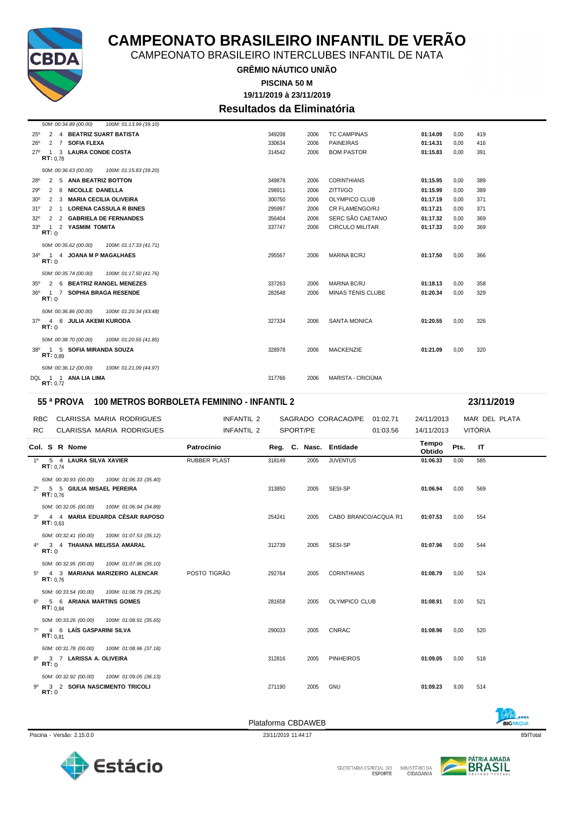

CAMPEONATO BRASILEIRO INTERCLUBES INFANTIL DE NATA

**GRÊMIO NÁUTICO UNIÃO**

**19/11/2019 à 23/11/2019 PISCINA 50 M**

### **Resultados da Eliminatória**

| 50M: 00:34.89 (00.00)<br>100M: 01:13.99 (39.10)                      |        |      |                        |          |      |     |
|----------------------------------------------------------------------|--------|------|------------------------|----------|------|-----|
| 2 4 BEATRIZ SUART BATISTA<br>$25^{\circ}$                            | 349208 | 2006 | <b>TC CAMPINAS</b>     | 01:14.09 | 0.00 | 419 |
| $26^{\circ}$<br>$2 \overline{7}$<br><b>SOFIA FLEXA</b>               | 330634 | 2006 | <b>PAINEIRAS</b>       | 01:14.31 | 0.00 | 416 |
| <b>LAURA CONDE COSTA</b><br>3<br>27°<br>-1<br>RT: 0.78               | 314542 | 2006 | <b>BOM PASTOR</b>      | 01:15.83 | 0.00 | 391 |
| 50M: 00:36.63 (00.00)<br>100M: 01:15.83 (39.20)                      |        |      |                        |          |      |     |
| 2 5 ANA BEATRIZ BOTTON<br>28°                                        | 349878 | 2006 | <b>CORINTHIANS</b>     | 01:15.95 | 0.00 | 389 |
| NICOLLE DANELLA<br>29°<br>2<br>8                                     | 298911 | 2006 | ZITTI/GO               | 01:15.99 | 0.00 | 389 |
| <b>MARIA CECILIA OLIVEIRA</b><br>$\overline{2}$<br>3<br>$30^{\circ}$ | 300750 | 2006 | <b>OLYMPICO CLUB</b>   | 01:17.19 | 0.00 | 371 |
| <b>LORENA CASSULA R BINES</b><br>31°<br>2 1                          | 295997 | 2006 | CR FLAMENGO/RJ         | 01:17.21 | 0.00 | 371 |
| 2 GABRIELA DE FERNANDES<br>$32^{\circ}$<br>2                         | 356404 | 2006 | SERC SÃO CAETANO       | 01:17.32 | 0.00 | 369 |
| 2 YASMIM TOMITA<br>$33^\circ$<br>$\overline{1}$<br>RT: 0             | 337747 | 2006 | <b>CIRCULO MILITAR</b> | 01:17.33 | 0.00 | 369 |
| 50M: 00:35.62 (00.00)<br>100M: 01:17.33 (41.71)                      |        |      |                        |          |      |     |
| 34º 1 4 JOANA M P MAGALHAES<br>RT: 0                                 | 295567 | 2006 | <b>MARINA BC/RJ</b>    | 01:17.50 | 0.00 | 366 |
| 50M: 00:35.74 (00.00)<br>100M: 01:17.50 (41.76)                      |        |      |                        |          |      |     |
| 2 6 BEATRIZ RANGEL MENEZES<br>$35^\circ$                             | 337263 | 2006 | <b>MARINA BC/RJ</b>    | 01:18.13 | 0.00 | 358 |
| <b>SOPHIA BRAGA RESENDE</b><br>$36^{\circ}$<br>$1\quad 7$<br>RT: 0   | 282648 | 2006 | MINAS TENIS CLUBE      | 01:20.34 | 0.00 | 329 |
| 100M: 01:20.34 (43.48)<br>50M: 00:36.86 (00.00)                      |        |      |                        |          |      |     |
| <b>JULIA AKEMI KURODA</b><br>4 8<br>$37^\circ$<br>RT: 0              | 327334 | 2006 | <b>SANTA MONICA</b>    | 01:20.55 | 0.00 | 326 |
| 100M: 01:20.55 (41.85)<br>50M: 00:38.70 (00.00)                      |        |      |                        |          |      |     |
| 1 5 SOFIA MIRANDA SOUZA<br>38°<br>RT: 0.89                           | 328978 | 2006 | <b>MACKENZIE</b>       | 01:21.09 | 0.00 | 320 |
| 50M: 00:36.12 (00.00)<br>100M: 01:21.09 (44.97)                      |        |      |                        |          |      |     |
| DQL 1 1 ANA LIA LIMA<br>RT: 0.72                                     | 317766 | 2006 | MARISTA - CRICIÚMA     |          |      |     |

#### **55 ª PROVA 100 METROS BORBOLETA FEMININO - INFANTIL 2 23/11/2019**

| RBC CLARISSA MARIA RODRIGUES<br>RC.<br>CLARISSA MARIA RODRIGUES                                               | INFANTIL 2<br>INFANTIL 2 |        | SPORT/PE | SAGRADO CORACAO/PE<br>01:02.71<br>01:03.56 | 24/11/2013<br>14/11/2013 | VITÓRIA | MAR DEL PLATA |
|---------------------------------------------------------------------------------------------------------------|--------------------------|--------|----------|--------------------------------------------|--------------------------|---------|---------------|
| Col. S R Nome                                                                                                 | Patrocínio               |        |          | Reg. C. Nasc. Entidade                     | Tempo<br>Obtido          | Pts.    | IT            |
| 1º 5 4 LAURA SILVA XAVIER<br>RT: 0.74                                                                         | <b>RUBBER PLAST</b>      | 318149 | 2005     | <b>JUVENTUS</b>                            | 01:06.33                 | 0,00    | 585           |
| 50M: 00:30.93 (00.00) 100M: 01:06.33 (35.40)<br>2º 5 5 GIULIA MISAEL PEREIRA<br>RT: 0.76                      |                          | 313850 | 2005     | SESI-SP                                    | 01:06.94                 | 0,00    | 569           |
| 50M: 00:32.05 (00.00)  100M: 01:06.94 (34.89)<br>4 4 MARIA EDUARDA CÉSAR RAPOSO<br>3 <sup>0</sup><br>RT: 0.63 |                          | 254241 | 2005     | CABO BRANCO/ACQUA R1                       | 01:07.53                 | 0.00    | 554           |
| 50M: 00:32.41 (00.00) 100M: 01:07.53 (35.12)<br>4º 3 4 THAIANA MELISSA AMARAL<br>RT:0                         |                          | 312739 | 2005     | SESI-SP                                    | 01:07.96                 | 0,00    | 544           |
| 50M: 00:32.95 (00.00) 100M: 01:07.96 (35.10)<br>4 3 MARIANA MARIZEIRO ALENCAR<br>$5^{\circ}$<br>RT: 0.76      | POSTO TIGRÃO             | 292764 | 2005     | <b>CORINTHIANS</b>                         | 01:08.79                 | 0.00    | 524           |
| 50M: 00:33.54 (00.00)  100M: 01:08.79 (35.25)<br>6º 5 6 ARIANA MARTINS GOMES<br><b>RT:</b> $0.84$             |                          | 281658 | 2005     | <b>OLYMPICO CLUB</b>                       | 01:08.91                 | 0.00    | 521           |
| 50M: 00:33.26 (00.00)  100M: 01:08.91 (35.65)<br>7º 4 6 LAÍS GASPARINI SILVA<br>RT: 0.81                      |                          | 290033 | 2005     | <b>CNRAC</b>                               | 01:08.96                 | 0.00    | 520           |
| 50M: 00:31.78 (00.00)  100M: 01:08.96 (37.18)<br>8º 3 7 LARISSA A. OLIVEIRA<br>RT:0                           |                          | 312816 | 2005     | <b>PINHEIROS</b>                           | 01:09.05                 | 0.00    | 518           |
| 50M: 00:32.92 (00.00) 100M: 01:09.05 (36.13)<br>3 2 SOFIA NASCIMENTO TRICOLI<br>RT:0                          |                          | 271190 | 2005     | <b>GNU</b>                                 | 01:09.23                 | 9,00    | 514           |

Piscina - Versão: 2.15.0.0 23/11/2019 11:44:17 23/11/2019 11:44:17 23/11/2019 11:44:17 25/10 23/11/2019 11:44:17 Plataforma CBDAWEB





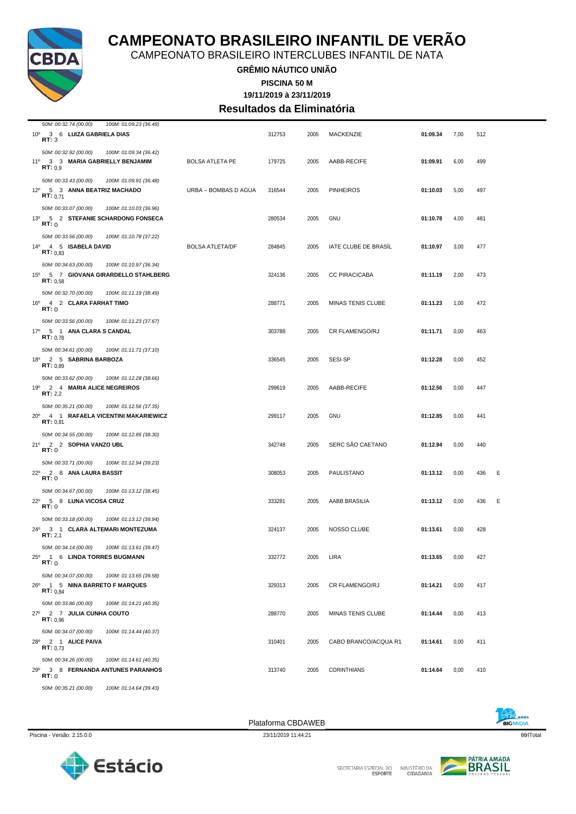

CAMPEONATO BRASILEIRO INTERCLUBES INFANTIL DE NATA

**GRÊMIO NÁUTICO UNIÃO**

**PISCINA 50 M**

**19/11/2019 à 23/11/2019 Resultados da Eliminatória**

| 50M: 00:32.74 (00.00)<br>100M: 01:09.23 (36.49)                                                |                        |        |      |                      |          |      |          |
|------------------------------------------------------------------------------------------------|------------------------|--------|------|----------------------|----------|------|----------|
| 10º 3 6 LUIZA GABRIELA DIAS<br>RT:3                                                            |                        | 312753 | 2005 | <b>MACKENZIE</b>     | 01:09.34 | 7,00 | 512      |
| 50M: 00:32.92 (00.00)<br>100M: 01:09.34 (36.42)<br>11º 3 3 MARIA GABRIELLY BENJAMIM<br>RT: 0.9 | <b>BOLSA ATLETA PE</b> | 179725 | 2005 | AABB-RECIFE          | 01:09.91 | 6,00 | 499      |
| 50M: 00:33.43 (00.00)<br>100M: 01:09.91 (36.48)                                                |                        |        |      |                      |          |      |          |
| 12º 5 3 ANNA BEATRIZ MACHADO<br><b>RT:</b> $0,71$                                              | URBA - BOMBAS D AGUA   | 316544 | 2005 | <b>PINHEIROS</b>     | 01:10.03 | 5,00 | 497      |
| 50M: 00:33.07 (00.00)<br>100M: 01:10.03 (36.96)                                                |                        |        |      |                      |          |      |          |
| 13º 5 2 STEFANIE SCHARDONG FONSECA<br>RT:0                                                     |                        | 280534 | 2005 | GNU                  | 01:10.78 | 4,00 | 481      |
| 50M: 00:33.56 (00.00)<br>100M: 01:10.78 (37.22)                                                |                        |        |      |                      |          |      |          |
| 14º 4 5 ISABELA DAVID<br>RT: 0.83                                                              | <b>BOLSA ATLETA/DF</b> | 284845 | 2005 | IATE CLUBE DE BRASIL | 01:10.97 | 3,00 | 477      |
| 50M: 00:34.63 (00.00)<br>100M: 01:10.97 (36.34)                                                |                        |        |      |                      |          |      |          |
| 15º 5 7 GIOVANA GIRARDELLO STAHLBERG<br>RT: 0.58                                               |                        | 324136 | 2005 | <b>CC PIRACICABA</b> | 01:11.19 | 2,00 | 473      |
| 50M: 00:32.70 (00.00)<br>100M: 01:11.19 (38.49)                                                |                        |        |      |                      |          |      |          |
| 16º 4 2 CLARA FARHAT TIMO<br>RT:0                                                              |                        | 288771 | 2005 | MINAS TENIS CLUBE    | 01:11.23 | 1,00 | 472      |
| 50M: 00:33.56 (00.00)<br>100M: 01:11.23 (37.67)                                                |                        |        |      |                      |          |      |          |
| 17º 5 1 ANA CLARA S CANDAL<br>RT: 0.78                                                         |                        | 303788 | 2005 | CR FLAMENGO/RJ       | 01:11.71 | 0,00 | 463      |
| 50M: 00:34.61 (00.00)<br>100M: 01:11.71 (37.10)<br>18º 2 5 SABRINA BARBOZA                     |                        | 336545 | 2005 | SESI-SP              | 01:12.28 | 0,00 | 452      |
| RT: 0.89<br>50M: 00:33.62 (00.00)<br>100M: 01:12.28 (38.66)                                    |                        |        |      |                      |          |      |          |
| 19º 2 4 MARIA ALICE NEGREIROS<br>RT: 2,2                                                       |                        | 299619 | 2005 | AABB-RECIFE          | 01:12.56 | 0,00 | 447      |
| 50M: 00:35.21 (00.00)<br>100M: 01:12.56 (37.35)                                                |                        |        |      |                      |          |      |          |
| 20° 4 1 RAFAELA VICENTINI MAKARIEWICZ<br>RT: 0,81                                              |                        | 299117 | 2005 | GNU                  | 01:12.85 | 0,00 | 441      |
| 50M: 00:34.55 (00.00)<br>100M: 01:12.85 (38.30)                                                |                        |        |      |                      |          |      |          |
| 21º 2 2 SOPHIA VANZO UBL<br><b>RT:</b> 0                                                       |                        | 342748 | 2005 | SERC SÃO CAETANO     | 01:12.94 | 0,00 | 440      |
| 50M: 00:33.71 (00.00)<br>100M: 01:12.94 (39.23)                                                |                        |        |      |                      |          |      |          |
| 22º 2 8 ANA LAURA BASSIT<br>RT:0                                                               |                        | 308053 | 2005 | PAULISTANO           | 01:13.12 | 0,00 | 436<br>Е |
| 50M: 00:34.67 (00.00)<br>100M: 01:13.12 (38.45)                                                |                        |        |      |                      |          |      |          |
| 22º 5 8 LUNA VICOSA CRUZ<br>RT:0                                                               |                        | 333281 | 2005 | AABB BRASILIA        | 01:13.12 | 0,00 | Ε<br>436 |
| 50M: 00:33.18 (00.00)<br>100M: 01:13.12 (39.94)                                                |                        |        |      |                      |          |      |          |
| 24º 3 1 CLARA ALTEMARI MONTEZUMA<br>RT: 2,1                                                    |                        | 324137 | 2005 | NOSSO CLUBE          | 01:13.61 | 0,00 | 428      |
| 50M: 00:34.14 (00.00)<br>100M: 01:13.61 (39.47)                                                |                        |        |      |                      |          |      |          |
| 25º 1 6 LINDA TORRES BUGMANN<br>RT: 0                                                          |                        | 332772 | 2005 | LIRA                 | 01:13.65 | 0,00 | 427      |
| 50M: 00:34.07 (00.00)<br>100M: 01:13.65 (39.58)                                                |                        |        |      |                      |          |      |          |
| 26º 1 5 NINA BARRETO F MARQUES<br>RT: 0.84                                                     |                        | 329313 | 2005 | CR FLAMENGO/RJ       | 01:14.21 | 0,00 | 417      |
| 50M: 00:33.86 (00.00)<br>100M: 01:14.21 (40.35)                                                |                        |        |      |                      |          |      |          |
| 27º 2 7 JULIA CUNHA COUTO<br>RT: 0,96                                                          |                        | 288770 | 2005 | MINAS TENIS CLUBE    | 01:14.44 | 0,00 | 413      |
| 50M: 00:34.07 (00.00)<br>100M: 01:14.44 (40.37)                                                |                        |        |      |                      |          |      |          |
| 28º 2 1 ALICE PAIVA<br>RT: 0.73                                                                |                        | 310401 | 2005 | CABO BRANCO/ACQUA R1 | 01:14.61 | 0,00 | 411      |
| 50M: 00:34.26 (00.00)<br>100M: 01:14.61 (40.35)                                                |                        |        |      |                      |          |      |          |
| 29º 3 8 FERNANDA ANTUNES PARANHOS<br>RT:0                                                      |                        | 313740 | 2005 | <b>CORINTHIANS</b>   | 01:14.64 | 0,00 | 410      |
| 50M: 00:35.21 (00.00)<br>100M: 01:14.64 (39.43)                                                |                        |        |      |                      |          |      |          |



SECRETARIA ESPECIAL DO

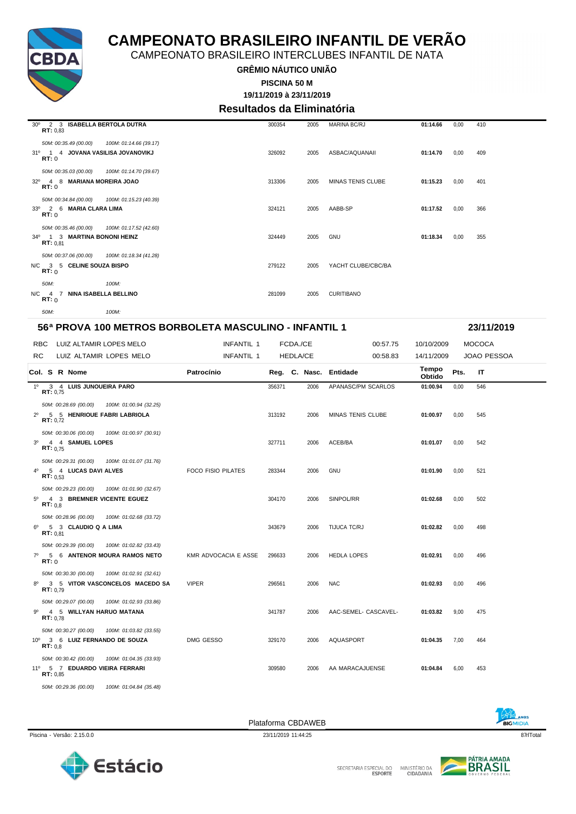

CAMPEONATO BRASILEIRO INTERCLUBES INFANTIL DE NATA

**GRÊMIO NÁUTICO UNIÃO**

**19/11/2019 à 23/11/2019 PISCINA 50 M**

**Resultados da Eliminatória**

| 2 3 ISABELLA BERTOLA DUTRA<br>30 <sup>o</sup><br>RT: 0,83 |                        | 300354 | 2005 | <b>MARINA BC/RJ</b> | 01:14.66 | 0,00 | 410 |
|-----------------------------------------------------------|------------------------|--------|------|---------------------|----------|------|-----|
| 50M: 00:35.49 (00.00)                                     | 100M: 01:14.66 (39.17) |        |      |                     |          |      |     |
| 31º 1 4 JOVANA VASILISA JOVANOVIKJ<br>RT: 0               |                        | 326092 | 2005 | ASBAC/AQUANAII      | 01:14.70 | 0,00 | 409 |
| 50M: 00:35.03 (00.00)                                     | 100M: 01:14.70 (39.67) |        |      |                     |          |      |     |
| 4 8 MARIANA MOREIRA JOAO<br>$32^{\circ}$<br>RT:0          |                        | 313306 | 2005 | MINAS TENIS CLUBE   | 01:15.23 | 0,00 | 401 |
| 50M: 00:34.84 (00.00)                                     | 100M: 01:15.23 (40.39) |        |      |                     |          |      |     |
| 33º 2 6 MARIA CLARA LIMA<br>RT:0                          |                        | 324121 | 2005 | AABB-SP             | 01:17.52 | 0,00 | 366 |
| 50M: 00:35.46 (00.00)                                     | 100M: 01:17.52 (42.60) |        |      |                     |          |      |     |
| 34º 1 3 MARTINA BONONI HEINZ<br>RT: 0.81                  |                        | 324449 | 2005 | <b>GNU</b>          | 01:18.34 | 0,00 | 355 |
| 50M: 00:37.06 (00.00)                                     | 100M: 01:18.34 (41.28) |        |      |                     |          |      |     |
| N/C 3 5 CELINE SOUZA BISPO<br>RT: 0                       |                        | 279122 | 2005 | YACHT CLUBE/CBC/BA  |          |      |     |
| 50M:                                                      | 100M:                  |        |      |                     |          |      |     |
| N/C 4 7<br><b>NINA ISABELLA BELLINO</b><br>RT:0           |                        | 281099 | 2005 | <b>CURITIBANO</b>   |          |      |     |
| 50M:                                                      | 100M:                  |        |      |                     |          |      |     |

| 56ª PROVA 100 METROS BORBOLETA MASCULINO - INFANTIL 1<br>23/11/2019 |         |                                                                     |                                                           |                           |        |                 |      |                          |                 |      |                    |  |
|---------------------------------------------------------------------|---------|---------------------------------------------------------------------|-----------------------------------------------------------|---------------------------|--------|-----------------|------|--------------------------|-----------------|------|--------------------|--|
| <b>RBC</b>                                                          |         |                                                                     | LUIZ ALTAMIR LOPES MELO                                   | <b>INFANTIL 1</b>         |        | FCDA./CE        |      | 00:57.75                 | 10/10/2009      |      | <b>MOCOCA</b>      |  |
| RC.                                                                 |         |                                                                     | LUIZ ALTAMIR LOPES MELO                                   | <b>INFANTIL 1</b>         |        | <b>HEDLA/CE</b> |      | 00:58.83                 | 14/11/2009      |      | <b>JOAO PESSOA</b> |  |
|                                                                     |         | Col. S R Nome                                                       |                                                           | Patrocínio                |        |                 |      | Reg. C. Nasc. Entidade   | Tempo<br>Obtido | Pts. | ΙT                 |  |
| $1^{\circ}$                                                         |         | 3 4 LUIS JUNQUEIRA PARO<br>RT: 0.75                                 |                                                           |                           | 356371 |                 | 2006 | APANASC/PM SCARLOS       | 01:00.94        | 0.00 | 546                |  |
| $2^{\circ}$                                                         |         | 50M: 00:28.69 (00.00)<br>RT: 0.72                                   | 100M: 01:00.94 (32.25)<br>5 5 HENRIQUE FABRI LABRIOLA     |                           | 313192 |                 | 2006 | <b>MINAS TENIS CLUBE</b> | 01:00.97        | 0,00 | 545                |  |
| 3 <sup>0</sup>                                                      |         | 50M: 00:30.06 (00.00)<br>4 4 SAMUEL LOPES<br>RT: 0.75               | 100M: 01:00.97 (30.91)                                    |                           | 327711 |                 | 2006 | ACEB/BA                  | 01:01.07        | 0,00 | 542                |  |
| $4^{\circ}$                                                         |         | 5 4 LUCAS DAVI ALVES<br>RT: 0.53                                    | 50M: 00:29.31 (00.00) 100M: 01:01.07 (31.76)              | <b>FOCO FISIO PILATES</b> | 283344 |                 | 2006 | <b>GNU</b>               | 01:01.90        | 0,00 | 521                |  |
|                                                                     | RT: 0.8 | 50M: 00:29.23 (00.00)                                               | 100M: 01:01.90 (32.67)<br>5º 4 3 BREMNER VICENTE EGUEZ    |                           | 304170 |                 | 2006 | SINPOL/RR                | 01:02.68        | 0,00 | 502                |  |
| $6^{\circ}$                                                         |         | 50M: 00:28.96 (00.00)<br>5 3 CLAUDIO Q A LIMA<br>RT: 0.81           | 100M: 01:02.68 (33.72)                                    |                           | 343679 |                 | 2006 | TIJUCA TC/RJ             | 01:02.82        | 0,00 | 498                |  |
| $7^\circ$                                                           | RT: 0   | 50M: 00:29.39 (00.00)                                               | 100M: 01:02.82 (33.43)<br>5 6 ANTENOR MOURA RAMOS NETO    | KMR ADVOCACIA E ASSE      | 296633 |                 | 2006 | <b>HEDLA LOPES</b>       | 01:02.91        | 0,00 | 496                |  |
| 80                                                                  |         | 50M: 00:30.30 (00.00)<br>RT: 0.79                                   | 100M: 01:02.91 (32.61)<br>3 5 VITOR VASCONCELOS MACEDO SA | <b>VIPER</b>              | 296561 |                 | 2006 | <b>NAC</b>               | 01:02.93        | 0,00 | 496                |  |
| 90                                                                  |         | 50M: 00:29.07 (00.00)<br>4 5 WILLYAN HARUO MATANA<br>RT: 0.78       | 100M: 01:02.93 (33.86)                                    |                           | 341787 |                 | 2006 | AAC-SEMEL- CASCAVEL-     | 01:03.82        | 9,00 | 475                |  |
|                                                                     | RT: 0.8 | 50M: 00:30.27 (00.00)                                               | 100M: 01:03.82 (33.55)<br>10º 3 6 LUIZ FERNANDO DE SOUZA  | DMG GESSO                 | 329170 |                 | 2006 | AQUASPORT                | 01:04.35        | 7,00 | 464                |  |
|                                                                     |         | 50M: 00:30.42 (00.00)<br>11º 5 7 EDUARDO VIEIRA FERRARI<br>RT: 0.85 | 100M: 01:04.35 (33.93)                                    |                           | 309580 |                 | 2006 | AA MARACAJUENSE          | 01:04.84        | 6,00 | 453                |  |
|                                                                     |         | 50M: 00:29.36 (00.00)                                               | 100M: 01:04.84 (35.48)                                    |                           |        |                 |      |                          |                 |      |                    |  |

Piscina - Versão: 2.15.0.0 23/11/2019 11:44:25 23/11/2019 11:44:25 23/11/2019 11:44:25 23/11/2019 11:44:25 23/11/2019 11:44:25 23/11/2019 11:44:25 23/11/2019 11:44:25 23/11/2019 11:44:25 23/11/2019 11:44:25 23/11/2019 11:4

Plataforma CBDAWEB





**BIGMIDIA**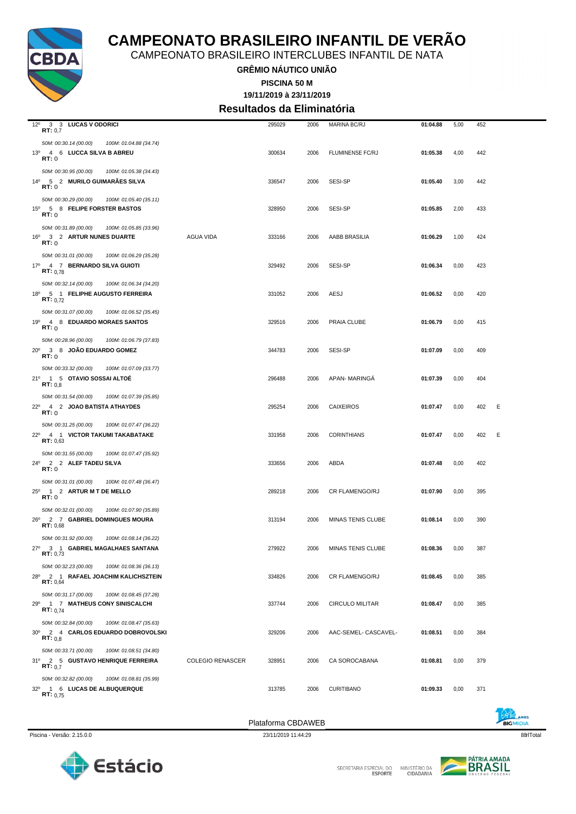

CAMPEONATO BRASILEIRO INTERCLUBES INFANTIL DE NATA

**GRÊMIO NÁUTICO UNIÃO**

**19/11/2019 à 23/11/2019 PISCINA 50 M**

**Resultados da Eliminatória**

| $12^{\circ}$<br>3 3 LUCAS V ODORICI<br>RT: 0,7         |                         | 295029 | 2006 | MARINA BC/RJ             | 01:04.88 | 5,00 | 452 |   |
|--------------------------------------------------------|-------------------------|--------|------|--------------------------|----------|------|-----|---|
| 50M: 00:30.14 (00.00)<br>100M: 01:04.88 (34.74)        |                         |        |      |                          |          |      |     |   |
| 13º 4 6 LUCCA SILVA B ABREU<br><b>RT:</b> 0            |                         | 300634 | 2006 | <b>FLUMINENSE FC/RJ</b>  | 01:05.38 | 4,00 | 442 |   |
| 50M: 00:30.95 (00.00)<br>100M: 01:05.38 (34.43)        |                         |        |      |                          |          |      |     |   |
| 14º 5 2 MURILO GUIMARAES SILVA<br><b>RT:</b> 0         |                         | 336547 | 2006 | SESI-SP                  | 01:05.40 | 3,00 | 442 |   |
| 50M: 00:30.29 (00.00)<br>100M: 01:05.40 (35.11)        |                         |        |      |                          |          |      |     |   |
| 15º 5 8 FELIPE FORSTER BASTOS<br>RT:0                  |                         | 328950 | 2006 | SESI-SP                  | 01:05.85 | 2,00 | 433 |   |
| 50M: 00:31.89 (00.00)<br>100M: 01:05.85 (33.96)        |                         |        |      |                          |          |      |     |   |
| 16º 3 2 ARTUR NUNES DUARTE<br>RT:0                     | AGUA VIDA               | 333166 | 2006 | AABB BRASILIA            | 01:06.29 | 1,00 | 424 |   |
| 50M: 00:31.01 (00.00)<br>100M: 01:06.29 (35.28)        |                         |        |      |                          |          |      |     |   |
| 17º 4 7 BERNARDO SILVA GUIOTI<br>RT: 0.78              |                         | 329492 | 2006 | SESI-SP                  | 01:06.34 | 0,00 | 423 |   |
| 50M: 00:32.14 (00.00)<br>100M: 01:06.34 (34.20)        |                         |        |      |                          |          |      |     |   |
| 18º 5 1 FELIPHE AUGUSTO FERREIRA<br><b>RT:</b> $0.72$  |                         | 331052 | 2006 | AESJ                     | 01:06.52 | 0,00 | 420 |   |
| 50M: 00:31.07 (00.00)<br>100M: 01:06.52 (35.45)        |                         |        |      |                          |          |      |     |   |
| 19º 4 8 EDUARDO MORAES SANTOS<br>RT:0                  |                         | 329516 | 2006 | PRAIA CLUBE              | 01:06.79 | 0,00 | 415 |   |
| 50M: 00:28.96 (00.00)<br>100M: 01:06.79 (37.83)        |                         |        |      |                          |          |      |     |   |
| 20° 3 8 JOÃO EDUARDO GOMEZ<br>RT:0                     |                         | 344783 | 2006 | SESI-SP                  | 01:07.09 | 0,00 | 409 |   |
| 50M: 00:33.32 (00.00)<br>100M: 01:07.09 (33.77)        |                         |        |      |                          |          |      |     |   |
| 21º 1 5 OTAVIO SOSSAI ALTOE<br>RT: 0,8                 |                         | 296488 | 2006 | <b>APAN-MARINGA</b>      | 01:07.39 | 0,00 | 404 |   |
| 50M: 00:31.54 (00.00)<br>100M: 01:07.39 (35.85)        |                         |        |      |                          |          |      |     |   |
| 22º 4 2 JOAO BATISTA ATHAYDES<br>RT:0                  |                         | 295254 | 2006 | <b>CAIXEIROS</b>         | 01:07.47 | 0,00 | 402 | E |
| 50M: 00:31.25 (00.00)<br>100M: 01:07.47 (36.22)        |                         |        |      |                          |          |      |     |   |
| 22º 4 1 VICTOR TAKUMI TAKABATAKE<br>RT: 0,63           |                         | 331958 | 2006 | <b>CORINTHIANS</b>       | 01:07.47 | 0,00 | 402 | E |
| 50M: 00:31.55 (00.00)<br>100M: 01:07.47 (35.92)        |                         |        |      |                          |          |      |     |   |
| 24º 2 2 ALEF TADEU SILVA<br><b>RT:</b> 0               |                         | 333656 | 2006 | ABDA                     | 01:07.48 | 0,00 | 402 |   |
| 50M: 00:31.01 (00.00)<br>100M: 01:07.48 (36.47)        |                         |        |      |                          |          |      |     |   |
| 25 <sup>0</sup> 1 2 ARTUR M T DE MELLO<br><b>RT:</b> 0 |                         | 289218 | 2006 | <b>CR FLAMENGO/RJ</b>    | 01:07.90 | 0,00 | 395 |   |
| 50M: 00:32.01 (00.00)<br>100M: 01:07.90 (35.89)        |                         |        |      |                          |          |      |     |   |
| 26º 2 7 GABRIEL DOMINGUES MOURA<br>RT: 0.68            |                         | 313194 | 2006 | <b>MINAS TENIS CLUBE</b> | 01:08.14 | 0,00 | 390 |   |
| 50M: 00:31.92 (00.00)<br>100M: 01:08.14 (36.22)        |                         |        |      |                          |          |      |     |   |
| 27º 3 1 GABRIEL MAGALHAES SANTANA<br>RT: 0,73          |                         | 279922 | 2006 | MINAS TENIS CLUBE        | 01:08.36 | 0,00 | 387 |   |
| 50M: 00:32.23 (00.00)<br>100M: 01:08.36 (36.13)        |                         |        |      |                          |          |      |     |   |
| 28º 2 1 RAFAEL JOACHIM KALICHSZTEIN<br>RT: 0,64        |                         | 334826 | 2006 | <b>CR FLAMENGO/RJ</b>    | 01:08.45 | 0,00 | 385 |   |
| 50M: 00:31.17 (00.00)<br>100M: 01:08.45 (37.28)        |                         |        |      |                          |          |      |     |   |
| 29º 1 7 MATHEUS CONY SINISCALCHI<br><b>RT:</b> $0.74$  |                         | 337744 | 2006 | <b>CIRCULO MILITAR</b>   | 01:08.47 | 0,00 | 385 |   |
| 50M: 00:32.84 (00.00)<br>100M: 01:08.47 (35.63)        |                         |        |      |                          |          |      |     |   |
| 30° 2 4 CARLOS EDUARDO DOBROVOLSKI<br>RT: 0,8          |                         | 329206 | 2006 | AAC-SEMEL- CASCAVEL-     | 01:08.51 | 0,00 | 384 |   |
| 50M: 00:33.71 (00.00)<br>100M: 01:08.51 (34.80)        |                         |        |      |                          |          |      |     |   |
| 31º 2 5 GUSTAVO HENRIQUE FERREIRA<br>RT: 0,7           | <b>COLEGIO RENASCER</b> | 328951 | 2006 | CA SOROCABANA            | 01:08.81 | 0,00 | 379 |   |
| 50M: 00:32.82 (00.00)<br>100M: 01:08.81 (35.99)        |                         |        |      |                          |          |      |     |   |
| 32º 1 6 LUCAS DE ALBUQUERQUE<br>RT: 0.75               |                         | 313785 | 2006 | <b>CURITIBANO</b>        | 01:09.33 | 0,00 | 371 |   |
|                                                        |                         |        |      |                          |          |      |     |   |



SECRETARIA ESPECIAL DO

Plataforma CBDAWEB



E

MINISTÉRIO DA<br>CIDADANIA

**EIGMIDIA**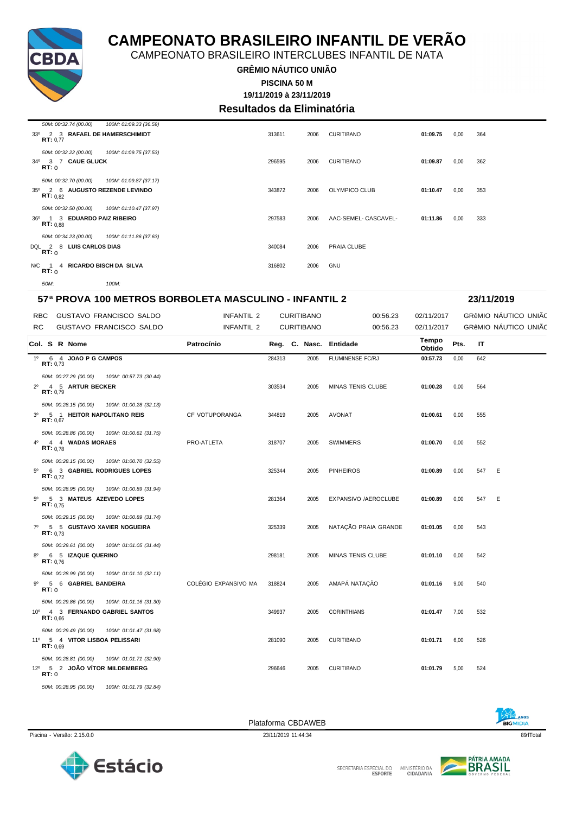

CAMPEONATO BRASILEIRO INTERCLUBES INFANTIL DE NATA

#### **GRÊMIO NÁUTICO UNIÃO PISCINA 50 M**

**19/11/2019 à 23/11/2019**

### **Resultados da Eliminatória**

| 50M: 00:32.74 (00.00)<br>100M: 01:09.33 (36.59)                                                            |        |      |                      |          |      |     |
|------------------------------------------------------------------------------------------------------------|--------|------|----------------------|----------|------|-----|
| 33º 2 3 RAFAEL DE HAMERSCHIMIDT<br>RT: 0.77                                                                | 313611 | 2006 | <b>CURITIBANO</b>    | 01:09.75 | 0,00 | 364 |
| 50M: 00:32.22 (00.00)<br>100M: 01:09.75 (37.53)<br>34º 3 7 CAUE GLUCK<br>RT: 0                             | 296595 | 2006 | <b>CURITIBANO</b>    | 01:09.87 | 0,00 | 362 |
| 50M: 00:32.70 (00.00)<br>100M: 01:09.87 (37.17)<br>2 6 AUGUSTO REZENDE LEVINDO<br>35°<br><b>RT:</b> $0.82$ | 343872 | 2006 | OLYMPICO CLUB        | 01:10.47 | 0,00 | 353 |
| 100M: 01:10.47 (37.97)<br>50M: 00:32.50 (00.00)<br>36º 1 3 EDUARDO PAIZ RIBEIRO<br>RT: 0.88                | 297583 | 2006 | AAC-SEMEL- CASCAVEL- | 01:11.86 | 0,00 | 333 |
| 50M: 00:34.23 (00.00)<br>100M: 01:11.86 (37.63)<br>DQL 2 8 LUIS CARLOS DIAS<br>RT:0                        | 340084 | 2006 | PRAIA CLUBE          |          |      |     |
| N/C 1 4 RICARDO BISCH DA SILVA<br>RT: 0                                                                    | 316802 | 2006 | GNU                  |          |      |     |
| 50M:<br>100M:                                                                                              |        |      |                      |          |      |     |

#### **57ª PROVA 100 METROS BORBOLETA MASCULINO - INFANTIL 2 23/11/2019**

| <b>RBC</b><br>RC. |          |                                                         | <b>GUSTAVO FRANCISCO SALDO</b><br><b>GUSTAVO FRANCISCO SALDO</b> | <b>INFANTIL 2</b><br><b>INFANTIL 2</b> |        | <b>CURITIBANO</b><br><b>CURITIBANO</b> | 00:56.23<br>00:56.23     | 02/11/2017<br>02/11/2017 |      |     | GRÊMIO NÁUTICO UNIÃO<br>GRÊMIO NÁUTICO UNIÃO |  |
|-------------------|----------|---------------------------------------------------------|------------------------------------------------------------------|----------------------------------------|--------|----------------------------------------|--------------------------|--------------------------|------|-----|----------------------------------------------|--|
|                   |          | Col. S R Nome                                           |                                                                  | Patrocínio                             |        |                                        | Reg. C. Nasc. Entidade   | Tempo<br>Obtido          | Pts. | IT  |                                              |  |
|                   | RT: 0.73 | 1º 6 4 JOAO P G CAMPOS                                  |                                                                  |                                        | 284313 | 2005                                   | <b>FLUMINENSE FC/RJ</b>  | 00:57.73                 | 0,00 | 642 |                                              |  |
| $2^{\circ}$       |          | 50M: 00:27.29 (00.00)<br>4 5 ARTUR BECKER<br>RT: 0.79   | 100M: 00:57.73 (30.44)                                           |                                        | 303534 | 2005                                   | <b>MINAS TENIS CLUBE</b> | 01:00.28                 | 0,00 | 564 |                                              |  |
|                   | RT: 0.67 | 50M: 00:28.15 (00.00)                                   | 100M: 01:00.28 (32.13)<br>3º 5 1 HEITOR NAPOLITANO REIS          | CF VOTUPORANGA                         | 344819 | 2005                                   | <b>AVONAT</b>            | 01:00.61                 | 0,00 | 555 |                                              |  |
| 4 <sup>0</sup>    | RT: 0.78 | 50M: 00:28.86 (00.00)<br>4 4 WADAS MORAES               | 100M: 01:00.61 (31.75)                                           | PRO-ATLETA                             | 318707 | 2005                                   | <b>SWIMMERS</b>          | 01:00.70                 | 0,00 | 552 |                                              |  |
| $5^{\circ}$       |          | 50M: 00:28.15 (00.00)<br>RT: 0.72                       | 100M: 01:00.70 (32.55)<br>6 3 GABRIEL RODRIGUES LOPES            |                                        | 325344 | 2005                                   | <b>PINHEIROS</b>         | 01:00.89                 | 0,00 | 547 | Ε                                            |  |
| $5^{\circ}$       |          | 50M: 00:28.95 (00.00)<br>RT: 0.75                       | 100M: 01:00.89 (31.94)<br>5 3 MATEUS AZEVEDO LOPES               |                                        | 281364 | 2005                                   | EXPANSIVO /AEROCLUBE     | 01:00.89                 | 0,00 | 547 | E                                            |  |
|                   |          | 50M: 00:29.15 (00.00)<br>RT: 0.73                       | 100M: 01:00.89 (31.74)<br>7º 5 5 GUSTAVO XAVIER NOGUEIRA         |                                        | 325339 | 2005                                   | NATAÇÃO PRAIA GRANDE     | 01:01.05                 | 0,00 | 543 |                                              |  |
| $8^{\circ}$       |          | 50M: 00:29.61 (00.00)<br>6 5 IZAQUE QUERINO<br>RT: 0.76 | 100M: 01:01.05 (31.44)                                           |                                        | 298181 | 2005                                   | MINAS TENIS CLUBE        | 01:01.10                 | 0,00 | 542 |                                              |  |
| 90                | RT: 0    | 50M: 00:28.99 (00.00)<br>5 6 GABRIEL BANDEIRA           | 100M: 01:01.10 (32.11)                                           | COLÉGIO EXPANSIVO MA                   | 318824 | 2005                                   | AMAPÁ NATAÇÃO            | 01:01.16                 | 9,00 | 540 |                                              |  |
|                   |          | 50M: 00:29.86 (00.00)<br>RT: 0.66                       | 100M: 01:01.16 (31.30)<br>10º 4 3 FERNANDO GABRIEL SANTOS        |                                        | 349937 | 2005                                   | <b>CORINTHIANS</b>       | 01:01.47                 | 7,00 | 532 |                                              |  |
|                   | RT: 0.69 | 50M: 00:29.49 (00.00)                                   | 100M: 01:01.47 (31.98)<br>11º 5 4 VITOR LISBOA PELISSARI         |                                        | 281090 | 2005                                   | <b>CURITIBANO</b>        | 01:01.71                 | 6,00 | 526 |                                              |  |
|                   | RT:0     | 50M: 00:28.81 (00.00)                                   | 100M: 01:01.71 (32.90)<br>12º 5 2 JOÃO VÍTOR MILDEMBERG          |                                        | 296646 | 2005                                   | <b>CURITIBANO</b>        | 01:01.79                 | 5.00 | 524 |                                              |  |
|                   |          |                                                         | 50M: 00:28.95 (00.00) 100M: 01:01.79 (32.84)                     |                                        |        |                                        |                          |                          |      |     |                                              |  |

Piscina - Versão: 2.15.0.0 23/11/2019 11:44:34 23/11/2019 11:44:34 89rlTotal 23/11/2019 11:44:34 897 Desember 2011



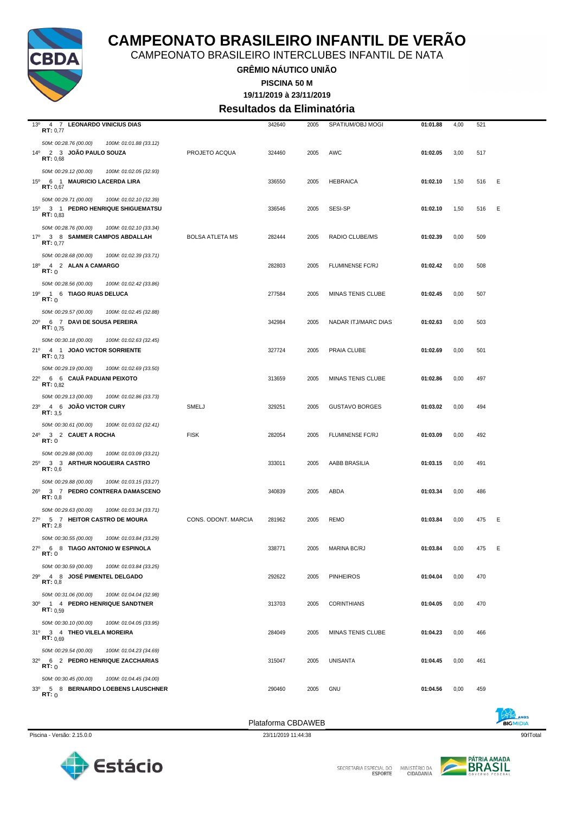

CAMPEONATO BRASILEIRO INTERCLUBES INFANTIL DE NATA

**GRÊMIO NÁUTICO UNIÃO**

**PISCINA 50 M**

**19/11/2019 à 23/11/2019**

#### **Resultados da Eliminatória**

| $13^{\circ}$<br>4 7 LEONARDO VINICIUS DIAS<br>RT: 0,77                                                 |                        | 342640 | 2005 | SPATIUM/OBJ MOGI        | 01:01.88 | 4,00 | 521 |   |
|--------------------------------------------------------------------------------------------------------|------------------------|--------|------|-------------------------|----------|------|-----|---|
| 50M: 00:28.76 (00.00)<br>100M: 01:01.88 (33.12)<br>14º 2 3 JOÃO PAULO SOUZA<br>RT: 0,68                | PROJETO ACQUA          | 324460 | 2005 | AWC                     | 01:02.05 | 3,00 | 517 |   |
| 50M: 00:29.12 (00.00)<br>100M: 01:02.05 (32.93)<br>15º 6 1 MAURICIO LACERDA LIRA<br>RT: 0,67           |                        | 336550 | 2005 | <b>HEBRAICA</b>         | 01:02.10 | 1,50 | 516 | Ε |
| 50M: 00:29.71 (00.00)<br>100M: 01:02.10 (32.39)<br>15º 3 1 PEDRO HENRIQUE SHIGUEMATSU<br>RT: 0.83      |                        | 336546 | 2005 | SESI-SP                 | 01:02.10 | 1,50 | 516 | Ε |
| 50M: 00:28.76 (00.00)<br>100M: 01:02.10 (33.34)<br>17º 3 8 SAMMER CAMPOS ABDALLAH<br><b>RT:</b> $0.77$ | <b>BOLSA ATLETA MS</b> | 282444 | 2005 | RADIO CLUBE/MS          | 01:02.39 | 0,00 | 509 |   |
| 50M: 00:28.68 (00.00)<br>100M: 01:02.39 (33.71)<br>18º 4 2 ALAN A CAMARGO<br>RT:0                      |                        | 282803 | 2005 | <b>FLUMINENSE FC/RJ</b> | 01:02.42 | 0,00 | 508 |   |
| 50M: 00:28.56 (00.00)<br>100M: 01:02.42 (33.86)<br>19º 1 6 TIAGO RUAS DELUCA<br>RT: 0                  |                        | 277584 | 2005 | MINAS TENIS CLUBE       | 01:02.45 | 0,00 | 507 |   |
| 50M: 00:29.57 (00.00)<br>100M: 01:02.45 (32.88)<br>20° 6 7 DAVI DE SOUSA PEREIRA<br>RT: 0.75           |                        | 342984 | 2005 | NADAR ITJ/MARC DIAS     | 01:02.63 | 0,00 | 503 |   |
| 50M: 00:30.18 (00.00)<br>100M: 01:02.63 (32.45)<br>21º 4 1 JOAO VICTOR SORRIENTE<br>RT: 0.73           |                        | 327724 | 2005 | PRAIA CLUBE             | 01:02.69 | 0,00 | 501 |   |
| 50M: 00:29.19 (00.00)<br>100M: 01:02.69 (33.50)<br>22º 6 6 CAUÃ PADUANI PEIXOTO<br>RT: 0.82            |                        | 313659 | 2005 | MINAS TENIS CLUBE       | 01:02.86 | 0,00 | 497 |   |
| 50M: 00:29.13 (00.00)<br>100M: 01:02.86 (33.73)<br>23º 4 6 JOÃO VICTOR CURY<br><b>RT:</b> $3,5$        | SMELJ                  | 329251 | 2005 | <b>GUSTAVO BORGES</b>   | 01:03.02 | 0,00 | 494 |   |
| 50M: 00:30.61 (00.00)<br>100M: 01:03.02 (32.41)<br>24º 3 2 CAUET A ROCHA<br>RT:0                       | <b>FISK</b>            | 282054 | 2005 | <b>FLUMINENSE FC/RJ</b> | 01:03.09 | 0,00 | 492 |   |
| 50M: 00:29.88 (00.00)<br>100M: 01:03.09 (33.21)<br>25º 3 3 ARTHUR NOGUEIRA CASTRO<br>RT: 0.6           |                        | 333011 | 2005 | AABB BRASILIA           | 01:03.15 | 0,00 | 491 |   |
| 50M: 00:29.88 (00.00)<br>100M: 01:03.15 (33.27)<br>26º 3 7 PEDRO CONTRERA DAMASCENO<br>RT: 0,8         |                        | 340839 | 2005 | ABDA                    | 01:03.34 | 0,00 | 486 |   |
| 50M: 00:29.63 (00.00)<br>100M: 01:03.34 (33.71)<br>27º 5 7 HEITOR CASTRO DE MOURA<br>RT: 2.8           | CONS. ODONT. MARCIA    | 281962 | 2005 | <b>REMO</b>             | 01:03.84 | 0,00 | 475 | Ε |
| 50M: 00:30.55 (00.00)<br>100M: 01:03.84 (33.29)<br>27º 6 8 TIAGO ANTONIO W ESPINOLA<br><b>RT:</b> 0    |                        | 338771 | 2005 | MARINA BC/RJ            | 01:03.84 | 0,00 | 475 | Е |
| 50M: 00:30.59 (00.00)<br>100M: 01:03.84 (33.25)<br>29º 4 8 JOSÉ PIMENTEL DELGADO<br>RT: 0,8            |                        | 292622 | 2005 | <b>PINHEIROS</b>        | 01:04.04 | 0,00 | 470 |   |
| 50M: 00:31.06 (00.00)<br>100M: 01:04.04 (32.98)<br>30° 1 4 PEDRO HENRIQUE SANDTNER<br>RT: 0.59         |                        | 313703 | 2005 | <b>CORINTHIANS</b>      | 01:04.05 | 0,00 | 470 |   |
| 50M: 00:30.10 (00.00)<br>100M: 01:04.05 (33.95)<br>31º 3 4 THEO VILELA MOREIRA<br>RT: 0.69             |                        | 284049 | 2005 | MINAS TENIS CLUBE       | 01:04.23 | 0,00 | 466 |   |
| 50M: 00:29.54 (00.00)<br>100M: 01:04.23 (34.69)<br>32º 6 2 PEDRO HENRIQUE ZACCHARIAS<br>RT:0           |                        | 315047 | 2005 | <b>UNISANTA</b>         | 01:04.45 | 0,00 | 461 |   |
|                                                                                                        |                        |        |      |                         |          |      |     |   |
| 50M: 00:30.45 (00.00)<br>100M: 01:04.45 (34.00)<br>33º 5 8 BERNARDO LOEBENS LAUSCHNER<br>RT:0          |                        | 290460 | 2005 | <b>GNU</b>              | 01:04.56 | 0,00 | 459 |   |